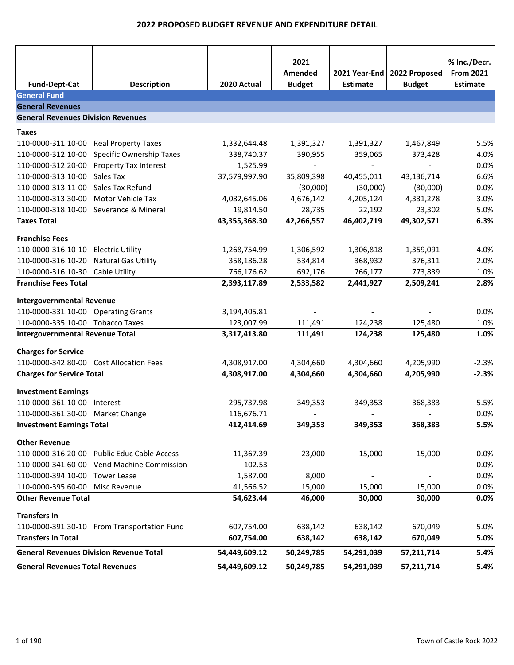| <b>Fund-Dept-Cat</b>                                                    | <b>Description</b>                          | 2020 Actual                | 2021<br>Amended<br><b>Budget</b> | 2021 Year-End<br><b>Estimate</b> | 2022 Proposed<br><b>Budget</b> | % Inc./Decr.<br><b>From 2021</b><br><b>Estimate</b> |
|-------------------------------------------------------------------------|---------------------------------------------|----------------------------|----------------------------------|----------------------------------|--------------------------------|-----------------------------------------------------|
| <b>General Fund</b>                                                     |                                             |                            |                                  |                                  |                                |                                                     |
| <b>General Revenues</b>                                                 |                                             |                            |                                  |                                  |                                |                                                     |
| <b>General Revenues Division Revenues</b>                               |                                             |                            |                                  |                                  |                                |                                                     |
| <b>Taxes</b>                                                            |                                             |                            |                                  |                                  |                                |                                                     |
| 110-0000-311.10-00 Real Property Taxes                                  |                                             | 1,332,644.48               | 1,391,327                        | 1,391,327                        | 1,467,849                      | 5.5%                                                |
| 110-0000-312.10-00                                                      | Specific Ownership Taxes                    | 338,740.37                 | 390,955                          | 359,065                          | 373,428                        | 4.0%                                                |
|                                                                         | 110-0000-312.20-00 Property Tax Interest    | 1,525.99                   |                                  |                                  |                                | 0.0%                                                |
| 110-0000-313.10-00                                                      | Sales Tax                                   | 37,579,997.90              | 35,809,398                       | 40,455,011                       | 43,136,714                     | 6.6%                                                |
| 110-0000-313.11-00                                                      | Sales Tax Refund                            |                            | (30,000)                         | (30,000)                         | (30,000)                       | 0.0%                                                |
| 110-0000-313.30-00                                                      | Motor Vehicle Tax                           | 4,082,645.06               | 4,676,142                        | 4,205,124                        | 4,331,278                      | 3.0%                                                |
|                                                                         | 110-0000-318.10-00 Severance & Mineral      | 19,814.50                  | 28,735                           | 22,192                           | 23,302                         | 5.0%                                                |
| <b>Taxes Total</b>                                                      |                                             | 43,355,368.30              | 42,266,557                       | 46,402,719                       | 49,302,571                     | 6.3%                                                |
| <b>Franchise Fees</b>                                                   |                                             |                            |                                  |                                  |                                |                                                     |
| 110-0000-316.10-10                                                      | <b>Electric Utility</b>                     | 1,268,754.99               | 1,306,592                        | 1,306,818                        | 1,359,091                      | 4.0%                                                |
| 110-0000-316.10-20                                                      | <b>Natural Gas Utility</b>                  | 358,186.28                 | 534,814                          | 368,932                          | 376,311                        | 2.0%                                                |
| 110-0000-316.10-30                                                      | Cable Utility                               | 766,176.62                 | 692,176                          | 766,177                          | 773,839                        | 1.0%                                                |
| <b>Franchise Fees Total</b>                                             |                                             | 2,393,117.89               | 2,533,582                        | 2,441,927                        | 2,509,241                      | 2.8%                                                |
|                                                                         |                                             |                            |                                  |                                  |                                |                                                     |
| <b>Intergovernmental Revenue</b>                                        |                                             |                            |                                  |                                  |                                | 0.0%                                                |
| 110-0000-331.10-00 Operating Grants<br>110-0000-335.10-00 Tobacco Taxes |                                             | 3,194,405.81<br>123,007.99 | 111,491                          | 124,238                          | 125,480                        | 1.0%                                                |
| <b>Intergovernmental Revenue Total</b>                                  |                                             | 3,317,413.80               | 111,491                          | 124,238                          | 125,480                        | 1.0%                                                |
|                                                                         |                                             |                            |                                  |                                  |                                |                                                     |
| <b>Charges for Service</b>                                              |                                             |                            |                                  |                                  |                                |                                                     |
| 110-0000-342.80-00 Cost Allocation Fees                                 |                                             | 4,308,917.00               | 4,304,660                        | 4,304,660                        | 4,205,990                      | $-2.3%$                                             |
| <b>Charges for Service Total</b>                                        |                                             | 4,308,917.00               | 4,304,660                        | 4,304,660                        | 4,205,990                      | $-2.3%$                                             |
| <b>Investment Earnings</b>                                              |                                             |                            |                                  |                                  |                                |                                                     |
| 110-0000-361.10-00 Interest                                             |                                             | 295,737.98                 | 349,353                          | 349,353                          | 368,383                        | 5.5%                                                |
| 110-0000-361.30-00 Market Change                                        |                                             | 116,676.71                 |                                  |                                  |                                | 0.0%                                                |
| <b>Investment Earnings Total</b>                                        |                                             | 412,414.69                 | 349,353                          | 349,353                          | 368,383                        | 5.5%                                                |
| <b>Other Revenue</b>                                                    |                                             |                            |                                  |                                  |                                |                                                     |
|                                                                         | 110-0000-316.20-00 Public Educ Cable Access | 11,367.39                  | 23,000                           | 15,000                           | 15,000                         | 0.0%                                                |
|                                                                         | 110-0000-341.60-00 Vend Machine Commission  | 102.53                     |                                  |                                  |                                | 0.0%                                                |
| 110-0000-394.10-00                                                      | <b>Tower Lease</b>                          | 1,587.00                   | 8,000                            |                                  |                                | 0.0%                                                |
| 110-0000-395.60-00 Misc Revenue                                         |                                             | 41,566.52                  | 15,000                           | 15,000                           | 15,000                         | 0.0%                                                |
| <b>Other Revenue Total</b>                                              |                                             | 54,623.44                  | 46,000                           | 30,000                           | 30,000                         | 0.0%                                                |
| <b>Transfers In</b>                                                     |                                             |                            |                                  |                                  |                                |                                                     |
|                                                                         | 110-0000-391.30-10 From Transportation Fund | 607,754.00                 | 638,142                          | 638,142                          | 670,049                        | 5.0%                                                |
| <b>Transfers In Total</b>                                               |                                             | 607,754.00                 | 638,142                          | 638,142                          | 670,049                        | 5.0%                                                |
| <b>General Revenues Division Revenue Total</b>                          |                                             | 54,449,609.12              | 50,249,785                       | 54,291,039                       | 57,211,714                     | 5.4%                                                |
| <b>General Revenues Total Revenues</b>                                  |                                             | 54,449,609.12              | 50,249,785                       | 54,291,039                       | 57,211,714                     | 5.4%                                                |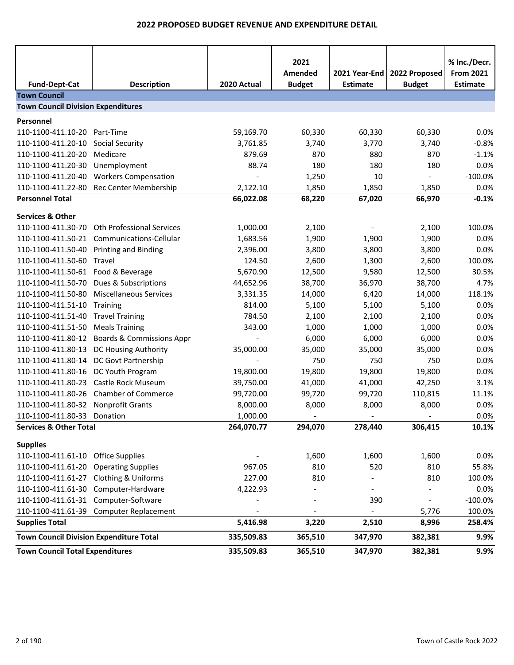|                                                |                                         |             | 2021<br>Amended | 2021 Year-End   | 2022 Proposed | % Inc./Decr.<br><b>From 2021</b> |
|------------------------------------------------|-----------------------------------------|-------------|-----------------|-----------------|---------------|----------------------------------|
| <b>Fund-Dept-Cat</b><br><b>Town Council</b>    | <b>Description</b>                      | 2020 Actual | <b>Budget</b>   | <b>Estimate</b> | <b>Budget</b> | <b>Estimate</b>                  |
| <b>Town Council Division Expenditures</b>      |                                         |             |                 |                 |               |                                  |
|                                                |                                         |             |                 |                 |               |                                  |
| Personnel                                      |                                         |             |                 |                 |               |                                  |
| 110-1100-411.10-20                             | Part-Time                               | 59,169.70   | 60,330          | 60,330          | 60,330        | 0.0%                             |
| 110-1100-411.20-10                             | Social Security                         | 3,761.85    | 3,740           | 3,770           | 3,740         | $-0.8%$                          |
| 110-1100-411.20-20                             | Medicare                                | 879.69      | 870             | 880             | 870           | $-1.1%$                          |
| 110-1100-411.20-30                             | Unemployment                            | 88.74       | 180             | 180             | 180           | 0.0%                             |
| 110-1100-411.20-40                             | <b>Workers Compensation</b>             |             | 1,250           | 10              |               | $-100.0%$                        |
| 110-1100-411.22-80                             | Rec Center Membership                   | 2,122.10    | 1,850           | 1,850           | 1,850         | 0.0%                             |
| <b>Personnel Total</b>                         |                                         | 66,022.08   | 68,220          | 67,020          | 66,970        | $-0.1%$                          |
| <b>Services &amp; Other</b>                    |                                         |             |                 |                 |               |                                  |
| 110-1100-411.30-70                             | <b>Oth Professional Services</b>        | 1,000.00    | 2,100           |                 | 2,100         | 100.0%                           |
| 110-1100-411.50-21                             | Communications-Cellular                 | 1,683.56    | 1,900           | 1,900           | 1,900         | 0.0%                             |
| 110-1100-411.50-40                             | <b>Printing and Binding</b>             | 2,396.00    | 3,800           | 3,800           | 3,800         | 0.0%                             |
| 110-1100-411.50-60                             | Travel                                  | 124.50      | 2,600           | 1,300           | 2,600         | 100.0%                           |
| 110-1100-411.50-61 Food & Beverage             |                                         | 5,670.90    | 12,500          | 9,580           | 12,500        | 30.5%                            |
| 110-1100-411.50-70                             | Dues & Subscriptions                    | 44,652.96   | 38,700          | 36,970          | 38,700        | 4.7%                             |
| 110-1100-411.50-80                             | <b>Miscellaneous Services</b>           | 3,331.35    | 14,000          | 6,420           | 14,000        | 118.1%                           |
| 110-1100-411.51-10                             | Training                                | 814.00      | 5,100           | 5,100           | 5,100         | 0.0%                             |
| 110-1100-411.51-40                             | <b>Travel Training</b>                  | 784.50      | 2,100           | 2,100           | 2,100         | 0.0%                             |
| 110-1100-411.51-50                             | <b>Meals Training</b>                   | 343.00      | 1,000           | 1,000           | 1,000         | 0.0%                             |
| 110-1100-411.80-12                             | <b>Boards &amp; Commissions Appr</b>    |             | 6,000           | 6,000           | 6,000         | 0.0%                             |
| 110-1100-411.80-13                             | DC Housing Authority                    | 35,000.00   | 35,000          | 35,000          | 35,000        | 0.0%                             |
| 110-1100-411.80-14                             | DC Govt Partnership                     |             | 750             | 750             | 750           | 0.0%                             |
| 110-1100-411.80-16                             | DC Youth Program                        | 19,800.00   | 19,800          | 19,800          | 19,800        | 0.0%                             |
| 110-1100-411.80-23                             | Castle Rock Museum                      | 39,750.00   | 41,000          | 41,000          | 42,250        | 3.1%                             |
| 110-1100-411.80-26                             | <b>Chamber of Commerce</b>              | 99,720.00   | 99,720          | 99,720          | 110,815       | 11.1%                            |
| 110-1100-411.80-32                             | Nonprofit Grants                        | 8,000.00    | 8,000           | 8,000           | 8,000         | 0.0%                             |
| 110-1100-411.80-33                             | Donation                                | 1,000.00    |                 |                 |               | 0.0%                             |
| <b>Services &amp; Other Total</b>              |                                         | 264,070.77  | 294,070         | 278,440         | 306,415       | 10.1%                            |
|                                                |                                         |             |                 |                 |               |                                  |
| <b>Supplies</b>                                |                                         |             |                 |                 |               |                                  |
| 110-1100-411.61-10 Office Supplies             |                                         |             | 1,600           | 1,600           | 1,600         | 0.0%                             |
| 110-1100-411.61-20 Operating Supplies          |                                         | 967.05      | 810             | 520             | 810           | 55.8%                            |
| 110-1100-411.61-27 Clothing & Uniforms         |                                         | 227.00      | 810             |                 | 810           | 100.0%                           |
|                                                | 110-1100-411.61-30 Computer-Hardware    | 4,222.93    |                 |                 |               | 0.0%                             |
| 110-1100-411.61-31 Computer-Software           |                                         |             |                 | 390             |               | $-100.0%$                        |
|                                                | 110-1100-411.61-39 Computer Replacement |             |                 |                 | 5,776         | 100.0%                           |
| <b>Supplies Total</b>                          |                                         | 5,416.98    | 3,220           | 2,510           | 8,996         | 258.4%                           |
| <b>Town Council Division Expenditure Total</b> |                                         | 335,509.83  | 365,510         | 347,970         | 382,381       | 9.9%                             |
| <b>Town Council Total Expenditures</b>         |                                         | 335,509.83  | 365,510         | 347,970         | 382,381       | 9.9%                             |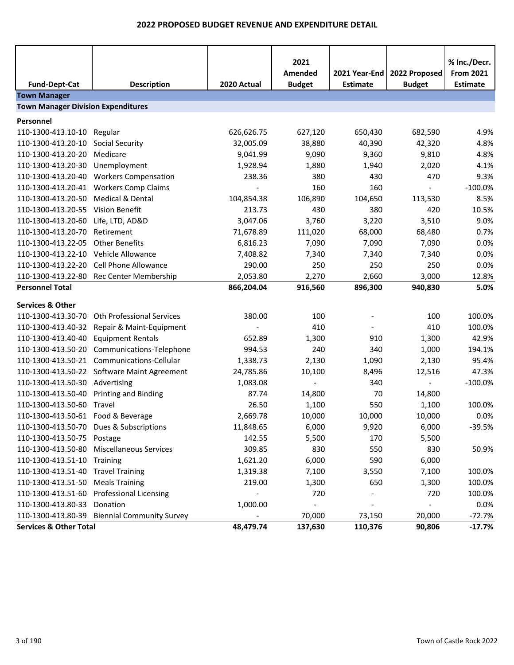| <b>Fund-Dept-Cat</b>                      | <b>Description</b>                          | 2020 Actual              | 2021<br>Amended<br><b>Budget</b> | 2021 Year-End<br><b>Estimate</b> | 2022 Proposed<br><b>Budget</b> | % Inc./Decr.<br><b>From 2021</b><br><b>Estimate</b> |  |  |
|-------------------------------------------|---------------------------------------------|--------------------------|----------------------------------|----------------------------------|--------------------------------|-----------------------------------------------------|--|--|
| <b>Town Manager</b>                       |                                             |                          |                                  |                                  |                                |                                                     |  |  |
| <b>Town Manager Division Expenditures</b> |                                             |                          |                                  |                                  |                                |                                                     |  |  |
| Personnel                                 |                                             |                          |                                  |                                  |                                |                                                     |  |  |
| 110-1300-413.10-10                        | Regular                                     | 626,626.75               | 627,120                          | 650,430                          | 682,590                        | 4.9%                                                |  |  |
| 110-1300-413.20-10                        | <b>Social Security</b>                      | 32,005.09                | 38,880                           | 40,390                           | 42,320                         | 4.8%                                                |  |  |
| 110-1300-413.20-20                        | Medicare                                    | 9,041.99                 | 9,090                            | 9,360                            | 9,810                          | 4.8%                                                |  |  |
| 110-1300-413.20-30                        | Unemployment                                | 1,928.94                 | 1,880                            | 1,940                            | 2,020                          | 4.1%                                                |  |  |
| 110-1300-413.20-40                        | <b>Workers Compensation</b>                 | 238.36                   | 380                              | 430                              | 470                            | 9.3%                                                |  |  |
| 110-1300-413.20-41                        | <b>Workers Comp Claims</b>                  |                          | 160                              | 160                              | $\overline{\phantom{a}}$       | $-100.0%$                                           |  |  |
| 110-1300-413.20-50                        | Medical & Dental                            | 104,854.38               | 106,890                          | 104,650                          | 113,530                        | 8.5%                                                |  |  |
| 110-1300-413.20-55                        | <b>Vision Benefit</b>                       | 213.73                   | 430                              | 380                              | 420                            | 10.5%                                               |  |  |
| 110-1300-413.20-60                        | Life, LTD, AD&D                             | 3,047.06                 | 3,760                            | 3,220                            | 3,510                          | 9.0%                                                |  |  |
| 110-1300-413.20-70                        | Retirement                                  | 71,678.89                | 111,020                          | 68,000                           | 68,480                         | 0.7%                                                |  |  |
| 110-1300-413.22-05                        | <b>Other Benefits</b>                       | 6,816.23                 | 7,090                            | 7,090                            | 7,090                          | 0.0%                                                |  |  |
| 110-1300-413.22-10                        | Vehicle Allowance                           | 7,408.82                 | 7,340                            | 7,340                            | 7,340                          | 0.0%                                                |  |  |
| 110-1300-413.22-20                        | <b>Cell Phone Allowance</b>                 | 290.00                   | 250                              | 250                              | 250                            | 0.0%                                                |  |  |
| 110-1300-413.22-80                        | Rec Center Membership                       | 2,053.80                 | 2,270                            | 2,660                            | 3,000                          | 12.8%                                               |  |  |
| <b>Personnel Total</b>                    |                                             | 866,204.04               | 916,560                          | 896,300                          | 940,830                        | 5.0%                                                |  |  |
| <b>Services &amp; Other</b>               |                                             |                          |                                  |                                  |                                |                                                     |  |  |
| 110-1300-413.30-70                        | Oth Professional Services                   | 380.00                   | 100                              |                                  | 100                            | 100.0%                                              |  |  |
| 110-1300-413.40-32                        | Repair & Maint-Equipment                    |                          | 410                              |                                  | 410                            | 100.0%                                              |  |  |
| 110-1300-413.40-40                        | <b>Equipment Rentals</b>                    | 652.89                   | 1,300                            | 910                              | 1,300                          | 42.9%                                               |  |  |
| 110-1300-413.50-20                        | Communications-Telephone                    | 994.53                   | 240                              | 340                              | 1,000                          | 194.1%                                              |  |  |
| 110-1300-413.50-21                        | Communications-Cellular                     | 1,338.73                 | 2,130                            | 1,090                            | 2,130                          | 95.4%                                               |  |  |
|                                           | 110-1300-413.50-22 Software Maint Agreement | 24,785.86                | 10,100                           | 8,496                            | 12,516                         | 47.3%                                               |  |  |
| 110-1300-413.50-30                        | Advertising                                 | 1,083.08                 |                                  | 340                              | $\overline{\phantom{a}}$       | $-100.0%$                                           |  |  |
| 110-1300-413.50-40                        | <b>Printing and Binding</b>                 | 87.74                    | 14,800                           | 70                               | 14,800                         |                                                     |  |  |
| 110-1300-413.50-60                        | Travel                                      | 26.50                    | 1,100                            | 550                              | 1,100                          | 100.0%                                              |  |  |
| 110-1300-413.50-61 Food & Beverage        |                                             | 2,669.78                 | 10,000                           | 10,000                           | 10,000                         | 0.0%                                                |  |  |
|                                           | 110-1300-413.50-70 Dues & Subscriptions     | 11,848.65                | 6,000                            | 9,920                            | 6,000                          | $-39.5%$                                            |  |  |
| 110-1300-413.50-75                        | Postage                                     | 142.55                   | 5,500                            | 170                              | 5,500                          |                                                     |  |  |
| 110-1300-413.50-80                        | <b>Miscellaneous Services</b>               | 309.85                   | 830                              | 550                              | 830                            | 50.9%                                               |  |  |
| 110-1300-413.51-10 Training               |                                             | 1,621.20                 | 6,000                            | 590                              | 6,000                          |                                                     |  |  |
| 110-1300-413.51-40 Travel Training        |                                             | 1,319.38                 | 7,100                            | 3,550                            | 7,100                          | 100.0%                                              |  |  |
| 110-1300-413.51-50                        | <b>Meals Training</b>                       | 219.00                   | 1,300                            | 650                              | 1,300                          | 100.0%                                              |  |  |
| 110-1300-413.51-60                        | <b>Professional Licensing</b>               |                          | 720                              |                                  | 720                            | 100.0%                                              |  |  |
| 110-1300-413.80-33                        | Donation                                    | 1,000.00                 |                                  |                                  |                                | 0.0%                                                |  |  |
| 110-1300-413.80-39                        | <b>Biennial Community Survey</b>            | $\overline{\phantom{a}}$ | 70,000                           | 73,150                           | 20,000                         | $-72.7%$                                            |  |  |
| <b>Services &amp; Other Total</b>         |                                             | 48,479.74                | 137,630                          | 110,376                          | 90,806                         | $-17.7%$                                            |  |  |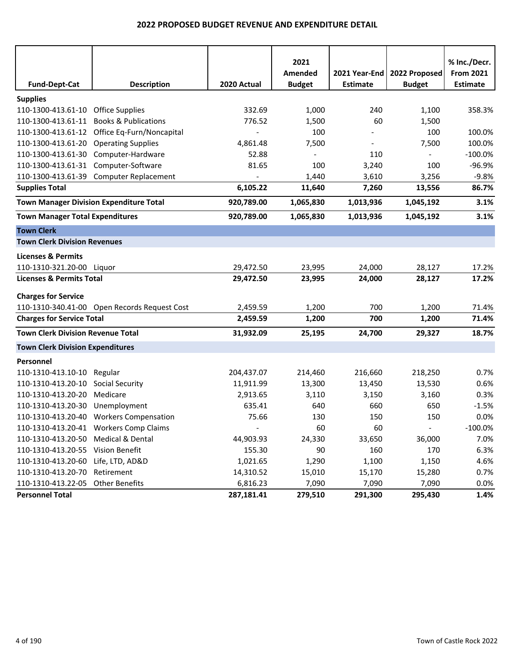|                                                |                                              |             | 2021          |                 |                | % Inc./Decr.     |
|------------------------------------------------|----------------------------------------------|-------------|---------------|-----------------|----------------|------------------|
|                                                |                                              |             | Amended       | 2021 Year-End   | 2022 Proposed  | <b>From 2021</b> |
| <b>Fund-Dept-Cat</b>                           | <b>Description</b>                           | 2020 Actual | <b>Budget</b> | <b>Estimate</b> | <b>Budget</b>  | <b>Estimate</b>  |
| <b>Supplies</b>                                |                                              |             |               |                 |                |                  |
| 110-1300-413.61-10 Office Supplies             |                                              | 332.69      | 1,000         | 240             | 1,100          | 358.3%           |
| 110-1300-413.61-11                             | <b>Books &amp; Publications</b>              | 776.52      | 1,500         | 60              | 1,500          |                  |
|                                                | 110-1300-413.61-12 Office Eq-Furn/Noncapital |             | 100           |                 | 100            | 100.0%           |
| 110-1300-413.61-20                             | <b>Operating Supplies</b>                    | 4,861.48    | 7,500         |                 | 7,500          | 100.0%           |
| 110-1300-413.61-30                             | Computer-Hardware                            | 52.88       |               | 110             |                | $-100.0\%$       |
| 110-1300-413.61-31                             | Computer-Software                            | 81.65       | 100           | 3,240           | 100            | $-96.9%$         |
| 110-1300-413.61-39                             | <b>Computer Replacement</b>                  |             | 1,440         | 3,610           | 3,256          | $-9.8%$          |
| <b>Supplies Total</b>                          |                                              | 6,105.22    | 11,640        | 7,260           | 13,556         | 86.7%            |
| <b>Town Manager Division Expenditure Total</b> |                                              | 920,789.00  | 1,065,830     | 1,013,936       | 1,045,192      | 3.1%             |
| <b>Town Manager Total Expenditures</b>         |                                              | 920,789.00  | 1,065,830     | 1,013,936       | 1,045,192      | 3.1%             |
| <b>Town Clerk</b>                              |                                              |             |               |                 |                |                  |
| <b>Town Clerk Division Revenues</b>            |                                              |             |               |                 |                |                  |
| <b>Licenses &amp; Permits</b>                  |                                              |             |               |                 |                |                  |
| 110-1310-321.20-00 Liquor                      |                                              | 29,472.50   | 23,995        | 24,000          | 28,127         | 17.2%            |
| <b>Licenses &amp; Permits Total</b>            |                                              | 29,472.50   | 23,995        | 24,000          | 28,127         | 17.2%            |
| <b>Charges for Service</b>                     |                                              |             |               |                 |                |                  |
|                                                | 110-1310-340.41-00 Open Records Request Cost | 2,459.59    | 1,200         | 700             | 1,200          | 71.4%            |
| <b>Charges for Service Total</b>               |                                              | 2,459.59    | 1,200         | 700             | 1,200          | 71.4%            |
| <b>Town Clerk Division Revenue Total</b>       |                                              | 31,932.09   | 25,195        | 24,700          | 29,327         | 18.7%            |
| <b>Town Clerk Division Expenditures</b>        |                                              |             |               |                 |                |                  |
| Personnel                                      |                                              |             |               |                 |                |                  |
| 110-1310-413.10-10 Regular                     |                                              | 204,437.07  | 214,460       | 216,660         | 218,250        | 0.7%             |
| 110-1310-413.20-10                             | <b>Social Security</b>                       | 11,911.99   | 13,300        | 13,450          | 13,530         | 0.6%             |
| 110-1310-413.20-20                             | Medicare                                     | 2,913.65    | 3,110         | 3,150           | 3,160          | 0.3%             |
| 110-1310-413.20-30                             | Unemployment                                 | 635.41      | 640           | 660             | 650            | $-1.5%$          |
|                                                | 110-1310-413.20-40 Workers Compensation      | 75.66       | 130           | 150             | 150            | 0.0%             |
|                                                | 110-1310-413.20-41 Workers Comp Claims       |             | 60            | 60              | $\blacksquare$ | $-100.0\%$       |
| 110-1310-413.20-50 Medical & Dental            |                                              | 44,903.93   | 24,330        | 33,650          | 36,000         | 7.0%             |
| 110-1310-413.20-55 Vision Benefit              |                                              | 155.30      | 90            | 160             | 170            | 6.3%             |
| 110-1310-413.20-60                             | Life, LTD, AD&D                              | 1,021.65    | 1,290         | 1,100           | 1,150          | 4.6%             |
| 110-1310-413.20-70                             | Retirement                                   | 14,310.52   | 15,010        | 15,170          | 15,280         | 0.7%             |
| 110-1310-413.22-05                             | <b>Other Benefits</b>                        | 6,816.23    | 7,090         | 7,090           | 7,090          | $0.0\%$          |
| <b>Personnel Total</b>                         |                                              | 287,181.41  | 279,510       | 291,300         | 295,430        | 1.4%             |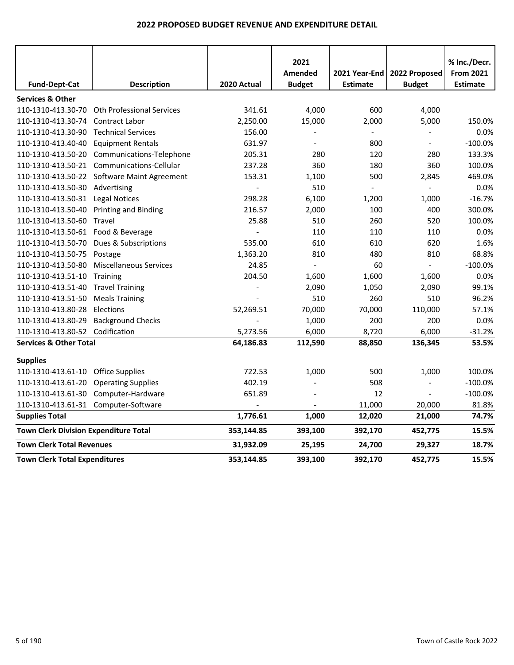|                                              |                                  |             | 2021           |                 |                          | % Inc./Decr.     |
|----------------------------------------------|----------------------------------|-------------|----------------|-----------------|--------------------------|------------------|
|                                              |                                  |             | Amended        | 2021 Year-End   | 2022 Proposed            | <b>From 2021</b> |
| <b>Fund-Dept-Cat</b>                         | <b>Description</b>               | 2020 Actual | <b>Budget</b>  | <b>Estimate</b> | <b>Budget</b>            | <b>Estimate</b>  |
| <b>Services &amp; Other</b>                  |                                  |             |                |                 |                          |                  |
| 110-1310-413.30-70                           | <b>Oth Professional Services</b> | 341.61      | 4,000          | 600             | 4,000                    |                  |
| 110-1310-413.30-74                           | <b>Contract Labor</b>            | 2,250.00    | 15,000         | 2,000           | 5,000                    | 150.0%           |
| 110-1310-413.30-90                           | <b>Technical Services</b>        | 156.00      |                |                 |                          | 0.0%             |
| 110-1310-413.40-40                           | <b>Equipment Rentals</b>         | 631.97      | $\overline{a}$ | 800             | $\overline{\phantom{a}}$ | $-100.0%$        |
| 110-1310-413.50-20                           | Communications-Telephone         | 205.31      | 280            | 120             | 280                      | 133.3%           |
| 110-1310-413.50-21                           | Communications-Cellular          | 237.28      | 360            | 180             | 360                      | 100.0%           |
| 110-1310-413.50-22                           | Software Maint Agreement         | 153.31      | 1,100          | 500             | 2,845                    | 469.0%           |
| 110-1310-413.50-30                           | Advertising                      |             | 510            |                 | $\overline{a}$           | 0.0%             |
| 110-1310-413.50-31 Legal Notices             |                                  | 298.28      | 6,100          | 1,200           | 1,000                    | $-16.7%$         |
| 110-1310-413.50-40                           | <b>Printing and Binding</b>      | 216.57      | 2,000          | 100             | 400                      | 300.0%           |
| 110-1310-413.50-60 Travel                    |                                  | 25.88       | 510            | 260             | 520                      | 100.0%           |
| 110-1310-413.50-61 Food & Beverage           |                                  |             | 110            | 110             | 110                      | 0.0%             |
| 110-1310-413.50-70                           | Dues & Subscriptions             | 535.00      | 610            | 610             | 620                      | 1.6%             |
| 110-1310-413.50-75                           | Postage                          | 1,363.20    | 810            | 480             | 810                      | 68.8%            |
| 110-1310-413.50-80                           | <b>Miscellaneous Services</b>    | 24.85       |                | 60              | $\overline{a}$           | $-100.0%$        |
| 110-1310-413.51-10                           | Training                         | 204.50      | 1,600          | 1,600           | 1,600                    | 0.0%             |
| 110-1310-413.51-40                           | <b>Travel Training</b>           |             | 2,090          | 1,050           | 2,090                    | 99.1%            |
| 110-1310-413.51-50                           | <b>Meals Training</b>            |             | 510            | 260             | 510                      | 96.2%            |
| 110-1310-413.80-28                           | Elections                        | 52,269.51   | 70,000         | 70,000          | 110,000                  | 57.1%            |
| 110-1310-413.80-29                           | <b>Background Checks</b>         |             | 1,000          | 200             | 200                      | 0.0%             |
| 110-1310-413.80-52                           | Codification                     | 5,273.56    | 6,000          | 8,720           | 6,000                    | $-31.2%$         |
| <b>Services &amp; Other Total</b>            |                                  | 64,186.83   | 112,590        | 88,850          | 136,345                  | 53.5%            |
| <b>Supplies</b>                              |                                  |             |                |                 |                          |                  |
| 110-1310-413.61-10                           | <b>Office Supplies</b>           | 722.53      | 1,000          | 500             | 1,000                    | 100.0%           |
| 110-1310-413.61-20                           | <b>Operating Supplies</b>        | 402.19      |                | 508             | $\blacksquare$           | $-100.0%$        |
| 110-1310-413.61-30                           | Computer-Hardware                | 651.89      |                | 12              | $\blacksquare$           | $-100.0%$        |
| 110-1310-413.61-31 Computer-Software         |                                  |             |                | 11,000          | 20,000                   | 81.8%            |
| <b>Supplies Total</b>                        |                                  | 1,776.61    | 1,000          | 12,020          | 21,000                   | 74.7%            |
| <b>Town Clerk Division Expenditure Total</b> |                                  | 353,144.85  | 393,100        | 392,170         | 452,775                  | 15.5%            |
| <b>Town Clerk Total Revenues</b>             |                                  | 31,932.09   | 25,195         | 24,700          | 29,327                   | 18.7%            |
| <b>Town Clerk Total Expenditures</b>         |                                  | 353,144.85  | 393,100        | 392,170         | 452,775                  | 15.5%            |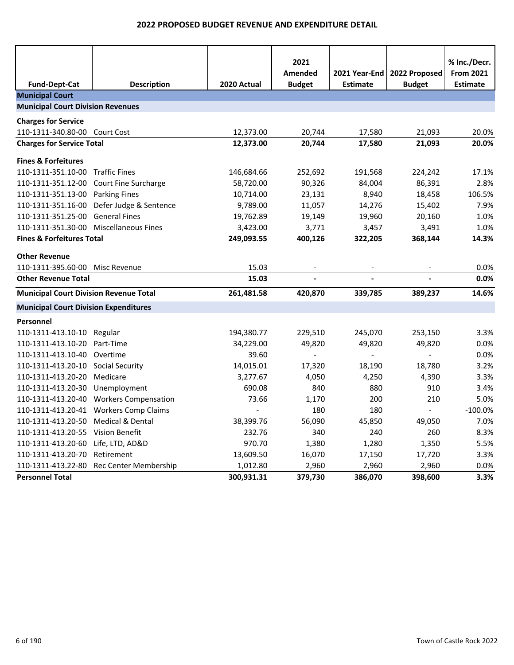|                                               |                                         |             | 2021                      |                                    |                                | % Inc./Decr.                        |
|-----------------------------------------------|-----------------------------------------|-------------|---------------------------|------------------------------------|--------------------------------|-------------------------------------|
| <b>Fund-Dept-Cat</b>                          | <b>Description</b>                      | 2020 Actual | Amended<br><b>Budget</b>  | 2021 Year-End  <br><b>Estimate</b> | 2022 Proposed<br><b>Budget</b> | <b>From 2021</b><br><b>Estimate</b> |
| <b>Municipal Court</b>                        |                                         |             |                           |                                    |                                |                                     |
| <b>Municipal Court Division Revenues</b>      |                                         |             |                           |                                    |                                |                                     |
| <b>Charges for Service</b>                    |                                         |             |                           |                                    |                                |                                     |
| 110-1311-340.80-00                            | Court Cost                              | 12,373.00   | 20,744                    | 17,580                             | 21,093                         | 20.0%                               |
| <b>Charges for Service Total</b>              |                                         | 12,373.00   | 20,744                    | 17,580                             | 21,093                         | 20.0%                               |
|                                               |                                         |             |                           |                                    |                                |                                     |
| <b>Fines &amp; Forfeitures</b>                |                                         |             |                           |                                    |                                |                                     |
| 110-1311-351.10-00                            | <b>Traffic Fines</b>                    | 146,684.66  | 252,692                   | 191,568                            | 224,242                        | 17.1%                               |
| 110-1311-351.12-00                            | Court Fine Surcharge                    | 58,720.00   | 90,326                    | 84,004                             | 86,391                         | 2.8%                                |
| 110-1311-351.13-00                            | <b>Parking Fines</b>                    | 10,714.00   | 23,131                    | 8,940                              | 18,458                         | 106.5%                              |
| 110-1311-351.16-00                            | Defer Judge & Sentence                  | 9,789.00    | 11,057                    | 14,276                             | 15,402                         | 7.9%                                |
| 110-1311-351.25-00                            | <b>General Fines</b>                    | 19,762.89   | 19,149                    | 19,960                             | 20,160                         | 1.0%                                |
| 110-1311-351.30-00                            | <b>Miscellaneous Fines</b>              | 3,423.00    | 3,771                     | 3,457                              | 3,491                          | 1.0%                                |
| <b>Fines &amp; Forfeitures Total</b>          |                                         | 249,093.55  | 400,126                   | 322,205                            | 368,144                        | 14.3%                               |
| <b>Other Revenue</b>                          |                                         |             |                           |                                    |                                |                                     |
| 110-1311-395.60-00                            | Misc Revenue                            | 15.03       |                           |                                    |                                | 0.0%                                |
| <b>Other Revenue Total</b>                    |                                         | 15.03       |                           |                                    |                                | 0.0%                                |
| <b>Municipal Court Division Revenue Total</b> |                                         | 261,481.58  | 420,870                   | 339,785                            | 389,237                        | 14.6%                               |
| <b>Municipal Court Division Expenditures</b>  |                                         |             |                           |                                    |                                |                                     |
| Personnel                                     |                                         |             |                           |                                    |                                |                                     |
| 110-1311-413.10-10 Regular                    |                                         | 194,380.77  | 229,510                   | 245,070                            | 253,150                        | 3.3%                                |
| 110-1311-413.10-20                            | Part-Time                               | 34,229.00   | 49,820                    | 49,820                             | 49,820                         | 0.0%                                |
| 110-1311-413.10-40                            | Overtime                                | 39.60       | $\mathbb{Z}^{\mathbb{Z}}$ | $\overline{a}$                     | $\mathbf{L}$                   | 0.0%                                |
| 110-1311-413.20-10                            | <b>Social Security</b>                  | 14,015.01   | 17,320                    | 18,190                             | 18,780                         | 3.2%                                |
| 110-1311-413.20-20                            | Medicare                                | 3,277.67    | 4,050                     | 4,250                              | 4,390                          | 3.3%                                |
| 110-1311-413.20-30                            | Unemployment                            | 690.08      | 840                       | 880                                | 910                            | 3.4%                                |
|                                               | 110-1311-413.20-40 Workers Compensation | 73.66       | 1,170                     | 200                                | 210                            | 5.0%                                |
| 110-1311-413.20-41                            | <b>Workers Comp Claims</b>              |             | 180                       | 180                                | $\omega$                       | $-100.0%$                           |
| 110-1311-413.20-50                            | Medical & Dental                        | 38,399.76   | 56,090                    | 45,850                             | 49,050                         | 7.0%                                |
| 110-1311-413.20-55 Vision Benefit             |                                         | 232.76      | 340                       | 240                                | 260                            | 8.3%                                |
| 110-1311-413.20-60                            | Life, LTD, AD&D                         | 970.70      | 1,380                     | 1,280                              | 1,350                          | 5.5%                                |
| 110-1311-413.20-70                            | Retirement                              | 13,609.50   | 16,070                    | 17,150                             | 17,720                         | 3.3%                                |
| 110-1311-413.22-80                            | Rec Center Membership                   | 1,012.80    | 2,960                     | 2,960                              | 2,960                          | 0.0%                                |
| <b>Personnel Total</b>                        |                                         | 300,931.31  | 379,730                   | 386,070                            | 398,600                        | 3.3%                                |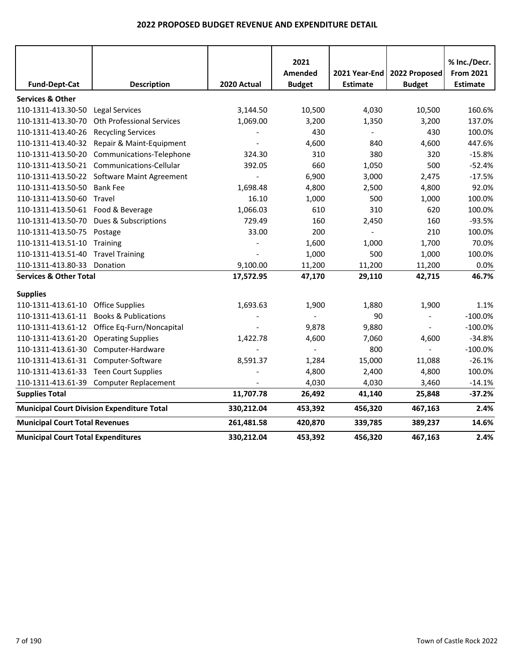|                                           |                                                   |                          | 2021          |                          |               | % Inc./Decr.     |
|-------------------------------------------|---------------------------------------------------|--------------------------|---------------|--------------------------|---------------|------------------|
|                                           |                                                   |                          | Amended       | 2021 Year-End            | 2022 Proposed | <b>From 2021</b> |
| <b>Fund-Dept-Cat</b>                      | <b>Description</b>                                | 2020 Actual              | <b>Budget</b> | <b>Estimate</b>          | <b>Budget</b> | <b>Estimate</b>  |
| <b>Services &amp; Other</b>               |                                                   |                          |               |                          |               |                  |
| 110-1311-413.30-50                        | <b>Legal Services</b>                             | 3,144.50                 | 10,500        | 4,030                    | 10,500        | 160.6%           |
| 110-1311-413.30-70                        | <b>Oth Professional Services</b>                  | 1,069.00                 | 3,200         | 1,350                    | 3,200         | 137.0%           |
| 110-1311-413.40-26                        | <b>Recycling Services</b>                         |                          | 430           | $\overline{\phantom{a}}$ | 430           | 100.0%           |
|                                           | 110-1311-413.40-32 Repair & Maint-Equipment       |                          | 4,600         | 840                      | 4,600         | 447.6%           |
| 110-1311-413.50-20                        | Communications-Telephone                          | 324.30                   | 310           | 380                      | 320           | $-15.8%$         |
|                                           | 110-1311-413.50-21 Communications-Cellular        | 392.05                   | 660           | 1,050                    | 500           | $-52.4%$         |
|                                           | 110-1311-413.50-22 Software Maint Agreement       | $\overline{\phantom{a}}$ | 6,900         | 3,000                    | 2,475         | $-17.5%$         |
| 110-1311-413.50-50                        | <b>Bank Fee</b>                                   | 1,698.48                 | 4,800         | 2,500                    | 4,800         | 92.0%            |
| 110-1311-413.50-60                        | Travel                                            | 16.10                    | 1,000         | 500                      | 1,000         | 100.0%           |
| 110-1311-413.50-61 Food & Beverage        |                                                   | 1,066.03                 | 610           | 310                      | 620           | 100.0%           |
| 110-1311-413.50-70                        | Dues & Subscriptions                              | 729.49                   | 160           | 2,450                    | 160           | $-93.5%$         |
| 110-1311-413.50-75 Postage                |                                                   | 33.00                    | 200           |                          | 210           | 100.0%           |
| 110-1311-413.51-10                        | Training                                          |                          | 1,600         | 1,000                    | 1,700         | 70.0%            |
| 110-1311-413.51-40                        | <b>Travel Training</b>                            |                          | 1,000         | 500                      | 1,000         | 100.0%           |
| 110-1311-413.80-33                        | Donation                                          | 9,100.00                 | 11,200        | 11,200                   | 11,200        | 0.0%             |
| <b>Services &amp; Other Total</b>         |                                                   | 17,572.95                | 47,170        | 29,110                   | 42,715        | 46.7%            |
| <b>Supplies</b>                           |                                                   |                          |               |                          |               |                  |
| 110-1311-413.61-10                        | <b>Office Supplies</b>                            | 1,693.63                 | 1,900         | 1,880                    | 1,900         | 1.1%             |
| 110-1311-413.61-11                        | <b>Books &amp; Publications</b>                   |                          |               | 90                       |               | $-100.0%$        |
|                                           | 110-1311-413.61-12 Office Eq-Furn/Noncapital      |                          | 9,878         | 9,880                    |               | $-100.0%$        |
| 110-1311-413.61-20                        | <b>Operating Supplies</b>                         | 1,422.78                 | 4,600         | 7,060                    | 4,600         | $-34.8%$         |
| 110-1311-413.61-30                        | Computer-Hardware                                 |                          |               | 800                      |               | $-100.0%$        |
| 110-1311-413.61-31                        | Computer-Software                                 | 8,591.37                 | 1,284         | 15,000                   | 11,088        | $-26.1%$         |
| 110-1311-413.61-33                        | <b>Teen Court Supplies</b>                        |                          | 4,800         | 2,400                    | 4,800         | 100.0%           |
| 110-1311-413.61-39                        | <b>Computer Replacement</b>                       |                          | 4,030         | 4,030                    | 3,460         | $-14.1%$         |
| <b>Supplies Total</b>                     |                                                   | 11,707.78                | 26,492        | 41,140                   | 25,848        | $-37.2%$         |
|                                           | <b>Municipal Court Division Expenditure Total</b> | 330,212.04               | 453,392       | 456,320                  | 467,163       | 2.4%             |
| <b>Municipal Court Total Revenues</b>     |                                                   | 261,481.58               | 420,870       | 339,785                  | 389,237       | 14.6%            |
| <b>Municipal Court Total Expenditures</b> |                                                   | 330,212.04               | 453,392       | 456,320                  | 467,163       | 2.4%             |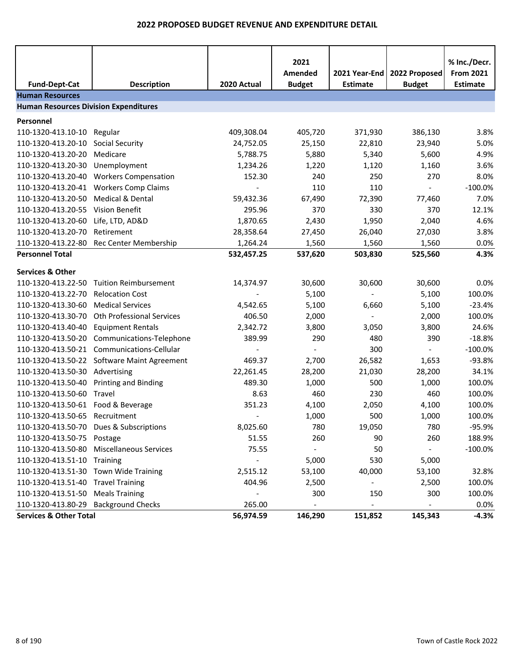| <b>Fund-Dept-Cat</b>                         | <b>Description</b>                                  | 2020 Actual              | 2021<br>Amended<br><b>Budget</b> | 2021 Year-End<br><b>Estimate</b> | 2022 Proposed<br><b>Budget</b>  | % Inc./Decr.<br><b>From 2021</b><br><b>Estimate</b> |
|----------------------------------------------|-----------------------------------------------------|--------------------------|----------------------------------|----------------------------------|---------------------------------|-----------------------------------------------------|
| <b>Human Resources</b>                       |                                                     |                          |                                  |                                  |                                 |                                                     |
| <b>Human Resources Division Expenditures</b> |                                                     |                          |                                  |                                  |                                 |                                                     |
| Personnel                                    |                                                     |                          |                                  |                                  |                                 |                                                     |
| 110-1320-413.10-10                           | Regular                                             | 409,308.04               | 405,720                          | 371,930                          | 386,130                         | 3.8%                                                |
| 110-1320-413.20-10                           | <b>Social Security</b>                              | 24,752.05                | 25,150                           | 22,810                           | 23,940                          | 5.0%                                                |
| 110-1320-413.20-20                           | Medicare                                            | 5,788.75                 | 5,880                            | 5,340                            | 5,600                           | 4.9%                                                |
| 110-1320-413.20-30                           | Unemployment                                        | 1,234.26                 | 1,220                            | 1,120                            | 1,160                           | 3.6%                                                |
| 110-1320-413.20-40                           | <b>Workers Compensation</b>                         | 152.30                   | 240                              | 250                              | 270                             | 8.0%                                                |
| 110-1320-413.20-41                           | <b>Workers Comp Claims</b>                          |                          | 110                              | 110                              | $\blacksquare$                  | $-100.0%$                                           |
| 110-1320-413.20-50                           | Medical & Dental                                    | 59,432.36                | 67,490                           | 72,390                           | 77,460                          | 7.0%                                                |
| 110-1320-413.20-55                           | Vision Benefit                                      | 295.96                   | 370                              | 330                              | 370                             | 12.1%                                               |
| 110-1320-413.20-60                           | Life, LTD, AD&D                                     | 1,870.65                 | 2,430                            | 1,950                            | 2,040                           | 4.6%                                                |
| 110-1320-413.20-70                           | Retirement                                          | 28,358.64                | 27,450                           | 26,040                           | 27,030                          | 3.8%                                                |
| 110-1320-413.22-80                           | Rec Center Membership                               | 1,264.24                 | 1,560                            | 1,560                            | 1,560                           | 0.0%                                                |
| <b>Personnel Total</b>                       |                                                     | 532,457.25               | 537,620                          | 503,830                          | 525,560                         | 4.3%                                                |
| <b>Services &amp; Other</b>                  |                                                     |                          |                                  |                                  |                                 |                                                     |
| 110-1320-413.22-50                           | <b>Tuition Reimbursement</b>                        | 14,374.97                | 30,600                           | 30,600                           | 30,600                          | 0.0%                                                |
| 110-1320-413.22-70                           | <b>Relocation Cost</b>                              |                          | 5,100                            | $\blacksquare$                   | 5,100                           | 100.0%                                              |
| 110-1320-413.30-60                           | <b>Medical Services</b>                             | 4,542.65                 | 5,100                            | 6,660                            | 5,100                           | $-23.4%$                                            |
| 110-1320-413.30-70                           | <b>Oth Professional Services</b>                    | 406.50                   |                                  | $\overline{\phantom{a}}$         |                                 | 100.0%                                              |
| 110-1320-413.40-40                           |                                                     |                          | 2,000                            | 3,050                            | 2,000                           | 24.6%                                               |
|                                              | <b>Equipment Rentals</b>                            | 2,342.72                 | 3,800                            |                                  | 3,800                           |                                                     |
| 110-1320-413.50-20                           | Communications-Telephone<br>Communications-Cellular | 389.99                   | 290<br>$\blacksquare$            | 480<br>300                       | 390<br>$\overline{\phantom{a}}$ | $-18.8%$<br>$-100.0%$                               |
| 110-1320-413.50-21                           |                                                     | 469.37                   |                                  |                                  |                                 |                                                     |
|                                              | 110-1320-413.50-22 Software Maint Agreement         |                          | 2,700                            | 26,582                           | 1,653                           | $-93.8%$                                            |
| 110-1320-413.50-30 Advertising               |                                                     | 22,261.45                | 28,200                           | 21,030                           | 28,200                          | 34.1%                                               |
| 110-1320-413.50-40                           | <b>Printing and Binding</b>                         | 489.30                   | 1,000                            | 500                              | 1,000                           | 100.0%                                              |
| 110-1320-413.50-60                           | Travel                                              | 8.63                     | 460                              | 230                              | 460                             | 100.0%<br>100.0%                                    |
| 110-1320-413.50-61                           | Food & Beverage                                     | 351.23                   | 4,100                            | 2,050                            | 4,100                           |                                                     |
| 110-1320-413.50-65                           | Recruitment                                         | $\overline{\phantom{a}}$ | 1,000                            | 500                              | 1,000                           | 100.0%                                              |
|                                              | 110-1320-413.50-70 Dues & Subscriptions             | 8,025.60                 | 780                              | 19,050                           | 780                             | $-95.9%$                                            |
| 110-1320-413.50-75 Postage                   |                                                     | 51.55                    | 260                              | 90                               | 260                             | 188.9%                                              |
|                                              | 110-1320-413.50-80 Miscellaneous Services           | 75.55                    |                                  | 50                               |                                 | $-100.0\%$                                          |
| 110-1320-413.51-10 Training                  |                                                     |                          | 5,000                            | 530                              | 5,000                           |                                                     |
| 110-1320-413.51-30 Town Wide Training        |                                                     | 2,515.12                 | 53,100                           | 40,000                           | 53,100                          | 32.8%                                               |
| 110-1320-413.51-40 Travel Training           |                                                     | 404.96                   | 2,500                            |                                  | 2,500                           | 100.0%                                              |
| 110-1320-413.51-50 Meals Training            |                                                     |                          | 300                              | 150                              | 300                             | 100.0%                                              |
| 110-1320-413.80-29                           | <b>Background Checks</b>                            | 265.00                   | $\qquad \qquad \blacksquare$     |                                  | $\overline{\phantom{a}}$        | 0.0%                                                |
| <b>Services &amp; Other Total</b>            |                                                     | 56,974.59                | 146,290                          | 151,852                          | 145,343                         | $-4.3%$                                             |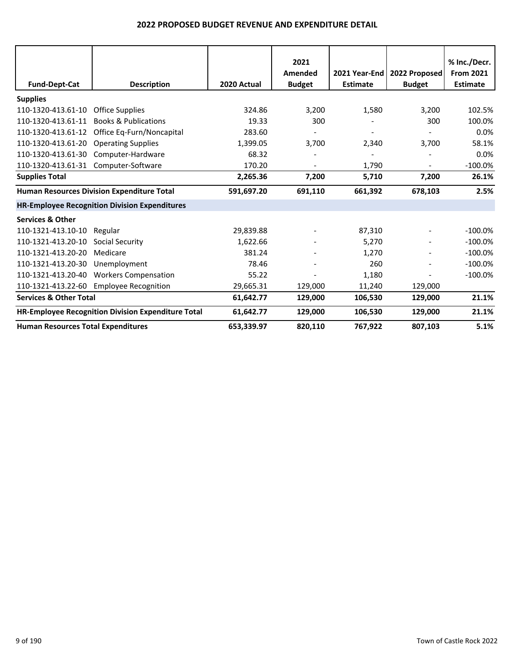|                                           |                                                      |             | 2021<br>Amended | 2021 Year-End   | 2022 Proposed | % Inc./Decr.<br><b>From 2021</b> |
|-------------------------------------------|------------------------------------------------------|-------------|-----------------|-----------------|---------------|----------------------------------|
| <b>Fund-Dept-Cat</b>                      | <b>Description</b>                                   | 2020 Actual | <b>Budget</b>   | <b>Estimate</b> | <b>Budget</b> | <b>Estimate</b>                  |
| <b>Supplies</b>                           |                                                      |             |                 |                 |               |                                  |
| 110-1320-413.61-10                        | <b>Office Supplies</b>                               | 324.86      | 3,200           | 1,580           | 3,200         | 102.5%                           |
| 110-1320-413.61-11                        | <b>Books &amp; Publications</b>                      | 19.33       | 300             |                 | 300           | 100.0%                           |
| 110-1320-413.61-12                        | Office Eq-Furn/Noncapital                            | 283.60      |                 |                 |               | 0.0%                             |
| 110-1320-413.61-20                        | <b>Operating Supplies</b>                            | 1,399.05    | 3,700           | 2,340           | 3,700         | 58.1%                            |
| 110-1320-413.61-30                        | Computer-Hardware                                    | 68.32       |                 |                 |               | 0.0%                             |
| 110-1320-413.61-31                        | Computer-Software                                    | 170.20      |                 | 1,790           |               | $-100.0%$                        |
| <b>Supplies Total</b>                     |                                                      | 2,265.36    | 7,200           | 5,710           | 7,200         | 26.1%                            |
|                                           | Human Resources Division Expenditure Total           | 591,697.20  | 691,110         | 661,392         | 678,103       | 2.5%                             |
|                                           | <b>HR-Employee Recognition Division Expenditures</b> |             |                 |                 |               |                                  |
| <b>Services &amp; Other</b>               |                                                      |             |                 |                 |               |                                  |
| 110-1321-413.10-10                        | Regular                                              | 29,839.88   |                 | 87,310          |               | $-100.0\%$                       |
| 110-1321-413.20-10                        | Social Security                                      | 1,622.66    |                 | 5,270           |               | $-100.0%$                        |
| 110-1321-413.20-20                        | Medicare                                             | 381.24      |                 | 1,270           |               | $-100.0%$                        |
| 110-1321-413.20-30                        | Unemployment                                         | 78.46       |                 | 260             |               | $-100.0\%$                       |
| 110-1321-413.20-40                        | <b>Workers Compensation</b>                          | 55.22       |                 | 1,180           |               | $-100.0%$                        |
| 110-1321-413.22-60                        | <b>Employee Recognition</b>                          | 29,665.31   | 129,000         | 11,240          | 129,000       |                                  |
| <b>Services &amp; Other Total</b>         |                                                      | 61,642.77   | 129,000         | 106,530         | 129,000       | 21.1%                            |
|                                           | HR-Employee Recognition Division Expenditure Total   | 61,642.77   | 129,000         | 106,530         | 129,000       | 21.1%                            |
| <b>Human Resources Total Expenditures</b> |                                                      | 653,339.97  | 820,110         | 767,922         | 807,103       | 5.1%                             |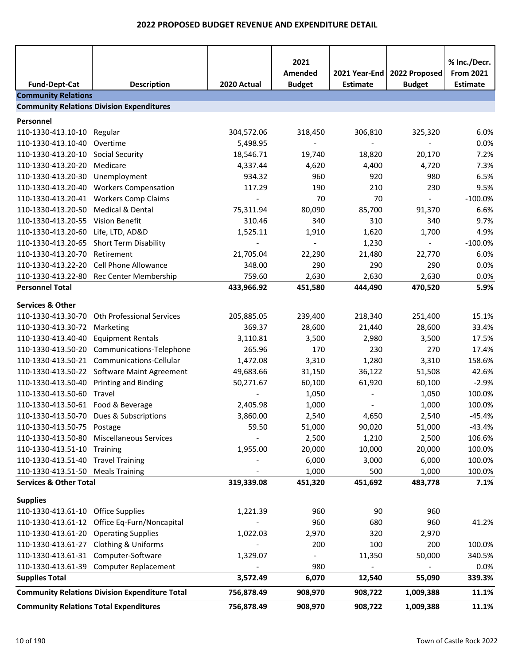|                                               |                                                       |             | 2021<br>Amended | 2021 Year-End            | 2022 Proposed            | % Inc./Decr.<br><b>From 2021</b> |
|-----------------------------------------------|-------------------------------------------------------|-------------|-----------------|--------------------------|--------------------------|----------------------------------|
| <b>Fund-Dept-Cat</b>                          | <b>Description</b>                                    | 2020 Actual | <b>Budget</b>   | <b>Estimate</b>          | <b>Budget</b>            | <b>Estimate</b>                  |
| <b>Community Relations</b>                    |                                                       |             |                 |                          |                          |                                  |
|                                               | <b>Community Relations Division Expenditures</b>      |             |                 |                          |                          |                                  |
| Personnel                                     |                                                       |             |                 |                          |                          |                                  |
| 110-1330-413.10-10                            | Regular                                               | 304,572.06  | 318,450         | 306,810                  | 325,320                  | 6.0%                             |
| 110-1330-413.10-40                            | Overtime                                              | 5,498.95    |                 |                          |                          | 0.0%                             |
| 110-1330-413.20-10                            | <b>Social Security</b>                                | 18,546.71   | 19,740          | 18,820                   | 20,170                   | 7.2%                             |
| 110-1330-413.20-20                            | Medicare                                              | 4,337.44    | 4,620           | 4,400                    | 4,720                    | 7.3%                             |
| 110-1330-413.20-30                            | Unemployment                                          | 934.32      | 960             | 920                      | 980                      | 6.5%                             |
| 110-1330-413.20-40                            | <b>Workers Compensation</b>                           | 117.29      | 190             | 210                      | 230                      | 9.5%                             |
| 110-1330-413.20-41                            | <b>Workers Comp Claims</b>                            |             | 70              | 70                       | $\equiv$                 | $-100.0%$                        |
| 110-1330-413.20-50                            | Medical & Dental                                      | 75,311.94   | 80,090          | 85,700                   | 91,370                   | 6.6%                             |
| 110-1330-413.20-55                            | <b>Vision Benefit</b>                                 | 310.46      | 340             | 310                      | 340                      | 9.7%                             |
| 110-1330-413.20-60                            | Life, LTD, AD&D                                       | 1,525.11    | 1,910           | 1,620                    | 1,700                    | 4.9%                             |
| 110-1330-413.20-65                            | <b>Short Term Disability</b>                          |             |                 | 1,230                    | $\overline{\phantom{0}}$ | $-100.0%$                        |
| 110-1330-413.20-70                            | Retirement                                            | 21,705.04   | 22,290          | 21,480                   | 22,770                   | 6.0%                             |
| 110-1330-413.22-20                            | <b>Cell Phone Allowance</b>                           | 348.00      | 290             | 290                      | 290                      | 0.0%                             |
| 110-1330-413.22-80                            | Rec Center Membership                                 | 759.60      | 2,630           | 2,630                    | 2,630                    | 0.0%                             |
| <b>Personnel Total</b>                        |                                                       | 433,966.92  | 451,580         | 444,490                  | 470,520                  | 5.9%                             |
| <b>Services &amp; Other</b>                   |                                                       |             |                 |                          |                          |                                  |
| 110-1330-413.30-70                            | <b>Oth Professional Services</b>                      | 205,885.05  | 239,400         | 218,340                  | 251,400                  | 15.1%                            |
| 110-1330-413.30-72                            | Marketing                                             | 369.37      | 28,600          | 21,440                   | 28,600                   | 33.4%                            |
| 110-1330-413.40-40                            | <b>Equipment Rentals</b>                              | 3,110.81    | 3,500           | 2,980                    | 3,500                    | 17.5%                            |
| 110-1330-413.50-20                            | Communications-Telephone                              | 265.96      | 170             | 230                      | 270                      | 17.4%                            |
| 110-1330-413.50-21                            | Communications-Cellular                               | 1,472.08    | 3,310           | 1,280                    | 3,310                    | 158.6%                           |
|                                               | 110-1330-413.50-22 Software Maint Agreement           | 49,683.66   | 31,150          | 36,122                   | 51,508                   | 42.6%                            |
| 110-1330-413.50-40                            | <b>Printing and Binding</b>                           | 50,271.67   | 60,100          | 61,920                   | 60,100                   | $-2.9%$                          |
| 110-1330-413.50-60                            | Travel                                                |             | 1,050           |                          | 1,050                    | 100.0%                           |
| 110-1330-413.50-61                            | Food & Beverage                                       | 2,405.98    | 1,000           |                          | 1,000                    | 100.0%                           |
| 110-1330-413.50-70                            | Dues & Subscriptions                                  | 3,860.00    | 2,540           | 4,650                    | 2,540                    | $-45.4%$                         |
| 110-1330-413.50-75 Postage                    |                                                       | 59.50       | 51,000          | 90,020                   | 51,000                   | $-43.4%$                         |
| 110-1330-413.50-80                            | <b>Miscellaneous Services</b>                         |             | 2,500           | 1,210                    | 2,500                    | 106.6%                           |
| 110-1330-413.51-10 Training                   |                                                       | 1,955.00    | 20,000          | 10,000                   | 20,000                   | 100.0%                           |
| 110-1330-413.51-40 Travel Training            |                                                       |             | 6,000           | 3,000                    | 6,000                    | 100.0%                           |
| 110-1330-413.51-50 Meals Training             |                                                       |             | 1,000           | 500                      | 1,000                    | 100.0%                           |
| <b>Services &amp; Other Total</b>             |                                                       | 319,339.08  | 451,320         | 451,692                  | 483,778                  | 7.1%                             |
|                                               |                                                       |             |                 |                          |                          |                                  |
| <b>Supplies</b>                               |                                                       |             |                 |                          |                          |                                  |
| 110-1330-413.61-10 Office Supplies            |                                                       | 1,221.39    | 960             | 90                       | 960                      |                                  |
|                                               | 110-1330-413.61-12 Office Eq-Furn/Noncapital          |             | 960             | 680                      | 960                      | 41.2%                            |
| 110-1330-413.61-20 Operating Supplies         |                                                       | 1,022.03    | 2,970           | 320                      | 2,970                    |                                  |
| 110-1330-413.61-27 Clothing & Uniforms        |                                                       |             | 200             | 100                      | 200                      | 100.0%                           |
| 110-1330-413.61-31 Computer-Software          |                                                       | 1,329.07    |                 | 11,350                   | 50,000                   | 340.5%                           |
|                                               | 110-1330-413.61-39 Computer Replacement               |             | 980             | $\overline{\phantom{a}}$ | $\blacksquare$           | 0.0%                             |
| <b>Supplies Total</b>                         |                                                       | 3,572.49    | 6,070           | 12,540                   | 55,090                   | 339.3%                           |
|                                               | <b>Community Relations Division Expenditure Total</b> | 756,878.49  | 908,970         | 908,722                  | 1,009,388                | 11.1%                            |
| <b>Community Relations Total Expenditures</b> |                                                       | 756,878.49  | 908,970         | 908,722                  | 1,009,388                | 11.1%                            |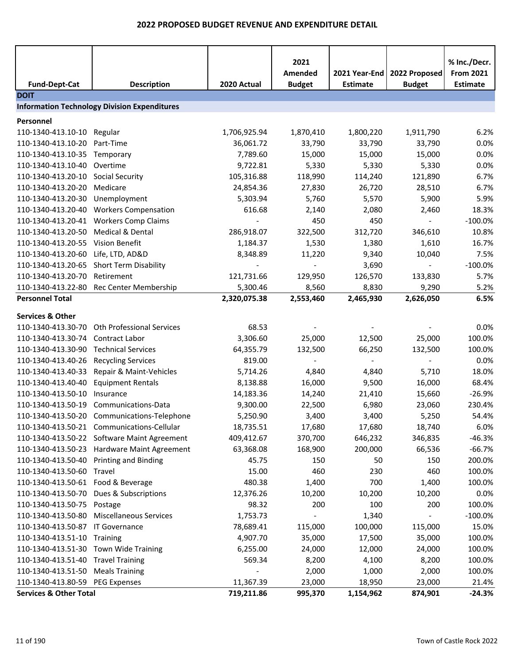|                                         |                                                     |                          | 2021<br>Amended              | 2021 Year-End   | 2022 Proposed            | % Inc./Decr.<br><b>From 2021</b> |
|-----------------------------------------|-----------------------------------------------------|--------------------------|------------------------------|-----------------|--------------------------|----------------------------------|
| <b>Fund-Dept-Cat</b>                    | <b>Description</b>                                  | 2020 Actual              | <b>Budget</b>                | <b>Estimate</b> | <b>Budget</b>            | <b>Estimate</b>                  |
| <b>DOIT</b>                             |                                                     |                          |                              |                 |                          |                                  |
|                                         | <b>Information Technology Division Expenditures</b> |                          |                              |                 |                          |                                  |
| Personnel                               |                                                     |                          |                              |                 |                          |                                  |
| 110-1340-413.10-10                      | Regular                                             | 1,706,925.94             | 1,870,410                    | 1,800,220       | 1,911,790                | 6.2%                             |
| 110-1340-413.10-20                      | Part-Time                                           | 36,061.72                | 33,790                       | 33,790          | 33,790                   | 0.0%                             |
| 110-1340-413.10-35                      | Temporary                                           | 7,789.60                 | 15,000                       | 15,000          | 15,000                   | 0.0%                             |
| 110-1340-413.10-40 Overtime             |                                                     | 9,722.81                 | 5,330                        | 5,330           | 5,330                    | 0.0%                             |
| 110-1340-413.20-10                      | Social Security                                     | 105,316.88               | 118,990                      | 114,240         | 121,890                  | 6.7%                             |
| 110-1340-413.20-20                      | Medicare                                            | 24,854.36                | 27,830                       | 26,720          | 28,510                   | 6.7%                             |
| 110-1340-413.20-30                      | Unemployment                                        | 5,303.94                 | 5,760                        | 5,570           | 5,900                    | 5.9%                             |
| 110-1340-413.20-40                      | <b>Workers Compensation</b>                         | 616.68                   | 2,140                        | 2,080           | 2,460                    | 18.3%                            |
| 110-1340-413.20-41                      | <b>Workers Comp Claims</b>                          |                          | 450                          | 450             | $\blacksquare$           | $-100.0%$                        |
| 110-1340-413.20-50                      | Medical & Dental                                    | 286,918.07               | 322,500                      | 312,720         | 346,610                  | 10.8%                            |
| 110-1340-413.20-55                      | Vision Benefit                                      | 1,184.37                 | 1,530                        | 1,380           | 1,610                    | 16.7%                            |
| 110-1340-413.20-60                      | Life, LTD, AD&D                                     | 8,348.89                 | 11,220                       | 9,340           | 10,040                   | 7.5%                             |
| 110-1340-413.20-65                      | <b>Short Term Disability</b>                        | $\overline{\phantom{a}}$ | $\overline{\phantom{a}}$     | 3,690           | $\overline{\phantom{a}}$ | $-100.0%$                        |
| 110-1340-413.20-70                      | Retirement                                          | 121,731.66               | 129,950                      | 126,570         | 133,830                  | 5.7%                             |
| 110-1340-413.22-80                      | Rec Center Membership                               | 5,300.46                 | 8,560                        | 8,830           | 9,290                    | 5.2%                             |
| <b>Personnel Total</b>                  |                                                     | 2,320,075.38             | 2,553,460                    | 2,465,930       | 2,626,050                | 6.5%                             |
|                                         |                                                     |                          |                              |                 |                          |                                  |
| <b>Services &amp; Other</b>             |                                                     |                          |                              |                 |                          |                                  |
| 110-1340-413.30-70                      | <b>Oth Professional Services</b>                    | 68.53                    |                              |                 |                          | 0.0%                             |
| 110-1340-413.30-74                      | <b>Contract Labor</b>                               | 3,306.60                 | 25,000                       | 12,500          | 25,000                   | 100.0%                           |
| 110-1340-413.30-90                      | <b>Technical Services</b>                           | 64,355.79                | 132,500                      | 66,250          | 132,500                  | 100.0%                           |
| 110-1340-413.40-26                      | <b>Recycling Services</b>                           | 819.00                   | $\blacksquare$               | $\blacksquare$  |                          | 0.0%                             |
| 110-1340-413.40-33                      | Repair & Maint-Vehicles                             | 5,714.26                 | 4,840                        | 4,840           | 5,710                    | 18.0%                            |
| 110-1340-413.40-40                      | <b>Equipment Rentals</b>                            | 8,138.88                 | 16,000                       | 9,500           | 16,000                   | 68.4%                            |
| 110-1340-413.50-10                      | Insurance                                           | 14,183.36                | 14,240                       | 21,410          | 15,660                   | $-26.9%$                         |
| 110-1340-413.50-19                      | Communications-Data                                 | 9,300.00                 | 22,500                       | 6,980           | 23,060                   | 230.4%                           |
|                                         | 110-1340-413.50-20 Communications-Telephone         | 5,250.90                 | 3,400                        | 3,400           | 5,250                    | 54.4%                            |
|                                         | 110-1340-413.50-21 Communications-Cellular          | 18,735.51                | 17,680                       | 17,680          | 18,740                   | 6.0%                             |
|                                         | 110-1340-413.50-22 Software Maint Agreement         | 409,412.67               | 370,700                      | 646,232         | 346,835                  | $-46.3%$                         |
|                                         | 110-1340-413.50-23 Hardware Maint Agreement         | 63,368.08                | 168,900                      | 200,000         | 66,536                   | $-66.7%$                         |
| 110-1340-413.50-40 Printing and Binding |                                                     | 45.75                    | 150                          | 50              | 150                      | 200.0%                           |
| 110-1340-413.50-60 Travel               |                                                     | 15.00                    | 460                          | 230             | 460                      | 100.0%                           |
| 110-1340-413.50-61 Food & Beverage      |                                                     | 480.38                   | 1,400                        | 700             | 1,400                    | 100.0%                           |
|                                         | 110-1340-413.50-70 Dues & Subscriptions             | 12,376.26                | 10,200                       | 10,200          | 10,200                   | 0.0%                             |
| 110-1340-413.50-75 Postage              |                                                     | 98.32                    | 200                          | 100             | 200                      | 100.0%                           |
| 110-1340-413.50-80                      | <b>Miscellaneous Services</b>                       | 1,753.73                 | $\qquad \qquad \blacksquare$ | 1,340           |                          | $-100.0%$                        |
| 110-1340-413.50-87 IT Governance        |                                                     | 78,689.41                | 115,000                      | 100,000         | 115,000                  | 15.0%                            |
| 110-1340-413.51-10 Training             |                                                     | 4,907.70                 | 35,000                       | 17,500          | 35,000                   | 100.0%                           |
| 110-1340-413.51-30 Town Wide Training   |                                                     | 6,255.00                 | 24,000                       | 12,000          | 24,000                   | 100.0%                           |
| 110-1340-413.51-40 Travel Training      |                                                     | 569.34                   | 8,200                        | 4,100           | 8,200                    | 100.0%                           |
| 110-1340-413.51-50 Meals Training       |                                                     |                          | 2,000                        | 1,000           | 2,000                    | 100.0%                           |
| 110-1340-413.80-59                      | <b>PEG Expenses</b>                                 | 11,367.39                | 23,000                       | 18,950          | 23,000                   | 21.4%                            |
| <b>Services &amp; Other Total</b>       |                                                     | 719,211.86               | 995,370                      | 1,154,962       | 874,901                  | $-24.3%$                         |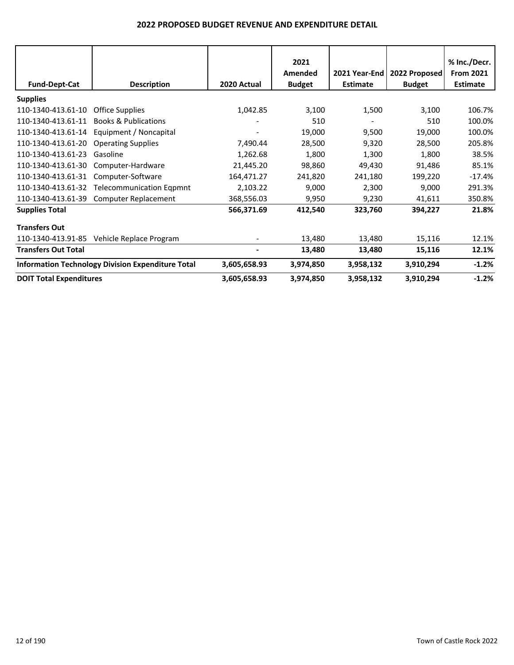|                                |                                                          |              | 2021<br>Amended |                 | 2021 Year-End   2022 Proposed | % Inc./Decr.<br><b>From 2021</b> |
|--------------------------------|----------------------------------------------------------|--------------|-----------------|-----------------|-------------------------------|----------------------------------|
| <b>Fund-Dept-Cat</b>           | <b>Description</b>                                       | 2020 Actual  | <b>Budget</b>   | <b>Estimate</b> | <b>Budget</b>                 | <b>Estimate</b>                  |
| <b>Supplies</b>                |                                                          |              |                 |                 |                               |                                  |
| 110-1340-413.61-10             | <b>Office Supplies</b>                                   | 1,042.85     | 3,100           | 1,500           | 3,100                         | 106.7%                           |
| 110-1340-413.61-11             | <b>Books &amp; Publications</b>                          |              | 510             |                 | 510                           | 100.0%                           |
| 110-1340-413.61-14             | Equipment / Noncapital                                   |              | 19,000          | 9,500           | 19,000                        | 100.0%                           |
| 110-1340-413.61-20             | <b>Operating Supplies</b>                                | 7,490.44     | 28,500          | 9,320           | 28,500                        | 205.8%                           |
| 110-1340-413.61-23             | Gasoline                                                 | 1,262.68     | 1,800           | 1,300           | 1,800                         | 38.5%                            |
| 110-1340-413.61-30             | Computer-Hardware                                        | 21,445.20    | 98,860          | 49,430          | 91,486                        | 85.1%                            |
| 110-1340-413.61-31             | Computer-Software                                        | 164,471.27   | 241,820         | 241,180         | 199,220                       | $-17.4%$                         |
| 110-1340-413.61-32             | <b>Telecommunication Eqpmnt</b>                          | 2,103.22     | 9,000           | 2,300           | 9,000                         | 291.3%                           |
| 110-1340-413.61-39             | <b>Computer Replacement</b>                              | 368,556.03   | 9,950           | 9,230           | 41,611                        | 350.8%                           |
| <b>Supplies Total</b>          |                                                          | 566,371.69   | 412,540         | 323,760         | 394,227                       | 21.8%                            |
| <b>Transfers Out</b>           |                                                          |              |                 |                 |                               |                                  |
| 110-1340-413.91-85             | Vehicle Replace Program                                  |              | 13,480          | 13,480          | 15,116                        | 12.1%                            |
| <b>Transfers Out Total</b>     |                                                          |              | 13,480          | 13,480          | 15,116                        | 12.1%                            |
|                                | <b>Information Technology Division Expenditure Total</b> | 3,605,658.93 | 3,974,850       | 3,958,132       | 3,910,294                     | $-1.2%$                          |
| <b>DOIT Total Expenditures</b> |                                                          | 3,605,658.93 | 3,974,850       | 3,958,132       | 3,910,294                     | $-1.2%$                          |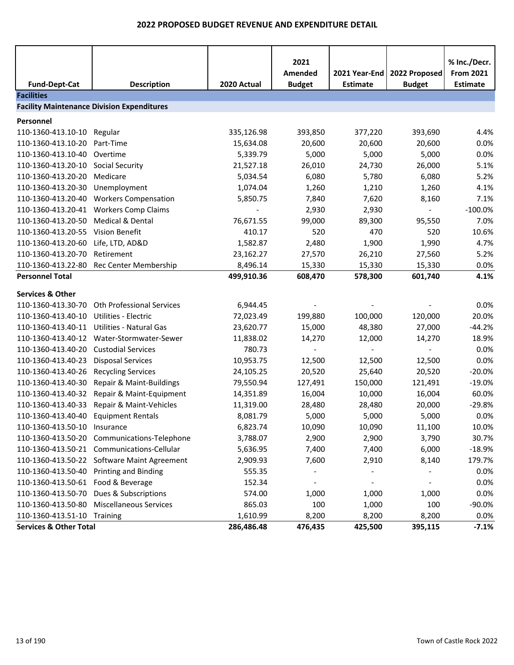| <b>Fund-Dept-Cat</b>                              | <b>Description</b>                                   | 2020 Actual              | 2021<br>Amended<br><b>Budget</b> | 2021 Year-End<br><b>Estimate</b> | 2022 Proposed<br><b>Budget</b> | % Inc./Decr.<br><b>From 2021</b><br><b>Estimate</b> |  |  |
|---------------------------------------------------|------------------------------------------------------|--------------------------|----------------------------------|----------------------------------|--------------------------------|-----------------------------------------------------|--|--|
| <b>Facilities</b>                                 |                                                      |                          |                                  |                                  |                                |                                                     |  |  |
| <b>Facility Maintenance Division Expenditures</b> |                                                      |                          |                                  |                                  |                                |                                                     |  |  |
| Personnel                                         |                                                      |                          |                                  |                                  |                                |                                                     |  |  |
| 110-1360-413.10-10                                | Regular                                              | 335,126.98               | 393,850                          | 377,220                          | 393,690                        | 4.4%                                                |  |  |
| 110-1360-413.10-20                                | Part-Time                                            | 15,634.08                | 20,600                           | 20,600                           | 20,600                         | 0.0%                                                |  |  |
| 110-1360-413.10-40                                | Overtime                                             | 5,339.79                 | 5,000                            | 5,000                            | 5,000                          | 0.0%                                                |  |  |
| 110-1360-413.20-10                                | <b>Social Security</b>                               | 21,527.18                | 26,010                           | 24,730                           | 26,000                         | 5.1%                                                |  |  |
| 110-1360-413.20-20                                | Medicare                                             | 5,034.54                 | 6,080                            | 5,780                            | 6,080                          | 5.2%                                                |  |  |
| 110-1360-413.20-30                                | Unemployment                                         | 1,074.04                 | 1,260                            | 1,210                            | 1,260                          | 4.1%                                                |  |  |
| 110-1360-413.20-40                                | <b>Workers Compensation</b>                          | 5,850.75                 | 7,840                            | 7,620                            | 8,160                          | 7.1%                                                |  |  |
| 110-1360-413.20-41                                | <b>Workers Comp Claims</b>                           | $\overline{\phantom{a}}$ | 2,930                            | 2,930                            | $\sim$                         | $-100.0%$                                           |  |  |
| 110-1360-413.20-50                                | Medical & Dental                                     | 76,671.55                | 99,000                           | 89,300                           | 95,550                         | 7.0%                                                |  |  |
| 110-1360-413.20-55                                | <b>Vision Benefit</b>                                | 410.17                   | 520                              | 470                              | 520                            | 10.6%                                               |  |  |
| 110-1360-413.20-60                                | Life, LTD, AD&D                                      | 1,582.87                 | 2,480                            | 1,900                            | 1,990                          | 4.7%                                                |  |  |
| 110-1360-413.20-70                                | Retirement                                           | 23,162.27                | 27,570                           | 26,210                           | 27,560                         | 5.2%                                                |  |  |
| 110-1360-413.22-80                                | Rec Center Membership                                | 8,496.14                 | 15,330                           | 15,330                           | 15,330                         | 0.0%                                                |  |  |
| <b>Personnel Total</b>                            |                                                      | 499,910.36               | 608,470                          | 578,300                          | 601,740                        | 4.1%                                                |  |  |
| <b>Services &amp; Other</b>                       |                                                      |                          |                                  |                                  |                                |                                                     |  |  |
| 110-1360-413.30-70                                | <b>Oth Professional Services</b>                     | 6,944.45                 |                                  |                                  |                                | 0.0%                                                |  |  |
| 110-1360-413.40-10                                | <b>Utilities - Electric</b>                          | 72,023.49                |                                  | 100,000                          | 120,000                        | 20.0%                                               |  |  |
| 110-1360-413.40-11                                | <b>Utilities - Natural Gas</b>                       | 23,620.77                | 199,880                          |                                  |                                | $-44.2%$                                            |  |  |
| 110-1360-413.40-12                                | Water-Stormwater-Sewer                               |                          | 15,000                           | 48,380                           | 27,000                         | 18.9%                                               |  |  |
| 110-1360-413.40-20                                | <b>Custodial Services</b>                            | 11,838.02<br>780.73      | 14,270                           | 12,000                           | 14,270                         | 0.0%                                                |  |  |
|                                                   |                                                      |                          |                                  |                                  |                                | 0.0%                                                |  |  |
| 110-1360-413.40-23<br>110-1360-413.40-26          | <b>Disposal Services</b>                             | 10,953.75                | 12,500                           | 12,500                           | 12,500<br>20,520               | $-20.0%$                                            |  |  |
| 110-1360-413.40-30                                | <b>Recycling Services</b>                            | 24,105.25<br>79,550.94   | 20,520                           | 25,640                           |                                | $-19.0%$                                            |  |  |
| 110-1360-413.40-32                                | Repair & Maint-Buildings<br>Repair & Maint-Equipment | 14,351.89                | 127,491<br>16,004                | 150,000<br>10,000                | 121,491<br>16,004              | 60.0%                                               |  |  |
| 110-1360-413.40-33                                | Repair & Maint-Vehicles                              | 11,319.00                | 28,480                           | 28,480                           | 20,000                         | $-29.8%$                                            |  |  |
| 110-1360-413.40-40                                | <b>Equipment Rentals</b>                             | 8,081.79                 | 5,000                            | 5,000                            | 5,000                          | 0.0%                                                |  |  |
| 110-1360-413.50-10 Insurance                      |                                                      | 6,823.74                 | 10,090                           | 10,090                           | 11,100                         | 10.0%                                               |  |  |
|                                                   | 110-1360-413.50-20 Communications-Telephone          | 3,788.07                 | 2,900                            | 2,900                            | 3,790                          | 30.7%                                               |  |  |
|                                                   | 110-1360-413.50-21 Communications-Cellular           | 5,636.95                 | 7,400                            | 7,400                            | 6,000                          | $-18.9%$                                            |  |  |
|                                                   | 110-1360-413.50-22 Software Maint Agreement          | 2,909.93                 | 7,600                            | 2,910                            | 8,140                          | 179.7%                                              |  |  |
| 110-1360-413.50-40 Printing and Binding           |                                                      | 555.35                   |                                  |                                  |                                | 0.0%                                                |  |  |
| 110-1360-413.50-61 Food & Beverage                |                                                      | 152.34                   | $\overline{\phantom{a}}$         | $\overline{\phantom{a}}$         | $\overline{\phantom{a}}$       | 0.0%                                                |  |  |
| 110-1360-413.50-70                                | Dues & Subscriptions                                 | 574.00                   | 1,000                            | 1,000                            | 1,000                          | 0.0%                                                |  |  |
| 110-1360-413.50-80                                | <b>Miscellaneous Services</b>                        | 865.03                   | 100                              | 1,000                            | 100                            | -90.0%                                              |  |  |
| 110-1360-413.51-10 Training                       |                                                      | 1,610.99                 | 8,200                            | 8,200                            | 8,200                          | 0.0%                                                |  |  |
| <b>Services &amp; Other Total</b>                 |                                                      | 286,486.48               | 476,435                          | 425,500                          | 395,115                        | $-7.1%$                                             |  |  |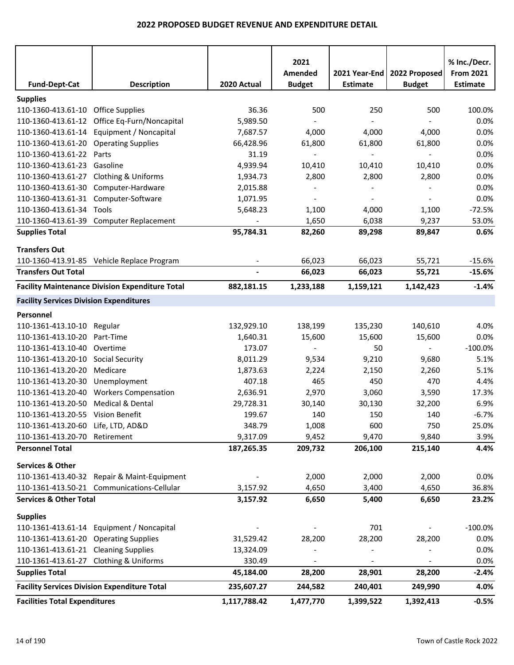|                                                |                                                        |              | 2021           |                          |                          | % Inc./Decr.     |
|------------------------------------------------|--------------------------------------------------------|--------------|----------------|--------------------------|--------------------------|------------------|
|                                                |                                                        |              | Amended        | 2021 Year-End            | 2022 Proposed            | <b>From 2021</b> |
| <b>Fund-Dept-Cat</b>                           | <b>Description</b>                                     | 2020 Actual  | <b>Budget</b>  | <b>Estimate</b>          | <b>Budget</b>            | <b>Estimate</b>  |
| <b>Supplies</b>                                |                                                        |              |                |                          |                          |                  |
| 110-1360-413.61-10 Office Supplies             |                                                        | 36.36        | 500            | 250                      | 500                      | 100.0%           |
| 110-1360-413.61-12                             | Office Eq-Furn/Noncapital                              | 5,989.50     |                |                          |                          | 0.0%             |
| 110-1360-413.61-14                             | Equipment / Noncapital                                 | 7,687.57     | 4,000          | 4,000                    | 4,000                    | 0.0%             |
| 110-1360-413.61-20                             | <b>Operating Supplies</b>                              | 66,428.96    | 61,800         | 61,800                   | 61,800                   | 0.0%             |
| 110-1360-413.61-22                             | Parts                                                  | 31.19        |                |                          |                          | 0.0%             |
| 110-1360-413.61-23                             | Gasoline                                               | 4,939.94     | 10,410         | 10,410                   | 10,410                   | 0.0%             |
| 110-1360-413.61-27                             | <b>Clothing &amp; Uniforms</b>                         | 1,934.73     | 2,800          | 2,800                    | 2,800                    | 0.0%             |
| 110-1360-413.61-30                             | Computer-Hardware                                      | 2,015.88     |                |                          |                          | 0.0%             |
| 110-1360-413.61-31                             | Computer-Software                                      | 1,071.95     | $\blacksquare$ | $\overline{\phantom{a}}$ | $\overline{\phantom{a}}$ | 0.0%             |
| 110-1360-413.61-34                             | Tools                                                  | 5,648.23     | 1,100          | 4,000                    | 1,100                    | $-72.5%$         |
| 110-1360-413.61-39                             | Computer Replacement                                   |              | 1,650          | 6,038                    | 9,237                    | 53.0%            |
| <b>Supplies Total</b>                          |                                                        | 95,784.31    | 82,260         | 89,298                   | 89,847                   | 0.6%             |
| <b>Transfers Out</b>                           |                                                        |              |                |                          |                          |                  |
|                                                | 110-1360-413.91-85 Vehicle Replace Program             |              | 66,023         | 66,023                   | 55,721                   | $-15.6%$         |
| <b>Transfers Out Total</b>                     |                                                        |              | 66,023         | 66,023                   | 55,721                   | $-15.6%$         |
|                                                |                                                        |              |                |                          |                          |                  |
|                                                | <b>Facility Maintenance Division Expenditure Total</b> | 882,181.15   | 1,233,188      | 1,159,121                | 1,142,423                | $-1.4%$          |
| <b>Facility Services Division Expenditures</b> |                                                        |              |                |                          |                          |                  |
| Personnel                                      |                                                        |              |                |                          |                          |                  |
| 110-1361-413.10-10                             | Regular                                                | 132,929.10   | 138,199        | 135,230                  | 140,610                  | 4.0%             |
| 110-1361-413.10-20                             | Part-Time                                              | 1,640.31     | 15,600         | 15,600                   | 15,600                   | 0.0%             |
| 110-1361-413.10-40                             | Overtime                                               | 173.07       |                | 50                       |                          | $-100.0%$        |
| 110-1361-413.20-10                             | Social Security                                        | 8,011.29     | 9,534          | 9,210                    | 9,680                    | 5.1%             |
| 110-1361-413.20-20                             | Medicare                                               | 1,873.63     | 2,224          | 2,150                    | 2,260                    | 5.1%             |
| 110-1361-413.20-30                             | Unemployment                                           | 407.18       | 465            | 450                      | 470                      | 4.4%             |
| 110-1361-413.20-40                             | <b>Workers Compensation</b>                            | 2,636.91     | 2,970          | 3,060                    | 3,590                    | 17.3%            |
| 110-1361-413.20-50                             | Medical & Dental                                       | 29,728.31    | 30,140         | 30,130                   | 32,200                   | 6.9%             |
| 110-1361-413.20-55 Vision Benefit              |                                                        | 199.67       | 140            | 150                      | 140                      | $-6.7%$          |
| 110-1361-413.20-60 Life, LTD, AD&D             |                                                        | 348.79       | 1,008          | 600                      | 750                      | 25.0%            |
| 110-1361-413.20-70 Retirement                  |                                                        | 9,317.09     | 9,452          | 9,470                    | 9,840                    | 3.9%             |
| <b>Personnel Total</b>                         |                                                        | 187,265.35   | 209,732        | 206,100                  | 215,140                  | 4.4%             |
|                                                |                                                        |              |                |                          |                          |                  |
| <b>Services &amp; Other</b>                    |                                                        |              |                |                          |                          |                  |
|                                                | 110-1361-413.40-32 Repair & Maint-Equipment            |              | 2,000          | 2,000                    | 2,000                    | 0.0%             |
|                                                | 110-1361-413.50-21 Communications-Cellular             | 3,157.92     | 4,650          | 3,400                    | 4,650                    | 36.8%            |
| <b>Services &amp; Other Total</b>              |                                                        | 3,157.92     | 6,650          | 5,400                    | 6,650                    | 23.2%            |
| <b>Supplies</b>                                |                                                        |              |                |                          |                          |                  |
|                                                | 110-1361-413.61-14 Equipment / Noncapital              |              |                | 701                      |                          | $-100.0%$        |
| 110-1361-413.61-20 Operating Supplies          |                                                        | 31,529.42    | 28,200         | 28,200                   | 28,200                   | 0.0%             |
| 110-1361-413.61-21 Cleaning Supplies           |                                                        | 13,324.09    |                |                          |                          | 0.0%             |
| 110-1361-413.61-27 Clothing & Uniforms         |                                                        | 330.49       |                |                          |                          | 0.0%             |
| <b>Supplies Total</b>                          |                                                        | 45,184.00    | 28,200         | 28,901                   | 28,200                   | $-2.4%$          |
|                                                | <b>Facility Services Division Expenditure Total</b>    | 235,607.27   | 244,582        | 240,401                  | 249,990                  | 4.0%             |
| <b>Facilities Total Expenditures</b>           |                                                        | 1,117,788.42 | 1,477,770      | 1,399,522                | 1,392,413                | $-0.5%$          |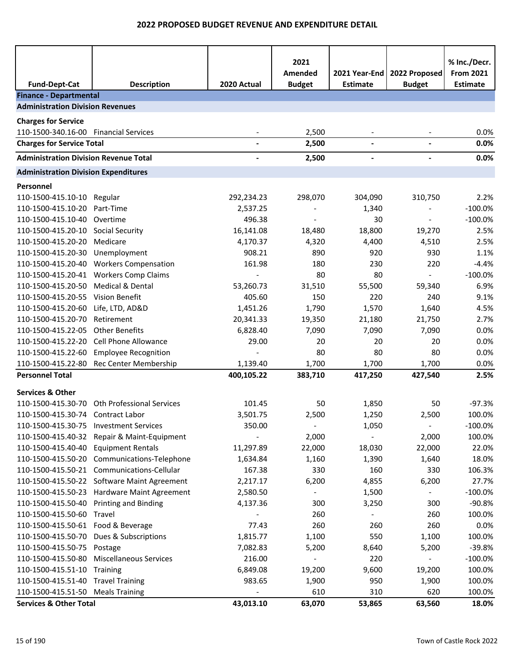|                                              |                                             |             | 2021                     |                                  |                                | % Inc./Decr.                        |
|----------------------------------------------|---------------------------------------------|-------------|--------------------------|----------------------------------|--------------------------------|-------------------------------------|
| <b>Fund-Dept-Cat</b>                         | <b>Description</b>                          | 2020 Actual | Amended<br><b>Budget</b> | 2021 Year-End<br><b>Estimate</b> | 2022 Proposed<br><b>Budget</b> | <b>From 2021</b><br><b>Estimate</b> |
| <b>Finance - Departmental</b>                |                                             |             |                          |                                  |                                |                                     |
| <b>Administration Division Revenues</b>      |                                             |             |                          |                                  |                                |                                     |
| <b>Charges for Service</b>                   |                                             |             |                          |                                  |                                |                                     |
| 110-1500-340.16-00 Financial Services        |                                             |             | 2,500                    |                                  |                                | 0.0%                                |
| <b>Charges for Service Total</b>             |                                             |             | 2,500                    |                                  |                                | 0.0%                                |
| <b>Administration Division Revenue Total</b> |                                             |             | 2,500                    |                                  |                                | 0.0%                                |
| <b>Administration Division Expenditures</b>  |                                             |             |                          |                                  |                                |                                     |
| Personnel                                    |                                             |             |                          |                                  |                                |                                     |
| 110-1500-415.10-10                           | Regular                                     | 292,234.23  | 298,070                  | 304,090                          | 310,750                        | 2.2%                                |
| 110-1500-415.10-20                           | Part-Time                                   | 2,537.25    |                          | 1,340                            |                                | $-100.0%$                           |
| 110-1500-415.10-40                           | Overtime                                    | 496.38      |                          | 30                               | $\blacksquare$                 | $-100.0%$                           |
| 110-1500-415.20-10                           | Social Security                             | 16,141.08   | 18,480                   | 18,800                           | 19,270                         | 2.5%                                |
| 110-1500-415.20-20                           | Medicare                                    | 4,170.37    | 4,320                    | 4,400                            | 4,510                          | 2.5%                                |
| 110-1500-415.20-30                           | Unemployment                                | 908.21      | 890                      | 920                              | 930                            | 1.1%                                |
| 110-1500-415.20-40                           | <b>Workers Compensation</b>                 | 161.98      | 180                      | 230                              | 220                            | $-4.4%$                             |
| 110-1500-415.20-41                           | <b>Workers Comp Claims</b>                  |             | 80                       | 80                               | $\blacksquare$                 | $-100.0%$                           |
| 110-1500-415.20-50                           | Medical & Dental                            | 53,260.73   | 31,510                   | 55,500                           | 59,340                         | 6.9%                                |
| 110-1500-415.20-55                           | Vision Benefit                              | 405.60      | 150                      | 220                              | 240                            | 9.1%                                |
| 110-1500-415.20-60                           | Life, LTD, AD&D                             | 1,451.26    | 1,790                    | 1,570                            | 1,640                          | 4.5%                                |
| 110-1500-415.20-70                           | Retirement                                  | 20,341.33   | 19,350                   | 21,180                           | 21,750                         | 2.7%                                |
| 110-1500-415.22-05                           | <b>Other Benefits</b>                       | 6,828.40    | 7,090                    | 7,090                            | 7,090                          | 0.0%                                |
| 110-1500-415.22-20                           | Cell Phone Allowance                        | 29.00       | 20                       | 20                               | 20                             | 0.0%                                |
| 110-1500-415.22-60                           | <b>Employee Recognition</b>                 |             | 80                       | 80                               | 80                             | 0.0%                                |
| 110-1500-415.22-80                           | Rec Center Membership                       | 1,139.40    | 1,700                    | 1,700                            | 1,700                          | 0.0%                                |
| <b>Personnel Total</b>                       |                                             | 400,105.22  | 383,710                  | 417,250                          | 427,540                        | 2.5%                                |
| <b>Services &amp; Other</b>                  |                                             |             |                          |                                  |                                |                                     |
| 110-1500-415.30-70                           | Oth Professional Services                   | 101.45      | 50                       | 1,850                            | 50                             | $-97.3%$                            |
| 110-1500-415.30-74 Contract Labor            |                                             | 3,501.75    | 2,500                    | 1,250                            | 2,500                          | 100.0%                              |
| 110-1500-415.30-75 Investment Services       |                                             | 350.00      |                          | 1,050                            | $\overline{\phantom{a}}$       | $-100.0%$                           |
|                                              | 110-1500-415.40-32 Repair & Maint-Equipment |             | 2,000                    |                                  | 2,000                          | 100.0%                              |
| 110-1500-415.40-40                           | <b>Equipment Rentals</b>                    | 11,297.89   | 22,000                   | 18,030                           | 22,000                         | 22.0%                               |
| 110-1500-415.50-20                           | Communications-Telephone                    | 1,634.84    | 1,160                    | 1,390                            | 1,640                          | 18.0%                               |
| 110-1500-415.50-21                           | Communications-Cellular                     | 167.38      | 330                      | 160                              | 330                            | 106.3%                              |
|                                              | 110-1500-415.50-22 Software Maint Agreement | 2,217.17    | 6,200                    | 4,855                            | 6,200                          | 27.7%                               |
|                                              | 110-1500-415.50-23 Hardware Maint Agreement | 2,580.50    |                          | 1,500                            |                                | $-100.0%$                           |
| 110-1500-415.50-40                           | <b>Printing and Binding</b>                 | 4,137.36    | 300                      | 3,250                            | 300                            | $-90.8%$                            |
| 110-1500-415.50-60                           | Travel                                      |             | 260                      |                                  | 260                            | 100.0%                              |
| 110-1500-415.50-61 Food & Beverage           |                                             | 77.43       | 260                      | 260                              | 260                            | 0.0%                                |
| 110-1500-415.50-70                           | Dues & Subscriptions                        | 1,815.77    | 1,100                    | 550                              | 1,100                          | 100.0%                              |
| 110-1500-415.50-75 Postage                   |                                             | 7,082.83    | 5,200                    | 8,640                            | 5,200                          | $-39.8%$                            |
| 110-1500-415.50-80                           | <b>Miscellaneous Services</b>               | 216.00      |                          | 220                              |                                | $-100.0%$                           |
| 110-1500-415.51-10                           | Training                                    | 6,849.08    | 19,200                   | 9,600                            | 19,200                         | 100.0%                              |
| 110-1500-415.51-40 Travel Training           |                                             | 983.65      | 1,900                    | 950                              | 1,900                          | 100.0%                              |
| 110-1500-415.51-50                           | <b>Meals Training</b>                       |             | 610                      | 310                              | 620                            | 100.0%                              |
| <b>Services &amp; Other Total</b>            |                                             | 43,013.10   | 63,070                   | 53,865                           | 63,560                         | 18.0%                               |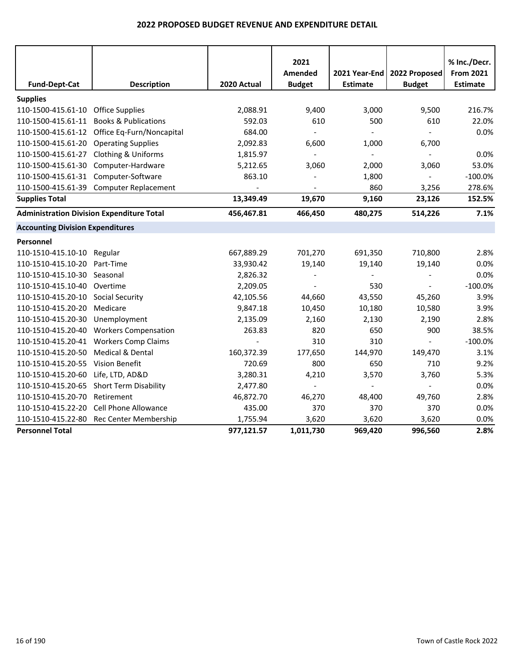|                                                  |                                              |             | 2021           |                          |                | % Inc./Decr.     |
|--------------------------------------------------|----------------------------------------------|-------------|----------------|--------------------------|----------------|------------------|
|                                                  |                                              |             | Amended        | 2021 Year-End            | 2022 Proposed  | <b>From 2021</b> |
| <b>Fund-Dept-Cat</b>                             | <b>Description</b>                           | 2020 Actual | <b>Budget</b>  | <b>Estimate</b>          | <b>Budget</b>  | <b>Estimate</b>  |
| <b>Supplies</b>                                  |                                              |             |                |                          |                |                  |
| 110-1500-415.61-10                               | <b>Office Supplies</b>                       | 2,088.91    | 9,400          | 3,000                    | 9,500          | 216.7%           |
| 110-1500-415.61-11                               | <b>Books &amp; Publications</b>              | 592.03      | 610            | 500                      | 610            | 22.0%            |
|                                                  | 110-1500-415.61-12 Office Eq-Furn/Noncapital | 684.00      |                |                          | $\blacksquare$ | 0.0%             |
| 110-1500-415.61-20                               | <b>Operating Supplies</b>                    | 2,092.83    | 6,600          | 1,000                    | 6,700          |                  |
| 110-1500-415.61-27                               | Clothing & Uniforms                          | 1,815.97    | $\blacksquare$ | $\overline{\phantom{a}}$ | $\blacksquare$ | 0.0%             |
| 110-1500-415.61-30                               | Computer-Hardware                            | 5,212.65    | 3,060          | 2,000                    | 3,060          | 53.0%            |
| 110-1500-415.61-31                               | Computer-Software                            | 863.10      |                | 1,800                    | $\overline{a}$ | $-100.0%$        |
| 110-1500-415.61-39                               | <b>Computer Replacement</b>                  |             |                | 860                      | 3,256          | 278.6%           |
| <b>Supplies Total</b>                            |                                              | 13,349.49   | 19,670         | 9,160                    | 23,126         | 152.5%           |
| <b>Administration Division Expenditure Total</b> |                                              | 456,467.81  | 466,450        | 480,275                  | 514,226        | 7.1%             |
| <b>Accounting Division Expenditures</b>          |                                              |             |                |                          |                |                  |
| Personnel                                        |                                              |             |                |                          |                |                  |
| 110-1510-415.10-10 Regular                       |                                              | 667,889.29  | 701,270        | 691,350                  | 710,800        | 2.8%             |
| 110-1510-415.10-20                               | Part-Time                                    | 33,930.42   | 19,140         | 19,140                   | 19,140         | 0.0%             |
| 110-1510-415.10-30                               | Seasonal                                     | 2,826.32    |                |                          |                | 0.0%             |
| 110-1510-415.10-40                               | Overtime                                     | 2,209.05    |                | 530                      | $\overline{a}$ | $-100.0%$        |
| 110-1510-415.20-10                               | <b>Social Security</b>                       | 42,105.56   | 44,660         | 43,550                   | 45,260         | 3.9%             |
| 110-1510-415.20-20                               | Medicare                                     | 9,847.18    | 10,450         | 10,180                   | 10,580         | 3.9%             |
| 110-1510-415.20-30                               | Unemployment                                 | 2,135.09    | 2,160          | 2,130                    | 2,190          | 2.8%             |
| 110-1510-415.20-40                               | <b>Workers Compensation</b>                  | 263.83      | 820            | 650                      | 900            | 38.5%            |
| 110-1510-415.20-41                               | <b>Workers Comp Claims</b>                   |             | 310            | 310                      | L.             | $-100.0%$        |
| 110-1510-415.20-50                               | Medical & Dental                             | 160,372.39  | 177,650        | 144,970                  | 149,470        | 3.1%             |
| 110-1510-415.20-55                               | Vision Benefit                               | 720.69      | 800            | 650                      | 710            | 9.2%             |
| 110-1510-415.20-60                               | Life, LTD, AD&D                              | 3,280.31    | 4,210          | 3,570                    | 3,760          | 5.3%             |
| 110-1510-415.20-65                               | Short Term Disability                        | 2,477.80    | $\blacksquare$ |                          | $\overline{a}$ | 0.0%             |
| 110-1510-415.20-70                               | Retirement                                   | 46,872.70   | 46,270         | 48,400                   | 49,760         | 2.8%             |
| 110-1510-415.22-20                               | <b>Cell Phone Allowance</b>                  | 435.00      | 370            | 370                      | 370            | 0.0%             |
| 110-1510-415.22-80                               | Rec Center Membership                        | 1,755.94    | 3,620          | 3,620                    | 3,620          | 0.0%             |
| <b>Personnel Total</b>                           |                                              | 977,121.57  | 1,011,730      | 969,420                  | 996,560        | 2.8%             |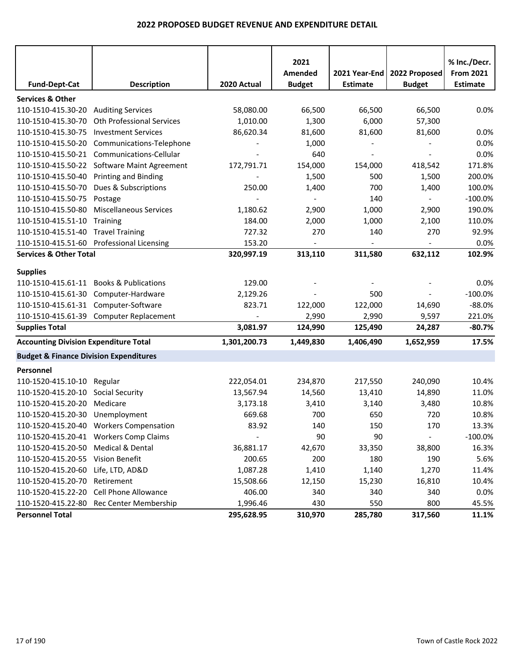|                                                   |                                          |              | 2021                     |                 |                          | % Inc./Decr.     |
|---------------------------------------------------|------------------------------------------|--------------|--------------------------|-----------------|--------------------------|------------------|
|                                                   |                                          |              | Amended                  | 2021 Year-End   | 2022 Proposed            | <b>From 2021</b> |
| <b>Fund-Dept-Cat</b>                              | <b>Description</b>                       | 2020 Actual  | <b>Budget</b>            | <b>Estimate</b> | <b>Budget</b>            | <b>Estimate</b>  |
| <b>Services &amp; Other</b>                       |                                          |              |                          |                 |                          |                  |
| 110-1510-415.30-20                                | <b>Auditing Services</b>                 | 58,080.00    | 66,500                   | 66,500          | 66,500                   | 0.0%             |
| 110-1510-415.30-70                                | Oth Professional Services                | 1,010.00     | 1,300                    | 6,000           | 57,300                   |                  |
| 110-1510-415.30-75                                | <b>Investment Services</b>               | 86,620.34    | 81,600                   | 81,600          | 81,600                   | 0.0%             |
| 110-1510-415.50-20                                | Communications-Telephone                 |              | 1,000                    |                 |                          | 0.0%             |
| 110-1510-415.50-21                                | Communications-Cellular                  |              | 640                      |                 | $\overline{\phantom{a}}$ | 0.0%             |
| 110-1510-415.50-22                                | <b>Software Maint Agreement</b>          | 172,791.71   | 154,000                  | 154,000         | 418,542                  | 171.8%           |
| 110-1510-415.50-40                                | <b>Printing and Binding</b>              |              | 1,500                    | 500             | 1,500                    | 200.0%           |
| 110-1510-415.50-70                                | Dues & Subscriptions                     | 250.00       | 1,400                    | 700             | 1,400                    | 100.0%           |
| 110-1510-415.50-75                                | Postage                                  |              | $\overline{\phantom{a}}$ | 140             | $\overline{\phantom{a}}$ | $-100.0%$        |
| 110-1510-415.50-80                                | <b>Miscellaneous Services</b>            | 1,180.62     | 2,900                    | 1,000           | 2,900                    | 190.0%           |
| 110-1510-415.51-10                                | Training                                 | 184.00       | 2,000                    | 1,000           | 2,100                    | 110.0%           |
| 110-1510-415.51-40                                | <b>Travel Training</b>                   | 727.32       | 270                      | 140             | 270                      | 92.9%            |
| 110-1510-415.51-60                                | <b>Professional Licensing</b>            | 153.20       |                          |                 |                          | 0.0%             |
| <b>Services &amp; Other Total</b>                 |                                          | 320,997.19   | 313,110                  | 311,580         | 632,112                  | 102.9%           |
| <b>Supplies</b>                                   |                                          |              |                          |                 |                          |                  |
| 110-1510-415.61-11                                | <b>Books &amp; Publications</b>          | 129.00       |                          |                 |                          | 0.0%             |
| 110-1510-415.61-30                                | Computer-Hardware                        | 2,129.26     |                          | 500             |                          | $-100.0%$        |
| 110-1510-415.61-31 Computer-Software              |                                          | 823.71       | 122,000                  | 122,000         | 14,690                   | $-88.0%$         |
| 110-1510-415.61-39                                | <b>Computer Replacement</b>              |              | 2,990                    | 2,990           | 9,597                    | 221.0%           |
| <b>Supplies Total</b>                             |                                          | 3,081.97     | 124,990                  | 125,490         | 24,287                   | $-80.7%$         |
| <b>Accounting Division Expenditure Total</b>      |                                          | 1,301,200.73 | 1,449,830                | 1,406,490       | 1,652,959                | 17.5%            |
| <b>Budget &amp; Finance Division Expenditures</b> |                                          |              |                          |                 |                          |                  |
| Personnel                                         |                                          |              |                          |                 |                          |                  |
| 110-1520-415.10-10                                | Regular                                  | 222,054.01   | 234,870                  | 217,550         | 240,090                  | 10.4%            |
| 110-1520-415.20-10                                | Social Security                          | 13,567.94    | 14,560                   | 13,410          | 14,890                   | 11.0%            |
| 110-1520-415.20-20                                | Medicare                                 | 3,173.18     | 3,410                    | 3,140           | 3,480                    | 10.8%            |
| 110-1520-415.20-30                                | Unemployment                             | 669.68       | 700                      | 650             | 720                      | 10.8%            |
|                                                   | 110-1520-415.20-40 Workers Compensation  | 83.92        | 140                      | 150             | 170                      | 13.3%            |
|                                                   | 110-1520-415.20-41 Workers Comp Claims   |              | 90                       | 90              | $\overline{\phantom{a}}$ | $-100.0%$        |
| 110-1520-415.20-50                                | Medical & Dental                         | 36,881.17    | 42,670                   | 33,350          | 38,800                   | 16.3%            |
| 110-1520-415.20-55 Vision Benefit                 |                                          | 200.65       | 200                      | 180             | 190                      | 5.6%             |
| 110-1520-415.20-60                                | Life, LTD, AD&D                          | 1,087.28     | 1,410                    | 1,140           | 1,270                    | 11.4%            |
| 110-1520-415.20-70                                | Retirement                               | 15,508.66    | 12,150                   | 15,230          | 16,810                   | 10.4%            |
| 110-1520-415.22-20                                | Cell Phone Allowance                     | 406.00       | 340                      | 340             | 340                      | 0.0%             |
|                                                   | 110-1520-415.22-80 Rec Center Membership | 1,996.46     | 430                      | 550             | 800                      | 45.5%            |
| <b>Personnel Total</b>                            |                                          | 295,628.95   | 310,970                  | 285,780         | 317,560                  | 11.1%            |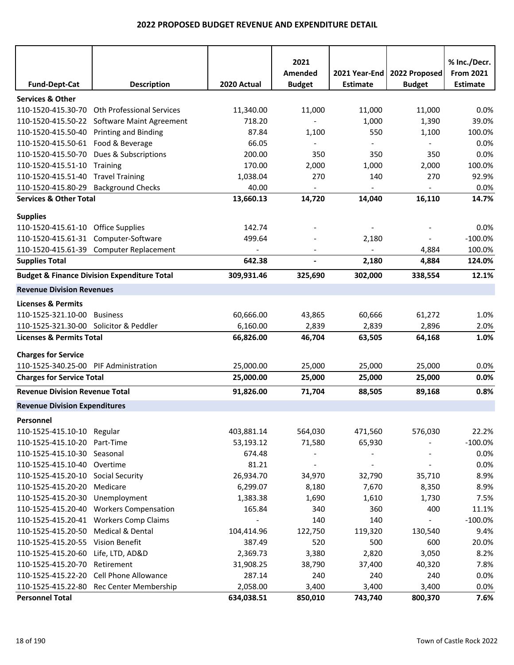|                                        |                                                        |                          | 2021                     |                              |                          | % Inc./Decr.     |
|----------------------------------------|--------------------------------------------------------|--------------------------|--------------------------|------------------------------|--------------------------|------------------|
|                                        |                                                        |                          | Amended                  | 2021 Year-End                | 2022 Proposed            | <b>From 2021</b> |
| <b>Fund-Dept-Cat</b>                   | <b>Description</b>                                     | 2020 Actual              | <b>Budget</b>            | <b>Estimate</b>              | <b>Budget</b>            | <b>Estimate</b>  |
| <b>Services &amp; Other</b>            |                                                        |                          |                          |                              |                          |                  |
| 110-1520-415.30-70                     | <b>Oth Professional Services</b>                       | 11,340.00                | 11,000                   | 11,000                       | 11,000                   | 0.0%             |
| 110-1520-415.50-22                     | <b>Software Maint Agreement</b>                        | 718.20                   | $\sim$                   | 1,000                        | 1,390                    | 39.0%            |
| 110-1520-415.50-40                     | <b>Printing and Binding</b>                            | 87.84                    | 1,100                    | 550                          | 1,100                    | 100.0%           |
| 110-1520-415.50-61 Food & Beverage     |                                                        | 66.05                    |                          |                              | $\overline{a}$           | 0.0%             |
| 110-1520-415.50-70                     | Dues & Subscriptions                                   | 200.00                   | 350                      | 350                          | 350                      | 0.0%             |
| 110-1520-415.51-10 Training            |                                                        | 170.00                   | 2,000                    | 1,000                        | 2,000                    | 100.0%           |
| 110-1520-415.51-40 Travel Training     |                                                        | 1,038.04                 | 270                      | 140                          | 270                      | 92.9%            |
| 110-1520-415.80-29                     | <b>Background Checks</b>                               | 40.00                    | $\overline{\phantom{a}}$ | $\qquad \qquad \blacksquare$ | $\overline{\phantom{a}}$ | 0.0%             |
| <b>Services &amp; Other Total</b>      |                                                        | 13,660.13                | 14,720                   | 14,040                       | 16,110                   | 14.7%            |
| <b>Supplies</b>                        |                                                        |                          |                          |                              |                          |                  |
| 110-1520-415.61-10 Office Supplies     |                                                        | 142.74                   |                          |                              |                          | 0.0%             |
| 110-1520-415.61-31 Computer-Software   |                                                        | 499.64                   |                          | 2,180                        | $\overline{\phantom{0}}$ | $-100.0%$        |
|                                        | 110-1520-415.61-39 Computer Replacement                | $\overline{\phantom{a}}$ |                          | $\blacksquare$               | 4,884                    | 100.0%           |
| <b>Supplies Total</b>                  |                                                        | 642.38                   |                          | 2,180                        | 4,884                    | 124.0%           |
|                                        | <b>Budget &amp; Finance Division Expenditure Total</b> | 309,931.46               | 325,690                  | 302,000                      | 338,554                  | 12.1%            |
| <b>Revenue Division Revenues</b>       |                                                        |                          |                          |                              |                          |                  |
| <b>Licenses &amp; Permits</b>          |                                                        |                          |                          |                              |                          |                  |
| 110-1525-321.10-00                     | <b>Business</b>                                        | 60,666.00                | 43,865                   | 60,666                       | 61,272                   | 1.0%             |
| 110-1525-321.30-00 Solicitor & Peddler |                                                        | 6,160.00                 | 2,839                    | 2,839                        | 2,896                    | 2.0%             |
| <b>Licenses &amp; Permits Total</b>    |                                                        | 66,826.00                | 46,704                   | 63,505                       | 64,168                   | 1.0%             |
|                                        |                                                        |                          |                          |                              |                          |                  |
| <b>Charges for Service</b>             |                                                        |                          |                          |                              |                          |                  |
| 110-1525-340.25-00 PIF Administration  |                                                        | 25,000.00                | 25,000                   | 25,000                       | 25,000                   | 0.0%             |
| <b>Charges for Service Total</b>       |                                                        | 25,000.00                | 25,000                   | 25,000                       | 25,000                   | 0.0%             |
| <b>Revenue Division Revenue Total</b>  |                                                        | 91,826.00                | 71,704                   | 88,505                       | 89,168                   | 0.8%             |
| <b>Revenue Division Expenditures</b>   |                                                        |                          |                          |                              |                          |                  |
| Personnel                              |                                                        |                          |                          |                              |                          |                  |
| 110-1525-415.10-10 Regular             |                                                        | 403,881.14               | 564,030                  | 471,560                      | 576,030                  | 22.2%            |
| 110-1525-415.10-20 Part-Time           |                                                        | 53,193.12                | 71,580                   | 65,930                       |                          | $-100.0%$        |
| 110-1525-415.10-30 Seasonal            |                                                        | 674.48                   |                          |                              |                          | 0.0%             |
| 110-1525-415.10-40 Overtime            |                                                        | 81.21                    |                          |                              |                          | 0.0%             |
| 110-1525-415.20-10 Social Security     |                                                        | 26,934.70                | 34,970                   | 32,790                       | 35,710                   | 8.9%             |
| 110-1525-415.20-20                     | Medicare                                               | 6,299.07                 | 8,180                    | 7,670                        | 8,350                    | 8.9%             |
| 110-1525-415.20-30 Unemployment        |                                                        | 1,383.38                 | 1,690                    | 1,610                        | 1,730                    | 7.5%             |
|                                        | 110-1525-415.20-40 Workers Compensation                | 165.84                   | 340                      | 360                          | 400                      | 11.1%            |
|                                        | 110-1525-415.20-41 Workers Comp Claims                 |                          | 140                      | 140                          |                          | $-100.0\%$       |
| 110-1525-415.20-50                     | Medical & Dental                                       | 104,414.96               | 122,750                  | 119,320                      | 130,540                  | 9.4%             |
| 110-1525-415.20-55 Vision Benefit      |                                                        | 387.49                   | 520                      | 500                          | 600                      | 20.0%            |
| 110-1525-415.20-60                     | Life, LTD, AD&D                                        | 2,369.73                 | 3,380                    | 2,820                        | 3,050                    | 8.2%             |
| 110-1525-415.20-70                     | Retirement                                             | 31,908.25                | 38,790                   | 37,400                       | 40,320                   | 7.8%             |
|                                        | 110-1525-415.22-20 Cell Phone Allowance                | 287.14                   | 240                      | 240                          | 240                      | 0.0%             |
|                                        | 110-1525-415.22-80 Rec Center Membership               | 2,058.00                 | 3,400                    | 3,400                        | 3,400                    | 0.0%             |
| <b>Personnel Total</b>                 |                                                        | 634,038.51               | 850,010                  | 743,740                      | 800,370                  | 7.6%             |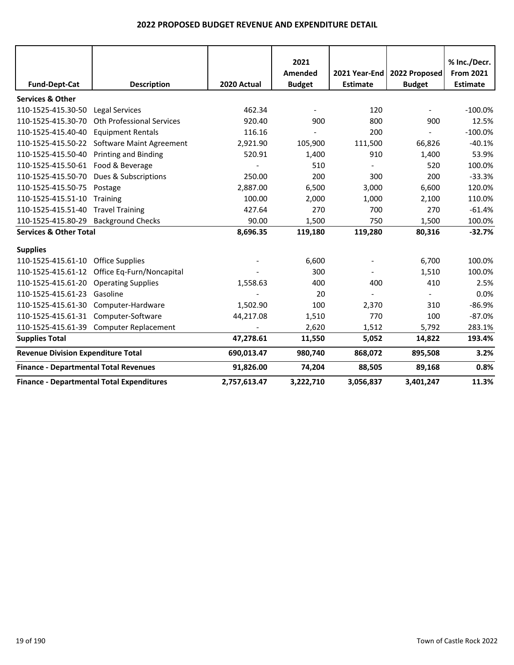|                                              |                                                  |              | 2021          |                 |               | % Inc./Decr.     |
|----------------------------------------------|--------------------------------------------------|--------------|---------------|-----------------|---------------|------------------|
|                                              |                                                  |              | Amended       | 2021 Year-End   | 2022 Proposed | <b>From 2021</b> |
| <b>Fund-Dept-Cat</b>                         | <b>Description</b>                               | 2020 Actual  | <b>Budget</b> | <b>Estimate</b> | <b>Budget</b> | <b>Estimate</b>  |
| <b>Services &amp; Other</b>                  |                                                  |              |               |                 |               |                  |
| 110-1525-415.30-50                           | <b>Legal Services</b>                            | 462.34       |               | 120             |               | $-100.0%$        |
| 110-1525-415.30-70                           | <b>Oth Professional Services</b>                 | 920.40       | 900           | 800             | 900           | 12.5%            |
| 110-1525-415.40-40                           | <b>Equipment Rentals</b>                         | 116.16       |               | 200             |               | $-100.0%$        |
|                                              | 110-1525-415.50-22 Software Maint Agreement      | 2,921.90     | 105,900       | 111,500         | 66,826        | $-40.1%$         |
| 110-1525-415.50-40                           | <b>Printing and Binding</b>                      | 520.91       | 1,400         | 910             | 1,400         | 53.9%            |
| 110-1525-415.50-61                           | Food & Beverage                                  |              | 510           |                 | 520           | 100.0%           |
| 110-1525-415.50-70                           | Dues & Subscriptions                             | 250.00       | 200           | 300             | 200           | $-33.3%$         |
| 110-1525-415.50-75                           | Postage                                          | 2,887.00     | 6,500         | 3,000           | 6,600         | 120.0%           |
| 110-1525-415.51-10                           | Training                                         | 100.00       | 2,000         | 1,000           | 2,100         | 110.0%           |
| 110-1525-415.51-40                           | <b>Travel Training</b>                           | 427.64       | 270           | 700             | 270           | $-61.4%$         |
| 110-1525-415.80-29 Background Checks         |                                                  | 90.00        | 1,500         | 750             | 1,500         | 100.0%           |
| <b>Services &amp; Other Total</b>            |                                                  | 8,696.35     | 119,180       | 119,280         | 80,316        | $-32.7%$         |
| <b>Supplies</b>                              |                                                  |              |               |                 |               |                  |
| 110-1525-415.61-10                           | <b>Office Supplies</b>                           |              | 6,600         |                 | 6,700         | 100.0%           |
|                                              | 110-1525-415.61-12 Office Eq-Furn/Noncapital     |              | 300           |                 | 1,510         | 100.0%           |
| 110-1525-415.61-20                           | <b>Operating Supplies</b>                        | 1,558.63     | 400           | 400             | 410           | 2.5%             |
| 110-1525-415.61-23 Gasoline                  |                                                  |              | 20            |                 |               | 0.0%             |
| 110-1525-415.61-30                           | Computer-Hardware                                | 1,502.90     | 100           | 2,370           | 310           | $-86.9%$         |
| 110-1525-415.61-31                           | Computer-Software                                | 44,217.08    | 1,510         | 770             | 100           | $-87.0%$         |
|                                              | 110-1525-415.61-39 Computer Replacement          |              | 2,620         | 1,512           | 5,792         | 283.1%           |
| <b>Supplies Total</b>                        |                                                  | 47,278.61    | 11,550        | 5,052           | 14,822        | 193.4%           |
| <b>Revenue Division Expenditure Total</b>    |                                                  | 690,013.47   | 980,740       | 868,072         | 895,508       | 3.2%             |
| <b>Finance - Departmental Total Revenues</b> |                                                  | 91,826.00    | 74,204        | 88,505          | 89,168        | 0.8%             |
|                                              | <b>Finance - Departmental Total Expenditures</b> | 2,757,613.47 | 3,222,710     | 3,056,837       | 3,401,247     | 11.3%            |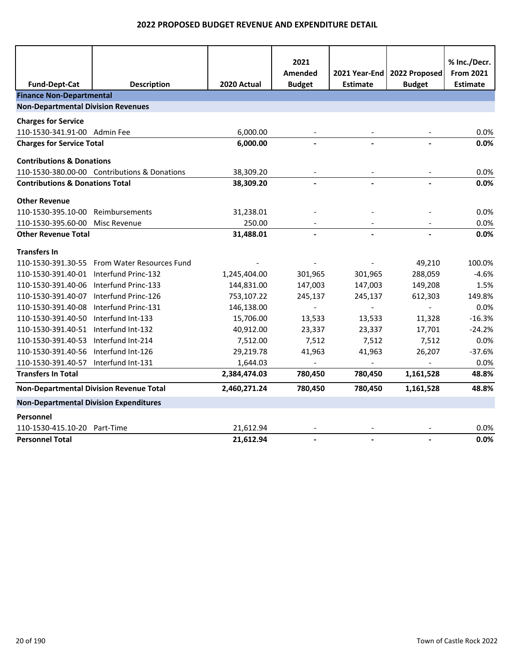| <b>Fund-Dept-Cat</b>                           | <b>Description</b>                           | 2020 Actual  | 2021<br>Amended<br><b>Budget</b> | 2021 Year-End<br><b>Estimate</b> | 2022 Proposed<br><b>Budget</b> | % Inc./Decr.<br><b>From 2021</b><br><b>Estimate</b> |
|------------------------------------------------|----------------------------------------------|--------------|----------------------------------|----------------------------------|--------------------------------|-----------------------------------------------------|
| <b>Finance Non-Departmental</b>                |                                              |              |                                  |                                  |                                |                                                     |
| <b>Non-Departmental Division Revenues</b>      |                                              |              |                                  |                                  |                                |                                                     |
| <b>Charges for Service</b>                     |                                              |              |                                  |                                  |                                |                                                     |
| 110-1530-341.91-00 Admin Fee                   |                                              | 6,000.00     |                                  |                                  |                                | 0.0%                                                |
| <b>Charges for Service Total</b>               |                                              | 6,000.00     |                                  |                                  |                                | 0.0%                                                |
|                                                |                                              |              |                                  |                                  |                                |                                                     |
| <b>Contributions &amp; Donations</b>           |                                              |              |                                  |                                  |                                |                                                     |
|                                                | 110-1530-380.00-00 Contributions & Donations | 38,309.20    |                                  |                                  |                                | 0.0%                                                |
| <b>Contributions &amp; Donations Total</b>     |                                              | 38,309.20    |                                  |                                  |                                | 0.0%                                                |
| <b>Other Revenue</b>                           |                                              |              |                                  |                                  |                                |                                                     |
| 110-1530-395.10-00                             | Reimbursements                               | 31,238.01    |                                  |                                  |                                | 0.0%                                                |
| 110-1530-395.60-00                             | Misc Revenue                                 | 250.00       |                                  |                                  |                                | 0.0%                                                |
| <b>Other Revenue Total</b>                     |                                              | 31,488.01    |                                  |                                  |                                | 0.0%                                                |
| <b>Transfers In</b>                            |                                              |              |                                  |                                  |                                |                                                     |
|                                                | 110-1530-391.30-55 From Water Resources Fund |              |                                  |                                  | 49,210                         | 100.0%                                              |
| 110-1530-391.40-01 Interfund Princ-132         |                                              | 1,245,404.00 | 301,965                          | 301,965                          | 288,059                        | $-4.6%$                                             |
| 110-1530-391.40-06                             | Interfund Princ-133                          | 144,831.00   | 147,003                          | 147,003                          | 149,208                        | 1.5%                                                |
| 110-1530-391.40-07                             | Interfund Princ-126                          | 753,107.22   | 245,137                          | 245,137                          | 612,303                        | 149.8%                                              |
| 110-1530-391.40-08                             | Interfund Princ-131                          | 146,138.00   |                                  |                                  | $\overline{a}$                 | 0.0%                                                |
| 110-1530-391.40-50                             | Interfund Int-133                            | 15,706.00    | 13,533                           | 13,533                           | 11,328                         | $-16.3%$                                            |
| 110-1530-391.40-51 Interfund Int-132           |                                              | 40,912.00    | 23,337                           | 23,337                           | 17,701                         | $-24.2%$                                            |
| 110-1530-391.40-53                             | Interfund Int-214                            | 7,512.00     | 7,512                            | 7,512                            | 7,512                          | 0.0%                                                |
| 110-1530-391.40-56                             | Interfund Int-126                            | 29,219.78    | 41,963                           | 41,963                           | 26,207                         | $-37.6%$                                            |
| 110-1530-391.40-57 Interfund Int-131           |                                              | 1,644.03     | $\blacksquare$                   | $\blacksquare$                   |                                | 0.0%                                                |
| <b>Transfers In Total</b>                      |                                              | 2,384,474.03 | 780,450                          | 780,450                          | 1,161,528                      | 48.8%                                               |
| <b>Non-Departmental Division Revenue Total</b> |                                              | 2,460,271.24 | 780,450                          | 780,450                          | 1,161,528                      | 48.8%                                               |
| <b>Non-Departmental Division Expenditures</b>  |                                              |              |                                  |                                  |                                |                                                     |
| Personnel                                      |                                              |              |                                  |                                  |                                |                                                     |
| 110-1530-415.10-20 Part-Time                   |                                              | 21,612.94    |                                  |                                  |                                | 0.0%                                                |
| <b>Personnel Total</b>                         |                                              | 21,612.94    |                                  | $\overline{a}$                   |                                | 0.0%                                                |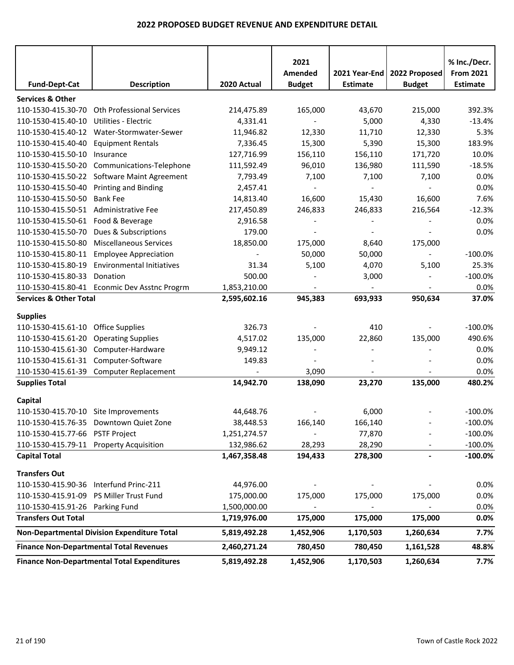|                                                             |                                                    |                         | 2021<br>Amended | 2021 Year-End   | 2022 Proposed            | % Inc./Decr.<br><b>From 2021</b> |
|-------------------------------------------------------------|----------------------------------------------------|-------------------------|-----------------|-----------------|--------------------------|----------------------------------|
| <b>Fund-Dept-Cat</b>                                        | <b>Description</b>                                 | 2020 Actual             | <b>Budget</b>   | <b>Estimate</b> | <b>Budget</b>            | <b>Estimate</b>                  |
| <b>Services &amp; Other</b>                                 |                                                    |                         |                 |                 |                          |                                  |
| 110-1530-415.30-70                                          | <b>Oth Professional Services</b>                   | 214,475.89              | 165,000         | 43,670          | 215,000                  | 392.3%                           |
| 110-1530-415.40-10                                          | Utilities - Electric                               | 4,331.41                | $\sim$          | 5,000           | 4,330                    | $-13.4%$                         |
| 110-1530-415.40-12                                          | Water-Stormwater-Sewer                             | 11,946.82               | 12,330          | 11,710          | 12,330                   | 5.3%                             |
| 110-1530-415.40-40                                          | <b>Equipment Rentals</b>                           | 7,336.45                | 15,300          | 5,390           | 15,300                   | 183.9%                           |
| 110-1530-415.50-10                                          | Insurance                                          | 127,716.99              | 156,110         | 156,110         | 171,720                  | 10.0%                            |
| 110-1530-415.50-20                                          | Communications-Telephone                           | 111,592.49              | 96,010          | 136,980         | 111,590                  | $-18.5%$                         |
| 110-1530-415.50-22                                          | Software Maint Agreement                           | 7,793.49                | 7,100           | 7,100           | 7,100                    | 0.0%                             |
| 110-1530-415.50-40                                          | <b>Printing and Binding</b>                        | 2,457.41                |                 |                 |                          | 0.0%                             |
| 110-1530-415.50-50<br>110-1530-415.50-51 Administrative Fee | <b>Bank Fee</b>                                    | 14,813.40<br>217,450.89 | 16,600          | 15,430          | 16,600                   | 7.6%                             |
| 110-1530-415.50-61 Food & Beverage                          |                                                    |                         | 246,833         | 246,833         | 216,564                  | $-12.3%$<br>0.0%                 |
| 110-1530-415.50-70                                          | Dues & Subscriptions                               | 2,916.58<br>179.00      |                 |                 |                          | 0.0%                             |
| 110-1530-415.50-80                                          | <b>Miscellaneous Services</b>                      | 18,850.00               | 175,000         | 8,640           | 175,000                  |                                  |
| 110-1530-415.80-11                                          | <b>Employee Appreciation</b>                       | $\blacksquare$          | 50,000          | 50,000          | $\overline{\phantom{a}}$ | $-100.0%$                        |
| 110-1530-415.80-19                                          | <b>Environmental Initiatives</b>                   | 31.34                   | 5,100           | 4,070           | 5,100                    | 25.3%                            |
| 110-1530-415.80-33                                          | Donation                                           | 500.00                  |                 | 3,000           |                          | $-100.0%$                        |
|                                                             | 110-1530-415.80-41 Econmic Dev Asstnc Progrm       | 1,853,210.00            |                 |                 |                          | 0.0%                             |
| <b>Services &amp; Other Total</b>                           |                                                    | 2,595,602.16            | 945,383         | 693,933         | 950,634                  | 37.0%                            |
|                                                             |                                                    |                         |                 |                 |                          |                                  |
| <b>Supplies</b>                                             |                                                    |                         |                 |                 |                          |                                  |
| 110-1530-415.61-10                                          | <b>Office Supplies</b>                             | 326.73                  |                 | 410             |                          | $-100.0%$                        |
| 110-1530-415.61-20                                          | <b>Operating Supplies</b>                          | 4,517.02                | 135,000         | 22,860          | 135,000                  | 490.6%                           |
| 110-1530-415.61-30                                          | Computer-Hardware                                  | 9,949.12                |                 |                 |                          | 0.0%                             |
| 110-1530-415.61-31 Computer-Software                        |                                                    | 149.83                  |                 |                 |                          | 0.0%                             |
|                                                             | 110-1530-415.61-39 Computer Replacement            |                         | 3,090           |                 |                          | 0.0%                             |
| <b>Supplies Total</b>                                       |                                                    | 14,942.70               | 138,090         | 23,270          | 135,000                  | 480.2%                           |
| Capital                                                     |                                                    |                         |                 |                 |                          |                                  |
| 110-1530-415.70-10 Site Improvements                        |                                                    | 44,648.76               |                 | 6,000           |                          | $-100.0%$                        |
|                                                             | 110-1530-415.76-35 Downtown Quiet Zone             | 38,448.53               | 166,140         | 166,140         |                          | $-100.0\%$                       |
| 110-1530-415.77-66 PSTF Project                             |                                                    | 1,251,274.57            |                 | 77,870          |                          | $-100.0\%$                       |
| 110-1530-415.79-11 Property Acquisition                     |                                                    | 132,986.62              | 28,293          | 28,290          |                          | $-100.0\%$                       |
| <b>Capital Total</b>                                        |                                                    | 1,467,358.48            | 194,433         | 278,300         | $\overline{\phantom{a}}$ | $-100.0%$                        |
| <b>Transfers Out</b>                                        |                                                    |                         |                 |                 |                          |                                  |
| 110-1530-415.90-36 Interfund Princ-211                      |                                                    | 44,976.00               |                 |                 |                          | 0.0%                             |
| 110-1530-415.91-09 PS Miller Trust Fund                     |                                                    | 175,000.00              | 175,000         | 175,000         | 175,000                  | 0.0%                             |
| 110-1530-415.91-26 Parking Fund                             |                                                    | 1,500,000.00            |                 |                 |                          | 0.0%                             |
| <b>Transfers Out Total</b>                                  |                                                    | 1,719,976.00            | 175,000         | 175,000         | 175,000                  | 0.0%                             |
|                                                             |                                                    |                         |                 |                 |                          |                                  |
|                                                             | Non-Departmental Division Expenditure Total        | 5,819,492.28            | 1,452,906       | 1,170,503       | 1,260,634                | 7.7%                             |
|                                                             | <b>Finance Non-Departmental Total Revenues</b>     | 2,460,271.24            | 780,450         | 780,450         | 1,161,528                | 48.8%                            |
|                                                             | <b>Finance Non-Departmental Total Expenditures</b> | 5,819,492.28            | 1,452,906       | 1,170,503       | 1,260,634                | 7.7%                             |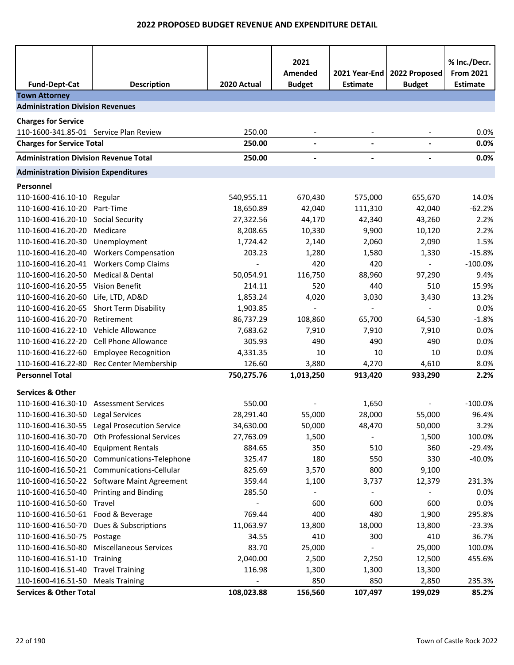|                                              |                                              |             | 2021                     |                                  |                                | % Inc./Decr.                        |
|----------------------------------------------|----------------------------------------------|-------------|--------------------------|----------------------------------|--------------------------------|-------------------------------------|
| <b>Fund-Dept-Cat</b>                         | <b>Description</b>                           | 2020 Actual | Amended<br><b>Budget</b> | 2021 Year-End<br><b>Estimate</b> | 2022 Proposed<br><b>Budget</b> | <b>From 2021</b><br><b>Estimate</b> |
| <b>Town Attorney</b>                         |                                              |             |                          |                                  |                                |                                     |
| <b>Administration Division Revenues</b>      |                                              |             |                          |                                  |                                |                                     |
| <b>Charges for Service</b>                   |                                              |             |                          |                                  |                                |                                     |
| 110-1600-341.85-01 Service Plan Review       |                                              | 250.00      |                          |                                  |                                | 0.0%                                |
| <b>Charges for Service Total</b>             |                                              | 250.00      | $\blacksquare$           |                                  |                                | 0.0%                                |
| <b>Administration Division Revenue Total</b> |                                              | 250.00      |                          |                                  |                                | 0.0%                                |
| <b>Administration Division Expenditures</b>  |                                              |             |                          |                                  |                                |                                     |
| Personnel                                    |                                              |             |                          |                                  |                                |                                     |
| 110-1600-416.10-10                           | Regular                                      | 540,955.11  | 670,430                  | 575,000                          | 655,670                        | 14.0%                               |
| 110-1600-416.10-20                           | Part-Time                                    | 18,650.89   | 42,040                   | 111,310                          | 42,040                         | $-62.2%$                            |
| 110-1600-416.20-10                           | <b>Social Security</b>                       | 27,322.56   | 44,170                   | 42,340                           | 43,260                         | 2.2%                                |
| 110-1600-416.20-20                           | Medicare                                     | 8,208.65    | 10,330                   | 9,900                            | 10,120                         | 2.2%                                |
| 110-1600-416.20-30                           | Unemployment                                 | 1,724.42    | 2,140                    | 2,060                            | 2,090                          | 1.5%                                |
| 110-1600-416.20-40                           | <b>Workers Compensation</b>                  | 203.23      | 1,280                    | 1,580                            | 1,330                          | $-15.8%$                            |
| 110-1600-416.20-41                           | <b>Workers Comp Claims</b>                   |             | 420                      | 420                              |                                | $-100.0%$                           |
| 110-1600-416.20-50                           | <b>Medical &amp; Dental</b>                  | 50,054.91   | 116,750                  | 88,960                           | 97,290                         | 9.4%                                |
| 110-1600-416.20-55                           | Vision Benefit                               | 214.11      | 520                      | 440                              | 510                            | 15.9%                               |
| 110-1600-416.20-60                           | Life, LTD, AD&D                              | 1,853.24    | 4,020                    | 3,030                            | 3,430                          | 13.2%                               |
| 110-1600-416.20-65                           | Short Term Disability                        | 1,903.85    |                          |                                  |                                | 0.0%                                |
| 110-1600-416.20-70                           | Retirement                                   | 86,737.29   | 108,860                  | 65,700                           | 64,530                         | $-1.8%$                             |
| 110-1600-416.22-10                           | Vehicle Allowance                            | 7,683.62    | 7,910                    | 7,910                            | 7,910                          | 0.0%                                |
| 110-1600-416.22-20                           | <b>Cell Phone Allowance</b>                  | 305.93      | 490                      | 490                              | 490                            | 0.0%                                |
| 110-1600-416.22-60                           | <b>Employee Recognition</b>                  | 4,331.35    | 10                       | 10                               | 10                             | 0.0%                                |
| 110-1600-416.22-80                           | Rec Center Membership                        | 126.60      | 3,880                    | 4,270                            | 4,610                          | 8.0%                                |
| <b>Personnel Total</b>                       |                                              | 750,275.76  | 1,013,250                | 913,420                          | 933,290                        | 2.2%                                |
| <b>Services &amp; Other</b>                  |                                              |             |                          |                                  |                                |                                     |
| 110-1600-416.30-10                           | <b>Assessment Services</b>                   | 550.00      |                          | 1,650                            |                                | $-100.0%$                           |
| 110-1600-416.30-50                           | Legal Services                               | 28,291.40   | 55,000                   | 28,000                           | 55,000                         | 96.4%                               |
|                                              | 110-1600-416.30-55 Legal Prosecution Service | 34,630.00   | 50,000                   | 48,470                           | 50,000                         | 3.2%                                |
| 110-1600-416.30-70                           | <b>Oth Professional Services</b>             | 27,763.09   | 1,500                    |                                  | 1,500                          | 100.0%                              |
| 110-1600-416.40-40                           | <b>Equipment Rentals</b>                     | 884.65      | 350                      | 510                              | 360                            | $-29.4%$                            |
| 110-1600-416.50-20                           | Communications-Telephone                     | 325.47      | 180                      | 550                              | 330                            | $-40.0%$                            |
| 110-1600-416.50-21                           | Communications-Cellular                      | 825.69      | 3,570                    | 800                              | 9,100                          |                                     |
|                                              | 110-1600-416.50-22 Software Maint Agreement  | 359.44      | 1,100                    | 3,737                            | 12,379                         | 231.3%                              |
| 110-1600-416.50-40 Printing and Binding      |                                              | 285.50      |                          |                                  |                                | 0.0%                                |
| 110-1600-416.50-60                           | Travel                                       |             | 600                      | 600                              | 600                            | 0.0%                                |
| 110-1600-416.50-61 Food & Beverage           |                                              | 769.44      | 400                      | 480                              | 1,900                          | 295.8%                              |
| 110-1600-416.50-70                           | Dues & Subscriptions                         | 11,063.97   | 13,800                   | 18,000                           | 13,800                         | $-23.3%$                            |
| 110-1600-416.50-75 Postage                   |                                              | 34.55       | 410                      | 300                              | 410                            | 36.7%                               |
| 110-1600-416.50-80                           | <b>Miscellaneous Services</b>                | 83.70       | 25,000                   |                                  | 25,000                         | 100.0%                              |
| 110-1600-416.51-10                           | Training                                     | 2,040.00    | 2,500                    | 2,250                            | 12,500                         | 455.6%                              |
| 110-1600-416.51-40                           | <b>Travel Training</b>                       | 116.98      | 1,300                    | 1,300                            | 13,300                         |                                     |
| 110-1600-416.51-50                           | <b>Meals Training</b>                        |             | 850                      | 850                              | 2,850                          | 235.3%                              |
| <b>Services &amp; Other Total</b>            |                                              | 108,023.88  | 156,560                  | 107,497                          | 199,029                        | 85.2%                               |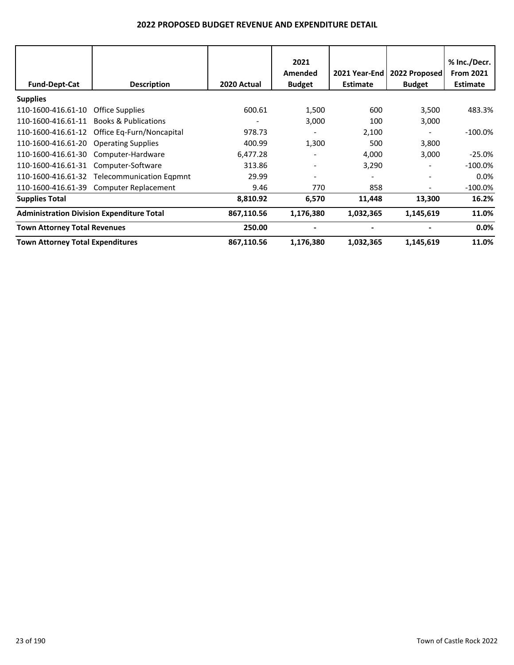|                                         |                                                  |             | 2021          |                 |               | % Inc./Decr.     |
|-----------------------------------------|--------------------------------------------------|-------------|---------------|-----------------|---------------|------------------|
|                                         |                                                  |             | Amended       | 2021 Year-End   | 2022 Proposed | <b>From 2021</b> |
| <b>Fund-Dept-Cat</b>                    | <b>Description</b>                               | 2020 Actual | <b>Budget</b> | <b>Estimate</b> | <b>Budget</b> | <b>Estimate</b>  |
| <b>Supplies</b>                         |                                                  |             |               |                 |               |                  |
| 110-1600-416.61-10                      | <b>Office Supplies</b>                           | 600.61      | 1,500         | 600             | 3,500         | 483.3%           |
| 110-1600-416.61-11                      | <b>Books &amp; Publications</b>                  |             | 3,000         | 100             | 3,000         |                  |
| 110-1600-416.61-12                      | Office Eq-Furn/Noncapital                        | 978.73      |               | 2,100           |               | $-100.0\%$       |
| 110-1600-416.61-20                      | <b>Operating Supplies</b>                        | 400.99      | 1,300         | 500             | 3,800         |                  |
| 110-1600-416.61-30                      | Computer-Hardware                                | 6,477.28    |               | 4,000           | 3,000         | $-25.0%$         |
| 110-1600-416.61-31                      | Computer-Software                                | 313.86      |               | 3,290           |               | $-100.0\%$       |
|                                         | 110-1600-416.61-32 Telecommunication Eqpmnt      | 29.99       |               |                 |               | $0.0\%$          |
|                                         | 110-1600-416.61-39 Computer Replacement          | 9.46        | 770           | 858             |               | $-100.0\%$       |
| <b>Supplies Total</b>                   |                                                  | 8,810.92    | 6,570         | 11,448          | 13,300        | 16.2%            |
|                                         | <b>Administration Division Expenditure Total</b> | 867,110.56  | 1,176,380     | 1,032,365       | 1,145,619     | 11.0%            |
| <b>Town Attorney Total Revenues</b>     |                                                  | 250.00      |               |                 |               | $0.0\%$          |
| <b>Town Attorney Total Expenditures</b> |                                                  | 867,110.56  | 1,176,380     | 1,032,365       | 1,145,619     | 11.0%            |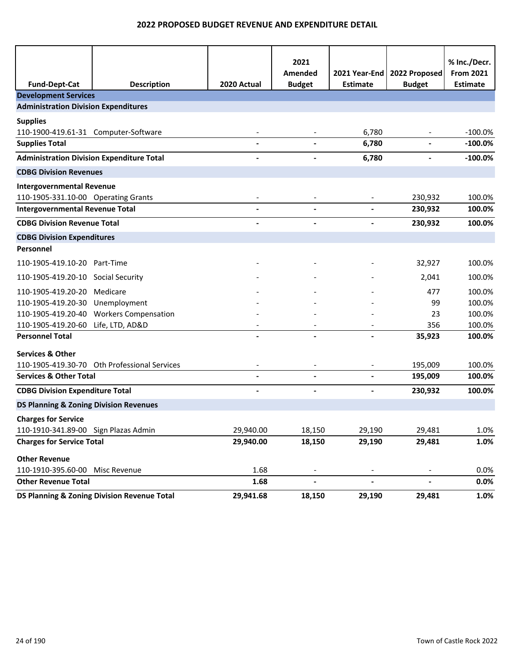|                                                   |                                              |                          | 2021<br>Amended          | 2021 Year-End            | 2022 Proposed            | % Inc./Decr.<br><b>From 2021</b> |
|---------------------------------------------------|----------------------------------------------|--------------------------|--------------------------|--------------------------|--------------------------|----------------------------------|
| <b>Fund-Dept-Cat</b>                              | <b>Description</b>                           | 2020 Actual              | <b>Budget</b>            | <b>Estimate</b>          | <b>Budget</b>            | <b>Estimate</b>                  |
| <b>Development Services</b>                       |                                              |                          |                          |                          |                          |                                  |
| <b>Administration Division Expenditures</b>       |                                              |                          |                          |                          |                          |                                  |
| <b>Supplies</b>                                   |                                              |                          |                          |                          |                          |                                  |
| 110-1900-419.61-31 Computer-Software              |                                              |                          |                          | 6,780                    |                          | $-100.0%$                        |
| <b>Supplies Total</b>                             |                                              | L.                       | $\blacksquare$           | 6,780                    | $\blacksquare$           | $-100.0%$                        |
| <b>Administration Division Expenditure Total</b>  |                                              | $\blacksquare$           | $\blacksquare$           | 6,780                    | $\overline{\phantom{a}}$ | $-100.0%$                        |
| <b>CDBG Division Revenues</b>                     |                                              |                          |                          |                          |                          |                                  |
| <b>Intergovernmental Revenue</b>                  |                                              |                          |                          |                          |                          |                                  |
| 110-1905-331.10-00 Operating Grants               |                                              | $\overline{\phantom{a}}$ |                          |                          | 230,932                  | 100.0%                           |
| <b>Intergovernmental Revenue Total</b>            |                                              |                          | $\blacksquare$           | $\blacksquare$           | 230,932                  | 100.0%                           |
| <b>CDBG Division Revenue Total</b>                |                                              | $\blacksquare$           | $\blacksquare$           | $\blacksquare$           | 230,932                  | 100.0%                           |
| <b>CDBG Division Expenditures</b>                 |                                              |                          |                          |                          |                          |                                  |
| Personnel                                         |                                              |                          |                          |                          |                          |                                  |
| 110-1905-419.10-20 Part-Time                      |                                              |                          |                          |                          | 32,927                   | 100.0%                           |
| 110-1905-419.20-10 Social Security                |                                              |                          |                          |                          | 2,041                    | 100.0%                           |
| 110-1905-419.20-20                                | Medicare                                     |                          |                          |                          | 477                      | 100.0%                           |
| 110-1905-419.20-30                                | Unemployment                                 |                          |                          |                          | 99                       | 100.0%                           |
| 110-1905-419.20-40                                | <b>Workers Compensation</b>                  |                          |                          |                          | 23                       | 100.0%                           |
| 110-1905-419.20-60                                | Life, LTD, AD&D                              |                          |                          |                          | 356                      | 100.0%                           |
| <b>Personnel Total</b>                            |                                              |                          |                          |                          | 35,923                   | 100.0%                           |
| <b>Services &amp; Other</b>                       |                                              |                          |                          |                          |                          |                                  |
|                                                   | 110-1905-419.30-70 Oth Professional Services |                          |                          |                          | 195,009                  | 100.0%                           |
| <b>Services &amp; Other Total</b>                 |                                              |                          |                          |                          | 195,009                  | 100.0%                           |
| <b>CDBG Division Expenditure Total</b>            |                                              |                          |                          |                          | 230,932                  | 100.0%                           |
| <b>DS Planning &amp; Zoning Division Revenues</b> |                                              |                          |                          |                          |                          |                                  |
| <b>Charges for Service</b>                        |                                              |                          |                          |                          |                          |                                  |
| 110-1910-341.89-00 Sign Plazas Admin              |                                              | 29,940.00                | 18,150                   | 29,190                   | 29,481                   | 1.0%                             |
| <b>Charges for Service Total</b>                  |                                              | 29,940.00                | 18,150                   | 29,190                   | 29,481                   | 1.0%                             |
| <b>Other Revenue</b>                              |                                              |                          |                          |                          |                          |                                  |
| 110-1910-395.60-00                                | Misc Revenue                                 | 1.68                     | $\overline{\phantom{a}}$ |                          |                          | 0.0%                             |
| <b>Other Revenue Total</b>                        |                                              | 1.68                     | $\overline{\phantom{0}}$ | $\overline{\phantom{m}}$ | $\frac{1}{2}$            | 0.0%                             |
|                                                   | DS Planning & Zoning Division Revenue Total  | 29,941.68                | 18,150                   | 29,190                   | 29,481                   | 1.0%                             |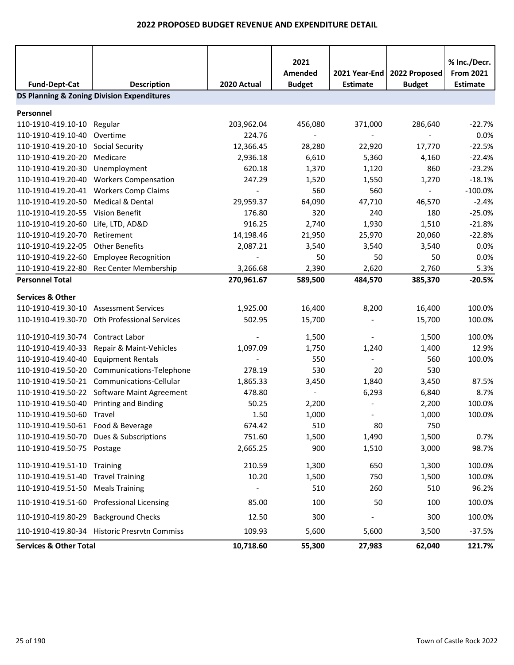|                                                       |                                              |                          | 2021<br>Amended | 2021 Year-End   | 2022 Proposed | % Inc./Decr.<br><b>From 2021</b> |  |  |  |
|-------------------------------------------------------|----------------------------------------------|--------------------------|-----------------|-----------------|---------------|----------------------------------|--|--|--|
| <b>Fund-Dept-Cat</b>                                  | <b>Description</b>                           | 2020 Actual              | <b>Budget</b>   | <b>Estimate</b> | <b>Budget</b> | <b>Estimate</b>                  |  |  |  |
| <b>DS Planning &amp; Zoning Division Expenditures</b> |                                              |                          |                 |                 |               |                                  |  |  |  |
| Personnel                                             |                                              |                          |                 |                 |               |                                  |  |  |  |
| 110-1910-419.10-10                                    | Regular                                      | 203,962.04               | 456,080         | 371,000         | 286,640       | $-22.7%$                         |  |  |  |
| 110-1910-419.10-40                                    | Overtime                                     | 224.76                   |                 |                 |               | 0.0%                             |  |  |  |
| 110-1910-419.20-10                                    | Social Security                              | 12,366.45                | 28,280          | 22,920          | 17,770        | $-22.5%$                         |  |  |  |
| 110-1910-419.20-20                                    | Medicare                                     | 2,936.18                 | 6,610           | 5,360           | 4,160         | $-22.4%$                         |  |  |  |
| 110-1910-419.20-30                                    | Unemployment                                 | 620.18                   | 1,370           | 1,120           | 860           | $-23.2%$                         |  |  |  |
| 110-1910-419.20-40                                    | <b>Workers Compensation</b>                  | 247.29                   | 1,520           | 1,550           | 1,270         | $-18.1%$                         |  |  |  |
| 110-1910-419.20-41                                    | <b>Workers Comp Claims</b>                   | $\overline{\phantom{a}}$ | 560             | 560             | $\sim$        | $-100.0%$                        |  |  |  |
| 110-1910-419.20-50                                    | Medical & Dental                             | 29,959.37                | 64,090          | 47,710          | 46,570        | $-2.4%$                          |  |  |  |
| 110-1910-419.20-55                                    | <b>Vision Benefit</b>                        | 176.80                   | 320             | 240             | 180           | $-25.0%$                         |  |  |  |
| 110-1910-419.20-60                                    | Life, LTD, AD&D                              | 916.25                   | 2,740           | 1,930           | 1,510         | $-21.8%$                         |  |  |  |
| 110-1910-419.20-70                                    | Retirement                                   | 14,198.46                | 21,950          | 25,970          | 20,060        | $-22.8%$                         |  |  |  |
| 110-1910-419.22-05                                    | <b>Other Benefits</b>                        | 2,087.21                 | 3,540           | 3,540           | 3,540         | 0.0%                             |  |  |  |
| 110-1910-419.22-60                                    | <b>Employee Recognition</b>                  |                          | 50              | 50              | 50            | 0.0%                             |  |  |  |
| 110-1910-419.22-80                                    | Rec Center Membership                        | 3,266.68                 | 2,390           | 2,620           | 2,760         | 5.3%                             |  |  |  |
| <b>Personnel Total</b>                                |                                              | 270,961.67               | 589,500         | 484,570         | 385,370       | $-20.5%$                         |  |  |  |
| <b>Services &amp; Other</b>                           |                                              |                          |                 |                 |               |                                  |  |  |  |
| 110-1910-419.30-10                                    | <b>Assessment Services</b>                   | 1,925.00                 | 16,400          | 8,200           | 16,400        | 100.0%                           |  |  |  |
| 110-1910-419.30-70                                    | <b>Oth Professional Services</b>             | 502.95                   | 15,700          |                 | 15,700        | 100.0%                           |  |  |  |
|                                                       |                                              |                          |                 |                 |               |                                  |  |  |  |
| 110-1910-419.30-74                                    | Contract Labor                               |                          | 1,500           |                 | 1,500         | 100.0%                           |  |  |  |
| 110-1910-419.40-33                                    | Repair & Maint-Vehicles                      | 1,097.09                 | 1,750           | 1,240           | 1,400         | 12.9%                            |  |  |  |
| 110-1910-419.40-40                                    | <b>Equipment Rentals</b>                     |                          | 550             |                 | 560           | 100.0%                           |  |  |  |
| 110-1910-419.50-20                                    | Communications-Telephone                     | 278.19                   | 530             | 20              | 530           |                                  |  |  |  |
| 110-1910-419.50-21                                    | Communications-Cellular                      | 1,865.33                 | 3,450           | 1,840           | 3,450         | 87.5%                            |  |  |  |
| 110-1910-419.50-22                                    | Software Maint Agreement                     | 478.80                   |                 | 6,293           | 6,840         | 8.7%                             |  |  |  |
| 110-1910-419.50-40                                    | <b>Printing and Binding</b>                  | 50.25                    | 2,200           |                 | 2,200         | 100.0%                           |  |  |  |
| 110-1910-419.50-60                                    | Travel                                       | 1.50                     | 1,000           |                 | 1,000         | 100.0%                           |  |  |  |
| 110-1910-419.50-61 Food & Beverage                    |                                              | 674.42                   | 510             | 80              | 750           |                                  |  |  |  |
|                                                       | 110-1910-419.50-70 Dues & Subscriptions      | 751.60                   | 1,500           | 1,490           | 1,500         | 0.7%                             |  |  |  |
| 110-1910-419.50-75 Postage                            |                                              | 2,665.25                 | 900             | 1,510           | 3,000         | 98.7%                            |  |  |  |
| 110-1910-419.51-10 Training                           |                                              | 210.59                   | 1,300           | 650             | 1,300         | 100.0%                           |  |  |  |
| 110-1910-419.51-40 Travel Training                    |                                              | 10.20                    | 1,500           | 750             | 1,500         | 100.0%                           |  |  |  |
| 110-1910-419.51-50                                    | <b>Meals Training</b>                        |                          | 510             | 260             | 510           | 96.2%                            |  |  |  |
|                                                       | 110-1910-419.51-60 Professional Licensing    | 85.00                    | 100             | 50              | 100           | 100.0%                           |  |  |  |
| 110-1910-419.80-29 Background Checks                  |                                              | 12.50                    | 300             |                 | 300           | 100.0%                           |  |  |  |
|                                                       | 110-1910-419.80-34 Historic Presrvtn Commiss | 109.93                   | 5,600           | 5,600           | 3,500         | $-37.5%$                         |  |  |  |
| <b>Services &amp; Other Total</b>                     |                                              | 10,718.60                | 55,300          | 27,983          | 62,040        | 121.7%                           |  |  |  |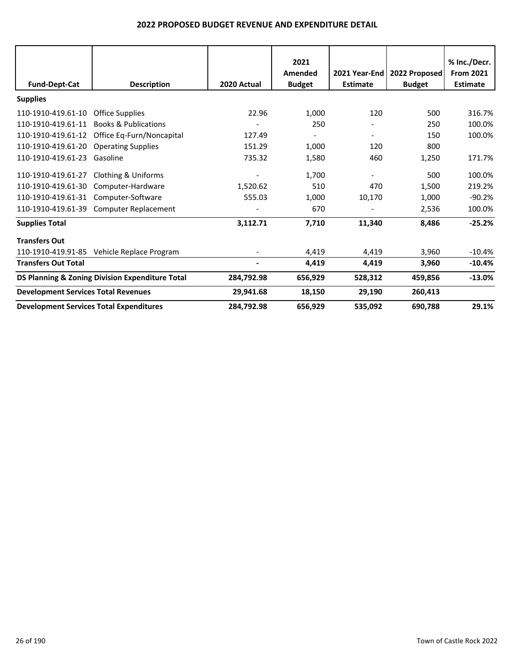|                                                |                                                 | 2020 Actual | 2021<br>Amended | 2021 Year-End<br><b>Estimate</b> | 2022 Proposed | % Inc./Decr.<br><b>From 2021</b><br><b>Estimate</b> |
|------------------------------------------------|-------------------------------------------------|-------------|-----------------|----------------------------------|---------------|-----------------------------------------------------|
| <b>Fund-Dept-Cat</b>                           | <b>Description</b>                              |             | <b>Budget</b>   |                                  | <b>Budget</b> |                                                     |
| <b>Supplies</b>                                |                                                 |             |                 |                                  |               |                                                     |
| 110-1910-419.61-10                             | <b>Office Supplies</b>                          | 22.96       | 1,000           | 120                              | 500           | 316.7%                                              |
| 110-1910-419.61-11                             | <b>Books &amp; Publications</b>                 |             | 250             |                                  | 250           | 100.0%                                              |
| 110-1910-419.61-12                             | Office Eq-Furn/Noncapital                       | 127.49      |                 |                                  | 150           | 100.0%                                              |
| 110-1910-419.61-20                             | <b>Operating Supplies</b>                       | 151.29      | 1,000           | 120                              | 800           |                                                     |
| 110-1910-419.61-23                             | Gasoline                                        | 735.32      | 1,580           | 460                              | 1,250         | 171.7%                                              |
| 110-1910-419.61-27                             | <b>Clothing &amp; Uniforms</b>                  |             | 1,700           |                                  | 500           | 100.0%                                              |
| 110-1910-419.61-30                             | Computer-Hardware                               | 1,520.62    | 510             | 470                              | 1,500         | 219.2%                                              |
| 110-1910-419.61-31                             | Computer-Software                               | 555.03      | 1,000           | 10,170                           | 1,000         | $-90.2%$                                            |
| 110-1910-419.61-39                             | Computer Replacement                            |             | 670             |                                  | 2,536         | 100.0%                                              |
| <b>Supplies Total</b>                          |                                                 | 3,112.71    | 7,710           | 11,340                           | 8,486         | $-25.2%$                                            |
| <b>Transfers Out</b>                           |                                                 |             |                 |                                  |               |                                                     |
| 110-1910-419.91-85                             | Vehicle Replace Program                         |             | 4,419           | 4,419                            | 3,960         | $-10.4%$                                            |
| <b>Transfers Out Total</b>                     |                                                 |             | 4,419           | 4,419                            | 3,960         | $-10.4%$                                            |
|                                                | DS Planning & Zoning Division Expenditure Total | 284,792.98  | 656,929         | 528,312                          | 459,856       | $-13.0%$                                            |
| <b>Development Services Total Revenues</b>     |                                                 | 29,941.68   | 18,150          | 29,190                           | 260,413       |                                                     |
| <b>Development Services Total Expenditures</b> |                                                 | 284,792.98  | 656,929         | 535,092                          | 690,788       | 29.1%                                               |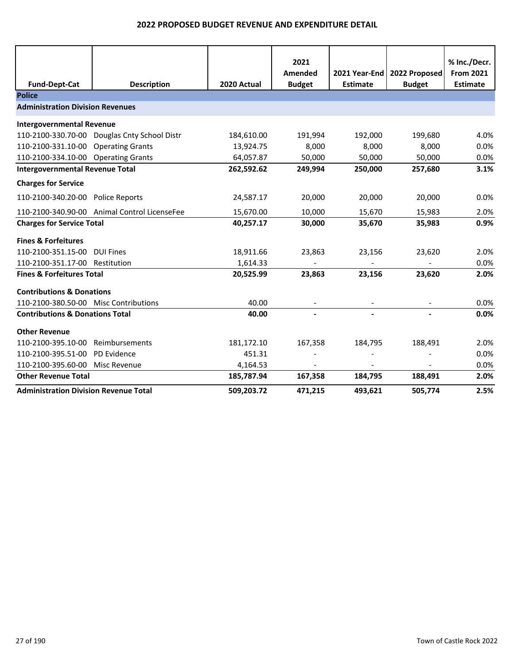| <b>Fund-Dept-Cat</b>                         | <b>Description</b>                           | 2020 Actual | 2021<br>Amended<br><b>Budget</b> | 2021 Year-End<br><b>Estimate</b> | 2022 Proposed<br><b>Budget</b> | % Inc./Decr.<br><b>From 2021</b><br><b>Estimate</b> |
|----------------------------------------------|----------------------------------------------|-------------|----------------------------------|----------------------------------|--------------------------------|-----------------------------------------------------|
| <b>Police</b>                                |                                              |             |                                  |                                  |                                |                                                     |
| <b>Administration Division Revenues</b>      |                                              |             |                                  |                                  |                                |                                                     |
| <b>Intergovernmental Revenue</b>             |                                              |             |                                  |                                  |                                |                                                     |
|                                              | 110-2100-330.70-00 Douglas Cnty School Distr | 184,610.00  | 191,994                          | 192,000                          | 199,680                        | 4.0%                                                |
| 110-2100-331.10-00 Operating Grants          |                                              | 13,924.75   | 8,000                            | 8,000                            | 8,000                          | 0.0%                                                |
| 110-2100-334.10-00 Operating Grants          |                                              | 64,057.87   | 50,000                           | 50,000                           | 50,000                         | 0.0%                                                |
| <b>Intergovernmental Revenue Total</b>       |                                              | 262,592.62  | 249,994                          | 250,000                          | 257,680                        | 3.1%                                                |
| <b>Charges for Service</b>                   |                                              |             |                                  |                                  |                                |                                                     |
| 110-2100-340.20-00 Police Reports            |                                              | 24,587.17   | 20,000                           | 20,000                           | 20,000                         | 0.0%                                                |
|                                              | 110-2100-340.90-00 Animal Control LicenseFee | 15,670.00   | 10,000                           | 15,670                           | 15,983                         | 2.0%                                                |
| <b>Charges for Service Total</b>             |                                              | 40,257.17   | 30,000                           | 35,670                           | 35,983                         | 0.9%                                                |
| <b>Fines &amp; Forfeitures</b>               |                                              |             |                                  |                                  |                                |                                                     |
| 110-2100-351.15-00                           | <b>DUI Fines</b>                             | 18,911.66   | 23,863                           | 23,156                           | 23,620                         | 2.0%                                                |
| 110-2100-351.17-00 Restitution               |                                              | 1,614.33    |                                  |                                  |                                | 0.0%                                                |
| <b>Fines &amp; Forfeitures Total</b>         |                                              | 20,525.99   | 23,863                           | 23,156                           | 23,620                         | 2.0%                                                |
| <b>Contributions &amp; Donations</b>         |                                              |             |                                  |                                  |                                |                                                     |
| 110-2100-380.50-00 Misc Contributions        |                                              | 40.00       |                                  |                                  |                                | 0.0%                                                |
| <b>Contributions &amp; Donations Total</b>   |                                              | 40.00       | $\overline{\phantom{a}}$         |                                  |                                | 0.0%                                                |
| <b>Other Revenue</b>                         |                                              |             |                                  |                                  |                                |                                                     |
| 110-2100-395.10-00                           | Reimbursements                               | 181,172.10  | 167,358                          | 184,795                          | 188,491                        | 2.0%                                                |
| 110-2100-395.51-00                           | PD Evidence                                  | 451.31      |                                  |                                  |                                | 0.0%                                                |
| 110-2100-395.60-00 Misc Revenue              |                                              | 4,164.53    |                                  |                                  | $\blacksquare$                 | 0.0%                                                |
| <b>Other Revenue Total</b>                   |                                              | 185,787.94  | 167,358                          | 184,795                          | 188,491                        | 2.0%                                                |
| <b>Administration Division Revenue Total</b> |                                              | 509,203.72  | 471,215                          | 493,621                          | 505,774                        | 2.5%                                                |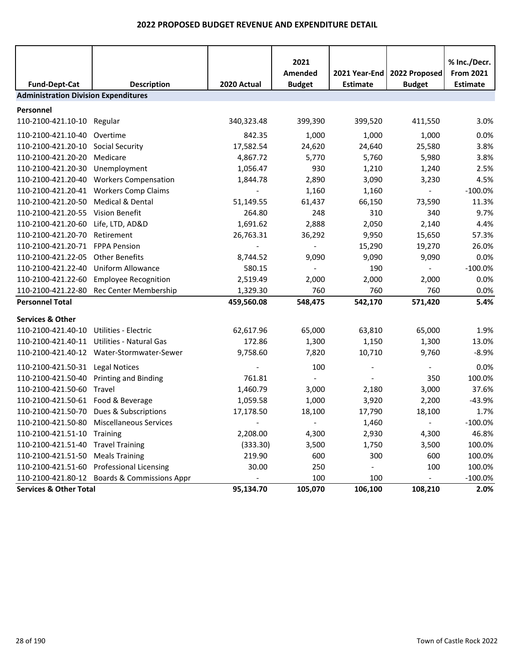|                                             |                                              |                          | 2021<br>Amended          | 2021 Year-End   | 2022 Proposed  | % Inc./Decr.<br><b>From 2021</b> |
|---------------------------------------------|----------------------------------------------|--------------------------|--------------------------|-----------------|----------------|----------------------------------|
| <b>Fund-Dept-Cat</b>                        | <b>Description</b>                           | 2020 Actual              | <b>Budget</b>            | <b>Estimate</b> | <b>Budget</b>  | <b>Estimate</b>                  |
| <b>Administration Division Expenditures</b> |                                              |                          |                          |                 |                |                                  |
| Personnel                                   |                                              |                          |                          |                 |                |                                  |
| 110-2100-421.10-10 Regular                  |                                              | 340,323.48               | 399,390                  | 399,520         | 411,550        | 3.0%                             |
| 110-2100-421.10-40                          | Overtime                                     | 842.35                   | 1,000                    | 1,000           | 1,000          | 0.0%                             |
| 110-2100-421.20-10                          | <b>Social Security</b>                       | 17,582.54                | 24,620                   | 24,640          | 25,580         | 3.8%                             |
| 110-2100-421.20-20                          | Medicare                                     | 4,867.72                 | 5,770                    | 5,760           | 5,980          | 3.8%                             |
| 110-2100-421.20-30                          | Unemployment                                 | 1,056.47                 | 930                      | 1,210           | 1,240          | 2.5%                             |
| 110-2100-421.20-40                          | <b>Workers Compensation</b>                  | 1,844.78                 | 2,890                    | 3,090           | 3,230          | 4.5%                             |
| 110-2100-421.20-41                          | <b>Workers Comp Claims</b>                   |                          | 1,160                    | 1,160           | $\blacksquare$ | $-100.0%$                        |
| 110-2100-421.20-50                          | Medical & Dental                             | 51,149.55                | 61,437                   | 66,150          | 73,590         | 11.3%                            |
| 110-2100-421.20-55                          | <b>Vision Benefit</b>                        | 264.80                   | 248                      | 310             | 340            | 9.7%                             |
| 110-2100-421.20-60                          | Life, LTD, AD&D                              | 1,691.62                 | 2,888                    | 2,050           | 2,140          | 4.4%                             |
| 110-2100-421.20-70                          | Retirement                                   | 26,763.31                | 36,292                   | 9,950           | 15,650         | 57.3%                            |
| 110-2100-421.20-71                          | <b>FPPA Pension</b>                          |                          | $\overline{\phantom{0}}$ | 15,290          | 19,270         | 26.0%                            |
| 110-2100-421.22-05                          | <b>Other Benefits</b>                        | 8,744.52                 | 9,090                    | 9,090           | 9,090          | 0.0%                             |
| 110-2100-421.22-40                          | <b>Uniform Allowance</b>                     | 580.15                   | $\blacksquare$           | 190             | $\blacksquare$ | $-100.0%$                        |
| 110-2100-421.22-60                          | <b>Employee Recognition</b>                  | 2,519.49                 | 2,000                    | 2,000           | 2,000          | 0.0%                             |
| 110-2100-421.22-80                          | Rec Center Membership                        | 1,329.30                 | 760                      | 760             | 760            | 0.0%                             |
| <b>Personnel Total</b>                      |                                              | 459,560.08               | 548,475                  | 542,170         | 571,420        | 5.4%                             |
| <b>Services &amp; Other</b>                 |                                              |                          |                          |                 |                |                                  |
| 110-2100-421.40-10                          | <b>Utilities - Electric</b>                  | 62,617.96                | 65,000                   | 63,810          | 65,000         | 1.9%                             |
| 110-2100-421.40-11                          | Utilities - Natural Gas                      | 172.86                   | 1,300                    | 1,150           | 1,300          | 13.0%                            |
|                                             | 110-2100-421.40-12 Water-Stormwater-Sewer    | 9,758.60                 | 7,820                    | 10,710          | 9,760          | $-8.9%$                          |
| 110-2100-421.50-31                          | <b>Legal Notices</b>                         |                          | 100                      |                 | $\blacksquare$ | 0.0%                             |
| 110-2100-421.50-40                          | Printing and Binding                         | 761.81                   |                          |                 | 350            | 100.0%                           |
| 110-2100-421.50-60                          | Travel                                       | 1,460.79                 | 3,000                    | 2,180           | 3,000          | 37.6%                            |
| 110-2100-421.50-61 Food & Beverage          |                                              | 1,059.58                 | 1,000                    | 3,920           | 2,200          | $-43.9%$                         |
|                                             | 110-2100-421.50-70 Dues & Subscriptions      | 17,178.50                | 18,100                   | 17,790          | 18,100         | 1.7%                             |
| 110-2100-421.50-80                          | Miscellaneous Services                       | $\overline{\phantom{a}}$ | $\overline{\phantom{a}}$ | 1,460           | $\blacksquare$ | $-100.0\%$                       |
| 110-2100-421.51-10                          | Training                                     | 2,208.00                 | 4,300                    | 2,930           | 4,300          | 46.8%                            |
| 110-2100-421.51-40                          | <b>Travel Training</b>                       | (333.30)                 | 3,500                    | 1,750           | 3,500          | 100.0%                           |
| 110-2100-421.51-50                          | <b>Meals Training</b>                        | 219.90                   | 600                      | 300             | 600            | 100.0%                           |
| 110-2100-421.51-60                          | <b>Professional Licensing</b>                | 30.00                    | 250                      |                 | 100            | 100.0%                           |
|                                             | 110-2100-421.80-12 Boards & Commissions Appr |                          | 100                      | 100             |                | $-100.0%$                        |
| <b>Services &amp; Other Total</b>           |                                              | 95,134.70                | 105,070                  | 106,100         | 108,210        | 2.0%                             |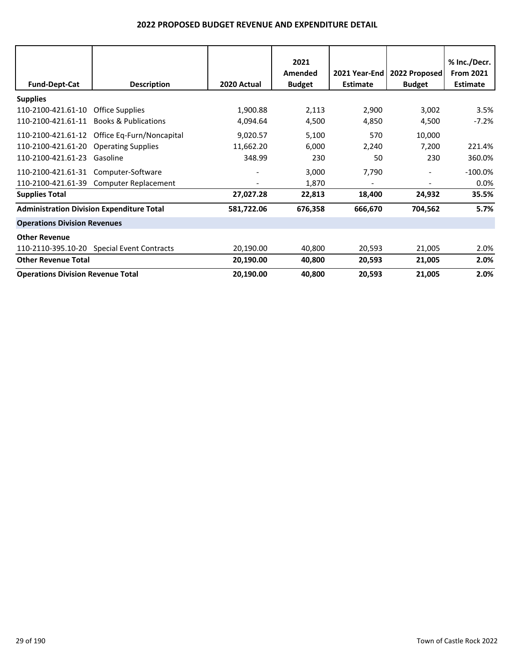| <b>Fund-Dept-Cat</b>                                           | <b>Description</b>                                                 | 2020 Actual                     | 2021<br>Amended<br><b>Budget</b> | 2021 Year-End<br><b>Estimate</b> | 2022 Proposed<br><b>Budget</b>            | % Inc./Decr.<br><b>From 2021</b><br><b>Estimate</b> |
|----------------------------------------------------------------|--------------------------------------------------------------------|---------------------------------|----------------------------------|----------------------------------|-------------------------------------------|-----------------------------------------------------|
| <b>Supplies</b>                                                |                                                                    |                                 |                                  |                                  |                                           |                                                     |
| 110-2100-421.61-10<br>110-2100-421.61-11                       | <b>Office Supplies</b><br><b>Books &amp; Publications</b>          | 1,900.88<br>4,094.64            | 2,113<br>4,500                   | 2,900<br>4,850                   | 3,002<br>4,500                            | 3.5%<br>$-7.2%$                                     |
| 110-2100-421.61-12<br>110-2100-421.61-20<br>110-2100-421.61-23 | Office Eq-Furn/Noncapital<br><b>Operating Supplies</b><br>Gasoline | 9,020.57<br>11,662.20<br>348.99 | 5,100<br>6,000<br>230            | 570<br>2,240<br>50               | 10,000<br>7,200<br>230                    | 221.4%<br>360.0%                                    |
| 110-2100-421.61-31<br>110-2100-421.61-39                       | Computer-Software<br>Computer Replacement                          |                                 | 3,000<br>1,870                   | 7,790                            | $\frac{1}{2}$<br>$\overline{\phantom{a}}$ | $-100.0\%$<br>0.0%                                  |
| <b>Supplies Total</b>                                          |                                                                    | 27,027.28                       | 22,813                           | 18,400                           | 24,932                                    | 35.5%                                               |
| <b>Administration Division Expenditure Total</b>               |                                                                    | 581,722.06                      | 676,358                          | 666,670                          | 704,562                                   | 5.7%                                                |
| <b>Operations Division Revenues</b>                            |                                                                    |                                 |                                  |                                  |                                           |                                                     |
| <b>Other Revenue</b><br>110-2110-395.10-20                     | <b>Special Event Contracts</b>                                     | 20,190.00                       | 40,800                           | 20,593                           | 21,005                                    | 2.0%                                                |
| <b>Other Revenue Total</b>                                     |                                                                    | 20,190.00                       | 40,800                           | 20,593                           | 21,005                                    | 2.0%                                                |
| <b>Operations Division Revenue Total</b>                       |                                                                    | 20,190.00                       | 40,800                           | 20,593                           | 21,005                                    | 2.0%                                                |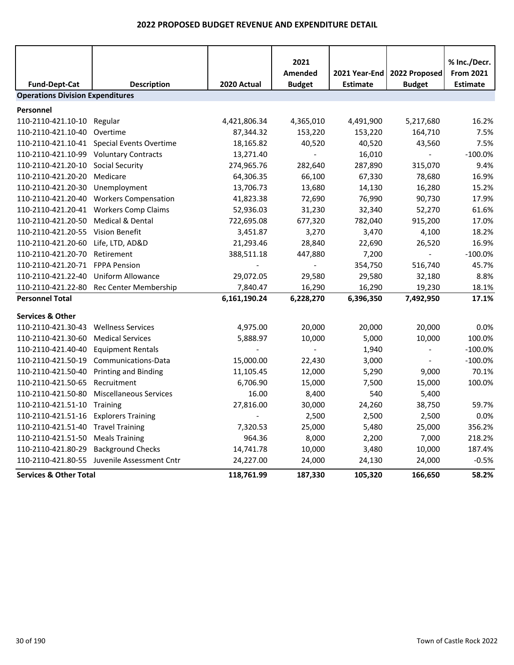|                                         |                                             |                | 2021<br><b>Amended</b>   | 2021 Year-End   | 2022 Proposed    | % Inc./Decr.<br><b>From 2021</b> |
|-----------------------------------------|---------------------------------------------|----------------|--------------------------|-----------------|------------------|----------------------------------|
| <b>Fund-Dept-Cat</b>                    | <b>Description</b>                          | 2020 Actual    | <b>Budget</b>            | <b>Estimate</b> | <b>Budget</b>    | <b>Estimate</b>                  |
| <b>Operations Division Expenditures</b> |                                             |                |                          |                 |                  |                                  |
| Personnel                               |                                             |                |                          |                 |                  |                                  |
| 110-2110-421.10-10                      | Regular                                     | 4,421,806.34   | 4,365,010                | 4,491,900       | 5,217,680        | 16.2%                            |
| 110-2110-421.10-40                      | Overtime                                    | 87,344.32      | 153,220                  | 153,220         | 164,710          | 7.5%                             |
|                                         | 110-2110-421.10-41 Special Events Overtime  | 18,165.82      | 40,520                   | 40,520          | 43,560           | 7.5%                             |
| 110-2110-421.10-99                      | <b>Voluntary Contracts</b>                  | 13,271.40      | $\blacksquare$           | 16,010          | $\omega_{\rm c}$ | $-100.0%$                        |
| 110-2110-421.20-10                      | <b>Social Security</b>                      | 274,965.76     | 282,640                  | 287,890         | 315,070          | 9.4%                             |
| 110-2110-421.20-20                      | Medicare                                    | 64,306.35      | 66,100                   | 67,330          | 78,680           | 16.9%                            |
| 110-2110-421.20-30                      | Unemployment                                | 13,706.73      | 13,680                   | 14,130          | 16,280           | 15.2%                            |
| 110-2110-421.20-40                      | <b>Workers Compensation</b>                 | 41,823.38      | 72,690                   | 76,990          | 90,730           | 17.9%                            |
| 110-2110-421.20-41                      | <b>Workers Comp Claims</b>                  | 52,936.03      | 31,230                   | 32,340          | 52,270           | 61.6%                            |
| 110-2110-421.20-50                      | Medical & Dental                            | 722,695.08     | 677,320                  | 782,040         | 915,200          | 17.0%                            |
| 110-2110-421.20-55 Vision Benefit       |                                             | 3,451.87       | 3,270                    | 3,470           | 4,100            | 18.2%                            |
| 110-2110-421.20-60                      | Life, LTD, AD&D                             | 21,293.46      | 28,840                   | 22,690          | 26,520           | 16.9%                            |
| 110-2110-421.20-70                      | Retirement                                  | 388,511.18     | 447,880                  | 7,200           | $\blacksquare$   | $-100.0%$                        |
| 110-2110-421.20-71                      | <b>FPPA Pension</b>                         |                | $\overline{\phantom{0}}$ | 354,750         | 516,740          | 45.7%                            |
| 110-2110-421.22-40                      | <b>Uniform Allowance</b>                    | 29,072.05      | 29,580                   | 29,580          | 32,180           | 8.8%                             |
| 110-2110-421.22-80                      | Rec Center Membership                       | 7,840.47       | 16,290                   | 16,290          | 19,230           | 18.1%                            |
| <b>Personnel Total</b>                  |                                             | 6,161,190.24   | 6,228,270                | 6,396,350       | 7,492,950        | 17.1%                            |
| <b>Services &amp; Other</b>             |                                             |                |                          |                 |                  |                                  |
| 110-2110-421.30-43                      | <b>Wellness Services</b>                    | 4,975.00       | 20,000                   | 20,000          | 20,000           | 0.0%                             |
| 110-2110-421.30-60                      | <b>Medical Services</b>                     | 5,888.97       | 10,000                   | 5,000           | 10,000           | 100.0%                           |
| 110-2110-421.40-40                      | <b>Equipment Rentals</b>                    |                | $\overline{\phantom{0}}$ | 1,940           | $\blacksquare$   | $-100.0%$                        |
| 110-2110-421.50-19                      | Communications-Data                         | 15,000.00      | 22,430                   | 3,000           | $\blacksquare$   | $-100.0%$                        |
| 110-2110-421.50-40                      | <b>Printing and Binding</b>                 | 11,105.45      | 12,000                   | 5,290           | 9,000            | 70.1%                            |
| 110-2110-421.50-65                      | Recruitment                                 | 6,706.90       | 15,000                   | 7,500           | 15,000           | 100.0%                           |
| 110-2110-421.50-80                      | <b>Miscellaneous Services</b>               | 16.00          | 8,400                    | 540             | 5,400            |                                  |
| 110-2110-421.51-10                      | <b>Training</b>                             | 27,816.00      | 30,000                   | 24,260          | 38,750           | 59.7%                            |
| 110-2110-421.51-16                      | <b>Explorers Training</b>                   | $\overline{a}$ | 2,500                    | 2,500           | 2,500            | 0.0%                             |
| 110-2110-421.51-40                      | <b>Travel Training</b>                      | 7,320.53       | 25,000                   | 5,480           | 25,000           | 356.2%                           |
| 110-2110-421.51-50                      | <b>Meals Training</b>                       | 964.36         | 8,000                    | 2,200           | 7,000            | 218.2%                           |
| 110-2110-421.80-29                      | <b>Background Checks</b>                    | 14,741.78      | 10,000                   | 3,480           | 10,000           | 187.4%                           |
|                                         | 110-2110-421.80-55 Juvenile Assessment Cntr | 24,227.00      | 24,000                   | 24,130          | 24,000           | $-0.5%$                          |
| <b>Services &amp; Other Total</b>       |                                             | 118,761.99     | 187,330                  | 105,320         | 166,650          | 58.2%                            |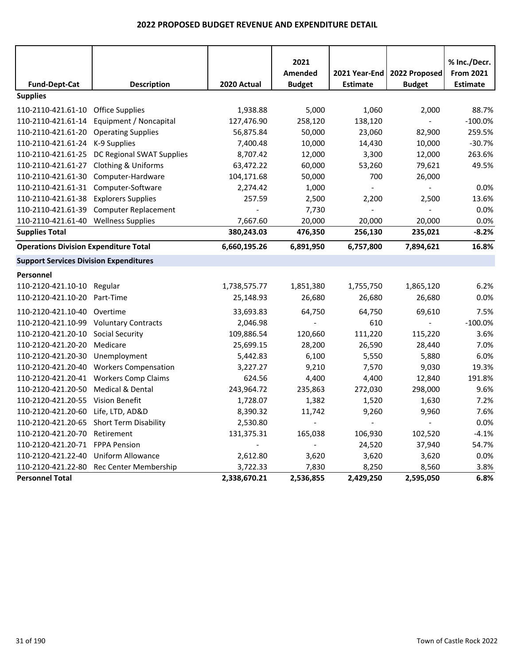|                                               |                                          |              | 2021                     |                                  |                                | % Inc./Decr.                        |
|-----------------------------------------------|------------------------------------------|--------------|--------------------------|----------------------------------|--------------------------------|-------------------------------------|
| <b>Fund-Dept-Cat</b>                          | <b>Description</b>                       | 2020 Actual  | Amended<br><b>Budget</b> | 2021 Year-End<br><b>Estimate</b> | 2022 Proposed<br><b>Budget</b> | <b>From 2021</b><br><b>Estimate</b> |
| <b>Supplies</b>                               |                                          |              |                          |                                  |                                |                                     |
| 110-2110-421.61-10                            | <b>Office Supplies</b>                   | 1,938.88     | 5,000                    | 1,060                            | 2,000                          | 88.7%                               |
| 110-2110-421.61-14                            | Equipment / Noncapital                   | 127,476.90   | 258,120                  | 138,120                          | $\overline{\phantom{a}}$       | $-100.0%$                           |
| 110-2110-421.61-20                            | <b>Operating Supplies</b>                | 56,875.84    | 50,000                   | 23,060                           | 82,900                         | 259.5%                              |
| 110-2110-421.61-24                            | K-9 Supplies                             | 7,400.48     | 10,000                   | 14,430                           | 10,000                         | $-30.7%$                            |
| 110-2110-421.61-25                            | DC Regional SWAT Supplies                | 8,707.42     | 12,000                   | 3,300                            | 12,000                         | 263.6%                              |
| 110-2110-421.61-27                            | Clothing & Uniforms                      | 63,472.22    | 60,000                   | 53,260                           | 79,621                         | 49.5%                               |
| 110-2110-421.61-30                            | Computer-Hardware                        | 104,171.68   | 50,000                   | 700                              | 26,000                         |                                     |
| 110-2110-421.61-31                            | Computer-Software                        | 2,274.42     | 1,000                    |                                  |                                | 0.0%                                |
| 110-2110-421.61-38                            | <b>Explorers Supplies</b>                | 257.59       | 2,500                    | 2,200                            | 2,500                          | 13.6%                               |
| 110-2110-421.61-39                            | <b>Computer Replacement</b>              |              | 7,730                    |                                  |                                | 0.0%                                |
| 110-2110-421.61-40                            | <b>Wellness Supplies</b>                 | 7,667.60     | 20,000                   | 20,000                           | 20,000                         | 0.0%                                |
| <b>Supplies Total</b>                         |                                          | 380,243.03   | 476,350                  | 256,130                          | 235,021                        | $-8.2%$                             |
| <b>Operations Division Expenditure Total</b>  |                                          | 6,660,195.26 | 6,891,950                | 6,757,800                        | 7,894,621                      | 16.8%                               |
| <b>Support Services Division Expenditures</b> |                                          |              |                          |                                  |                                |                                     |
| Personnel                                     |                                          |              |                          |                                  |                                |                                     |
| 110-2120-421.10-10                            | Regular                                  | 1,738,575.77 | 1,851,380                | 1,755,750                        | 1,865,120                      | 6.2%                                |
| 110-2120-421.10-20                            | Part-Time                                | 25,148.93    | 26,680                   | 26,680                           | 26,680                         | 0.0%                                |
| 110-2120-421.10-40                            | Overtime                                 | 33,693.83    | 64,750                   | 64,750                           | 69,610                         | 7.5%                                |
| 110-2120-421.10-99                            | <b>Voluntary Contracts</b>               | 2,046.98     |                          | 610                              |                                | $-100.0%$                           |
| 110-2120-421.20-10                            | <b>Social Security</b>                   | 109,886.54   | 120,660                  | 111,220                          | 115,220                        | 3.6%                                |
| 110-2120-421.20-20                            | Medicare                                 | 25,699.15    | 28,200                   | 26,590                           | 28,440                         | 7.0%                                |
| 110-2120-421.20-30                            | Unemployment                             | 5,442.83     | 6,100                    | 5,550                            | 5,880                          | 6.0%                                |
| 110-2120-421.20-40                            | <b>Workers Compensation</b>              | 3,227.27     | 9,210                    | 7,570                            | 9,030                          | 19.3%                               |
| 110-2120-421.20-41                            | <b>Workers Comp Claims</b>               | 624.56       | 4,400                    | 4,400                            | 12,840                         | 191.8%                              |
| 110-2120-421.20-50                            | Medical & Dental                         | 243,964.72   | 235,863                  | 272,030                          | 298,000                        | 9.6%                                |
| 110-2120-421.20-55                            | <b>Vision Benefit</b>                    | 1,728.07     | 1,382                    | 1,520                            | 1,630                          | 7.2%                                |
| 110-2120-421.20-60 Life, LTD, AD&D            |                                          | 8,390.32     | 11,742                   | 9,260                            | 9,960                          | 7.6%                                |
|                                               | 110-2120-421.20-65 Short Term Disability | 2,530.80     |                          |                                  |                                | 0.0%                                |
| 110-2120-421.20-70 Retirement                 |                                          | 131,375.31   | 165,038                  | 106,930                          | 102,520                        | $-4.1%$                             |
| 110-2120-421.20-71 FPPA Pension               |                                          |              | $\sim$                   | 24,520                           | 37,940                         | 54.7%                               |
| 110-2120-421.22-40 Uniform Allowance          |                                          | 2,612.80     | 3,620                    | 3,620                            | 3,620                          | 0.0%                                |
|                                               | 110-2120-421.22-80 Rec Center Membership | 3,722.33     | 7,830                    | 8,250                            | 8,560                          | 3.8%                                |
| <b>Personnel Total</b>                        |                                          | 2,338,670.21 | 2,536,855                | 2,429,250                        | 2,595,050                      | 6.8%                                |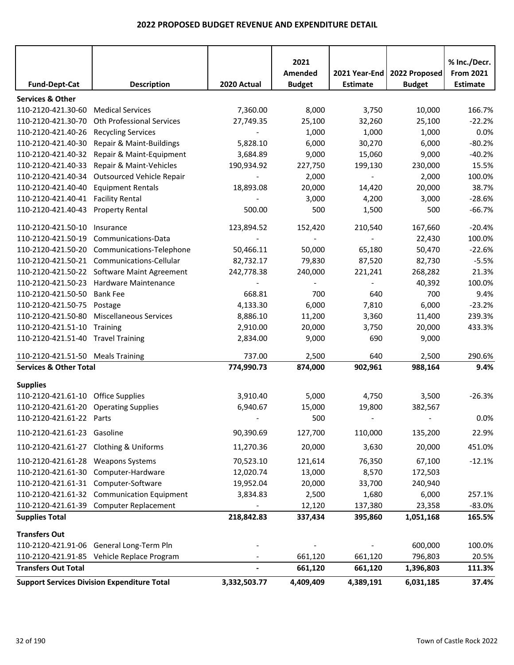|                                        |                                                    |              | 2021<br>Amended | 2021 Year-End   | 2022 Proposed | % Inc./Decr.<br><b>From 2021</b> |
|----------------------------------------|----------------------------------------------------|--------------|-----------------|-----------------|---------------|----------------------------------|
| <b>Fund-Dept-Cat</b>                   | <b>Description</b>                                 | 2020 Actual  | <b>Budget</b>   | <b>Estimate</b> | <b>Budget</b> | Estimate                         |
| <b>Services &amp; Other</b>            |                                                    |              |                 |                 |               |                                  |
| 110-2120-421.30-60                     | <b>Medical Services</b>                            | 7,360.00     | 8,000           | 3,750           | 10,000        | 166.7%                           |
| 110-2120-421.30-70                     | Oth Professional Services                          | 27,749.35    | 25,100          | 32,260          | 25,100        | $-22.2%$                         |
| 110-2120-421.40-26                     | <b>Recycling Services</b>                          |              | 1,000           | 1,000           | 1,000         | 0.0%                             |
| 110-2120-421.40-30                     | Repair & Maint-Buildings                           | 5,828.10     | 6,000           | 30,270          | 6,000         | $-80.2%$                         |
| 110-2120-421.40-32                     | Repair & Maint-Equipment                           | 3,684.89     | 9,000           | 15,060          | 9,000         | $-40.2%$                         |
| 110-2120-421.40-33                     | Repair & Maint-Vehicles                            | 190,934.92   | 227,750         | 199,130         | 230,000       | 15.5%                            |
| 110-2120-421.40-34                     | Outsourced Vehicle Repair                          |              | 2,000           |                 | 2,000         | 100.0%                           |
| 110-2120-421.40-40                     | <b>Equipment Rentals</b>                           | 18,893.08    | 20,000          | 14,420          | 20,000        | 38.7%                            |
| 110-2120-421.40-41                     | <b>Facility Rental</b>                             |              | 3,000           | 4,200           | 3,000         | $-28.6%$                         |
| 110-2120-421.40-43                     | <b>Property Rental</b>                             | 500.00       | 500             | 1,500           | 500           | $-66.7%$                         |
| 110-2120-421.50-10                     | Insurance                                          | 123,894.52   | 152,420         | 210,540         | 167,660       | $-20.4%$                         |
| 110-2120-421.50-19                     | Communications-Data                                |              |                 |                 | 22,430        | 100.0%                           |
| 110-2120-421.50-20                     | Communications-Telephone                           | 50,466.11    | 50,000          | 65,180          | 50,470        | $-22.6%$                         |
| 110-2120-421.50-21                     | Communications-Cellular                            | 82,732.17    | 79,830          | 87,520          | 82,730        | $-5.5%$                          |
|                                        | 110-2120-421.50-22 Software Maint Agreement        | 242,778.38   | 240,000         | 221,241         | 268,282       | 21.3%                            |
| 110-2120-421.50-23                     | Hardware Maintenance                               |              |                 |                 | 40,392        | 100.0%                           |
| 110-2120-421.50-50                     | <b>Bank Fee</b>                                    | 668.81       | 700             | 640             | 700           | 9.4%                             |
| 110-2120-421.50-75                     | Postage                                            | 4,133.30     | 6,000           | 7,810           | 6,000         | $-23.2%$                         |
| 110-2120-421.50-80                     | <b>Miscellaneous Services</b>                      | 8,886.10     | 11,200          | 3,360           | 11,400        | 239.3%                           |
| 110-2120-421.51-10                     | Training                                           | 2,910.00     | 20,000          | 3,750           | 20,000        | 433.3%                           |
| 110-2120-421.51-40 Travel Training     |                                                    | 2,834.00     | 9,000           | 690             | 9,000         |                                  |
| 110-2120-421.51-50 Meals Training      |                                                    | 737.00       | 2,500           | 640             | 2,500         | 290.6%                           |
| <b>Services &amp; Other Total</b>      |                                                    | 774,990.73   | 874,000         | 902,961         | 988,164       | 9.4%                             |
| <b>Supplies</b>                        |                                                    |              |                 |                 |               |                                  |
| 110-2120-421.61-10 Office Supplies     |                                                    | 3,910.40     | 5,000           | 4,750           | 3,500         | $-26.3%$                         |
| 110-2120-421.61-20 Operating Supplies  |                                                    | 6,940.67     | 15,000          | 19,800          | 382,567       |                                  |
| 110-2120-421.61-22 Parts               |                                                    |              | 500             |                 |               | 0.0%                             |
| 110-2120-421.61-23 Gasoline            |                                                    | 90,390.69    | 127,700         | 110,000         | 135,200       | 22.9%                            |
| 110-2120-421.61-27 Clothing & Uniforms |                                                    | 11,270.36    | 20,000          | 3,630           | 20,000        | 451.0%                           |
| 110-2120-421.61-28 Weapons Systems     |                                                    | 70,523.10    | 121,614         | 76,350          | 67,100        | $-12.1%$                         |
|                                        | 110-2120-421.61-30 Computer-Hardware               | 12,020.74    | 13,000          | 8,570           | 172,503       |                                  |
| 110-2120-421.61-31 Computer-Software   |                                                    | 19,952.04    | 20,000          | 33,700          | 240,940       |                                  |
|                                        | 110-2120-421.61-32 Communication Equipment         | 3,834.83     | 2,500           | 1,680           | 6,000         | 257.1%                           |
|                                        | 110-2120-421.61-39 Computer Replacement            |              | 12,120          | 137,380         | 23,358        | $-83.0%$                         |
| <b>Supplies Total</b>                  |                                                    | 218,842.83   | 337,434         | 395,860         | 1,051,168     | 165.5%                           |
| <b>Transfers Out</b>                   |                                                    |              |                 |                 |               |                                  |
|                                        | 110-2120-421.91-06 General Long-Term Pln           |              |                 |                 | 600,000       | 100.0%                           |
|                                        | 110-2120-421.91-85 Vehicle Replace Program         |              | 661,120         | 661,120         | 796,803       | 20.5%                            |
| <b>Transfers Out Total</b>             |                                                    |              | 661,120         | 661,120         | 1,396,803     | 111.3%                           |
|                                        | <b>Support Services Division Expenditure Total</b> | 3,332,503.77 | 4,409,409       | 4,389,191       | 6,031,185     | 37.4%                            |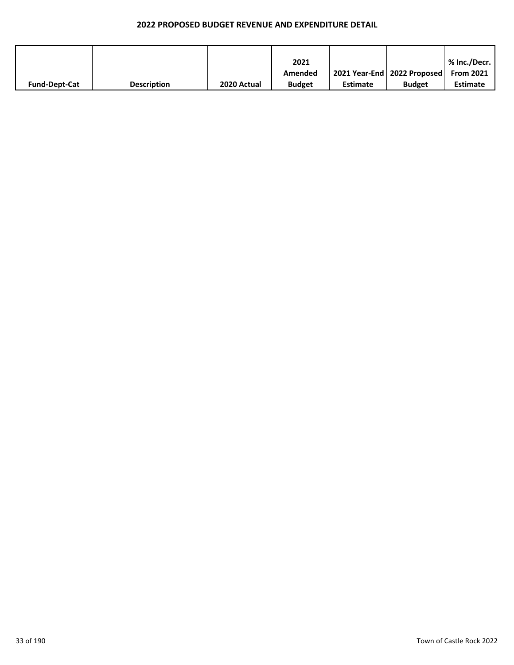|                      |                    |             | 2021          |                 |                                           | % Inc./Decr.    |
|----------------------|--------------------|-------------|---------------|-----------------|-------------------------------------------|-----------------|
|                      |                    |             | Amended       |                 | 2021 Year-End   2022 Proposed   From 2021 |                 |
| <b>Fund-Dept-Cat</b> | <b>Description</b> | 2020 Actual | <b>Budget</b> | <b>Estimate</b> | <b>Budget</b>                             | <b>Estimate</b> |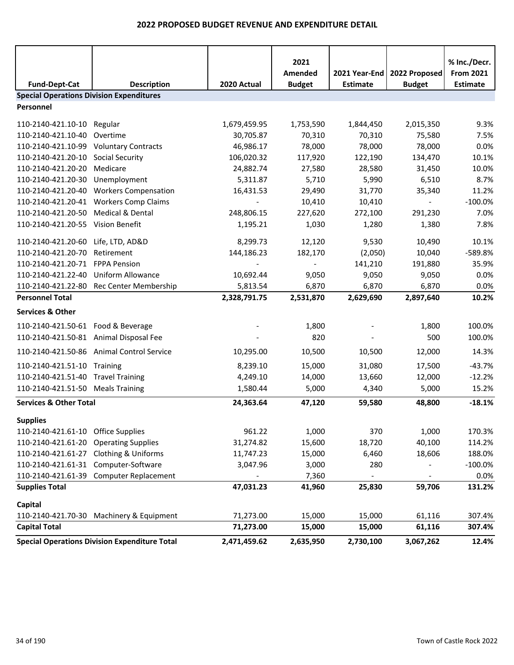| <b>Fund-Dept-Cat</b>                            | <b>Description</b>                                   | 2020 Actual  | 2021<br>Amended<br><b>Budget</b> | 2021 Year-End<br><b>Estimate</b> | 2022 Proposed<br><b>Budget</b> | % Inc./Decr.<br><b>From 2021</b><br><b>Estimate</b> |
|-------------------------------------------------|------------------------------------------------------|--------------|----------------------------------|----------------------------------|--------------------------------|-----------------------------------------------------|
| <b>Special Operations Division Expenditures</b> |                                                      |              |                                  |                                  |                                |                                                     |
| Personnel                                       |                                                      |              |                                  |                                  |                                |                                                     |
| 110-2140-421.10-10                              | Regular                                              | 1,679,459.95 | 1,753,590                        | 1,844,450                        | 2,015,350                      | 9.3%                                                |
| 110-2140-421.10-40                              | Overtime                                             | 30,705.87    | 70,310                           | 70,310                           | 75,580                         | 7.5%                                                |
| 110-2140-421.10-99                              | <b>Voluntary Contracts</b>                           | 46,986.17    | 78,000                           | 78,000                           | 78,000                         | 0.0%                                                |
| 110-2140-421.20-10                              | <b>Social Security</b>                               | 106,020.32   | 117,920                          | 122,190                          | 134,470                        | 10.1%                                               |
| 110-2140-421.20-20                              | Medicare                                             | 24,882.74    | 27,580                           | 28,580                           | 31,450                         | 10.0%                                               |
| 110-2140-421.20-30                              | Unemployment                                         | 5,311.87     | 5,710                            | 5,990                            | 6,510                          | 8.7%                                                |
| 110-2140-421.20-40                              | <b>Workers Compensation</b>                          | 16,431.53    | 29,490                           | 31,770                           | 35,340                         | 11.2%                                               |
| 110-2140-421.20-41                              | <b>Workers Comp Claims</b>                           |              | 10,410                           | 10,410                           |                                | $-100.0%$                                           |
| 110-2140-421.20-50                              | Medical & Dental                                     | 248,806.15   | 227,620                          | 272,100                          | 291,230                        | 7.0%                                                |
| 110-2140-421.20-55 Vision Benefit               |                                                      | 1,195.21     | 1,030                            | 1,280                            | 1,380                          | 7.8%                                                |
| 110-2140-421.20-60                              | Life, LTD, AD&D                                      | 8,299.73     | 12,120                           | 9,530                            | 10,490                         | 10.1%                                               |
| 110-2140-421.20-70                              | Retirement                                           | 144,186.23   | 182,170                          | (2,050)                          | 10,040                         | -589.8%                                             |
| 110-2140-421.20-71                              | <b>FPPA Pension</b>                                  |              |                                  | 141,210                          | 191,880                        | 35.9%                                               |
| 110-2140-421.22-40                              | Uniform Allowance                                    | 10,692.44    | 9,050                            | 9,050                            | 9,050                          | 0.0%                                                |
| 110-2140-421.22-80                              | Rec Center Membership                                | 5,813.54     | 6,870                            | 6,870                            | 6,870                          | 0.0%                                                |
| <b>Personnel Total</b>                          |                                                      | 2,328,791.75 | 2,531,870                        | 2,629,690                        | 2,897,640                      | 10.2%                                               |
| <b>Services &amp; Other</b>                     |                                                      |              |                                  |                                  |                                |                                                     |
| 110-2140-421.50-61 Food & Beverage              |                                                      |              | 1,800                            |                                  | 1,800                          | 100.0%                                              |
| 110-2140-421.50-81 Animal Disposal Fee          |                                                      |              | 820                              |                                  | 500                            | 100.0%                                              |
|                                                 | 110-2140-421.50-86 Animal Control Service            | 10,295.00    | 10,500                           | 10,500                           | 12,000                         | 14.3%                                               |
| 110-2140-421.51-10 Training                     |                                                      | 8,239.10     | 15,000                           | 31,080                           | 17,500                         | $-43.7%$                                            |
| 110-2140-421.51-40 Travel Training              |                                                      | 4,249.10     | 14,000                           | 13,660                           | 12,000                         | $-12.2%$                                            |
| 110-2140-421.51-50 Meals Training               |                                                      | 1,580.44     | 5,000                            | 4,340                            | 5,000                          | 15.2%                                               |
| <b>Services &amp; Other Total</b>               |                                                      | 24,363.64    | 47,120                           | 59,580                           | 48,800                         | $-18.1%$                                            |
| <b>Supplies</b>                                 |                                                      |              |                                  |                                  |                                |                                                     |
| 110-2140-421.61-10 Office Supplies              |                                                      | 961.22       | 1,000                            | 370                              | 1,000                          | 170.3%                                              |
| 110-2140-421.61-20                              | <b>Operating Supplies</b>                            | 31,274.82    | 15,600                           | 18,720                           | 40,100                         | 114.2%                                              |
| 110-2140-421.61-27                              | <b>Clothing &amp; Uniforms</b>                       | 11,747.23    | 15,000                           | 6,460                            | 18,606                         | 188.0%                                              |
| 110-2140-421.61-31                              | Computer-Software                                    | 3,047.96     | 3,000                            | 280                              |                                | $-100.0%$                                           |
| 110-2140-421.61-39                              | <b>Computer Replacement</b>                          |              | 7,360                            |                                  |                                | 0.0%                                                |
| <b>Supplies Total</b>                           |                                                      | 47,031.23    | 41,960                           | 25,830                           | 59,706                         | 131.2%                                              |
| Capital                                         |                                                      |              |                                  |                                  |                                |                                                     |
|                                                 | 110-2140-421.70-30 Machinery & Equipment             | 71,273.00    | 15,000                           | 15,000                           | 61,116                         | 307.4%                                              |
| <b>Capital Total</b>                            |                                                      | 71,273.00    | 15,000                           | 15,000                           | 61,116                         | 307.4%                                              |
|                                                 | <b>Special Operations Division Expenditure Total</b> | 2,471,459.62 | 2,635,950                        | 2,730,100                        | 3,067,262                      | 12.4%                                               |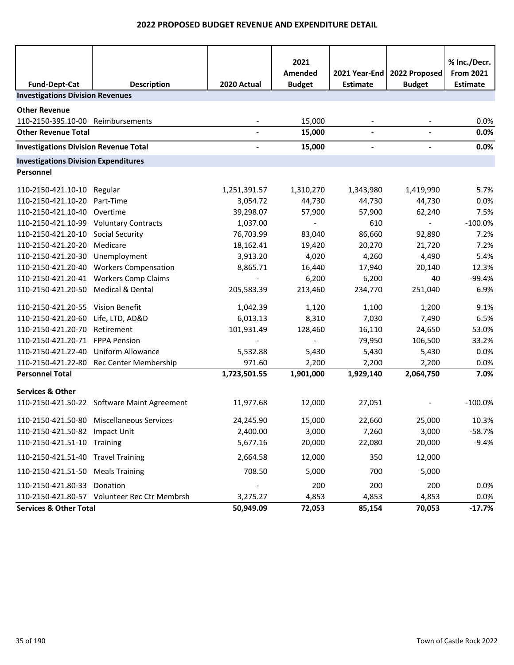| <b>Fund-Dept-Cat</b>                         | <b>Description</b>                           | 2020 Actual              | 2021<br>Amended<br><b>Budget</b> | 2021 Year-End<br><b>Estimate</b> | 2022 Proposed<br><b>Budget</b> | % Inc./Decr.<br><b>From 2021</b><br>Estimate |  |
|----------------------------------------------|----------------------------------------------|--------------------------|----------------------------------|----------------------------------|--------------------------------|----------------------------------------------|--|
| <b>Investigations Division Revenues</b>      |                                              |                          |                                  |                                  |                                |                                              |  |
| <b>Other Revenue</b>                         |                                              |                          |                                  |                                  |                                |                                              |  |
| 110-2150-395.10-00 Reimbursements            |                                              |                          | 15,000                           |                                  |                                | 0.0%                                         |  |
| <b>Other Revenue Total</b>                   |                                              | $\blacksquare$           | 15,000                           | $\overline{\phantom{a}}$         | $\overline{\phantom{a}}$       | 0.0%                                         |  |
| <b>Investigations Division Revenue Total</b> |                                              | $\overline{\phantom{a}}$ | 15,000                           | $\overline{\phantom{a}}$         | $\blacksquare$                 | 0.0%                                         |  |
| <b>Investigations Division Expenditures</b>  |                                              |                          |                                  |                                  |                                |                                              |  |
| Personnel                                    |                                              |                          |                                  |                                  |                                |                                              |  |
| 110-2150-421.10-10 Regular                   |                                              | 1,251,391.57             | 1,310,270                        | 1,343,980                        | 1,419,990                      | 5.7%                                         |  |
| 110-2150-421.10-20                           | Part-Time                                    | 3,054.72                 | 44,730                           | 44,730                           | 44,730                         | 0.0%                                         |  |
| 110-2150-421.10-40 Overtime                  |                                              | 39,298.07                | 57,900                           | 57,900                           | 62,240                         | 7.5%                                         |  |
| 110-2150-421.10-99 Voluntary Contracts       |                                              | 1,037.00                 | $\sim$                           | 610                              | $\sim$                         | $-100.0%$                                    |  |
| 110-2150-421.20-10 Social Security           |                                              | 76,703.99                | 83,040                           | 86,660                           | 92,890                         | 7.2%                                         |  |
| 110-2150-421.20-20                           | Medicare                                     | 18,162.41                | 19,420                           | 20,270                           | 21,720                         | 7.2%                                         |  |
| 110-2150-421.20-30                           | Unemployment                                 | 3,913.20                 | 4,020                            | 4,260                            | 4,490                          | 5.4%                                         |  |
|                                              | 110-2150-421.20-40 Workers Compensation      | 8,865.71                 | 16,440                           | 17,940                           | 20,140                         | 12.3%                                        |  |
| 110-2150-421.20-41                           | <b>Workers Comp Claims</b>                   |                          | 6,200                            | 6,200                            | 40                             | $-99.4%$                                     |  |
| 110-2150-421.20-50 Medical & Dental          |                                              | 205,583.39               | 213,460                          | 234,770                          | 251,040                        | 6.9%                                         |  |
| 110-2150-421.20-55 Vision Benefit            |                                              | 1,042.39                 | 1,120                            | 1,100                            | 1,200                          | 9.1%                                         |  |
| 110-2150-421.20-60                           | Life, LTD, AD&D                              | 6,013.13                 | 8,310                            | 7,030                            | 7,490                          | 6.5%                                         |  |
| 110-2150-421.20-70                           | Retirement                                   | 101,931.49               | 128,460                          | 16,110                           | 24,650                         | 53.0%                                        |  |
| 110-2150-421.20-71 FPPA Pension              |                                              |                          |                                  | 79,950                           | 106,500                        | 33.2%                                        |  |
| 110-2150-421.22-40                           | <b>Uniform Allowance</b>                     | 5,532.88                 | 5,430                            | 5,430                            | 5,430                          | 0.0%                                         |  |
|                                              | 110-2150-421.22-80 Rec Center Membership     | 971.60                   | 2,200                            | 2,200                            | 2,200                          | 0.0%                                         |  |
| <b>Personnel Total</b>                       |                                              | 1,723,501.55             | 1,901,000                        | 1,929,140                        | 2,064,750                      | 7.0%                                         |  |
| <b>Services &amp; Other</b>                  |                                              |                          |                                  |                                  |                                |                                              |  |
|                                              | 110-2150-421.50-22 Software Maint Agreement  | 11,977.68                | 12,000                           | 27,051                           |                                | $-100.0%$                                    |  |
|                                              | 110-2150-421.50-80 Miscellaneous Services    | 24,245.90                | 15,000                           | 22,660                           | 25,000                         | 10.3%                                        |  |
| 110-2150-421.50-82 Impact Unit               |                                              | 2,400.00                 | 3,000                            | 7,260                            | 3,000                          | $-58.7%$                                     |  |
| 110-2150-421.51-10 Training                  |                                              | 5,677.16                 | 20,000                           | 22,080                           | 20,000                         | $-9.4%$                                      |  |
| 110-2150-421.51-40 Travel Training           |                                              | 2,664.58                 | 12,000                           | 350                              | 12,000                         |                                              |  |
| 110-2150-421.51-50 Meals Training            |                                              | 708.50                   | 5,000                            | 700                              | 5,000                          |                                              |  |
| 110-2150-421.80-33 Donation                  |                                              |                          | 200                              | 200                              | 200                            | 0.0%                                         |  |
|                                              | 110-2150-421.80-57 Volunteer Rec Ctr Membrsh | 3,275.27                 | 4,853                            | 4,853                            | 4,853                          | 0.0%                                         |  |
| <b>Services &amp; Other Total</b>            |                                              | 50,949.09                | 72,053                           | 85,154                           | 70,053                         | $-17.7%$                                     |  |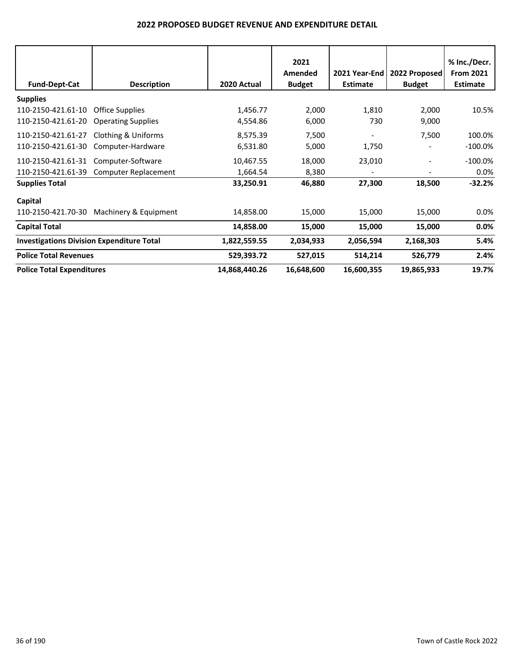| <b>Fund-Dept-Cat</b>                             | <b>Description</b>                                  | 2020 Actual           | 2021<br>Amended<br><b>Budget</b> | 2021 Year-End<br><b>Estimate</b> | 2022 Proposed<br><b>Budget</b> | % Inc./Decr.<br><b>From 2021</b><br><b>Estimate</b> |
|--------------------------------------------------|-----------------------------------------------------|-----------------------|----------------------------------|----------------------------------|--------------------------------|-----------------------------------------------------|
| <b>Supplies</b>                                  |                                                     |                       |                                  |                                  |                                |                                                     |
| 110-2150-421.61-10<br>110-2150-421.61-20         | <b>Office Supplies</b><br><b>Operating Supplies</b> | 1,456.77<br>4,554.86  | 2,000<br>6,000                   | 1,810<br>730                     | 2,000<br>9,000                 | 10.5%                                               |
| 110-2150-421.61-27<br>110-2150-421.61-30         | Clothing & Uniforms<br>Computer-Hardware            | 8,575.39<br>6,531.80  | 7,500<br>5,000                   | 1,750                            | 7,500                          | 100.0%<br>$-100.0\%$                                |
| 110-2150-421.61-31<br>110-2150-421.61-39         | Computer-Software<br><b>Computer Replacement</b>    | 10,467.55<br>1,664.54 | 18,000<br>8,380                  | 23,010                           |                                | $-100.0\%$<br>$0.0\%$                               |
| <b>Supplies Total</b>                            |                                                     | 33,250.91             | 46,880                           | 27,300                           | 18,500                         | $-32.2%$                                            |
| Capital<br>110-2150-421.70-30                    | Machinery & Equipment                               | 14,858.00             | 15,000                           | 15,000                           | 15,000                         | $0.0\%$                                             |
| <b>Capital Total</b>                             |                                                     | 14,858.00             | 15,000                           | 15,000                           | 15,000                         | 0.0%                                                |
| <b>Investigations Division Expenditure Total</b> |                                                     | 1,822,559.55          | 2,034,933                        | 2,056,594                        | 2,168,303                      | 5.4%                                                |
| <b>Police Total Revenues</b>                     |                                                     | 529,393.72            | 527,015                          | 514,214                          | 526,779                        | 2.4%                                                |
| <b>Police Total Expenditures</b>                 |                                                     | 14,868,440.26         | 16,648,600                       | 16,600,355                       | 19,865,933                     | 19.7%                                               |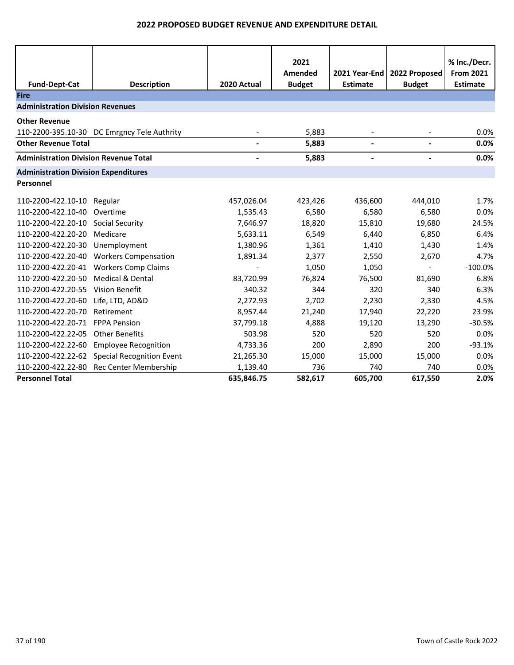| <b>Fund-Dept-Cat</b>                         | <b>Description</b>                           | 2020 Actual | 2021<br>Amended<br><b>Budget</b> | 2021 Year-End<br><b>Estimate</b> | 2022 Proposed<br><b>Budget</b> | % Inc./Decr.<br><b>From 2021</b><br><b>Estimate</b> |
|----------------------------------------------|----------------------------------------------|-------------|----------------------------------|----------------------------------|--------------------------------|-----------------------------------------------------|
| <b>Fire</b>                                  |                                              |             |                                  |                                  |                                |                                                     |
| <b>Administration Division Revenues</b>      |                                              |             |                                  |                                  |                                |                                                     |
| <b>Other Revenue</b>                         |                                              |             |                                  |                                  |                                |                                                     |
|                                              | 110-2200-395.10-30 DC Emrgncy Tele Authrity  |             | 5,883                            |                                  |                                | 0.0%                                                |
| <b>Other Revenue Total</b>                   |                                              |             | 5,883                            |                                  |                                | 0.0%                                                |
| <b>Administration Division Revenue Total</b> |                                              |             | 5,883                            |                                  |                                | 0.0%                                                |
| <b>Administration Division Expenditures</b>  |                                              |             |                                  |                                  |                                |                                                     |
| Personnel                                    |                                              |             |                                  |                                  |                                |                                                     |
| 110-2200-422.10-10                           | Regular                                      | 457,026.04  | 423,426                          | 436,600                          | 444,010                        | 1.7%                                                |
| 110-2200-422.10-40                           | Overtime                                     | 1,535.43    | 6,580                            | 6,580                            | 6,580                          | 0.0%                                                |
| 110-2200-422.20-10                           | <b>Social Security</b>                       | 7,646.97    | 18,820                           | 15,810                           | 19,680                         | 24.5%                                               |
| 110-2200-422.20-20                           | Medicare                                     | 5,633.11    | 6,549                            | 6,440                            | 6,850                          | 6.4%                                                |
| 110-2200-422.20-30                           | Unemployment                                 | 1,380.96    | 1,361                            | 1,410                            | 1,430                          | 1.4%                                                |
| 110-2200-422.20-40                           | <b>Workers Compensation</b>                  | 1,891.34    | 2,377                            | 2,550                            | 2,670                          | 4.7%                                                |
| 110-2200-422.20-41                           | <b>Workers Comp Claims</b>                   |             | 1,050                            | 1,050                            |                                | $-100.0%$                                           |
| 110-2200-422.20-50                           | <b>Medical &amp; Dental</b>                  | 83,720.99   | 76,824                           | 76,500                           | 81,690                         | 6.8%                                                |
| 110-2200-422.20-55                           | <b>Vision Benefit</b>                        | 340.32      | 344                              | 320                              | 340                            | 6.3%                                                |
| 110-2200-422.20-60                           | Life, LTD, AD&D                              | 2,272.93    | 2,702                            | 2,230                            | 2,330                          | 4.5%                                                |
| 110-2200-422.20-70                           | Retirement                                   | 8,957.44    | 21,240                           | 17,940                           | 22,220                         | 23.9%                                               |
| 110-2200-422.20-71                           | <b>FPPA Pension</b>                          | 37,799.18   | 4,888                            | 19,120                           | 13,290                         | $-30.5%$                                            |
| 110-2200-422.22-05                           | <b>Other Benefits</b>                        | 503.98      | 520                              | 520                              | 520                            | 0.0%                                                |
| 110-2200-422.22-60                           | <b>Employee Recognition</b>                  | 4,733.36    | 200                              | 2,890                            | 200                            | $-93.1%$                                            |
|                                              | 110-2200-422.22-62 Special Recognition Event | 21,265.30   | 15,000                           | 15,000                           | 15,000                         | 0.0%                                                |
| 110-2200-422.22-80                           | Rec Center Membership                        | 1,139.40    | 736                              | 740                              | 740                            | 0.0%                                                |
| <b>Personnel Total</b>                       |                                              | 635,846.75  | 582,617                          | 605,700                          | 617,550                        | 2.0%                                                |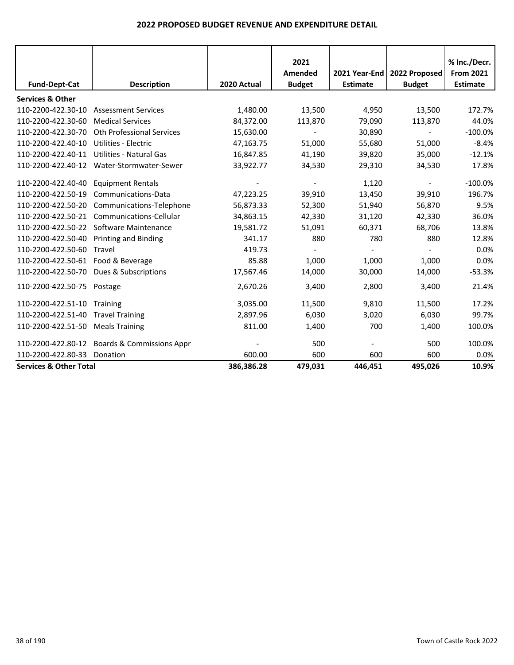|                                    |                                           |             | 2021          |                 |                               | % Inc./Decr.     |
|------------------------------------|-------------------------------------------|-------------|---------------|-----------------|-------------------------------|------------------|
|                                    |                                           |             | Amended       |                 | 2021 Year-End   2022 Proposed | <b>From 2021</b> |
| <b>Fund-Dept-Cat</b>               | <b>Description</b>                        | 2020 Actual | <b>Budget</b> | <b>Estimate</b> | <b>Budget</b>                 | <b>Estimate</b>  |
| <b>Services &amp; Other</b>        |                                           |             |               |                 |                               |                  |
| 110-2200-422.30-10                 | <b>Assessment Services</b>                | 1,480.00    | 13,500        | 4,950           | 13,500                        | 172.7%           |
| 110-2200-422.30-60                 | <b>Medical Services</b>                   | 84,372.00   | 113,870       | 79,090          | 113,870                       | 44.0%            |
| 110-2200-422.30-70                 | <b>Oth Professional Services</b>          | 15,630.00   |               | 30,890          |                               | $-100.0%$        |
| 110-2200-422.40-10                 | Utilities - Electric                      | 47,163.75   | 51,000        | 55,680          | 51,000                        | $-8.4%$          |
| 110-2200-422.40-11                 | <b>Utilities - Natural Gas</b>            | 16,847.85   | 41,190        | 39,820          | 35,000                        | $-12.1%$         |
|                                    | 110-2200-422.40-12 Water-Stormwater-Sewer | 33,922.77   | 34,530        | 29,310          | 34,530                        | 17.8%            |
| 110-2200-422.40-40                 | <b>Equipment Rentals</b>                  |             |               | 1,120           |                               | $-100.0%$        |
| 110-2200-422.50-19                 | Communications-Data                       | 47,223.25   | 39,910        | 13,450          | 39,910                        | 196.7%           |
| 110-2200-422.50-20                 | Communications-Telephone                  | 56,873.33   | 52,300        | 51,940          | 56,870                        | 9.5%             |
| 110-2200-422.50-21                 | Communications-Cellular                   | 34,863.15   | 42,330        | 31,120          | 42,330                        | 36.0%            |
|                                    | 110-2200-422.50-22 Software Maintenance   | 19,581.72   | 51,091        | 60,371          | 68,706                        | 13.8%            |
| 110-2200-422.50-40                 | Printing and Binding                      | 341.17      | 880           | 780             | 880                           | 12.8%            |
| 110-2200-422.50-60                 | Travel                                    | 419.73      |               |                 |                               | 0.0%             |
| 110-2200-422.50-61 Food & Beverage |                                           | 85.88       | 1,000         | 1,000           | 1,000                         | 0.0%             |
| 110-2200-422.50-70                 | Dues & Subscriptions                      | 17,567.46   | 14,000        | 30,000          | 14,000                        | $-53.3%$         |
| 110-2200-422.50-75                 | Postage                                   | 2,670.26    | 3,400         | 2,800           | 3,400                         | 21.4%            |
| 110-2200-422.51-10                 | Training                                  | 3,035.00    | 11,500        | 9,810           | 11,500                        | 17.2%            |
| 110-2200-422.51-40                 | <b>Travel Training</b>                    | 2,897.96    | 6,030         | 3,020           | 6,030                         | 99.7%            |
| 110-2200-422.51-50                 | <b>Meals Training</b>                     | 811.00      | 1,400         | 700             | 1,400                         | 100.0%           |
| 110-2200-422.80-12                 | Boards & Commissions Appr                 |             | 500           |                 | 500                           | 100.0%           |
| 110-2200-422.80-33                 | Donation                                  | 600.00      | 600           | 600             | 600                           | 0.0%             |
| <b>Services &amp; Other Total</b>  |                                           | 386,386.28  | 479,031       | 446,451         | 495,026                       | 10.9%            |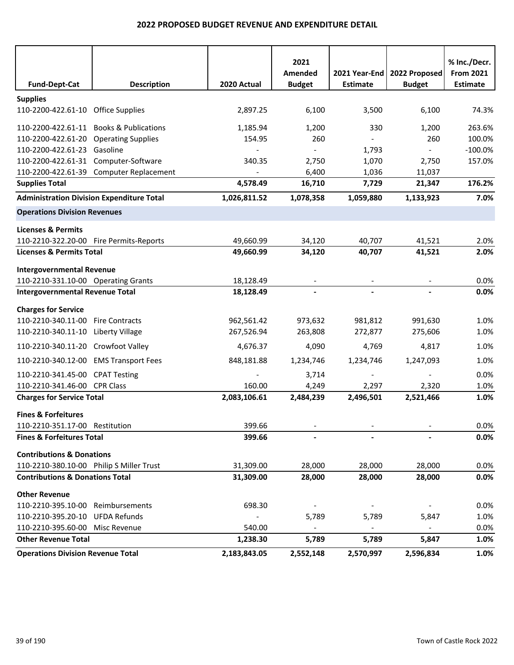| <b>Fund-Dept-Cat</b>                       | <b>Description</b>                               | 2020 Actual              | 2021<br>Amended<br><b>Budget</b> | 2021 Year-End<br><b>Estimate</b> | 2022 Proposed<br><b>Budget</b> | % Inc./Decr.<br><b>From 2021</b><br><b>Estimate</b> |
|--------------------------------------------|--------------------------------------------------|--------------------------|----------------------------------|----------------------------------|--------------------------------|-----------------------------------------------------|
| <b>Supplies</b>                            |                                                  |                          |                                  |                                  |                                |                                                     |
| 110-2200-422.61-10 Office Supplies         |                                                  | 2,897.25                 | 6,100                            | 3,500                            | 6,100                          | 74.3%                                               |
| 110-2200-422.61-11                         | <b>Books &amp; Publications</b>                  | 1,185.94                 | 1,200                            | 330                              | 1,200                          | 263.6%                                              |
| 110-2200-422.61-20 Operating Supplies      |                                                  | 154.95                   | 260                              |                                  | 260                            | 100.0%                                              |
| 110-2200-422.61-23                         | Gasoline                                         |                          |                                  | 1,793                            | $\sim$                         | $-100.0%$                                           |
| 110-2200-422.61-31                         | Computer-Software                                | 340.35                   | 2,750                            | 1,070                            | 2,750                          | 157.0%                                              |
| 110-2200-422.61-39                         | Computer Replacement                             |                          | 6,400                            | 1,036                            | 11,037                         |                                                     |
| <b>Supplies Total</b>                      |                                                  | 4,578.49                 | 16,710                           | 7,729                            | 21,347                         | 176.2%                                              |
|                                            | <b>Administration Division Expenditure Total</b> | 1,026,811.52             | 1,078,358                        | 1,059,880                        | 1,133,923                      | 7.0%                                                |
| <b>Operations Division Revenues</b>        |                                                  |                          |                                  |                                  |                                |                                                     |
| <b>Licenses &amp; Permits</b>              |                                                  |                          |                                  |                                  |                                |                                                     |
| 110-2210-322.20-00 Fire Permits-Reports    |                                                  | 49,660.99                | 34,120                           | 40,707                           | 41,521                         | 2.0%                                                |
| <b>Licenses &amp; Permits Total</b>        |                                                  | 49,660.99                | 34,120                           | 40,707                           | 41,521                         | 2.0%                                                |
| <b>Intergovernmental Revenue</b>           |                                                  |                          |                                  |                                  |                                |                                                     |
| 110-2210-331.10-00 Operating Grants        |                                                  | 18,128.49                |                                  |                                  |                                | 0.0%                                                |
| <b>Intergovernmental Revenue Total</b>     |                                                  | 18,128.49                |                                  |                                  |                                | 0.0%                                                |
| <b>Charges for Service</b>                 |                                                  |                          |                                  |                                  |                                |                                                     |
| 110-2210-340.11-00                         | <b>Fire Contracts</b>                            | 962,561.42               | 973,632                          | 981,812                          | 991,630                        | 1.0%                                                |
| 110-2210-340.11-10                         | Liberty Village                                  | 267,526.94               | 263,808                          | 272,877                          | 275,606                        | 1.0%                                                |
| 110-2210-340.11-20 Crowfoot Valley         |                                                  | 4,676.37                 | 4,090                            | 4,769                            | 4,817                          | 1.0%                                                |
| 110-2210-340.12-00 EMS Transport Fees      |                                                  | 848,181.88               | 1,234,746                        | 1,234,746                        | 1,247,093                      | 1.0%                                                |
| 110-2210-341.45-00 CPAT Testing            |                                                  |                          | 3,714                            |                                  |                                | 0.0%                                                |
| 110-2210-341.46-00 CPR Class               |                                                  | 160.00                   | 4,249                            | 2,297                            | 2,320                          | 1.0%                                                |
| <b>Charges for Service Total</b>           |                                                  | 2,083,106.61             | 2,484,239                        | 2,496,501                        | 2,521,466                      | 1.0%                                                |
| <b>Fines &amp; Forfeitures</b>             |                                                  |                          |                                  |                                  |                                |                                                     |
| 110-2210-351.17-00 Restitution             |                                                  | 399.66                   |                                  |                                  |                                | 0.0%                                                |
| <b>Fines &amp; Forfeitures Total</b>       |                                                  | 399.66                   |                                  |                                  |                                | 0.0%                                                |
| <b>Contributions &amp; Donations</b>       |                                                  |                          |                                  |                                  |                                |                                                     |
| 110-2210-380.10-00 Philip S Miller Trust   |                                                  | 31,309.00                | 28,000                           | 28,000                           | 28,000                         | 0.0%                                                |
| <b>Contributions &amp; Donations Total</b> |                                                  | 31,309.00                | 28,000                           | 28,000                           | 28,000                         | 0.0%                                                |
| <b>Other Revenue</b>                       |                                                  |                          |                                  |                                  |                                |                                                     |
| 110-2210-395.10-00                         | Reimbursements                                   | 698.30                   |                                  |                                  |                                | 0.0%                                                |
| 110-2210-395.20-10                         | <b>UFDA Refunds</b>                              | $\overline{\phantom{a}}$ | 5,789                            | 5,789                            | 5,847                          | 1.0%                                                |
| 110-2210-395.60-00 Misc Revenue            |                                                  | 540.00                   |                                  | $\overline{\phantom{a}}$         | $\blacksquare$                 | 0.0%                                                |
| <b>Other Revenue Total</b>                 |                                                  | 1,238.30                 | 5,789                            | 5,789                            | 5,847                          | 1.0%                                                |
| <b>Operations Division Revenue Total</b>   |                                                  | 2,183,843.05             | 2,552,148                        | 2,570,997                        | 2,596,834                      | 1.0%                                                |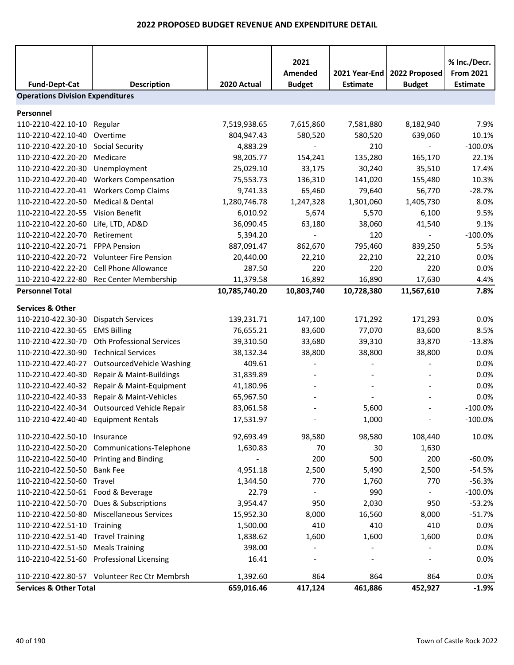| <b>Fund-Dept-Cat</b>                    | <b>Description</b>                           | 2020 Actual   | 2021<br>Amended<br><b>Budget</b> | 2021 Year-End<br><b>Estimate</b> | 2022 Proposed<br><b>Budget</b> | % Inc./Decr.<br><b>From 2021</b><br><b>Estimate</b> |
|-----------------------------------------|----------------------------------------------|---------------|----------------------------------|----------------------------------|--------------------------------|-----------------------------------------------------|
| <b>Operations Division Expenditures</b> |                                              |               |                                  |                                  |                                |                                                     |
| Personnel                               |                                              |               |                                  |                                  |                                |                                                     |
| 110-2210-422.10-10                      | Regular                                      | 7,519,938.65  | 7,615,860                        | 7,581,880                        | 8,182,940                      | 7.9%                                                |
| 110-2210-422.10-40                      | Overtime                                     | 804,947.43    | 580,520                          | 580,520                          | 639,060                        | 10.1%                                               |
| 110-2210-422.20-10                      | <b>Social Security</b>                       | 4,883.29      |                                  | 210                              |                                | $-100.0%$                                           |
| 110-2210-422.20-20                      | Medicare                                     | 98,205.77     | 154,241                          | 135,280                          | 165,170                        | 22.1%                                               |
| 110-2210-422.20-30                      | Unemployment                                 | 25,029.10     | 33,175                           | 30,240                           | 35,510                         | 17.4%                                               |
| 110-2210-422.20-40                      | <b>Workers Compensation</b>                  | 75,553.73     | 136,310                          | 141,020                          | 155,480                        | 10.3%                                               |
| 110-2210-422.20-41                      | <b>Workers Comp Claims</b>                   | 9,741.33      | 65,460                           | 79,640                           | 56,770                         | $-28.7%$                                            |
| 110-2210-422.20-50                      | Medical & Dental                             | 1,280,746.78  | 1,247,328                        | 1,301,060                        | 1,405,730                      | 8.0%                                                |
| 110-2210-422.20-55                      | Vision Benefit                               | 6,010.92      | 5,674                            | 5,570                            | 6,100                          | 9.5%                                                |
| 110-2210-422.20-60                      | Life, LTD, AD&D                              | 36,090.45     | 63,180                           | 38,060                           | 41,540                         | 9.1%                                                |
| 110-2210-422.20-70                      | Retirement                                   | 5,394.20      |                                  | 120                              | $\overline{\phantom{a}}$       | $-100.0%$                                           |
| 110-2210-422.20-71                      | <b>FPPA Pension</b>                          | 887,091.47    | 862,670                          | 795,460                          | 839,250                        | 5.5%                                                |
| 110-2210-422.20-72                      | <b>Volunteer Fire Pension</b>                | 20,440.00     | 22,210                           | 22,210                           | 22,210                         | 0.0%                                                |
| 110-2210-422.22-20                      | Cell Phone Allowance                         | 287.50        | 220                              | 220                              | 220                            | 0.0%                                                |
|                                         | 110-2210-422.22-80 Rec Center Membership     | 11,379.58     | 16,892                           | 16,890                           | 17,630                         | 4.4%                                                |
| <b>Personnel Total</b>                  |                                              | 10,785,740.20 | 10,803,740                       | 10,728,380                       | 11,567,610                     | 7.8%                                                |
| <b>Services &amp; Other</b>             |                                              |               |                                  |                                  |                                |                                                     |
| 110-2210-422.30-30                      | <b>Dispatch Services</b>                     | 139,231.71    | 147,100                          | 171,292                          | 171,293                        | 0.0%                                                |
| 110-2210-422.30-65                      | <b>EMS Billing</b>                           | 76,655.21     | 83,600                           | 77,070                           | 83,600                         | 8.5%                                                |
| 110-2210-422.30-70                      | Oth Professional Services                    | 39,310.50     | 33,680                           | 39,310                           | 33,870                         | $-13.8%$                                            |
| 110-2210-422.30-90                      | <b>Technical Services</b>                    | 38,132.34     | 38,800                           | 38,800                           | 38,800                         | 0.0%                                                |
| 110-2210-422.40-27                      | OutsourcedVehicle Washing                    | 409.61        |                                  |                                  |                                | 0.0%                                                |
| 110-2210-422.40-30                      | Repair & Maint-Buildings                     | 31,839.89     |                                  |                                  |                                | 0.0%                                                |
| 110-2210-422.40-32                      | Repair & Maint-Equipment                     | 41,180.96     |                                  |                                  |                                | 0.0%                                                |
| 110-2210-422.40-33                      | Repair & Maint-Vehicles                      | 65,967.50     |                                  |                                  |                                | 0.0%                                                |
| 110-2210-422.40-34                      | <b>Outsourced Vehicle Repair</b>             | 83,061.58     |                                  | 5,600                            |                                | $-100.0%$                                           |
| 110-2210-422.40-40 Equipment Rentals    |                                              | 17,531.97     |                                  | 1,000                            |                                | $-100.0%$                                           |
| 110-2210-422.50-10 Insurance            |                                              | 92,693.49     | 98,580                           | 98,580                           | 108,440                        | 10.0%                                               |
|                                         | 110-2210-422.50-20 Communications-Telephone  | 1,630.83      | 70                               | 30                               | 1,630                          |                                                     |
| 110-2210-422.50-40 Printing and Binding |                                              |               | 200                              | 500                              | 200                            | $-60.0%$                                            |
| 110-2210-422.50-50                      | <b>Bank Fee</b>                              | 4,951.18      | 2,500                            | 5,490                            | 2,500                          | $-54.5%$                                            |
| 110-2210-422.50-60 Travel               |                                              | 1,344.50      | 770                              | 1,760                            | 770                            | $-56.3%$                                            |
| 110-2210-422.50-61 Food & Beverage      |                                              | 22.79         |                                  | 990                              |                                | $-100.0%$                                           |
|                                         | 110-2210-422.50-70 Dues & Subscriptions      | 3,954.47      | 950                              | 2,030                            | 950                            | $-53.2%$                                            |
| 110-2210-422.50-80                      | <b>Miscellaneous Services</b>                | 15,952.30     | 8,000                            | 16,560                           | 8,000                          | $-51.7%$                                            |
| 110-2210-422.51-10 Training             |                                              | 1,500.00      | 410                              | 410                              | 410                            | 0.0%                                                |
| 110-2210-422.51-40 Travel Training      |                                              | 1,838.62      | 1,600                            | 1,600                            | 1,600                          | 0.0%                                                |
| 110-2210-422.51-50                      | <b>Meals Training</b>                        | 398.00        |                                  |                                  |                                | 0.0%                                                |
|                                         | 110-2210-422.51-60 Professional Licensing    | 16.41         |                                  |                                  |                                | 0.0%                                                |
|                                         | 110-2210-422.80-57 Volunteer Rec Ctr Membrsh | 1,392.60      | 864                              | 864                              | 864                            | 0.0%                                                |
| <b>Services &amp; Other Total</b>       |                                              | 659,016.46    | 417,124                          | 461,886                          | 452,927                        | $-1.9%$                                             |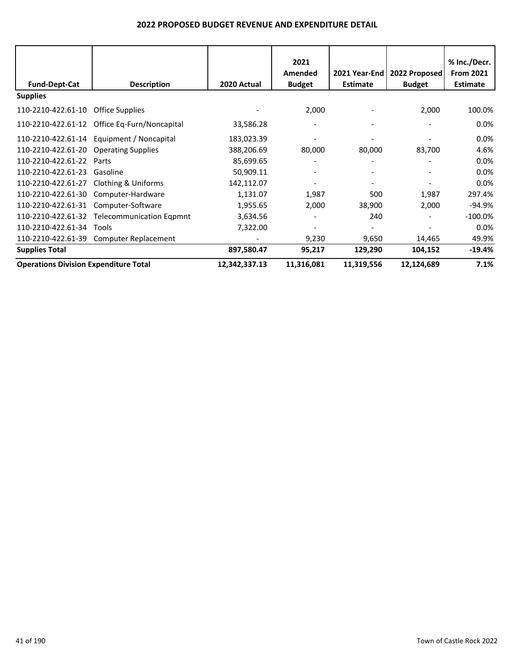|                                              |                                              |               | 2021<br>Amended |                 | 2021 Year-End   2022 Proposed | % Inc./Decr.<br><b>From 2021</b> |
|----------------------------------------------|----------------------------------------------|---------------|-----------------|-----------------|-------------------------------|----------------------------------|
| <b>Fund-Dept-Cat</b>                         | <b>Description</b>                           | 2020 Actual   | <b>Budget</b>   | <b>Estimate</b> | <b>Budget</b>                 | <b>Estimate</b>                  |
| <b>Supplies</b>                              |                                              |               |                 |                 |                               |                                  |
| 110-2210-422.61-10 Office Supplies           |                                              |               | 2,000           |                 | 2,000                         | 100.0%                           |
|                                              | 110-2210-422.61-12 Office Eq-Furn/Noncapital | 33,586.28     |                 |                 |                               | $0.0\%$                          |
|                                              | 110-2210-422.61-14 Equipment / Noncapital    | 183,023.39    |                 |                 |                               | $0.0\%$                          |
| 110-2210-422.61-20 Operating Supplies        |                                              | 388,206.69    | 80,000          | 80,000          | 83,700                        | 4.6%                             |
| 110-2210-422.61-22                           | Parts                                        | 85,699.65     |                 |                 |                               | $0.0\%$                          |
| 110-2210-422.61-23                           | Gasoline                                     | 50,909.11     |                 |                 |                               | $0.0\%$                          |
| 110-2210-422.61-27                           | <b>Clothing &amp; Uniforms</b>               | 142,112.07    |                 |                 |                               | 0.0%                             |
| 110-2210-422.61-30                           | Computer-Hardware                            | 1,131.07      | 1,987           | 500             | 1,987                         | 297.4%                           |
| 110-2210-422.61-31                           | Computer-Software                            | 1,955.65      | 2,000           | 38,900          | 2,000                         | $-94.9%$                         |
|                                              | 110-2210-422.61-32 Telecommunication Eqpmnt  | 3,634.56      |                 | 240             |                               | $-100.0\%$                       |
| 110-2210-422.61-34                           | <b>Tools</b>                                 | 7,322.00      |                 |                 |                               | $0.0\%$                          |
|                                              | 110-2210-422.61-39 Computer Replacement      |               | 9,230           | 9,650           | 14,465                        | 49.9%                            |
| <b>Supplies Total</b>                        |                                              | 897,580.47    | 95,217          | 129,290         | 104,152                       | $-19.4%$                         |
| <b>Operations Division Expenditure Total</b> |                                              | 12,342,337.13 | 11,316,081      | 11,319,556      | 12,124,689                    | 7.1%                             |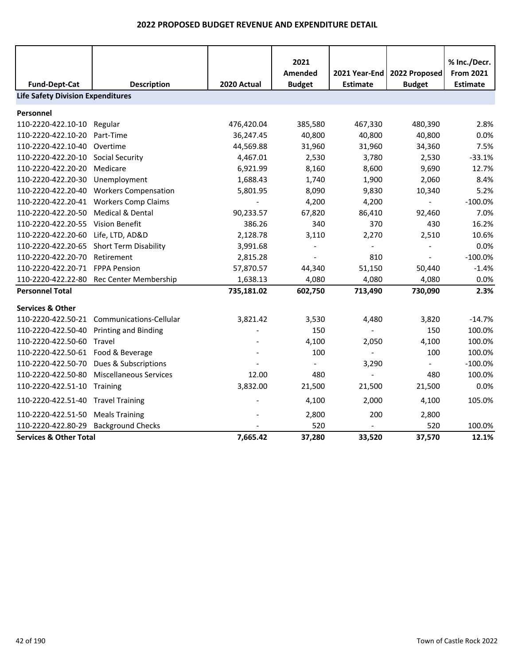|                                          |                                          |             | 2021<br>Amended          | 2021 Year-End   | 2022 Proposed  | % Inc./Decr.<br><b>From 2021</b> |
|------------------------------------------|------------------------------------------|-------------|--------------------------|-----------------|----------------|----------------------------------|
| <b>Fund-Dept-Cat</b>                     | <b>Description</b>                       | 2020 Actual | <b>Budget</b>            | <b>Estimate</b> | <b>Budget</b>  | <b>Estimate</b>                  |
| <b>Life Safety Division Expenditures</b> |                                          |             |                          |                 |                |                                  |
| Personnel                                |                                          |             |                          |                 |                |                                  |
| 110-2220-422.10-10                       | Regular                                  | 476,420.04  | 385,580                  | 467,330         | 480,390        | 2.8%                             |
| 110-2220-422.10-20                       | Part-Time                                | 36,247.45   | 40,800                   | 40,800          | 40,800         | 0.0%                             |
| 110-2220-422.10-40                       | Overtime                                 | 44,569.88   | 31,960                   | 31,960          | 34,360         | 7.5%                             |
| 110-2220-422.20-10                       | <b>Social Security</b>                   | 4,467.01    | 2,530                    | 3,780           | 2,530          | $-33.1%$                         |
| 110-2220-422.20-20                       | Medicare                                 | 6,921.99    | 8,160                    | 8,600           | 9,690          | 12.7%                            |
| 110-2220-422.20-30                       | Unemployment                             | 1,688.43    | 1,740                    | 1,900           | 2,060          | 8.4%                             |
| 110-2220-422.20-40                       | <b>Workers Compensation</b>              | 5,801.95    | 8,090                    | 9,830           | 10,340         | 5.2%                             |
| 110-2220-422.20-41                       | <b>Workers Comp Claims</b>               |             | 4,200                    | 4,200           |                | $-100.0%$                        |
| 110-2220-422.20-50                       | <b>Medical &amp; Dental</b>              | 90,233.57   | 67,820                   | 86,410          | 92,460         | 7.0%                             |
| 110-2220-422.20-55                       | <b>Vision Benefit</b>                    | 386.26      | 340                      | 370             | 430            | 16.2%                            |
| 110-2220-422.20-60 Life, LTD, AD&D       |                                          | 2,128.78    | 3,110                    | 2,270           | 2,510          | 10.6%                            |
| 110-2220-422.20-65                       | <b>Short Term Disability</b>             | 3,991.68    | $\overline{\phantom{a}}$ |                 | $\sim$         | 0.0%                             |
| 110-2220-422.20-70                       | Retirement                               | 2,815.28    | $\overline{\phantom{a}}$ | 810             | $\blacksquare$ | $-100.0%$                        |
| 110-2220-422.20-71                       | <b>FPPA Pension</b>                      | 57,870.57   | 44,340                   | 51,150          | 50,440         | $-1.4%$                          |
|                                          | 110-2220-422.22-80 Rec Center Membership | 1,638.13    | 4,080                    | 4,080           | 4,080          | 0.0%                             |
| <b>Personnel Total</b>                   |                                          | 735,181.02  | 602,750                  | 713,490         | 730,090        | 2.3%                             |
| <b>Services &amp; Other</b>              |                                          |             |                          |                 |                |                                  |
| 110-2220-422.50-21                       | Communications-Cellular                  | 3,821.42    | 3,530                    | 4,480           | 3,820          | $-14.7%$                         |
| 110-2220-422.50-40                       | <b>Printing and Binding</b>              |             | 150                      |                 | 150            | 100.0%                           |
| 110-2220-422.50-60                       | Travel                                   |             | 4,100                    | 2,050           | 4,100          | 100.0%                           |
| 110-2220-422.50-61 Food & Beverage       |                                          |             | 100                      | $\overline{a}$  | 100            | 100.0%                           |
| 110-2220-422.50-70                       | Dues & Subscriptions                     |             | $\blacksquare$           | 3,290           | $\blacksquare$ | $-100.0%$                        |
| 110-2220-422.50-80                       | <b>Miscellaneous Services</b>            | 12.00       | 480                      |                 | 480            | 100.0%                           |
| 110-2220-422.51-10                       | Training                                 | 3,832.00    | 21,500                   | 21,500          | 21,500         | 0.0%                             |
| 110-2220-422.51-40 Travel Training       |                                          |             | 4,100                    | 2,000           | 4,100          | 105.0%                           |
| 110-2220-422.51-50                       | <b>Meals Training</b>                    |             | 2,800                    | 200             | 2,800          |                                  |
| 110-2220-422.80-29                       | <b>Background Checks</b>                 |             | 520                      |                 | 520            | 100.0%                           |
| <b>Services &amp; Other Total</b>        |                                          | 7,665.42    | 37,280                   | 33,520          | 37,570         | 12.1%                            |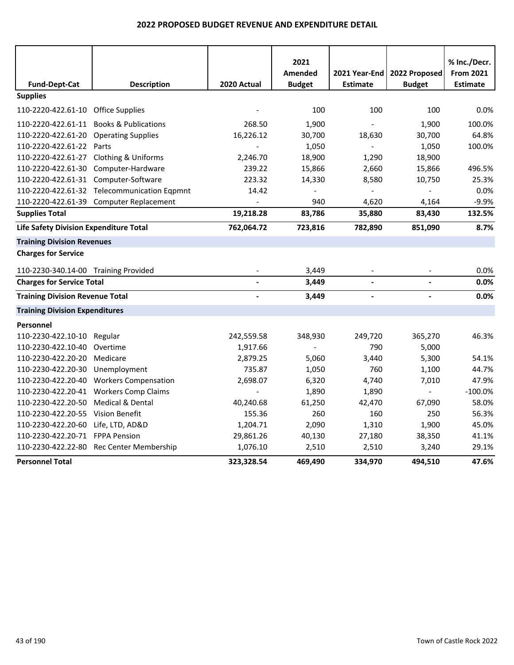|                                        |                                             |             | 2021           |                 |               | % Inc./Decr.     |
|----------------------------------------|---------------------------------------------|-------------|----------------|-----------------|---------------|------------------|
|                                        |                                             |             | <b>Amended</b> | 2021 Year-End   | 2022 Proposed | <b>From 2021</b> |
| <b>Fund-Dept-Cat</b>                   | <b>Description</b>                          | 2020 Actual | <b>Budget</b>  | <b>Estimate</b> | <b>Budget</b> | <b>Estimate</b>  |
| <b>Supplies</b>                        |                                             |             |                |                 |               |                  |
| 110-2220-422.61-10 Office Supplies     |                                             |             | 100            | 100             | 100           | 0.0%             |
|                                        | 110-2220-422.61-11 Books & Publications     | 268.50      | 1,900          |                 | 1,900         | 100.0%           |
| 110-2220-422.61-20 Operating Supplies  |                                             | 16,226.12   | 30,700         | 18,630          | 30,700        | 64.8%            |
| 110-2220-422.61-22 Parts               |                                             |             | 1,050          | $\overline{a}$  | 1,050         | 100.0%           |
| 110-2220-422.61-27 Clothing & Uniforms |                                             | 2,246.70    | 18,900         | 1,290           | 18,900        |                  |
| 110-2220-422.61-30 Computer-Hardware   |                                             | 239.22      | 15,866         | 2,660           | 15,866        | 496.5%           |
| 110-2220-422.61-31 Computer-Software   |                                             | 223.32      | 14,330         | 8,580           | 10,750        | 25.3%            |
|                                        | 110-2220-422.61-32 Telecommunication Eqpmnt | 14.42       | $\overline{a}$ |                 |               | 0.0%             |
|                                        | 110-2220-422.61-39 Computer Replacement     |             | 940            | 4,620           | 4,164         | $-9.9%$          |
| <b>Supplies Total</b>                  |                                             | 19,218.28   | 83,786         | 35,880          | 83,430        | 132.5%           |
| Life Safety Division Expenditure Total |                                             | 762,064.72  | 723,816        | 782,890         | 851,090       | 8.7%             |
| <b>Training Division Revenues</b>      |                                             |             |                |                 |               |                  |
| <b>Charges for Service</b>             |                                             |             |                |                 |               |                  |
| 110-2230-340.14-00 Training Provided   |                                             |             | 3,449          |                 |               | 0.0%             |
| <b>Charges for Service Total</b>       |                                             |             | 3,449          | $\overline{a}$  |               | 0.0%             |
| <b>Training Division Revenue Total</b> |                                             |             | 3,449          |                 |               | 0.0%             |
| <b>Training Division Expenditures</b>  |                                             |             |                |                 |               |                  |
| Personnel                              |                                             |             |                |                 |               |                  |
| 110-2230-422.10-10                     | Regular                                     | 242,559.58  | 348,930        | 249,720         | 365,270       | 46.3%            |
| 110-2230-422.10-40                     | Overtime                                    | 1,917.66    |                | 790             | 5,000         |                  |
| 110-2230-422.20-20                     | Medicare                                    | 2,879.25    | 5,060          | 3,440           | 5,300         | 54.1%            |
| 110-2230-422.20-30                     | Unemployment                                | 735.87      | 1,050          | 760             | 1,100         | 44.7%            |
| 110-2230-422.20-40                     | <b>Workers Compensation</b>                 | 2,698.07    | 6,320          | 4,740           | 7,010         | 47.9%            |
|                                        | 110-2230-422.20-41 Workers Comp Claims      |             | 1,890          | 1,890           |               | $-100.0%$        |
| 110-2230-422.20-50                     | <b>Medical &amp; Dental</b>                 | 40,240.68   | 61,250         | 42,470          | 67,090        | 58.0%            |
| 110-2230-422.20-55                     | Vision Benefit                              | 155.36      | 260            | 160             | 250           | 56.3%            |
| 110-2230-422.20-60                     | Life, LTD, AD&D                             | 1,204.71    | 2,090          | 1,310           | 1,900         | 45.0%            |
| 110-2230-422.20-71 FPPA Pension        |                                             | 29,861.26   | 40,130         | 27,180          | 38,350        | 41.1%            |
|                                        | 110-2230-422.22-80 Rec Center Membership    | 1,076.10    | 2,510          | 2,510           | 3,240         | 29.1%            |
| <b>Personnel Total</b>                 |                                             | 323,328.54  | 469,490        | 334,970         | 494,510       | 47.6%            |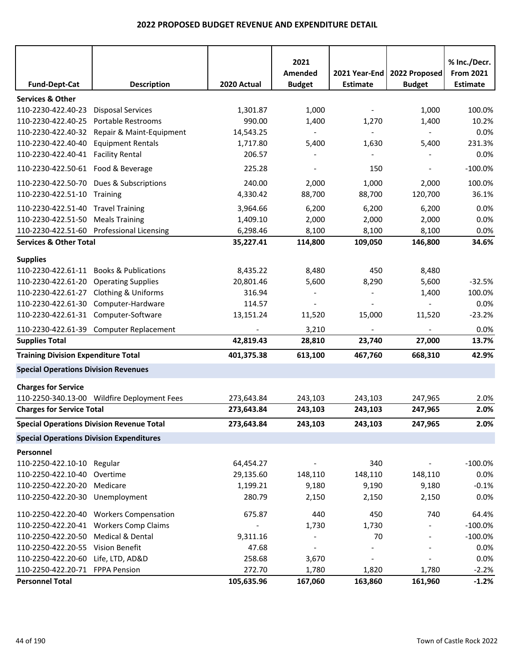|                                                  |                                             |             | 2021<br>Amended          | 2021 Year-End   | 2022 Proposed                | % Inc./Decr.<br><b>From 2021</b> |
|--------------------------------------------------|---------------------------------------------|-------------|--------------------------|-----------------|------------------------------|----------------------------------|
| <b>Fund-Dept-Cat</b>                             | <b>Description</b>                          | 2020 Actual | <b>Budget</b>            | <b>Estimate</b> | <b>Budget</b>                | <b>Estimate</b>                  |
| <b>Services &amp; Other</b>                      |                                             |             |                          |                 |                              |                                  |
| 110-2230-422.40-23                               | <b>Disposal Services</b>                    | 1,301.87    | 1,000                    |                 | 1,000                        | 100.0%                           |
| 110-2230-422.40-25                               | Portable Restrooms                          | 990.00      | 1,400                    | 1,270           | 1,400                        | 10.2%                            |
| 110-2230-422.40-32                               | Repair & Maint-Equipment                    | 14,543.25   |                          |                 |                              | 0.0%                             |
| 110-2230-422.40-40                               | <b>Equipment Rentals</b>                    | 1,717.80    | 5,400                    | 1,630           | 5,400                        | 231.3%                           |
| 110-2230-422.40-41                               | <b>Facility Rental</b>                      | 206.57      |                          |                 |                              | 0.0%                             |
| 110-2230-422.50-61 Food & Beverage               |                                             | 225.28      | $\overline{\phantom{a}}$ | 150             | $\overline{\phantom{a}}$     | $-100.0%$                        |
| 110-2230-422.50-70                               | Dues & Subscriptions                        | 240.00      | 2,000                    | 1,000           | 2,000                        | 100.0%                           |
| 110-2230-422.51-10                               | Training                                    | 4,330.42    | 88,700                   | 88,700          | 120,700                      | 36.1%                            |
| 110-2230-422.51-40                               | <b>Travel Training</b>                      | 3,964.66    | 6,200                    | 6,200           | 6,200                        | 0.0%                             |
| 110-2230-422.51-50                               | <b>Meals Training</b>                       | 1,409.10    | 2,000                    | 2,000           | 2,000                        | 0.0%                             |
| 110-2230-422.51-60                               | <b>Professional Licensing</b>               | 6,298.46    | 8,100                    | 8,100           | 8,100                        | 0.0%                             |
| <b>Services &amp; Other Total</b>                |                                             | 35,227.41   | 114,800                  | 109,050         | 146,800                      | 34.6%                            |
| <b>Supplies</b>                                  |                                             |             |                          |                 |                              |                                  |
| 110-2230-422.61-11                               | <b>Books &amp; Publications</b>             | 8,435.22    | 8,480                    | 450             | 8,480                        |                                  |
| 110-2230-422.61-20                               | <b>Operating Supplies</b>                   | 20,801.46   | 5,600                    | 8,290           | 5,600                        | $-32.5%$                         |
| 110-2230-422.61-27                               | Clothing & Uniforms                         | 316.94      |                          |                 | 1,400                        | 100.0%                           |
| 110-2230-422.61-30                               | Computer-Hardware                           | 114.57      |                          |                 |                              | 0.0%                             |
| 110-2230-422.61-31 Computer-Software             |                                             | 13,151.24   | 11,520                   | 15,000          | 11,520                       | $-23.2%$                         |
|                                                  | 110-2230-422.61-39 Computer Replacement     |             | 3,210                    |                 | $\overline{\phantom{a}}$     | 0.0%                             |
| <b>Supplies Total</b>                            |                                             | 42,819.43   | 28,810                   | 23,740          | 27,000                       | 13.7%                            |
| <b>Training Division Expenditure Total</b>       |                                             | 401,375.38  | 613,100                  | 467,760         | 668,310                      | 42.9%                            |
| <b>Special Operations Division Revenues</b>      |                                             |             |                          |                 |                              |                                  |
| <b>Charges for Service</b>                       |                                             |             |                          |                 |                              |                                  |
|                                                  | 110-2250-340.13-00 Wildfire Deployment Fees | 273,643.84  | 243,103                  | 243,103         | 247,965                      | 2.0%                             |
| <b>Charges for Service Total</b>                 |                                             | 273,643.84  | 243,103                  | 243,103         | 247,965                      | 2.0%                             |
| <b>Special Operations Division Revenue Total</b> |                                             | 273,643.84  | 243,103                  | 243,103         | 247,965                      | 2.0%                             |
| <b>Special Operations Division Expenditures</b>  |                                             |             |                          |                 |                              |                                  |
| Personnel                                        |                                             |             |                          |                 |                              |                                  |
| 110-2250-422.10-10 Regular                       |                                             | 64,454.27   |                          | 340             |                              | $-100.0%$                        |
| 110-2250-422.10-40                               | Overtime                                    | 29,135.60   | 148,110                  | 148,110         | 148,110                      | 0.0%                             |
| 110-2250-422.20-20                               | Medicare                                    | 1,199.21    | 9,180                    | 9,190           | 9,180                        | $-0.1%$                          |
| 110-2250-422.20-30 Unemployment                  |                                             | 280.79      | 2,150                    | 2,150           | 2,150                        | 0.0%                             |
|                                                  | 110-2250-422.20-40 Workers Compensation     | 675.87      | 440                      | 450             | 740                          | 64.4%                            |
|                                                  | 110-2250-422.20-41 Workers Comp Claims      |             | 1,730                    | 1,730           |                              | $-100.0%$                        |
| 110-2250-422.20-50                               | Medical & Dental                            | 9,311.16    | $\overline{\phantom{a}}$ | 70              | $\qquad \qquad \blacksquare$ | $-100.0%$                        |
| 110-2250-422.20-55 Vision Benefit                |                                             | 47.68       | $\blacksquare$           |                 |                              | 0.0%                             |
| 110-2250-422.20-60                               | Life, LTD, AD&D                             | 258.68      | 3,670                    | $\overline{a}$  | $\overline{a}$               | 0.0%                             |
| 110-2250-422.20-71 FPPA Pension                  |                                             | 272.70      | 1,780                    | 1,820           | 1,780                        | $-2.2%$                          |
| <b>Personnel Total</b>                           |                                             | 105,635.96  | 167,060                  | 163,860         | 161,960                      | $-1.2%$                          |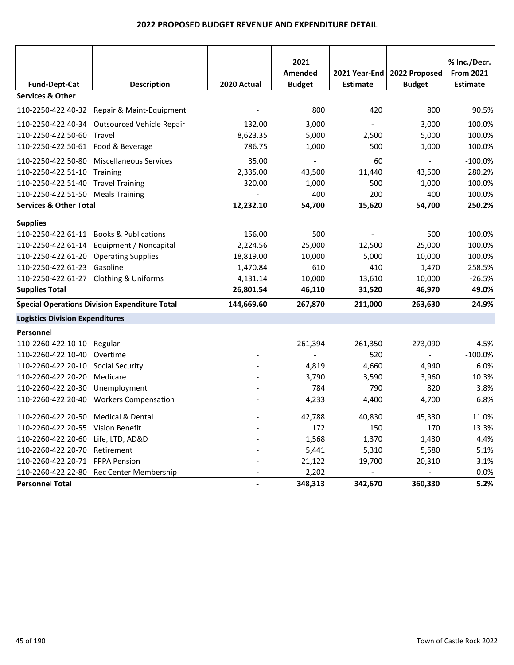|                                                     |                                                      |                | 2021<br>Amended | 2021 Year-End   | 2022 Proposed            | % Inc./Decr.<br><b>From 2021</b> |
|-----------------------------------------------------|------------------------------------------------------|----------------|-----------------|-----------------|--------------------------|----------------------------------|
| <b>Fund-Dept-Cat</b><br><b>Services &amp; Other</b> | <b>Description</b>                                   | 2020 Actual    | <b>Budget</b>   | <b>Estimate</b> | <b>Budget</b>            | <b>Estimate</b>                  |
|                                                     |                                                      |                |                 |                 |                          |                                  |
|                                                     | 110-2250-422.40-32 Repair & Maint-Equipment          |                | 800             | 420             | 800                      | 90.5%                            |
|                                                     | 110-2250-422.40-34 Outsourced Vehicle Repair         | 132.00         | 3,000           |                 | 3,000                    | 100.0%                           |
| 110-2250-422.50-60                                  | Travel                                               | 8,623.35       | 5,000           | 2,500           | 5,000                    | 100.0%                           |
| 110-2250-422.50-61 Food & Beverage                  |                                                      | 786.75         | 1,000           | 500             | 1,000                    | 100.0%                           |
| 110-2250-422.50-80                                  | <b>Miscellaneous Services</b>                        | 35.00          |                 | 60              |                          | $-100.0%$                        |
| 110-2250-422.51-10                                  | Training                                             | 2,335.00       | 43,500          | 11,440          | 43,500                   | 280.2%                           |
| 110-2250-422.51-40 Travel Training                  |                                                      | 320.00         | 1,000           | 500             | 1,000                    | 100.0%                           |
| 110-2250-422.51-50 Meals Training                   |                                                      |                | 400             | 200             | 400                      | 100.0%                           |
| <b>Services &amp; Other Total</b>                   |                                                      | 12,232.10      | 54,700          | 15,620          | 54,700                   | 250.2%                           |
| <b>Supplies</b>                                     |                                                      |                |                 |                 |                          |                                  |
|                                                     | 110-2250-422.61-11 Books & Publications              | 156.00         | 500             |                 | 500                      | 100.0%                           |
|                                                     | 110-2250-422.61-14 Equipment / Noncapital            | 2,224.56       | 25,000          | 12,500          | 25,000                   | 100.0%                           |
| 110-2250-422.61-20 Operating Supplies               |                                                      | 18,819.00      | 10,000          | 5,000           | 10,000                   | 100.0%                           |
| 110-2250-422.61-23 Gasoline                         |                                                      | 1,470.84       | 610             | 410             | 1,470                    | 258.5%                           |
| 110-2250-422.61-27 Clothing & Uniforms              |                                                      | 4,131.14       | 10,000          | 13,610          | 10,000                   | $-26.5%$                         |
| <b>Supplies Total</b>                               |                                                      | 26,801.54      | 46,110          | 31,520          | 46,970                   | 49.0%                            |
|                                                     | <b>Special Operations Division Expenditure Total</b> | 144,669.60     | 267,870         | 211,000         | 263,630                  | 24.9%                            |
| <b>Logistics Division Expenditures</b>              |                                                      |                |                 |                 |                          |                                  |
| Personnel                                           |                                                      |                |                 |                 |                          |                                  |
| 110-2260-422.10-10 Regular                          |                                                      |                | 261,394         | 261,350         | 273,090                  | 4.5%                             |
| 110-2260-422.10-40                                  | Overtime                                             |                |                 | 520             | $\overline{\phantom{a}}$ | $-100.0%$                        |
| 110-2260-422.20-10                                  | <b>Social Security</b>                               |                | 4,819           | 4,660           | 4,940                    | 6.0%                             |
| 110-2260-422.20-20                                  | Medicare                                             |                | 3,790           | 3,590           | 3,960                    | 10.3%                            |
| 110-2260-422.20-30                                  | Unemployment                                         |                | 784             | 790             | 820                      | 3.8%                             |
|                                                     | 110-2260-422.20-40 Workers Compensation              |                | 4,233           | 4,400           | 4,700                    | 6.8%                             |
| 110-2260-422.20-50 Medical & Dental                 |                                                      |                | 42,788          | 40,830          | 45,330                   | 11.0%                            |
| 110-2260-422.20-55 Vision Benefit                   |                                                      |                | 172             | 150             | 170                      | 13.3%                            |
| 110-2260-422.20-60 Life, LTD, AD&D                  |                                                      |                | 1,568           | 1,370           | 1,430                    | 4.4%                             |
| 110-2260-422.20-70 Retirement                       |                                                      |                | 5,441           | 5,310           | 5,580                    | 5.1%                             |
| 110-2260-422.20-71 FPPA Pension                     |                                                      |                | 21,122          | 19,700          | 20,310                   | 3.1%                             |
|                                                     | 110-2260-422.22-80 Rec Center Membership             |                | 2,202           |                 |                          | 0.0%                             |
| <b>Personnel Total</b>                              |                                                      | $\blacksquare$ | 348,313         | 342,670         | 360,330                  | 5.2%                             |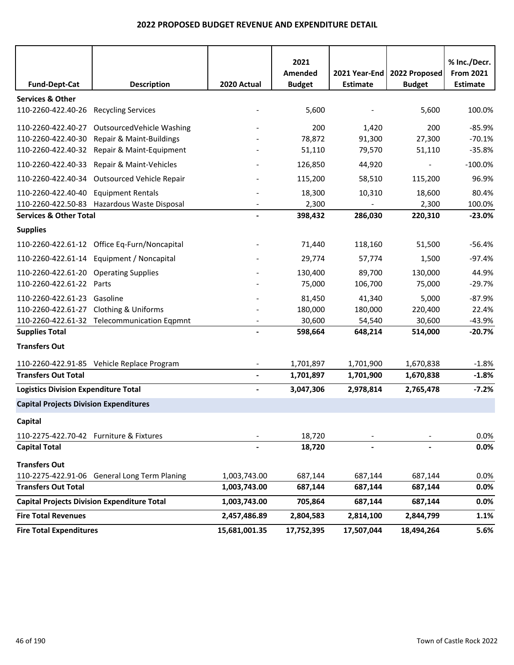|                                               |                                                    |                          | 2021<br>Amended | 2021 Year-End   | 2022 Proposed | % Inc./Decr.<br><b>From 2021</b> |
|-----------------------------------------------|----------------------------------------------------|--------------------------|-----------------|-----------------|---------------|----------------------------------|
| <b>Fund-Dept-Cat</b>                          | <b>Description</b>                                 | 2020 Actual              | <b>Budget</b>   | <b>Estimate</b> | <b>Budget</b> | <b>Estimate</b>                  |
| <b>Services &amp; Other</b>                   |                                                    |                          |                 |                 |               |                                  |
| 110-2260-422.40-26                            | <b>Recycling Services</b>                          |                          | 5,600           |                 | 5,600         | 100.0%                           |
| 110-2260-422.40-27                            | OutsourcedVehicle Washing                          |                          | 200             | 1,420           | 200           | $-85.9%$                         |
| 110-2260-422.40-30                            | Repair & Maint-Buildings                           |                          | 78,872          | 91,300          | 27,300        | $-70.1%$                         |
| 110-2260-422.40-32                            | Repair & Maint-Equipment                           |                          | 51,110          | 79,570          | 51,110        | $-35.8%$                         |
| 110-2260-422.40-33                            | Repair & Maint-Vehicles                            |                          | 126,850         | 44,920          |               | $-100.0%$                        |
|                                               | 110-2260-422.40-34 Outsourced Vehicle Repair       |                          | 115,200         | 58,510          | 115,200       | 96.9%                            |
| 110-2260-422.40-40                            | <b>Equipment Rentals</b>                           |                          | 18,300          | 10,310          | 18,600        | 80.4%                            |
| 110-2260-422.50-83                            | Hazardous Waste Disposal                           |                          | 2,300           |                 | 2,300         | 100.0%                           |
| <b>Services &amp; Other Total</b>             |                                                    |                          | 398,432         | 286,030         | 220,310       | $-23.0%$                         |
| <b>Supplies</b>                               |                                                    |                          |                 |                 |               |                                  |
|                                               | 110-2260-422.61-12 Office Eq-Furn/Noncapital       |                          | 71,440          | 118,160         | 51,500        | $-56.4%$                         |
|                                               | 110-2260-422.61-14 Equipment / Noncapital          |                          | 29,774          | 57,774          | 1,500         | $-97.4%$                         |
| 110-2260-422.61-20 Operating Supplies         |                                                    |                          | 130,400         | 89,700          | 130,000       | 44.9%                            |
| 110-2260-422.61-22 Parts                      |                                                    |                          | 75,000          | 106,700         | 75,000        | $-29.7%$                         |
| 110-2260-422.61-23 Gasoline                   |                                                    |                          | 81,450          | 41,340          | 5,000         | $-87.9%$                         |
| 110-2260-422.61-27                            | <b>Clothing &amp; Uniforms</b>                     |                          | 180,000         | 180,000         | 220,400       | 22.4%                            |
|                                               | 110-2260-422.61-32 Telecommunication Eqpmnt        |                          | 30,600          | 54,540          | 30,600        | $-43.9%$                         |
| <b>Supplies Total</b>                         |                                                    |                          | 598,664         | 648,214         | 514,000       | $-20.7%$                         |
| <b>Transfers Out</b>                          |                                                    |                          |                 |                 |               |                                  |
|                                               | 110-2260-422.91-85 Vehicle Replace Program         |                          | 1,701,897       | 1,701,900       | 1,670,838     | $-1.8%$                          |
| <b>Transfers Out Total</b>                    |                                                    | $\blacksquare$           | 1,701,897       | 1,701,900       | 1,670,838     | $-1.8%$                          |
| <b>Logistics Division Expenditure Total</b>   |                                                    | $\overline{\phantom{a}}$ | 3,047,306       | 2,978,814       | 2,765,478     | $-7.2%$                          |
| <b>Capital Projects Division Expenditures</b> |                                                    |                          |                 |                 |               |                                  |
| Capital                                       |                                                    |                          |                 |                 |               |                                  |
| 110-2275-422.70-42 Furniture & Fixtures       |                                                    |                          | 18,720          |                 |               | 0.0%                             |
| <b>Capital Total</b>                          |                                                    |                          | 18,720          |                 |               | 0.0%                             |
| <b>Transfers Out</b>                          |                                                    |                          |                 |                 |               |                                  |
|                                               | 110-2275-422.91-06 General Long Term Planing       | 1,003,743.00             | 687,144         | 687,144         | 687,144       | 0.0%                             |
| <b>Transfers Out Total</b>                    |                                                    | 1,003,743.00             | 687,144         | 687,144         | 687,144       | 0.0%                             |
|                                               | <b>Capital Projects Division Expenditure Total</b> | 1,003,743.00             | 705,864         | 687,144         | 687,144       | 0.0%                             |
| <b>Fire Total Revenues</b>                    |                                                    | 2,457,486.89             | 2,804,583       | 2,814,100       | 2,844,799     | 1.1%                             |
| <b>Fire Total Expenditures</b>                |                                                    | 15,681,001.35            | 17,752,395      | 17,507,044      | 18,494,264    | 5.6%                             |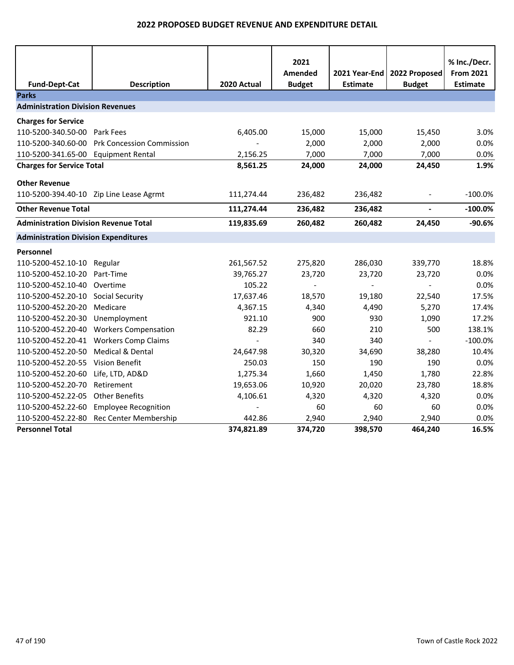|                                              |                                  |                | 2021<br>Amended | 2021 Year-End   | 2022 Proposed            | % Inc./Decr.<br><b>From 2021</b> |
|----------------------------------------------|----------------------------------|----------------|-----------------|-----------------|--------------------------|----------------------------------|
| <b>Fund-Dept-Cat</b>                         | <b>Description</b>               | 2020 Actual    | <b>Budget</b>   | <b>Estimate</b> | <b>Budget</b>            | <b>Estimate</b>                  |
| <b>Parks</b>                                 |                                  |                |                 |                 |                          |                                  |
| <b>Administration Division Revenues</b>      |                                  |                |                 |                 |                          |                                  |
| <b>Charges for Service</b>                   |                                  |                |                 |                 |                          |                                  |
| 110-5200-340.50-00                           | Park Fees                        | 6,405.00       | 15,000          | 15,000          | 15,450                   | 3.0%                             |
| 110-5200-340.60-00                           | <b>Prk Concession Commission</b> |                | 2,000           | 2,000           | 2,000                    | 0.0%                             |
| 110-5200-341.65-00 Equipment Rental          |                                  | 2,156.25       | 7,000           | 7,000           | 7,000                    | 0.0%                             |
| <b>Charges for Service Total</b>             |                                  | 8,561.25       | 24,000          | 24,000          | 24,450                   | 1.9%                             |
|                                              |                                  |                |                 |                 |                          |                                  |
| <b>Other Revenue</b>                         |                                  |                |                 |                 |                          |                                  |
| 110-5200-394.40-10 Zip Line Lease Agrmt      |                                  | 111,274.44     | 236,482         | 236,482         | $\overline{\phantom{a}}$ | $-100.0%$                        |
| <b>Other Revenue Total</b>                   |                                  | 111,274.44     | 236,482         | 236,482         | $\overline{\phantom{0}}$ | $-100.0%$                        |
| <b>Administration Division Revenue Total</b> |                                  | 119,835.69     | 260,482         | 260,482         | 24,450                   | $-90.6%$                         |
| <b>Administration Division Expenditures</b>  |                                  |                |                 |                 |                          |                                  |
| Personnel                                    |                                  |                |                 |                 |                          |                                  |
| 110-5200-452.10-10                           | Regular                          | 261,567.52     | 275,820         | 286,030         | 339,770                  | 18.8%                            |
| 110-5200-452.10-20                           | Part-Time                        | 39,765.27      | 23,720          | 23,720          | 23,720                   | 0.0%                             |
| 110-5200-452.10-40                           | Overtime                         | 105.22         |                 |                 |                          | 0.0%                             |
| 110-5200-452.20-10                           | <b>Social Security</b>           | 17,637.46      | 18,570          | 19,180          | 22,540                   | 17.5%                            |
| 110-5200-452.20-20                           | Medicare                         | 4,367.15       | 4,340           | 4,490           | 5,270                    | 17.4%                            |
| 110-5200-452.20-30                           | Unemployment                     | 921.10         | 900             | 930             | 1,090                    | 17.2%                            |
| 110-5200-452.20-40                           | <b>Workers Compensation</b>      | 82.29          | 660             | 210             | 500                      | 138.1%                           |
| 110-5200-452.20-41                           | <b>Workers Comp Claims</b>       | $\blacksquare$ | 340             | 340             | $\equiv$                 | $-100.0%$                        |
| 110-5200-452.20-50                           | Medical & Dental                 | 24,647.98      | 30,320          | 34,690          | 38,280                   | 10.4%                            |
| 110-5200-452.20-55                           | <b>Vision Benefit</b>            | 250.03         | 150             | 190             | 190                      | 0.0%                             |
| 110-5200-452.20-60                           | Life, LTD, AD&D                  | 1,275.34       | 1,660           | 1,450           | 1,780                    | 22.8%                            |
| 110-5200-452.20-70                           | Retirement                       | 19,653.06      | 10,920          | 20,020          | 23,780                   | 18.8%                            |
| 110-5200-452.22-05                           | <b>Other Benefits</b>            | 4,106.61       | 4,320           | 4,320           | 4,320                    | 0.0%                             |
| 110-5200-452.22-60                           | <b>Employee Recognition</b>      |                | 60              | 60              | 60                       | 0.0%                             |
| 110-5200-452.22-80                           | Rec Center Membership            | 442.86         | 2,940           | 2,940           | 2,940                    | 0.0%                             |
| <b>Personnel Total</b>                       |                                  | 374,821.89     | 374,720         | 398,570         | 464,240                  | 16.5%                            |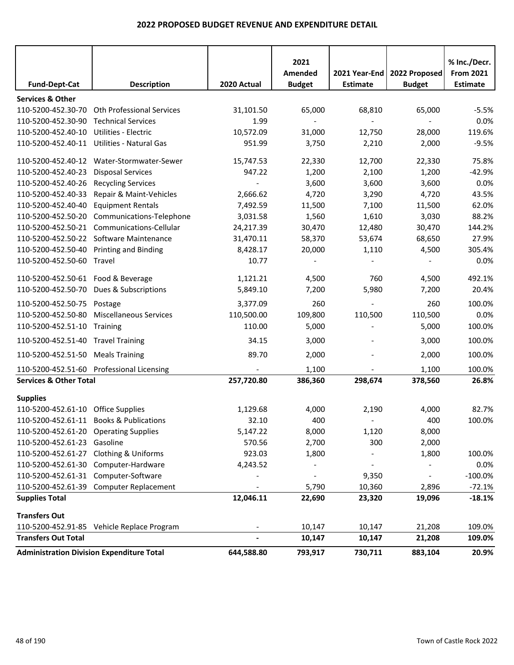|                                        |                                                  |             | 2021                     |                                  |                                | % Inc./Decr.                 |
|----------------------------------------|--------------------------------------------------|-------------|--------------------------|----------------------------------|--------------------------------|------------------------------|
| <b>Fund-Dept-Cat</b>                   | <b>Description</b>                               | 2020 Actual | Amended<br><b>Budget</b> | 2021 Year-End<br><b>Estimate</b> | 2022 Proposed<br><b>Budget</b> | <b>From 2021</b><br>Estimate |
| <b>Services &amp; Other</b>            |                                                  |             |                          |                                  |                                |                              |
| 110-5200-452.30-70                     | <b>Oth Professional Services</b>                 | 31,101.50   | 65,000                   | 68,810                           | 65,000                         | $-5.5%$                      |
| 110-5200-452.30-90                     | <b>Technical Services</b>                        | 1.99        | $\overline{\phantom{a}}$ | $\blacksquare$                   | $\overline{\phantom{a}}$       | 0.0%                         |
| 110-5200-452.40-10                     | Utilities - Electric                             | 10,572.09   | 31,000                   | 12,750                           | 28,000                         | 119.6%                       |
|                                        | 110-5200-452.40-11 Utilities - Natural Gas       | 951.99      | 3,750                    | 2,210                            | 2,000                          | $-9.5%$                      |
|                                        | 110-5200-452.40-12 Water-Stormwater-Sewer        | 15,747.53   | 22,330                   | 12,700                           | 22,330                         | 75.8%                        |
| 110-5200-452.40-23                     | <b>Disposal Services</b>                         | 947.22      | 1,200                    | 2,100                            | 1,200                          | $-42.9%$                     |
| 110-5200-452.40-26                     | <b>Recycling Services</b>                        |             | 3,600                    | 3,600                            | 3,600                          | 0.0%                         |
| 110-5200-452.40-33                     | Repair & Maint-Vehicles                          | 2,666.62    | 4,720                    | 3,290                            | 4,720                          | 43.5%                        |
| 110-5200-452.40-40                     | <b>Equipment Rentals</b>                         | 7,492.59    | 11,500                   | 7,100                            | 11,500                         | 62.0%                        |
| 110-5200-452.50-20                     | Communications-Telephone                         | 3,031.58    | 1,560                    | 1,610                            | 3,030                          | 88.2%                        |
| 110-5200-452.50-21                     | Communications-Cellular                          | 24,217.39   | 30,470                   | 12,480                           | 30,470                         | 144.2%                       |
|                                        | 110-5200-452.50-22 Software Maintenance          | 31,470.11   | 58,370                   | 53,674                           | 68,650                         | 27.9%                        |
| 110-5200-452.50-40                     | <b>Printing and Binding</b>                      | 8,428.17    | 20,000                   | 1,110                            | 4,500                          | 305.4%                       |
| 110-5200-452.50-60 Travel              |                                                  | 10.77       |                          |                                  |                                | 0.0%                         |
| 110-5200-452.50-61 Food & Beverage     |                                                  | 1,121.21    | 4,500                    | 760                              | 4,500                          | 492.1%                       |
|                                        | 110-5200-452.50-70 Dues & Subscriptions          | 5,849.10    | 7,200                    | 5,980                            | 7,200                          | 20.4%                        |
| 110-5200-452.50-75 Postage             |                                                  | 3,377.09    | 260                      |                                  | 260                            | 100.0%                       |
| 110-5200-452.50-80                     | <b>Miscellaneous Services</b>                    | 110,500.00  | 109,800                  | 110,500                          | 110,500                        | 0.0%                         |
| 110-5200-452.51-10                     | Training                                         | 110.00      | 5,000                    |                                  | 5,000                          | 100.0%                       |
| 110-5200-452.51-40 Travel Training     |                                                  | 34.15       | 3,000                    |                                  | 3,000                          | 100.0%                       |
| 110-5200-452.51-50 Meals Training      |                                                  | 89.70       | 2,000                    |                                  | 2,000                          | 100.0%                       |
|                                        | 110-5200-452.51-60 Professional Licensing        |             | 1,100                    |                                  | 1,100                          | 100.0%                       |
| <b>Services &amp; Other Total</b>      |                                                  | 257,720.80  | 386,360                  | 298,674                          | 378,560                        | 26.8%                        |
| <b>Supplies</b>                        |                                                  |             |                          |                                  |                                |                              |
| 110-5200-452.61-10 Office Supplies     |                                                  | 1,129.68    | 4,000                    | 2,190                            | 4,000                          | 82.7%                        |
|                                        | 110-5200-452.61-11 Books & Publications          | 32.10       | 400                      | $\sim$                           | 400                            | 100.0%                       |
| 110-5200-452.61-20 Operating Supplies  |                                                  | 5,147.22    | 8,000                    | 1,120                            | 8,000                          |                              |
| 110-5200-452.61-23 Gasoline            |                                                  | 570.56      | 2,700                    | 300                              | 2,000                          |                              |
| 110-5200-452.61-27 Clothing & Uniforms |                                                  | 923.03      | 1,800                    |                                  | 1,800                          | 100.0%                       |
|                                        | 110-5200-452.61-30 Computer-Hardware             | 4,243.52    |                          |                                  |                                | 0.0%                         |
| 110-5200-452.61-31 Computer-Software   |                                                  |             | $\blacksquare$           | 9,350                            | $\blacksquare$                 | $-100.0\%$                   |
|                                        | 110-5200-452.61-39 Computer Replacement          |             | 5,790                    | 10,360                           | 2,896                          | $-72.1%$                     |
| <b>Supplies Total</b>                  |                                                  | 12,046.11   | 22,690                   | 23,320                           | 19,096                         | $-18.1%$                     |
| <b>Transfers Out</b>                   |                                                  |             |                          |                                  |                                |                              |
|                                        | 110-5200-452.91-85 Vehicle Replace Program       |             | 10,147                   | 10,147                           | 21,208                         | 109.0%                       |
| <b>Transfers Out Total</b>             |                                                  |             | 10,147                   | 10,147                           | 21,208                         | 109.0%                       |
|                                        | <b>Administration Division Expenditure Total</b> | 644,588.80  | 793,917                  | 730,711                          | 883,104                        | 20.9%                        |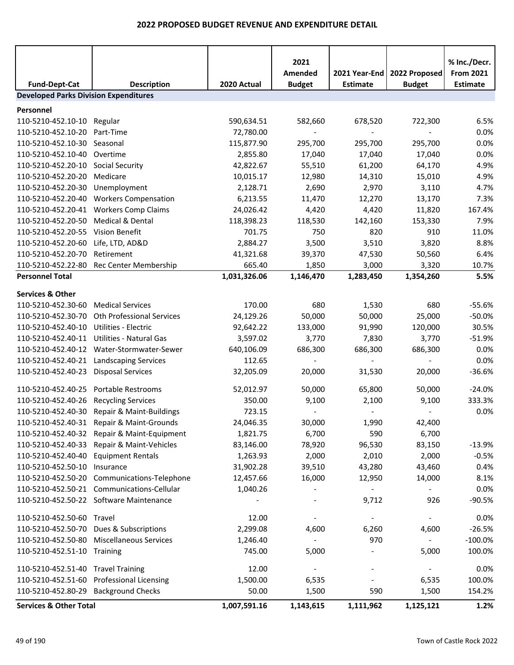|                                              |                                              |              | 2021          |                 |               | % Inc./Decr.     |  |  |
|----------------------------------------------|----------------------------------------------|--------------|---------------|-----------------|---------------|------------------|--|--|
|                                              |                                              |              | Amended       | 2021 Year-End   | 2022 Proposed | <b>From 2021</b> |  |  |
| <b>Fund-Dept-Cat</b>                         | <b>Description</b>                           | 2020 Actual  | <b>Budget</b> | <b>Estimate</b> | <b>Budget</b> | <b>Estimate</b>  |  |  |
| <b>Developed Parks Division Expenditures</b> |                                              |              |               |                 |               |                  |  |  |
| Personnel                                    |                                              |              |               |                 |               |                  |  |  |
| 110-5210-452.10-10 Regular                   |                                              | 590,634.51   | 582,660       | 678,520         | 722,300       | 6.5%             |  |  |
| 110-5210-452.10-20 Part-Time                 |                                              | 72,780.00    |               |                 |               | 0.0%             |  |  |
| 110-5210-452.10-30 Seasonal                  |                                              | 115,877.90   | 295,700       | 295,700         | 295,700       | 0.0%             |  |  |
| 110-5210-452.10-40 Overtime                  |                                              | 2,855.80     | 17,040        | 17,040          | 17,040        | 0.0%             |  |  |
| 110-5210-452.20-10 Social Security           |                                              | 42,822.67    | 55,510        | 61,200          | 64,170        | 4.9%             |  |  |
| 110-5210-452.20-20                           | Medicare                                     | 10,015.17    | 12,980        | 14,310          | 15,010        | 4.9%             |  |  |
| 110-5210-452.20-30                           | Unemployment                                 | 2,128.71     | 2,690         | 2,970           | 3,110         | 4.7%             |  |  |
| 110-5210-452.20-40                           | <b>Workers Compensation</b>                  | 6,213.55     | 11,470        | 12,270          | 13,170        | 7.3%             |  |  |
|                                              | 110-5210-452.20-41 Workers Comp Claims       | 24,026.42    | 4,420         | 4,420           | 11,820        | 167.4%           |  |  |
| 110-5210-452.20-50 Medical & Dental          |                                              | 118,398.23   | 118,530       | 142,160         | 153,330       | 7.9%             |  |  |
| 110-5210-452.20-55                           | <b>Vision Benefit</b>                        | 701.75       | 750           | 820             | 910           | 11.0%            |  |  |
| 110-5210-452.20-60                           | Life, LTD, AD&D                              | 2,884.27     | 3,500         | 3,510           | 3,820         | 8.8%             |  |  |
| 110-5210-452.20-70                           | Retirement                                   | 41,321.68    | 39,370        | 47,530          | 50,560        | 6.4%             |  |  |
|                                              | 110-5210-452.22-80 Rec Center Membership     | 665.40       | 1,850         | 3,000           | 3,320         | 10.7%            |  |  |
| <b>Personnel Total</b>                       |                                              | 1,031,326.06 | 1,146,470     | 1,283,450       | 1,354,260     | 5.5%             |  |  |
| <b>Services &amp; Other</b>                  |                                              |              |               |                 |               |                  |  |  |
| 110-5210-452.30-60                           | <b>Medical Services</b>                      | 170.00       | 680           | 1,530           | 680           | $-55.6%$         |  |  |
|                                              | 110-5210-452.30-70 Oth Professional Services | 24,129.26    | 50,000        | 50,000          | 25,000        | $-50.0%$         |  |  |
| 110-5210-452.40-10                           | Utilities - Electric                         | 92,642.22    | 133,000       | 91,990          | 120,000       | 30.5%            |  |  |
| 110-5210-452.40-11                           | Utilities - Natural Gas                      | 3,597.02     | 3,770         | 7,830           | 3,770         | $-51.9%$         |  |  |
|                                              | 110-5210-452.40-12 Water-Stormwater-Sewer    | 640,106.09   | 686,300       | 686,300         | 686,300       | 0.0%             |  |  |
|                                              | 110-5210-452.40-21 Landscaping Services      | 112.65       |               |                 |               | 0.0%             |  |  |
| 110-5210-452.40-23 Disposal Services         |                                              | 32,205.09    | 20,000        | 31,530          | 20,000        | $-36.6%$         |  |  |
| 110-5210-452.40-25 Portable Restrooms        |                                              | 52,012.97    | 50,000        | 65,800          | 50,000        | $-24.0%$         |  |  |
| 110-5210-452.40-26 Recycling Services        |                                              | 350.00       | 9,100         | 2,100           | 9,100         | 333.3%           |  |  |
|                                              | 110-5210-452.40-30 Repair & Maint-Buildings  | 723.15       |               |                 |               | 0.0%             |  |  |
|                                              | 110-5210-452.40-31 Repair & Maint-Grounds    | 24,046.35    | 30,000        | 1,990           | 42,400        |                  |  |  |
|                                              | 110-5210-452.40-32 Repair & Maint-Equipment  | 1,821.75     | 6,700         | 590             | 6,700         |                  |  |  |
|                                              | 110-5210-452.40-33 Repair & Maint-Vehicles   | 83,146.00    | 78,920        | 96,530          | 83,150        | $-13.9%$         |  |  |
| 110-5210-452.40-40 Equipment Rentals         |                                              | 1,263.93     | 2,000         | 2,010           | 2,000         | $-0.5%$          |  |  |
| 110-5210-452.50-10 Insurance                 |                                              | 31,902.28    | 39,510        | 43,280          | 43,460        | 0.4%             |  |  |
|                                              | 110-5210-452.50-20 Communications-Telephone  | 12,457.66    | 16,000        | 12,950          | 14,000        | 8.1%             |  |  |
|                                              | 110-5210-452.50-21 Communications-Cellular   | 1,040.26     |               |                 |               | 0.0%             |  |  |
|                                              | 110-5210-452.50-22 Software Maintenance      |              |               | 9,712           | 926           | $-90.5%$         |  |  |
| 110-5210-452.50-60 Travel                    |                                              | 12.00        |               |                 |               | 0.0%             |  |  |
|                                              | 110-5210-452.50-70 Dues & Subscriptions      | 2,299.08     | 4,600         | 6,260           | 4,600         | $-26.5%$         |  |  |
|                                              | 110-5210-452.50-80 Miscellaneous Services    | 1,246.40     |               | 970             |               | $-100.0\%$       |  |  |
| 110-5210-452.51-10 Training                  |                                              | 745.00       | 5,000         |                 | 5,000         | 100.0%           |  |  |
| 110-5210-452.51-40 Travel Training           |                                              | 12.00        |               |                 |               | 0.0%             |  |  |
|                                              | 110-5210-452.51-60 Professional Licensing    | 1,500.00     | 6,535         |                 | 6,535         | 100.0%           |  |  |
| 110-5210-452.80-29 Background Checks         |                                              | 50.00        | 1,500         | 590             | 1,500         | 154.2%           |  |  |
| <b>Services &amp; Other Total</b>            |                                              | 1,007,591.16 | 1,143,615     | 1,111,962       | 1,125,121     | 1.2%             |  |  |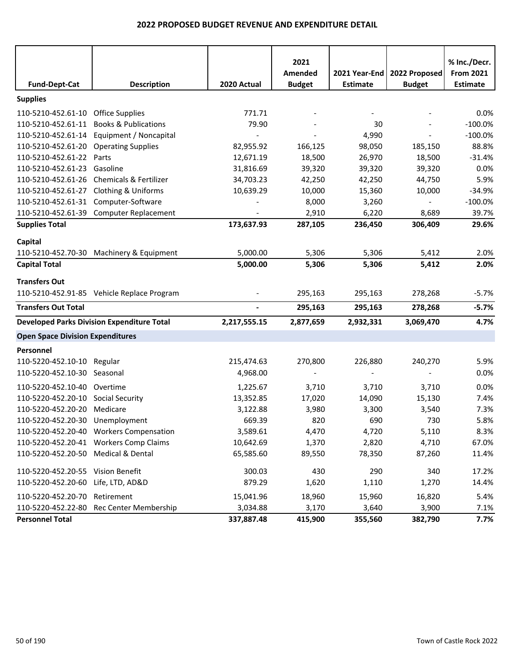| <b>Fund-Dept-Cat</b>                    | <b>Description</b>                                | 2020 Actual    | 2021<br>Amended<br><b>Budget</b> | 2021 Year-End<br><b>Estimate</b> | 2022 Proposed<br><b>Budget</b> | % Inc./Decr.<br><b>From 2021</b><br><b>Estimate</b> |
|-----------------------------------------|---------------------------------------------------|----------------|----------------------------------|----------------------------------|--------------------------------|-----------------------------------------------------|
| <b>Supplies</b>                         |                                                   |                |                                  |                                  |                                |                                                     |
| 110-5210-452.61-10 Office Supplies      |                                                   | 771.71         |                                  |                                  |                                | 0.0%                                                |
| 110-5210-452.61-11                      | <b>Books &amp; Publications</b>                   | 79.90          |                                  | 30                               | $\overline{a}$                 | $-100.0%$                                           |
| 110-5210-452.61-14                      | Equipment / Noncapital                            |                |                                  | 4,990                            |                                | $-100.0%$                                           |
| 110-5210-452.61-20 Operating Supplies   |                                                   | 82,955.92      | 166,125                          | 98,050                           | 185,150                        | 88.8%                                               |
| 110-5210-452.61-22                      | Parts                                             | 12,671.19      | 18,500                           | 26,970                           | 18,500                         | $-31.4%$                                            |
| 110-5210-452.61-23                      | Gasoline                                          | 31,816.69      | 39,320                           | 39,320                           | 39,320                         | 0.0%                                                |
| 110-5210-452.61-26                      | Chemicals & Fertilizer                            | 34,703.23      | 42,250                           | 42,250                           | 44,750                         | 5.9%                                                |
| 110-5210-452.61-27                      | <b>Clothing &amp; Uniforms</b>                    | 10,639.29      | 10,000                           | 15,360                           | 10,000                         | $-34.9%$                                            |
| 110-5210-452.61-31 Computer-Software    |                                                   |                | 8,000                            | 3,260                            | $\blacksquare$                 | $-100.0%$                                           |
|                                         | 110-5210-452.61-39 Computer Replacement           |                | 2,910                            | 6,220                            | 8,689                          | 39.7%                                               |
| <b>Supplies Total</b>                   |                                                   | 173,637.93     | 287,105                          | 236,450                          | 306,409                        | 29.6%                                               |
| Capital                                 |                                                   |                |                                  |                                  |                                |                                                     |
|                                         | 110-5210-452.70-30 Machinery & Equipment          | 5,000.00       | 5,306                            | 5,306                            | 5,412                          | 2.0%                                                |
| <b>Capital Total</b>                    |                                                   | 5,000.00       | 5,306                            | 5,306                            | 5,412                          | 2.0%                                                |
| <b>Transfers Out</b>                    |                                                   |                |                                  |                                  |                                |                                                     |
|                                         | 110-5210-452.91-85 Vehicle Replace Program        |                | 295,163                          | 295,163                          | 278,268                        | $-5.7%$                                             |
| <b>Transfers Out Total</b>              |                                                   | $\blacksquare$ | 295,163                          | 295,163                          | 278,268                        | $-5.7%$                                             |
|                                         | <b>Developed Parks Division Expenditure Total</b> | 2,217,555.15   | 2,877,659                        | 2,932,331                        | 3,069,470                      | 4.7%                                                |
| <b>Open Space Division Expenditures</b> |                                                   |                |                                  |                                  |                                |                                                     |
| Personnel                               |                                                   |                |                                  |                                  |                                |                                                     |
| 110-5220-452.10-10 Regular              |                                                   | 215,474.63     | 270,800                          | 226,880                          | 240,270                        | 5.9%                                                |
| 110-5220-452.10-30 Seasonal             |                                                   | 4,968.00       | $\overline{\phantom{a}}$         | $\overline{\phantom{a}}$         | $\overline{\phantom{a}}$       | 0.0%                                                |
| 110-5220-452.10-40 Overtime             |                                                   | 1,225.67       | 3,710                            | 3,710                            | 3,710                          | 0.0%                                                |
| 110-5220-452.20-10 Social Security      |                                                   | 13,352.85      | 17,020                           | 14,090                           | 15,130                         | 7.4%                                                |
| 110-5220-452.20-20 Medicare             |                                                   | 3,122.88       | 3,980                            | 3,300                            | 3,540                          | 7.3%                                                |
| 110-5220-452.20-30 Unemployment         |                                                   | 669.39         | 820                              | 690                              | 730                            | 5.8%                                                |
|                                         | 110-5220-452.20-40 Workers Compensation           | 3,589.61       | 4,470                            | 4,720                            | 5,110                          | 8.3%                                                |
|                                         | 110-5220-452.20-41 Workers Comp Claims            | 10,642.69      | 1,370                            | 2,820                            | 4,710                          | 67.0%                                               |
| 110-5220-452.20-50 Medical & Dental     |                                                   | 65,585.60      | 89,550                           | 78,350                           | 87,260                         | 11.4%                                               |
| 110-5220-452.20-55 Vision Benefit       |                                                   | 300.03         | 430                              | 290                              | 340                            | 17.2%                                               |
| 110-5220-452.20-60                      | Life, LTD, AD&D                                   | 879.29         | 1,620                            | 1,110                            | 1,270                          | 14.4%                                               |
| 110-5220-452.20-70 Retirement           |                                                   | 15,041.96      | 18,960                           | 15,960                           | 16,820                         | 5.4%                                                |
|                                         | 110-5220-452.22-80 Rec Center Membership          | 3,034.88       | 3,170                            | 3,640                            | 3,900                          | 7.1%                                                |
| <b>Personnel Total</b>                  |                                                   | 337,887.48     | 415,900                          | 355,560                          | 382,790                        | 7.7%                                                |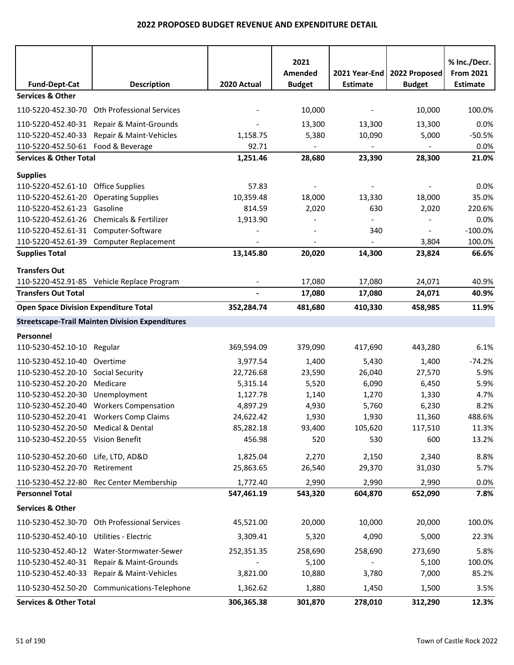|                                              |                                                        |                | 2021          |                 |                | % Inc./Decr.     |
|----------------------------------------------|--------------------------------------------------------|----------------|---------------|-----------------|----------------|------------------|
|                                              |                                                        |                | Amended       | 2021 Year-End   | 2022 Proposed  | <b>From 2021</b> |
| <b>Fund-Dept-Cat</b>                         | <b>Description</b>                                     | 2020 Actual    | <b>Budget</b> | <b>Estimate</b> | <b>Budget</b>  | <b>Estimate</b>  |
| <b>Services &amp; Other</b>                  |                                                        |                |               |                 |                |                  |
|                                              | 110-5220-452.30-70 Oth Professional Services           |                | 10,000        |                 | 10,000         | 100.0%           |
|                                              | 110-5220-452.40-31 Repair & Maint-Grounds              |                | 13,300        | 13,300          | 13,300         | 0.0%             |
| 110-5220-452.40-33                           | Repair & Maint-Vehicles                                | 1,158.75       | 5,380         | 10,090          | 5,000          | $-50.5%$         |
| 110-5220-452.50-61 Food & Beverage           |                                                        | 92.71          |               |                 |                | 0.0%             |
| <b>Services &amp; Other Total</b>            |                                                        | 1,251.46       | 28,680        | 23,390          | 28,300         | 21.0%            |
| <b>Supplies</b>                              |                                                        |                |               |                 |                |                  |
| 110-5220-452.61-10 Office Supplies           |                                                        | 57.83          |               |                 |                | 0.0%             |
| 110-5220-452.61-20 Operating Supplies        |                                                        | 10,359.48      | 18,000        | 13,330          | 18,000         | 35.0%            |
| 110-5220-452.61-23 Gasoline                  |                                                        | 814.59         | 2,020         | 630             | 2,020          | 220.6%           |
|                                              | 110-5220-452.61-26 Chemicals & Fertilizer              | 1,913.90       |               |                 |                | 0.0%             |
| 110-5220-452.61-31 Computer-Software         |                                                        |                |               | 340             | $\blacksquare$ | $-100.0%$        |
|                                              | 110-5220-452.61-39 Computer Replacement                |                |               |                 | 3,804          | 100.0%           |
| <b>Supplies Total</b>                        |                                                        | 13,145.80      | 20,020        | 14,300          | 23,824         | 66.6%            |
| <b>Transfers Out</b>                         |                                                        |                |               |                 |                |                  |
|                                              | 110-5220-452.91-85 Vehicle Replace Program             |                | 17,080        | 17,080          | 24,071         | 40.9%            |
| <b>Transfers Out Total</b>                   |                                                        | $\blacksquare$ | 17,080        | 17,080          | 24,071         | 40.9%            |
| <b>Open Space Division Expenditure Total</b> |                                                        | 352,284.74     | 481,680       | 410,330         | 458,985        | 11.9%            |
|                                              | <b>Streetscape-Trail Mainten Division Expenditures</b> |                |               |                 |                |                  |
| Personnel                                    |                                                        |                |               |                 |                |                  |
| 110-5230-452.10-10 Regular                   |                                                        | 369,594.09     | 379,090       | 417,690         | 443,280        | 6.1%             |
| 110-5230-452.10-40 Overtime                  |                                                        | 3,977.54       | 1,400         | 5,430           | 1,400          | $-74.2%$         |
| 110-5230-452.20-10                           | <b>Social Security</b>                                 | 22,726.68      | 23,590        | 26,040          | 27,570         | 5.9%             |
| 110-5230-452.20-20                           | Medicare                                               | 5,315.14       | 5,520         | 6,090           | 6,450          | 5.9%             |
| 110-5230-452.20-30                           | Unemployment                                           | 1,127.78       | 1,140         | 1,270           | 1,330          | 4.7%             |
|                                              | 110-5230-452.20-40 Workers Compensation                | 4,897.29       | 4,930         | 5,760           | 6,230          | 8.2%             |
|                                              | 110-5230-452.20-41 Workers Comp Claims                 | 24,622.42      | 1,930         | 1,930           | 11,360         | 488.6%           |
| 110-5230-452.20-50 Medical & Dental          |                                                        | 85,282.18      | 93,400        | 105,620         | 117,510        | 11.3%            |
| 110-5230-452.20-55 Vision Benefit            |                                                        | 456.98         | 520           | 530             | 600            | 13.2%            |
| 110-5230-452.20-60 Life, LTD, AD&D           |                                                        | 1,825.04       | 2,270         | 2,150           | 2,340          | 8.8%             |
| 110-5230-452.20-70 Retirement                |                                                        | 25,863.65      | 26,540        | 29,370          | 31,030         | 5.7%             |
|                                              | 110-5230-452.22-80 Rec Center Membership               | 1,772.40       | 2,990         | 2,990           | 2,990          | 0.0%             |
| <b>Personnel Total</b>                       |                                                        | 547,461.19     | 543,320       | 604,870         | 652,090        | 7.8%             |
| <b>Services &amp; Other</b>                  |                                                        |                |               |                 |                |                  |
|                                              | 110-5230-452.30-70 Oth Professional Services           | 45,521.00      | 20,000        | 10,000          | 20,000         | 100.0%           |
| 110-5230-452.40-10 Utilities - Electric      |                                                        | 3,309.41       | 5,320         | 4,090           | 5,000          | 22.3%            |
|                                              | 110-5230-452.40-12 Water-Stormwater-Sewer              | 252,351.35     | 258,690       | 258,690         | 273,690        | 5.8%             |
|                                              | 110-5230-452.40-31 Repair & Maint-Grounds              |                | 5,100         |                 | 5,100          | 100.0%           |
|                                              | 110-5230-452.40-33 Repair & Maint-Vehicles             | 3,821.00       | 10,880        | 3,780           | 7,000          | 85.2%            |
|                                              | 110-5230-452.50-20 Communications-Telephone            | 1,362.62       | 1,880         | 1,450           | 1,500          | 3.5%             |
| <b>Services &amp; Other Total</b>            |                                                        | 306,365.38     | 301,870       | 278,010         | 312,290        | 12.3%            |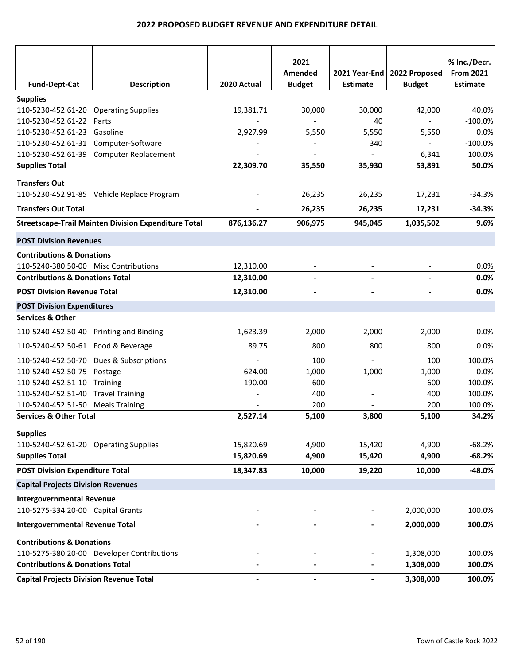| <b>Fund-Dept-Cat</b>                                              | <b>Description</b>                                          | 2020 Actual | 2021<br>Amended<br><b>Budget</b> | 2021 Year-End<br><b>Estimate</b> | 2022 Proposed<br><b>Budget</b> | % Inc./Decr.<br><b>From 2021</b><br><b>Estimate</b> |
|-------------------------------------------------------------------|-------------------------------------------------------------|-------------|----------------------------------|----------------------------------|--------------------------------|-----------------------------------------------------|
|                                                                   |                                                             |             |                                  |                                  |                                |                                                     |
| <b>Supplies</b>                                                   |                                                             |             |                                  |                                  |                                |                                                     |
| 110-5230-452.61-20 Operating Supplies<br>110-5230-452.61-22 Parts |                                                             | 19,381.71   | 30,000                           | 30,000<br>40                     | 42,000                         | 40.0%<br>$-100.0%$                                  |
| 110-5230-452.61-23 Gasoline                                       |                                                             | 2,927.99    | 5,550                            | 5,550                            | 5,550                          | 0.0%                                                |
| 110-5230-452.61-31 Computer-Software                              |                                                             |             |                                  | 340                              |                                | $-100.0%$                                           |
|                                                                   | 110-5230-452.61-39 Computer Replacement                     |             |                                  |                                  | 6,341                          | 100.0%                                              |
| <b>Supplies Total</b>                                             |                                                             | 22,309.70   | 35,550                           | 35,930                           | 53,891                         | 50.0%                                               |
| <b>Transfers Out</b>                                              |                                                             |             |                                  |                                  |                                |                                                     |
|                                                                   | 110-5230-452.91-85 Vehicle Replace Program                  |             | 26,235                           | 26,235                           | 17,231                         | $-34.3%$                                            |
| <b>Transfers Out Total</b>                                        |                                                             |             | 26,235                           | 26,235                           | 17,231                         | $-34.3%$                                            |
|                                                                   | <b>Streetscape-Trail Mainten Division Expenditure Total</b> | 876,136.27  | 906,975                          | 945,045                          | 1,035,502                      | 9.6%                                                |
|                                                                   |                                                             |             |                                  |                                  |                                |                                                     |
| <b>POST Division Revenues</b>                                     |                                                             |             |                                  |                                  |                                |                                                     |
| <b>Contributions &amp; Donations</b>                              |                                                             |             |                                  |                                  |                                |                                                     |
| 110-5240-380.50-00 Misc Contributions                             |                                                             | 12,310.00   |                                  |                                  |                                | 0.0%                                                |
| <b>Contributions &amp; Donations Total</b>                        |                                                             | 12,310.00   |                                  |                                  |                                | 0.0%                                                |
| <b>POST Division Revenue Total</b>                                |                                                             | 12,310.00   |                                  |                                  |                                | 0.0%                                                |
| <b>POST Division Expenditures</b>                                 |                                                             |             |                                  |                                  |                                |                                                     |
| <b>Services &amp; Other</b>                                       |                                                             |             |                                  |                                  |                                |                                                     |
| 110-5240-452.50-40 Printing and Binding                           |                                                             | 1,623.39    | 2,000                            | 2,000                            | 2,000                          | 0.0%                                                |
| 110-5240-452.50-61 Food & Beverage                                |                                                             | 89.75       | 800                              | 800                              | 800                            | 0.0%                                                |
|                                                                   | 110-5240-452.50-70 Dues & Subscriptions                     |             | 100                              |                                  | 100                            | 100.0%                                              |
| 110-5240-452.50-75                                                | Postage                                                     | 624.00      | 1,000                            | 1,000                            | 1,000                          | 0.0%                                                |
| 110-5240-452.51-10                                                | <b>Training</b>                                             | 190.00      | 600                              |                                  | 600                            | 100.0%                                              |
| 110-5240-452.51-40 Travel Training                                |                                                             |             | 400                              |                                  | 400                            | 100.0%                                              |
| 110-5240-452.51-50 Meals Training                                 |                                                             |             | 200                              |                                  | 200                            | 100.0%                                              |
| <b>Services &amp; Other Total</b>                                 |                                                             | 2,527.14    | 5,100                            | 3,800                            | 5,100                          | 34.2%                                               |
| <b>Supplies</b>                                                   |                                                             |             |                                  |                                  |                                |                                                     |
| 110-5240-452.61-20 Operating Supplies                             |                                                             | 15,820.69   | 4,900                            | 15,420                           | 4,900                          | $-68.2%$                                            |
| <b>Supplies Total</b>                                             |                                                             | 15,820.69   | 4,900                            | 15,420                           | 4,900                          | $-68.2%$                                            |
| <b>POST Division Expenditure Total</b>                            |                                                             | 18,347.83   | 10,000                           | 19,220                           | 10,000                         | $-48.0%$                                            |
| <b>Capital Projects Division Revenues</b>                         |                                                             |             |                                  |                                  |                                |                                                     |
| <b>Intergovernmental Revenue</b>                                  |                                                             |             |                                  |                                  |                                |                                                     |
| 110-5275-334.20-00 Capital Grants                                 |                                                             |             |                                  |                                  | 2,000,000                      | 100.0%                                              |
| <b>Intergovernmental Revenue Total</b>                            |                                                             |             |                                  |                                  | 2,000,000                      | 100.0%                                              |
| <b>Contributions &amp; Donations</b>                              |                                                             |             |                                  |                                  |                                |                                                     |
|                                                                   | 110-5275-380.20-00 Developer Contributions                  |             |                                  |                                  | 1,308,000                      | 100.0%                                              |
| <b>Contributions &amp; Donations Total</b>                        |                                                             | ۰           | $\overline{\phantom{a}}$         |                                  | 1,308,000                      | 100.0%                                              |
| <b>Capital Projects Division Revenue Total</b>                    |                                                             | -           |                                  |                                  | 3,308,000                      | 100.0%                                              |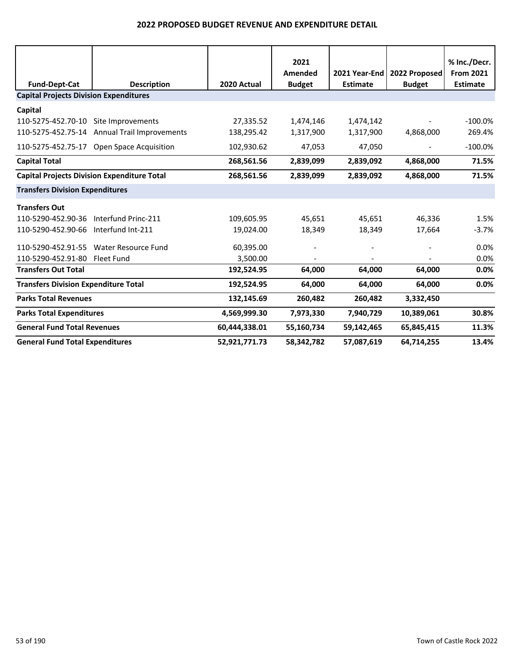|                                               |                                                    |               | 2021                     |                 |                                                | % Inc./Decr.                        |
|-----------------------------------------------|----------------------------------------------------|---------------|--------------------------|-----------------|------------------------------------------------|-------------------------------------|
| <b>Fund-Dept-Cat</b>                          | <b>Description</b>                                 | 2020 Actual   | Amended<br><b>Budget</b> | <b>Estimate</b> | 2021 Year-End   2022 Proposed<br><b>Budget</b> | <b>From 2021</b><br><b>Estimate</b> |
| <b>Capital Projects Division Expenditures</b> |                                                    |               |                          |                 |                                                |                                     |
| Capital                                       |                                                    |               |                          |                 |                                                |                                     |
| 110-5275-452.70-10 Site Improvements          |                                                    | 27,335.52     | 1,474,146                | 1,474,142       |                                                | $-100.0\%$                          |
|                                               | 110-5275-452.75-14 Annual Trail Improvements       | 138,295.42    | 1,317,900                | 1,317,900       | 4,868,000                                      | 269.4%                              |
|                                               | 110-5275-452.75-17 Open Space Acquisition          | 102,930.62    | 47,053                   | 47,050          |                                                | $-100.0\%$                          |
| <b>Capital Total</b>                          |                                                    | 268,561.56    | 2,839,099                | 2,839,092       | 4,868,000                                      | 71.5%                               |
|                                               | <b>Capital Projects Division Expenditure Total</b> | 268,561.56    | 2,839,099                | 2,839,092       | 4,868,000                                      | 71.5%                               |
| <b>Transfers Division Expenditures</b>        |                                                    |               |                          |                 |                                                |                                     |
| <b>Transfers Out</b>                          |                                                    |               |                          |                 |                                                |                                     |
| 110-5290-452.90-36                            | Interfund Princ-211                                | 109,605.95    | 45,651                   | 45,651          | 46,336                                         | 1.5%                                |
| 110-5290-452.90-66                            | Interfund Int-211                                  | 19,024.00     | 18,349                   | 18,349          | 17,664                                         | $-3.7%$                             |
| 110-5290-452.91-55                            | Water Resource Fund                                | 60,395.00     |                          |                 |                                                | 0.0%                                |
| 110-5290-452.91-80 Fleet Fund                 |                                                    | 3,500.00      |                          |                 |                                                | 0.0%                                |
| <b>Transfers Out Total</b>                    |                                                    | 192,524.95    | 64,000                   | 64,000          | 64,000                                         | 0.0%                                |
| <b>Transfers Division Expenditure Total</b>   |                                                    | 192,524.95    | 64,000                   | 64,000          | 64,000                                         | 0.0%                                |
| <b>Parks Total Revenues</b>                   |                                                    | 132,145.69    | 260,482                  | 260,482         | 3,332,450                                      |                                     |
| <b>Parks Total Expenditures</b>               |                                                    | 4,569,999.30  | 7,973,330                | 7,940,729       | 10,389,061                                     | 30.8%                               |
| <b>General Fund Total Revenues</b>            |                                                    | 60,444,338.01 | 55,160,734               | 59,142,465      | 65,845,415                                     | 11.3%                               |
| <b>General Fund Total Expenditures</b>        |                                                    | 52,921,771.73 | 58,342,782               | 57,087,619      | 64,714,255                                     | 13.4%                               |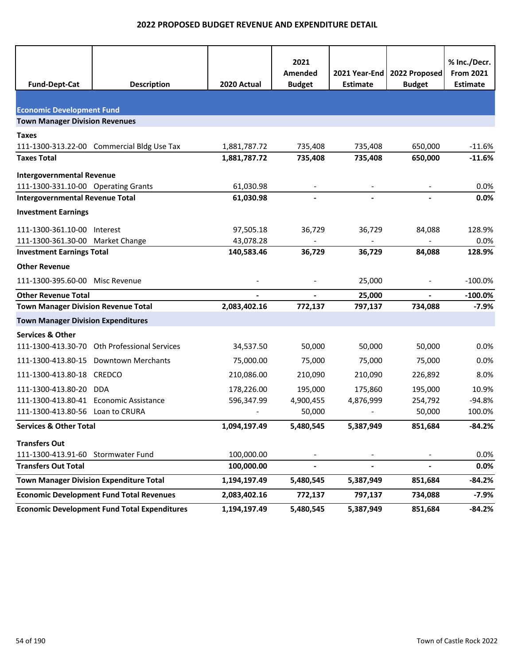| <b>Fund-Dept-Cat</b>                           | <b>Description</b>                                  | 2020 Actual  | 2021<br>Amended<br><b>Budget</b> | 2021 Year-End<br><b>Estimate</b> | 2022 Proposed<br><b>Budget</b> | % Inc./Decr.<br><b>From 2021</b><br><b>Estimate</b> |
|------------------------------------------------|-----------------------------------------------------|--------------|----------------------------------|----------------------------------|--------------------------------|-----------------------------------------------------|
|                                                |                                                     |              |                                  |                                  |                                |                                                     |
| <b>Economic Development Fund</b>               |                                                     |              |                                  |                                  |                                |                                                     |
| <b>Town Manager Division Revenues</b>          |                                                     |              |                                  |                                  |                                |                                                     |
| Taxes                                          |                                                     |              |                                  |                                  |                                |                                                     |
|                                                | 111-1300-313.22-00 Commercial Bldg Use Tax          | 1,881,787.72 | 735,408                          | 735,408                          | 650,000                        | $-11.6%$                                            |
| <b>Taxes Total</b>                             |                                                     | 1,881,787.72 | 735,408                          | 735,408                          | 650,000                        | $-11.6%$                                            |
| <b>Intergovernmental Revenue</b>               |                                                     |              |                                  |                                  |                                |                                                     |
| 111-1300-331.10-00 Operating Grants            |                                                     | 61,030.98    |                                  |                                  |                                | 0.0%                                                |
| <b>Intergovernmental Revenue Total</b>         |                                                     | 61,030.98    | $\blacksquare$                   | $\blacksquare$                   |                                | 0.0%                                                |
| <b>Investment Earnings</b>                     |                                                     |              |                                  |                                  |                                |                                                     |
| 111-1300-361.10-00                             | Interest                                            | 97,505.18    | 36,729                           | 36,729                           | 84,088                         | 128.9%                                              |
| 111-1300-361.30-00 Market Change               |                                                     | 43,078.28    |                                  |                                  |                                | 0.0%                                                |
| <b>Investment Earnings Total</b>               |                                                     | 140,583.46   | 36,729                           | 36,729                           | 84,088                         | 128.9%                                              |
| <b>Other Revenue</b>                           |                                                     |              |                                  |                                  |                                |                                                     |
| 111-1300-395.60-00                             | Misc Revenue                                        |              |                                  | 25,000                           |                                | $-100.0%$                                           |
| <b>Other Revenue Total</b>                     |                                                     |              |                                  | 25,000                           |                                | $-100.0%$                                           |
| <b>Town Manager Division Revenue Total</b>     |                                                     | 2,083,402.16 | 772,137                          | 797,137                          | 734,088                        | $-7.9%$                                             |
| <b>Town Manager Division Expenditures</b>      |                                                     |              |                                  |                                  |                                |                                                     |
| <b>Services &amp; Other</b>                    |                                                     |              |                                  |                                  |                                |                                                     |
| 111-1300-413.30-70                             | <b>Oth Professional Services</b>                    | 34,537.50    | 50,000                           | 50,000                           | 50,000                         | 0.0%                                                |
|                                                | 111-1300-413.80-15 Downtown Merchants               | 75,000.00    | 75,000                           | 75,000                           | 75,000                         | 0.0%                                                |
| 111-1300-413.80-18                             | <b>CREDCO</b>                                       | 210,086.00   | 210,090                          | 210,090                          | 226,892                        | 8.0%                                                |
| 111-1300-413.80-20                             | <b>DDA</b>                                          | 178,226.00   | 195,000                          | 175,860                          | 195,000                        | 10.9%                                               |
| 111-1300-413.80-41 Economic Assistance         |                                                     | 596,347.99   | 4,900,455                        | 4,876,999                        | 254,792                        | $-94.8%$                                            |
| 111-1300-413.80-56 Loan to CRURA               |                                                     |              | 50,000                           |                                  | 50,000                         | 100.0%                                              |
| <b>Services &amp; Other Total</b>              |                                                     | 1,094,197.49 | 5,480,545                        | 5,387,949                        | 851,684                        | $-84.2%$                                            |
| <b>Transfers Out</b>                           |                                                     |              |                                  |                                  |                                |                                                     |
| 111-1300-413.91-60                             | Stormwater Fund                                     | 100,000.00   |                                  |                                  |                                | 0.0%                                                |
| <b>Transfers Out Total</b>                     |                                                     | 100,000.00   | $\overline{\phantom{0}}$         |                                  | L.                             | 0.0%                                                |
| <b>Town Manager Division Expenditure Total</b> |                                                     | 1,194,197.49 | 5,480,545                        | 5,387,949                        | 851,684                        | $-84.2%$                                            |
|                                                | <b>Economic Development Fund Total Revenues</b>     | 2,083,402.16 | 772,137                          | 797,137                          | 734,088                        | $-7.9%$                                             |
|                                                | <b>Economic Development Fund Total Expenditures</b> | 1,194,197.49 | 5,480,545                        | 5,387,949                        | 851,684                        | $-84.2%$                                            |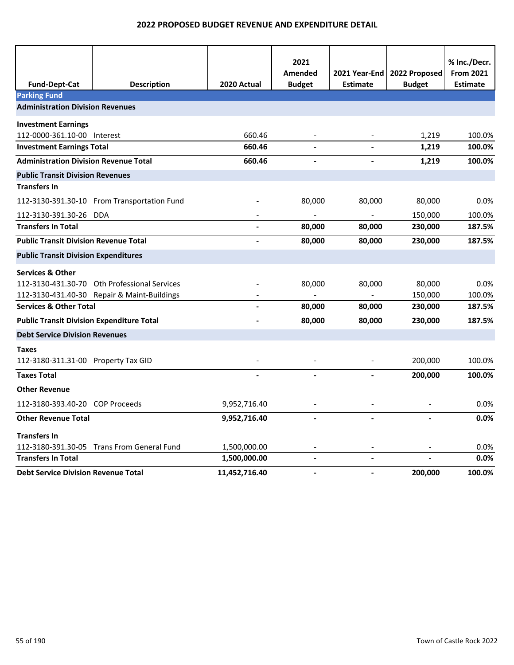| <b>Fund-Dept-Cat</b>                             | <b>Description</b>                           | 2020 Actual   | 2021<br>Amended<br><b>Budget</b> | 2021 Year-End I<br><b>Estimate</b> | 2022 Proposed<br><b>Budget</b> | % Inc./Decr.<br><b>From 2021</b><br><b>Estimate</b> |
|--------------------------------------------------|----------------------------------------------|---------------|----------------------------------|------------------------------------|--------------------------------|-----------------------------------------------------|
| <b>Parking Fund</b>                              |                                              |               |                                  |                                    |                                |                                                     |
| <b>Administration Division Revenues</b>          |                                              |               |                                  |                                    |                                |                                                     |
| <b>Investment Earnings</b>                       |                                              |               |                                  |                                    |                                |                                                     |
| 112-0000-361.10-00 Interest                      |                                              | 660.46        |                                  |                                    | 1,219                          | 100.0%                                              |
| <b>Investment Earnings Total</b>                 |                                              | 660.46        |                                  |                                    | 1,219                          | 100.0%                                              |
| <b>Administration Division Revenue Total</b>     |                                              | 660.46        |                                  | $\overline{a}$                     | 1,219                          | 100.0%                                              |
| <b>Public Transit Division Revenues</b>          |                                              |               |                                  |                                    |                                |                                                     |
| <b>Transfers In</b>                              |                                              |               |                                  |                                    |                                |                                                     |
|                                                  | 112-3130-391.30-10 From Transportation Fund  |               | 80,000                           | 80,000                             | 80,000                         | 0.0%                                                |
| 112-3130-391.30-26 DDA                           |                                              |               |                                  |                                    | 150,000                        | 100.0%                                              |
| <b>Transfers In Total</b>                        |                                              |               | 80,000                           | 80,000                             | 230,000                        | 187.5%                                              |
| <b>Public Transit Division Revenue Total</b>     |                                              |               | 80,000                           | 80,000                             | 230,000                        | 187.5%                                              |
| <b>Public Transit Division Expenditures</b>      |                                              |               |                                  |                                    |                                |                                                     |
| <b>Services &amp; Other</b>                      |                                              |               |                                  |                                    |                                |                                                     |
|                                                  | 112-3130-431.30-70 Oth Professional Services |               | 80,000                           | 80,000                             | 80,000                         | 0.0%                                                |
|                                                  | 112-3130-431.40-30 Repair & Maint-Buildings  |               |                                  |                                    | 150,000                        | 100.0%                                              |
| <b>Services &amp; Other Total</b>                |                                              |               | 80,000                           | 80,000                             | 230,000                        | 187.5%                                              |
| <b>Public Transit Division Expenditure Total</b> |                                              |               | 80,000                           | 80,000                             | 230,000                        | 187.5%                                              |
| <b>Debt Service Division Revenues</b>            |                                              |               |                                  |                                    |                                |                                                     |
| <b>Taxes</b>                                     |                                              |               |                                  |                                    |                                |                                                     |
| 112-3180-311.31-00 Property Tax GID              |                                              |               | $\overline{\phantom{a}}$         |                                    | 200,000                        | 100.0%                                              |
| <b>Taxes Total</b>                               |                                              |               |                                  |                                    | 200,000                        | 100.0%                                              |
| <b>Other Revenue</b>                             |                                              |               |                                  |                                    |                                |                                                     |
| 112-3180-393.40-20 COP Proceeds                  |                                              | 9,952,716.40  |                                  |                                    |                                | 0.0%                                                |
| <b>Other Revenue Total</b>                       |                                              | 9,952,716.40  | $\blacksquare$                   | $\overline{a}$                     | $\overline{a}$                 | 0.0%                                                |
| <b>Transfers In</b>                              |                                              |               |                                  |                                    |                                |                                                     |
|                                                  | 112-3180-391.30-05 Trans From General Fund   | 1,500,000.00  |                                  |                                    |                                | 0.0%                                                |
| <b>Transfers In Total</b>                        |                                              | 1,500,000.00  | $\overline{a}$                   | L,                                 |                                | 0.0%                                                |
| <b>Debt Service Division Revenue Total</b>       |                                              | 11,452,716.40 | $\overline{a}$                   |                                    | 200,000                        | 100.0%                                              |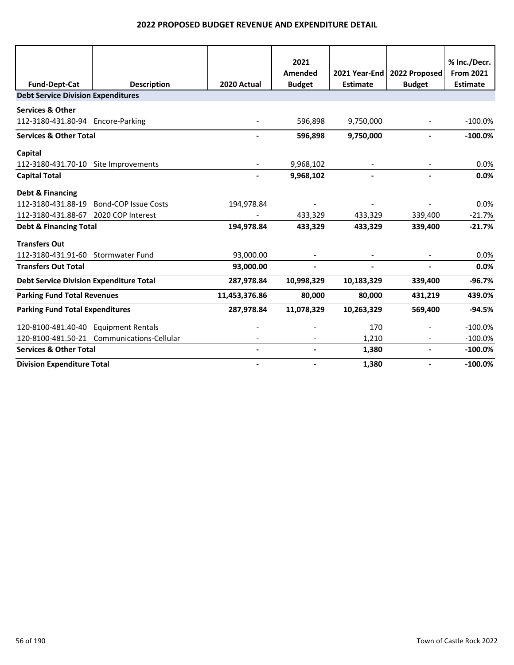|                                                |                                            |               | 2021          |                 |                               | % Inc./Decr.     |
|------------------------------------------------|--------------------------------------------|---------------|---------------|-----------------|-------------------------------|------------------|
|                                                |                                            |               | Amended       |                 | 2021 Year-End   2022 Proposed | <b>From 2021</b> |
| <b>Fund-Dept-Cat</b>                           | <b>Description</b>                         | 2020 Actual   | <b>Budget</b> | <b>Estimate</b> | <b>Budget</b>                 | <b>Estimate</b>  |
| <b>Debt Service Division Expenditures</b>      |                                            |               |               |                 |                               |                  |
| <b>Services &amp; Other</b>                    |                                            |               |               |                 |                               |                  |
| 112-3180-431.80-94 Encore-Parking              |                                            |               | 596,898       | 9,750,000       |                               | $-100.0\%$       |
| <b>Services &amp; Other Total</b>              |                                            |               | 596,898       | 9,750,000       |                               | $-100.0\%$       |
| Capital                                        |                                            |               |               |                 |                               |                  |
| 112-3180-431.70-10 Site Improvements           |                                            |               | 9,968,102     |                 |                               | 0.0%             |
| <b>Capital Total</b>                           |                                            |               | 9,968,102     |                 |                               | 0.0%             |
| Debt & Financing                               |                                            |               |               |                 |                               |                  |
| 112-3180-431.88-19                             | <b>Bond-COP Issue Costs</b>                | 194,978.84    |               |                 |                               | 0.0%             |
| 112-3180-431.88-67                             | 2020 COP Interest                          |               | 433,329       | 433,329         | 339,400                       | $-21.7%$         |
| <b>Debt &amp; Financing Total</b>              |                                            | 194,978.84    | 433,329       | 433,329         | 339,400                       | $-21.7%$         |
| <b>Transfers Out</b>                           |                                            |               |               |                 |                               |                  |
| 112-3180-431.91-60                             | <b>Stormwater Fund</b>                     | 93,000.00     |               |                 |                               | 0.0%             |
| <b>Transfers Out Total</b>                     |                                            | 93,000.00     |               |                 |                               | 0.0%             |
| <b>Debt Service Division Expenditure Total</b> |                                            | 287,978.84    | 10,998,329    | 10,183,329      | 339,400                       | $-96.7%$         |
| <b>Parking Fund Total Revenues</b>             |                                            | 11,453,376.86 | 80,000        | 80,000          | 431,219                       | 439.0%           |
| <b>Parking Fund Total Expenditures</b>         |                                            | 287,978.84    | 11,078,329    | 10,263,329      | 569,400                       | $-94.5%$         |
| 120-8100-481.40-40 Equipment Rentals           |                                            |               |               | 170             |                               | $-100.0%$        |
|                                                | 120-8100-481.50-21 Communications-Cellular |               |               | 1,210           |                               | $-100.0%$        |
| <b>Services &amp; Other Total</b>              |                                            |               |               | 1,380           |                               | $-100.0%$        |
| <b>Division Expenditure Total</b>              |                                            |               |               | 1,380           |                               | $-100.0%$        |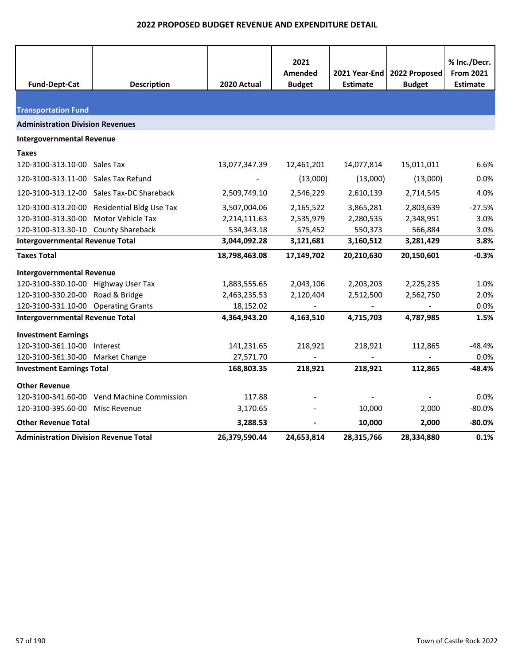| <b>Fund-Dept-Cat</b>                         | <b>Description</b>                          | 2020 Actual   | 2021<br>Amended<br><b>Budget</b> | 2021 Year-End<br><b>Estimate</b> | 2022 Proposed<br><b>Budget</b> | % Inc./Decr.<br><b>From 2021</b><br><b>Estimate</b> |
|----------------------------------------------|---------------------------------------------|---------------|----------------------------------|----------------------------------|--------------------------------|-----------------------------------------------------|
|                                              |                                             |               |                                  |                                  |                                |                                                     |
| <b>Transportation Fund</b>                   |                                             |               |                                  |                                  |                                |                                                     |
| <b>Administration Division Revenues</b>      |                                             |               |                                  |                                  |                                |                                                     |
| <b>Intergovernmental Revenue</b>             |                                             |               |                                  |                                  |                                |                                                     |
| <b>Taxes</b>                                 |                                             |               |                                  |                                  |                                |                                                     |
| 120-3100-313.10-00 Sales Tax                 |                                             | 13,077,347.39 | 12,461,201                       | 14,077,814                       | 15,011,011                     | 6.6%                                                |
| 120-3100-313.11-00 Sales Tax Refund          |                                             |               | (13,000)                         | (13,000)                         | (13,000)                       | 0.0%                                                |
|                                              | 120-3100-313.12-00 Sales Tax-DC Shareback   | 2,509,749.10  | 2,546,229                        | 2,610,139                        | 2,714,545                      | 4.0%                                                |
|                                              | 120-3100-313.20-00 Residential Bldg Use Tax | 3,507,004.06  | 2,165,522                        | 3,865,281                        | 2,803,639                      | $-27.5%$                                            |
| 120-3100-313.30-00 Motor Vehicle Tax         |                                             | 2,214,111.63  | 2,535,979                        | 2,280,535                        | 2,348,951                      | 3.0%                                                |
| 120-3100-313.30-10 County Shareback          |                                             | 534,343.18    | 575,452                          | 550,373                          | 566,884                        | 3.0%                                                |
| <b>Intergovernmental Revenue Total</b>       |                                             | 3,044,092.28  | 3,121,681                        | 3,160,512                        | 3,281,429                      | 3.8%                                                |
| <b>Taxes Total</b>                           |                                             | 18,798,463.08 | 17,149,702                       | 20,210,630                       | 20,150,601                     | $-0.3%$                                             |
| <b>Intergovernmental Revenue</b>             |                                             |               |                                  |                                  |                                |                                                     |
| 120-3100-330.10-00 Highway User Tax          |                                             | 1,883,555.65  | 2,043,106                        | 2,203,203                        | 2,225,235                      | 1.0%                                                |
| 120-3100-330.20-00 Road & Bridge             |                                             | 2,463,235.53  | 2,120,404                        | 2,512,500                        | 2,562,750                      | 2.0%                                                |
| 120-3100-331.10-00 Operating Grants          |                                             | 18,152.02     |                                  |                                  |                                | 0.0%                                                |
| <b>Intergovernmental Revenue Total</b>       |                                             | 4,364,943.20  | 4,163,510                        | 4,715,703                        | 4,787,985                      | 1.5%                                                |
| <b>Investment Earnings</b>                   |                                             |               |                                  |                                  |                                |                                                     |
| 120-3100-361.10-00 Interest                  |                                             | 141,231.65    | 218,921                          | 218,921                          | 112,865                        | $-48.4%$                                            |
| 120-3100-361.30-00 Market Change             |                                             | 27,571.70     |                                  |                                  |                                | 0.0%                                                |
| <b>Investment Earnings Total</b>             |                                             | 168,803.35    | 218,921                          | 218,921                          | 112,865                        | $-48.4%$                                            |
| <b>Other Revenue</b>                         |                                             |               |                                  |                                  |                                |                                                     |
|                                              | 120-3100-341.60-00 Vend Machine Commission  | 117.88        |                                  |                                  |                                | 0.0%                                                |
| 120-3100-395.60-00 Misc Revenue              |                                             | 3,170.65      |                                  | 10,000                           | 2,000                          | $-80.0%$                                            |
| <b>Other Revenue Total</b>                   |                                             | 3,288.53      |                                  | 10,000                           | 2,000                          | $-80.0%$                                            |
| <b>Administration Division Revenue Total</b> |                                             | 26,379,590.44 | 24,653,814                       | 28,315,766                       | 28,334,880                     | 0.1%                                                |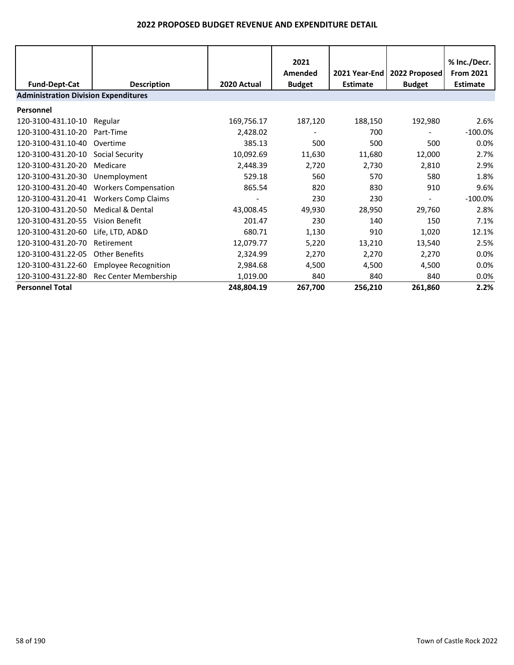|                                             |                             |             | 2021          |               |                | % Inc./Decr.     |
|---------------------------------------------|-----------------------------|-------------|---------------|---------------|----------------|------------------|
|                                             |                             |             | Amended       | 2021 Year-End | 2022 Proposed  | <b>From 2021</b> |
| <b>Fund-Dept-Cat</b>                        | <b>Description</b>          | 2020 Actual | <b>Budget</b> | Estimate      | <b>Budget</b>  | <b>Estimate</b>  |
| <b>Administration Division Expenditures</b> |                             |             |               |               |                |                  |
| Personnel                                   |                             |             |               |               |                |                  |
| 120-3100-431.10-10                          | Regular                     | 169,756.17  | 187,120       | 188,150       | 192,980        | 2.6%             |
| 120-3100-431.10-20                          | Part-Time                   | 2,428.02    |               | 700           |                | $-100.0\%$       |
| 120-3100-431.10-40                          | Overtime                    | 385.13      | 500           | 500           | 500            | 0.0%             |
| 120-3100-431.20-10                          | Social Security             | 10,092.69   | 11,630        | 11,680        | 12,000         | 2.7%             |
| 120-3100-431.20-20                          | Medicare                    | 2,448.39    | 2,720         | 2,730         | 2,810          | 2.9%             |
| 120-3100-431.20-30                          | Unemployment                | 529.18      | 560           | 570           | 580            | 1.8%             |
| 120-3100-431.20-40                          | <b>Workers Compensation</b> | 865.54      | 820           | 830           | 910            | 9.6%             |
| 120-3100-431.20-41                          | <b>Workers Comp Claims</b>  |             | 230           | 230           | $\blacksquare$ | $-100.0\%$       |
| 120-3100-431.20-50                          | Medical & Dental            | 43,008.45   | 49,930        | 28,950        | 29,760         | 2.8%             |
| 120-3100-431.20-55                          | Vision Benefit              | 201.47      | 230           | 140           | 150            | 7.1%             |
| 120-3100-431.20-60                          | Life, LTD, AD&D             | 680.71      | 1,130         | 910           | 1,020          | 12.1%            |
| 120-3100-431.20-70                          | Retirement                  | 12,079.77   | 5,220         | 13,210        | 13,540         | 2.5%             |
| 120-3100-431.22-05                          | Other Benefits              | 2,324.99    | 2,270         | 2,270         | 2,270          | 0.0%             |
| 120-3100-431.22-60                          | <b>Employee Recognition</b> | 2,984.68    | 4,500         | 4,500         | 4,500          | 0.0%             |
| 120-3100-431.22-80                          | Rec Center Membership       | 1,019.00    | 840           | 840           | 840            | 0.0%             |
| <b>Personnel Total</b>                      |                             | 248,804.19  | 267,700       | 256,210       | 261,860        | 2.2%             |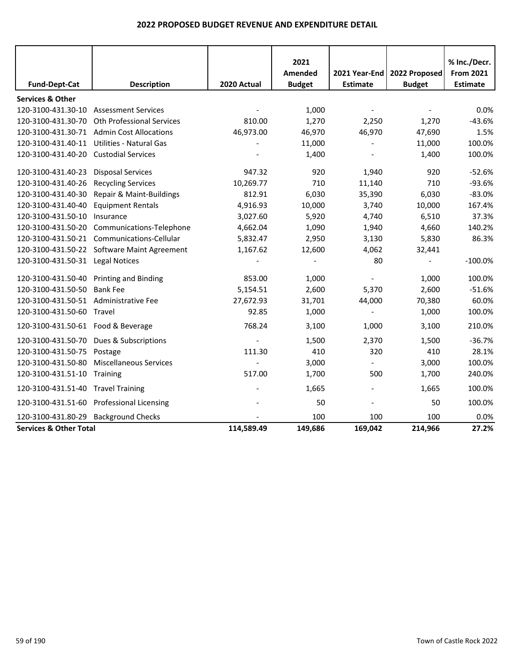|                                         |                                             |             | 2021                     |                                  |                                | % Inc./Decr.                        |
|-----------------------------------------|---------------------------------------------|-------------|--------------------------|----------------------------------|--------------------------------|-------------------------------------|
| <b>Fund-Dept-Cat</b>                    | <b>Description</b>                          | 2020 Actual | Amended<br><b>Budget</b> | 2021 Year-End<br><b>Estimate</b> | 2022 Proposed<br><b>Budget</b> | <b>From 2021</b><br><b>Estimate</b> |
| <b>Services &amp; Other</b>             |                                             |             |                          |                                  |                                |                                     |
| 120-3100-431.30-10                      | <b>Assessment Services</b>                  |             | 1,000                    |                                  |                                | 0.0%                                |
| 120-3100-431.30-70                      | <b>Oth Professional Services</b>            | 810.00      | 1,270                    | 2,250                            | 1,270                          | $-43.6%$                            |
|                                         | 120-3100-431.30-71 Admin Cost Allocations   | 46,973.00   | 46,970                   | 46,970                           | 47,690                         | 1.5%                                |
| 120-3100-431.40-11                      | <b>Utilities - Natural Gas</b>              |             | 11,000                   | $\overline{\phantom{a}}$         | 11,000                         | 100.0%                              |
| 120-3100-431.40-20                      | <b>Custodial Services</b>                   |             | 1,400                    |                                  | 1,400                          | 100.0%                              |
| 120-3100-431.40-23                      | <b>Disposal Services</b>                    | 947.32      | 920                      | 1,940                            | 920                            | $-52.6%$                            |
| 120-3100-431.40-26                      | <b>Recycling Services</b>                   | 10,269.77   | 710                      | 11,140                           | 710                            | $-93.6%$                            |
| 120-3100-431.40-30                      | Repair & Maint-Buildings                    | 812.91      | 6,030                    | 35,390                           | 6,030                          | $-83.0%$                            |
| 120-3100-431.40-40                      | <b>Equipment Rentals</b>                    | 4,916.93    | 10,000                   | 3,740                            | 10,000                         | 167.4%                              |
| 120-3100-431.50-10                      | Insurance                                   | 3,027.60    | 5,920                    | 4,740                            | 6,510                          | 37.3%                               |
| 120-3100-431.50-20                      | Communications-Telephone                    | 4,662.04    | 1,090                    | 1,940                            | 4,660                          | 140.2%                              |
|                                         | 120-3100-431.50-21 Communications-Cellular  | 5,832.47    | 2,950                    | 3,130                            | 5,830                          | 86.3%                               |
|                                         | 120-3100-431.50-22 Software Maint Agreement | 1,167.62    | 12,600                   | 4,062                            | 32,441                         |                                     |
| 120-3100-431.50-31 Legal Notices        |                                             |             |                          | 80                               | $\overline{\phantom{a}}$       | $-100.0%$                           |
| 120-3100-431.50-40 Printing and Binding |                                             | 853.00      | 1,000                    |                                  | 1,000                          | 100.0%                              |
| 120-3100-431.50-50                      | <b>Bank Fee</b>                             | 5,154.51    | 2,600                    | 5,370                            | 2,600                          | $-51.6%$                            |
| 120-3100-431.50-51 Administrative Fee   |                                             | 27,672.93   | 31,701                   | 44,000                           | 70,380                         | 60.0%                               |
| 120-3100-431.50-60 Travel               |                                             | 92.85       | 1,000                    |                                  | 1,000                          | 100.0%                              |
| 120-3100-431.50-61 Food & Beverage      |                                             | 768.24      | 3,100                    | 1,000                            | 3,100                          | 210.0%                              |
|                                         | 120-3100-431.50-70 Dues & Subscriptions     |             | 1,500                    | 2,370                            | 1,500                          | $-36.7%$                            |
| 120-3100-431.50-75                      | Postage                                     | 111.30      | 410                      | 320                              | 410                            | 28.1%                               |
| 120-3100-431.50-80                      | <b>Miscellaneous Services</b>               |             | 3,000                    |                                  | 3,000                          | 100.0%                              |
| 120-3100-431.51-10 Training             |                                             | 517.00      | 1,700                    | 500                              | 1,700                          | 240.0%                              |
| 120-3100-431.51-40 Travel Training      |                                             |             | 1,665                    |                                  | 1,665                          | 100.0%                              |
|                                         | 120-3100-431.51-60 Professional Licensing   |             | 50                       |                                  | 50                             | 100.0%                              |
| 120-3100-431.80-29                      | <b>Background Checks</b>                    |             | 100                      | 100                              | 100                            | 0.0%                                |
| <b>Services &amp; Other Total</b>       |                                             | 114,589.49  | 149,686                  | 169,042                          | 214,966                        | 27.2%                               |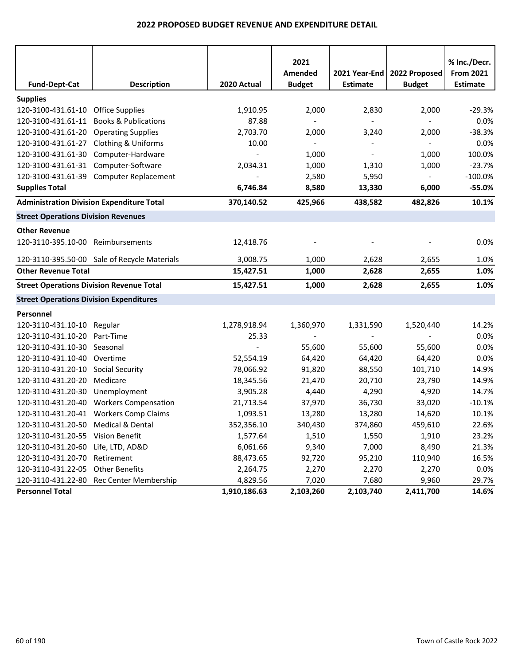|                                                  |                                              |              | 2021           |                          |                          | % Inc./Decr.     |
|--------------------------------------------------|----------------------------------------------|--------------|----------------|--------------------------|--------------------------|------------------|
|                                                  |                                              |              | Amended        | 2021 Year-End            | 2022 Proposed            | <b>From 2021</b> |
| <b>Fund-Dept-Cat</b>                             | <b>Description</b>                           | 2020 Actual  | <b>Budget</b>  | <b>Estimate</b>          | <b>Budget</b>            | <b>Estimate</b>  |
| <b>Supplies</b>                                  |                                              |              |                |                          |                          |                  |
| 120-3100-431.61-10 Office Supplies               |                                              | 1,910.95     | 2,000          | 2,830                    | 2,000                    | $-29.3%$         |
| 120-3100-431.61-11                               | <b>Books &amp; Publications</b>              | 87.88        | $\blacksquare$ | $\blacksquare$           | $\blacksquare$           | 0.0%             |
| 120-3100-431.61-20 Operating Supplies            |                                              | 2,703.70     | 2,000          | 3,240                    | 2,000                    | $-38.3%$         |
| 120-3100-431.61-27 Clothing & Uniforms           |                                              | 10.00        | $\blacksquare$ | $\overline{\phantom{a}}$ | $\sim$                   | 0.0%             |
| 120-3100-431.61-30                               | Computer-Hardware                            |              | 1,000          | $\overline{\phantom{a}}$ | 1,000                    | 100.0%           |
| 120-3100-431.61-31 Computer-Software             |                                              | 2,034.31     | 1,000          | 1,310                    | 1,000                    | $-23.7%$         |
|                                                  | 120-3100-431.61-39 Computer Replacement      |              | 2,580          | 5,950                    | $\blacksquare$           | $-100.0\%$       |
| <b>Supplies Total</b>                            |                                              | 6,746.84     | 8,580          | 13,330                   | 6,000                    | $-55.0%$         |
| <b>Administration Division Expenditure Total</b> |                                              | 370,140.52   | 425,966        | 438,582                  | 482,826                  | 10.1%            |
| <b>Street Operations Division Revenues</b>       |                                              |              |                |                          |                          |                  |
| <b>Other Revenue</b>                             |                                              |              |                |                          |                          |                  |
| 120-3110-395.10-00 Reimbursements                |                                              | 12,418.76    |                |                          |                          | 0.0%             |
|                                                  | 120-3110-395.50-00 Sale of Recycle Materials | 3,008.75     | 1,000          | 2,628                    | 2,655                    | 1.0%             |
| <b>Other Revenue Total</b>                       |                                              | 15,427.51    | 1,000          | 2,628                    | 2,655                    | 1.0%             |
| <b>Street Operations Division Revenue Total</b>  |                                              | 15,427.51    | 1,000          | 2,628                    | 2,655                    | 1.0%             |
| <b>Street Operations Division Expenditures</b>   |                                              |              |                |                          |                          |                  |
| Personnel                                        |                                              |              |                |                          |                          |                  |
| 120-3110-431.10-10 Regular                       |                                              | 1,278,918.94 | 1,360,970      | 1,331,590                | 1,520,440                | 14.2%            |
| 120-3110-431.10-20                               | Part-Time                                    | 25.33        | $\sim$         | $\overline{\phantom{a}}$ | $\overline{\phantom{a}}$ | 0.0%             |
| 120-3110-431.10-30 Seasonal                      |                                              |              | 55,600         | 55,600                   | 55,600                   | 0.0%             |
| 120-3110-431.10-40 Overtime                      |                                              | 52,554.19    | 64,420         | 64,420                   | 64,420                   | 0.0%             |
| 120-3110-431.20-10 Social Security               |                                              | 78,066.92    | 91,820         | 88,550                   | 101,710                  | 14.9%            |
| 120-3110-431.20-20                               | Medicare                                     | 18,345.56    | 21,470         | 20,710                   | 23,790                   | 14.9%            |
| 120-3110-431.20-30                               | Unemployment                                 | 3,905.28     | 4,440          | 4,290                    | 4,920                    | 14.7%            |
| 120-3110-431.20-40                               | <b>Workers Compensation</b>                  | 21,713.54    | 37,970         | 36,730                   | 33,020                   | $-10.1%$         |
|                                                  | 120-3110-431.20-41 Workers Comp Claims       | 1,093.51     | 13,280         | 13,280                   | 14,620                   | 10.1%            |
| 120-3110-431.20-50 Medical & Dental              |                                              | 352,356.10   | 340,430        | 374,860                  | 459,610                  | 22.6%            |
| 120-3110-431.20-55                               | Vision Benefit                               | 1,577.64     | 1,510          | 1,550                    | 1,910                    | 23.2%            |
| 120-3110-431.20-60                               | Life, LTD, AD&D                              | 6,061.66     | 9,340          | 7,000                    | 8,490                    | 21.3%            |
| 120-3110-431.20-70                               | Retirement                                   | 88,473.65    | 92,720         | 95,210                   | 110,940                  | 16.5%            |
| 120-3110-431.22-05                               | <b>Other Benefits</b>                        | 2,264.75     | 2,270          | 2,270                    | 2,270                    | 0.0%             |
| 120-3110-431.22-80                               | Rec Center Membership                        | 4,829.56     | 7,020          | 7,680                    | 9,960                    | 29.7%            |
| <b>Personnel Total</b>                           |                                              | 1,910,186.63 | 2,103,260      | 2,103,740                | 2,411,700                | 14.6%            |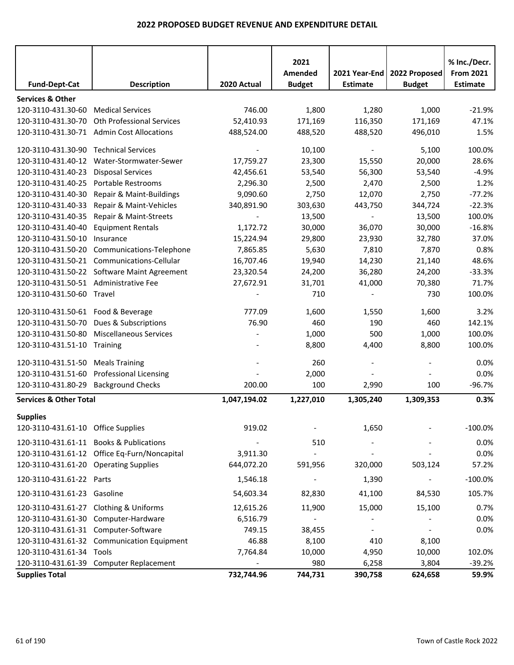| <b>Fund-Dept-Cat</b>                   | <b>Description</b>                           | 2020 Actual  | 2021<br>Amended<br><b>Budget</b> | 2021 Year-End<br><b>Estimate</b> | 2022 Proposed<br><b>Budget</b> | % Inc./Decr.<br><b>From 2021</b><br><b>Estimate</b> |
|----------------------------------------|----------------------------------------------|--------------|----------------------------------|----------------------------------|--------------------------------|-----------------------------------------------------|
|                                        |                                              |              |                                  |                                  |                                |                                                     |
| <b>Services &amp; Other</b>            |                                              |              |                                  |                                  |                                |                                                     |
| 120-3110-431.30-60                     | <b>Medical Services</b>                      | 746.00       | 1,800                            | 1,280                            | 1,000                          | $-21.9%$                                            |
| 120-3110-431.30-70                     | <b>Oth Professional Services</b>             | 52,410.93    | 171,169                          | 116,350                          | 171,169                        | 47.1%                                               |
| 120-3110-431.30-71                     | <b>Admin Cost Allocations</b>                | 488,524.00   | 488,520                          | 488,520                          | 496,010                        | 1.5%                                                |
| 120-3110-431.30-90 Technical Services  |                                              |              | 10,100                           | $\blacksquare$                   | 5,100                          | 100.0%                                              |
| 120-3110-431.40-12                     | Water-Stormwater-Sewer                       | 17,759.27    | 23,300                           | 15,550                           | 20,000                         | 28.6%                                               |
| 120-3110-431.40-23                     | <b>Disposal Services</b>                     | 42,456.61    | 53,540                           | 56,300                           | 53,540                         | $-4.9%$                                             |
| 120-3110-431.40-25                     | <b>Portable Restrooms</b>                    | 2,296.30     | 2,500                            | 2,470                            | 2,500                          | 1.2%                                                |
| 120-3110-431.40-30                     | Repair & Maint-Buildings                     | 9,090.60     | 2,750                            | 12,070                           | 2,750                          | $-77.2%$                                            |
| 120-3110-431.40-33                     | Repair & Maint-Vehicles                      | 340,891.90   | 303,630                          | 443,750                          | 344,724                        | $-22.3%$                                            |
| 120-3110-431.40-35                     | Repair & Maint-Streets                       |              | 13,500                           |                                  | 13,500                         | 100.0%                                              |
| 120-3110-431.40-40                     | <b>Equipment Rentals</b>                     | 1,172.72     | 30,000                           | 36,070                           | 30,000                         | $-16.8%$                                            |
| 120-3110-431.50-10                     | Insurance                                    | 15,224.94    | 29,800                           | 23,930                           | 32,780                         | 37.0%                                               |
| 120-3110-431.50-20                     | Communications-Telephone                     | 7,865.85     | 5,630                            | 7,810                            | 7,870                          | 0.8%                                                |
| 120-3110-431.50-21                     | Communications-Cellular                      | 16,707.46    | 19,940                           | 14,230                           | 21,140                         | 48.6%                                               |
|                                        | 120-3110-431.50-22 Software Maint Agreement  | 23,320.54    | 24,200                           | 36,280                           | 24,200                         | $-33.3%$                                            |
| 120-3110-431.50-51                     | Administrative Fee                           | 27,672.91    | 31,701                           | 41,000                           | 70,380                         | 71.7%                                               |
| 120-3110-431.50-60 Travel              |                                              |              | 710                              |                                  | 730                            | 100.0%                                              |
|                                        |                                              |              |                                  |                                  |                                |                                                     |
| 120-3110-431.50-61 Food & Beverage     |                                              | 777.09       | 1,600                            | 1,550                            | 1,600                          | 3.2%                                                |
| 120-3110-431.50-70                     | Dues & Subscriptions                         | 76.90        | 460                              | 190                              | 460                            | 142.1%                                              |
| 120-3110-431.50-80                     | <b>Miscellaneous Services</b>                |              | 1,000                            | 500                              | 1,000                          | 100.0%                                              |
| 120-3110-431.51-10 Training            |                                              |              | 8,800                            | 4,400                            | 8,800                          | 100.0%                                              |
| 120-3110-431.51-50                     | <b>Meals Training</b>                        |              | 260                              |                                  |                                | 0.0%                                                |
| 120-3110-431.51-60                     | <b>Professional Licensing</b>                |              | 2,000                            |                                  |                                | 0.0%                                                |
| 120-3110-431.80-29                     | <b>Background Checks</b>                     | 200.00       | 100                              | 2,990                            | 100                            | $-96.7%$                                            |
| <b>Services &amp; Other Total</b>      |                                              | 1,047,194.02 | 1,227,010                        | 1,305,240                        | 1,309,353                      | 0.3%                                                |
|                                        |                                              |              |                                  |                                  |                                |                                                     |
| <b>Supplies</b>                        |                                              |              |                                  |                                  |                                |                                                     |
| 120-3110-431.61-10 Office Supplies     |                                              | 919.02       |                                  | 1,650                            |                                | $-100.0\%$                                          |
| 120-3110-431.61-11                     | <b>Books &amp; Publications</b>              |              | 510                              |                                  |                                | 0.0%                                                |
|                                        | 120-3110-431.61-12 Office Eq-Furn/Noncapital | 3,911.30     |                                  |                                  |                                | 0.0%                                                |
| 120-3110-431.61-20 Operating Supplies  |                                              | 644,072.20   | 591,956                          | 320,000                          | 503,124                        | 57.2%                                               |
| 120-3110-431.61-22 Parts               |                                              | 1,546.18     |                                  | 1,390                            |                                | $-100.0%$                                           |
| 120-3110-431.61-23 Gasoline            |                                              | 54,603.34    | 82,830                           | 41,100                           | 84,530                         | 105.7%                                              |
| 120-3110-431.61-27 Clothing & Uniforms |                                              | 12,615.26    | 11,900                           | 15,000                           | 15,100                         | 0.7%                                                |
|                                        | 120-3110-431.61-30 Computer-Hardware         | 6,516.79     |                                  |                                  |                                | 0.0%                                                |
| 120-3110-431.61-31 Computer-Software   |                                              | 749.15       | 38,455                           |                                  |                                | 0.0%                                                |
|                                        | 120-3110-431.61-32 Communication Equipment   | 46.88        | 8,100                            | 410                              | 8,100                          |                                                     |
| 120-3110-431.61-34 Tools               |                                              | 7,764.84     | 10,000                           | 4,950                            | 10,000                         | 102.0%                                              |
|                                        | 120-3110-431.61-39 Computer Replacement      |              | 980                              | 6,258                            | 3,804                          | $-39.2%$                                            |
| <b>Supplies Total</b>                  |                                              | 732,744.96   | 744,731                          | 390,758                          | 624,658                        | 59.9%                                               |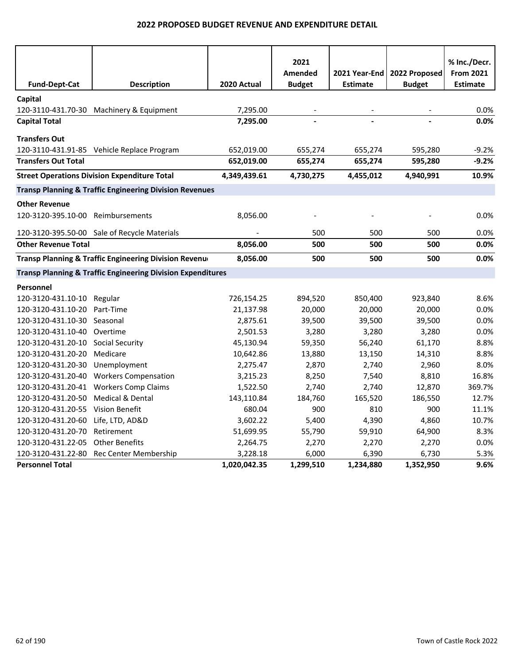|                                   |                                                                        |              | 2021          |                 |               | % Inc./Decr.     |
|-----------------------------------|------------------------------------------------------------------------|--------------|---------------|-----------------|---------------|------------------|
|                                   |                                                                        |              | Amended       | 2021 Year-End   | 2022 Proposed | <b>From 2021</b> |
| <b>Fund-Dept-Cat</b>              | <b>Description</b>                                                     | 2020 Actual  | <b>Budget</b> | <b>Estimate</b> | <b>Budget</b> | <b>Estimate</b>  |
| Capital                           |                                                                        |              |               |                 |               |                  |
|                                   | 120-3110-431.70-30 Machinery & Equipment                               | 7,295.00     |               |                 |               | 0.0%             |
| <b>Capital Total</b>              |                                                                        | 7,295.00     |               |                 |               | 0.0%             |
| <b>Transfers Out</b>              |                                                                        |              |               |                 |               |                  |
|                                   | 120-3110-431.91-85 Vehicle Replace Program                             | 652,019.00   | 655,274       | 655,274         | 595,280       | $-9.2%$          |
| <b>Transfers Out Total</b>        |                                                                        | 652,019.00   | 655,274       | 655,274         | 595,280       | $-9.2%$          |
|                                   | <b>Street Operations Division Expenditure Total</b>                    | 4,349,439.61 | 4,730,275     | 4,455,012       | 4,940,991     | 10.9%            |
|                                   |                                                                        |              |               |                 |               |                  |
|                                   | <b>Transp Planning &amp; Traffic Engineering Division Revenues</b>     |              |               |                 |               |                  |
| <b>Other Revenue</b>              |                                                                        |              |               |                 |               |                  |
| 120-3120-395.10-00 Reimbursements |                                                                        | 8,056.00     |               |                 |               | 0.0%             |
|                                   | 120-3120-395.50-00 Sale of Recycle Materials                           |              | 500           | 500             | 500           | $0.0\%$          |
| <b>Other Revenue Total</b>        |                                                                        | 8,056.00     | 500           | 500             | 500           | $0.0\%$          |
|                                   | Transp Planning & Traffic Engineering Division Revenue                 | 8,056.00     | 500           | 500             | 500           | 0.0%             |
|                                   | <b>Transp Planning &amp; Traffic Engineering Division Expenditures</b> |              |               |                 |               |                  |
| Personnel                         |                                                                        |              |               |                 |               |                  |
| 120-3120-431.10-10                | Regular                                                                | 726,154.25   | 894,520       | 850,400         | 923,840       | 8.6%             |
| 120-3120-431.10-20                | Part-Time                                                              | 21,137.98    | 20,000        | 20,000          | 20,000        | 0.0%             |
| 120-3120-431.10-30                | Seasonal                                                               | 2,875.61     | 39,500        | 39,500          | 39,500        | 0.0%             |
| 120-3120-431.10-40                | Overtime                                                               | 2,501.53     | 3,280         | 3,280           | 3,280         | 0.0%             |
| 120-3120-431.20-10                | <b>Social Security</b>                                                 | 45,130.94    | 59,350        | 56,240          | 61,170        | 8.8%             |
| 120-3120-431.20-20                | Medicare                                                               | 10,642.86    | 13,880        | 13,150          | 14,310        | 8.8%             |
| 120-3120-431.20-30                | Unemployment                                                           | 2,275.47     | 2,870         | 2,740           | 2,960         | 8.0%             |
| 120-3120-431.20-40                | <b>Workers Compensation</b>                                            | 3,215.23     | 8,250         | 7,540           | 8,810         | 16.8%            |
| 120-3120-431.20-41                | <b>Workers Comp Claims</b>                                             | 1,522.50     | 2,740         | 2,740           | 12,870        | 369.7%           |
| 120-3120-431.20-50                | Medical & Dental                                                       | 143,110.84   | 184,760       | 165,520         | 186,550       | 12.7%            |
| 120-3120-431.20-55 Vision Benefit |                                                                        | 680.04       | 900           | 810             | 900           | 11.1%            |
| 120-3120-431.20-60                | Life, LTD, AD&D                                                        | 3,602.22     | 5,400         | 4,390           | 4,860         | 10.7%            |
| 120-3120-431.20-70                | Retirement                                                             | 51,699.95    | 55,790        | 59,910          | 64,900        | 8.3%             |
| 120-3120-431.22-05                | <b>Other Benefits</b>                                                  | 2,264.75     | 2,270         | 2,270           | 2,270         | 0.0%             |
| 120-3120-431.22-80                | Rec Center Membership                                                  | 3,228.18     | 6,000         | 6,390           | 6,730         | 5.3%             |
| <b>Personnel Total</b>            |                                                                        | 1,020,042.35 | 1,299,510     | 1,234,880       | 1,352,950     | 9.6%             |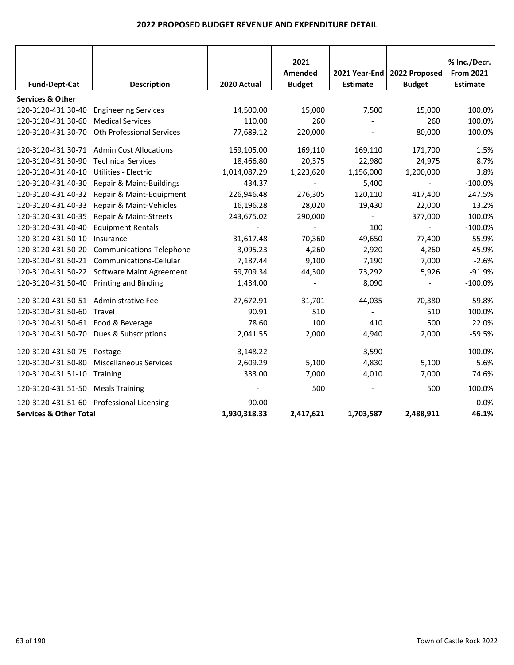|                                         |                                             |              | 2021                     |                 |                          | % Inc./Decr.     |
|-----------------------------------------|---------------------------------------------|--------------|--------------------------|-----------------|--------------------------|------------------|
|                                         |                                             |              | Amended                  | 2021 Year-End   | 2022 Proposed            | <b>From 2021</b> |
| <b>Fund-Dept-Cat</b>                    | <b>Description</b>                          | 2020 Actual  | <b>Budget</b>            | <b>Estimate</b> | <b>Budget</b>            | <b>Estimate</b>  |
| <b>Services &amp; Other</b>             |                                             |              |                          |                 |                          |                  |
| 120-3120-431.30-40                      | <b>Engineering Services</b>                 | 14,500.00    | 15,000                   | 7,500           | 15,000                   | 100.0%           |
| 120-3120-431.30-60                      | <b>Medical Services</b>                     | 110.00       | 260                      |                 | 260                      | 100.0%           |
| 120-3120-431.30-70                      | Oth Professional Services                   | 77,689.12    | 220,000                  |                 | 80,000                   | 100.0%           |
|                                         | 120-3120-431.30-71 Admin Cost Allocations   | 169,105.00   | 169,110                  | 169,110         | 171,700                  | 1.5%             |
| 120-3120-431.30-90                      | <b>Technical Services</b>                   | 18,466.80    | 20,375                   | 22,980          | 24,975                   | 8.7%             |
| 120-3120-431.40-10                      | <b>Utilities - Electric</b>                 | 1,014,087.29 | 1,223,620                | 1,156,000       | 1,200,000                | 3.8%             |
| 120-3120-431.40-30                      | Repair & Maint-Buildings                    | 434.37       | $\overline{\phantom{a}}$ | 5,400           | $\sim$                   | $-100.0%$        |
| 120-3120-431.40-32                      | Repair & Maint-Equipment                    | 226,946.48   | 276,305                  | 120,110         | 417,400                  | 247.5%           |
| 120-3120-431.40-33                      | Repair & Maint-Vehicles                     | 16,196.28    | 28,020                   | 19,430          | 22,000                   | 13.2%            |
| 120-3120-431.40-35                      | Repair & Maint-Streets                      | 243,675.02   | 290,000                  |                 | 377,000                  | 100.0%           |
| 120-3120-431.40-40                      | <b>Equipment Rentals</b>                    |              |                          | 100             |                          | $-100.0%$        |
| 120-3120-431.50-10                      | Insurance                                   | 31,617.48    | 70,360                   | 49,650          | 77,400                   | 55.9%            |
| 120-3120-431.50-20                      | Communications-Telephone                    | 3,095.23     | 4,260                    | 2,920           | 4,260                    | 45.9%            |
| 120-3120-431.50-21                      | Communications-Cellular                     | 7,187.44     | 9,100                    | 7,190           | 7,000                    | $-2.6%$          |
|                                         | 120-3120-431.50-22 Software Maint Agreement | 69,709.34    | 44,300                   | 73,292          | 5,926                    | $-91.9%$         |
| 120-3120-431.50-40 Printing and Binding |                                             | 1,434.00     |                          | 8,090           | $\blacksquare$           | $-100.0%$        |
| 120-3120-431.50-51 Administrative Fee   |                                             | 27,672.91    | 31,701                   | 44,035          | 70,380                   | 59.8%            |
| 120-3120-431.50-60 Travel               |                                             | 90.91        | 510                      |                 | 510                      | 100.0%           |
| 120-3120-431.50-61 Food & Beverage      |                                             | 78.60        | 100                      | 410             | 500                      | 22.0%            |
|                                         | 120-3120-431.50-70 Dues & Subscriptions     | 2,041.55     | 2,000                    | 4,940           | 2,000                    | $-59.5%$         |
| 120-3120-431.50-75                      | Postage                                     | 3,148.22     |                          | 3,590           | $\overline{\phantom{a}}$ | $-100.0%$        |
| 120-3120-431.50-80                      | <b>Miscellaneous Services</b>               | 2,609.29     | 5,100                    | 4,830           | 5,100                    | 5.6%             |
| 120-3120-431.51-10                      | Training                                    | 333.00       | 7,000                    | 4,010           | 7,000                    | 74.6%            |
| 120-3120-431.51-50 Meals Training       |                                             |              | 500                      |                 | 500                      | 100.0%           |
|                                         | 120-3120-431.51-60 Professional Licensing   | 90.00        |                          |                 |                          | 0.0%             |
| <b>Services &amp; Other Total</b>       |                                             | 1,930,318.33 | 2,417,621                | 1,703,587       | 2,488,911                | 46.1%            |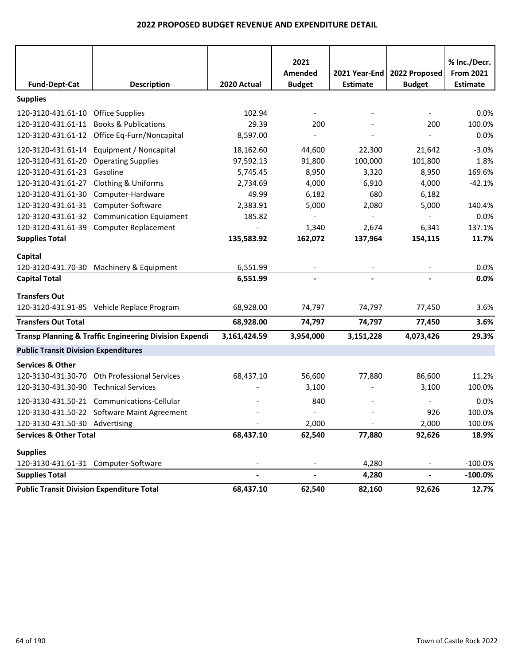|                                                  |                                                                   |                          | 2021<br>Amended          | 2021 Year-End            | 2022 Proposed  | % Inc./Decr.<br><b>From 2021</b> |
|--------------------------------------------------|-------------------------------------------------------------------|--------------------------|--------------------------|--------------------------|----------------|----------------------------------|
| <b>Fund-Dept-Cat</b>                             | <b>Description</b>                                                | 2020 Actual              | <b>Budget</b>            | <b>Estimate</b>          | <b>Budget</b>  | <b>Estimate</b>                  |
| <b>Supplies</b>                                  |                                                                   |                          |                          |                          |                |                                  |
| 120-3120-431.61-10 Office Supplies               |                                                                   | 102.94                   |                          |                          |                | 0.0%                             |
| 120-3120-431.61-11                               | <b>Books &amp; Publications</b>                                   | 29.39                    | 200                      |                          | 200            | 100.0%                           |
|                                                  | 120-3120-431.61-12 Office Eq-Furn/Noncapital                      | 8,597.00                 |                          |                          |                | 0.0%                             |
| 120-3120-431.61-14                               | Equipment / Noncapital                                            | 18,162.60                | 44,600                   | 22,300                   | 21,642         | $-3.0%$                          |
| 120-3120-431.61-20                               | <b>Operating Supplies</b>                                         | 97,592.13                | 91,800                   | 100,000                  | 101,800        | 1.8%                             |
| 120-3120-431.61-23                               | Gasoline                                                          | 5,745.45                 | 8,950                    | 3,320                    | 8,950          | 169.6%                           |
| 120-3120-431.61-27                               | <b>Clothing &amp; Uniforms</b>                                    | 2,734.69                 | 4,000                    | 6,910                    | 4,000          | $-42.1%$                         |
| 120-3120-431.61-30                               | Computer-Hardware                                                 | 49.99                    | 6,182                    | 680                      | 6,182          |                                  |
| 120-3120-431.61-31                               | Computer-Software                                                 | 2,383.91                 | 5,000                    | 2,080                    | 5,000          | 140.4%                           |
| 120-3120-431.61-32                               | <b>Communication Equipment</b>                                    | 185.82                   |                          |                          |                | 0.0%                             |
|                                                  | 120-3120-431.61-39 Computer Replacement                           |                          | 1,340                    | 2,674                    | 6,341          | 137.1%                           |
| <b>Supplies Total</b>                            |                                                                   | 135,583.92               | 162,072                  | 137,964                  | 154,115        | 11.7%                            |
| Capital                                          |                                                                   |                          |                          |                          |                |                                  |
|                                                  | 120-3120-431.70-30 Machinery & Equipment                          | 6,551.99                 | $\overline{\phantom{a}}$ | $\overline{\phantom{a}}$ |                | 0.0%                             |
| <b>Capital Total</b>                             |                                                                   | 6,551.99                 | $\blacksquare$           | $\blacksquare$           |                | 0.0%                             |
| <b>Transfers Out</b>                             |                                                                   |                          |                          |                          |                |                                  |
|                                                  | 120-3120-431.91-85 Vehicle Replace Program                        | 68,928.00                | 74,797                   | 74,797                   | 77,450         | 3.6%                             |
| <b>Transfers Out Total</b>                       |                                                                   | 68,928.00                | 74,797                   | 74,797                   | 77,450         | 3.6%                             |
|                                                  | <b>Transp Planning &amp; Traffic Engineering Division Expendi</b> | 3,161,424.59             | 3,954,000                | 3,151,228                | 4,073,426      | 29.3%                            |
| <b>Public Transit Division Expenditures</b>      |                                                                   |                          |                          |                          |                |                                  |
| <b>Services &amp; Other</b>                      |                                                                   |                          |                          |                          |                |                                  |
| 120-3130-431.30-70                               | <b>Oth Professional Services</b>                                  | 68,437.10                | 56,600                   | 77,880                   | 86,600         | 11.2%                            |
| 120-3130-431.30-90                               | <b>Technical Services</b>                                         |                          | 3,100                    |                          | 3,100          | 100.0%                           |
|                                                  | 120-3130-431.50-21 Communications-Cellular                        |                          | 840                      |                          |                | 0.0%                             |
|                                                  | 120-3130-431.50-22 Software Maint Agreement                       |                          |                          |                          | 926            | 100.0%                           |
| 120-3130-431.50-30 Advertising                   |                                                                   |                          | 2,000                    | $\overline{\phantom{a}}$ | 2,000          | 100.0%                           |
| <b>Services &amp; Other Total</b>                |                                                                   | 68,437.10                | 62,540                   | 77,880                   | 92,626         | 18.9%                            |
| <b>Supplies</b>                                  |                                                                   |                          |                          |                          |                |                                  |
| 120-3130-431.61-31 Computer-Software             |                                                                   |                          | $\blacksquare$           | 4,280                    |                | $-100.0\%$                       |
| <b>Supplies Total</b>                            |                                                                   | $\overline{\phantom{a}}$ | $\blacksquare$           | 4,280                    | $\blacksquare$ | $-100.0\%$                       |
| <b>Public Transit Division Expenditure Total</b> |                                                                   | 68,437.10                | 62,540                   | 82,160                   | 92,626         | 12.7%                            |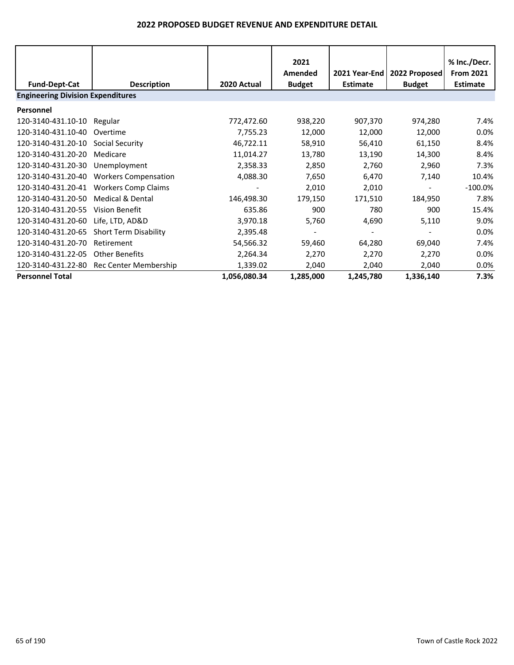|                                          |                              |              | 2021<br>Amended | 2021 Year-End   | 2022 Proposed | % Inc./Decr.<br><b>From 2021</b> |  |  |
|------------------------------------------|------------------------------|--------------|-----------------|-----------------|---------------|----------------------------------|--|--|
| <b>Fund-Dept-Cat</b>                     | <b>Description</b>           | 2020 Actual  | <b>Budget</b>   | <b>Estimate</b> | <b>Budget</b> | <b>Estimate</b>                  |  |  |
| <b>Engineering Division Expenditures</b> |                              |              |                 |                 |               |                                  |  |  |
| Personnel                                |                              |              |                 |                 |               |                                  |  |  |
| 120-3140-431.10-10                       | Regular                      | 772,472.60   | 938,220         | 907,370         | 974,280       | 7.4%                             |  |  |
| 120-3140-431.10-40                       | Overtime                     | 7,755.23     | 12,000          | 12,000          | 12,000        | 0.0%                             |  |  |
| 120-3140-431.20-10                       | Social Security              | 46,722.11    | 58,910          | 56,410          | 61,150        | 8.4%                             |  |  |
| 120-3140-431.20-20                       | Medicare                     | 11,014.27    | 13,780          | 13,190          | 14,300        | 8.4%                             |  |  |
| 120-3140-431.20-30                       | Unemployment                 | 2,358.33     | 2,850           | 2,760           | 2,960         | 7.3%                             |  |  |
| 120-3140-431.20-40                       | <b>Workers Compensation</b>  | 4,088.30     | 7,650           | 6,470           | 7,140         | 10.4%                            |  |  |
| 120-3140-431.20-41                       | <b>Workers Comp Claims</b>   |              | 2,010           | 2,010           |               | $-100.0\%$                       |  |  |
| 120-3140-431.20-50                       | <b>Medical &amp; Dental</b>  | 146,498.30   | 179,150         | 171,510         | 184,950       | 7.8%                             |  |  |
| 120-3140-431.20-55                       | Vision Benefit               | 635.86       | 900             | 780             | 900           | 15.4%                            |  |  |
| 120-3140-431.20-60                       | Life, LTD, AD&D              | 3,970.18     | 5,760           | 4,690           | 5,110         | 9.0%                             |  |  |
| 120-3140-431.20-65                       | <b>Short Term Disability</b> | 2,395.48     |                 |                 |               | $0.0\%$                          |  |  |
| 120-3140-431.20-70                       | Retirement                   | 54,566.32    | 59,460          | 64,280          | 69,040        | 7.4%                             |  |  |
| 120-3140-431.22-05                       | <b>Other Benefits</b>        | 2,264.34     | 2,270           | 2,270           | 2,270         | $0.0\%$                          |  |  |
| 120-3140-431.22-80                       | Rec Center Membership        | 1,339.02     | 2,040           | 2,040           | 2,040         | 0.0%                             |  |  |
| <b>Personnel Total</b>                   |                              | 1,056,080.34 | 1,285,000       | 1,245,780       | 1,336,140     | 7.3%                             |  |  |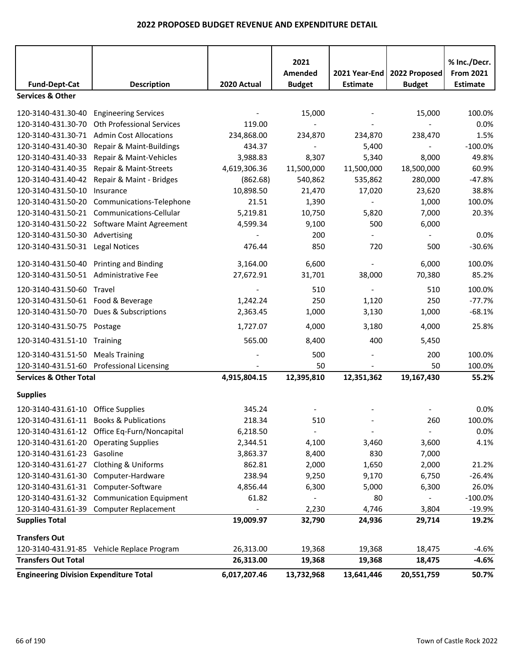|                                               |                                              |              | 2021<br>Amended | 2021 Year-End            | 2022 Proposed  | % Inc./Decr.<br><b>From 2021</b> |
|-----------------------------------------------|----------------------------------------------|--------------|-----------------|--------------------------|----------------|----------------------------------|
| <b>Fund-Dept-Cat</b>                          | <b>Description</b>                           | 2020 Actual  | <b>Budget</b>   | <b>Estimate</b>          | <b>Budget</b>  | <b>Estimate</b>                  |
| <b>Services &amp; Other</b>                   |                                              |              |                 |                          |                |                                  |
| 120-3140-431.30-40 Engineering Services       |                                              |              | 15,000          |                          | 15,000         | 100.0%                           |
| 120-3140-431.30-70                            | <b>Oth Professional Services</b>             | 119.00       | $\blacksquare$  |                          | $\blacksquare$ | 0.0%                             |
|                                               | 120-3140-431.30-71 Admin Cost Allocations    | 234,868.00   | 234,870         | 234,870                  | 238,470        | 1.5%                             |
| 120-3140-431.40-30                            | Repair & Maint-Buildings                     | 434.37       |                 | 5,400                    |                | $-100.0%$                        |
| 120-3140-431.40-33                            | Repair & Maint-Vehicles                      | 3,988.83     | 8,307           | 5,340                    | 8,000          | 49.8%                            |
| 120-3140-431.40-35                            | Repair & Maint-Streets                       | 4,619,306.36 | 11,500,000      | 11,500,000               | 18,500,000     | 60.9%                            |
|                                               | 120-3140-431.40-42 Repair & Maint - Bridges  | (862.68)     | 540,862         | 535,862                  | 280,000        | $-47.8%$                         |
| 120-3140-431.50-10                            | Insurance                                    | 10,898.50    | 21,470          | 17,020                   | 23,620         | 38.8%                            |
| 120-3140-431.50-20                            | Communications-Telephone                     | 21.51        | 1,390           |                          | 1,000          | 100.0%                           |
|                                               | 120-3140-431.50-21 Communications-Cellular   | 5,219.81     | 10,750          | 5,820                    | 7,000          | 20.3%                            |
|                                               | 120-3140-431.50-22 Software Maint Agreement  | 4,599.34     | 9,100           | 500                      | 6,000          |                                  |
| 120-3140-431.50-30 Advertising                |                                              |              | 200             |                          | $\sim$         | 0.0%                             |
| 120-3140-431.50-31 Legal Notices              |                                              | 476.44       | 850             | 720                      | 500            | $-30.6%$                         |
| 120-3140-431.50-40 Printing and Binding       |                                              | 3,164.00     | 6,600           |                          | 6,000          | 100.0%                           |
| 120-3140-431.50-51 Administrative Fee         |                                              | 27,672.91    | 31,701          | 38,000                   | 70,380         | 85.2%                            |
| 120-3140-431.50-60 Travel                     |                                              |              | 510             |                          | 510            | 100.0%                           |
| 120-3140-431.50-61 Food & Beverage            |                                              | 1,242.24     | 250             | 1,120                    | 250            | $-77.7%$                         |
|                                               | 120-3140-431.50-70 Dues & Subscriptions      | 2,363.45     | 1,000           | 3,130                    | 1,000          | $-68.1%$                         |
| 120-3140-431.50-75 Postage                    |                                              | 1,727.07     | 4,000           | 3,180                    | 4,000          | 25.8%                            |
| 120-3140-431.51-10 Training                   |                                              | 565.00       | 8,400           | 400                      | 5,450          |                                  |
| 120-3140-431.51-50 Meals Training             |                                              |              | 500             |                          | 200            | 100.0%                           |
|                                               | 120-3140-431.51-60 Professional Licensing    |              | 50              |                          | 50             | 100.0%                           |
| <b>Services &amp; Other Total</b>             |                                              | 4,915,804.15 | 12,395,810      | 12,351,362               | 19,167,430     | 55.2%                            |
| <b>Supplies</b>                               |                                              |              |                 |                          |                |                                  |
| 120-3140-431.61-10 Office Supplies            |                                              | 345.24       |                 |                          |                | 0.0%                             |
|                                               | 120-3140-431.61-11 Books & Publications      | 218.34       | 510             |                          | 260            | 100.0%                           |
|                                               | 120-3140-431.61-12 Office Eq-Furn/Noncapital | 6,218.50     |                 | $\overline{\phantom{a}}$ |                | 0.0%                             |
| 120-3140-431.61-20 Operating Supplies         |                                              | 2,344.51     | 4,100           | 3,460                    | 3,600          | 4.1%                             |
| 120-3140-431.61-23 Gasoline                   |                                              | 3,863.37     | 8,400           | 830                      | 7,000          |                                  |
| 120-3140-431.61-27 Clothing & Uniforms        |                                              | 862.81       | 2,000           | 1,650                    | 2,000          | 21.2%                            |
|                                               | 120-3140-431.61-30 Computer-Hardware         | 238.94       | 9,250           | 9,170                    | 6,750          | $-26.4%$                         |
| 120-3140-431.61-31 Computer-Software          |                                              | 4,856.44     | 6,300           | 5,000                    | 6,300          | 26.0%                            |
|                                               | 120-3140-431.61-32 Communication Equipment   | 61.82        | $\blacksquare$  | 80                       | $\sim$         | $-100.0%$                        |
|                                               | 120-3140-431.61-39 Computer Replacement      |              | 2,230           | 4,746                    | 3,804          | $-19.9%$                         |
| <b>Supplies Total</b>                         |                                              | 19,009.97    | 32,790          | 24,936                   | 29,714         | 19.2%                            |
| <b>Transfers Out</b>                          |                                              |              |                 |                          |                |                                  |
|                                               | 120-3140-431.91-85 Vehicle Replace Program   | 26,313.00    | 19,368          | 19,368                   | 18,475         | $-4.6%$                          |
| <b>Transfers Out Total</b>                    |                                              | 26,313.00    | 19,368          | 19,368                   | 18,475         | $-4.6%$                          |
| <b>Engineering Division Expenditure Total</b> |                                              | 6,017,207.46 | 13,732,968      | 13,641,446               | 20,551,759     | 50.7%                            |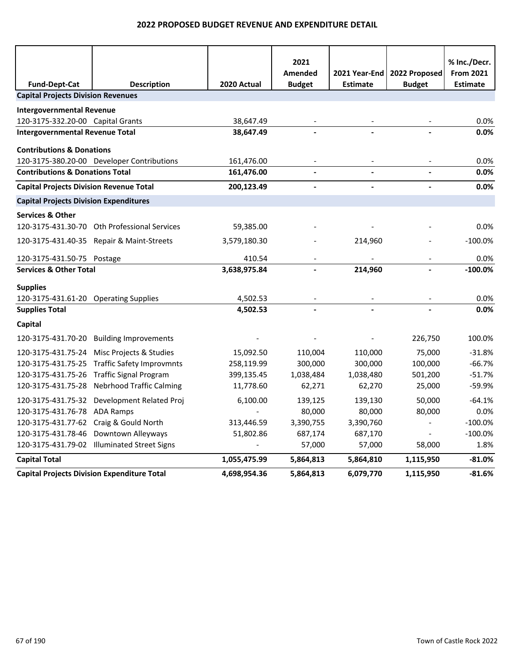|                                                |                                                    |                          | 2021                     |                                    |                                | % Inc./Decr.                        |
|------------------------------------------------|----------------------------------------------------|--------------------------|--------------------------|------------------------------------|--------------------------------|-------------------------------------|
| <b>Fund-Dept-Cat</b>                           | <b>Description</b>                                 | 2020 Actual              | Amended<br><b>Budget</b> | 2021 Year-End  <br><b>Estimate</b> | 2022 Proposed<br><b>Budget</b> | <b>From 2021</b><br><b>Estimate</b> |
| <b>Capital Projects Division Revenues</b>      |                                                    |                          |                          |                                    |                                |                                     |
| <b>Intergovernmental Revenue</b>               |                                                    |                          |                          |                                    |                                |                                     |
| 120-3175-332.20-00 Capital Grants              |                                                    | 38,647.49                |                          |                                    |                                | 0.0%                                |
| <b>Intergovernmental Revenue Total</b>         |                                                    | 38,647.49                |                          |                                    |                                | 0.0%                                |
|                                                |                                                    |                          |                          |                                    |                                |                                     |
| <b>Contributions &amp; Donations</b>           |                                                    |                          |                          |                                    |                                |                                     |
| <b>Contributions &amp; Donations Total</b>     | 120-3175-380.20-00 Developer Contributions         | 161,476.00<br>161,476.00 |                          |                                    |                                | 0.0%<br>0.0%                        |
|                                                |                                                    |                          |                          |                                    |                                | 0.0%                                |
| <b>Capital Projects Division Revenue Total</b> |                                                    | 200,123.49               | $\overline{a}$           | $\overline{\phantom{a}}$           |                                |                                     |
| <b>Capital Projects Division Expenditures</b>  |                                                    |                          |                          |                                    |                                |                                     |
| <b>Services &amp; Other</b>                    |                                                    |                          |                          |                                    |                                |                                     |
|                                                | 120-3175-431.30-70 Oth Professional Services       | 59,385.00                |                          |                                    |                                | 0.0%                                |
|                                                | 120-3175-431.40-35 Repair & Maint-Streets          | 3,579,180.30             |                          | 214,960                            |                                | $-100.0%$                           |
| 120-3175-431.50-75 Postage                     |                                                    | 410.54                   |                          |                                    |                                | 0.0%                                |
| <b>Services &amp; Other Total</b>              |                                                    | 3,638,975.84             |                          | 214,960                            |                                | $-100.0%$                           |
| <b>Supplies</b>                                |                                                    |                          |                          |                                    |                                |                                     |
| 120-3175-431.61-20 Operating Supplies          |                                                    | 4,502.53                 |                          |                                    |                                | 0.0%                                |
| <b>Supplies Total</b>                          |                                                    | 4,502.53                 |                          |                                    |                                | 0.0%                                |
| Capital                                        |                                                    |                          |                          |                                    |                                |                                     |
| 120-3175-431.70-20                             | <b>Building Improvements</b>                       |                          |                          |                                    | 226,750                        | 100.0%                              |
| 120-3175-431.75-24                             | Misc Projects & Studies                            | 15,092.50                | 110,004                  | 110,000                            | 75,000                         | $-31.8%$                            |
| 120-3175-431.75-25                             | <b>Traffic Safety Improvmnts</b>                   | 258,119.99               | 300,000                  | 300,000                            | 100,000                        | $-66.7%$                            |
| 120-3175-431.75-26                             | <b>Traffic Signal Program</b>                      | 399,135.45               | 1,038,484                | 1,038,480                          | 501,200                        | $-51.7%$                            |
| 120-3175-431.75-28                             | <b>Nebrhood Traffic Calming</b>                    | 11,778.60                | 62,271                   | 62,270                             | 25,000                         | -59.9%                              |
| 120-3175-431.75-32                             | Development Related Proj                           | 6,100.00                 | 139,125                  | 139,130                            | 50,000                         | $-64.1%$                            |
| 120-3175-431.76-78                             | <b>ADA Ramps</b>                                   |                          | 80,000                   | 80,000                             | 80,000                         | 0.0%                                |
| 120-3175-431.77-62                             | Craig & Gould North                                | 313,446.59               | 3,390,755                | 3,390,760                          |                                | $-100.0%$                           |
| 120-3175-431.78-46                             | Downtown Alleyways                                 | 51,802.86                | 687,174                  | 687,170                            |                                | $-100.0%$                           |
|                                                | 120-3175-431.79-02 Illuminated Street Signs        |                          | 57,000                   | 57,000                             | 58,000                         | 1.8%                                |
| <b>Capital Total</b>                           |                                                    | 1,055,475.99             | 5,864,813                | 5,864,810                          | 1,115,950                      | $-81.0%$                            |
|                                                | <b>Capital Projects Division Expenditure Total</b> | 4,698,954.36             | 5,864,813                | 6,079,770                          | 1,115,950                      | $-81.6%$                            |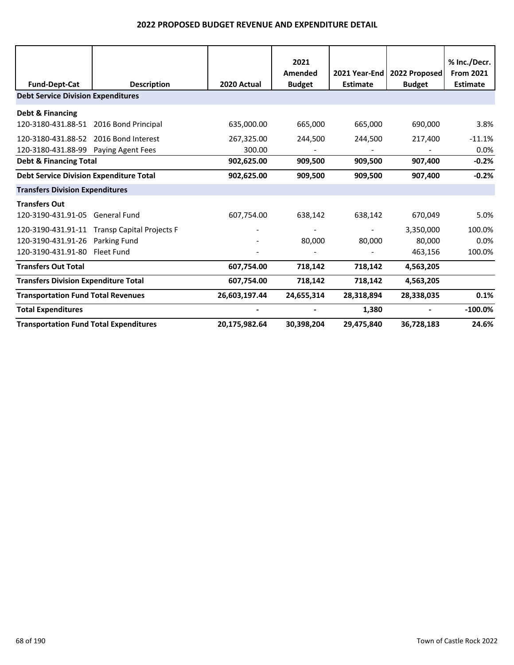|                                                |                                              |               | 2021          |                 |               | % Inc./Decr.     |
|------------------------------------------------|----------------------------------------------|---------------|---------------|-----------------|---------------|------------------|
|                                                |                                              |               | Amended       | 2021 Year-End   | 2022 Proposed | <b>From 2021</b> |
| <b>Fund-Dept-Cat</b>                           | <b>Description</b>                           | 2020 Actual   | <b>Budget</b> | <b>Estimate</b> | <b>Budget</b> | <b>Estimate</b>  |
| <b>Debt Service Division Expenditures</b>      |                                              |               |               |                 |               |                  |
| Debt & Financing                               |                                              |               |               |                 |               |                  |
| 120-3180-431.88-51 2016 Bond Principal         |                                              | 635,000.00    | 665,000       | 665,000         | 690,000       | 3.8%             |
| 120-3180-431.88-52 2016 Bond Interest          |                                              | 267,325.00    | 244,500       | 244,500         | 217,400       | $-11.1%$         |
| 120-3180-431.88-99 Paying Agent Fees           |                                              | 300.00        |               |                 |               | 0.0%             |
| <b>Debt &amp; Financing Total</b>              |                                              | 902,625.00    | 909,500       | 909,500         | 907,400       | $-0.2%$          |
| <b>Debt Service Division Expenditure Total</b> |                                              | 902,625.00    | 909,500       | 909,500         | 907,400       | $-0.2%$          |
| <b>Transfers Division Expenditures</b>         |                                              |               |               |                 |               |                  |
| <b>Transfers Out</b>                           |                                              |               |               |                 |               |                  |
| 120-3190-431.91-05 General Fund                |                                              | 607,754.00    | 638,142       | 638,142         | 670,049       | 5.0%             |
|                                                | 120-3190-431.91-11 Transp Capital Projects F |               |               |                 | 3,350,000     | 100.0%           |
| 120-3190-431.91-26 Parking Fund                |                                              |               | 80,000        | 80,000          | 80,000        | 0.0%             |
| 120-3190-431.91-80 Fleet Fund                  |                                              |               |               |                 | 463,156       | 100.0%           |
| <b>Transfers Out Total</b>                     |                                              | 607,754.00    | 718,142       | 718,142         | 4,563,205     |                  |
| <b>Transfers Division Expenditure Total</b>    |                                              | 607,754.00    | 718,142       | 718,142         | 4,563,205     |                  |
| <b>Transportation Fund Total Revenues</b>      |                                              | 26,603,197.44 | 24,655,314    | 28,318,894      | 28,338,035    | 0.1%             |
| <b>Total Expenditures</b>                      |                                              |               |               | 1,380           |               | $-100.0%$        |
| <b>Transportation Fund Total Expenditures</b>  |                                              | 20,175,982.64 | 30,398,204    | 29,475,840      | 36,728,183    | 24.6%            |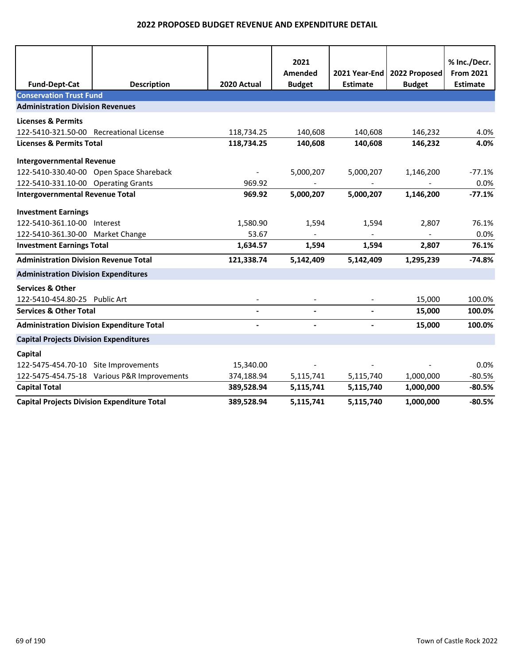|                                                    |                                             |                | 2021          |                 |               | % Inc./Decr.     |
|----------------------------------------------------|---------------------------------------------|----------------|---------------|-----------------|---------------|------------------|
|                                                    |                                             |                | Amended       | 2021 Year-End   | 2022 Proposed | <b>From 2021</b> |
| <b>Fund-Dept-Cat</b>                               | <b>Description</b>                          | 2020 Actual    | <b>Budget</b> | <b>Estimate</b> | <b>Budget</b> | <b>Estimate</b>  |
| <b>Conservation Trust Fund</b>                     |                                             |                |               |                 |               |                  |
| <b>Administration Division Revenues</b>            |                                             |                |               |                 |               |                  |
| <b>Licenses &amp; Permits</b>                      |                                             |                |               |                 |               |                  |
| 122-5410-321.50-00 Recreational License            |                                             | 118,734.25     | 140,608       | 140,608         | 146,232       | 4.0%             |
| <b>Licenses &amp; Permits Total</b>                |                                             | 118,734.25     | 140,608       | 140,608         | 146,232       | 4.0%             |
| <b>Intergovernmental Revenue</b>                   |                                             |                |               |                 |               |                  |
|                                                    | 122-5410-330.40-00 Open Space Shareback     | $\blacksquare$ | 5,000,207     | 5,000,207       | 1,146,200     | $-77.1%$         |
| 122-5410-331.10-00 Operating Grants                |                                             | 969.92         |               |                 |               | 0.0%             |
| <b>Intergovernmental Revenue Total</b>             |                                             | 969.92         | 5,000,207     | 5,000,207       | 1,146,200     | $-77.1%$         |
| <b>Investment Earnings</b>                         |                                             |                |               |                 |               |                  |
| 122-5410-361.10-00 Interest                        |                                             | 1,580.90       | 1,594         | 1,594           | 2,807         | 76.1%            |
| 122-5410-361.30-00 Market Change                   |                                             | 53.67          |               |                 |               | 0.0%             |
| <b>Investment Earnings Total</b>                   |                                             | 1,634.57       | 1,594         | 1,594           | 2,807         | 76.1%            |
| <b>Administration Division Revenue Total</b>       |                                             | 121,338.74     | 5,142,409     | 5,142,409       | 1,295,239     | $-74.8%$         |
| <b>Administration Division Expenditures</b>        |                                             |                |               |                 |               |                  |
| <b>Services &amp; Other</b>                        |                                             |                |               |                 |               |                  |
| 122-5410-454.80-25 Public Art                      |                                             |                |               |                 | 15,000        | 100.0%           |
| <b>Services &amp; Other Total</b>                  |                                             |                |               |                 | 15,000        | 100.0%           |
| <b>Administration Division Expenditure Total</b>   |                                             |                |               |                 | 15,000        | 100.0%           |
| <b>Capital Projects Division Expenditures</b>      |                                             |                |               |                 |               |                  |
| Capital                                            |                                             |                |               |                 |               |                  |
| 122-5475-454.70-10 Site Improvements               |                                             | 15,340.00      |               |                 |               | 0.0%             |
|                                                    | 122-5475-454.75-18 Various P&R Improvements | 374,188.94     | 5,115,741     | 5,115,740       | 1,000,000     | $-80.5%$         |
| <b>Capital Total</b>                               |                                             | 389,528.94     | 5,115,741     | 5,115,740       | 1,000,000     | $-80.5%$         |
| <b>Capital Projects Division Expenditure Total</b> |                                             | 389,528.94     | 5,115,741     | 5,115,740       | 1,000,000     | $-80.5%$         |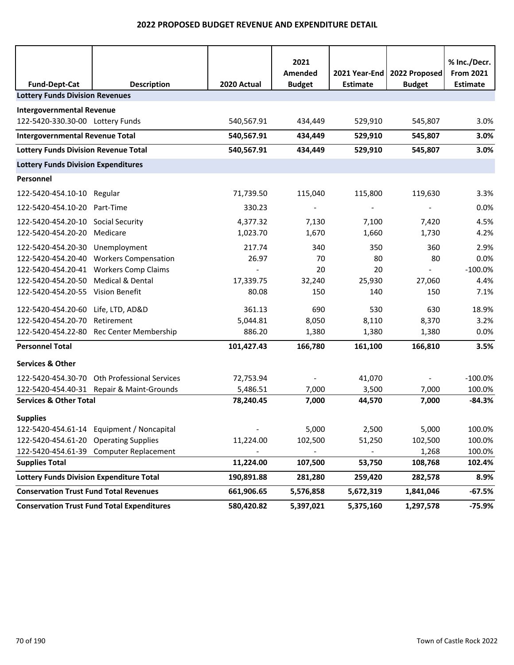|                                                 |                                                   |                          | 2021<br>Amended          | 2021 Year-End   | 2022 Proposed            | % Inc./Decr.<br><b>From 2021</b> |
|-------------------------------------------------|---------------------------------------------------|--------------------------|--------------------------|-----------------|--------------------------|----------------------------------|
| <b>Fund-Dept-Cat</b>                            | <b>Description</b>                                | 2020 Actual              | <b>Budget</b>            | <b>Estimate</b> | <b>Budget</b>            | <b>Estimate</b>                  |
| <b>Lottery Funds Division Revenues</b>          |                                                   |                          |                          |                 |                          |                                  |
| <b>Intergovernmental Revenue</b>                |                                                   |                          |                          |                 |                          |                                  |
| 122-5420-330.30-00 Lottery Funds                |                                                   | 540,567.91               | 434,449                  | 529,910         | 545,807                  | 3.0%                             |
| <b>Intergovernmental Revenue Total</b>          |                                                   | 540,567.91               | 434,449                  | 529,910         | 545,807                  | 3.0%                             |
| <b>Lottery Funds Division Revenue Total</b>     |                                                   | 540,567.91               | 434,449                  | 529,910         | 545,807                  | 3.0%                             |
| <b>Lottery Funds Division Expenditures</b>      |                                                   |                          |                          |                 |                          |                                  |
| Personnel                                       |                                                   |                          |                          |                 |                          |                                  |
| 122-5420-454.10-10 Regular                      |                                                   | 71,739.50                | 115,040                  | 115,800         | 119,630                  | 3.3%                             |
| 122-5420-454.10-20                              | Part-Time                                         | 330.23                   | $\overline{\phantom{a}}$ |                 | $\overline{\phantom{a}}$ | 0.0%                             |
| 122-5420-454.20-10                              | Social Security                                   | 4,377.32                 | 7,130                    | 7,100           | 7,420                    | 4.5%                             |
| 122-5420-454.20-20                              | Medicare                                          | 1,023.70                 | 1,670                    | 1,660           | 1,730                    | 4.2%                             |
| 122-5420-454.20-30                              | Unemployment                                      | 217.74                   | 340                      | 350             | 360                      | 2.9%                             |
| 122-5420-454.20-40                              | <b>Workers Compensation</b>                       | 26.97                    | 70                       | 80              | 80                       | 0.0%                             |
| 122-5420-454.20-41                              | <b>Workers Comp Claims</b>                        | $\overline{\phantom{a}}$ | 20                       | 20              | $\sim$                   | $-100.0%$                        |
| 122-5420-454.20-50                              | <b>Medical &amp; Dental</b>                       | 17,339.75                | 32,240                   | 25,930          | 27,060                   | 4.4%                             |
| 122-5420-454.20-55 Vision Benefit               |                                                   | 80.08                    | 150                      | 140             | 150                      | 7.1%                             |
| 122-5420-454.20-60                              | Life, LTD, AD&D                                   | 361.13                   | 690                      | 530             | 630                      | 18.9%                            |
| 122-5420-454.20-70                              | Retirement                                        | 5,044.81                 | 8,050                    | 8,110           | 8,370                    | 3.2%                             |
|                                                 | 122-5420-454.22-80 Rec Center Membership          | 886.20                   | 1,380                    | 1,380           | 1,380                    | 0.0%                             |
| <b>Personnel Total</b>                          |                                                   | 101,427.43               | 166,780                  | 161,100         | 166,810                  | 3.5%                             |
| <b>Services &amp; Other</b>                     |                                                   |                          |                          |                 |                          |                                  |
| 122-5420-454.30-70                              | <b>Oth Professional Services</b>                  | 72,753.94                |                          | 41,070          |                          | $-100.0%$                        |
|                                                 | 122-5420-454.40-31 Repair & Maint-Grounds         | 5,486.51                 | 7,000                    | 3,500           | 7,000                    | 100.0%                           |
| <b>Services &amp; Other Total</b>               |                                                   | 78,240.45                | 7,000                    | 44,570          | 7,000                    | $-84.3%$                         |
| <b>Supplies</b>                                 |                                                   |                          |                          |                 |                          |                                  |
|                                                 | 122-5420-454.61-14 Equipment / Noncapital         |                          | 5,000                    | 2,500           | 5,000                    | 100.0%                           |
| 122-5420-454.61-20 Operating Supplies           |                                                   | 11,224.00                | 102,500                  | 51,250          | 102,500                  | 100.0%                           |
|                                                 | 122-5420-454.61-39 Computer Replacement           |                          |                          |                 | 1,268                    | 100.0%                           |
| <b>Supplies Total</b>                           |                                                   | 11,224.00                | 107,500                  | 53,750          | 108,768                  | 102.4%                           |
| <b>Lottery Funds Division Expenditure Total</b> |                                                   | 190,891.88               | 281,280                  | 259,420         | 282,578                  | 8.9%                             |
| <b>Conservation Trust Fund Total Revenues</b>   |                                                   | 661,906.65               | 5,576,858                | 5,672,319       | 1,841,046                | $-67.5%$                         |
|                                                 | <b>Conservation Trust Fund Total Expenditures</b> | 580,420.82               | 5,397,021                | 5,375,160       | 1,297,578                | $-75.9%$                         |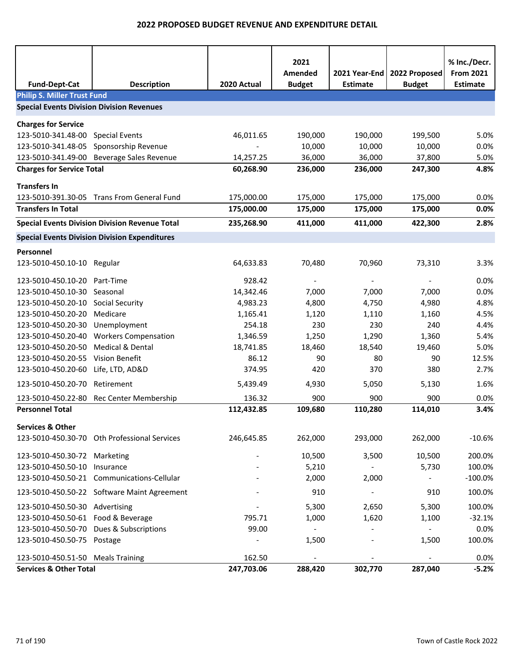| <b>Fund-Dept-Cat</b>                             | <b>Description</b>                                    | 2020 Actual | 2021<br>Amended<br><b>Budget</b> | 2021 Year-End<br><b>Estimate</b> | 2022 Proposed<br><b>Budget</b> | % Inc./Decr.<br><b>From 2021</b><br><b>Estimate</b> |
|--------------------------------------------------|-------------------------------------------------------|-------------|----------------------------------|----------------------------------|--------------------------------|-----------------------------------------------------|
| <b>Philip S. Miller Trust Fund</b>               |                                                       |             |                                  |                                  |                                |                                                     |
| <b>Special Events Division Division Revenues</b> |                                                       |             |                                  |                                  |                                |                                                     |
| <b>Charges for Service</b>                       |                                                       |             |                                  |                                  |                                |                                                     |
| 123-5010-341.48-00 Special Events                |                                                       | 46,011.65   | 190,000                          | 190,000                          | 199,500                        | 5.0%                                                |
| 123-5010-341.48-05                               | Sponsorship Revenue                                   |             | 10,000                           | 10,000                           | 10,000                         | 0.0%                                                |
|                                                  | 123-5010-341.49-00 Beverage Sales Revenue             | 14,257.25   | 36,000                           | 36,000                           | 37,800                         | 5.0%                                                |
| <b>Charges for Service Total</b>                 |                                                       | 60,268.90   | 236,000                          | 236,000                          | 247,300                        | 4.8%                                                |
| <b>Transfers In</b>                              |                                                       |             |                                  |                                  |                                |                                                     |
|                                                  | 123-5010-391.30-05 Trans From General Fund            | 175,000.00  | 175,000                          | 175,000                          | 175,000                        | 0.0%                                                |
| <b>Transfers In Total</b>                        |                                                       | 175,000.00  | 175,000                          | 175,000                          | 175,000                        | 0.0%                                                |
|                                                  | <b>Special Events Division Division Revenue Total</b> | 235,268.90  | 411,000                          | 411,000                          | 422,300                        | 2.8%                                                |
|                                                  | <b>Special Events Division Division Expenditures</b>  |             |                                  |                                  |                                |                                                     |
| Personnel                                        |                                                       |             |                                  |                                  |                                |                                                     |
| 123-5010-450.10-10 Regular                       |                                                       | 64,633.83   | 70,480                           | 70,960                           | 73,310                         | 3.3%                                                |
| 123-5010-450.10-20                               | Part-Time                                             | 928.42      |                                  |                                  |                                | 0.0%                                                |
| 123-5010-450.10-30 Seasonal                      |                                                       | 14,342.46   | 7,000                            | 7,000                            | 7,000                          | 0.0%                                                |
| 123-5010-450.20-10                               | <b>Social Security</b>                                | 4,983.23    | 4,800                            | 4,750                            | 4,980                          | 4.8%                                                |
| 123-5010-450.20-20                               | Medicare                                              | 1,165.41    | 1,120                            | 1,110                            | 1,160                          | 4.5%                                                |
| 123-5010-450.20-30 Unemployment                  |                                                       | 254.18      | 230                              | 230                              | 240                            | 4.4%                                                |
|                                                  | 123-5010-450.20-40 Workers Compensation               | 1,346.59    | 1,250                            | 1,290                            | 1,360                          | 5.4%                                                |
| 123-5010-450.20-50                               | <b>Medical &amp; Dental</b>                           | 18,741.85   | 18,460                           | 18,540                           | 19,460                         | 5.0%                                                |
| 123-5010-450.20-55                               | Vision Benefit                                        | 86.12       | 90                               | 80                               | 90                             | 12.5%                                               |
| 123-5010-450.20-60 Life, LTD, AD&D               |                                                       | 374.95      | 420                              | 370                              | 380                            | 2.7%                                                |
| 123-5010-450.20-70 Retirement                    |                                                       | 5,439.49    | 4,930                            | 5,050                            | 5,130                          | 1.6%                                                |
|                                                  | 123-5010-450.22-80 Rec Center Membership              | 136.32      | 900                              | 900                              | 900                            | 0.0%                                                |
| <b>Personnel Total</b>                           |                                                       | 112,432.85  | 109,680                          | 110,280                          | 114,010                        | 3.4%                                                |
| <b>Services &amp; Other</b>                      |                                                       |             |                                  |                                  |                                |                                                     |
|                                                  | 123-5010-450.30-70 Oth Professional Services          | 246,645.85  | 262,000                          | 293,000                          | 262,000                        | $-10.6%$                                            |
| 123-5010-450.30-72 Marketing                     |                                                       |             | 10,500                           | 3,500                            | 10,500                         | 200.0%                                              |
| 123-5010-450.50-10 Insurance                     |                                                       |             | 5,210                            | $\blacksquare$                   | 5,730                          | 100.0%                                              |
|                                                  | 123-5010-450.50-21 Communications-Cellular            |             | 2,000                            | 2,000                            |                                | $-100.0%$                                           |
|                                                  | 123-5010-450.50-22 Software Maint Agreement           |             | 910                              |                                  | 910                            | 100.0%                                              |
| 123-5010-450.50-30 Advertising                   |                                                       |             | 5,300                            | 2,650                            | 5,300                          | 100.0%                                              |
| 123-5010-450.50-61 Food & Beverage               |                                                       | 795.71      | 1,000                            | 1,620                            | 1,100                          | $-32.1%$                                            |
|                                                  | 123-5010-450.50-70 Dues & Subscriptions               | 99.00       | $\overline{\phantom{a}}$         |                                  | $\blacksquare$                 | 0.0%                                                |
| 123-5010-450.50-75 Postage                       |                                                       |             | 1,500                            |                                  | 1,500                          | 100.0%                                              |
| 123-5010-450.51-50 Meals Training                |                                                       | 162.50      |                                  |                                  |                                | 0.0%                                                |
| <b>Services &amp; Other Total</b>                |                                                       | 247,703.06  | 288,420                          | 302,770                          | 287,040                        | $-5.2%$                                             |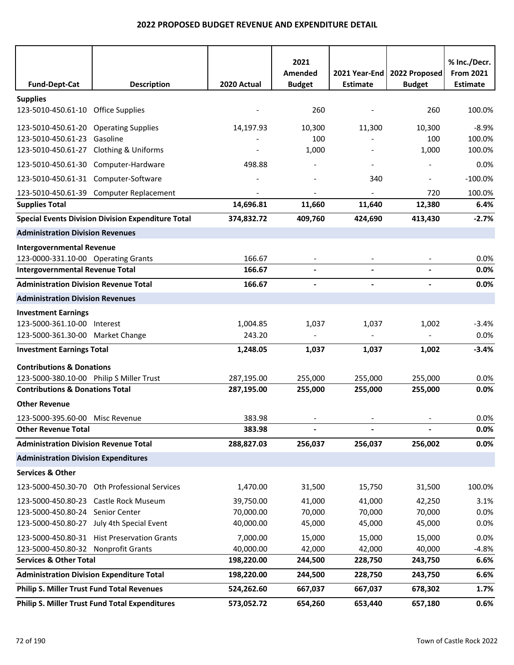| <b>Fund-Dept-Cat</b>                                  | <b>Description</b>                                        | 2020 Actual | 2021<br>Amended<br><b>Budget</b> | 2021 Year-End<br><b>Estimate</b> | 2022 Proposed<br><b>Budget</b> | % Inc./Decr.<br><b>From 2021</b><br><b>Estimate</b> |
|-------------------------------------------------------|-----------------------------------------------------------|-------------|----------------------------------|----------------------------------|--------------------------------|-----------------------------------------------------|
|                                                       |                                                           |             |                                  |                                  |                                |                                                     |
| <b>Supplies</b><br>123-5010-450.61-10 Office Supplies |                                                           |             | 260                              |                                  | 260                            | 100.0%                                              |
| 123-5010-450.61-20 Operating Supplies                 |                                                           | 14,197.93   | 10,300                           | 11,300                           | 10,300                         | $-8.9%$                                             |
| 123-5010-450.61-23 Gasoline                           |                                                           |             | 100                              |                                  | 100                            | 100.0%                                              |
| 123-5010-450.61-27 Clothing & Uniforms                |                                                           |             | 1,000                            |                                  | 1,000                          | 100.0%                                              |
| 123-5010-450.61-30 Computer-Hardware                  |                                                           | 498.88      |                                  |                                  |                                | 0.0%                                                |
| 123-5010-450.61-31 Computer-Software                  |                                                           |             |                                  | 340                              | $\overline{\phantom{a}}$       | $-100.0%$                                           |
|                                                       | 123-5010-450.61-39 Computer Replacement                   |             |                                  |                                  | 720                            | 100.0%                                              |
| <b>Supplies Total</b>                                 |                                                           | 14,696.81   | 11,660                           | 11,640                           | 12,380                         | 6.4%                                                |
|                                                       | <b>Special Events Division Division Expenditure Total</b> | 374,832.72  | 409,760                          | 424,690                          | 413,430                        | $-2.7%$                                             |
| <b>Administration Division Revenues</b>               |                                                           |             |                                  |                                  |                                |                                                     |
| <b>Intergovernmental Revenue</b>                      |                                                           |             |                                  |                                  |                                |                                                     |
| 123-0000-331.10-00 Operating Grants                   |                                                           | 166.67      | $\overline{\phantom{a}}$         |                                  |                                | 0.0%                                                |
| <b>Intergovernmental Revenue Total</b>                |                                                           | 166.67      |                                  |                                  |                                | 0.0%                                                |
| <b>Administration Division Revenue Total</b>          |                                                           | 166.67      | $\blacksquare$                   | $\blacksquare$                   | $\blacksquare$                 | 0.0%                                                |
| <b>Administration Division Revenues</b>               |                                                           |             |                                  |                                  |                                |                                                     |
| <b>Investment Earnings</b>                            |                                                           |             |                                  |                                  |                                |                                                     |
| 123-5000-361.10-00 Interest                           |                                                           | 1,004.85    | 1,037                            | 1,037                            | 1,002                          | $-3.4%$                                             |
| 123-5000-361.30-00 Market Change                      |                                                           | 243.20      |                                  |                                  |                                | 0.0%                                                |
| <b>Investment Earnings Total</b>                      |                                                           | 1,248.05    | 1,037                            | 1,037                            | 1,002                          | $-3.4%$                                             |
| <b>Contributions &amp; Donations</b>                  |                                                           |             |                                  |                                  |                                |                                                     |
| 123-5000-380.10-00 Philip S Miller Trust              |                                                           | 287,195.00  | 255,000                          | 255,000                          | 255,000                        | 0.0%                                                |
| <b>Contributions &amp; Donations Total</b>            |                                                           | 287,195.00  | 255,000                          | 255,000                          | 255,000                        | 0.0%                                                |
| <b>Other Revenue</b>                                  |                                                           |             |                                  |                                  |                                |                                                     |
| 123-5000-395.60-00 Misc Revenue                       |                                                           | 383.98      |                                  |                                  |                                | 0.0%                                                |
| <b>Other Revenue Total</b>                            |                                                           | 383.98      | $\blacksquare$                   |                                  |                                | 0.0%                                                |
| <b>Administration Division Revenue Total</b>          |                                                           | 288,827.03  | 256,037                          | 256,037                          | 256,002                        | 0.0%                                                |
| <b>Administration Division Expenditures</b>           |                                                           |             |                                  |                                  |                                |                                                     |
| <b>Services &amp; Other</b>                           |                                                           |             |                                  |                                  |                                |                                                     |
|                                                       | 123-5000-450.30-70 Oth Professional Services              | 1,470.00    | 31,500                           | 15,750                           | 31,500                         | 100.0%                                              |
| 123-5000-450.80-23 Castle Rock Museum                 |                                                           | 39,750.00   | 41,000                           | 41,000                           | 42,250                         | 3.1%                                                |
| 123-5000-450.80-24 Senior Center                      |                                                           | 70,000.00   | 70,000                           | 70,000                           | 70,000                         | 0.0%                                                |
|                                                       | 123-5000-450.80-27 July 4th Special Event                 | 40,000.00   | 45,000                           | 45,000                           | 45,000                         | 0.0%                                                |
|                                                       | 123-5000-450.80-31 Hist Preservation Grants               | 7,000.00    | 15,000                           | 15,000                           | 15,000                         | 0.0%                                                |
| 123-5000-450.80-32 Nonprofit Grants                   |                                                           | 40,000.00   | 42,000                           | 42,000                           | 40,000                         | $-4.8%$                                             |
| <b>Services &amp; Other Total</b>                     |                                                           | 198,220.00  | 244,500                          | 228,750                          | 243,750                        | 6.6%                                                |
| <b>Administration Division Expenditure Total</b>      |                                                           | 198,220.00  | 244,500                          | 228,750                          | 243,750                        | 6.6%                                                |
| <b>Philip S. Miller Trust Fund Total Revenues</b>     |                                                           | 524,262.60  | 667,037                          | 667,037                          | 678,302                        | 1.7%                                                |
|                                                       | <b>Philip S. Miller Trust Fund Total Expenditures</b>     | 573,052.72  | 654,260                          | 653,440                          | 657,180                        | 0.6%                                                |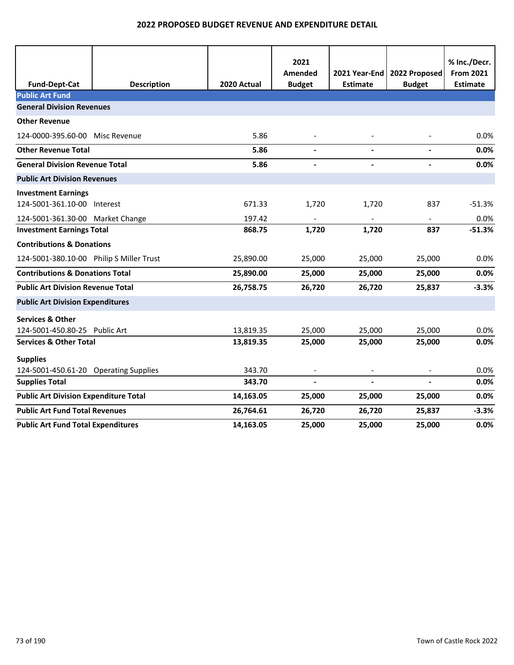|                                              |                    |             | 2021<br>Amended          | 2021 Year-End   | 2022 Proposed            | % Inc./Decr.<br><b>From 2021</b> |
|----------------------------------------------|--------------------|-------------|--------------------------|-----------------|--------------------------|----------------------------------|
| <b>Fund-Dept-Cat</b>                         | <b>Description</b> | 2020 Actual | <b>Budget</b>            | <b>Estimate</b> | <b>Budget</b>            | <b>Estimate</b>                  |
| <b>Public Art Fund</b>                       |                    |             |                          |                 |                          |                                  |
| <b>General Division Revenues</b>             |                    |             |                          |                 |                          |                                  |
| <b>Other Revenue</b>                         |                    |             |                          |                 |                          |                                  |
| 124-0000-395.60-00 Misc Revenue              |                    | 5.86        |                          |                 |                          | 0.0%                             |
| <b>Other Revenue Total</b>                   |                    | 5.86        | $\blacksquare$           |                 | $\blacksquare$           | 0.0%                             |
| <b>General Division Revenue Total</b>        |                    | 5.86        |                          |                 | $\overline{\phantom{a}}$ | 0.0%                             |
| <b>Public Art Division Revenues</b>          |                    |             |                          |                 |                          |                                  |
| <b>Investment Earnings</b>                   |                    |             |                          |                 |                          |                                  |
| 124-5001-361.10-00 Interest                  |                    | 671.33      | 1,720                    | 1,720           | 837                      | $-51.3%$                         |
| 124-5001-361.30-00 Market Change             |                    | 197.42      |                          |                 |                          | 0.0%                             |
| <b>Investment Earnings Total</b>             |                    | 868.75      | 1,720                    | 1,720           | 837                      | $-51.3%$                         |
| <b>Contributions &amp; Donations</b>         |                    |             |                          |                 |                          |                                  |
| 124-5001-380.10-00 Philip S Miller Trust     |                    | 25,890.00   | 25,000                   | 25,000          | 25,000                   | 0.0%                             |
| <b>Contributions &amp; Donations Total</b>   |                    | 25,890.00   | 25,000                   | 25,000          | 25,000                   | 0.0%                             |
| <b>Public Art Division Revenue Total</b>     |                    | 26,758.75   | 26,720                   | 26,720          | 25,837                   | $-3.3%$                          |
| <b>Public Art Division Expenditures</b>      |                    |             |                          |                 |                          |                                  |
| <b>Services &amp; Other</b>                  |                    |             |                          |                 |                          |                                  |
| 124-5001-450.80-25 Public Art                |                    | 13,819.35   | 25,000                   | 25,000          | 25,000                   | 0.0%                             |
| <b>Services &amp; Other Total</b>            |                    | 13,819.35   | 25,000                   | 25,000          | 25,000                   | 0.0%                             |
| <b>Supplies</b>                              |                    |             |                          |                 |                          |                                  |
| 124-5001-450.61-20 Operating Supplies        |                    | 343.70      | $\overline{\phantom{a}}$ |                 |                          | 0.0%                             |
| <b>Supplies Total</b>                        |                    | 343.70      | $\blacksquare$           |                 | $\blacksquare$           | 0.0%                             |
| <b>Public Art Division Expenditure Total</b> |                    | 14,163.05   | 25,000                   | 25,000          | 25,000                   | 0.0%                             |
| <b>Public Art Fund Total Revenues</b>        |                    | 26,764.61   | 26,720                   | 26,720          | 25,837                   | $-3.3%$                          |
| <b>Public Art Fund Total Expenditures</b>    |                    | 14,163.05   | 25,000                   | 25,000          | 25,000                   | 0.0%                             |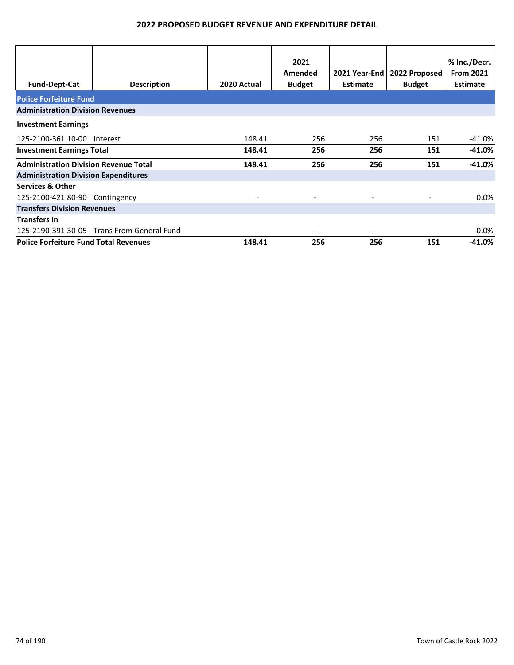|                                              |                                            |             | 2021<br>Amended | 2021 Year-End | 2022 Proposed | % Inc./Decr.<br><b>From 2021</b> |  |  |
|----------------------------------------------|--------------------------------------------|-------------|-----------------|---------------|---------------|----------------------------------|--|--|
| <b>Fund-Dept-Cat</b>                         | <b>Description</b>                         | 2020 Actual | <b>Budget</b>   | Estimate      | <b>Budget</b> | <b>Estimate</b>                  |  |  |
| <b>Police Forfeiture Fund</b>                |                                            |             |                 |               |               |                                  |  |  |
| <b>Administration Division Revenues</b>      |                                            |             |                 |               |               |                                  |  |  |
| <b>Investment Earnings</b>                   |                                            |             |                 |               |               |                                  |  |  |
| 125-2100-361.10-00 Interest                  |                                            | 148.41      | 256             | 256           | 151           | $-41.0%$                         |  |  |
| <b>Investment Earnings Total</b>             |                                            | 148.41      | 256             | 256           | 151           | $-41.0\%$                        |  |  |
| <b>Administration Division Revenue Total</b> |                                            | 148.41      | 256             | 256           | 151           | $-41.0%$                         |  |  |
| <b>Administration Division Expenditures</b>  |                                            |             |                 |               |               |                                  |  |  |
| <b>Services &amp; Other</b>                  |                                            |             |                 |               |               |                                  |  |  |
| 125-2100-421.80-90 Contingency               |                                            |             |                 |               |               | $0.0\%$                          |  |  |
| <b>Transfers Division Revenues</b>           |                                            |             |                 |               |               |                                  |  |  |
| <b>Transfers In</b>                          |                                            |             |                 |               |               |                                  |  |  |
|                                              | 125-2190-391.30-05 Trans From General Fund |             |                 |               |               | $0.0\%$                          |  |  |
| <b>Police Forfeiture Fund Total Revenues</b> |                                            | 148.41      | 256             | 256           | 151           | $-41.0\%$                        |  |  |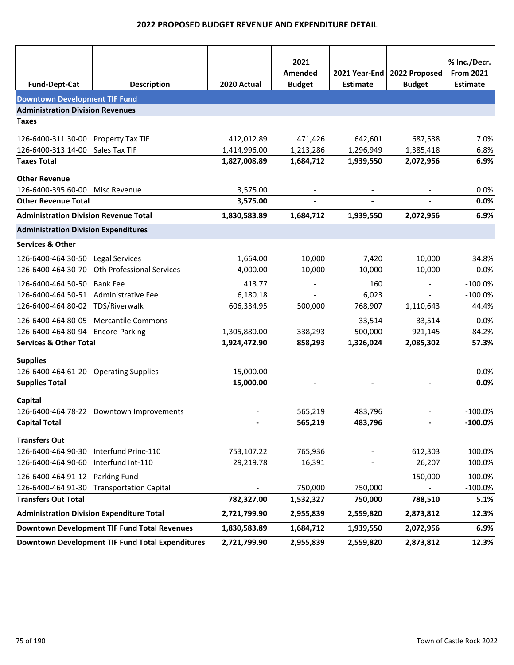| <b>Fund-Dept-Cat</b>                         | <b>Description</b>                                  | 2020 Actual  | 2021<br>Amended<br><b>Budget</b> | 2021 Year-End<br><b>Estimate</b> | 2022 Proposed<br><b>Budget</b> | % Inc./Decr.<br><b>From 2021</b><br><b>Estimate</b> |
|----------------------------------------------|-----------------------------------------------------|--------------|----------------------------------|----------------------------------|--------------------------------|-----------------------------------------------------|
| <b>Downtown Development TIF Fund</b>         |                                                     |              |                                  |                                  |                                |                                                     |
| <b>Administration Division Revenues</b>      |                                                     |              |                                  |                                  |                                |                                                     |
| <b>Taxes</b>                                 |                                                     |              |                                  |                                  |                                |                                                     |
| 126-6400-311.30-00 Property Tax TIF          |                                                     | 412,012.89   | 471,426                          | 642,601                          | 687,538                        | 7.0%                                                |
| 126-6400-313.14-00 Sales Tax TIF             |                                                     | 1,414,996.00 | 1,213,286                        | 1,296,949                        | 1,385,418                      | 6.8%                                                |
| <b>Taxes Total</b>                           |                                                     | 1,827,008.89 | 1,684,712                        | 1,939,550                        | 2,072,956                      | 6.9%                                                |
| <b>Other Revenue</b>                         |                                                     |              |                                  |                                  |                                |                                                     |
| 126-6400-395.60-00 Misc Revenue              |                                                     | 3,575.00     |                                  |                                  |                                | 0.0%                                                |
| <b>Other Revenue Total</b>                   |                                                     | 3,575.00     |                                  |                                  |                                | 0.0%                                                |
| <b>Administration Division Revenue Total</b> |                                                     | 1,830,583.89 | 1,684,712                        | 1,939,550                        | 2,072,956                      | 6.9%                                                |
| <b>Administration Division Expenditures</b>  |                                                     |              |                                  |                                  |                                |                                                     |
| <b>Services &amp; Other</b>                  |                                                     |              |                                  |                                  |                                |                                                     |
| 126-6400-464.30-50 Legal Services            |                                                     | 1,664.00     | 10,000                           | 7,420                            | 10,000                         | 34.8%                                               |
|                                              | 126-6400-464.30-70 Oth Professional Services        | 4,000.00     | 10,000                           | 10,000                           | 10,000                         | 0.0%                                                |
| 126-6400-464.50-50                           | <b>Bank Fee</b>                                     | 413.77       |                                  | 160                              | $\overline{\phantom{a}}$       | $-100.0%$                                           |
| 126-6400-464.50-51 Administrative Fee        |                                                     | 6,180.18     |                                  | 6,023                            |                                | $-100.0%$                                           |
| 126-6400-464.80-02 TDS/Riverwalk             |                                                     | 606,334.95   | 500,000                          | 768,907                          | 1,110,643                      | 44.4%                                               |
|                                              | 126-6400-464.80-05 Mercantile Commons               |              |                                  | 33,514                           | 33,514                         | 0.0%                                                |
| 126-6400-464.80-94 Encore-Parking            |                                                     | 1,305,880.00 | 338,293                          | 500,000                          | 921,145                        | 84.2%                                               |
| <b>Services &amp; Other Total</b>            |                                                     | 1,924,472.90 | 858,293                          | 1,326,024                        | 2,085,302                      | 57.3%                                               |
| <b>Supplies</b>                              |                                                     |              |                                  |                                  |                                |                                                     |
| 126-6400-464.61-20 Operating Supplies        |                                                     | 15,000.00    |                                  |                                  |                                | 0.0%                                                |
| <b>Supplies Total</b>                        |                                                     | 15,000.00    |                                  |                                  |                                | 0.0%                                                |
| Capital                                      |                                                     |              |                                  |                                  |                                |                                                     |
|                                              | 126-6400-464.78-22 Downtown Improvements            |              | 565,219                          | 483,796                          |                                | $-100.0%$                                           |
| <b>Capital Total</b>                         |                                                     |              | 565,219                          | 483,796                          |                                | $-100.0\%$                                          |
| <b>Transfers Out</b>                         |                                                     |              |                                  |                                  |                                |                                                     |
| 126-6400-464.90-30 Interfund Princ-110       |                                                     | 753,107.22   | 765,936                          |                                  | 612,303                        | 100.0%                                              |
| 126-6400-464.90-60 Interfund Int-110         |                                                     | 29,219.78    | 16,391                           |                                  | 26,207                         | 100.0%                                              |
| 126-6400-464.91-12 Parking Fund              |                                                     |              |                                  |                                  | 150,000                        | 100.0%                                              |
| 126-6400-464.91-30                           | <b>Transportation Capital</b>                       |              | 750,000                          | 750,000                          |                                | $-100.0\%$                                          |
| <b>Transfers Out Total</b>                   |                                                     | 782,327.00   | 1,532,327                        | 750,000                          | 788,510                        | 5.1%                                                |
|                                              | <b>Administration Division Expenditure Total</b>    | 2,721,799.90 | 2,955,839                        | 2,559,820                        | 2,873,812                      | 12.3%                                               |
|                                              | <b>Downtown Development TIF Fund Total Revenues</b> | 1,830,583.89 | 1,684,712                        | 1,939,550                        | 2,072,956                      | 6.9%                                                |
|                                              | Downtown Development TIF Fund Total Expenditures    | 2,721,799.90 | 2,955,839                        | 2,559,820                        | 2,873,812                      | 12.3%                                               |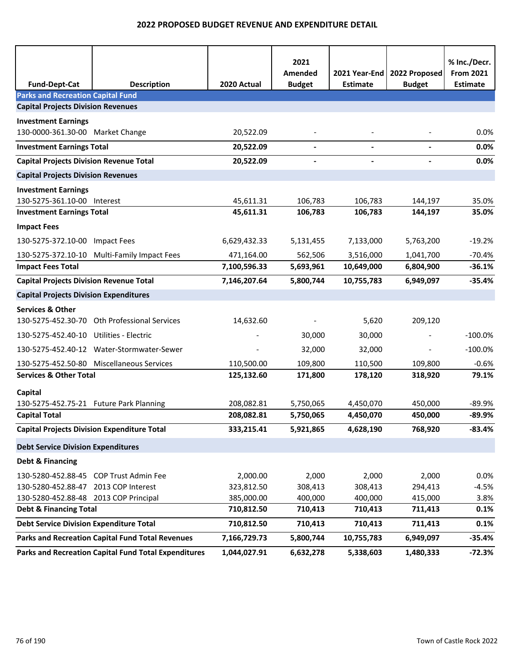| <b>Fund-Dept-Cat</b>                           | <b>Description</b>                                   | 2020 Actual  | 2021<br>Amended<br><b>Budget</b> | 2021 Year-End<br><b>Estimate</b> | 2022 Proposed<br><b>Budget</b> | % Inc./Decr.<br><b>From 2021</b><br><b>Estimate</b> |
|------------------------------------------------|------------------------------------------------------|--------------|----------------------------------|----------------------------------|--------------------------------|-----------------------------------------------------|
| <b>Parks and Recreation Capital Fund</b>       |                                                      |              |                                  |                                  |                                |                                                     |
| <b>Capital Projects Division Revenues</b>      |                                                      |              |                                  |                                  |                                |                                                     |
| <b>Investment Earnings</b>                     |                                                      |              |                                  |                                  |                                |                                                     |
| 130-0000-361.30-00 Market Change               |                                                      | 20,522.09    |                                  |                                  |                                | 0.0%                                                |
| <b>Investment Earnings Total</b>               |                                                      | 20,522.09    | $\blacksquare$                   |                                  |                                | 0.0%                                                |
| <b>Capital Projects Division Revenue Total</b> |                                                      | 20,522.09    |                                  |                                  |                                | 0.0%                                                |
| <b>Capital Projects Division Revenues</b>      |                                                      |              |                                  |                                  |                                |                                                     |
| <b>Investment Earnings</b>                     |                                                      |              |                                  |                                  |                                |                                                     |
| 130-5275-361.10-00 Interest                    |                                                      | 45,611.31    | 106,783                          | 106,783                          | 144,197                        | 35.0%                                               |
| <b>Investment Earnings Total</b>               |                                                      | 45,611.31    | 106,783                          | 106,783                          | 144,197                        | 35.0%                                               |
| <b>Impact Fees</b>                             |                                                      |              |                                  |                                  |                                |                                                     |
| 130-5275-372.10-00 Impact Fees                 |                                                      | 6,629,432.33 | 5,131,455                        | 7,133,000                        | 5,763,200                      | $-19.2%$                                            |
|                                                | 130-5275-372.10-10 Multi-Family Impact Fees          | 471,164.00   | 562,506                          | 3,516,000                        | 1,041,700                      | $-70.4%$                                            |
| <b>Impact Fees Total</b>                       |                                                      | 7,100,596.33 | 5,693,961                        | 10,649,000                       | 6,804,900                      | $-36.1%$                                            |
| <b>Capital Projects Division Revenue Total</b> |                                                      | 7,146,207.64 | 5,800,744                        | 10,755,783                       | 6,949,097                      | $-35.4%$                                            |
| <b>Capital Projects Division Expenditures</b>  |                                                      |              |                                  |                                  |                                |                                                     |
| <b>Services &amp; Other</b>                    |                                                      |              |                                  |                                  |                                |                                                     |
|                                                | 130-5275-452.30-70 Oth Professional Services         | 14,632.60    |                                  | 5,620                            | 209,120                        |                                                     |
| 130-5275-452.40-10 Utilities - Electric        |                                                      |              | 30,000                           | 30,000                           |                                | $-100.0\%$                                          |
|                                                | 130-5275-452.40-12 Water-Stormwater-Sewer            |              | 32,000                           | 32,000                           |                                | $-100.0%$                                           |
|                                                | 130-5275-452.50-80 Miscellaneous Services            | 110,500.00   | 109,800                          | 110,500                          | 109,800                        | $-0.6%$                                             |
| <b>Services &amp; Other Total</b>              |                                                      | 125,132.60   | 171,800                          | 178,120                          | 318,920                        | 79.1%                                               |
| Capital                                        |                                                      |              |                                  |                                  |                                |                                                     |
| 130-5275-452.75-21 Future Park Planning        |                                                      | 208,082.81   | 5,750,065                        | 4,450,070                        | 450,000                        | $-89.9%$                                            |
| <b>Capital Total</b>                           |                                                      | 208,082.81   | 5,750,065                        | 4,450,070                        | 450,000                        | $-89.9%$                                            |
|                                                | <b>Capital Projects Division Expenditure Total</b>   | 333,215.41   | 5,921,865                        | 4,628,190                        | 768,920                        | $-83.4%$                                            |
| <b>Debt Service Division Expenditures</b>      |                                                      |              |                                  |                                  |                                |                                                     |
| <b>Debt &amp; Financing</b>                    |                                                      |              |                                  |                                  |                                |                                                     |
|                                                | 130-5280-452.88-45 COP Trust Admin Fee               | 2,000.00     | 2,000                            | 2,000                            | 2,000                          | 0.0%                                                |
| 130-5280-452.88-47 2013 COP Interest           |                                                      | 323,812.50   | 308,413                          | 308,413                          | 294,413                        | $-4.5%$                                             |
| 130-5280-452.88-48 2013 COP Principal          |                                                      | 385,000.00   | 400,000                          | 400,000                          | 415,000                        | 3.8%                                                |
| <b>Debt &amp; Financing Total</b>              |                                                      | 710,812.50   | 710,413                          | 710,413                          | 711,413                        | 0.1%                                                |
| <b>Debt Service Division Expenditure Total</b> |                                                      | 710,812.50   | 710,413                          | 710,413                          | 711,413                        | 0.1%                                                |
|                                                | Parks and Recreation Capital Fund Total Revenues     | 7,166,729.73 | 5,800,744                        | 10,755,783                       | 6,949,097                      | $-35.4%$                                            |
|                                                | Parks and Recreation Capital Fund Total Expenditures | 1,044,027.91 | 6,632,278                        | 5,338,603                        | 1,480,333                      | $-72.3%$                                            |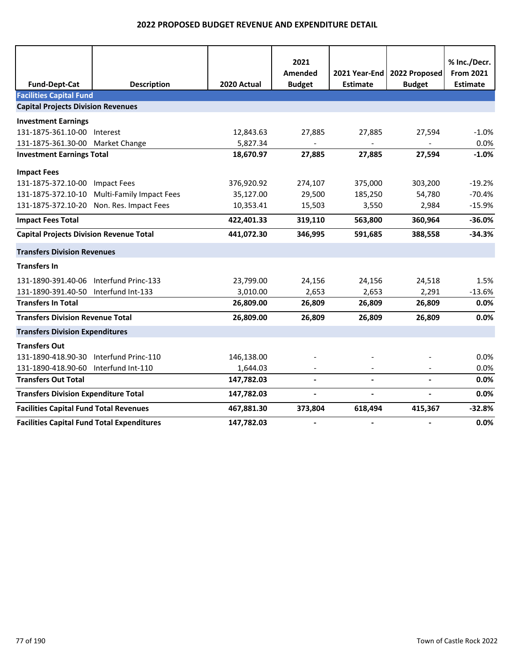|                                                   |                                 |             | 2021           |                          |                          | % Inc./Decr.     |
|---------------------------------------------------|---------------------------------|-------------|----------------|--------------------------|--------------------------|------------------|
|                                                   |                                 |             | Amended        | 2021 Year-End            | 2022 Proposed            | <b>From 2021</b> |
| <b>Fund-Dept-Cat</b>                              | <b>Description</b>              | 2020 Actual | <b>Budget</b>  | <b>Estimate</b>          | <b>Budget</b>            | <b>Estimate</b>  |
| <b>Facilities Capital Fund</b>                    |                                 |             |                |                          |                          |                  |
| <b>Capital Projects Division Revenues</b>         |                                 |             |                |                          |                          |                  |
| <b>Investment Earnings</b>                        |                                 |             |                |                          |                          |                  |
| 131-1875-361.10-00                                | Interest                        | 12,843.63   | 27,885         | 27,885                   | 27,594                   | $-1.0%$          |
| 131-1875-361.30-00 Market Change                  |                                 | 5,827.34    |                |                          |                          | 0.0%             |
| <b>Investment Earnings Total</b>                  |                                 | 18,670.97   | 27,885         | 27,885                   | 27,594                   | $-1.0%$          |
| <b>Impact Fees</b>                                |                                 |             |                |                          |                          |                  |
| 131-1875-372.10-00                                | <b>Impact Fees</b>              | 376,920.92  | 274,107        | 375,000                  | 303,200                  | $-19.2%$         |
| 131-1875-372.10-10                                | <b>Multi-Family Impact Fees</b> | 35,127.00   | 29,500         | 185,250                  | 54,780                   | $-70.4%$         |
| 131-1875-372.10-20                                | Non. Res. Impact Fees           | 10,353.41   | 15,503         | 3,550                    | 2,984                    | $-15.9%$         |
| <b>Impact Fees Total</b>                          |                                 | 422,401.33  | 319,110        | 563,800                  | 360,964                  | $-36.0%$         |
| <b>Capital Projects Division Revenue Total</b>    |                                 | 441,072.30  | 346,995        | 591,685                  | 388,558                  | $-34.3%$         |
| <b>Transfers Division Revenues</b>                |                                 |             |                |                          |                          |                  |
| <b>Transfers In</b>                               |                                 |             |                |                          |                          |                  |
| 131-1890-391.40-06                                | Interfund Princ-133             | 23,799.00   | 24,156         | 24,156                   | 24,518                   | 1.5%             |
| 131-1890-391.40-50                                | Interfund Int-133               | 3,010.00    | 2,653          | 2,653                    | 2,291                    | $-13.6%$         |
| <b>Transfers In Total</b>                         |                                 | 26,809.00   | 26,809         | 26,809                   | 26,809                   | 0.0%             |
| <b>Transfers Division Revenue Total</b>           |                                 | 26,809.00   | 26,809         | 26,809                   | 26,809                   | 0.0%             |
| <b>Transfers Division Expenditures</b>            |                                 |             |                |                          |                          |                  |
| <b>Transfers Out</b>                              |                                 |             |                |                          |                          |                  |
| 131-1890-418.90-30                                | Interfund Princ-110             | 146,138.00  |                |                          |                          | 0.0%             |
| 131-1890-418.90-60                                | Interfund Int-110               | 1,644.03    |                |                          |                          | 0.0%             |
| <b>Transfers Out Total</b>                        |                                 | 147,782.03  | $\blacksquare$ | $\overline{\phantom{a}}$ | $\blacksquare$           | 0.0%             |
| <b>Transfers Division Expenditure Total</b>       |                                 | 147,782.03  | $\overline{a}$ | $\overline{\phantom{a}}$ | $\overline{\phantom{a}}$ | 0.0%             |
| <b>Facilities Capital Fund Total Revenues</b>     |                                 | 467,881.30  | 373,804        | 618,494                  | 415,367                  | $-32.8%$         |
| <b>Facilities Capital Fund Total Expenditures</b> |                                 | 147,782.03  | $\blacksquare$ | $\blacksquare$           | $\blacksquare$           | 0.0%             |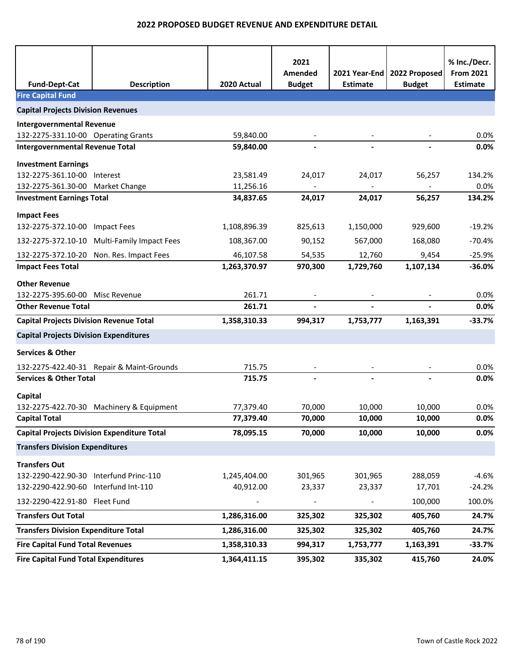| <b>Fund-Dept-Cat</b>                               | <b>Description</b>                          | 2020 Actual  | 2021<br>Amended<br><b>Budget</b> | <b>Estimate</b> | 2021 Year-End   2022 Proposed<br><b>Budget</b> | % Inc./Decr.<br><b>From 2021</b><br><b>Estimate</b> |
|----------------------------------------------------|---------------------------------------------|--------------|----------------------------------|-----------------|------------------------------------------------|-----------------------------------------------------|
| <b>Fire Capital Fund</b>                           |                                             |              |                                  |                 |                                                |                                                     |
| <b>Capital Projects Division Revenues</b>          |                                             |              |                                  |                 |                                                |                                                     |
| <b>Intergovernmental Revenue</b>                   |                                             |              |                                  |                 |                                                |                                                     |
| 132-2275-331.10-00 Operating Grants                |                                             | 59,840.00    |                                  |                 |                                                | 0.0%                                                |
| <b>Intergovernmental Revenue Total</b>             |                                             | 59,840.00    |                                  |                 |                                                | 0.0%                                                |
| <b>Investment Earnings</b>                         |                                             |              |                                  |                 |                                                |                                                     |
| 132-2275-361.10-00 Interest                        |                                             | 23,581.49    | 24,017                           | 24,017          | 56,257                                         | 134.2%                                              |
| 132-2275-361.30-00 Market Change                   |                                             | 11,256.16    |                                  |                 |                                                | 0.0%                                                |
| <b>Investment Earnings Total</b>                   |                                             | 34,837.65    | 24,017                           | 24,017          | 56,257                                         | 134.2%                                              |
| <b>Impact Fees</b>                                 |                                             |              |                                  |                 |                                                |                                                     |
| 132-2275-372.10-00 Impact Fees                     |                                             | 1,108,896.39 | 825,613                          | 1,150,000       | 929,600                                        | $-19.2%$                                            |
|                                                    | 132-2275-372.10-10 Multi-Family Impact Fees | 108,367.00   | 90,152                           | 567,000         | 168,080                                        | $-70.4%$                                            |
|                                                    | 132-2275-372.10-20 Non. Res. Impact Fees    | 46,107.58    | 54,535                           | 12,760          | 9,454                                          | $-25.9%$                                            |
| <b>Impact Fees Total</b>                           |                                             | 1,263,370.97 | 970,300                          | 1,729,760       | 1,107,134                                      | $-36.0%$                                            |
| <b>Other Revenue</b>                               |                                             |              |                                  |                 |                                                |                                                     |
| 132-2275-395.60-00 Misc Revenue                    |                                             | 261.71       |                                  |                 |                                                | 0.0%                                                |
| <b>Other Revenue Total</b>                         |                                             | 261.71       |                                  |                 |                                                | 0.0%                                                |
| <b>Capital Projects Division Revenue Total</b>     |                                             | 1,358,310.33 | 994,317                          | 1,753,777       | 1,163,391                                      | $-33.7%$                                            |
| <b>Capital Projects Division Expenditures</b>      |                                             |              |                                  |                 |                                                |                                                     |
| <b>Services &amp; Other</b>                        |                                             |              |                                  |                 |                                                |                                                     |
|                                                    | 132-2275-422.40-31 Repair & Maint-Grounds   | 715.75       |                                  |                 |                                                | 0.0%                                                |
| <b>Services &amp; Other Total</b>                  |                                             | 715.75       |                                  |                 |                                                | 0.0%                                                |
| Capital                                            |                                             |              |                                  |                 |                                                |                                                     |
|                                                    | 132-2275-422.70-30 Machinery & Equipment    | 77,379.40    | 70,000                           | 10,000          | 10,000                                         | 0.0%                                                |
| <b>Capital Total</b>                               |                                             | 77,379.40    | 70,000                           | 10,000          | 10,000                                         | 0.0%                                                |
| <b>Capital Projects Division Expenditure Total</b> |                                             | 78,095.15    | 70,000                           | 10,000          | 10,000                                         | 0.0%                                                |
| <b>Transfers Division Expenditures</b>             |                                             |              |                                  |                 |                                                |                                                     |
| <b>Transfers Out</b>                               |                                             |              |                                  |                 |                                                |                                                     |
| 132-2290-422.90-30 Interfund Princ-110             |                                             | 1,245,404.00 | 301,965                          | 301,965         | 288,059                                        | $-4.6%$                                             |
| 132-2290-422.90-60 Interfund Int-110               |                                             | 40,912.00    | 23,337                           | 23,337          | 17,701                                         | $-24.2%$                                            |
| 132-2290-422.91-80 Fleet Fund                      |                                             |              |                                  |                 | 100,000                                        | 100.0%                                              |
| <b>Transfers Out Total</b>                         |                                             | 1,286,316.00 | 325,302                          | 325,302         | 405,760                                        | 24.7%                                               |
| <b>Transfers Division Expenditure Total</b>        |                                             | 1,286,316.00 | 325,302                          | 325,302         | 405,760                                        | 24.7%                                               |
| <b>Fire Capital Fund Total Revenues</b>            |                                             | 1,358,310.33 | 994,317                          | 1,753,777       | 1,163,391                                      | $-33.7%$                                            |
| <b>Fire Capital Fund Total Expenditures</b>        |                                             | 1,364,411.15 | 395,302                          | 335,302         | 415,760                                        | 24.0%                                               |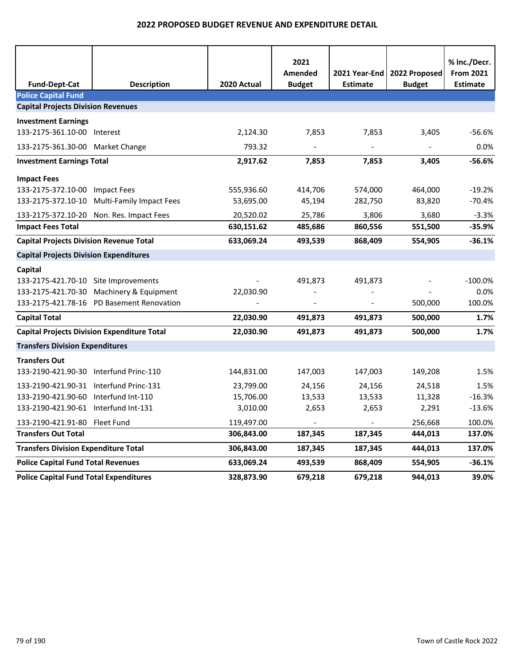| <b>Fund-Dept-Cat</b>                               | <b>Description</b>                        | 2020 Actual | 2021<br>Amended<br><b>Budget</b> | 2021 Year-End<br><b>Estimate</b> | 2022 Proposed<br><b>Budget</b> | % Inc./Decr.<br><b>From 2021</b><br><b>Estimate</b> |
|----------------------------------------------------|-------------------------------------------|-------------|----------------------------------|----------------------------------|--------------------------------|-----------------------------------------------------|
| <b>Police Capital Fund</b>                         |                                           |             |                                  |                                  |                                |                                                     |
| <b>Capital Projects Division Revenues</b>          |                                           |             |                                  |                                  |                                |                                                     |
| <b>Investment Earnings</b>                         |                                           |             |                                  |                                  |                                |                                                     |
| 133-2175-361.10-00 Interest                        |                                           | 2,124.30    | 7,853                            | 7,853                            | 3,405                          | $-56.6%$                                            |
| 133-2175-361.30-00 Market Change                   |                                           | 793.32      | $\overline{\phantom{a}}$         | $\overline{\phantom{a}}$         | $\overline{\phantom{a}}$       | 0.0%                                                |
| <b>Investment Earnings Total</b>                   |                                           | 2,917.62    | 7,853                            | 7,853                            | 3,405                          | $-56.6%$                                            |
| <b>Impact Fees</b>                                 |                                           |             |                                  |                                  |                                |                                                     |
| 133-2175-372.10-00 Impact Fees                     |                                           | 555,936.60  | 414,706                          | 574,000                          | 464,000                        | $-19.2%$                                            |
| 133-2175-372.10-10                                 | <b>Multi-Family Impact Fees</b>           | 53,695.00   | 45,194                           | 282,750                          | 83,820                         | -70.4%                                              |
|                                                    | 133-2175-372.10-20 Non. Res. Impact Fees  | 20,520.02   | 25,786                           | 3,806                            | 3,680                          | $-3.3%$                                             |
| <b>Impact Fees Total</b>                           |                                           | 630,151.62  | 485,686                          | 860,556                          | 551,500                        | -35.9%                                              |
| <b>Capital Projects Division Revenue Total</b>     |                                           | 633,069.24  | 493,539                          | 868,409                          | 554,905                        | $-36.1%$                                            |
| <b>Capital Projects Division Expenditures</b>      |                                           |             |                                  |                                  |                                |                                                     |
| Capital                                            |                                           |             |                                  |                                  |                                |                                                     |
| 133-2175-421.70-10 Site Improvements               |                                           |             | 491,873                          | 491,873                          |                                | $-100.0%$                                           |
|                                                    | 133-2175-421.70-30 Machinery & Equipment  | 22,030.90   |                                  |                                  |                                | 0.0%                                                |
|                                                    | 133-2175-421.78-16 PD Basement Renovation |             |                                  |                                  | 500,000                        | 100.0%                                              |
| <b>Capital Total</b>                               |                                           | 22,030.90   | 491,873                          | 491,873                          | 500,000                        | 1.7%                                                |
| <b>Capital Projects Division Expenditure Total</b> |                                           | 22,030.90   | 491,873                          | 491,873                          | 500,000                        | 1.7%                                                |
| <b>Transfers Division Expenditures</b>             |                                           |             |                                  |                                  |                                |                                                     |
| <b>Transfers Out</b>                               |                                           |             |                                  |                                  |                                |                                                     |
| 133-2190-421.90-30 Interfund Princ-110             |                                           | 144,831.00  | 147,003                          | 147,003                          | 149,208                        | 1.5%                                                |
| 133-2190-421.90-31 Interfund Princ-131             |                                           | 23,799.00   | 24,156                           | 24,156                           | 24,518                         | 1.5%                                                |
| 133-2190-421.90-60 Interfund Int-110               |                                           | 15,706.00   | 13,533                           | 13,533                           | 11,328                         | $-16.3%$                                            |
| 133-2190-421.90-61 Interfund Int-131               |                                           | 3,010.00    | 2,653                            | 2,653                            | 2,291                          | $-13.6%$                                            |
| 133-2190-421.91-80 Fleet Fund                      |                                           | 119,497.00  |                                  |                                  | 256,668                        | 100.0%                                              |
| <b>Transfers Out Total</b>                         |                                           | 306,843.00  | 187,345                          | 187,345                          | 444,013                        | 137.0%                                              |
| <b>Transfers Division Expenditure Total</b>        |                                           | 306,843.00  | 187,345                          | 187,345                          | 444,013                        | 137.0%                                              |
| <b>Police Capital Fund Total Revenues</b>          |                                           | 633,069.24  | 493,539                          | 868,409                          | 554,905                        | $-36.1%$                                            |
| <b>Police Capital Fund Total Expenditures</b>      |                                           | 328,873.90  | 679,218                          | 679,218                          | 944,013                        | 39.0%                                               |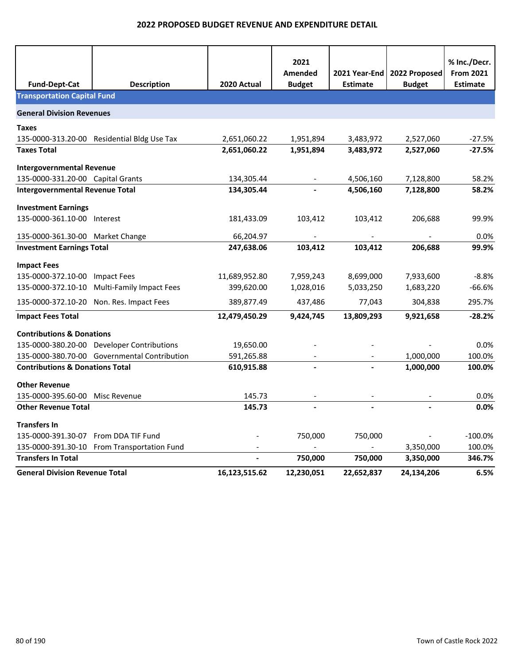|                                            |                                              |               | 2021           |                 |               | % Inc./Decr.     |
|--------------------------------------------|----------------------------------------------|---------------|----------------|-----------------|---------------|------------------|
|                                            |                                              |               | <b>Amended</b> | 2021 Year-End   | 2022 Proposed | <b>From 2021</b> |
| <b>Fund-Dept-Cat</b>                       | <b>Description</b>                           | 2020 Actual   | <b>Budget</b>  | <b>Estimate</b> | <b>Budget</b> | <b>Estimate</b>  |
| <b>Transportation Capital Fund</b>         |                                              |               |                |                 |               |                  |
| <b>General Division Revenues</b>           |                                              |               |                |                 |               |                  |
| <b>Taxes</b>                               |                                              |               |                |                 |               |                  |
|                                            | 135-0000-313.20-00 Residential Bldg Use Tax  | 2,651,060.22  | 1,951,894      | 3,483,972       | 2,527,060     | $-27.5%$         |
| <b>Taxes Total</b>                         |                                              | 2,651,060.22  | 1,951,894      | 3,483,972       | 2,527,060     | $-27.5%$         |
| <b>Intergovernmental Revenue</b>           |                                              |               |                |                 |               |                  |
| 135-0000-331.20-00 Capital Grants          |                                              | 134,305.44    |                | 4,506,160       | 7,128,800     | 58.2%            |
| <b>Intergovernmental Revenue Total</b>     |                                              | 134,305.44    |                | 4,506,160       | 7,128,800     | 58.2%            |
| <b>Investment Earnings</b>                 |                                              |               |                |                 |               |                  |
| 135-0000-361.10-00 Interest                |                                              | 181,433.09    | 103,412        | 103,412         | 206,688       | 99.9%            |
| 135-0000-361.30-00 Market Change           |                                              | 66,204.97     |                |                 |               | 0.0%             |
| <b>Investment Earnings Total</b>           |                                              | 247,638.06    | 103,412        | 103,412         | 206,688       | 99.9%            |
| <b>Impact Fees</b>                         |                                              |               |                |                 |               |                  |
| 135-0000-372.10-00                         | <b>Impact Fees</b>                           | 11,689,952.80 | 7,959,243      | 8,699,000       | 7,933,600     | $-8.8%$          |
| 135-0000-372.10-10                         | <b>Multi-Family Impact Fees</b>              | 399,620.00    | 1,028,016      | 5,033,250       | 1,683,220     | $-66.6%$         |
|                                            | 135-0000-372.10-20 Non. Res. Impact Fees     | 389,877.49    | 437,486        | 77,043          | 304,838       | 295.7%           |
| <b>Impact Fees Total</b>                   |                                              | 12,479,450.29 | 9,424,745      | 13,809,293      | 9,921,658     | $-28.2%$         |
| <b>Contributions &amp; Donations</b>       |                                              |               |                |                 |               |                  |
|                                            | 135-0000-380.20-00 Developer Contributions   | 19,650.00     |                |                 |               | 0.0%             |
|                                            | 135-0000-380.70-00 Governmental Contribution | 591,265.88    |                |                 | 1,000,000     | 100.0%           |
| <b>Contributions &amp; Donations Total</b> |                                              | 610,915.88    |                |                 | 1,000,000     | 100.0%           |
| <b>Other Revenue</b>                       |                                              |               |                |                 |               |                  |
| 135-0000-395.60-00                         | <b>Misc Revenue</b>                          | 145.73        |                |                 |               | 0.0%             |
| <b>Other Revenue Total</b>                 |                                              | 145.73        |                |                 |               | 0.0%             |
| <b>Transfers In</b>                        |                                              |               |                |                 |               |                  |
| 135-0000-391.30-07 From DDA TIF Fund       |                                              |               | 750,000        | 750,000         |               | $-100.0%$        |
|                                            | 135-0000-391.30-10 From Transportation Fund  |               |                |                 | 3,350,000     | 100.0%           |
| <b>Transfers In Total</b>                  |                                              |               | 750,000        | 750,000         | 3,350,000     | 346.7%           |
| <b>General Division Revenue Total</b>      |                                              | 16,123,515.62 | 12,230,051     | 22,652,837      | 24,134,206    | 6.5%             |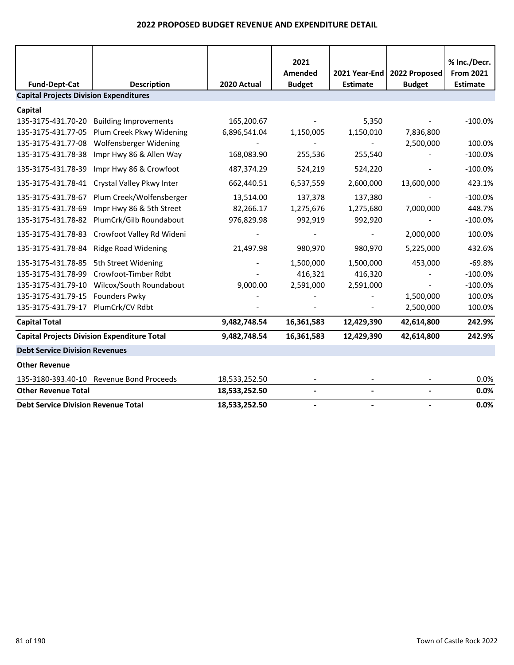|                                               |                                                    |               | 2021<br>Amended | 2021 Year-End   | 2022 Proposed  | % Inc./Decr.<br><b>From 2021</b> |
|-----------------------------------------------|----------------------------------------------------|---------------|-----------------|-----------------|----------------|----------------------------------|
| <b>Fund-Dept-Cat</b>                          | <b>Description</b>                                 | 2020 Actual   | <b>Budget</b>   | <b>Estimate</b> | <b>Budget</b>  | <b>Estimate</b>                  |
| <b>Capital Projects Division Expenditures</b> |                                                    |               |                 |                 |                |                                  |
| Capital                                       |                                                    |               |                 |                 |                |                                  |
| 135-3175-431.70-20                            | <b>Building Improvements</b>                       | 165,200.67    |                 | 5,350           |                | $-100.0%$                        |
| 135-3175-431.77-05                            | Plum Creek Pkwy Widening                           | 6,896,541.04  | 1,150,005       | 1,150,010       | 7,836,800      |                                  |
| 135-3175-431.77-08                            | Wolfensberger Widening                             |               |                 |                 | 2,500,000      | 100.0%                           |
| 135-3175-431.78-38                            | Impr Hwy 86 & Allen Way                            | 168,083.90    | 255,536         | 255,540         |                | $-100.0%$                        |
| 135-3175-431.78-39                            | Impr Hwy 86 & Crowfoot                             | 487,374.29    | 524,219         | 524,220         |                | $-100.0%$                        |
| 135-3175-431.78-41                            | Crystal Valley Pkwy Inter                          | 662,440.51    | 6,537,559       | 2,600,000       | 13,600,000     | 423.1%                           |
| 135-3175-431.78-67                            | Plum Creek/Wolfensberger                           | 13,514.00     | 137,378         | 137,380         |                | $-100.0%$                        |
| 135-3175-431.78-69                            | Impr Hwy 86 & 5th Street                           | 82,266.17     | 1,275,676       | 1,275,680       | 7,000,000      | 448.7%                           |
| 135-3175-431.78-82                            | PlumCrk/Gilb Roundabout                            | 976,829.98    | 992,919         | 992,920         |                | $-100.0%$                        |
| 135-3175-431.78-83                            | Crowfoot Valley Rd Wideni                          |               |                 |                 | 2,000,000      | 100.0%                           |
| 135-3175-431.78-84                            | <b>Ridge Road Widening</b>                         | 21,497.98     | 980,970         | 980,970         | 5,225,000      | 432.6%                           |
| 135-3175-431.78-85                            | 5th Street Widening                                |               | 1,500,000       | 1,500,000       | 453,000        | $-69.8%$                         |
| 135-3175-431.78-99                            | Crowfoot-Timber Rdbt                               |               | 416,321         | 416,320         |                | $-100.0%$                        |
| 135-3175-431.79-10                            | Wilcox/South Roundabout                            | 9,000.00      | 2,591,000       | 2,591,000       |                | $-100.0%$                        |
| 135-3175-431.79-15                            | <b>Founders Pwky</b>                               |               |                 |                 | 1,500,000      | 100.0%                           |
| 135-3175-431.79-17                            | PlumCrk/CV Rdbt                                    |               |                 |                 | 2,500,000      | 100.0%                           |
| <b>Capital Total</b>                          |                                                    | 9,482,748.54  | 16,361,583      | 12,429,390      | 42,614,800     | 242.9%                           |
|                                               | <b>Capital Projects Division Expenditure Total</b> | 9,482,748.54  | 16,361,583      | 12,429,390      | 42,614,800     | 242.9%                           |
| <b>Debt Service Division Revenues</b>         |                                                    |               |                 |                 |                |                                  |
| <b>Other Revenue</b>                          |                                                    |               |                 |                 |                |                                  |
| 135-3180-393.40-10                            | <b>Revenue Bond Proceeds</b>                       | 18,533,252.50 |                 |                 |                | 0.0%                             |
| <b>Other Revenue Total</b>                    |                                                    | 18,533,252.50 | $\blacksquare$  |                 | $\blacksquare$ | 0.0%                             |
| <b>Debt Service Division Revenue Total</b>    |                                                    | 18,533,252.50 |                 |                 |                | 0.0%                             |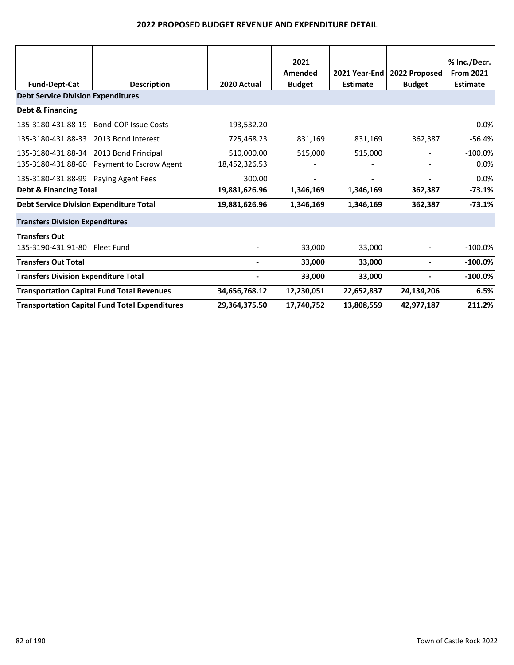| <b>Fund-Dept-Cat</b>                           | <b>Description</b>                                    | 2020 Actual   | 2021<br>Amended<br><b>Budget</b> | 2021 Year-End<br><b>Estimate</b> | 2022 Proposed<br><b>Budget</b> | % Inc./Decr.<br><b>From 2021</b><br><b>Estimate</b> |
|------------------------------------------------|-------------------------------------------------------|---------------|----------------------------------|----------------------------------|--------------------------------|-----------------------------------------------------|
| <b>Debt Service Division Expenditures</b>      |                                                       |               |                                  |                                  |                                |                                                     |
| Debt & Financing                               |                                                       |               |                                  |                                  |                                |                                                     |
| 135-3180-431.88-19                             | <b>Bond-COP Issue Costs</b>                           | 193,532.20    |                                  |                                  |                                | 0.0%                                                |
| 135-3180-431.88-33                             | 2013 Bond Interest                                    | 725,468.23    | 831,169                          | 831,169                          | 362,387                        | $-56.4%$                                            |
| 135-3180-431.88-34 2013 Bond Principal         |                                                       | 510,000.00    | 515,000                          | 515,000                          | $\overline{\phantom{a}}$       | $-100.0\%$                                          |
|                                                | 135-3180-431.88-60 Payment to Escrow Agent            | 18,452,326.53 |                                  |                                  |                                | 0.0%                                                |
| 135-3180-431.88-99 Paying Agent Fees           |                                                       | 300.00        |                                  |                                  |                                | 0.0%                                                |
| <b>Debt &amp; Financing Total</b>              |                                                       | 19,881,626.96 | 1,346,169                        | 1,346,169                        | 362,387                        | $-73.1%$                                            |
| <b>Debt Service Division Expenditure Total</b> |                                                       | 19,881,626.96 | 1,346,169                        | 1,346,169                        | 362,387                        | $-73.1%$                                            |
| <b>Transfers Division Expenditures</b>         |                                                       |               |                                  |                                  |                                |                                                     |
| <b>Transfers Out</b>                           |                                                       |               |                                  |                                  |                                |                                                     |
| 135-3190-431.91-80 Fleet Fund                  |                                                       |               | 33,000                           | 33,000                           |                                | $-100.0\%$                                          |
| <b>Transfers Out Total</b>                     |                                                       |               | 33,000                           | 33,000                           |                                | $-100.0\%$                                          |
| <b>Transfers Division Expenditure Total</b>    |                                                       |               | 33,000                           | 33,000                           |                                | $-100.0\%$                                          |
|                                                | <b>Transportation Capital Fund Total Revenues</b>     | 34,656,768.12 | 12,230,051                       | 22,652,837                       | 24,134,206                     | 6.5%                                                |
|                                                | <b>Transportation Capital Fund Total Expenditures</b> | 29,364,375.50 | 17,740,752                       | 13,808,559                       | 42,977,187                     | 211.2%                                              |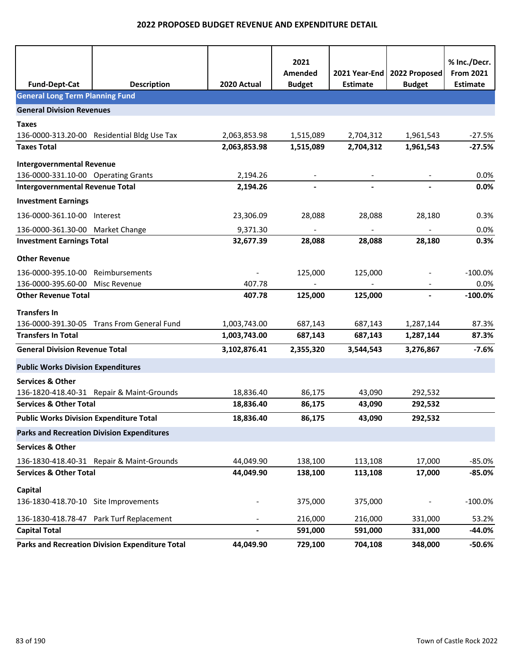| <b>Fund-Dept-Cat</b>                           | <b>Description</b>                                | 2020 Actual              | 2021<br>Amended<br><b>Budget</b> | 2021 Year-End<br><b>Estimate</b> | 2022 Proposed<br><b>Budget</b> | % Inc./Decr.<br><b>From 2021</b><br><b>Estimate</b> |
|------------------------------------------------|---------------------------------------------------|--------------------------|----------------------------------|----------------------------------|--------------------------------|-----------------------------------------------------|
| <b>General Long Term Planning Fund</b>         |                                                   |                          |                                  |                                  |                                |                                                     |
| <b>General Division Revenues</b>               |                                                   |                          |                                  |                                  |                                |                                                     |
| <b>Taxes</b>                                   |                                                   |                          |                                  |                                  |                                |                                                     |
|                                                | 136-0000-313.20-00 Residential Bldg Use Tax       | 2,063,853.98             | 1,515,089                        | 2,704,312                        | 1,961,543                      | $-27.5%$                                            |
| <b>Taxes Total</b>                             |                                                   | 2,063,853.98             | 1,515,089                        | 2,704,312                        | 1,961,543                      | $-27.5%$                                            |
| <b>Intergovernmental Revenue</b>               |                                                   |                          |                                  |                                  |                                |                                                     |
| 136-0000-331.10-00 Operating Grants            |                                                   | 2,194.26                 |                                  |                                  |                                | 0.0%                                                |
| <b>Intergovernmental Revenue Total</b>         |                                                   | 2,194.26                 |                                  |                                  |                                | 0.0%                                                |
| <b>Investment Earnings</b>                     |                                                   |                          |                                  |                                  |                                |                                                     |
| 136-0000-361.10-00 Interest                    |                                                   | 23,306.09                | 28,088                           | 28,088                           | 28,180                         | 0.3%                                                |
| 136-0000-361.30-00 Market Change               |                                                   | 9,371.30                 | $\blacksquare$                   | $\blacksquare$                   | $\blacksquare$                 | 0.0%                                                |
| <b>Investment Earnings Total</b>               |                                                   | 32,677.39                | 28,088                           | 28,088                           | 28,180                         | 0.3%                                                |
| <b>Other Revenue</b>                           |                                                   |                          |                                  |                                  |                                |                                                     |
| 136-0000-395.10-00                             | Reimbursements                                    |                          | 125,000                          | 125,000                          |                                | $-100.0\%$                                          |
| 136-0000-395.60-00 Misc Revenue                |                                                   | 407.78                   |                                  |                                  |                                | 0.0%                                                |
| <b>Other Revenue Total</b>                     |                                                   | 407.78                   | 125,000                          | 125,000                          | $\blacksquare$                 | $-100.0%$                                           |
| <b>Transfers In</b>                            |                                                   |                          |                                  |                                  |                                |                                                     |
|                                                | 136-0000-391.30-05 Trans From General Fund        | 1,003,743.00             | 687,143                          | 687,143                          | 1,287,144                      | 87.3%                                               |
| <b>Transfers In Total</b>                      |                                                   | 1,003,743.00             | 687,143                          | 687,143                          | 1,287,144                      | 87.3%                                               |
| <b>General Division Revenue Total</b>          |                                                   | 3,102,876.41             | 2,355,320                        | 3,544,543                        | 3,276,867                      | $-7.6%$                                             |
| <b>Public Works Division Expenditures</b>      |                                                   |                          |                                  |                                  |                                |                                                     |
| <b>Services &amp; Other</b>                    |                                                   |                          |                                  |                                  |                                |                                                     |
|                                                | 136-1820-418.40-31 Repair & Maint-Grounds         | 18,836.40                | 86,175                           | 43,090                           | 292,532                        |                                                     |
| <b>Services &amp; Other Total</b>              |                                                   | 18,836.40                | 86,175                           | 43,090                           | 292,532                        |                                                     |
| <b>Public Works Division Expenditure Total</b> |                                                   | 18,836.40                | 86,175                           | 43,090                           | 292,532                        |                                                     |
|                                                | <b>Parks and Recreation Division Expenditures</b> |                          |                                  |                                  |                                |                                                     |
| <b>Services &amp; Other</b>                    |                                                   |                          |                                  |                                  |                                |                                                     |
|                                                | 136-1830-418.40-31 Repair & Maint-Grounds         | 44,049.90                | 138,100                          | 113,108                          | 17,000                         | $-85.0%$                                            |
| <b>Services &amp; Other Total</b>              |                                                   | 44,049.90                | 138,100                          | 113,108                          | 17,000                         | $-85.0%$                                            |
| Capital                                        |                                                   |                          |                                  |                                  |                                |                                                     |
| 136-1830-418.70-10 Site Improvements           |                                                   |                          | 375,000                          | 375,000                          |                                | $-100.0%$                                           |
|                                                | 136-1830-418.78-47 Park Turf Replacement          |                          | 216,000                          | 216,000                          | 331,000                        | 53.2%                                               |
| <b>Capital Total</b>                           |                                                   | $\overline{\phantom{0}}$ | 591,000                          | 591,000                          | 331,000                        | -44.0%                                              |
|                                                | Parks and Recreation Division Expenditure Total   | 44,049.90                | 729,100                          | 704,108                          | 348,000                        | $-50.6%$                                            |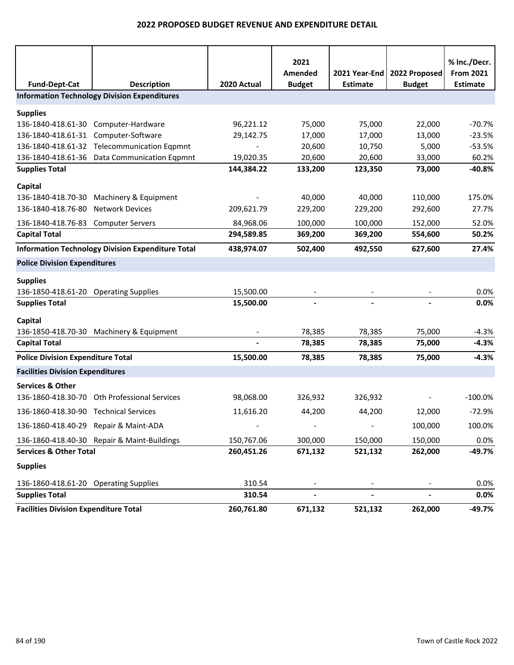|                                              |                                                                           |                          | 2021<br>Amended          | 2021 Year-End            | 2022 Proposed  | % Inc./Decr.<br><b>From 2021</b> |
|----------------------------------------------|---------------------------------------------------------------------------|--------------------------|--------------------------|--------------------------|----------------|----------------------------------|
| <b>Fund-Dept-Cat</b>                         | <b>Description</b><br><b>Information Technology Division Expenditures</b> | 2020 Actual              | <b>Budget</b>            | <b>Estimate</b>          | <b>Budget</b>  | <b>Estimate</b>                  |
|                                              |                                                                           |                          |                          |                          |                |                                  |
| <b>Supplies</b>                              |                                                                           |                          |                          |                          |                |                                  |
| 136-1840-418.61-30 Computer-Hardware         |                                                                           | 96,221.12                | 75,000                   | 75,000                   | 22,000         | $-70.7%$                         |
| 136-1840-418.61-31 Computer-Software         |                                                                           | 29,142.75                | 17,000                   | 17,000                   | 13,000         | $-23.5%$                         |
|                                              | 136-1840-418.61-32 Telecommunication Eqpmnt                               |                          | 20,600                   | 10,750                   | 5,000          | $-53.5%$                         |
|                                              | 136-1840-418.61-36 Data Communication Eqpmnt                              | 19,020.35                | 20,600                   | 20,600                   | 33,000         | 60.2%                            |
| <b>Supplies Total</b>                        |                                                                           | 144,384.22               | 133,200                  | 123,350                  | 73,000         | $-40.8%$                         |
| Capital                                      |                                                                           |                          |                          |                          |                |                                  |
| 136-1840-418.70-30                           | Machinery & Equipment                                                     |                          | 40,000                   | 40,000                   | 110,000        | 175.0%                           |
| 136-1840-418.76-80                           | <b>Network Devices</b>                                                    | 209,621.79               | 229,200                  | 229,200                  | 292,600        | 27.7%                            |
| 136-1840-418.76-83                           | <b>Computer Servers</b>                                                   | 84,968.06                | 100,000                  | 100,000                  | 152,000        | 52.0%                            |
| <b>Capital Total</b>                         |                                                                           | 294,589.85               | 369,200                  | 369,200                  | 554,600        | 50.2%                            |
|                                              | <b>Information Technology Division Expenditure Total</b>                  | 438,974.07               | 502,400                  | 492,550                  | 627,600        | 27.4%                            |
| <b>Police Division Expenditures</b>          |                                                                           |                          |                          |                          |                |                                  |
| <b>Supplies</b>                              |                                                                           |                          |                          |                          |                |                                  |
| 136-1850-418.61-20 Operating Supplies        |                                                                           | 15,500.00                |                          |                          |                | 0.0%                             |
| <b>Supplies Total</b>                        |                                                                           | 15,500.00                |                          |                          |                | 0.0%                             |
|                                              |                                                                           |                          |                          |                          |                |                                  |
| Capital                                      | 136-1850-418.70-30 Machinery & Equipment                                  |                          | 78,385                   | 78,385                   | 75,000         | $-4.3%$                          |
| <b>Capital Total</b>                         |                                                                           |                          | 78,385                   | 78,385                   | 75,000         | $-4.3%$                          |
|                                              |                                                                           |                          |                          |                          |                |                                  |
| <b>Police Division Expenditure Total</b>     |                                                                           | 15,500.00                | 78,385                   | 78,385                   | 75,000         | $-4.3%$                          |
| <b>Facilities Division Expenditures</b>      |                                                                           |                          |                          |                          |                |                                  |
| <b>Services &amp; Other</b>                  |                                                                           |                          |                          |                          |                |                                  |
|                                              | 136-1860-418.30-70 Oth Professional Services                              | 98,068.00                | 326,932                  | 326,932                  |                | $-100.0%$                        |
| 136-1860-418.30-90 Technical Services        |                                                                           | 11,616.20                | 44,200                   | 44,200                   | 12,000         | $-72.9%$                         |
| 136-1860-418.40-29 Repair & Maint-ADA        |                                                                           | $\overline{\phantom{a}}$ | $\overline{\phantom{a}}$ | $\overline{\phantom{a}}$ | 100,000        | 100.0%                           |
|                                              | 136-1860-418.40-30 Repair & Maint-Buildings                               | 150,767.06               | 300,000                  | 150,000                  | 150,000        | 0.0%                             |
| <b>Services &amp; Other Total</b>            |                                                                           | 260,451.26               | 671,132                  | 521,132                  | 262,000        | $-49.7%$                         |
| <b>Supplies</b>                              |                                                                           |                          |                          |                          |                |                                  |
| 136-1860-418.61-20 Operating Supplies        |                                                                           | 310.54                   |                          |                          |                | 0.0%                             |
| <b>Supplies Total</b>                        |                                                                           | 310.54                   | $\overline{\phantom{a}}$ |                          | $\blacksquare$ | 0.0%                             |
| <b>Facilities Division Expenditure Total</b> |                                                                           | 260,761.80               | 671,132                  | 521,132                  | 262,000        | $-49.7%$                         |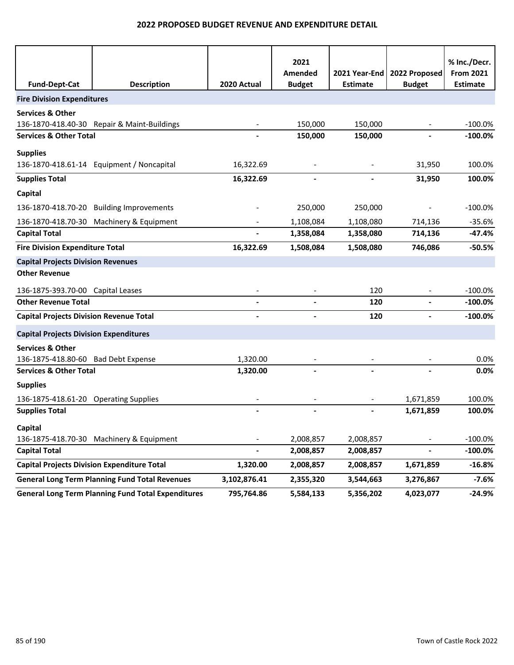|                                                    |                                                           |              | 2021<br>Amended |                 | 2021 Year-End   2022 Proposed | % Inc./Decr.<br><b>From 2021</b> |
|----------------------------------------------------|-----------------------------------------------------------|--------------|-----------------|-----------------|-------------------------------|----------------------------------|
| <b>Fund-Dept-Cat</b>                               | <b>Description</b>                                        | 2020 Actual  | <b>Budget</b>   | <b>Estimate</b> | <b>Budget</b>                 | <b>Estimate</b>                  |
| <b>Fire Division Expenditures</b>                  |                                                           |              |                 |                 |                               |                                  |
| <b>Services &amp; Other</b>                        |                                                           |              |                 |                 |                               |                                  |
|                                                    | 136-1870-418.40-30 Repair & Maint-Buildings               |              | 150,000         | 150,000         |                               | $-100.0%$                        |
| <b>Services &amp; Other Total</b>                  |                                                           |              | 150,000         | 150,000         |                               | $-100.0\%$                       |
| <b>Supplies</b>                                    |                                                           |              |                 |                 |                               |                                  |
|                                                    | 136-1870-418.61-14 Equipment / Noncapital                 | 16,322.69    |                 |                 | 31,950                        | 100.0%                           |
| <b>Supplies Total</b>                              |                                                           | 16,322.69    |                 |                 | 31,950                        | 100.0%                           |
| Capital                                            |                                                           |              |                 |                 |                               |                                  |
| 136-1870-418.70-20                                 | <b>Building Improvements</b>                              |              | 250,000         | 250,000         |                               | $-100.0%$                        |
|                                                    | 136-1870-418.70-30 Machinery & Equipment                  |              | 1,108,084       | 1,108,080       | 714,136                       | $-35.6%$                         |
| <b>Capital Total</b>                               |                                                           |              | 1,358,084       | 1,358,080       | 714,136                       | $-47.4%$                         |
| <b>Fire Division Expenditure Total</b>             |                                                           | 16,322.69    | 1,508,084       | 1,508,080       | 746,086                       | $-50.5%$                         |
| <b>Capital Projects Division Revenues</b>          |                                                           |              |                 |                 |                               |                                  |
| <b>Other Revenue</b>                               |                                                           |              |                 |                 |                               |                                  |
| 136-1875-393.70-00 Capital Leases                  |                                                           |              |                 | 120             |                               | $-100.0%$                        |
| <b>Other Revenue Total</b>                         |                                                           |              |                 | 120             |                               | $-100.0\%$                       |
| <b>Capital Projects Division Revenue Total</b>     |                                                           |              |                 | 120             |                               | $-100.0%$                        |
| <b>Capital Projects Division Expenditures</b>      |                                                           |              |                 |                 |                               |                                  |
| <b>Services &amp; Other</b>                        |                                                           |              |                 |                 |                               |                                  |
| 136-1875-418.80-60 Bad Debt Expense                |                                                           | 1,320.00     |                 |                 |                               | 0.0%                             |
| <b>Services &amp; Other Total</b>                  |                                                           | 1,320.00     |                 |                 |                               | 0.0%                             |
| <b>Supplies</b>                                    |                                                           |              |                 |                 |                               |                                  |
| 136-1875-418.61-20 Operating Supplies              |                                                           |              |                 |                 | 1,671,859                     | 100.0%                           |
| <b>Supplies Total</b>                              |                                                           |              |                 |                 | 1,671,859                     | 100.0%                           |
| Capital                                            |                                                           |              |                 |                 |                               |                                  |
|                                                    | 136-1875-418.70-30 Machinery & Equipment                  |              | 2,008,857       | 2,008,857       |                               | $-100.0%$                        |
| <b>Capital Total</b>                               |                                                           |              | 2,008,857       | 2,008,857       |                               | $-100.0\%$                       |
| <b>Capital Projects Division Expenditure Total</b> |                                                           | 1,320.00     | 2,008,857       | 2,008,857       | 1,671,859                     | $-16.8%$                         |
|                                                    | <b>General Long Term Planning Fund Total Revenues</b>     | 3,102,876.41 | 2,355,320       | 3,544,663       | 3,276,867                     | $-7.6%$                          |
|                                                    | <b>General Long Term Planning Fund Total Expenditures</b> | 795,764.86   | 5,584,133       | 5,356,202       | 4,023,077                     | $-24.9%$                         |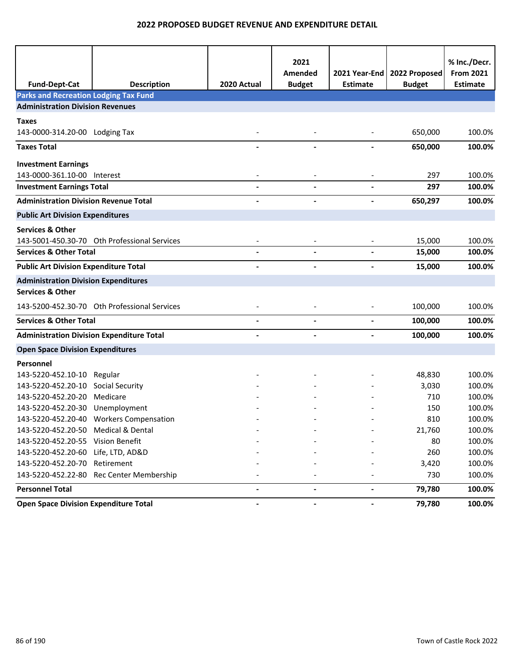| <b>Fund-Dept-Cat</b>                             | <b>Description</b>                           | 2020 Actual | 2021<br>Amended<br><b>Budget</b> | Estimate                     | 2021 Year-End   2022 Proposed<br><b>Budget</b> | % Inc./Decr.<br><b>From 2021</b><br><b>Estimate</b> |
|--------------------------------------------------|----------------------------------------------|-------------|----------------------------------|------------------------------|------------------------------------------------|-----------------------------------------------------|
| <b>Parks and Recreation Lodging Tax Fund</b>     |                                              |             |                                  |                              |                                                |                                                     |
| <b>Administration Division Revenues</b>          |                                              |             |                                  |                              |                                                |                                                     |
| <b>Taxes</b>                                     |                                              |             |                                  |                              |                                                |                                                     |
| 143-0000-314.20-00 Lodging Tax                   |                                              |             |                                  |                              | 650,000                                        | 100.0%                                              |
| <b>Taxes Total</b>                               |                                              |             |                                  |                              | 650,000                                        | 100.0%                                              |
| <b>Investment Earnings</b>                       |                                              |             |                                  |                              |                                                |                                                     |
| 143-0000-361.10-00 Interest                      |                                              |             |                                  |                              | 297                                            | 100.0%                                              |
| <b>Investment Earnings Total</b>                 |                                              |             |                                  |                              | 297                                            | 100.0%                                              |
| <b>Administration Division Revenue Total</b>     |                                              |             |                                  |                              | 650,297                                        | 100.0%                                              |
| <b>Public Art Division Expenditures</b>          |                                              |             |                                  |                              |                                                |                                                     |
| <b>Services &amp; Other</b>                      |                                              |             |                                  |                              |                                                |                                                     |
|                                                  | 143-5001-450.30-70 Oth Professional Services |             |                                  |                              | 15,000                                         | 100.0%                                              |
| <b>Services &amp; Other Total</b>                |                                              |             |                                  |                              | 15,000                                         | 100.0%                                              |
| <b>Public Art Division Expenditure Total</b>     |                                              |             |                                  |                              | 15,000                                         | 100.0%                                              |
| <b>Administration Division Expenditures</b>      |                                              |             |                                  |                              |                                                |                                                     |
| <b>Services &amp; Other</b>                      |                                              |             |                                  |                              |                                                |                                                     |
|                                                  | 143-5200-452.30-70 Oth Professional Services |             |                                  |                              | 100,000                                        | 100.0%                                              |
| <b>Services &amp; Other Total</b>                |                                              |             |                                  | $\overline{\phantom{a}}$     | 100,000                                        | 100.0%                                              |
| <b>Administration Division Expenditure Total</b> |                                              |             |                                  |                              | 100,000                                        | 100.0%                                              |
| <b>Open Space Division Expenditures</b>          |                                              |             |                                  |                              |                                                |                                                     |
| Personnel                                        |                                              |             |                                  |                              |                                                |                                                     |
| 143-5220-452.10-10 Regular                       |                                              |             |                                  |                              | 48,830                                         | 100.0%                                              |
| 143-5220-452.20-10 Social Security               |                                              |             |                                  |                              | 3,030                                          | 100.0%                                              |
| 143-5220-452.20-20 Medicare                      |                                              |             |                                  |                              | 710                                            | 100.0%                                              |
| 143-5220-452.20-30 Unemployment                  |                                              |             |                                  |                              | 150                                            | 100.0%                                              |
|                                                  | 143-5220-452.20-40 Workers Compensation      |             |                                  |                              | 810                                            | 100.0%                                              |
| 143-5220-452.20-50 Medical & Dental              |                                              |             |                                  |                              | 21,760                                         | 100.0%                                              |
| 143-5220-452.20-55 Vision Benefit                |                                              |             |                                  |                              | 80                                             | 100.0%                                              |
| 143-5220-452.20-60 Life, LTD, AD&D               |                                              |             |                                  |                              | 260                                            | 100.0%                                              |
| 143-5220-452.20-70 Retirement                    |                                              |             |                                  |                              | 3,420                                          | 100.0%                                              |
|                                                  | 143-5220-452.22-80 Rec Center Membership     |             |                                  |                              | 730                                            | 100.0%                                              |
| <b>Personnel Total</b>                           |                                              |             |                                  | $\blacksquare$               | 79,780                                         | 100.0%                                              |
| <b>Open Space Division Expenditure Total</b>     |                                              |             | $\overline{\phantom{a}}$         | $\qquad \qquad \blacksquare$ | 79,780                                         | 100.0%                                              |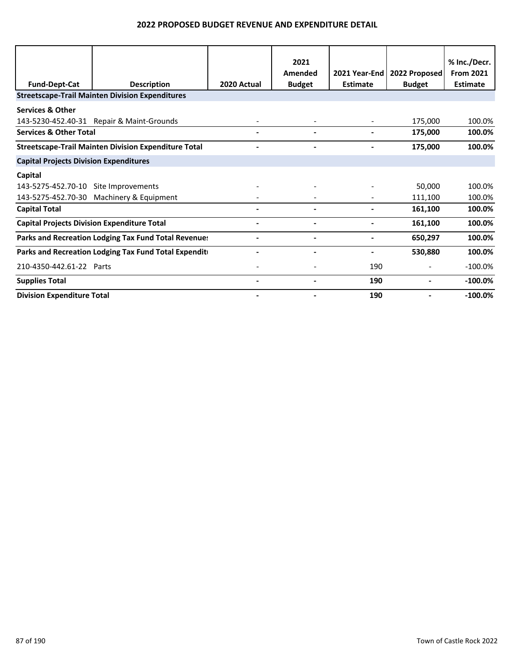| <b>Fund-Dept-Cat</b>                               | <b>Description</b>                                          | 2020 Actual | 2021<br>Amended<br><b>Budget</b> | 2021 Year-End<br><b>Estimate</b> | 2022 Proposed<br><b>Budget</b> | % Inc./Decr.<br><b>From 2021</b><br><b>Estimate</b> |
|----------------------------------------------------|-------------------------------------------------------------|-------------|----------------------------------|----------------------------------|--------------------------------|-----------------------------------------------------|
|                                                    | <b>Streetscape-Trail Mainten Division Expenditures</b>      |             |                                  |                                  |                                |                                                     |
| <b>Services &amp; Other</b>                        |                                                             |             |                                  |                                  |                                |                                                     |
|                                                    | 143-5230-452.40-31 Repair & Maint-Grounds                   |             |                                  |                                  | 175,000                        | 100.0%                                              |
| <b>Services &amp; Other Total</b>                  |                                                             |             |                                  |                                  | 175,000                        | 100.0%                                              |
|                                                    | <b>Streetscape-Trail Mainten Division Expenditure Total</b> |             |                                  |                                  | 175,000                        | 100.0%                                              |
| <b>Capital Projects Division Expenditures</b>      |                                                             |             |                                  |                                  |                                |                                                     |
| Capital                                            |                                                             |             |                                  |                                  |                                |                                                     |
| 143-5275-452.70-10 Site Improvements               |                                                             |             |                                  |                                  | 50,000                         | 100.0%                                              |
|                                                    | 143-5275-452.70-30 Machinery & Equipment                    |             |                                  |                                  | 111,100                        | 100.0%                                              |
| <b>Capital Total</b>                               |                                                             |             |                                  |                                  | 161,100                        | 100.0%                                              |
| <b>Capital Projects Division Expenditure Total</b> |                                                             |             |                                  |                                  | 161,100                        | 100.0%                                              |
|                                                    | Parks and Recreation Lodging Tax Fund Total Revenues        |             |                                  |                                  | 650,297                        | 100.0%                                              |
|                                                    | Parks and Recreation Lodging Tax Fund Total Expendit        |             | $\blacksquare$                   | $\overline{\phantom{a}}$         | 530,880                        | 100.0%                                              |
| 210-4350-442.61-22 Parts                           |                                                             |             |                                  | 190                              | $\overline{\phantom{a}}$       | $-100.0%$                                           |
| <b>Supplies Total</b>                              |                                                             |             |                                  | 190                              |                                | $-100.0%$                                           |
| <b>Division Expenditure Total</b>                  |                                                             |             |                                  | 190                              |                                | $-100.0%$                                           |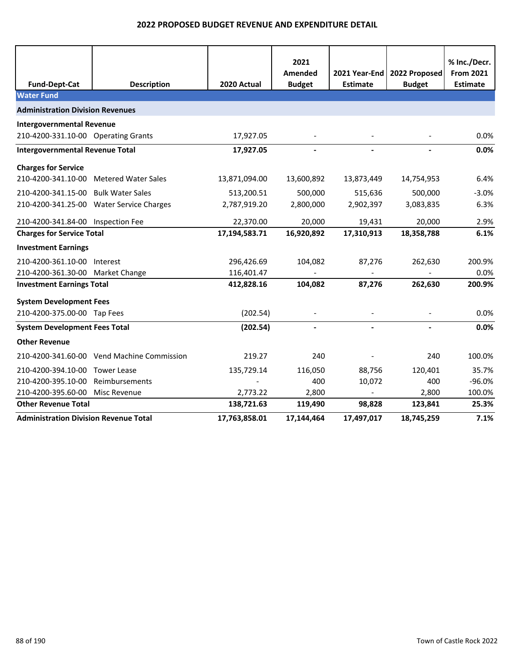|                                              |                                            |               | 2021          |                 |               | % Inc./Decr.     |
|----------------------------------------------|--------------------------------------------|---------------|---------------|-----------------|---------------|------------------|
|                                              |                                            |               | Amended       | 2021 Year-End   | 2022 Proposed | <b>From 2021</b> |
| <b>Fund-Dept-Cat</b>                         | <b>Description</b>                         | 2020 Actual   | <b>Budget</b> | <b>Estimate</b> | <b>Budget</b> | <b>Estimate</b>  |
| <b>Water Fund</b>                            |                                            |               |               |                 |               |                  |
| <b>Administration Division Revenues</b>      |                                            |               |               |                 |               |                  |
| <b>Intergovernmental Revenue</b>             |                                            |               |               |                 |               |                  |
| 210-4200-331.10-00 Operating Grants          |                                            | 17,927.05     |               |                 |               | 0.0%             |
| <b>Intergovernmental Revenue Total</b>       |                                            | 17,927.05     |               |                 |               | 0.0%             |
| <b>Charges for Service</b>                   |                                            |               |               |                 |               |                  |
| 210-4200-341.10-00 Metered Water Sales       |                                            | 13,871,094.00 | 13,600,892    | 13,873,449      | 14,754,953    | 6.4%             |
| 210-4200-341.15-00 Bulk Water Sales          |                                            | 513,200.51    | 500,000       | 515,636         | 500,000       | $-3.0%$          |
|                                              | 210-4200-341.25-00 Water Service Charges   | 2,787,919.20  | 2,800,000     | 2,902,397       | 3,083,835     | 6.3%             |
| 210-4200-341.84-00 Inspection Fee            |                                            | 22,370.00     | 20,000        | 19,431          | 20,000        | 2.9%             |
| <b>Charges for Service Total</b>             |                                            | 17,194,583.71 | 16,920,892    | 17,310,913      | 18,358,788    | 6.1%             |
| <b>Investment Earnings</b>                   |                                            |               |               |                 |               |                  |
| 210-4200-361.10-00 Interest                  |                                            | 296,426.69    | 104,082       | 87,276          | 262,630       | 200.9%           |
| 210-4200-361.30-00 Market Change             |                                            | 116,401.47    |               |                 |               | 0.0%             |
| <b>Investment Earnings Total</b>             |                                            | 412,828.16    | 104,082       | 87,276          | 262,630       | 200.9%           |
| <b>System Development Fees</b>               |                                            |               |               |                 |               |                  |
| 210-4200-375.00-00 Tap Fees                  |                                            | (202.54)      |               |                 |               | 0.0%             |
| <b>System Development Fees Total</b>         |                                            | (202.54)      |               |                 |               | 0.0%             |
| <b>Other Revenue</b>                         |                                            |               |               |                 |               |                  |
|                                              | 210-4200-341.60-00 Vend Machine Commission | 219.27        | 240           |                 | 240           | 100.0%           |
| 210-4200-394.10-00                           | <b>Tower Lease</b>                         | 135,729.14    | 116,050       | 88,756          | 120,401       | 35.7%            |
| 210-4200-395.10-00                           | Reimbursements                             |               | 400           | 10,072          | 400           | $-96.0%$         |
| 210-4200-395.60-00                           | Misc Revenue                               | 2,773.22      | 2,800         |                 | 2,800         | 100.0%           |
| <b>Other Revenue Total</b>                   |                                            | 138,721.63    | 119,490       | 98,828          | 123,841       | 25.3%            |
| <b>Administration Division Revenue Total</b> |                                            | 17,763,858.01 | 17,144,464    | 17,497,017      | 18,745,259    | 7.1%             |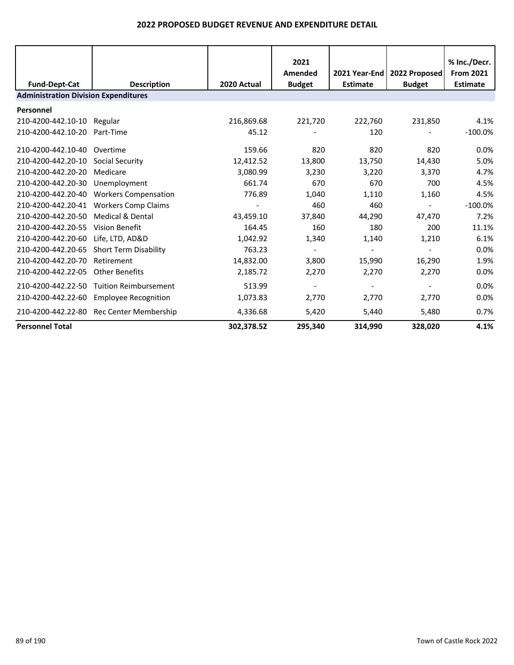|                                             |                              |             | 2021<br>Amended | 2021 Year-End I | 2022 Proposed | % Inc./Decr.<br><b>From 2021</b> |  |
|---------------------------------------------|------------------------------|-------------|-----------------|-----------------|---------------|----------------------------------|--|
| <b>Fund-Dept-Cat</b>                        | <b>Description</b>           | 2020 Actual | <b>Budget</b>   | <b>Estimate</b> | <b>Budget</b> | <b>Estimate</b>                  |  |
| <b>Administration Division Expenditures</b> |                              |             |                 |                 |               |                                  |  |
| Personnel                                   |                              |             |                 |                 |               |                                  |  |
| 210-4200-442.10-10                          | Regular                      | 216,869.68  | 221,720         | 222,760         | 231,850       | 4.1%                             |  |
| 210-4200-442.10-20                          | Part-Time                    | 45.12       |                 | 120             |               | $-100.0%$                        |  |
| 210-4200-442.10-40                          | Overtime                     | 159.66      | 820             | 820             | 820           | 0.0%                             |  |
| 210-4200-442.20-10                          | Social Security              | 12,412.52   | 13,800          | 13,750          | 14,430        | 5.0%                             |  |
| 210-4200-442.20-20                          | Medicare                     | 3,080.99    | 3,230           | 3,220           | 3,370         | 4.7%                             |  |
| 210-4200-442.20-30                          | Unemployment                 | 661.74      | 670             | 670             | 700           | 4.5%                             |  |
| 210-4200-442.20-40                          | <b>Workers Compensation</b>  | 776.89      | 1,040           | 1,110           | 1,160         | 4.5%                             |  |
| 210-4200-442.20-41                          | <b>Workers Comp Claims</b>   |             | 460             | 460             |               | $-100.0\%$                       |  |
| 210-4200-442.20-50                          | <b>Medical &amp; Dental</b>  | 43,459.10   | 37,840          | 44,290          | 47,470        | 7.2%                             |  |
| 210-4200-442.20-55                          | <b>Vision Benefit</b>        | 164.45      | 160             | 180             | 200           | 11.1%                            |  |
| 210-4200-442.20-60                          | Life, LTD, AD&D              | 1,042.92    | 1,340           | 1,140           | 1,210         | 6.1%                             |  |
| 210-4200-442.20-65                          | <b>Short Term Disability</b> | 763.23      |                 |                 |               | 0.0%                             |  |
| 210-4200-442.20-70                          | Retirement                   | 14,832.00   | 3,800           | 15,990          | 16,290        | 1.9%                             |  |
| 210-4200-442.22-05                          | <b>Other Benefits</b>        | 2,185.72    | 2,270           | 2,270           | 2,270         | 0.0%                             |  |
| 210-4200-442.22-50                          | <b>Tuition Reimbursement</b> | 513.99      |                 |                 |               | 0.0%                             |  |
| 210-4200-442.22-60                          | <b>Employee Recognition</b>  | 1,073.83    | 2,770           | 2,770           | 2,770         | 0.0%                             |  |
| 210-4200-442.22-80                          | Rec Center Membership        | 4,336.68    | 5,420           | 5,440           | 5,480         | 0.7%                             |  |
| <b>Personnel Total</b>                      |                              | 302,378.52  | 295,340         | 314,990         | 328,020       | 4.1%                             |  |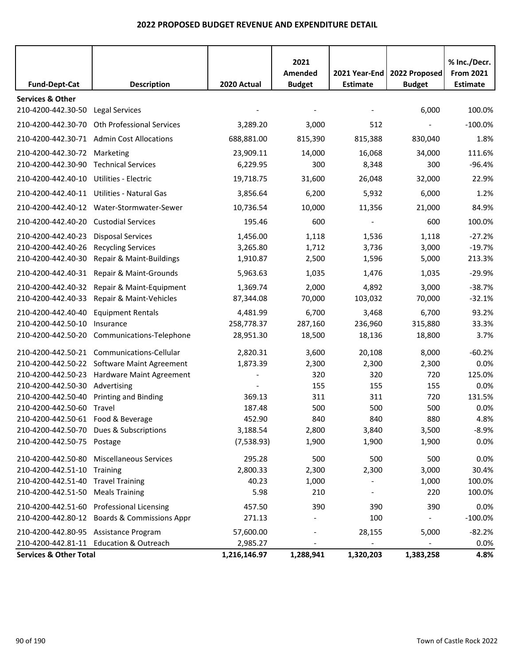|                                                   |                                            |              | 2021<br>Amended | 2021 Year-End            | 2022 Proposed | % Inc./Decr.<br><b>From 2021</b> |
|---------------------------------------------------|--------------------------------------------|--------------|-----------------|--------------------------|---------------|----------------------------------|
| <b>Fund-Dept-Cat</b>                              | <b>Description</b>                         | 2020 Actual  | <b>Budget</b>   | <b>Estimate</b>          | <b>Budget</b> | <b>Estimate</b>                  |
| <b>Services &amp; Other</b><br>210-4200-442.30-50 | Legal Services                             |              |                 |                          | 6,000         | 100.0%                           |
|                                                   |                                            |              |                 |                          |               |                                  |
| 210-4200-442.30-70                                | <b>Oth Professional Services</b>           | 3,289.20     | 3,000           | 512                      |               | $-100.0%$                        |
|                                                   | 210-4200-442.30-71 Admin Cost Allocations  | 688,881.00   | 815,390         | 815,388                  | 830,040       | 1.8%                             |
| 210-4200-442.30-72 Marketing                      |                                            | 23,909.11    | 14,000          | 16,068                   | 34,000        | 111.6%                           |
| 210-4200-442.30-90                                | <b>Technical Services</b>                  | 6,229.95     | 300             | 8,348                    | 300           | $-96.4%$                         |
| 210-4200-442.40-10 Utilities - Electric           |                                            | 19,718.75    | 31,600          | 26,048                   | 32,000        | 22.9%                            |
|                                                   | 210-4200-442.40-11 Utilities - Natural Gas | 3,856.64     | 6,200           | 5,932                    | 6,000         | 1.2%                             |
|                                                   | 210-4200-442.40-12 Water-Stormwater-Sewer  | 10,736.54    | 10,000          | 11,356                   | 21,000        | 84.9%                            |
| 210-4200-442.40-20                                | <b>Custodial Services</b>                  | 195.46       | 600             | $\overline{\phantom{a}}$ | 600           | 100.0%                           |
| 210-4200-442.40-23                                | <b>Disposal Services</b>                   | 1,456.00     | 1,118           | 1,536                    | 1,118         | $-27.2%$                         |
| 210-4200-442.40-26                                | <b>Recycling Services</b>                  | 3,265.80     | 1,712           | 3,736                    | 3,000         | $-19.7%$                         |
| 210-4200-442.40-30                                | Repair & Maint-Buildings                   | 1,910.87     | 2,500           | 1,596                    | 5,000         | 213.3%                           |
| 210-4200-442.40-31                                | Repair & Maint-Grounds                     | 5,963.63     | 1,035           | 1,476                    | 1,035         | $-29.9%$                         |
| 210-4200-442.40-32                                | Repair & Maint-Equipment                   | 1,369.74     | 2,000           | 4,892                    | 3,000         | $-38.7%$                         |
| 210-4200-442.40-33                                | Repair & Maint-Vehicles                    | 87,344.08    | 70,000          | 103,032                  | 70,000        | $-32.1%$                         |
| 210-4200-442.40-40                                | <b>Equipment Rentals</b>                   | 4,481.99     | 6,700           | 3,468                    | 6,700         | 93.2%                            |
| 210-4200-442.50-10                                | Insurance                                  | 258,778.37   | 287,160         | 236,960                  | 315,880       | 33.3%                            |
| 210-4200-442.50-20                                | Communications-Telephone                   | 28,951.30    | 18,500          | 18,136                   | 18,800        | 3.7%                             |
| 210-4200-442.50-21                                | Communications-Cellular                    | 2,820.31     | 3,600           | 20,108                   | 8,000         | $-60.2%$                         |
| 210-4200-442.50-22                                | <b>Software Maint Agreement</b>            | 1,873.39     | 2,300           | 2,300                    | 2,300         | 0.0%                             |
| 210-4200-442.50-23                                | Hardware Maint Agreement                   |              | 320             | 320                      | 720           | 125.0%                           |
| 210-4200-442.50-30                                | Advertising                                |              | 155             | 155                      | 155           | 0.0%                             |
| 210-4200-442.50-40                                | <b>Printing and Binding</b>                | 369.13       | 311             | 311                      | 720           | 131.5%                           |
| 210-4200-442.50-60                                | Travel                                     | 187.48       | 500             | 500                      | 500           | 0.0%                             |
| 210-4200-442.50-61 Food & Beverage                |                                            | 452.90       | 840             | 840                      | 880           | 4.8%                             |
|                                                   | 210-4200-442.50-70 Dues & Subscriptions    | 3,188.54     | 2,800           | 3,840                    | 3,500         | $-8.9%$                          |
| 210-4200-442.50-75 Postage                        |                                            | (7,538.93)   | 1,900           | 1,900                    | 1,900         | 0.0%                             |
| 210-4200-442.50-80                                | <b>Miscellaneous Services</b>              | 295.28       | 500             | 500                      | 500           | 0.0%                             |
| 210-4200-442.51-10                                | Training                                   | 2,800.33     | 2,300           | 2,300                    | 3,000         | 30.4%                            |
| 210-4200-442.51-40                                | <b>Travel Training</b>                     | 40.23        | 1,000           |                          | 1,000         | 100.0%                           |
| 210-4200-442.51-50                                | <b>Meals Training</b>                      | 5.98         | 210             |                          | 220           | 100.0%                           |
| 210-4200-442.51-60                                | <b>Professional Licensing</b>              | 457.50       | 390             | 390                      | 390           | 0.0%                             |
| 210-4200-442.80-12                                | <b>Boards &amp; Commissions Appr</b>       | 271.13       |                 | 100                      |               | $-100.0%$                        |
| 210-4200-442.80-95 Assistance Program             |                                            | 57,600.00    |                 | 28,155                   | 5,000         | $-82.2%$                         |
|                                                   | 210-4200-442.81-11 Education & Outreach    | 2,985.27     |                 |                          |               | 0.0%                             |
| <b>Services &amp; Other Total</b>                 |                                            | 1,216,146.97 | 1,288,941       | 1,320,203                | 1,383,258     | 4.8%                             |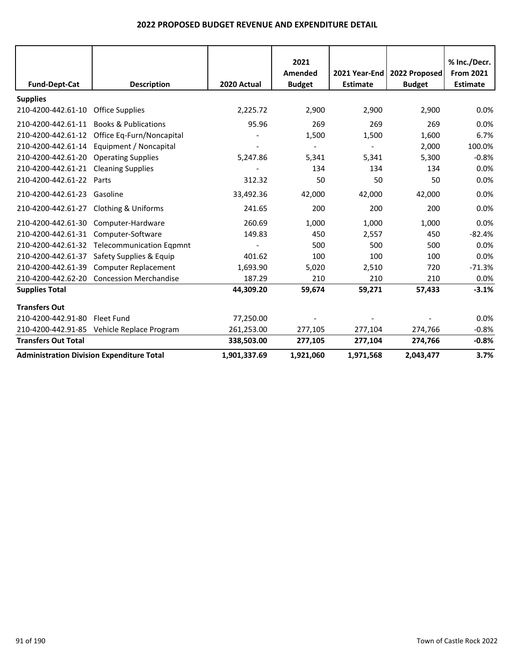|                                                  |                                            |              | 2021          |                 |                               | % Inc./Decr.     |
|--------------------------------------------------|--------------------------------------------|--------------|---------------|-----------------|-------------------------------|------------------|
|                                                  |                                            |              | Amended       |                 | 2021 Year-End   2022 Proposed | <b>From 2021</b> |
| <b>Fund-Dept-Cat</b>                             | <b>Description</b>                         | 2020 Actual  | <b>Budget</b> | <b>Estimate</b> | <b>Budget</b>                 | <b>Estimate</b>  |
| <b>Supplies</b>                                  |                                            |              |               |                 |                               |                  |
| 210-4200-442.61-10                               | <b>Office Supplies</b>                     | 2,225.72     | 2,900         | 2,900           | 2,900                         | 0.0%             |
| 210-4200-442.61-11                               | <b>Books &amp; Publications</b>            | 95.96        | 269           | 269             | 269                           | 0.0%             |
| 210-4200-442.61-12                               | Office Eq-Furn/Noncapital                  |              | 1,500         | 1,500           | 1,600                         | 6.7%             |
| 210-4200-442.61-14                               | Equipment / Noncapital                     |              |               | $\blacksquare$  | 2,000                         | 100.0%           |
| 210-4200-442.61-20                               | <b>Operating Supplies</b>                  | 5,247.86     | 5,341         | 5,341           | 5,300                         | $-0.8%$          |
| 210-4200-442.61-21                               | <b>Cleaning Supplies</b>                   |              | 134           | 134             | 134                           | 0.0%             |
| 210-4200-442.61-22                               | Parts                                      | 312.32       | 50            | 50              | 50                            | 0.0%             |
| 210-4200-442.61-23                               | Gasoline                                   | 33,492.36    | 42,000        | 42,000          | 42,000                        | 0.0%             |
| 210-4200-442.61-27                               | Clothing & Uniforms                        | 241.65       | 200           | 200             | 200                           | 0.0%             |
| 210-4200-442.61-30                               | Computer-Hardware                          | 260.69       | 1,000         | 1,000           | 1,000                         | 0.0%             |
| 210-4200-442.61-31                               | Computer-Software                          | 149.83       | 450           | 2,557           | 450                           | $-82.4%$         |
| 210-4200-442.61-32                               | <b>Telecommunication Eqpmnt</b>            |              | 500           | 500             | 500                           | 0.0%             |
| 210-4200-442.61-37                               | Safety Supplies & Equip                    | 401.62       | 100           | 100             | 100                           | 0.0%             |
| 210-4200-442.61-39                               | <b>Computer Replacement</b>                | 1,693.90     | 5,020         | 2,510           | 720                           | $-71.3%$         |
|                                                  | 210-4200-442.62-20 Concession Merchandise  | 187.29       | 210           | 210             | 210                           | 0.0%             |
| <b>Supplies Total</b>                            |                                            | 44,309.20    | 59,674        | 59,271          | 57,433                        | $-3.1%$          |
| <b>Transfers Out</b>                             |                                            |              |               |                 |                               |                  |
| 210-4200-442.91-80                               | Fleet Fund                                 | 77,250.00    |               |                 |                               | 0.0%             |
|                                                  | 210-4200-442.91-85 Vehicle Replace Program | 261,253.00   | 277,105       | 277,104         | 274,766                       | $-0.8%$          |
| <b>Transfers Out Total</b>                       |                                            | 338,503.00   | 277,105       | 277,104         | 274,766                       | $-0.8%$          |
| <b>Administration Division Expenditure Total</b> |                                            | 1,901,337.69 | 1,921,060     | 1,971,568       | 2,043,477                     | 3.7%             |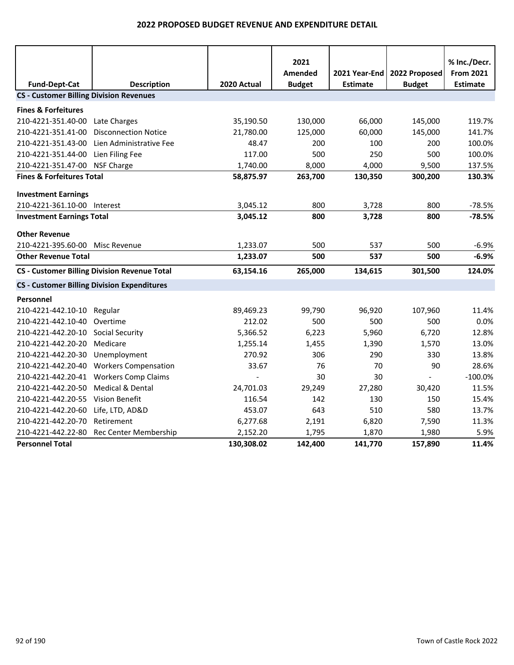|                                                |                                                     |                          | 2021                     |                                  |                                | % Inc./Decr.                        |
|------------------------------------------------|-----------------------------------------------------|--------------------------|--------------------------|----------------------------------|--------------------------------|-------------------------------------|
| <b>Fund-Dept-Cat</b>                           | <b>Description</b>                                  | 2020 Actual              | Amended<br><b>Budget</b> | 2021 Year-End<br><b>Estimate</b> | 2022 Proposed<br><b>Budget</b> | <b>From 2021</b><br><b>Estimate</b> |
| <b>CS - Customer Billing Division Revenues</b> |                                                     |                          |                          |                                  |                                |                                     |
| <b>Fines &amp; Forfeitures</b>                 |                                                     |                          |                          |                                  |                                |                                     |
| 210-4221-351.40-00                             | Late Charges                                        | 35,190.50                | 130,000                  | 66,000                           | 145,000                        | 119.7%                              |
| 210-4221-351.41-00                             | <b>Disconnection Notice</b>                         | 21,780.00                | 125,000                  | 60,000                           | 145,000                        | 141.7%                              |
| 210-4221-351.43-00                             | Lien Administrative Fee                             | 48.47                    | 200                      | 100                              | 200                            | 100.0%                              |
| 210-4221-351.44-00                             | Lien Filing Fee                                     | 117.00                   | 500                      | 250                              | 500                            | 100.0%                              |
| 210-4221-351.47-00 NSF Charge                  |                                                     | 1,740.00                 | 8,000                    | 4,000                            | 9,500                          | 137.5%                              |
| <b>Fines &amp; Forfeitures Total</b>           |                                                     | 58,875.97                | 263,700                  | 130,350                          | 300,200                        | 130.3%                              |
| <b>Investment Earnings</b>                     |                                                     |                          |                          |                                  |                                |                                     |
| 210-4221-361.10-00 Interest                    |                                                     | 3,045.12                 | 800                      | 3,728                            | 800                            | $-78.5%$                            |
| <b>Investment Earnings Total</b>               |                                                     | 3,045.12                 | 800                      | 3,728                            | 800                            | $-78.5%$                            |
|                                                |                                                     |                          |                          |                                  |                                |                                     |
| <b>Other Revenue</b>                           |                                                     |                          |                          |                                  |                                |                                     |
| 210-4221-395.60-00                             | Misc Revenue                                        | 1,233.07                 | 500                      | 537                              | 500                            | $-6.9%$                             |
| <b>Other Revenue Total</b>                     |                                                     | 1,233.07                 | 500                      | 537                              | 500                            | $-6.9%$                             |
|                                                | <b>CS - Customer Billing Division Revenue Total</b> | 63,154.16                | 265,000                  | 134,615                          | 301,500                        | 124.0%                              |
|                                                | <b>CS - Customer Billing Division Expenditures</b>  |                          |                          |                                  |                                |                                     |
| Personnel                                      |                                                     |                          |                          |                                  |                                |                                     |
| 210-4221-442.10-10                             | Regular                                             | 89,469.23                | 99,790                   | 96,920                           | 107,960                        | 11.4%                               |
| 210-4221-442.10-40                             | Overtime                                            | 212.02                   | 500                      | 500                              | 500                            | 0.0%                                |
| 210-4221-442.20-10                             | <b>Social Security</b>                              | 5,366.52                 | 6,223                    | 5,960                            | 6,720                          | 12.8%                               |
| 210-4221-442.20-20                             | Medicare                                            | 1,255.14                 | 1,455                    | 1,390                            | 1,570                          | 13.0%                               |
| 210-4221-442.20-30                             | Unemployment                                        | 270.92                   | 306                      | 290                              | 330                            | 13.8%                               |
|                                                | 210-4221-442.20-40 Workers Compensation             | 33.67                    | 76                       | 70                               | 90                             | 28.6%                               |
| 210-4221-442.20-41                             | <b>Workers Comp Claims</b>                          | $\overline{\phantom{a}}$ | 30                       | 30                               | $\blacksquare$                 | $-100.0%$                           |
| 210-4221-442.20-50                             | Medical & Dental                                    | 24,701.03                | 29,249                   | 27,280                           | 30,420                         | 11.5%                               |
| 210-4221-442.20-55 Vision Benefit              |                                                     | 116.54                   | 142                      | 130                              | 150                            | 15.4%                               |
| 210-4221-442.20-60                             | Life, LTD, AD&D                                     | 453.07                   | 643                      | 510                              | 580                            | 13.7%                               |
| 210-4221-442.20-70                             | Retirement                                          | 6,277.68                 | 2,191                    | 6,820                            | 7,590                          | 11.3%                               |
| 210-4221-442.22-80                             | Rec Center Membership                               | 2,152.20                 | 1,795                    | 1,870                            | 1,980                          | 5.9%                                |
| <b>Personnel Total</b>                         |                                                     | 130,308.02               | 142,400                  | 141,770                          | 157,890                        | 11.4%                               |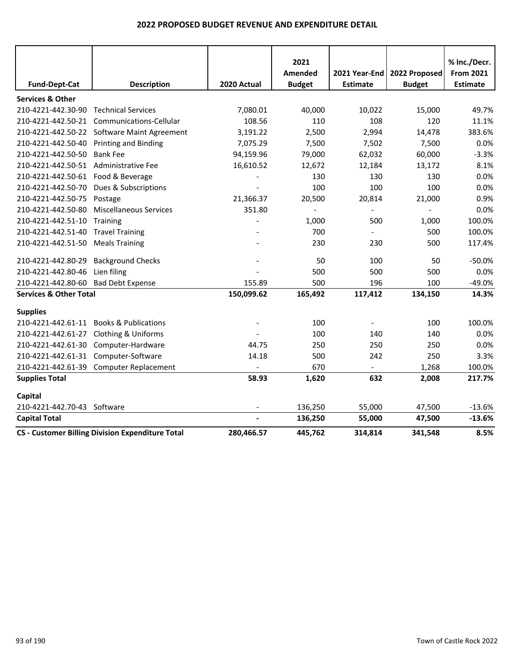|                                       |                                                         |             | 2021          |                 |               | % Inc./Decr.     |
|---------------------------------------|---------------------------------------------------------|-------------|---------------|-----------------|---------------|------------------|
|                                       |                                                         |             | Amended       | 2021 Year-End   | 2022 Proposed | <b>From 2021</b> |
| <b>Fund-Dept-Cat</b>                  | <b>Description</b>                                      | 2020 Actual | <b>Budget</b> | <b>Estimate</b> | <b>Budget</b> | <b>Estimate</b>  |
| <b>Services &amp; Other</b>           |                                                         |             |               |                 |               |                  |
| 210-4221-442.30-90                    | <b>Technical Services</b>                               | 7,080.01    | 40,000        | 10,022          | 15,000        | 49.7%            |
| 210-4221-442.50-21                    | Communications-Cellular                                 | 108.56      | 110           | 108             | 120           | 11.1%            |
|                                       | 210-4221-442.50-22 Software Maint Agreement             | 3,191.22    | 2,500         | 2,994           | 14,478        | 383.6%           |
| 210-4221-442.50-40                    | <b>Printing and Binding</b>                             | 7,075.29    | 7,500         | 7,502           | 7,500         | 0.0%             |
| 210-4221-442.50-50                    | <b>Bank Fee</b>                                         | 94,159.96   | 79,000        | 62,032          | 60,000        | $-3.3%$          |
| 210-4221-442.50-51 Administrative Fee |                                                         | 16,610.52   | 12,672        | 12,184          | 13,172        | 8.1%             |
| 210-4221-442.50-61                    | Food & Beverage                                         |             | 130           | 130             | 130           | 0.0%             |
| 210-4221-442.50-70                    | Dues & Subscriptions                                    |             | 100           | 100             | 100           | 0.0%             |
| 210-4221-442.50-75                    | Postage                                                 | 21,366.37   | 20,500        | 20,814          | 21,000        | 0.9%             |
| 210-4221-442.50-80                    | <b>Miscellaneous Services</b>                           | 351.80      |               |                 |               | 0.0%             |
| 210-4221-442.51-10                    | Training                                                |             | 1,000         | 500             | 1,000         | 100.0%           |
| 210-4221-442.51-40                    | <b>Travel Training</b>                                  |             | 700           | $\blacksquare$  | 500           | 100.0%           |
| 210-4221-442.51-50                    | <b>Meals Training</b>                                   |             | 230           | 230             | 500           | 117.4%           |
| 210-4221-442.80-29                    | <b>Background Checks</b>                                |             | 50            | 100             | 50            | $-50.0%$         |
| 210-4221-442.80-46                    | Lien filing                                             |             | 500           | 500             | 500           | 0.0%             |
| 210-4221-442.80-60                    | <b>Bad Debt Expense</b>                                 | 155.89      | 500           | 196             | 100           | $-49.0%$         |
| <b>Services &amp; Other Total</b>     |                                                         | 150,099.62  | 165,492       | 117,412         | 134,150       | 14.3%            |
| <b>Supplies</b>                       |                                                         |             |               |                 |               |                  |
|                                       | 210-4221-442.61-11 Books & Publications                 |             | 100           |                 | 100           | 100.0%           |
| 210-4221-442.61-27                    | <b>Clothing &amp; Uniforms</b>                          |             | 100           | 140             | 140           | 0.0%             |
| 210-4221-442.61-30                    | Computer-Hardware                                       | 44.75       | 250           | 250             | 250           | 0.0%             |
| 210-4221-442.61-31                    | Computer-Software                                       | 14.18       | 500           | 242             | 250           | 3.3%             |
| 210-4221-442.61-39                    | <b>Computer Replacement</b>                             |             | 670           |                 | 1,268         | 100.0%           |
| <b>Supplies Total</b>                 |                                                         | 58.93       | 1,620         | 632             | 2,008         | 217.7%           |
| Capital                               |                                                         |             |               |                 |               |                  |
| 210-4221-442.70-43 Software           |                                                         |             | 136,250       | 55,000          | 47,500        | $-13.6%$         |
| <b>Capital Total</b>                  |                                                         |             | 136,250       | 55,000          | 47,500        | $-13.6%$         |
|                                       | <b>CS - Customer Billing Division Expenditure Total</b> | 280,466.57  | 445,762       | 314,814         | 341,548       | 8.5%             |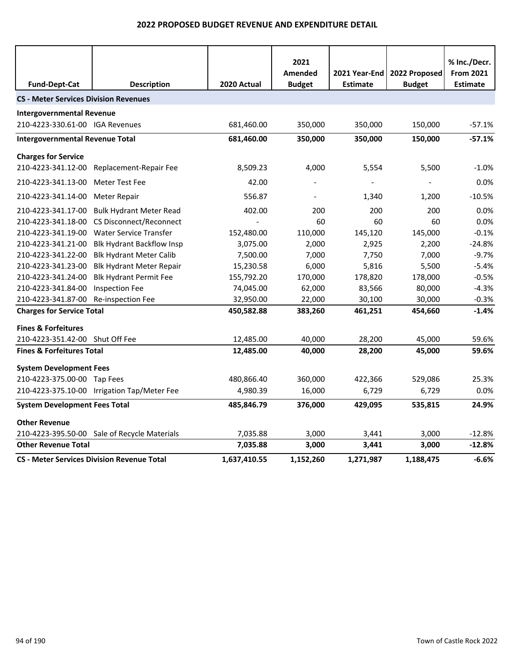|                                              |                                                   |              | 2021                     |                                    |                                | % Inc./Decr.                        |
|----------------------------------------------|---------------------------------------------------|--------------|--------------------------|------------------------------------|--------------------------------|-------------------------------------|
| <b>Fund-Dept-Cat</b>                         | <b>Description</b>                                | 2020 Actual  | Amended<br><b>Budget</b> | 2021 Year-End  <br><b>Estimate</b> | 2022 Proposed<br><b>Budget</b> | <b>From 2021</b><br><b>Estimate</b> |
|                                              |                                                   |              |                          |                                    |                                |                                     |
| <b>CS - Meter Services Division Revenues</b> |                                                   |              |                          |                                    |                                |                                     |
| <b>Intergovernmental Revenue</b>             |                                                   |              |                          |                                    |                                |                                     |
| 210-4223-330.61-00 IGA Revenues              |                                                   | 681,460.00   | 350,000                  | 350,000                            | 150,000                        | $-57.1%$                            |
| <b>Intergovernmental Revenue Total</b>       |                                                   | 681,460.00   | 350,000                  | 350,000                            | 150,000                        | $-57.1%$                            |
| <b>Charges for Service</b>                   |                                                   |              |                          |                                    |                                |                                     |
| 210-4223-341.12-00                           | Replacement-Repair Fee                            | 8,509.23     | 4,000                    | 5,554                              | 5,500                          | $-1.0%$                             |
| 210-4223-341.13-00                           | Meter Test Fee                                    | 42.00        |                          |                                    |                                | 0.0%                                |
| 210-4223-341.14-00                           | Meter Repair                                      | 556.87       |                          | 1,340                              | 1,200                          | $-10.5%$                            |
| 210-4223-341.17-00                           | <b>Bulk Hydrant Meter Read</b>                    | 402.00       | 200                      | 200                                | 200                            | 0.0%                                |
| 210-4223-341.18-00                           | CS Disconnect/Reconnect                           |              | 60                       | 60                                 | 60                             | 0.0%                                |
| 210-4223-341.19-00                           | <b>Water Service Transfer</b>                     | 152,480.00   | 110,000                  | 145,120                            | 145,000                        | $-0.1%$                             |
| 210-4223-341.21-00                           | <b>Blk Hydrant Backflow Insp</b>                  | 3,075.00     | 2,000                    | 2,925                              | 2,200                          | $-24.8%$                            |
| 210-4223-341.22-00                           | <b>Blk Hydrant Meter Calib</b>                    | 7,500.00     | 7,000                    | 7,750                              | 7,000                          | $-9.7%$                             |
| 210-4223-341.23-00                           | <b>Blk Hydrant Meter Repair</b>                   | 15,230.58    | 6,000                    | 5,816                              | 5,500                          | $-5.4%$                             |
| 210-4223-341.24-00                           | <b>Blk Hydrant Permit Fee</b>                     | 155,792.20   | 170,000                  | 178,820                            | 178,000                        | $-0.5%$                             |
| 210-4223-341.84-00                           | <b>Inspection Fee</b>                             | 74,045.00    | 62,000                   | 83,566                             | 80,000                         | $-4.3%$                             |
| 210-4223-341.87-00                           | Re-inspection Fee                                 | 32,950.00    | 22,000                   | 30,100                             | 30,000                         | $-0.3%$                             |
| <b>Charges for Service Total</b>             |                                                   | 450,582.88   | 383,260                  | 461,251                            | 454,660                        | $-1.4%$                             |
| <b>Fines &amp; Forfeitures</b>               |                                                   |              |                          |                                    |                                |                                     |
| 210-4223-351.42-00 Shut Off Fee              |                                                   | 12,485.00    | 40,000                   | 28,200                             | 45,000                         | 59.6%                               |
| <b>Fines &amp; Forfeitures Total</b>         |                                                   | 12,485.00    | 40,000                   | 28,200                             | 45,000                         | 59.6%                               |
| <b>System Development Fees</b>               |                                                   |              |                          |                                    |                                |                                     |
| 210-4223-375.00-00 Tap Fees                  |                                                   | 480,866.40   | 360,000                  | 422,366                            | 529,086                        | 25.3%                               |
|                                              | 210-4223-375.10-00 Irrigation Tap/Meter Fee       | 4,980.39     | 16,000                   | 6,729                              | 6,729                          | $0.0\%$                             |
| <b>System Development Fees Total</b>         |                                                   | 485,846.79   | 376,000                  | 429,095                            | 535,815                        | 24.9%                               |
| <b>Other Revenue</b>                         |                                                   |              |                          |                                    |                                |                                     |
|                                              | 210-4223-395.50-00 Sale of Recycle Materials      | 7,035.88     | 3,000                    | 3,441                              | 3,000                          | $-12.8%$                            |
| <b>Other Revenue Total</b>                   |                                                   | 7,035.88     | 3,000                    | 3,441                              | 3,000                          | $-12.8%$                            |
|                                              | <b>CS - Meter Services Division Revenue Total</b> | 1,637,410.55 | 1,152,260                | 1,271,987                          | 1,188,475                      | $-6.6%$                             |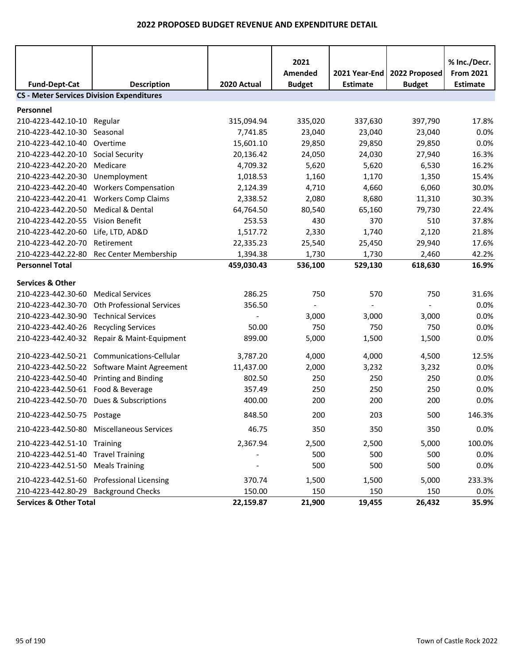|                                                  |                                           |             | 2021          |                 |               | % Inc./Decr.     |  |  |  |
|--------------------------------------------------|-------------------------------------------|-------------|---------------|-----------------|---------------|------------------|--|--|--|
|                                                  |                                           |             | Amended       | 2021 Year-End   | 2022 Proposed | <b>From 2021</b> |  |  |  |
| <b>Fund-Dept-Cat</b>                             | <b>Description</b>                        | 2020 Actual | <b>Budget</b> | <b>Estimate</b> | <b>Budget</b> | <b>Estimate</b>  |  |  |  |
| <b>CS - Meter Services Division Expenditures</b> |                                           |             |               |                 |               |                  |  |  |  |
| Personnel                                        |                                           |             |               |                 |               |                  |  |  |  |
| 210-4223-442.10-10                               | Regular                                   | 315,094.94  | 335,020       | 337,630         | 397,790       | 17.8%            |  |  |  |
| 210-4223-442.10-30                               | Seasonal                                  | 7,741.85    | 23,040        | 23,040          | 23,040        | 0.0%             |  |  |  |
| 210-4223-442.10-40                               | Overtime                                  | 15,601.10   | 29,850        | 29,850          | 29,850        | 0.0%             |  |  |  |
| 210-4223-442.20-10                               | <b>Social Security</b>                    | 20,136.42   | 24,050        | 24,030          | 27,940        | 16.3%            |  |  |  |
| 210-4223-442.20-20                               | Medicare                                  | 4,709.32    | 5,620         | 5,620           | 6,530         | 16.2%            |  |  |  |
| 210-4223-442.20-30                               | Unemployment                              | 1,018.53    | 1,160         | 1,170           | 1,350         | 15.4%            |  |  |  |
| 210-4223-442.20-40                               | <b>Workers Compensation</b>               | 2,124.39    | 4,710         | 4,660           | 6,060         | 30.0%            |  |  |  |
| 210-4223-442.20-41                               | <b>Workers Comp Claims</b>                | 2,338.52    | 2,080         | 8,680           | 11,310        | 30.3%            |  |  |  |
| 210-4223-442.20-50                               | <b>Medical &amp; Dental</b>               | 64,764.50   | 80,540        | 65,160          | 79,730        | 22.4%            |  |  |  |
| 210-4223-442.20-55                               | <b>Vision Benefit</b>                     | 253.53      | 430           | 370             | 510           | 37.8%            |  |  |  |
| 210-4223-442.20-60                               | Life, LTD, AD&D                           | 1,517.72    | 2,330         | 1,740           | 2,120         | 21.8%            |  |  |  |
| 210-4223-442.20-70                               | Retirement                                | 22,335.23   | 25,540        | 25,450          | 29,940        | 17.6%            |  |  |  |
| 210-4223-442.22-80                               | Rec Center Membership                     | 1,394.38    | 1,730         | 1,730           | 2,460         | 42.2%            |  |  |  |
| <b>Personnel Total</b>                           |                                           | 459,030.43  | 536,100       | 529,130         | 618,630       | 16.9%            |  |  |  |
| <b>Services &amp; Other</b>                      |                                           |             |               |                 |               |                  |  |  |  |
| 210-4223-442.30-60                               | <b>Medical Services</b>                   | 286.25      | 750           | 570             | 750           | 31.6%            |  |  |  |
| 210-4223-442.30-70                               | <b>Oth Professional Services</b>          | 356.50      |               |                 |               | 0.0%             |  |  |  |
| 210-4223-442.30-90                               | <b>Technical Services</b>                 |             | 3,000         | 3,000           | 3,000         | 0.0%             |  |  |  |
| 210-4223-442.40-26                               | <b>Recycling Services</b>                 | 50.00       | 750           | 750             | 750           | 0.0%             |  |  |  |
| 210-4223-442.40-32                               | Repair & Maint-Equipment                  | 899.00      | 5,000         | 1,500           | 1,500         | 0.0%             |  |  |  |
| 210-4223-442.50-21                               | Communications-Cellular                   | 3,787.20    | 4,000         | 4,000           | 4,500         | 12.5%            |  |  |  |
| 210-4223-442.50-22                               | Software Maint Agreement                  | 11,437.00   | 2,000         | 3,232           | 3,232         | 0.0%             |  |  |  |
| 210-4223-442.50-40                               | <b>Printing and Binding</b>               | 802.50      | 250           | 250             | 250           | 0.0%             |  |  |  |
| 210-4223-442.50-61 Food & Beverage               |                                           | 357.49      | 250           | 250             | 250           | 0.0%             |  |  |  |
| 210-4223-442.50-70                               | Dues & Subscriptions                      | 400.00      | 200           | 200             | 200           | 0.0%             |  |  |  |
| 210-4223-442.50-75 Postage                       |                                           | 848.50      | 200           | 203             | 500           | 146.3%           |  |  |  |
|                                                  | 210-4223-442.50-80 Miscellaneous Services | 46.75       | 350           | 350             | 350           | 0.0%             |  |  |  |
| 210-4223-442.51-10 Training                      |                                           | 2,367.94    | 2,500         | 2,500           | 5,000         | 100.0%           |  |  |  |
| 210-4223-442.51-40                               | <b>Travel Training</b>                    |             | 500           | 500             | 500           | 0.0%             |  |  |  |
| 210-4223-442.51-50                               | <b>Meals Training</b>                     |             | 500           | 500             | 500           | 0.0%             |  |  |  |
|                                                  | 210-4223-442.51-60 Professional Licensing | 370.74      | 1,500         | 1,500           | 5,000         | 233.3%           |  |  |  |
| 210-4223-442.80-29 Background Checks             |                                           | 150.00      | 150           | 150             | 150           | 0.0%             |  |  |  |
| <b>Services &amp; Other Total</b>                |                                           | 22,159.87   | 21,900        | 19,455          | 26,432        | 35.9%            |  |  |  |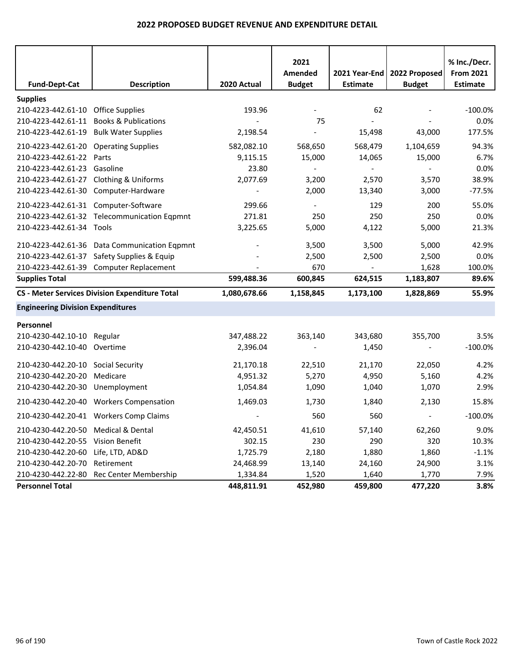|                                          |                                                       |              | 2021<br>Amended          |                 | 2021 Year-End   2022 Proposed | % Inc./Decr.<br><b>From 2021</b> |
|------------------------------------------|-------------------------------------------------------|--------------|--------------------------|-----------------|-------------------------------|----------------------------------|
| <b>Fund-Dept-Cat</b>                     | <b>Description</b>                                    | 2020 Actual  | <b>Budget</b>            | <b>Estimate</b> | <b>Budget</b>                 | <b>Estimate</b>                  |
| <b>Supplies</b>                          |                                                       |              |                          |                 |                               |                                  |
| 210-4223-442.61-10 Office Supplies       |                                                       | 193.96       |                          | 62              |                               | $-100.0\%$                       |
| 210-4223-442.61-11                       | <b>Books &amp; Publications</b>                       |              | 75                       |                 |                               | 0.0%                             |
| 210-4223-442.61-19                       | <b>Bulk Water Supplies</b>                            | 2,198.54     |                          | 15,498          | 43,000                        | 177.5%                           |
| 210-4223-442.61-20 Operating Supplies    |                                                       | 582,082.10   | 568,650                  | 568,479         | 1,104,659                     | 94.3%                            |
| 210-4223-442.61-22                       | Parts                                                 | 9,115.15     | 15,000                   | 14,065          | 15,000                        | 6.7%                             |
| 210-4223-442.61-23                       | Gasoline                                              | 23.80        | $\overline{\phantom{a}}$ | $\overline{a}$  |                               | 0.0%                             |
| 210-4223-442.61-27 Clothing & Uniforms   |                                                       | 2,077.69     | 3,200                    | 2,570           | 3,570                         | 38.9%                            |
| 210-4223-442.61-30                       | Computer-Hardware                                     |              | 2,000                    | 13,340          | 3,000                         | $-77.5%$                         |
| 210-4223-442.61-31 Computer-Software     |                                                       | 299.66       |                          | 129             | 200                           | 55.0%                            |
|                                          | 210-4223-442.61-32 Telecommunication Eqpmnt           | 271.81       | 250                      | 250             | 250                           | 0.0%                             |
| 210-4223-442.61-34 Tools                 |                                                       | 3,225.65     | 5,000                    | 4,122           | 5,000                         | 21.3%                            |
|                                          | 210-4223-442.61-36 Data Communication Eqpmnt          |              | 3,500                    | 3,500           | 5,000                         | 42.9%                            |
|                                          | 210-4223-442.61-37 Safety Supplies & Equip            |              | 2,500                    | 2,500           | 2,500                         | 0.0%                             |
|                                          | 210-4223-442.61-39 Computer Replacement               |              | 670                      |                 | 1,628                         | 100.0%                           |
| <b>Supplies Total</b>                    |                                                       | 599,488.36   | 600,845                  | 624,515         | 1,183,807                     | 89.6%                            |
|                                          | <b>CS - Meter Services Division Expenditure Total</b> | 1,080,678.66 | 1,158,845                | 1,173,100       | 1,828,869                     | 55.9%                            |
| <b>Engineering Division Expenditures</b> |                                                       |              |                          |                 |                               |                                  |
| Personnel                                |                                                       |              |                          |                 |                               |                                  |
| 210-4230-442.10-10 Regular               |                                                       | 347,488.22   | 363,140                  | 343,680         | 355,700                       | 3.5%                             |
| 210-4230-442.10-40 Overtime              |                                                       | 2,396.04     |                          | 1,450           |                               | $-100.0%$                        |
| 210-4230-442.20-10 Social Security       |                                                       | 21,170.18    | 22,510                   | 21,170          | 22,050                        | 4.2%                             |
| 210-4230-442.20-20                       | Medicare                                              | 4,951.32     | 5,270                    | 4,950           | 5,160                         | 4.2%                             |
| 210-4230-442.20-30                       | Unemployment                                          | 1,054.84     | 1,090                    | 1,040           | 1,070                         | 2.9%                             |
|                                          | 210-4230-442.20-40 Workers Compensation               | 1,469.03     | 1,730                    | 1,840           | 2,130                         | 15.8%                            |
|                                          | 210-4230-442.20-41 Workers Comp Claims                |              | 560                      | 560             | $\overline{\phantom{a}}$      | $-100.0%$                        |
| 210-4230-442.20-50 Medical & Dental      |                                                       | 42,450.51    | 41,610                   | 57,140          | 62,260                        | 9.0%                             |
| 210-4230-442.20-55 Vision Benefit        |                                                       | 302.15       | 230                      | 290             | 320                           | 10.3%                            |
| 210-4230-442.20-60                       | Life, LTD, AD&D                                       | 1,725.79     | 2,180                    | 1,880           | 1,860                         | $-1.1%$                          |
| 210-4230-442.20-70                       | Retirement                                            | 24,468.99    | 13,140                   | 24,160          | 24,900                        | 3.1%                             |
| 210-4230-442.22-80                       | Rec Center Membership                                 | 1,334.84     | 1,520                    | 1,640           | 1,770                         | 7.9%                             |
| <b>Personnel Total</b>                   |                                                       | 448,811.91   | 452,980                  | 459,800         | 477,220                       | 3.8%                             |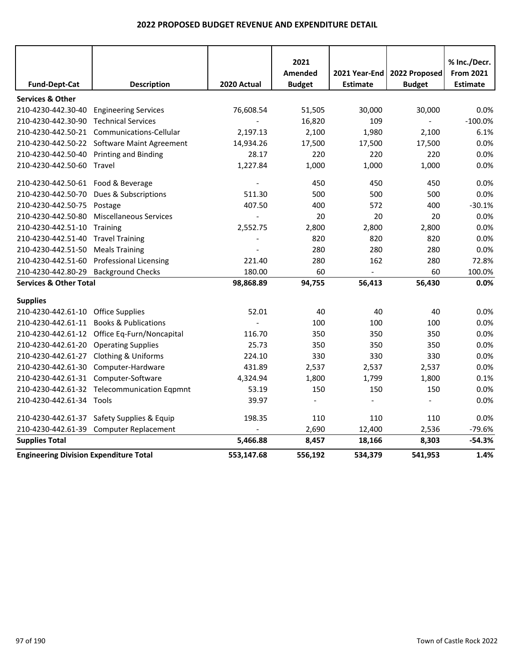|                                               |                                              |                | 2021                     |                 |                          | % Inc./Decr.     |
|-----------------------------------------------|----------------------------------------------|----------------|--------------------------|-----------------|--------------------------|------------------|
|                                               |                                              |                | <b>Amended</b>           | 2021 Year-End   | 2022 Proposed            | <b>From 2021</b> |
| <b>Fund-Dept-Cat</b>                          | <b>Description</b>                           | 2020 Actual    | <b>Budget</b>            | <b>Estimate</b> | <b>Budget</b>            | <b>Estimate</b>  |
| <b>Services &amp; Other</b>                   |                                              |                |                          |                 |                          |                  |
| 210-4230-442.30-40                            | <b>Engineering Services</b>                  | 76,608.54      | 51,505                   | 30,000          | 30,000                   | 0.0%             |
| 210-4230-442.30-90 Technical Services         |                                              |                | 16,820                   | 109             | $\blacksquare$           | $-100.0%$        |
|                                               | 210-4230-442.50-21 Communications-Cellular   | 2,197.13       | 2,100                    | 1,980           | 2,100                    | 6.1%             |
|                                               | 210-4230-442.50-22 Software Maint Agreement  | 14,934.26      | 17,500                   | 17,500          | 17,500                   | 0.0%             |
| 210-4230-442.50-40                            | <b>Printing and Binding</b>                  | 28.17          | 220                      | 220             | 220                      | 0.0%             |
| 210-4230-442.50-60 Travel                     |                                              | 1,227.84       | 1,000                    | 1,000           | 1,000                    | 0.0%             |
| 210-4230-442.50-61 Food & Beverage            |                                              |                | 450                      | 450             | 450                      | 0.0%             |
| 210-4230-442.50-70                            | Dues & Subscriptions                         | 511.30         | 500                      | 500             | 500                      | 0.0%             |
| 210-4230-442.50-75                            | Postage                                      | 407.50         | 400                      | 572             | 400                      | $-30.1%$         |
| 210-4230-442.50-80                            | <b>Miscellaneous Services</b>                | $\overline{a}$ | 20                       | 20              | 20                       | 0.0%             |
| 210-4230-442.51-10                            | Training                                     | 2,552.75       | 2,800                    | 2,800           | 2,800                    | 0.0%             |
| 210-4230-442.51-40                            | <b>Travel Training</b>                       |                | 820                      | 820             | 820                      | 0.0%             |
| 210-4230-442.51-50                            | <b>Meals Training</b>                        |                | 280                      | 280             | 280                      | 0.0%             |
| 210-4230-442.51-60                            | <b>Professional Licensing</b>                | 221.40         | 280                      | 162             | 280                      | 72.8%            |
| 210-4230-442.80-29                            | <b>Background Checks</b>                     | 180.00         | 60                       | $\blacksquare$  | 60                       | 100.0%           |
| <b>Services &amp; Other Total</b>             |                                              | 98,868.89      | 94,755                   | 56,413          | 56,430                   | 0.0%             |
| <b>Supplies</b>                               |                                              |                |                          |                 |                          |                  |
| 210-4230-442.61-10 Office Supplies            |                                              | 52.01          | 40                       | 40              | 40                       | 0.0%             |
|                                               | 210-4230-442.61-11 Books & Publications      |                | 100                      | 100             | 100                      | 0.0%             |
|                                               | 210-4230-442.61-12 Office Eq-Furn/Noncapital | 116.70         | 350                      | 350             | 350                      | 0.0%             |
| 210-4230-442.61-20 Operating Supplies         |                                              | 25.73          | 350                      | 350             | 350                      | 0.0%             |
| 210-4230-442.61-27 Clothing & Uniforms        |                                              | 224.10         | 330                      | 330             | 330                      | 0.0%             |
|                                               | 210-4230-442.61-30 Computer-Hardware         | 431.89         | 2,537                    | 2,537           | 2,537                    | 0.0%             |
| 210-4230-442.61-31 Computer-Software          |                                              | 4,324.94       | 1,800                    | 1,799           | 1,800                    | 0.1%             |
|                                               | 210-4230-442.61-32 Telecommunication Eqpmnt  | 53.19          | 150                      | 150             | 150                      | 0.0%             |
| 210-4230-442.61-34 Tools                      |                                              | 39.97          | $\overline{\phantom{a}}$ |                 | $\overline{\phantom{a}}$ | 0.0%             |
| 210-4230-442.61-37                            | Safety Supplies & Equip                      | 198.35         | 110                      | 110             | 110                      | 0.0%             |
| 210-4230-442.61-39                            | <b>Computer Replacement</b>                  |                | 2,690                    | 12,400          | 2,536                    | $-79.6%$         |
| <b>Supplies Total</b>                         |                                              | 5,466.88       | 8,457                    | 18,166          | 8,303                    | $-54.3%$         |
| <b>Engineering Division Expenditure Total</b> |                                              | 553,147.68     | 556,192                  | 534,379         | 541,953                  | 1.4%             |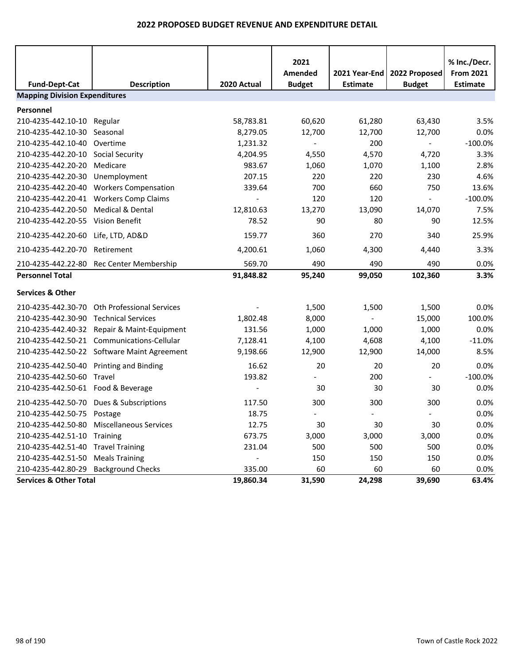|                                                              |                                             |             | 2021                     |                 |               | % Inc./Decr.     |
|--------------------------------------------------------------|---------------------------------------------|-------------|--------------------------|-----------------|---------------|------------------|
|                                                              |                                             |             | Amended                  | 2021 Year-End   | 2022 Proposed | <b>From 2021</b> |
| <b>Fund-Dept-Cat</b><br><b>Mapping Division Expenditures</b> | <b>Description</b>                          | 2020 Actual | <b>Budget</b>            | <b>Estimate</b> | <b>Budget</b> | <b>Estimate</b>  |
|                                                              |                                             |             |                          |                 |               |                  |
| Personnel                                                    |                                             |             |                          |                 |               |                  |
| 210-4235-442.10-10                                           | Regular                                     | 58,783.81   | 60,620                   | 61,280          | 63,430        | 3.5%             |
| 210-4235-442.10-30                                           | Seasonal                                    | 8,279.05    | 12,700                   | 12,700          | 12,700        | 0.0%             |
| 210-4235-442.10-40                                           | Overtime                                    | 1,231.32    | $\blacksquare$           | 200             | $\sim$        | $-100.0%$        |
| 210-4235-442.20-10                                           | <b>Social Security</b>                      | 4,204.95    | 4,550                    | 4,570           | 4,720         | 3.3%             |
| 210-4235-442.20-20                                           | Medicare                                    | 983.67      | 1,060                    | 1,070           | 1,100         | 2.8%             |
| 210-4235-442.20-30                                           | Unemployment                                | 207.15      | 220                      | 220             | 230           | 4.6%             |
| 210-4235-442.20-40                                           | <b>Workers Compensation</b>                 | 339.64      | 700                      | 660             | 750           | 13.6%            |
| 210-4235-442.20-41                                           | <b>Workers Comp Claims</b>                  |             | 120                      | 120             | $\sim$        | $-100.0%$        |
| 210-4235-442.20-50                                           | <b>Medical &amp; Dental</b>                 | 12,810.63   | 13,270                   | 13,090          | 14,070        | 7.5%             |
| 210-4235-442.20-55                                           | <b>Vision Benefit</b>                       | 78.52       | 90                       | 80              | 90            | 12.5%            |
| 210-4235-442.20-60 Life, LTD, AD&D                           |                                             | 159.77      | 360                      | 270             | 340           | 25.9%            |
| 210-4235-442.20-70                                           | Retirement                                  | 4,200.61    | 1,060                    | 4,300           | 4,440         | 3.3%             |
|                                                              | 210-4235-442.22-80 Rec Center Membership    | 569.70      | 490                      | 490             | 490           | 0.0%             |
| <b>Personnel Total</b>                                       |                                             | 91,848.82   | 95,240                   | 99,050          | 102,360       | 3.3%             |
| <b>Services &amp; Other</b>                                  |                                             |             |                          |                 |               |                  |
| 210-4235-442.30-70                                           | Oth Professional Services                   |             | 1,500                    | 1,500           | 1,500         | 0.0%             |
| 210-4235-442.30-90                                           | <b>Technical Services</b>                   | 1,802.48    | 8,000                    |                 | 15,000        | 100.0%           |
| 210-4235-442.40-32                                           | Repair & Maint-Equipment                    | 131.56      | 1,000                    | 1,000           | 1,000         | 0.0%             |
|                                                              | 210-4235-442.50-21 Communications-Cellular  | 7,128.41    | 4,100                    | 4,608           | 4,100         | $-11.0%$         |
|                                                              | 210-4235-442.50-22 Software Maint Agreement | 9,198.66    | 12,900                   | 12,900          | 14,000        | 8.5%             |
| 210-4235-442.50-40                                           | <b>Printing and Binding</b>                 | 16.62       | 20                       | 20              | 20            | 0.0%             |
| 210-4235-442.50-60                                           | Travel                                      | 193.82      | $\overline{\phantom{a}}$ | 200             | $\sim$        | $-100.0%$        |
| 210-4235-442.50-61 Food & Beverage                           |                                             |             | 30                       | 30              | 30            | 0.0%             |
| 210-4235-442.50-70                                           | Dues & Subscriptions                        | 117.50      | 300                      | 300             | 300           | 0.0%             |
| 210-4235-442.50-75 Postage                                   |                                             | 18.75       |                          |                 |               | 0.0%             |
|                                                              | 210-4235-442.50-80 Miscellaneous Services   | 12.75       | 30                       | 30              | 30            | 0.0%             |
| 210-4235-442.51-10                                           | Training                                    | 673.75      | 3,000                    | 3,000           | 3,000         | 0.0%             |
| 210-4235-442.51-40 Travel Training                           |                                             | 231.04      | 500                      | 500             | 500           | 0.0%             |
| 210-4235-442.51-50                                           | <b>Meals Training</b>                       |             | 150                      | 150             | 150           | 0.0%             |
| 210-4235-442.80-29 Background Checks                         |                                             | 335.00      | 60                       | 60              | 60            | 0.0%             |
| <b>Services &amp; Other Total</b>                            |                                             | 19,860.34   | 31,590                   | 24,298          | 39,690        | 63.4%            |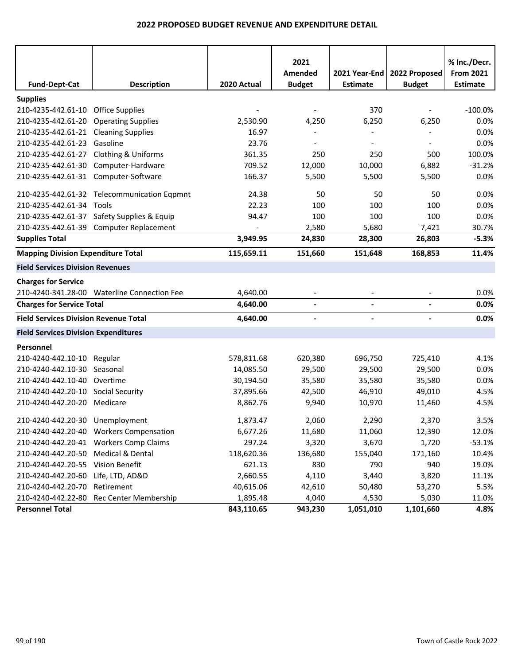| <b>Fund-Dept-Cat</b>                                                | <b>Description</b>                          | 2020 Actual    | 2021<br>Amended<br><b>Budget</b> | 2021 Year-End<br><b>Estimate</b> | 2022 Proposed<br><b>Budget</b> | % Inc./Decr.<br><b>From 2021</b><br><b>Estimate</b> |
|---------------------------------------------------------------------|---------------------------------------------|----------------|----------------------------------|----------------------------------|--------------------------------|-----------------------------------------------------|
|                                                                     |                                             |                |                                  |                                  |                                |                                                     |
| <b>Supplies</b>                                                     |                                             |                |                                  |                                  |                                |                                                     |
| 210-4235-442.61-10 Office Supplies                                  |                                             |                |                                  | 370                              |                                | $-100.0%$                                           |
| 210-4235-442.61-20                                                  | <b>Operating Supplies</b>                   | 2,530.90       | 4,250                            | 6,250                            | 6,250                          | 0.0%                                                |
| 210-4235-442.61-21 Cleaning Supplies<br>210-4235-442.61-23 Gasoline |                                             | 16.97<br>23.76 |                                  |                                  |                                | 0.0%<br>0.0%                                        |
|                                                                     |                                             |                |                                  |                                  |                                |                                                     |
| 210-4235-442.61-27 Clothing & Uniforms                              |                                             | 361.35         | 250                              | 250                              | 500                            | 100.0%                                              |
|                                                                     | 210-4235-442.61-30 Computer-Hardware        | 709.52         | 12,000                           | 10,000                           | 6,882                          | $-31.2%$                                            |
| 210-4235-442.61-31 Computer-Software                                |                                             | 166.37         | 5,500                            | 5,500                            | 5,500                          | 0.0%                                                |
|                                                                     | 210-4235-442.61-32 Telecommunication Eqpmnt | 24.38          | 50                               | 50                               | 50                             | 0.0%                                                |
| 210-4235-442.61-34 Tools                                            |                                             | 22.23          | 100                              | 100                              | 100                            | 0.0%                                                |
|                                                                     | 210-4235-442.61-37 Safety Supplies & Equip  | 94.47          | 100                              | 100                              | 100                            | 0.0%                                                |
|                                                                     | 210-4235-442.61-39 Computer Replacement     |                | 2,580                            | 5,680                            | 7,421                          | 30.7%                                               |
| <b>Supplies Total</b>                                               |                                             | 3,949.95       | 24,830                           | 28,300                           | 26,803                         | $-5.3%$                                             |
| <b>Mapping Division Expenditure Total</b>                           |                                             | 115,659.11     | 151,660                          | 151,648                          | 168,853                        | 11.4%                                               |
| <b>Field Services Division Revenues</b>                             |                                             |                |                                  |                                  |                                |                                                     |
| <b>Charges for Service</b>                                          |                                             |                |                                  |                                  |                                |                                                     |
|                                                                     | 210-4240-341.28-00 Waterline Connection Fee | 4,640.00       | $\overline{\phantom{a}}$         |                                  |                                | 0.0%                                                |
| <b>Charges for Service Total</b>                                    |                                             | 4,640.00       | $\blacksquare$                   | $\blacksquare$                   | $\overline{a}$                 | 0.0%                                                |
| <b>Field Services Division Revenue Total</b>                        |                                             | 4,640.00       | $\overline{\phantom{a}}$         | $\blacksquare$                   | $\overline{\phantom{a}}$       | 0.0%                                                |
| <b>Field Services Division Expenditures</b>                         |                                             |                |                                  |                                  |                                |                                                     |
| Personnel                                                           |                                             |                |                                  |                                  |                                |                                                     |
| 210-4240-442.10-10 Regular                                          |                                             | 578,811.68     | 620,380                          | 696,750                          | 725,410                        | 4.1%                                                |
| 210-4240-442.10-30 Seasonal                                         |                                             | 14,085.50      | 29,500                           | 29,500                           | 29,500                         | 0.0%                                                |
| 210-4240-442.10-40 Overtime                                         |                                             | 30,194.50      | 35,580                           | 35,580                           | 35,580                         | 0.0%                                                |
| 210-4240-442.20-10 Social Security                                  |                                             | 37,895.66      | 42,500                           | 46,910                           | 49,010                         | 4.5%                                                |
| 210-4240-442.20-20 Medicare                                         |                                             | 8,862.76       | 9,940                            | 10,970                           | 11,460                         | 4.5%                                                |
| 210-4240-442.20-30 Unemployment                                     |                                             | 1,873.47       | 2,060                            | 2,290                            | 2,370                          | $3.5\%$                                             |
|                                                                     | 210-4240-442.20-40 Workers Compensation     | 6,677.26       | 11,680                           | 11,060                           | 12,390                         | 12.0%                                               |
|                                                                     | 210-4240-442.20-41 Workers Comp Claims      | 297.24         | 3,320                            | 3,670                            | 1,720                          | $-53.1%$                                            |
| 210-4240-442.20-50 Medical & Dental                                 |                                             | 118,620.36     | 136,680                          | 155,040                          | 171,160                        | 10.4%                                               |
| 210-4240-442.20-55 Vision Benefit                                   |                                             | 621.13         | 830                              | 790                              | 940                            | 19.0%                                               |
| 210-4240-442.20-60                                                  | Life, LTD, AD&D                             | 2,660.55       | 4,110                            | 3,440                            | 3,820                          | 11.1%                                               |
| 210-4240-442.20-70                                                  | Retirement                                  | 40,615.06      | 42,610                           | 50,480                           | 53,270                         | 5.5%                                                |
| 210-4240-442.22-80                                                  | Rec Center Membership                       | 1,895.48       | 4,040                            | 4,530                            | 5,030                          | 11.0%                                               |
| <b>Personnel Total</b>                                              |                                             | 843,110.65     | 943,230                          | 1,051,010                        | 1,101,660                      | 4.8%                                                |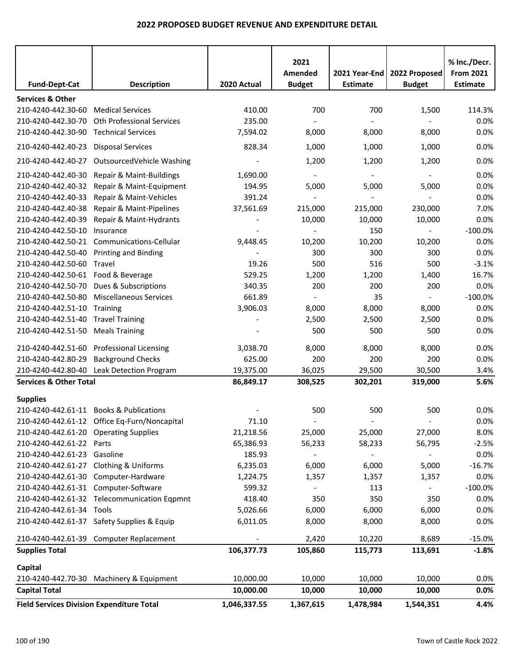|                                                  |                                              |              | 2021                     |                          |                          | % Inc./Decr.     |
|--------------------------------------------------|----------------------------------------------|--------------|--------------------------|--------------------------|--------------------------|------------------|
|                                                  |                                              |              | Amended                  | 2021 Year-End            | 2022 Proposed            | <b>From 2021</b> |
| <b>Fund-Dept-Cat</b>                             | <b>Description</b>                           | 2020 Actual  | <b>Budget</b>            | <b>Estimate</b>          | <b>Budget</b>            | <b>Estimate</b>  |
|                                                  |                                              |              |                          |                          |                          |                  |
| <b>Services &amp; Other</b>                      |                                              |              |                          |                          |                          |                  |
| 210-4240-442.30-60                               | <b>Medical Services</b>                      | 410.00       | 700                      | 700                      | 1,500                    | 114.3%           |
| 210-4240-442.30-70                               | Oth Professional Services                    | 235.00       |                          |                          |                          | 0.0%             |
| 210-4240-442.30-90                               | <b>Technical Services</b>                    | 7,594.02     | 8,000                    | 8,000                    | 8,000                    | 0.0%             |
| 210-4240-442.40-23                               | <b>Disposal Services</b>                     | 828.34       | 1,000                    | 1,000                    | 1,000                    | 0.0%             |
| 210-4240-442.40-27                               | OutsourcedVehicle Washing                    |              | 1,200                    | 1,200                    | 1,200                    | 0.0%             |
| 210-4240-442.40-30                               | Repair & Maint-Buildings                     | 1,690.00     |                          | $\overline{\phantom{a}}$ | $\blacksquare$           | 0.0%             |
| 210-4240-442.40-32                               | Repair & Maint-Equipment                     | 194.95       | 5,000                    | 5,000                    | 5,000                    | 0.0%             |
| 210-4240-442.40-33                               | Repair & Maint-Vehicles                      | 391.24       | $\overline{\phantom{a}}$ |                          | $\blacksquare$           | 0.0%             |
| 210-4240-442.40-38                               | Repair & Maint-Pipelines                     | 37,561.69    | 215,000                  | 215,000                  | 230,000                  | 7.0%             |
| 210-4240-442.40-39                               | Repair & Maint-Hydrants                      |              | 10,000                   | 10,000                   | 10,000                   | 0.0%             |
| 210-4240-442.50-10                               | Insurance                                    |              |                          | 150                      | $\overline{a}$           | $-100.0%$        |
| 210-4240-442.50-21                               | Communications-Cellular                      | 9,448.45     | 10,200                   | 10,200                   | 10,200                   | 0.0%             |
| 210-4240-442.50-40                               | <b>Printing and Binding</b>                  |              | 300                      | 300                      | 300                      | 0.0%             |
| 210-4240-442.50-60                               | Travel                                       | 19.26        | 500                      | 516                      | 500                      | $-3.1%$          |
| 210-4240-442.50-61                               | Food & Beverage                              | 529.25       | 1,200                    | 1,200                    | 1,400                    | 16.7%            |
| 210-4240-442.50-70                               | Dues & Subscriptions                         | 340.35       | 200                      | 200                      | 200                      | 0.0%             |
| 210-4240-442.50-80                               | <b>Miscellaneous Services</b>                | 661.89       |                          | 35                       | $\overline{\phantom{a}}$ | $-100.0%$        |
| 210-4240-442.51-10                               | Training                                     | 3,906.03     | 8,000                    | 8,000                    | 8,000                    | 0.0%             |
| 210-4240-442.51-40                               | <b>Travel Training</b>                       |              | 2,500                    | 2,500                    | 2,500                    | 0.0%             |
| 210-4240-442.51-50                               | <b>Meals Training</b>                        |              | 500                      | 500                      | 500                      | 0.0%             |
|                                                  |                                              |              |                          |                          |                          |                  |
| 210-4240-442.51-60                               | <b>Professional Licensing</b>                | 3,038.70     | 8,000                    | 8,000                    | 8,000                    | 0.0%             |
| 210-4240-442.80-29                               | <b>Background Checks</b>                     | 625.00       | 200                      | 200                      | 200                      | 0.0%             |
| 210-4240-442.80-40                               | Leak Detection Program                       | 19,375.00    | 36,025                   | 29,500                   | 30,500                   | 3.4%             |
| <b>Services &amp; Other Total</b>                |                                              | 86,849.17    | 308,525                  | 302,201                  | 319,000                  | 5.6%             |
| <b>Supplies</b>                                  |                                              |              |                          |                          |                          |                  |
|                                                  | 210-4240-442.61-11 Books & Publications      |              | 500                      | 500                      | 500                      | 0.0%             |
|                                                  | 210-4240-442.61-12 Office Eq-Furn/Noncapital | 71.10        |                          |                          |                          | 0.0%             |
| 210-4240-442.61-20 Operating Supplies            |                                              | 21,218.56    | 25,000                   | 25,000                   | 27,000                   | 8.0%             |
| 210-4240-442.61-22 Parts                         |                                              | 65,386.93    | 56,233                   | 58,233                   | 56,795                   | $-2.5%$          |
| 210-4240-442.61-23 Gasoline                      |                                              | 185.93       | $\blacksquare$           | $\sim$                   | $\blacksquare$           | 0.0%             |
| 210-4240-442.61-27 Clothing & Uniforms           |                                              | 6,235.03     | 6,000                    | 6,000                    | 5,000                    | $-16.7%$         |
|                                                  | 210-4240-442.61-30 Computer-Hardware         | 1,224.75     | 1,357                    | 1,357                    | 1,357                    | 0.0%             |
| 210-4240-442.61-31 Computer-Software             |                                              | 599.32       | $\overline{\phantom{a}}$ | 113                      | $\blacksquare$           | $-100.0\%$       |
|                                                  | 210-4240-442.61-32 Telecommunication Eqpmnt  | 418.40       | 350                      | 350                      | 350                      | 0.0%             |
| 210-4240-442.61-34 Tools                         |                                              | 5,026.66     | 6,000                    | 6,000                    | 6,000                    | 0.0%             |
|                                                  | 210-4240-442.61-37 Safety Supplies & Equip   | 6,011.05     | 8,000                    | 8,000                    | 8,000                    | 0.0%             |
|                                                  |                                              |              |                          |                          |                          |                  |
|                                                  | 210-4240-442.61-39 Computer Replacement      |              | 2,420                    | 10,220                   | 8,689                    | $-15.0%$         |
| <b>Supplies Total</b>                            |                                              | 106,377.73   | 105,860                  | 115,773                  | 113,691                  | $-1.8%$          |
| Capital                                          |                                              |              |                          |                          |                          |                  |
|                                                  | 210-4240-442.70-30 Machinery & Equipment     | 10,000.00    | 10,000                   | 10,000                   | 10,000                   | 0.0%             |
| <b>Capital Total</b>                             |                                              | 10,000.00    | 10,000                   | 10,000                   | 10,000                   | 0.0%             |
| <b>Field Services Division Expenditure Total</b> |                                              | 1,046,337.55 | 1,367,615                | 1,478,984                | 1,544,351                | 4.4%             |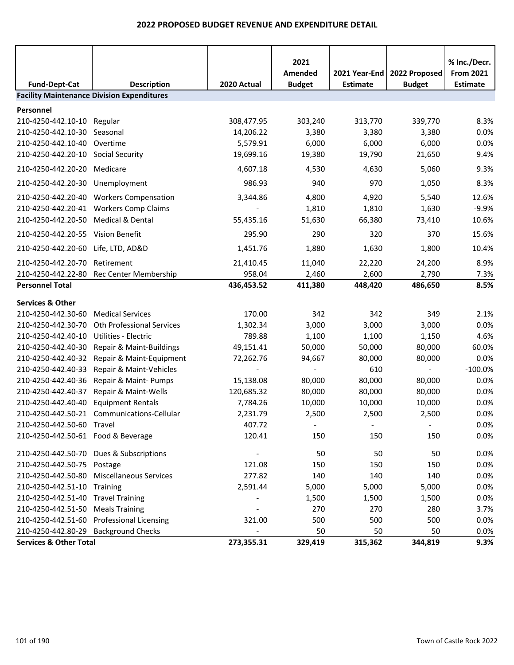|                                                  |                                                                         |                         | 2021<br>Amended          | 2021 Year-End<br><b>Estimate</b> | 2022 Proposed    | % Inc./Decr.<br><b>From 2021</b> |
|--------------------------------------------------|-------------------------------------------------------------------------|-------------------------|--------------------------|----------------------------------|------------------|----------------------------------|
| <b>Fund-Dept-Cat</b>                             | <b>Description</b><br><b>Facility Maintenance Division Expenditures</b> | 2020 Actual             | <b>Budget</b>            |                                  | <b>Budget</b>    | <b>Estimate</b>                  |
|                                                  |                                                                         |                         |                          |                                  |                  |                                  |
| Personnel                                        |                                                                         |                         |                          |                                  |                  |                                  |
| 210-4250-442.10-10 Regular<br>210-4250-442.10-30 | Seasonal                                                                | 308,477.95<br>14,206.22 | 303,240<br>3,380         | 313,770<br>3,380                 | 339,770<br>3,380 | 8.3%<br>0.0%                     |
| 210-4250-442.10-40                               | Overtime                                                                | 5,579.91                | 6,000                    | 6,000                            | 6,000            | 0.0%                             |
| 210-4250-442.20-10 Social Security               |                                                                         | 19,699.16               | 19,380                   | 19,790                           | 21,650           | 9.4%                             |
| 210-4250-442.20-20 Medicare                      |                                                                         | 4,607.18                | 4,530                    | 4,630                            | 5,060            | 9.3%                             |
|                                                  |                                                                         |                         |                          | 970                              |                  |                                  |
| 210-4250-442.20-30 Unemployment                  |                                                                         | 986.93                  | 940                      |                                  | 1,050            | 8.3%                             |
|                                                  | 210-4250-442.20-40 Workers Compensation                                 | 3,344.86                | 4,800                    | 4,920                            | 5,540            | 12.6%                            |
| 210-4250-442.20-41                               | <b>Workers Comp Claims</b>                                              |                         | 1,810                    | 1,810                            | 1,630            | $-9.9%$                          |
| 210-4250-442.20-50 Medical & Dental              |                                                                         | 55,435.16               | 51,630                   | 66,380                           | 73,410           | 10.6%                            |
| 210-4250-442.20-55 Vision Benefit                |                                                                         | 295.90                  | 290                      | 320                              | 370              | 15.6%                            |
| 210-4250-442.20-60 Life, LTD, AD&D               |                                                                         | 1,451.76                | 1,880                    | 1,630                            | 1,800            | 10.4%                            |
| 210-4250-442.20-70 Retirement                    |                                                                         | 21,410.45               | 11,040                   | 22,220                           | 24,200           | 8.9%                             |
|                                                  | 210-4250-442.22-80 Rec Center Membership                                | 958.04                  | 2,460                    | 2,600                            | 2,790            | 7.3%                             |
| <b>Personnel Total</b>                           |                                                                         | 436,453.52              | 411,380                  | 448,420                          | 486,650          | 8.5%                             |
| <b>Services &amp; Other</b>                      |                                                                         |                         |                          |                                  |                  |                                  |
| 210-4250-442.30-60                               | <b>Medical Services</b>                                                 | 170.00                  | 342                      | 342                              | 349              | 2.1%                             |
| 210-4250-442.30-70                               | <b>Oth Professional Services</b>                                        | 1,302.34                | 3,000                    | 3,000                            | 3,000            | 0.0%                             |
| 210-4250-442.40-10                               | Utilities - Electric                                                    | 789.88                  | 1,100                    | 1,100                            | 1,150            | 4.6%                             |
| 210-4250-442.40-30                               | Repair & Maint-Buildings                                                | 49,151.41               | 50,000                   | 50,000                           | 80,000           | 60.0%                            |
| 210-4250-442.40-32                               | Repair & Maint-Equipment                                                | 72,262.76               | 94,667                   | 80,000                           | 80,000           | 0.0%                             |
| 210-4250-442.40-33                               | Repair & Maint-Vehicles                                                 |                         | $\overline{\phantom{0}}$ | 610                              | $\sim$           | $-100.0%$                        |
| 210-4250-442.40-36                               | Repair & Maint- Pumps                                                   | 15,138.08               | 80,000                   | 80,000                           | 80,000           | 0.0%                             |
| 210-4250-442.40-37                               | Repair & Maint-Wells                                                    | 120,685.32              | 80,000                   | 80,000                           | 80,000           | 0.0%                             |
| 210-4250-442.40-40                               | <b>Equipment Rentals</b>                                                | 7,784.26                | 10,000                   | 10,000                           | 10,000           | 0.0%                             |
|                                                  | 210-4250-442.50-21 Communications-Cellular                              | 2,231.79                | 2,500                    | 2,500                            | 2,500            | 0.0%                             |
| 210-4250-442.50-60 Travel                        |                                                                         | 407.72                  | $\overline{\phantom{a}}$ | $\overline{\phantom{a}}$         | $\blacksquare$   | 0.0%                             |
| 210-4250-442.50-61 Food & Beverage               |                                                                         | 120.41                  | 150                      | 150                              | 150              | 0.0%                             |
|                                                  | 210-4250-442.50-70 Dues & Subscriptions                                 |                         | 50                       | 50                               | 50               | 0.0%                             |
| 210-4250-442.50-75 Postage                       |                                                                         | 121.08                  | 150                      | 150                              | 150              | 0.0%                             |
|                                                  | 210-4250-442.50-80 Miscellaneous Services                               | 277.82                  | 140                      | 140                              | 140              | 0.0%                             |
| 210-4250-442.51-10 Training                      |                                                                         | 2,591.44                | 5,000                    | 5,000                            | 5,000            | 0.0%                             |
| 210-4250-442.51-40 Travel Training               |                                                                         |                         | 1,500                    | 1,500                            | 1,500            | 0.0%                             |
| 210-4250-442.51-50 Meals Training                |                                                                         |                         | 270                      | 270                              | 280              | 3.7%                             |
|                                                  | 210-4250-442.51-60 Professional Licensing                               | 321.00                  | 500                      | 500                              | 500              | 0.0%                             |
| 210-4250-442.80-29 Background Checks             |                                                                         |                         | 50                       | 50                               | 50               | 0.0%                             |
| <b>Services &amp; Other Total</b>                |                                                                         | 273,355.31              | 329,419                  | 315,362                          | 344,819          | 9.3%                             |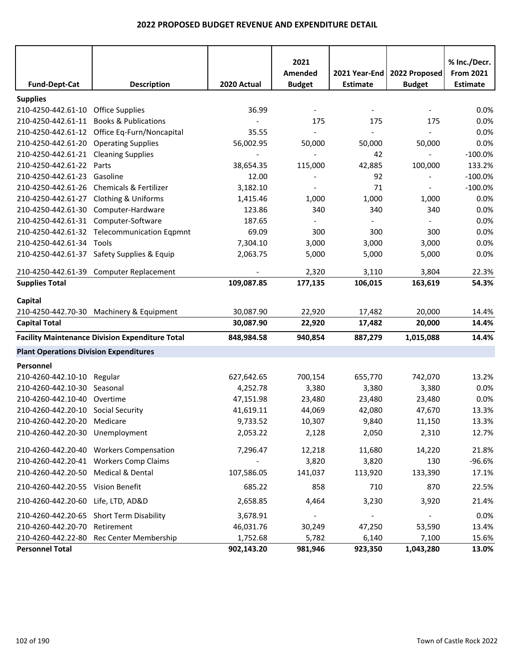|                                               |                                                        |                          | 2021<br>Amended          | 2021 Year-End   | 2022 Proposed            | % Inc./Decr.<br><b>From 2021</b> |
|-----------------------------------------------|--------------------------------------------------------|--------------------------|--------------------------|-----------------|--------------------------|----------------------------------|
| <b>Fund-Dept-Cat</b>                          | <b>Description</b>                                     | 2020 Actual              | <b>Budget</b>            | <b>Estimate</b> | <b>Budget</b>            | <b>Estimate</b>                  |
| <b>Supplies</b>                               |                                                        |                          |                          |                 |                          |                                  |
| 210-4250-442.61-10 Office Supplies            |                                                        | 36.99                    |                          |                 |                          | 0.0%                             |
|                                               | 210-4250-442.61-11 Books & Publications                |                          | 175                      | 175             | 175                      | 0.0%                             |
|                                               | 210-4250-442.61-12 Office Eq-Furn/Noncapital           | 35.55                    |                          |                 |                          | 0.0%                             |
| 210-4250-442.61-20 Operating Supplies         |                                                        | 56,002.95                | 50,000                   | 50,000          | 50,000                   | 0.0%                             |
| 210-4250-442.61-21 Cleaning Supplies          |                                                        | $\overline{\phantom{a}}$ |                          | 42              | $\overline{\phantom{a}}$ | $-100.0%$                        |
| 210-4250-442.61-22 Parts                      |                                                        | 38,654.35                | 115,000                  | 42,885          | 100,000                  | 133.2%                           |
| 210-4250-442.61-23 Gasoline                   |                                                        | 12.00                    |                          | 92              |                          | $-100.0%$                        |
|                                               | 210-4250-442.61-26 Chemicals & Fertilizer              | 3,182.10                 | $\overline{\phantom{a}}$ | 71              | $\blacksquare$           | $-100.0%$                        |
| 210-4250-442.61-27 Clothing & Uniforms        |                                                        | 1,415.46                 | 1,000                    | 1,000           | 1,000                    | 0.0%                             |
| 210-4250-442.61-30 Computer-Hardware          |                                                        | 123.86                   | 340                      | 340             | 340                      | 0.0%                             |
| 210-4250-442.61-31 Computer-Software          |                                                        | 187.65                   |                          |                 |                          | 0.0%                             |
|                                               | 210-4250-442.61-32 Telecommunication Eqpmnt            | 69.09                    | 300                      | 300             | 300                      | 0.0%                             |
| 210-4250-442.61-34 Tools                      |                                                        | 7,304.10                 | 3,000                    | 3,000           | 3,000                    | 0.0%                             |
|                                               | 210-4250-442.61-37 Safety Supplies & Equip             | 2,063.75                 | 5,000                    | 5,000           | 5,000                    | 0.0%                             |
|                                               | 210-4250-442.61-39 Computer Replacement                |                          | 2,320                    | 3,110           | 3,804                    | 22.3%                            |
| <b>Supplies Total</b>                         |                                                        | 109,087.85               | 177,135                  | 106,015         | 163,619                  | 54.3%                            |
| Capital                                       |                                                        |                          |                          |                 |                          |                                  |
|                                               | 210-4250-442.70-30 Machinery & Equipment               | 30,087.90                | 22,920                   | 17,482          | 20,000                   | 14.4%                            |
| <b>Capital Total</b>                          |                                                        | 30,087.90                | 22,920                   | 17,482          | 20,000                   | 14.4%                            |
|                                               | <b>Facility Maintenance Division Expenditure Total</b> | 848,984.58               | 940,854                  | 887,279         | 1,015,088                | 14.4%                            |
| <b>Plant Operations Division Expenditures</b> |                                                        |                          |                          |                 |                          |                                  |
| Personnel                                     |                                                        |                          |                          |                 |                          |                                  |
| 210-4260-442.10-10 Regular                    |                                                        | 627,642.65               | 700,154                  | 655,770         | 742,070                  | 13.2%                            |
| 210-4260-442.10-30 Seasonal                   |                                                        | 4,252.78                 | 3,380                    | 3,380           | 3,380                    | 0.0%                             |
| 210-4260-442.10-40 Overtime                   |                                                        | 47,151.98                | 23,480                   | 23,480          | 23,480                   | 0.0%                             |
| 210-4260-442.20-10 Social Security            |                                                        | 41,619.11                | 44,069                   | 42,080          | 47,670                   | 13.3%                            |
| 210-4260-442.20-20 Medicare                   |                                                        | 9,733.52                 | 10,307                   | 9,840           | 11,150                   | 13.3%                            |
| 210-4260-442.20-30 Unemployment               |                                                        | 2,053.22                 | 2,128                    | 2,050           | 2,310                    | 12.7%                            |
|                                               | 210-4260-442.20-40 Workers Compensation                | 7,296.47                 | 12,218                   | 11,680          | 14,220                   | 21.8%                            |
|                                               | 210-4260-442.20-41 Workers Comp Claims                 |                          | 3,820                    | 3,820           | 130                      | $-96.6%$                         |
| 210-4260-442.20-50 Medical & Dental           |                                                        | 107,586.05               | 141,037                  | 113,920         | 133,390                  | 17.1%                            |
| 210-4260-442.20-55 Vision Benefit             |                                                        | 685.22                   | 858                      | 710             | 870                      | 22.5%                            |
| 210-4260-442.20-60 Life, LTD, AD&D            |                                                        | 2,658.85                 | 4,464                    | 3,230           | 3,920                    | 21.4%                            |
|                                               | 210-4260-442.20-65 Short Term Disability               | 3,678.91                 |                          |                 |                          | 0.0%                             |
| 210-4260-442.20-70 Retirement                 |                                                        | 46,031.76                | 30,249                   | 47,250          | 53,590                   | 13.4%                            |
|                                               | 210-4260-442.22-80 Rec Center Membership               | 1,752.68                 | 5,782                    | 6,140           | 7,100                    | 15.6%                            |
| <b>Personnel Total</b>                        |                                                        | 902,143.20               | 981,946                  | 923,350         | 1,043,280                | 13.0%                            |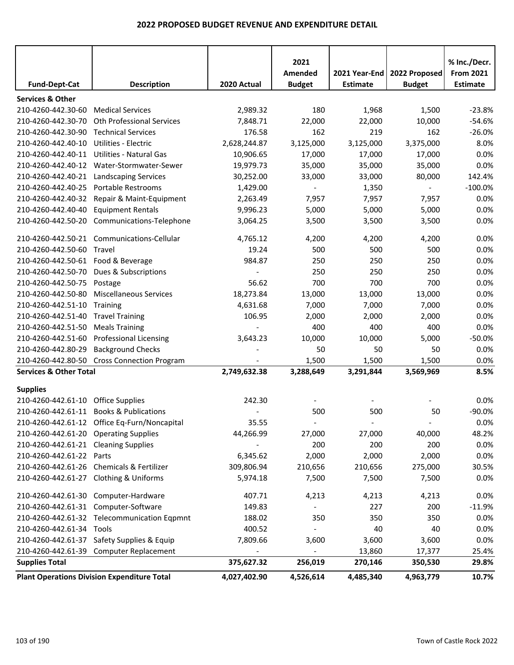|                                       |                                                    |              | 2021<br>Amended | 2021 Year-End   | 2022 Proposed            | % Inc./Decr.<br><b>From 2021</b> |
|---------------------------------------|----------------------------------------------------|--------------|-----------------|-----------------|--------------------------|----------------------------------|
| <b>Fund-Dept-Cat</b>                  | <b>Description</b>                                 | 2020 Actual  | <b>Budget</b>   | <b>Estimate</b> | <b>Budget</b>            | <b>Estimate</b>                  |
| <b>Services &amp; Other</b>           |                                                    |              |                 |                 |                          |                                  |
| 210-4260-442.30-60                    | <b>Medical Services</b>                            | 2,989.32     | 180             | 1,968           | 1,500                    | $-23.8%$                         |
| 210-4260-442.30-70                    | <b>Oth Professional Services</b>                   | 7,848.71     | 22,000          | 22,000          | 10,000                   | $-54.6%$                         |
| 210-4260-442.30-90                    | <b>Technical Services</b>                          | 176.58       | 162             | 219             | 162                      | $-26.0%$                         |
| 210-4260-442.40-10                    | <b>Utilities - Electric</b>                        | 2,628,244.87 | 3,125,000       | 3,125,000       | 3,375,000                | 8.0%                             |
| 210-4260-442.40-11                    | Utilities - Natural Gas                            | 10,906.65    | 17,000          | 17,000          | 17,000                   | 0.0%                             |
| 210-4260-442.40-12                    | Water-Stormwater-Sewer                             | 19,979.73    | 35,000          | 35,000          | 35,000                   | 0.0%                             |
| 210-4260-442.40-21                    | <b>Landscaping Services</b>                        | 30,252.00    | 33,000          | 33,000          | 80,000                   | 142.4%                           |
| 210-4260-442.40-25                    | Portable Restrooms                                 | 1,429.00     |                 | 1,350           | $\overline{\phantom{a}}$ | $-100.0%$                        |
| 210-4260-442.40-32                    | Repair & Maint-Equipment                           | 2,263.49     | 7,957           | 7,957           | 7,957                    | 0.0%                             |
| 210-4260-442.40-40                    | <b>Equipment Rentals</b>                           | 9,996.23     | 5,000           | 5,000           | 5,000                    | 0.0%                             |
| 210-4260-442.50-20                    | Communications-Telephone                           | 3,064.25     | 3,500           | 3,500           | 3,500                    | 0.0%                             |
| 210-4260-442.50-21                    | Communications-Cellular                            | 4,765.12     | 4,200           | 4,200           | 4,200                    | 0.0%                             |
| 210-4260-442.50-60                    | Travel                                             | 19.24        | 500             | 500             | 500                      | 0.0%                             |
| 210-4260-442.50-61 Food & Beverage    |                                                    | 984.87       | 250             | 250             | 250                      | 0.0%                             |
| 210-4260-442.50-70                    | Dues & Subscriptions                               |              | 250             | 250             | 250                      | 0.0%                             |
| 210-4260-442.50-75                    | Postage                                            | 56.62        | 700             | 700             | 700                      | 0.0%                             |
| 210-4260-442.50-80                    | <b>Miscellaneous Services</b>                      | 18,273.84    | 13,000          | 13,000          | 13,000                   | 0.0%                             |
| 210-4260-442.51-10 Training           |                                                    | 4,631.68     | 7,000           | 7,000           | 7,000                    | 0.0%                             |
| 210-4260-442.51-40                    | <b>Travel Training</b>                             | 106.95       | 2,000           | 2,000           | 2,000                    | 0.0%                             |
| 210-4260-442.51-50                    | <b>Meals Training</b>                              |              | 400             | 400             | 400                      | 0.0%                             |
| 210-4260-442.51-60                    | <b>Professional Licensing</b>                      | 3,643.23     | 10,000          | 10,000          | 5,000                    | $-50.0%$                         |
| 210-4260-442.80-29                    | <b>Background Checks</b>                           |              | 50              | 50              | 50                       | 0.0%                             |
|                                       | 210-4260-442.80-50 Cross Connection Program        |              | 1,500           | 1,500           | 1,500                    | 0.0%                             |
| <b>Services &amp; Other Total</b>     |                                                    | 2,749,632.38 | 3,288,649       | 3,291,844       | 3,569,969                | 8.5%                             |
| <b>Supplies</b>                       |                                                    |              |                 |                 |                          |                                  |
| 210-4260-442.61-10 Office Supplies    |                                                    | 242.30       |                 |                 |                          | 0.0%                             |
|                                       | 210-4260-442.61-11 Books & Publications            |              | 500             | 500             | 50                       | $-90.0%$                         |
|                                       | 210-4260-442.61-12 Office Eq-Furn/Noncapital       | 35.55        |                 |                 |                          | 0.0%                             |
| 210-4260-442.61-20 Operating Supplies |                                                    | 44,266.99    | 27,000          | 27,000          | 40,000                   | 48.2%                            |
| 210-4260-442.61-21 Cleaning Supplies  |                                                    |              | 200             | 200             | 200                      | 0.0%                             |
| 210-4260-442.61-22                    | Parts                                              | 6,345.62     | 2,000           | 2,000           | 2,000                    | 0.0%                             |
|                                       | 210-4260-442.61-26 Chemicals & Fertilizer          | 309,806.94   | 210,656         | 210,656         | 275,000                  | 30.5%                            |
|                                       | 210-4260-442.61-27 Clothing & Uniforms             | 5,974.18     | 7,500           | 7,500           | 7,500                    | 0.0%                             |
|                                       | 210-4260-442.61-30 Computer-Hardware               | 407.71       | 4,213           | 4,213           | 4,213                    | 0.0%                             |
| 210-4260-442.61-31 Computer-Software  |                                                    | 149.83       | $\blacksquare$  | 227             | 200                      | $-11.9%$                         |
|                                       | 210-4260-442.61-32 Telecommunication Eqpmnt        | 188.02       | 350             | 350             | 350                      | 0.0%                             |
| 210-4260-442.61-34 Tools              |                                                    | 400.52       |                 | 40              | 40                       | 0.0%                             |
|                                       | 210-4260-442.61-37 Safety Supplies & Equip         | 7,809.66     | 3,600           | 3,600           | 3,600                    | 0.0%                             |
|                                       | 210-4260-442.61-39 Computer Replacement            |              |                 | 13,860          | 17,377                   | 25.4%                            |
| <b>Supplies Total</b>                 |                                                    | 375,627.32   | 256,019         | 270,146         | 350,530                  | 29.8%                            |
|                                       | <b>Plant Operations Division Expenditure Total</b> | 4,027,402.90 | 4,526,614       | 4,485,340       | 4,963,779                | 10.7%                            |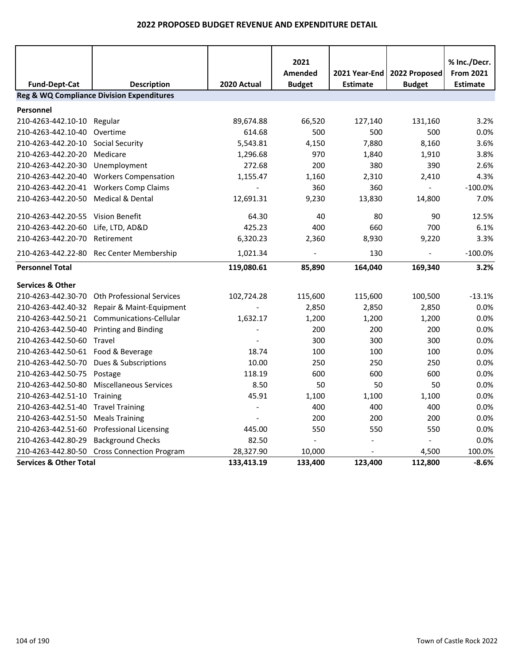|                                         |                                                      |             | 2021<br>Amended | 2021 Year-End   | 2022 Proposed  | % Inc./Decr.<br><b>From 2021</b> |
|-----------------------------------------|------------------------------------------------------|-------------|-----------------|-----------------|----------------|----------------------------------|
| <b>Fund-Dept-Cat</b>                    | <b>Description</b>                                   | 2020 Actual | <b>Budget</b>   | <b>Estimate</b> | <b>Budget</b>  | <b>Estimate</b>                  |
|                                         | <b>Reg &amp; WQ Compliance Division Expenditures</b> |             |                 |                 |                |                                  |
| Personnel                               |                                                      |             |                 |                 |                |                                  |
| 210-4263-442.10-10                      | Regular                                              | 89,674.88   | 66,520          | 127,140         | 131,160        | 3.2%                             |
| 210-4263-442.10-40                      | Overtime                                             | 614.68      | 500             | 500             | 500            | 0.0%                             |
| 210-4263-442.20-10 Social Security      |                                                      | 5,543.81    | 4,150           | 7,880           | 8,160          | 3.6%                             |
| 210-4263-442.20-20                      | Medicare                                             | 1,296.68    | 970             | 1,840           | 1,910          | 3.8%                             |
| 210-4263-442.20-30                      | Unemployment                                         | 272.68      | 200             | 380             | 390            | 2.6%                             |
|                                         | 210-4263-442.20-40 Workers Compensation              | 1,155.47    | 1,160           | 2,310           | 2,410          | 4.3%                             |
|                                         | 210-4263-442.20-41 Workers Comp Claims               |             | 360             | 360             |                | $-100.0%$                        |
| 210-4263-442.20-50                      | <b>Medical &amp; Dental</b>                          | 12,691.31   | 9,230           | 13,830          | 14,800         | 7.0%                             |
| 210-4263-442.20-55 Vision Benefit       |                                                      | 64.30       | 40              | 80              | 90             | 12.5%                            |
| 210-4263-442.20-60                      | Life, LTD, AD&D                                      | 425.23      | 400             | 660             | 700            | 6.1%                             |
| 210-4263-442.20-70 Retirement           |                                                      | 6,320.23    | 2,360           | 8,930           | 9,220          | 3.3%                             |
|                                         | 210-4263-442.22-80 Rec Center Membership             | 1,021.34    |                 | 130             | $\blacksquare$ | $-100.0%$                        |
| <b>Personnel Total</b>                  |                                                      | 119,080.61  | 85,890          | 164,040         | 169,340        | 3.2%                             |
| <b>Services &amp; Other</b>             |                                                      |             |                 |                 |                |                                  |
| 210-4263-442.30-70                      | <b>Oth Professional Services</b>                     | 102,724.28  | 115,600         | 115,600         | 100,500        | $-13.1%$                         |
| 210-4263-442.40-32                      | Repair & Maint-Equipment                             |             | 2,850           | 2,850           | 2,850          | 0.0%                             |
|                                         | 210-4263-442.50-21 Communications-Cellular           | 1,632.17    | 1,200           | 1,200           | 1,200          | 0.0%                             |
| 210-4263-442.50-40 Printing and Binding |                                                      |             | 200             | 200             | 200            | 0.0%                             |
| 210-4263-442.50-60 Travel               |                                                      |             | 300             | 300             | 300            | 0.0%                             |
| 210-4263-442.50-61 Food & Beverage      |                                                      | 18.74       | 100             | 100             | 100            | 0.0%                             |
| 210-4263-442.50-70                      | Dues & Subscriptions                                 | 10.00       | 250             | 250             | 250            | 0.0%                             |
| 210-4263-442.50-75                      | Postage                                              | 118.19      | 600             | 600             | 600            | 0.0%                             |
| 210-4263-442.50-80                      | <b>Miscellaneous Services</b>                        | 8.50        | 50              | 50              | 50             | 0.0%                             |
| 210-4263-442.51-10                      | Training                                             | 45.91       | 1,100           | 1,100           | 1,100          | 0.0%                             |
| 210-4263-442.51-40                      | <b>Travel Training</b>                               |             | 400             | 400             | 400            | 0.0%                             |
| 210-4263-442.51-50                      | <b>Meals Training</b>                                |             | 200             | 200             | 200            | 0.0%                             |
| 210-4263-442.51-60                      | <b>Professional Licensing</b>                        | 445.00      | 550             | 550             | 550            | 0.0%                             |
| 210-4263-442.80-29                      | <b>Background Checks</b>                             | 82.50       | $\overline{a}$  |                 | $\omega$       | 0.0%                             |
| 210-4263-442.80-50                      | <b>Cross Connection Program</b>                      | 28,327.90   | 10,000          |                 | 4,500          | 100.0%                           |
| <b>Services &amp; Other Total</b>       |                                                      | 133,413.19  | 133,400         | 123,400         | 112,800        | $-8.6%$                          |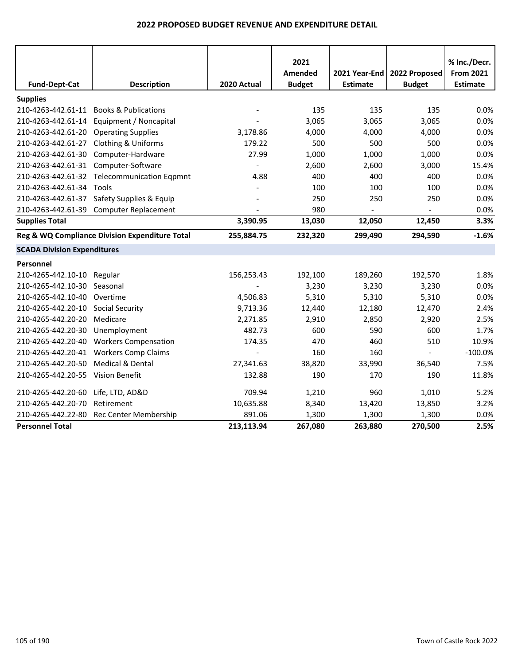|                                       |                                                |             | 2021          |                 |                | % Inc./Decr.     |
|---------------------------------------|------------------------------------------------|-------------|---------------|-----------------|----------------|------------------|
|                                       |                                                |             | Amended       | 2021 Year-End   | 2022 Proposed  | <b>From 2021</b> |
| <b>Fund-Dept-Cat</b>                  | <b>Description</b>                             | 2020 Actual | <b>Budget</b> | <b>Estimate</b> | <b>Budget</b>  | Estimate         |
| <b>Supplies</b>                       |                                                |             |               |                 |                |                  |
| 210-4263-442.61-11                    | <b>Books &amp; Publications</b>                |             | 135           | 135             | 135            | 0.0%             |
| 210-4263-442.61-14                    | Equipment / Noncapital                         |             | 3,065         | 3,065           | 3,065          | 0.0%             |
| 210-4263-442.61-20 Operating Supplies |                                                | 3,178.86    | 4,000         | 4,000           | 4,000          | 0.0%             |
| 210-4263-442.61-27                    | Clothing & Uniforms                            | 179.22      | 500           | 500             | 500            | 0.0%             |
| 210-4263-442.61-30                    | Computer-Hardware                              | 27.99       | 1,000         | 1,000           | 1,000          | 0.0%             |
| 210-4263-442.61-31 Computer-Software  |                                                |             | 2,600         | 2,600           | 3,000          | 15.4%            |
|                                       | 210-4263-442.61-32 Telecommunication Eqpmnt    | 4.88        | 400           | 400             | 400            | 0.0%             |
| 210-4263-442.61-34 Tools              |                                                |             | 100           | 100             | 100            | 0.0%             |
|                                       | 210-4263-442.61-37 Safety Supplies & Equip     |             | 250           | 250             | 250            | 0.0%             |
|                                       | 210-4263-442.61-39 Computer Replacement        |             | 980           |                 |                | 0.0%             |
| <b>Supplies Total</b>                 |                                                | 3,390.95    | 13,030        | 12,050          | 12,450         | 3.3%             |
|                                       | Reg & WQ Compliance Division Expenditure Total | 255,884.75  | 232,320       | 299,490         | 294,590        | $-1.6%$          |
| <b>SCADA Division Expenditures</b>    |                                                |             |               |                 |                |                  |
| Personnel                             |                                                |             |               |                 |                |                  |
| 210-4265-442.10-10                    | Regular                                        | 156,253.43  | 192,100       | 189,260         | 192,570        | 1.8%             |
| 210-4265-442.10-30 Seasonal           |                                                |             | 3,230         | 3,230           | 3,230          | 0.0%             |
| 210-4265-442.10-40 Overtime           |                                                | 4,506.83    | 5,310         | 5,310           | 5,310          | 0.0%             |
| 210-4265-442.20-10                    | <b>Social Security</b>                         | 9,713.36    | 12,440        | 12,180          | 12,470         | 2.4%             |
| 210-4265-442.20-20                    | Medicare                                       | 2,271.85    | 2,910         | 2,850           | 2,920          | 2.5%             |
| 210-4265-442.20-30                    | Unemployment                                   | 482.73      | 600           | 590             | 600            | 1.7%             |
|                                       | 210-4265-442.20-40 Workers Compensation        | 174.35      | 470           | 460             | 510            | 10.9%            |
|                                       | 210-4265-442.20-41 Workers Comp Claims         |             | 160           | 160             | $\blacksquare$ | $-100.0%$        |
| 210-4265-442.20-50                    | <b>Medical &amp; Dental</b>                    | 27,341.63   | 38,820        | 33,990          | 36,540         | 7.5%             |
| 210-4265-442.20-55 Vision Benefit     |                                                | 132.88      | 190           | 170             | 190            | 11.8%            |
| 210-4265-442.20-60                    | Life, LTD, AD&D                                | 709.94      | 1,210         | 960             | 1,010          | 5.2%             |
| 210-4265-442.20-70                    | Retirement                                     | 10,635.88   | 8,340         | 13,420          | 13,850         | 3.2%             |
| 210-4265-442.22-80                    | Rec Center Membership                          | 891.06      | 1,300         | 1,300           | 1,300          | 0.0%             |
| <b>Personnel Total</b>                |                                                | 213,113.94  | 267,080       | 263,880         | 270,500        | 2.5%             |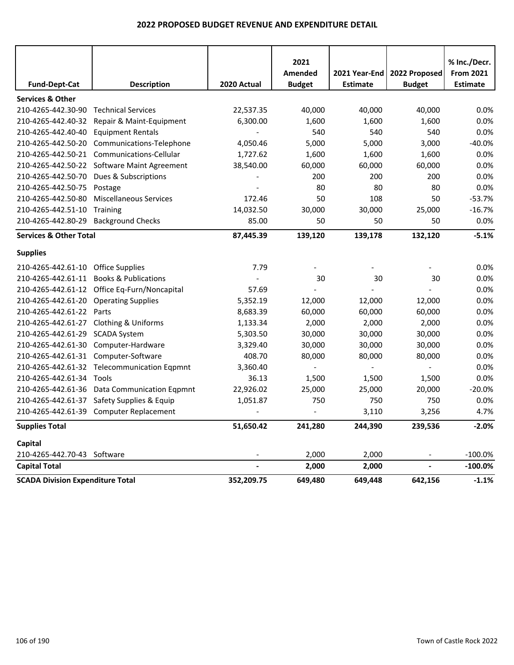|                                         |                                              |             | 2021                     |                                  |                                | % Inc./Decr.                        |
|-----------------------------------------|----------------------------------------------|-------------|--------------------------|----------------------------------|--------------------------------|-------------------------------------|
| <b>Fund-Dept-Cat</b>                    | <b>Description</b>                           | 2020 Actual | Amended<br><b>Budget</b> | 2021 Year-End<br><b>Estimate</b> | 2022 Proposed<br><b>Budget</b> | <b>From 2021</b><br><b>Estimate</b> |
| <b>Services &amp; Other</b>             |                                              |             |                          |                                  |                                |                                     |
| 210-4265-442.30-90                      | <b>Technical Services</b>                    | 22,537.35   | 40,000                   | 40,000                           | 40,000                         | 0.0%                                |
| 210-4265-442.40-32                      | Repair & Maint-Equipment                     | 6,300.00    | 1,600                    | 1,600                            | 1,600                          | 0.0%                                |
| 210-4265-442.40-40                      | <b>Equipment Rentals</b>                     |             | 540                      | 540                              | 540                            | 0.0%                                |
| 210-4265-442.50-20                      | Communications-Telephone                     | 4,050.46    | 5,000                    | 5,000                            | 3,000                          | $-40.0%$                            |
| 210-4265-442.50-21                      | Communications-Cellular                      | 1,727.62    | 1,600                    | 1,600                            | 1,600                          | 0.0%                                |
| 210-4265-442.50-22                      | Software Maint Agreement                     | 38,540.00   | 60,000                   | 60,000                           | 60,000                         | 0.0%                                |
| 210-4265-442.50-70                      | Dues & Subscriptions                         |             | 200                      | 200                              | 200                            | 0.0%                                |
| 210-4265-442.50-75                      | Postage                                      |             | 80                       | 80                               | 80                             | 0.0%                                |
| 210-4265-442.50-80                      | <b>Miscellaneous Services</b>                | 172.46      | 50                       | 108                              | 50                             | $-53.7%$                            |
| 210-4265-442.51-10                      | <b>Training</b>                              | 14,032.50   | 30,000                   | 30,000                           | 25,000                         | $-16.7%$                            |
| 210-4265-442.80-29                      | <b>Background Checks</b>                     | 85.00       | 50                       | 50                               | 50                             | 0.0%                                |
| <b>Services &amp; Other Total</b>       |                                              | 87,445.39   | 139,120                  | 139,178                          | 132,120                        | $-5.1%$                             |
| <b>Supplies</b>                         |                                              |             |                          |                                  |                                |                                     |
| 210-4265-442.61-10                      | <b>Office Supplies</b>                       | 7.79        |                          |                                  |                                | 0.0%                                |
| 210-4265-442.61-11                      | <b>Books &amp; Publications</b>              |             | 30                       | 30                               | 30                             | 0.0%                                |
|                                         | 210-4265-442.61-12 Office Eq-Furn/Noncapital | 57.69       |                          |                                  |                                | 0.0%                                |
| 210-4265-442.61-20                      | <b>Operating Supplies</b>                    | 5,352.19    | 12,000                   | 12,000                           | 12,000                         | 0.0%                                |
| 210-4265-442.61-22                      | Parts                                        | 8,683.39    | 60,000                   | 60,000                           | 60,000                         | 0.0%                                |
| 210-4265-442.61-27                      | <b>Clothing &amp; Uniforms</b>               | 1,133.34    | 2,000                    | 2,000                            | 2,000                          | 0.0%                                |
| 210-4265-442.61-29                      | <b>SCADA System</b>                          | 5,303.50    | 30,000                   | 30,000                           | 30,000                         | 0.0%                                |
| 210-4265-442.61-30                      | Computer-Hardware                            | 3,329.40    | 30,000                   | 30,000                           | 30,000                         | 0.0%                                |
| 210-4265-442.61-31                      | Computer-Software                            | 408.70      | 80,000                   | 80,000                           | 80,000                         | 0.0%                                |
|                                         | 210-4265-442.61-32 Telecommunication Eqpmnt  | 3,360.40    |                          |                                  |                                | 0.0%                                |
| 210-4265-442.61-34                      | Tools                                        | 36.13       | 1,500                    | 1,500                            | 1,500                          | 0.0%                                |
| 210-4265-442.61-36                      | <b>Data Communication Eqpmnt</b>             | 22,926.02   | 25,000                   | 25,000                           | 20,000                         | $-20.0%$                            |
| 210-4265-442.61-37                      | Safety Supplies & Equip                      | 1,051.87    | 750                      | 750                              | 750                            | 0.0%                                |
|                                         | 210-4265-442.61-39 Computer Replacement      |             |                          | 3,110                            | 3,256                          | 4.7%                                |
| <b>Supplies Total</b>                   |                                              | 51,650.42   | 241,280                  | 244,390                          | 239,536                        | $-2.0%$                             |
| Capital                                 |                                              |             |                          |                                  |                                |                                     |
| 210-4265-442.70-43 Software             |                                              |             | 2,000                    | 2,000                            |                                | $-100.0%$                           |
| <b>Capital Total</b>                    |                                              |             | 2,000                    | 2,000                            |                                | $-100.0\%$                          |
| <b>SCADA Division Expenditure Total</b> |                                              | 352,209.75  | 649,480                  | 649,448                          | 642,156                        | $-1.1%$                             |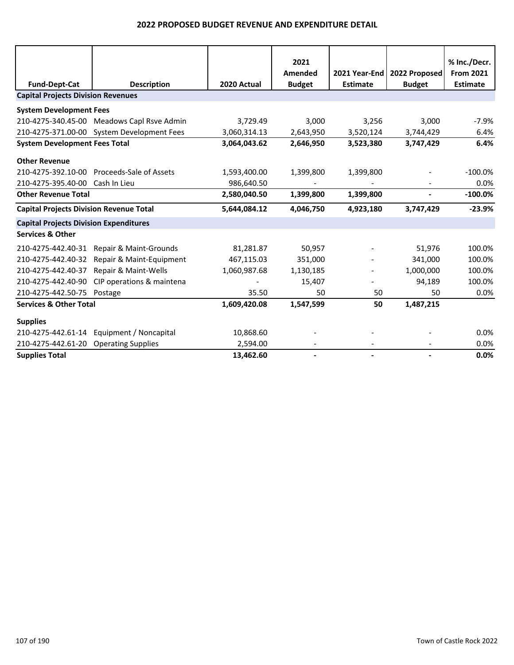|                                                |                                            |              | 2021          |                 |               | % Inc./Decr.     |
|------------------------------------------------|--------------------------------------------|--------------|---------------|-----------------|---------------|------------------|
|                                                |                                            |              | Amended       | 2021 Year-End   | 2022 Proposed | <b>From 2021</b> |
| <b>Fund-Dept-Cat</b>                           | <b>Description</b>                         | 2020 Actual  | <b>Budget</b> | <b>Estimate</b> | <b>Budget</b> | <b>Estimate</b>  |
| <b>Capital Projects Division Revenues</b>      |                                            |              |               |                 |               |                  |
| <b>System Development Fees</b>                 |                                            |              |               |                 |               |                  |
|                                                | 210-4275-340.45-00 Meadows Capl Rsve Admin | 3,729.49     | 3,000         | 3,256           | 3,000         | $-7.9%$          |
|                                                | 210-4275-371.00-00 System Development Fees | 3,060,314.13 | 2,643,950     | 3,520,124       | 3,744,429     | 6.4%             |
| <b>System Development Fees Total</b>           |                                            | 3,064,043.62 | 2,646,950     | 3,523,380       | 3,747,429     | 6.4%             |
| <b>Other Revenue</b>                           |                                            |              |               |                 |               |                  |
| 210-4275-392.10-00                             | Proceeds-Sale of Assets                    | 1,593,400.00 | 1,399,800     | 1,399,800       |               | $-100.0\%$       |
| 210-4275-395.40-00                             | Cash In Lieu                               | 986,640.50   |               |                 |               | 0.0%             |
| <b>Other Revenue Total</b>                     |                                            | 2,580,040.50 | 1,399,800     | 1,399,800       | ٠             | $-100.0\%$       |
| <b>Capital Projects Division Revenue Total</b> |                                            | 5,644,084.12 | 4,046,750     | 4,923,180       | 3,747,429     | $-23.9%$         |
| <b>Capital Projects Division Expenditures</b>  |                                            |              |               |                 |               |                  |
| <b>Services &amp; Other</b>                    |                                            |              |               |                 |               |                  |
| 210-4275-442.40-31                             | Repair & Maint-Grounds                     | 81,281.87    | 50,957        |                 | 51,976        | 100.0%           |
| 210-4275-442.40-32                             | Repair & Maint-Equipment                   | 467,115.03   | 351,000       |                 | 341,000       | 100.0%           |
| 210-4275-442.40-37                             | Repair & Maint-Wells                       | 1,060,987.68 | 1,130,185     |                 | 1,000,000     | 100.0%           |
| 210-4275-442.40-90                             | CIP operations & maintena                  |              | 15,407        |                 | 94,189        | 100.0%           |
| 210-4275-442.50-75                             | Postage                                    | 35.50        | 50            | 50              | 50            | 0.0%             |
| <b>Services &amp; Other Total</b>              |                                            | 1,609,420.08 | 1,547,599     | 50              | 1,487,215     |                  |
| <b>Supplies</b>                                |                                            |              |               |                 |               |                  |
| 210-4275-442.61-14                             | Equipment / Noncapital                     | 10,868.60    |               |                 |               | 0.0%             |
| 210-4275-442.61-20                             | <b>Operating Supplies</b>                  | 2,594.00     |               |                 |               | 0.0%             |
| <b>Supplies Total</b>                          |                                            | 13,462.60    |               |                 |               | 0.0%             |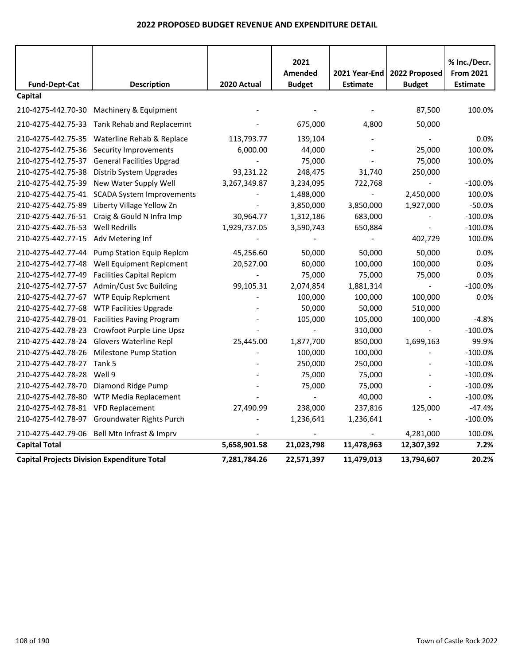|                      |                                                    |                | 2021             |                 |                | % Inc./Decr.     |
|----------------------|----------------------------------------------------|----------------|------------------|-----------------|----------------|------------------|
|                      |                                                    |                | Amended          | 2021 Year-End   | 2022 Proposed  | <b>From 2021</b> |
| <b>Fund-Dept-Cat</b> | <b>Description</b>                                 | 2020 Actual    | <b>Budget</b>    | <b>Estimate</b> | <b>Budget</b>  | <b>Estimate</b>  |
| Capital              |                                                    |                |                  |                 |                |                  |
|                      | 210-4275-442.70-30 Machinery & Equipment           |                |                  |                 | 87,500         | 100.0%           |
| 210-4275-442.75-33   | Tank Rehab and Replacemnt                          |                | 675,000          | 4,800           | 50,000         |                  |
|                      | 210-4275-442.75-35 Waterline Rehab & Replace       | 113,793.77     | 139,104          |                 |                | 0.0%             |
| 210-4275-442.75-36   | Security Improvements                              | 6,000.00       | 44,000           |                 | 25,000         | 100.0%           |
| 210-4275-442.75-37   | <b>General Facilities Upgrad</b>                   | $\blacksquare$ | 75,000           |                 | 75,000         | 100.0%           |
| 210-4275-442.75-38   | Distrib System Upgrades                            | 93,231.22      | 248,475          | 31,740          | 250,000        |                  |
| 210-4275-442.75-39   | New Water Supply Well                              | 3,267,349.87   | 3,234,095        | 722,768         | $\blacksquare$ | $-100.0%$        |
| 210-4275-442.75-41   | <b>SCADA System Improvements</b>                   |                | 1,488,000        | $\blacksquare$  | 2,450,000      | 100.0%           |
| 210-4275-442.75-89   | Liberty Village Yellow Zn                          |                | 3,850,000        | 3,850,000       | 1,927,000      | $-50.0%$         |
| 210-4275-442.76-51   | Craig & Gould N Infra Imp                          | 30,964.77      | 1,312,186        | 683,000         | $\blacksquare$ | $-100.0%$        |
| 210-4275-442.76-53   | <b>Well Redrills</b>                               | 1,929,737.05   | 3,590,743        | 650,884         |                | $-100.0%$        |
| 210-4275-442.77-15   | Adv Metering Inf                                   |                |                  |                 | 402,729        | 100.0%           |
| 210-4275-442.77-44   | Pump Station Equip Replcm                          | 45,256.60      | 50,000           | 50,000          | 50,000         | 0.0%             |
| 210-4275-442.77-48   | Well Equipment Replcment                           | 20,527.00      | 60,000           | 100,000         | 100,000        | 0.0%             |
| 210-4275-442.77-49   | <b>Facilities Capital Replcm</b>                   |                | 75,000           | 75,000          | 75,000         | 0.0%             |
| 210-4275-442.77-57   | Admin/Cust Svc Building                            | 99,105.31      | 2,074,854        | 1,881,314       | $\blacksquare$ | $-100.0%$        |
| 210-4275-442.77-67   | <b>WTP Equip Replcment</b>                         |                | 100,000          | 100,000         | 100,000        | 0.0%             |
| 210-4275-442.77-68   | <b>WTP Facilities Upgrade</b>                      |                | 50,000           | 50,000          | 510,000        |                  |
| 210-4275-442.78-01   | <b>Facilities Paving Program</b>                   |                | 105,000          | 105,000         | 100,000        | $-4.8%$          |
| 210-4275-442.78-23   | Crowfoot Purple Line Upsz                          |                |                  | 310,000         | $\blacksquare$ | $-100.0%$        |
| 210-4275-442.78-24   | <b>Glovers Waterline Repl</b>                      | 25,445.00      | 1,877,700        | 850,000         | 1,699,163      | 99.9%            |
| 210-4275-442.78-26   | <b>Milestone Pump Station</b>                      |                | 100,000          | 100,000         |                | $-100.0%$        |
| 210-4275-442.78-27   | Tank 5                                             |                | 250,000          | 250,000         |                | $-100.0%$        |
| 210-4275-442.78-28   | Well 9                                             |                | 75,000           | 75,000          |                | $-100.0%$        |
| 210-4275-442.78-70   | Diamond Ridge Pump                                 |                | 75,000           | 75,000          |                | $-100.0%$        |
| 210-4275-442.78-80   | WTP Media Replacement                              |                | $\omega_{\rm c}$ | 40,000          |                | $-100.0%$        |
| 210-4275-442.78-81   | <b>VFD Replacement</b>                             | 27,490.99      | 238,000          | 237,816         | 125,000        | $-47.4%$         |
| 210-4275-442.78-97   | Groundwater Rights Purch                           |                | 1,236,641        | 1,236,641       |                | $-100.0%$        |
| 210-4275-442.79-06   | Bell Mtn Infrast & Imprv                           |                |                  |                 | 4,281,000      | 100.0%           |
| <b>Capital Total</b> |                                                    | 5,658,901.58   | 21,023,798       | 11,478,963      | 12,307,392     | 7.2%             |
|                      | <b>Capital Projects Division Expenditure Total</b> | 7,281,784.26   | 22,571,397       | 11,479,013      | 13,794,607     | 20.2%            |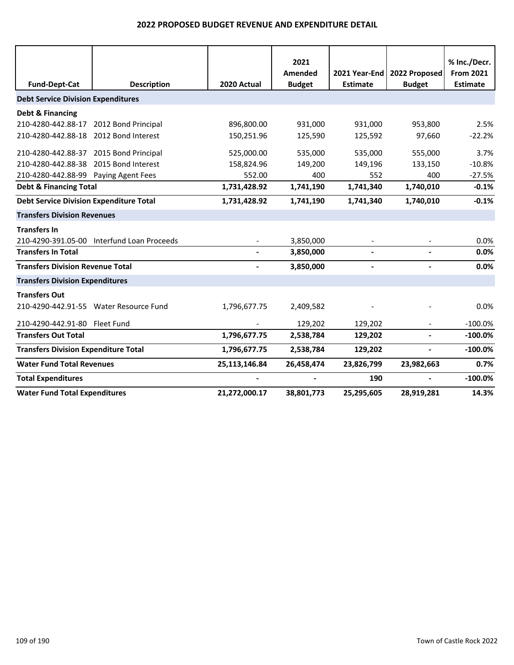|                                                |                                            |               | 2021<br>Amended | 2021 Year-End   | 2022 Proposed            | % Inc./Decr.<br><b>From 2021</b> |
|------------------------------------------------|--------------------------------------------|---------------|-----------------|-----------------|--------------------------|----------------------------------|
| <b>Fund-Dept-Cat</b>                           | <b>Description</b>                         | 2020 Actual   | <b>Budget</b>   | <b>Estimate</b> | <b>Budget</b>            | <b>Estimate</b>                  |
| <b>Debt Service Division Expenditures</b>      |                                            |               |                 |                 |                          |                                  |
| <b>Debt &amp; Financing</b>                    |                                            |               |                 |                 |                          |                                  |
| 210-4280-442.88-17                             | 2012 Bond Principal                        | 896,800.00    | 931,000         | 931,000         | 953,800                  | 2.5%                             |
| 210-4280-442.88-18                             | 2012 Bond Interest                         | 150,251.96    | 125,590         | 125,592         | 97,660                   | $-22.2%$                         |
| 210-4280-442.88-37 2015 Bond Principal         |                                            | 525,000.00    | 535,000         | 535,000         | 555,000                  | 3.7%                             |
| 210-4280-442.88-38                             | 2015 Bond Interest                         | 158,824.96    | 149,200         | 149,196         | 133,150                  | $-10.8%$                         |
| 210-4280-442.88-99 Paying Agent Fees           |                                            | 552.00        | 400             | 552             | 400                      | $-27.5%$                         |
| <b>Debt &amp; Financing Total</b>              |                                            | 1,731,428.92  | 1,741,190       | 1,741,340       | 1,740,010                | $-0.1%$                          |
| <b>Debt Service Division Expenditure Total</b> |                                            | 1,731,428.92  | 1,741,190       | 1,741,340       | 1,740,010                | $-0.1%$                          |
| <b>Transfers Division Revenues</b>             |                                            |               |                 |                 |                          |                                  |
| <b>Transfers In</b>                            |                                            |               |                 |                 |                          |                                  |
|                                                | 210-4290-391.05-00 Interfund Loan Proceeds |               | 3,850,000       |                 |                          | 0.0%                             |
| <b>Transfers In Total</b>                      |                                            |               | 3,850,000       |                 |                          | 0.0%                             |
| <b>Transfers Division Revenue Total</b>        |                                            |               | 3,850,000       |                 |                          | 0.0%                             |
| <b>Transfers Division Expenditures</b>         |                                            |               |                 |                 |                          |                                  |
| <b>Transfers Out</b>                           |                                            |               |                 |                 |                          |                                  |
|                                                | 210-4290-442.91-55 Water Resource Fund     | 1,796,677.75  | 2,409,582       |                 |                          | 0.0%                             |
| 210-4290-442.91-80 Fleet Fund                  |                                            |               | 129,202         | 129,202         |                          | $-100.0%$                        |
| <b>Transfers Out Total</b>                     |                                            | 1,796,677.75  | 2,538,784       | 129,202         | $\overline{\phantom{a}}$ | $-100.0%$                        |
| <b>Transfers Division Expenditure Total</b>    |                                            | 1,796,677.75  | 2,538,784       | 129,202         | $\blacksquare$           | $-100.0%$                        |
| <b>Water Fund Total Revenues</b>               |                                            | 25,113,146.84 | 26,458,474      | 23,826,799      | 23,982,663               | 0.7%                             |
| <b>Total Expenditures</b>                      |                                            |               |                 | 190             | $\blacksquare$           | $-100.0%$                        |
| <b>Water Fund Total Expenditures</b>           |                                            | 21,272,000.17 | 38,801,773      | 25,295,605      | 28,919,281               | 14.3%                            |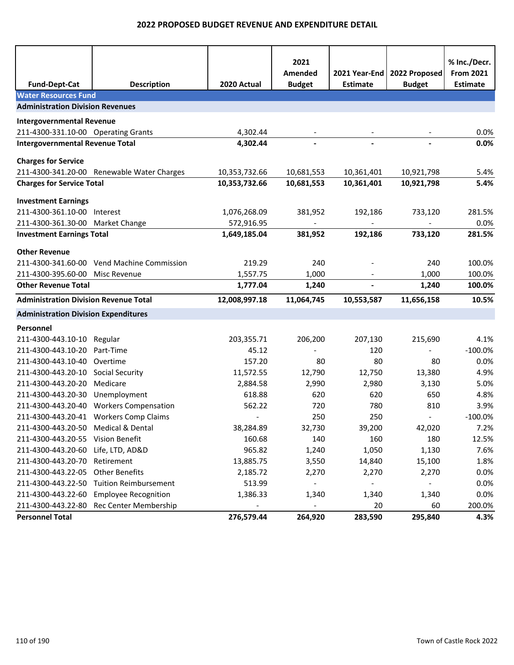| <b>Fund-Dept-Cat</b>                         | <b>Description</b>                         | 2020 Actual              | 2021<br>Amended<br><b>Budget</b> | <b>Estimate</b> | 2021 Year-End   2022 Proposed<br><b>Budget</b> | % Inc./Decr.<br><b>From 2021</b><br><b>Estimate</b> |
|----------------------------------------------|--------------------------------------------|--------------------------|----------------------------------|-----------------|------------------------------------------------|-----------------------------------------------------|
| <b>Water Resources Fund</b>                  |                                            |                          |                                  |                 |                                                |                                                     |
| <b>Administration Division Revenues</b>      |                                            |                          |                                  |                 |                                                |                                                     |
| <b>Intergovernmental Revenue</b>             |                                            |                          |                                  |                 |                                                |                                                     |
| 211-4300-331.10-00 Operating Grants          |                                            | 4,302.44                 |                                  |                 |                                                | 0.0%                                                |
| <b>Intergovernmental Revenue Total</b>       |                                            | 4,302.44                 | $\overline{a}$                   |                 |                                                | 0.0%                                                |
| <b>Charges for Service</b>                   |                                            |                          |                                  |                 |                                                |                                                     |
|                                              | 211-4300-341.20-00 Renewable Water Charges | 10,353,732.66            | 10,681,553                       | 10,361,401      | 10,921,798                                     | 5.4%                                                |
| <b>Charges for Service Total</b>             |                                            | 10,353,732.66            | 10,681,553                       | 10,361,401      | 10,921,798                                     | 5.4%                                                |
|                                              |                                            |                          |                                  |                 |                                                |                                                     |
| <b>Investment Earnings</b>                   |                                            |                          |                                  |                 |                                                |                                                     |
| 211-4300-361.10-00                           | Interest                                   | 1,076,268.09             | 381,952                          | 192,186         | 733,120                                        | 281.5%                                              |
| 211-4300-361.30-00 Market Change             |                                            | 572,916.95               |                                  |                 |                                                | 0.0%                                                |
| <b>Investment Earnings Total</b>             |                                            | 1,649,185.04             | 381,952                          | 192,186         | 733,120                                        | 281.5%                                              |
| <b>Other Revenue</b>                         |                                            |                          |                                  |                 |                                                |                                                     |
| 211-4300-341.60-00                           | <b>Vend Machine Commission</b>             | 219.29                   | 240                              |                 | 240                                            | 100.0%                                              |
| 211-4300-395.60-00                           | Misc Revenue                               | 1,557.75                 | 1,000                            |                 | 1,000                                          | 100.0%                                              |
| <b>Other Revenue Total</b>                   |                                            | 1,777.04                 | 1,240                            | L,              | 1,240                                          | 100.0%                                              |
| <b>Administration Division Revenue Total</b> |                                            | 12,008,997.18            | 11,064,745                       | 10,553,587      | 11,656,158                                     | 10.5%                                               |
| <b>Administration Division Expenditures</b>  |                                            |                          |                                  |                 |                                                |                                                     |
| Personnel                                    |                                            |                          |                                  |                 |                                                |                                                     |
| 211-4300-443.10-10                           | Regular                                    | 203,355.71               | 206,200                          | 207,130         | 215,690                                        | 4.1%                                                |
| 211-4300-443.10-20                           | Part-Time                                  | 45.12                    |                                  | 120             |                                                | $-100.0%$                                           |
| 211-4300-443.10-40 Overtime                  |                                            | 157.20                   | 80                               | 80              | 80                                             | 0.0%                                                |
| 211-4300-443.20-10                           | <b>Social Security</b>                     | 11,572.55                | 12,790                           | 12,750          | 13,380                                         | 4.9%                                                |
| 211-4300-443.20-20                           | Medicare                                   | 2,884.58                 | 2,990                            | 2,980           | 3,130                                          | 5.0%                                                |
| 211-4300-443.20-30                           | Unemployment                               | 618.88                   | 620                              | 620             | 650                                            | 4.8%                                                |
| 211-4300-443.20-40                           | <b>Workers Compensation</b>                | 562.22                   | 720                              | 780             | 810                                            | 3.9%                                                |
|                                              | 211-4300-443.20-41 Workers Comp Claims     | $\overline{\phantom{a}}$ | 250                              | 250             | $\overline{\phantom{a}}$                       | $-100.0%$                                           |
| 211-4300-443.20-50                           | Medical & Dental                           | 38,284.89                | 32,730                           | 39,200          | 42,020                                         | 7.2%                                                |
| 211-4300-443.20-55                           | Vision Benefit                             | 160.68                   | 140                              | 160             | 180                                            | 12.5%                                               |
| 211-4300-443.20-60                           | Life, LTD, AD&D                            | 965.82                   | 1,240                            | 1,050           | 1,130                                          | 7.6%                                                |
| 211-4300-443.20-70                           | Retirement                                 | 13,885.75                | 3,550                            | 14,840          | 15,100                                         | 1.8%                                                |
| 211-4300-443.22-05                           | <b>Other Benefits</b>                      | 2,185.72                 | 2,270                            | 2,270           | 2,270                                          | 0.0%                                                |
| 211-4300-443.22-50                           | <b>Tuition Reimbursement</b>               | 513.99                   |                                  |                 |                                                | 0.0%                                                |
| 211-4300-443.22-60                           | <b>Employee Recognition</b>                | 1,386.33                 | 1,340                            | 1,340           | 1,340                                          | 0.0%                                                |
| 211-4300-443.22-80                           | Rec Center Membership                      |                          | $\overline{\phantom{0}}$         | 20              | 60                                             | 200.0%                                              |
| <b>Personnel Total</b>                       |                                            | 276,579.44               | 264,920                          | 283,590         | 295,840                                        | 4.3%                                                |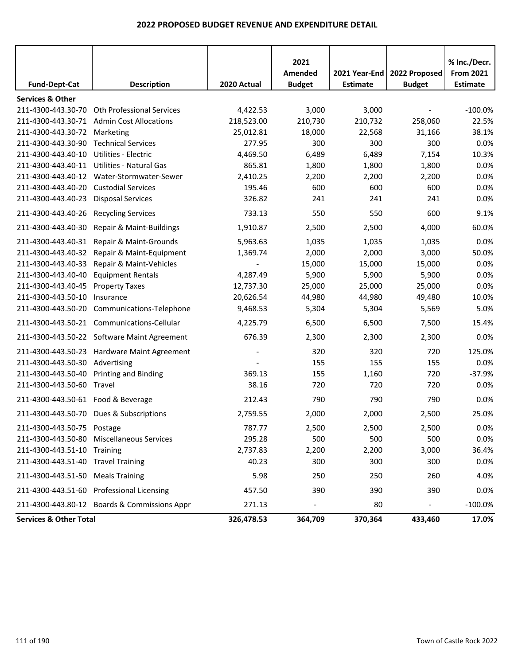|                                    |                                              |             | 2021<br>Amended          | 2021 Year-End   | 2022 Proposed  | % Inc./Decr.<br><b>From 2021</b> |
|------------------------------------|----------------------------------------------|-------------|--------------------------|-----------------|----------------|----------------------------------|
| <b>Fund-Dept-Cat</b>               | <b>Description</b>                           | 2020 Actual | <b>Budget</b>            | <b>Estimate</b> | <b>Budget</b>  | <b>Estimate</b>                  |
| <b>Services &amp; Other</b>        |                                              |             |                          |                 |                |                                  |
| 211-4300-443.30-70                 | <b>Oth Professional Services</b>             | 4,422.53    | 3,000                    | 3,000           |                | $-100.0%$                        |
| 211-4300-443.30-71                 | <b>Admin Cost Allocations</b>                | 218,523.00  | 210,730                  | 210,732         | 258,060        | 22.5%                            |
| 211-4300-443.30-72                 | Marketing                                    | 25,012.81   | 18,000                   | 22,568          | 31,166         | 38.1%                            |
| 211-4300-443.30-90                 | <b>Technical Services</b>                    | 277.95      | 300                      | 300             | 300            | 0.0%                             |
| 211-4300-443.40-10                 | Utilities - Electric                         | 4,469.50    | 6,489                    | 6,489           | 7,154          | 10.3%                            |
| 211-4300-443.40-11                 | Utilities - Natural Gas                      | 865.81      | 1,800                    | 1,800           | 1,800          | 0.0%                             |
| 211-4300-443.40-12                 | Water-Stormwater-Sewer                       | 2,410.25    | 2,200                    | 2,200           | 2,200          | 0.0%                             |
| 211-4300-443.40-20                 | <b>Custodial Services</b>                    | 195.46      | 600                      | 600             | 600            | 0.0%                             |
| 211-4300-443.40-23                 | <b>Disposal Services</b>                     | 326.82      | 241                      | 241             | 241            | 0.0%                             |
| 211-4300-443.40-26                 | <b>Recycling Services</b>                    | 733.13      | 550                      | 550             | 600            | 9.1%                             |
| 211-4300-443.40-30                 | Repair & Maint-Buildings                     | 1,910.87    | 2,500                    | 2,500           | 4,000          | 60.0%                            |
| 211-4300-443.40-31                 | Repair & Maint-Grounds                       | 5,963.63    | 1,035                    | 1,035           | 1,035          | 0.0%                             |
| 211-4300-443.40-32                 | Repair & Maint-Equipment                     | 1,369.74    | 2,000                    | 2,000           | 3,000          | 50.0%                            |
| 211-4300-443.40-33                 | Repair & Maint-Vehicles                      |             | 15,000                   | 15,000          | 15,000         | 0.0%                             |
| 211-4300-443.40-40                 | <b>Equipment Rentals</b>                     | 4,287.49    | 5,900                    | 5,900           | 5,900          | 0.0%                             |
| 211-4300-443.40-45                 | <b>Property Taxes</b>                        | 12,737.30   | 25,000                   | 25,000          | 25,000         | 0.0%                             |
| 211-4300-443.50-10                 | Insurance                                    | 20,626.54   | 44,980                   | 44,980          | 49,480         | 10.0%                            |
| 211-4300-443.50-20                 | Communications-Telephone                     | 9,468.53    | 5,304                    | 5,304           | 5,569          | 5.0%                             |
|                                    | 211-4300-443.50-21 Communications-Cellular   | 4,225.79    | 6,500                    | 6,500           | 7,500          | 15.4%                            |
|                                    | 211-4300-443.50-22 Software Maint Agreement  | 676.39      | 2,300                    | 2,300           | 2,300          | 0.0%                             |
| 211-4300-443.50-23                 | Hardware Maint Agreement                     |             | 320                      | 320             | 720            | 125.0%                           |
| 211-4300-443.50-30                 | Advertising                                  |             | 155                      | 155             | 155            | 0.0%                             |
| 211-4300-443.50-40                 | Printing and Binding                         | 369.13      | 155                      | 1,160           | 720            | $-37.9%$                         |
| 211-4300-443.50-60                 | Travel                                       | 38.16       | 720                      | 720             | 720            | 0.0%                             |
| 211-4300-443.50-61 Food & Beverage |                                              | 212.43      | 790                      | 790             | 790            | 0.0%                             |
|                                    | 211-4300-443.50-70 Dues & Subscriptions      | 2,759.55    | 2,000                    | 2,000           | 2,500          | 25.0%                            |
| 211-4300-443.50-75 Postage         |                                              | 787.77      | 2,500                    | 2,500           | 2,500          | 0.0%                             |
|                                    | 211-4300-443.50-80 Miscellaneous Services    | 295.28      | 500                      | 500             | 500            | 0.0%                             |
| 211-4300-443.51-10 Training        |                                              | 2,737.83    | 2,200                    | 2,200           | 3,000          | 36.4%                            |
| 211-4300-443.51-40 Travel Training |                                              | 40.23       | 300                      | 300             | 300            | 0.0%                             |
| 211-4300-443.51-50 Meals Training  |                                              | 5.98        | 250                      | 250             | 260            | 4.0%                             |
|                                    | 211-4300-443.51-60 Professional Licensing    | 457.50      | 390                      | 390             | 390            | 0.0%                             |
|                                    | 211-4300-443.80-12 Boards & Commissions Appr | 271.13      | $\overline{\phantom{a}}$ | 80              | $\blacksquare$ | $-100.0\%$                       |
| <b>Services &amp; Other Total</b>  |                                              | 326,478.53  | 364,709                  | 370,364         | 433,460        | 17.0%                            |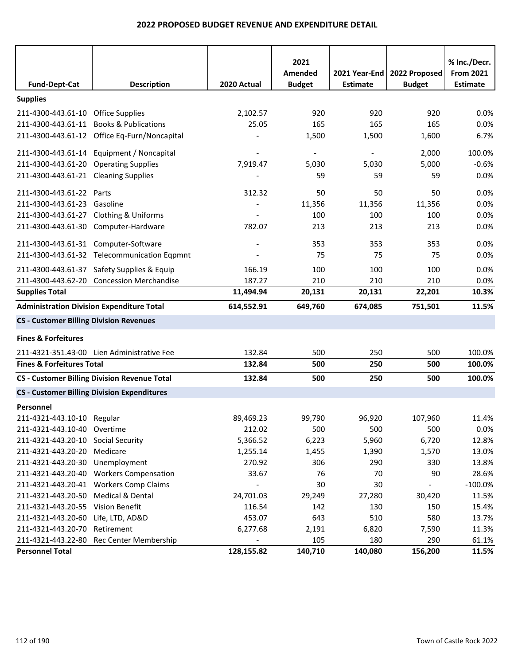|                                                  |                                                     |             | 2021                     |                 |               | % Inc./Decr.     |
|--------------------------------------------------|-----------------------------------------------------|-------------|--------------------------|-----------------|---------------|------------------|
|                                                  |                                                     |             | Amended                  | 2021 Year-End   | 2022 Proposed | <b>From 2021</b> |
| <b>Fund-Dept-Cat</b>                             | <b>Description</b>                                  | 2020 Actual | <b>Budget</b>            | <b>Estimate</b> | <b>Budget</b> | <b>Estimate</b>  |
| <b>Supplies</b>                                  |                                                     |             |                          |                 |               |                  |
| 211-4300-443.61-10 Office Supplies               |                                                     | 2,102.57    | 920                      | 920             | 920           | 0.0%             |
| 211-4300-443.61-11 Books & Publications          |                                                     | 25.05       | 165                      | 165             | 165           | 0.0%             |
|                                                  | 211-4300-443.61-12 Office Eq-Furn/Noncapital        |             | 1,500                    | 1,500           | 1,600         | 6.7%             |
|                                                  | 211-4300-443.61-14 Equipment / Noncapital           |             | $\overline{\phantom{a}}$ | $\blacksquare$  | 2,000         | 100.0%           |
| 211-4300-443.61-20 Operating Supplies            |                                                     | 7,919.47    | 5,030                    | 5,030           | 5,000         | $-0.6%$          |
| 211-4300-443.61-21 Cleaning Supplies             |                                                     |             | 59                       | 59              | 59            | 0.0%             |
| 211-4300-443.61-22 Parts                         |                                                     | 312.32      | 50                       | 50              | 50            | 0.0%             |
| 211-4300-443.61-23 Gasoline                      |                                                     |             | 11,356                   | 11,356          | 11,356        | 0.0%             |
| 211-4300-443.61-27 Clothing & Uniforms           |                                                     |             | 100                      | 100             | 100           | 0.0%             |
| 211-4300-443.61-30 Computer-Hardware             |                                                     | 782.07      | 213                      | 213             | 213           | 0.0%             |
| 211-4300-443.61-31 Computer-Software             |                                                     |             | 353                      | 353             | 353           | 0.0%             |
|                                                  | 211-4300-443.61-32 Telecommunication Eqpmnt         |             | 75                       | 75              | 75            | 0.0%             |
|                                                  | 211-4300-443.61-37 Safety Supplies & Equip          | 166.19      | 100                      | 100             | 100           | 0.0%             |
|                                                  | 211-4300-443.62-20 Concession Merchandise           | 187.27      | 210                      | 210             | 210           | 0.0%             |
| <b>Supplies Total</b>                            |                                                     | 11,494.94   | 20,131                   | 20,131          | 22,201        | 10.3%            |
| <b>Administration Division Expenditure Total</b> |                                                     | 614,552.91  | 649,760                  | 674,085         | 751,501       | 11.5%            |
| <b>CS - Customer Billing Division Revenues</b>   |                                                     |             |                          |                 |               |                  |
| <b>Fines &amp; Forfeitures</b>                   |                                                     |             |                          |                 |               |                  |
|                                                  | 211-4321-351.43-00 Lien Administrative Fee          | 132.84      | 500                      | 250             | 500           | 100.0%           |
| <b>Fines &amp; Forfeitures Total</b>             |                                                     | 132.84      | 500                      | 250             | 500           | 100.0%           |
|                                                  | <b>CS - Customer Billing Division Revenue Total</b> | 132.84      | 500                      | 250             | 500           | 100.0%           |
|                                                  | <b>CS - Customer Billing Division Expenditures</b>  |             |                          |                 |               |                  |
| Personnel                                        |                                                     |             |                          |                 |               |                  |
| 211-4321-443.10-10 Regular                       |                                                     | 89,469.23   | 99,790                   | 96,920          | 107,960       | 11.4%            |
| 211-4321-443.10-40 Overtime                      |                                                     | 212.02      | 500                      | 500             | 500           | 0.0%             |
| 211-4321-443.20-10 Social Security               |                                                     | 5,366.52    | 6,223                    | 5,960           | 6,720         | 12.8%            |
| 211-4321-443.20-20 Medicare                      |                                                     | 1,255.14    | 1,455                    | 1,390           | 1,570         | 13.0%            |
| 211-4321-443.20-30 Unemployment                  |                                                     | 270.92      | 306                      | 290             | 330           | 13.8%            |
|                                                  | 211-4321-443.20-40 Workers Compensation             | 33.67       | 76                       | 70              | 90            | 28.6%            |
|                                                  | 211-4321-443.20-41 Workers Comp Claims              |             | 30                       | 30              |               | $-100.0%$        |
| 211-4321-443.20-50                               | <b>Medical &amp; Dental</b>                         | 24,701.03   | 29,249                   | 27,280          | 30,420        | 11.5%            |
| 211-4321-443.20-55 Vision Benefit                |                                                     | 116.54      | 142                      | 130             | 150           | 15.4%            |
| 211-4321-443.20-60 Life, LTD, AD&D               |                                                     | 453.07      | 643                      | 510             | 580           | 13.7%            |
| 211-4321-443.20-70 Retirement                    |                                                     | 6,277.68    | 2,191                    | 6,820           | 7,590         | 11.3%            |
|                                                  | 211-4321-443.22-80 Rec Center Membership            |             | 105                      | 180             | 290           | 61.1%            |
| <b>Personnel Total</b>                           |                                                     | 128,155.82  | 140,710                  | 140,080         | 156,200       | 11.5%            |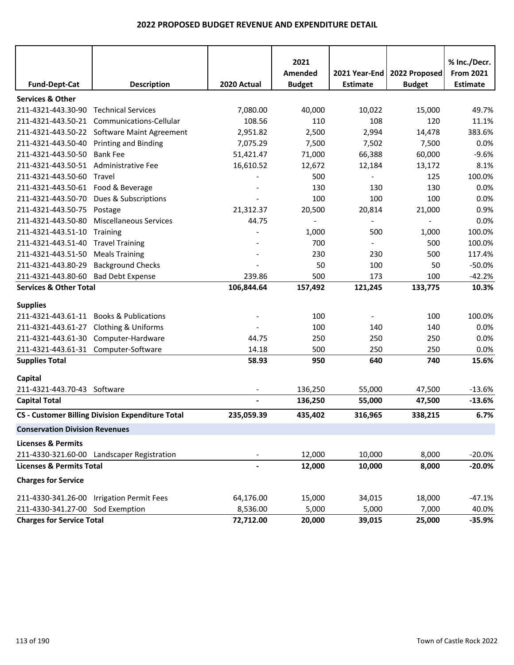| <b>Fund-Dept-Cat</b>                  | <b>Description</b>                                      | 2020 Actual              | 2021<br>Amended<br><b>Budget</b> | 2021 Year-End<br><b>Estimate</b> | 2022 Proposed<br><b>Budget</b> | % Inc./Decr.<br><b>From 2021</b><br><b>Estimate</b> |
|---------------------------------------|---------------------------------------------------------|--------------------------|----------------------------------|----------------------------------|--------------------------------|-----------------------------------------------------|
| <b>Services &amp; Other</b>           |                                                         |                          |                                  |                                  |                                |                                                     |
| 211-4321-443.30-90                    | <b>Technical Services</b>                               | 7,080.00                 | 40,000                           | 10,022                           | 15,000                         | 49.7%                                               |
| 211-4321-443.50-21                    | Communications-Cellular                                 | 108.56                   | 110                              | 108                              | 120                            | 11.1%                                               |
| 211-4321-443.50-22                    | <b>Software Maint Agreement</b>                         | 2,951.82                 | 2,500                            | 2,994                            | 14,478                         | 383.6%                                              |
| 211-4321-443.50-40                    | <b>Printing and Binding</b>                             | 7,075.29                 | 7,500                            | 7,502                            | 7,500                          | 0.0%                                                |
| 211-4321-443.50-50                    | <b>Bank Fee</b>                                         | 51,421.47                | 71,000                           | 66,388                           | 60,000                         | $-9.6%$                                             |
| 211-4321-443.50-51                    | <b>Administrative Fee</b>                               | 16,610.52                | 12,672                           | 12,184                           | 13,172                         | 8.1%                                                |
| 211-4321-443.50-60                    | Travel                                                  |                          | 500                              |                                  | 125                            | 100.0%                                              |
| 211-4321-443.50-61                    | Food & Beverage                                         |                          | 130                              | 130                              | 130                            | 0.0%                                                |
| 211-4321-443.50-70                    | Dues & Subscriptions                                    |                          | 100                              | 100                              | 100                            | 0.0%                                                |
| 211-4321-443.50-75                    | Postage                                                 | 21,312.37                | 20,500                           | 20,814                           | 21,000                         | 0.9%                                                |
| 211-4321-443.50-80                    | <b>Miscellaneous Services</b>                           | 44.75                    | $\overline{\phantom{a}}$         |                                  |                                | 0.0%                                                |
| 211-4321-443.51-10                    | Training                                                |                          | 1,000                            | 500                              | 1,000                          | 100.0%                                              |
| 211-4321-443.51-40                    | <b>Travel Training</b>                                  |                          | 700                              |                                  | 500                            | 100.0%                                              |
| 211-4321-443.51-50                    | <b>Meals Training</b>                                   |                          | 230                              | 230                              | 500                            | 117.4%                                              |
| 211-4321-443.80-29                    | <b>Background Checks</b>                                |                          | 50                               | 100                              | 50                             | $-50.0%$                                            |
| 211-4321-443.80-60                    | <b>Bad Debt Expense</b>                                 | 239.86                   | 500                              | 173                              | 100                            | $-42.2%$                                            |
| <b>Services &amp; Other Total</b>     |                                                         | 106,844.64               | 157,492                          | 121,245                          | 133,775                        | 10.3%                                               |
|                                       |                                                         |                          |                                  |                                  |                                |                                                     |
| <b>Supplies</b><br>211-4321-443.61-11 | <b>Books &amp; Publications</b>                         |                          | 100                              |                                  | 100                            | 100.0%                                              |
| 211-4321-443.61-27                    | Clothing & Uniforms                                     |                          | 100                              | 140                              | 140                            | 0.0%                                                |
| 211-4321-443.61-30                    | Computer-Hardware                                       | 44.75                    | 250                              | 250                              | 250                            | 0.0%                                                |
| 211-4321-443.61-31 Computer-Software  |                                                         | 14.18                    | 500                              | 250                              | 250                            | 0.0%                                                |
| <b>Supplies Total</b>                 |                                                         |                          |                                  | 640                              |                                |                                                     |
|                                       |                                                         | 58.93                    | 950                              |                                  | 740                            | 15.6%                                               |
| Capital                               |                                                         |                          |                                  |                                  |                                |                                                     |
| 211-4321-443.70-43 Software           |                                                         | $\overline{\phantom{a}}$ | 136,250                          | 55,000                           | 47,500                         | $-13.6%$                                            |
| <b>Capital Total</b>                  |                                                         |                          | 136,250                          | 55,000                           | 47,500                         | $-13.6%$                                            |
|                                       | <b>CS - Customer Billing Division Expenditure Total</b> | 235,059.39               | 435,402                          | 316,965                          | 338,215                        | 6.7%                                                |
| <b>Conservation Division Revenues</b> |                                                         |                          |                                  |                                  |                                |                                                     |
| <b>Licenses &amp; Permits</b>         |                                                         |                          |                                  |                                  |                                |                                                     |
|                                       | 211-4330-321.60-00 Landscaper Registration              |                          | 12,000                           | 10,000                           | 8,000                          | $-20.0%$                                            |
| <b>Licenses &amp; Permits Total</b>   |                                                         |                          | 12,000                           | 10,000                           | 8,000                          | $-20.0%$                                            |
| <b>Charges for Service</b>            |                                                         |                          |                                  |                                  |                                |                                                     |
| 211-4330-341.26-00                    | <b>Irrigation Permit Fees</b>                           | 64,176.00                | 15,000                           | 34,015                           | 18,000                         | $-47.1%$                                            |
| 211-4330-341.27-00 Sod Exemption      |                                                         | 8,536.00                 | 5,000                            | 5,000                            | 7,000                          | 40.0%                                               |
| <b>Charges for Service Total</b>      |                                                         | 72,712.00                | 20,000                           | 39,015                           | 25,000                         | $-35.9%$                                            |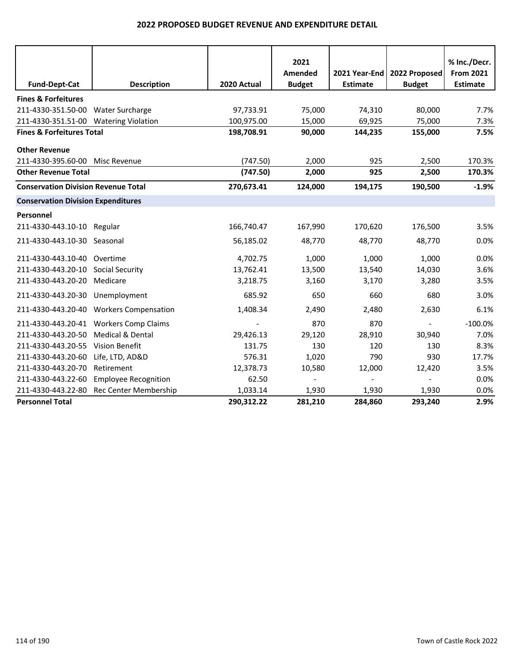|                                            |                                         |             | 2021          |                 |                          | % Inc./Decr.     |
|--------------------------------------------|-----------------------------------------|-------------|---------------|-----------------|--------------------------|------------------|
|                                            |                                         |             | Amended       | 2021 Year-End   | 2022 Proposed            | <b>From 2021</b> |
| <b>Fund-Dept-Cat</b>                       | <b>Description</b>                      | 2020 Actual | <b>Budget</b> | <b>Estimate</b> | <b>Budget</b>            | <b>Estimate</b>  |
| <b>Fines &amp; Forfeitures</b>             |                                         |             |               |                 |                          |                  |
| 211-4330-351.50-00 Water Surcharge         |                                         | 97,733.91   | 75,000        | 74,310          | 80,000                   | 7.7%             |
| 211-4330-351.51-00 Watering Violation      |                                         | 100,975.00  | 15,000        | 69,925          | 75,000                   | 7.3%             |
| <b>Fines &amp; Forfeitures Total</b>       |                                         | 198,708.91  | 90,000        | 144,235         | 155,000                  | 7.5%             |
| <b>Other Revenue</b>                       |                                         |             |               |                 |                          |                  |
| 211-4330-395.60-00                         | Misc Revenue                            | (747.50)    | 2,000         | 925             | 2,500                    | 170.3%           |
| <b>Other Revenue Total</b>                 |                                         | (747.50)    | 2,000         | 925             | 2,500                    | 170.3%           |
| <b>Conservation Division Revenue Total</b> |                                         | 270,673.41  | 124,000       | 194,175         | 190,500                  | $-1.9%$          |
| <b>Conservation Division Expenditures</b>  |                                         |             |               |                 |                          |                  |
| Personnel                                  |                                         |             |               |                 |                          |                  |
| 211-4330-443.10-10 Regular                 |                                         | 166,740.47  | 167,990       | 170,620         | 176,500                  | 3.5%             |
| 211-4330-443.10-30 Seasonal                |                                         | 56,185.02   | 48,770        | 48,770          | 48,770                   | 0.0%             |
| 211-4330-443.10-40                         | Overtime                                | 4,702.75    | 1,000         | 1,000           | 1,000                    | 0.0%             |
| 211-4330-443.20-10 Social Security         |                                         | 13,762.41   | 13,500        | 13,540          | 14,030                   | 3.6%             |
| 211-4330-443.20-20                         | Medicare                                | 3,218.75    | 3,160         | 3,170           | 3,280                    | 3.5%             |
| 211-4330-443.20-30                         | Unemployment                            | 685.92      | 650           | 660             | 680                      | 3.0%             |
|                                            | 211-4330-443.20-40 Workers Compensation | 1,408.34    | 2,490         | 2,480           | 2,630                    | 6.1%             |
|                                            | 211-4330-443.20-41 Workers Comp Claims  |             | 870           | 870             | $\overline{\phantom{a}}$ | $-100.0%$        |
| 211-4330-443.20-50                         | Medical & Dental                        | 29,426.13   | 29,120        | 28,910          | 30,940                   | 7.0%             |
| 211-4330-443.20-55                         | <b>Vision Benefit</b>                   | 131.75      | 130           | 120             | 130                      | 8.3%             |
| 211-4330-443.20-60                         | Life, LTD, AD&D                         | 576.31      | 1,020         | 790             | 930                      | 17.7%            |
| 211-4330-443.20-70                         | Retirement                              | 12,378.73   | 10,580        | 12,000          | 12,420                   | 3.5%             |
| 211-4330-443.22-60                         | <b>Employee Recognition</b>             | 62.50       |               |                 |                          | 0.0%             |
| 211-4330-443.22-80                         | <b>Rec Center Membership</b>            | 1,033.14    | 1,930         | 1,930           | 1,930                    | 0.0%             |
| <b>Personnel Total</b>                     |                                         | 290,312.22  | 281,210       | 284,860         | 293,240                  | 2.9%             |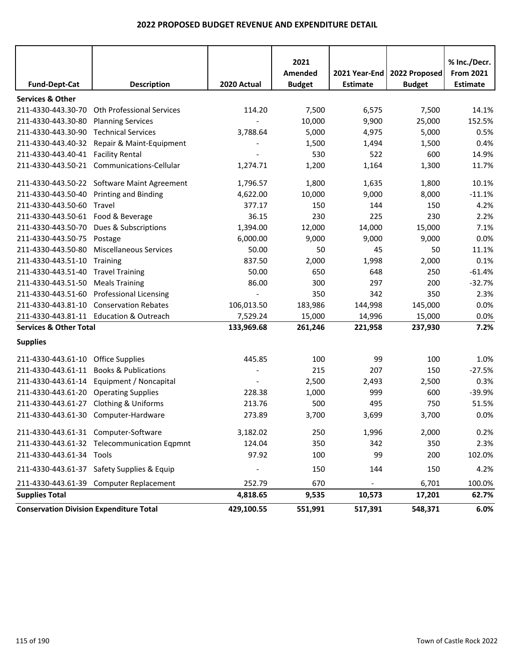|                                                |                                             |             | 2021<br>Amended | 2021 Year-End   | 2022 Proposed | % Inc./Decr.<br><b>From 2021</b> |
|------------------------------------------------|---------------------------------------------|-------------|-----------------|-----------------|---------------|----------------------------------|
| <b>Fund-Dept-Cat</b>                           | <b>Description</b>                          | 2020 Actual | <b>Budget</b>   | <b>Estimate</b> | <b>Budget</b> | <b>Estimate</b>                  |
| <b>Services &amp; Other</b>                    |                                             |             |                 |                 |               |                                  |
| 211-4330-443.30-70                             | <b>Oth Professional Services</b>            | 114.20      | 7,500           | 6,575           | 7,500         | 14.1%                            |
| 211-4330-443.30-80                             | <b>Planning Services</b>                    |             | 10,000          | 9,900           | 25,000        | 152.5%                           |
| 211-4330-443.30-90                             | <b>Technical Services</b>                   | 3,788.64    | 5,000           | 4,975           | 5,000         | 0.5%                             |
| 211-4330-443.40-32                             | Repair & Maint-Equipment                    |             | 1,500           | 1,494           | 1,500         | 0.4%                             |
| 211-4330-443.40-41 Facility Rental             |                                             |             | 530             | 522             | 600           | 14.9%                            |
|                                                | 211-4330-443.50-21 Communications-Cellular  | 1,274.71    | 1,200           | 1,164           | 1,300         | 11.7%                            |
|                                                | 211-4330-443.50-22 Software Maint Agreement | 1,796.57    | 1,800           | 1,635           | 1,800         | 10.1%                            |
| 211-4330-443.50-40                             | <b>Printing and Binding</b>                 | 4,622.00    | 10,000          | 9,000           | 8,000         | $-11.1%$                         |
| 211-4330-443.50-60                             | Travel                                      | 377.17      | 150             | 144             | 150           | 4.2%                             |
| 211-4330-443.50-61                             | Food & Beverage                             | 36.15       | 230             | 225             | 230           | 2.2%                             |
| 211-4330-443.50-70                             | Dues & Subscriptions                        | 1,394.00    | 12,000          | 14,000          | 15,000        | 7.1%                             |
| 211-4330-443.50-75                             | Postage                                     | 6,000.00    | 9,000           | 9,000           | 9,000         | 0.0%                             |
| 211-4330-443.50-80                             | <b>Miscellaneous Services</b>               | 50.00       | 50              | 45              | 50            | 11.1%                            |
| 211-4330-443.51-10                             | Training                                    | 837.50      | 2,000           | 1,998           | 2,000         | 0.1%                             |
| 211-4330-443.51-40                             | <b>Travel Training</b>                      | 50.00       | 650             | 648             | 250           | $-61.4%$                         |
| 211-4330-443.51-50                             | <b>Meals Training</b>                       | 86.00       | 300             | 297             | 200           | $-32.7%$                         |
| 211-4330-443.51-60                             | <b>Professional Licensing</b>               |             | 350             | 342             | 350           | 2.3%                             |
| 211-4330-443.81-10                             | <b>Conservation Rebates</b>                 | 106,013.50  | 183,986         | 144,998         | 145,000       | 0.0%                             |
|                                                | 211-4330-443.81-11 Education & Outreach     | 7,529.24    | 15,000          | 14,996          | 15,000        | 0.0%                             |
| <b>Services &amp; Other Total</b>              |                                             | 133,969.68  | 261,246         | 221,958         | 237,930       | 7.2%                             |
| <b>Supplies</b>                                |                                             |             |                 |                 |               |                                  |
| 211-4330-443.61-10                             | <b>Office Supplies</b>                      | 445.85      | 100             | 99              | 100           | 1.0%                             |
| 211-4330-443.61-11                             | <b>Books &amp; Publications</b>             |             | 215             | 207             | 150           | $-27.5%$                         |
| 211-4330-443.61-14                             | Equipment / Noncapital                      |             | 2,500           | 2,493           | 2,500         | 0.3%                             |
| 211-4330-443.61-20                             | <b>Operating Supplies</b>                   | 228.38      | 1,000           | 999             | 600           | $-39.9%$                         |
| 211-4330-443.61-27                             | <b>Clothing &amp; Uniforms</b>              | 213.76      | 500             | 495             | 750           | 51.5%                            |
|                                                | 211-4330-443.61-30 Computer-Hardware        | 273.89      | 3,700           | 3,699           | 3,700         | 0.0%                             |
| 211-4330-443.61-31 Computer-Software           |                                             | 3,182.02    | 250             | 1,996           | 2,000         | 0.2%                             |
|                                                | 211-4330-443.61-32 Telecommunication Eqpmnt | 124.04      | 350             | 342             | 350           | 2.3%                             |
| 211-4330-443.61-34 Tools                       |                                             | 97.92       | 100             | 99              | 200           | 102.0%                           |
|                                                | 211-4330-443.61-37 Safety Supplies & Equip  |             | 150             | 144             | 150           | 4.2%                             |
|                                                | 211-4330-443.61-39 Computer Replacement     | 252.79      | 670             |                 | 6,701         | 100.0%                           |
| <b>Supplies Total</b>                          |                                             | 4,818.65    | 9,535           | 10,573          | 17,201        | 62.7%                            |
| <b>Conservation Division Expenditure Total</b> |                                             | 429,100.55  | 551,991         | 517,391         | 548,371       | 6.0%                             |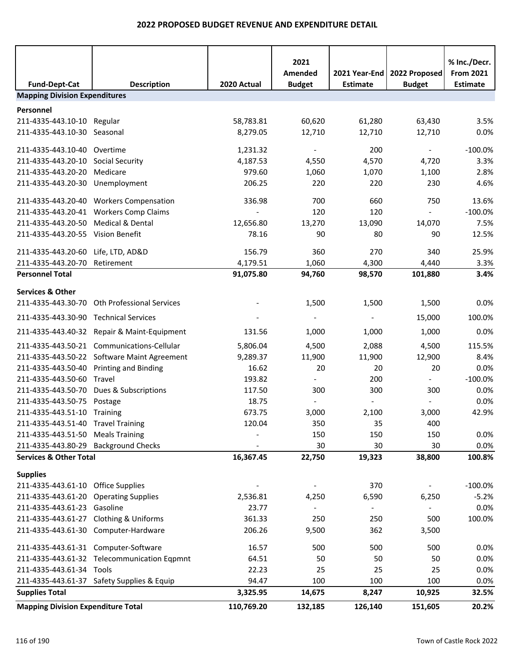|                                           |                                              |                          | 2021                     |                 |                | % Inc./Decr.     |  |  |
|-------------------------------------------|----------------------------------------------|--------------------------|--------------------------|-----------------|----------------|------------------|--|--|
|                                           |                                              |                          | Amended                  | 2021 Year-End   | 2022 Proposed  | <b>From 2021</b> |  |  |
| <b>Fund-Dept-Cat</b>                      | <b>Description</b>                           | 2020 Actual              | <b>Budget</b>            | <b>Estimate</b> | <b>Budget</b>  | <b>Estimate</b>  |  |  |
| <b>Mapping Division Expenditures</b>      |                                              |                          |                          |                 |                |                  |  |  |
| Personnel                                 |                                              |                          |                          |                 |                |                  |  |  |
| 211-4335-443.10-10 Regular                |                                              | 58,783.81                | 60,620                   | 61,280          | 63,430         | 3.5%             |  |  |
| 211-4335-443.10-30 Seasonal               |                                              | 8,279.05                 | 12,710                   | 12,710          | 12,710         | 0.0%             |  |  |
| 211-4335-443.10-40 Overtime               |                                              | 1,231.32                 | $\blacksquare$           | 200             | $\omega$       | $-100.0%$        |  |  |
| 211-4335-443.20-10 Social Security        |                                              | 4,187.53                 | 4,550                    | 4,570           | 4,720          | 3.3%             |  |  |
| 211-4335-443.20-20                        | Medicare                                     | 979.60                   | 1,060                    | 1,070           | 1,100          | 2.8%             |  |  |
| 211-4335-443.20-30 Unemployment           |                                              | 206.25                   | 220                      | 220             | 230            | 4.6%             |  |  |
|                                           | 211-4335-443.20-40 Workers Compensation      | 336.98                   | 700                      | 660             | 750            | 13.6%            |  |  |
|                                           | 211-4335-443.20-41 Workers Comp Claims       |                          | 120                      | 120             |                | $-100.0%$        |  |  |
| 211-4335-443.20-50                        | <b>Medical &amp; Dental</b>                  | 12,656.80                | 13,270                   | 13,090          | 14,070         | 7.5%             |  |  |
| 211-4335-443.20-55 Vision Benefit         |                                              | 78.16                    | 90                       | 80              | 90             | 12.5%            |  |  |
| 211-4335-443.20-60 Life, LTD, AD&D        |                                              | 156.79                   | 360                      | 270             | 340            | 25.9%            |  |  |
| 211-4335-443.20-70                        | Retirement                                   | 4,179.51                 | 1,060                    | 4,300           | 4,440          | 3.3%             |  |  |
| <b>Personnel Total</b>                    |                                              | 91,075.80                | 94,760                   | 98,570          | 101,880        | 3.4%             |  |  |
| <b>Services &amp; Other</b>               |                                              |                          |                          |                 |                |                  |  |  |
|                                           | 211-4335-443.30-70 Oth Professional Services |                          | 1,500                    | 1,500           | 1,500          | 0.0%             |  |  |
| 211-4335-443.30-90 Technical Services     |                                              |                          |                          | $\blacksquare$  | 15,000         | 100.0%           |  |  |
|                                           | 211-4335-443.40-32 Repair & Maint-Equipment  | 131.56                   | 1,000                    | 1,000           | 1,000          | 0.0%             |  |  |
|                                           | 211-4335-443.50-21 Communications-Cellular   | 5,806.04                 | 4,500                    | 2,088           | 4,500          | 115.5%           |  |  |
|                                           | 211-4335-443.50-22 Software Maint Agreement  | 9,289.37                 | 11,900                   | 11,900          | 12,900         | 8.4%             |  |  |
| 211-4335-443.50-40 Printing and Binding   |                                              | 16.62                    | 20                       | 20              | 20             | 0.0%             |  |  |
| 211-4335-443.50-60 Travel                 |                                              | 193.82                   | $\blacksquare$           | 200             | $\sim$         | $-100.0%$        |  |  |
| 211-4335-443.50-70                        | Dues & Subscriptions                         | 117.50                   | 300                      | 300             | 300            | 0.0%             |  |  |
| 211-4335-443.50-75 Postage                |                                              | 18.75                    |                          |                 |                | 0.0%             |  |  |
| 211-4335-443.51-10 Training               |                                              | 673.75                   | 3,000                    | 2,100           | 3,000          | 42.9%            |  |  |
| 211-4335-443.51-40 Travel Training        |                                              | 120.04                   | 350                      | 35              | 400            |                  |  |  |
| 211-4335-443.51-50 Meals Training         |                                              |                          | 150                      | 150             | 150            | 0.0%             |  |  |
| 211-4335-443.80-29 Background Checks      |                                              |                          | 30                       | 30              | 30             | 0.0%             |  |  |
| <b>Services &amp; Other Total</b>         |                                              | 16,367.45                | 22,750                   | 19,323          | 38,800         | 100.8%           |  |  |
| <b>Supplies</b>                           |                                              |                          |                          |                 |                |                  |  |  |
| 211-4335-443.61-10 Office Supplies        |                                              | $\overline{\phantom{a}}$ | $\overline{\phantom{a}}$ | 370             | $\blacksquare$ | $-100.0\%$       |  |  |
| 211-4335-443.61-20 Operating Supplies     |                                              | 2,536.81                 | 4,250                    | 6,590           | 6,250          | $-5.2%$          |  |  |
| 211-4335-443.61-23 Gasoline               |                                              | 23.77                    |                          |                 |                | 0.0%             |  |  |
|                                           | 211-4335-443.61-27 Clothing & Uniforms       | 361.33                   | 250                      | 250             | 500            | 100.0%           |  |  |
|                                           | 211-4335-443.61-30 Computer-Hardware         | 206.26                   | 9,500                    | 362             | 3,500          |                  |  |  |
| 211-4335-443.61-31 Computer-Software      |                                              | 16.57                    | 500                      | 500             | 500            | 0.0%             |  |  |
|                                           | 211-4335-443.61-32 Telecommunication Eqpmnt  | 64.51                    | 50                       | 50              | 50             | 0.0%             |  |  |
| 211-4335-443.61-34 Tools                  |                                              | 22.23                    | 25                       | 25              | 25             | 0.0%             |  |  |
|                                           | 211-4335-443.61-37 Safety Supplies & Equip   | 94.47                    | 100                      | 100             | 100            | 0.0%             |  |  |
| <b>Supplies Total</b>                     |                                              | 3,325.95                 | 14,675                   | 8,247           | 10,925         | 32.5%            |  |  |
| <b>Mapping Division Expenditure Total</b> |                                              | 110,769.20               | 132,185                  | 126,140         | 151,605        | 20.2%            |  |  |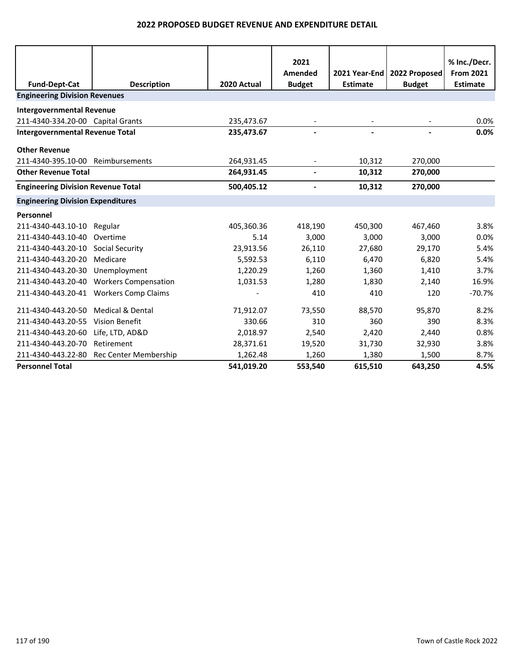|                                           |                                        |             | 2021                     |                 |               | % Inc./Decr.     |
|-------------------------------------------|----------------------------------------|-------------|--------------------------|-----------------|---------------|------------------|
|                                           |                                        |             | Amended                  | 2021 Year-End   | 2022 Proposed | <b>From 2021</b> |
| <b>Fund-Dept-Cat</b>                      | <b>Description</b>                     | 2020 Actual | <b>Budget</b>            | <b>Estimate</b> | <b>Budget</b> | <b>Estimate</b>  |
| <b>Engineering Division Revenues</b>      |                                        |             |                          |                 |               |                  |
| <b>Intergovernmental Revenue</b>          |                                        |             |                          |                 |               |                  |
| 211-4340-334.20-00 Capital Grants         |                                        | 235,473.67  | $\overline{\phantom{a}}$ |                 |               | 0.0%             |
| <b>Intergovernmental Revenue Total</b>    |                                        | 235,473.67  |                          |                 |               | 0.0%             |
| <b>Other Revenue</b>                      |                                        |             |                          |                 |               |                  |
| 211-4340-395.10-00                        | Reimbursements                         | 264,931.45  |                          | 10,312          | 270,000       |                  |
| <b>Other Revenue Total</b>                |                                        | 264,931.45  | $\blacksquare$           | 10,312          | 270,000       |                  |
| <b>Engineering Division Revenue Total</b> |                                        | 500,405.12  | $\overline{\phantom{a}}$ | 10,312          | 270,000       |                  |
| <b>Engineering Division Expenditures</b>  |                                        |             |                          |                 |               |                  |
| Personnel                                 |                                        |             |                          |                 |               |                  |
| 211-4340-443.10-10                        | Regular                                | 405,360.36  | 418,190                  | 450,300         | 467,460       | 3.8%             |
| 211-4340-443.10-40                        | Overtime                               | 5.14        | 3,000                    | 3,000           | 3,000         | 0.0%             |
| 211-4340-443.20-10 Social Security        |                                        | 23,913.56   | 26,110                   | 27,680          | 29,170        | 5.4%             |
| 211-4340-443.20-20                        | Medicare                               | 5,592.53    | 6,110                    | 6,470           | 6,820         | 5.4%             |
| 211-4340-443.20-30                        | Unemployment                           | 1,220.29    | 1,260                    | 1,360           | 1,410         | 3.7%             |
| 211-4340-443.20-40                        | <b>Workers Compensation</b>            | 1,031.53    | 1,280                    | 1,830           | 2,140         | 16.9%            |
|                                           | 211-4340-443.20-41 Workers Comp Claims |             | 410                      | 410             | 120           | $-70.7%$         |
| 211-4340-443.20-50                        | <b>Medical &amp; Dental</b>            | 71,912.07   | 73,550                   | 88,570          | 95,870        | 8.2%             |
| 211-4340-443.20-55                        | <b>Vision Benefit</b>                  | 330.66      | 310                      | 360             | 390           | 8.3%             |
| 211-4340-443.20-60                        | Life, LTD, AD&D                        | 2,018.97    | 2,540                    | 2,420           | 2,440         | 0.8%             |
| 211-4340-443.20-70                        | Retirement                             | 28,371.61   | 19,520                   | 31,730          | 32,930        | 3.8%             |
| 211-4340-443.22-80                        | Rec Center Membership                  | 1,262.48    | 1,260                    | 1,380           | 1,500         | 8.7%             |
| <b>Personnel Total</b>                    |                                        | 541,019.20  | 553,540                  | 615,510         | 643,250       | 4.5%             |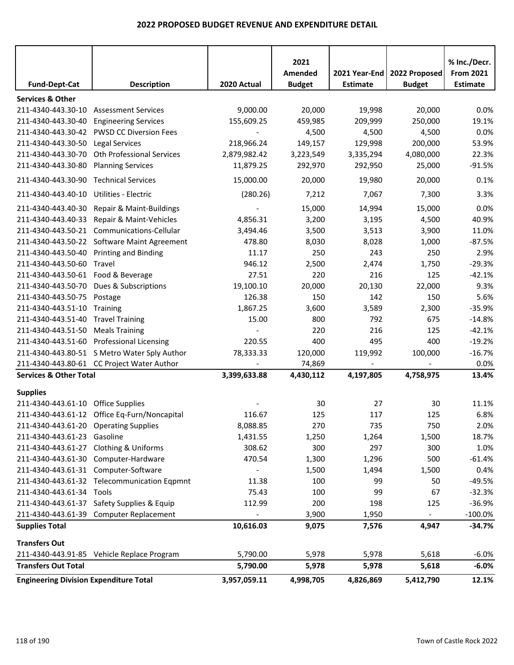|                                               |                                              |              | 2021          |                 |               | % Inc./Decr.     |
|-----------------------------------------------|----------------------------------------------|--------------|---------------|-----------------|---------------|------------------|
|                                               |                                              |              | Amended       | 2021 Year-End   | 2022 Proposed | <b>From 2021</b> |
| <b>Fund-Dept-Cat</b>                          | <b>Description</b>                           | 2020 Actual  | <b>Budget</b> | <b>Estimate</b> | <b>Budget</b> | <b>Estimate</b>  |
| <b>Services &amp; Other</b>                   |                                              |              |               |                 |               |                  |
| 211-4340-443.30-10                            | <b>Assessment Services</b>                   | 9,000.00     | 20,000        | 19,998          | 20,000        | 0.0%             |
| 211-4340-443.30-40                            | <b>Engineering Services</b>                  | 155,609.25   | 459,985       | 209,999         | 250,000       | 19.1%            |
| 211-4340-443.30-42                            | <b>PWSD CC Diversion Fees</b>                |              | 4,500         | 4,500           | 4,500         | 0.0%             |
| 211-4340-443.30-50                            | <b>Legal Services</b>                        | 218,966.24   | 149,157       | 129,998         | 200,000       | 53.9%            |
| 211-4340-443.30-70                            | Oth Professional Services                    | 2,879,982.42 | 3,223,549     | 3,335,294       | 4,080,000     | 22.3%            |
| 211-4340-443.30-80                            | <b>Planning Services</b>                     | 11,879.25    | 292,970       | 292,950         | 25,000        | $-91.5%$         |
| 211-4340-443.30-90                            | <b>Technical Services</b>                    | 15,000.00    | 20,000        | 19,980          | 20,000        | 0.1%             |
| 211-4340-443.40-10                            | Utilities - Electric                         | (280.26)     | 7,212         | 7,067           | 7,300         | 3.3%             |
| 211-4340-443.40-30                            | Repair & Maint-Buildings                     |              | 15,000        | 14,994          | 15,000        | 0.0%             |
| 211-4340-443.40-33                            | Repair & Maint-Vehicles                      | 4,856.31     | 3,200         | 3,195           | 4,500         | 40.9%            |
| 211-4340-443.50-21                            | Communications-Cellular                      | 3,494.46     | 3,500         | 3,513           | 3,900         | 11.0%            |
| 211-4340-443.50-22                            | Software Maint Agreement                     | 478.80       | 8,030         | 8,028           | 1,000         | $-87.5%$         |
| 211-4340-443.50-40                            | <b>Printing and Binding</b>                  | 11.17        | 250           | 243             | 250           | 2.9%             |
| 211-4340-443.50-60                            | Travel                                       | 946.12       | 2,500         | 2,474           | 1,750         | $-29.3%$         |
| 211-4340-443.50-61 Food & Beverage            |                                              | 27.51        | 220           | 216             | 125           | $-42.1%$         |
| 211-4340-443.50-70                            | Dues & Subscriptions                         | 19,100.10    | 20,000        | 20,130          | 22,000        | 9.3%             |
| 211-4340-443.50-75                            | Postage                                      | 126.38       | 150           | 142             | 150           | 5.6%             |
| 211-4340-443.51-10                            | Training                                     | 1,867.25     | 3,600         | 3,589           | 2,300         | $-35.9%$         |
| 211-4340-443.51-40                            | <b>Travel Training</b>                       | 15.00        | 800           | 792             | 675           | $-14.8%$         |
| 211-4340-443.51-50                            | <b>Meals Training</b>                        |              | 220           | 216             | 125           | $-42.1%$         |
| 211-4340-443.51-60                            | <b>Professional Licensing</b>                | 220.55       | 400           | 495             | 400           | $-19.2%$         |
|                                               | 211-4340-443.80-51 S Metro Water Sply Author | 78,333.33    | 120,000       | 119,992         | 100,000       | $-16.7%$         |
|                                               | 211-4340-443.80-61 CC Project Water Author   |              | 74,869        |                 |               | 0.0%             |
| <b>Services &amp; Other Total</b>             |                                              | 3,399,633.88 | 4,430,112     | 4,197,805       | 4,758,975     | 13.4%            |
| <b>Supplies</b>                               |                                              |              |               |                 |               |                  |
| 211-4340-443.61-10                            | <b>Office Supplies</b>                       |              | 30            | 27              | 30            | 11.1%            |
|                                               | 211-4340-443.61-12 Office Eq-Furn/Noncapital | 116.67       | 125           | 117             | 125           | 6.8%             |
| 211-4340-443.61-20 Operating Supplies         |                                              | 8,088.85     | 270           | 735             | 750           | 2.0%             |
| 211-4340-443.61-23 Gasoline                   |                                              | 1,431.55     | 1,250         | 1,264           | 1,500         | 18.7%            |
| 211-4340-443.61-27 Clothing & Uniforms        |                                              | 308.62       | 300           | 297             | 300           | 1.0%             |
|                                               | 211-4340-443.61-30 Computer-Hardware         | 470.54       | 1,300         | 1,296           | 500           | $-61.4%$         |
| 211-4340-443.61-31 Computer-Software          |                                              |              | 1,500         | 1,494           | 1,500         | 0.4%             |
|                                               | 211-4340-443.61-32 Telecommunication Eqpmnt  | 11.38        | 100           | 99              | 50            | $-49.5%$         |
| 211-4340-443.61-34 Tools                      |                                              | 75.43        | 100           | 99              | 67            | $-32.3%$         |
|                                               | 211-4340-443.61-37 Safety Supplies & Equip   | 112.99       | 200           | 198             | 125           | $-36.9%$         |
|                                               | 211-4340-443.61-39 Computer Replacement      |              | 3,900         | 1,950           |               | $-100.0\%$       |
| <b>Supplies Total</b>                         |                                              | 10,616.03    | 9,075         | 7,576           | 4,947         | $-34.7%$         |
|                                               |                                              |              |               |                 |               |                  |
| <b>Transfers Out</b>                          |                                              |              |               |                 |               |                  |
|                                               | 211-4340-443.91-85 Vehicle Replace Program   | 5,790.00     | 5,978         | 5,978           | 5,618         | $-6.0%$          |
| <b>Transfers Out Total</b>                    |                                              | 5,790.00     | 5,978         | 5,978           | 5,618         | $-6.0\%$         |
| <b>Engineering Division Expenditure Total</b> |                                              | 3,957,059.11 | 4,998,705     | 4,826,869       | 5,412,790     | 12.1%            |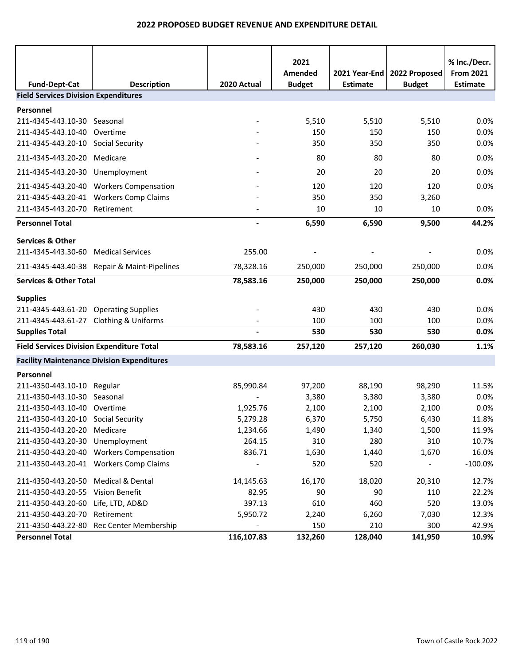|                                                  |                                                   |                          | 2021          |                 |               | % Inc./Decr.     |
|--------------------------------------------------|---------------------------------------------------|--------------------------|---------------|-----------------|---------------|------------------|
|                                                  |                                                   |                          | Amended       | 2021 Year-End   | 2022 Proposed | <b>From 2021</b> |
| <b>Fund-Dept-Cat</b>                             | <b>Description</b>                                | 2020 Actual              | <b>Budget</b> | <b>Estimate</b> | <b>Budget</b> | <b>Estimate</b>  |
| <b>Field Services Division Expenditures</b>      |                                                   |                          |               |                 |               |                  |
| Personnel                                        |                                                   |                          |               |                 |               |                  |
| 211-4345-443.10-30 Seasonal                      |                                                   |                          | 5,510         | 5,510           | 5,510         | 0.0%             |
| 211-4345-443.10-40 Overtime                      |                                                   |                          | 150           | 150             | 150           | 0.0%             |
| 211-4345-443.20-10 Social Security               |                                                   |                          | 350           | 350             | 350           | 0.0%             |
| 211-4345-443.20-20 Medicare                      |                                                   |                          | 80            | 80              | 80            | 0.0%             |
| 211-4345-443.20-30 Unemployment                  |                                                   |                          | 20            | 20              | 20            | 0.0%             |
|                                                  | 211-4345-443.20-40 Workers Compensation           |                          | 120           | 120             | 120           | 0.0%             |
|                                                  | 211-4345-443.20-41 Workers Comp Claims            |                          | 350           | 350             | 3,260         |                  |
| 211-4345-443.20-70 Retirement                    |                                                   |                          | 10            | 10              | 10            | 0.0%             |
| <b>Personnel Total</b>                           |                                                   | $\overline{\phantom{0}}$ | 6,590         | 6,590           | 9,500         | 44.2%            |
| <b>Services &amp; Other</b>                      |                                                   |                          |               |                 |               |                  |
| 211-4345-443.30-60 Medical Services              |                                                   | 255.00                   |               |                 |               | 0.0%             |
|                                                  | 211-4345-443.40-38 Repair & Maint-Pipelines       | 78,328.16                | 250,000       | 250,000         | 250,000       | 0.0%             |
| <b>Services &amp; Other Total</b>                |                                                   | 78,583.16                | 250,000       | 250,000         | 250,000       | 0.0%             |
| <b>Supplies</b>                                  |                                                   |                          |               |                 |               |                  |
| 211-4345-443.61-20 Operating Supplies            |                                                   |                          | 430           | 430             | 430           | 0.0%             |
| 211-4345-443.61-27 Clothing & Uniforms           |                                                   |                          | 100           | 100             | 100           | 0.0%             |
| <b>Supplies Total</b>                            |                                                   |                          | 530           | 530             | 530           | 0.0%             |
| <b>Field Services Division Expenditure Total</b> |                                                   | 78,583.16                | 257,120       | 257,120         | 260,030       | 1.1%             |
|                                                  | <b>Facility Maintenance Division Expenditures</b> |                          |               |                 |               |                  |
| Personnel                                        |                                                   |                          |               |                 |               |                  |
| 211-4350-443.10-10 Regular                       |                                                   | 85,990.84                | 97,200        | 88,190          | 98,290        | 11.5%            |
| 211-4350-443.10-30 Seasonal                      |                                                   |                          | 3,380         | 3,380           | 3,380         | 0.0%             |
| 211-4350-443.10-40 Overtime                      |                                                   | 1,925.76                 | 2,100         | 2,100           | 2,100         | 0.0%             |
| 211-4350-443.20-10 Social Security               |                                                   | 5,279.28                 | 6,370         | 5,750           | 6,430         | 11.8%            |
| 211-4350-443.20-20 Medicare                      |                                                   | 1,234.66                 | 1,490         | 1,340           | 1,500         | 11.9%            |
| 211-4350-443.20-30 Unemployment                  |                                                   | 264.15                   | 310           | 280             | 310           | 10.7%            |
|                                                  | 211-4350-443.20-40 Workers Compensation           | 836.71                   | 1,630         | 1,440           | 1,670         | 16.0%            |
|                                                  | 211-4350-443.20-41 Workers Comp Claims            |                          | 520           | 520             |               | $-100.0%$        |
| 211-4350-443.20-50 Medical & Dental              |                                                   | 14,145.63                | 16,170        | 18,020          | 20,310        | 12.7%            |
| 211-4350-443.20-55 Vision Benefit                |                                                   | 82.95                    | 90            | 90              | 110           | 22.2%            |
| 211-4350-443.20-60 Life, LTD, AD&D               |                                                   | 397.13                   | 610           | 460             | 520           | 13.0%            |
| 211-4350-443.20-70                               | Retirement                                        | 5,950.72                 | 2,240         | 6,260           | 7,030         | 12.3%            |
|                                                  | 211-4350-443.22-80 Rec Center Membership          |                          | 150           | 210             | 300           | 42.9%            |
| <b>Personnel Total</b>                           |                                                   | 116,107.83               | 132,260       | 128,040         | 141,950       | 10.9%            |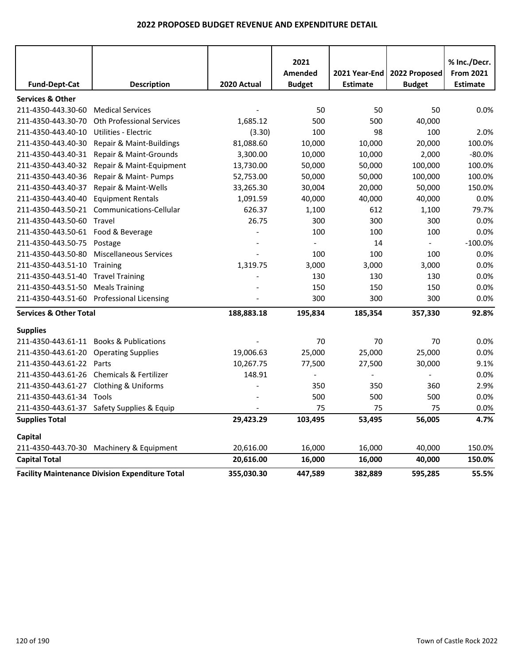|                                        |                                                        |             | 2021           |                 |                | % Inc./Decr.     |
|----------------------------------------|--------------------------------------------------------|-------------|----------------|-----------------|----------------|------------------|
|                                        |                                                        |             | <b>Amended</b> | 2021 Year-End   | 2022 Proposed  | <b>From 2021</b> |
| <b>Fund-Dept-Cat</b>                   | <b>Description</b>                                     | 2020 Actual | <b>Budget</b>  | <b>Estimate</b> | <b>Budget</b>  | <b>Estimate</b>  |
| <b>Services &amp; Other</b>            |                                                        |             |                |                 |                |                  |
| 211-4350-443.30-60                     | <b>Medical Services</b>                                |             | 50             | 50              | 50             | 0.0%             |
| 211-4350-443.30-70                     | <b>Oth Professional Services</b>                       | 1,685.12    | 500            | 500             | 40,000         |                  |
| 211-4350-443.40-10                     | Utilities - Electric                                   | (3.30)      | 100            | 98              | 100            | 2.0%             |
| 211-4350-443.40-30                     | Repair & Maint-Buildings                               | 81,088.60   | 10,000         | 10,000          | 20,000         | 100.0%           |
| 211-4350-443.40-31                     | Repair & Maint-Grounds                                 | 3,300.00    | 10,000         | 10,000          | 2,000          | $-80.0%$         |
| 211-4350-443.40-32                     | Repair & Maint-Equipment                               | 13,730.00   | 50,000         | 50,000          | 100,000        | 100.0%           |
| 211-4350-443.40-36                     | Repair & Maint- Pumps                                  | 52,753.00   | 50,000         | 50,000          | 100,000        | 100.0%           |
| 211-4350-443.40-37                     | Repair & Maint-Wells                                   | 33,265.30   | 30,004         | 20,000          | 50,000         | 150.0%           |
| 211-4350-443.40-40                     | <b>Equipment Rentals</b>                               | 1,091.59    | 40,000         | 40,000          | 40,000         | 0.0%             |
| 211-4350-443.50-21                     | Communications-Cellular                                | 626.37      | 1,100          | 612             | 1,100          | 79.7%            |
| 211-4350-443.50-60 Travel              |                                                        | 26.75       | 300            | 300             | 300            | 0.0%             |
| 211-4350-443.50-61 Food & Beverage     |                                                        |             | 100            | 100             | 100            | 0.0%             |
| 211-4350-443.50-75                     | Postage                                                |             | $\Box$         | 14              | $\blacksquare$ | $-100.0%$        |
| 211-4350-443.50-80                     | Miscellaneous Services                                 |             | 100            | 100             | 100            | 0.0%             |
| 211-4350-443.51-10                     | Training                                               | 1,319.75    | 3,000          | 3,000           | 3,000          | 0.0%             |
| 211-4350-443.51-40                     | <b>Travel Training</b>                                 |             | 130            | 130             | 130            | 0.0%             |
| 211-4350-443.51-50                     | <b>Meals Training</b>                                  |             | 150            | 150             | 150            | 0.0%             |
| 211-4350-443.51-60                     | <b>Professional Licensing</b>                          |             | 300            | 300             | 300            | 0.0%             |
| <b>Services &amp; Other Total</b>      |                                                        | 188,883.18  | 195,834        | 185,354         | 357,330        | 92.8%            |
|                                        |                                                        |             |                |                 |                |                  |
| <b>Supplies</b><br>211-4350-443.61-11  | <b>Books &amp; Publications</b>                        |             | 70             | 70              | 70             | 0.0%             |
| 211-4350-443.61-20                     | <b>Operating Supplies</b>                              | 19,006.63   | 25,000         | 25,000          | 25,000         | 0.0%             |
| 211-4350-443.61-22                     | Parts                                                  | 10,267.75   | 77,500         | 27,500          | 30,000         | 9.1%             |
|                                        | 211-4350-443.61-26 Chemicals & Fertilizer              | 148.91      |                |                 |                | 0.0%             |
| 211-4350-443.61-27 Clothing & Uniforms |                                                        |             | 350            | 350             | 360            | 2.9%             |
| 211-4350-443.61-34 Tools               |                                                        |             | 500            | 500             | 500            | 0.0%             |
|                                        | 211-4350-443.61-37 Safety Supplies & Equip             |             | 75             | 75              | 75             | 0.0%             |
| <b>Supplies Total</b>                  |                                                        | 29,423.29   | 103,495        | 53,495          | 56,005         | 4.7%             |
|                                        |                                                        |             |                |                 |                |                  |
| Capital                                |                                                        |             |                |                 |                |                  |
|                                        | 211-4350-443.70-30 Machinery & Equipment               | 20,616.00   | 16,000         | 16,000          | 40,000         | 150.0%           |
| <b>Capital Total</b>                   |                                                        | 20,616.00   | 16,000         | 16,000          | 40,000         | 150.0%           |
|                                        | <b>Facility Maintenance Division Expenditure Total</b> | 355,030.30  | 447,589        | 382,889         | 595,285        | 55.5%            |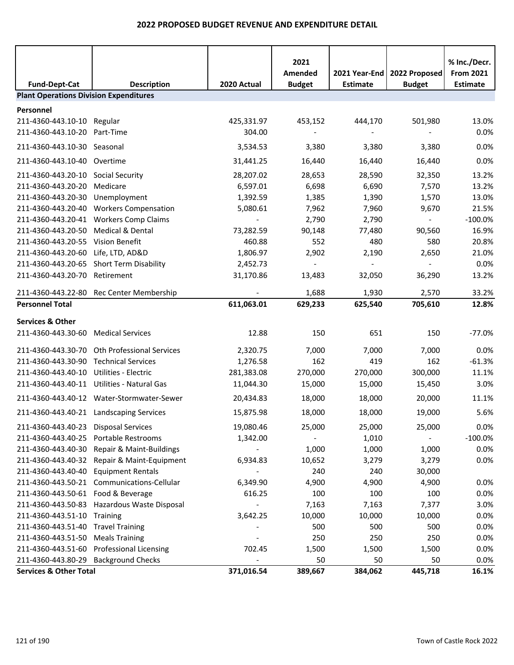|                                               |                                              |                          | 2021<br>Amended | 2021 Year-End            | 2022 Proposed | % Inc./Decr.<br><b>From 2021</b> |
|-----------------------------------------------|----------------------------------------------|--------------------------|-----------------|--------------------------|---------------|----------------------------------|
| <b>Fund-Dept-Cat</b>                          | <b>Description</b>                           | 2020 Actual              | <b>Budget</b>   | <b>Estimate</b>          | <b>Budget</b> | <b>Estimate</b>                  |
| <b>Plant Operations Division Expenditures</b> |                                              |                          |                 |                          |               |                                  |
| Personnel                                     |                                              |                          |                 |                          |               |                                  |
| 211-4360-443.10-10 Regular                    |                                              | 425,331.97               | 453,152         | 444,170                  | 501,980       | 13.0%                            |
| 211-4360-443.10-20 Part-Time                  |                                              | 304.00                   |                 | $\overline{\phantom{a}}$ |               | 0.0%                             |
| 211-4360-443.10-30 Seasonal                   |                                              | 3,534.53                 | 3,380           | 3,380                    | 3,380         | 0.0%                             |
| 211-4360-443.10-40 Overtime                   |                                              | 31,441.25                | 16,440          | 16,440                   | 16,440        | 0.0%                             |
| 211-4360-443.20-10 Social Security            |                                              | 28,207.02                | 28,653          | 28,590                   | 32,350        | 13.2%                            |
| 211-4360-443.20-20                            | Medicare                                     | 6,597.01                 | 6,698           | 6,690                    | 7,570         | 13.2%                            |
| 211-4360-443.20-30                            | Unemployment                                 | 1,392.59                 | 1,385           | 1,390                    | 1,570         | 13.0%                            |
| 211-4360-443.20-40                            | <b>Workers Compensation</b>                  | 5,080.61                 | 7,962           | 7,960                    | 9,670         | 21.5%                            |
|                                               | 211-4360-443.20-41 Workers Comp Claims       | $\overline{\phantom{a}}$ | 2,790           | 2,790                    | $\sim$        | $-100.0%$                        |
| 211-4360-443.20-50                            | Medical & Dental                             | 73,282.59                | 90,148          | 77,480                   | 90,560        | 16.9%                            |
| 211-4360-443.20-55                            | Vision Benefit                               | 460.88                   | 552             | 480                      | 580           | 20.8%                            |
| 211-4360-443.20-60                            | Life, LTD, AD&D                              | 1,806.97                 | 2,902           | 2,190                    | 2,650         | 21.0%                            |
| 211-4360-443.20-65                            | <b>Short Term Disability</b>                 | 2,452.73                 | $\blacksquare$  | $\overline{\phantom{a}}$ | $\sim$        | 0.0%                             |
| 211-4360-443.20-70 Retirement                 |                                              | 31,170.86                | 13,483          | 32,050                   | 36,290        | 13.2%                            |
|                                               | 211-4360-443.22-80 Rec Center Membership     |                          | 1,688           | 1,930                    | 2,570         | 33.2%                            |
| <b>Personnel Total</b>                        |                                              | 611,063.01               | 629,233         | 625,540                  | 705,610       | 12.8%                            |
| <b>Services &amp; Other</b>                   |                                              |                          |                 |                          |               |                                  |
| 211-4360-443.30-60                            | <b>Medical Services</b>                      | 12.88                    | 150             | 651                      | 150           | $-77.0%$                         |
|                                               |                                              |                          |                 |                          |               |                                  |
|                                               | 211-4360-443.30-70 Oth Professional Services | 2,320.75                 | 7,000           | 7,000                    | 7,000         | 0.0%                             |
| 211-4360-443.30-90 Technical Services         |                                              | 1,276.58                 | 162             | 419                      | 162           | $-61.3%$                         |
| 211-4360-443.40-10                            | Utilities - Electric                         | 281,383.08               | 270,000         | 270,000                  | 300,000       | 11.1%                            |
|                                               | 211-4360-443.40-11 Utilities - Natural Gas   | 11,044.30                | 15,000          | 15,000                   | 15,450        | 3.0%                             |
|                                               | 211-4360-443.40-12 Water-Stormwater-Sewer    | 20,434.83                | 18,000          | 18,000                   | 20,000        | 11.1%                            |
|                                               | 211-4360-443.40-21 Landscaping Services      | 15,875.98                | 18,000          | 18,000                   | 19,000        | 5.6%                             |
| 211-4360-443.40-23                            | <b>Disposal Services</b>                     | 19,080.46                | 25,000          | 25,000                   | 25,000        | 0.0%                             |
| 211-4360-443.40-25                            | Portable Restrooms                           | 1,342.00                 |                 | 1,010                    |               | $-100.0%$                        |
| 211-4360-443.40-30                            | Repair & Maint-Buildings                     |                          | 1,000           | 1,000                    | 1,000         | 0.0%                             |
| 211-4360-443.40-32                            | Repair & Maint-Equipment                     | 6,934.83                 | 10,652          | 3,279                    | 3,279         | 0.0%                             |
| 211-4360-443.40-40                            | <b>Equipment Rentals</b>                     |                          | 240             | 240                      | 30,000        |                                  |
| 211-4360-443.50-21                            | Communications-Cellular                      | 6,349.90                 | 4,900           | 4,900                    | 4,900         | 0.0%                             |
| 211-4360-443.50-61 Food & Beverage            |                                              | 616.25                   | 100             | 100                      | 100           | 0.0%                             |
| 211-4360-443.50-83                            | Hazardous Waste Disposal                     |                          | 7,163           | 7,163                    | 7,377         | 3.0%                             |
| 211-4360-443.51-10                            | Training                                     | 3,642.25                 | 10,000          | 10,000                   | 10,000        | 0.0%                             |
| 211-4360-443.51-40                            | <b>Travel Training</b>                       |                          | 500             | 500                      | 500           | 0.0%                             |
| 211-4360-443.51-50                            | <b>Meals Training</b>                        |                          | 250             | 250                      | 250           | 0.0%                             |
| 211-4360-443.51-60                            | <b>Professional Licensing</b>                | 702.45                   | 1,500           | 1,500                    | 1,500         | 0.0%                             |
| 211-4360-443.80-29                            | <b>Background Checks</b>                     |                          | 50              | 50                       | 50            | 0.0%                             |
| <b>Services &amp; Other Total</b>             |                                              | 371,016.54               | 389,667         | 384,062                  | 445,718       | 16.1%                            |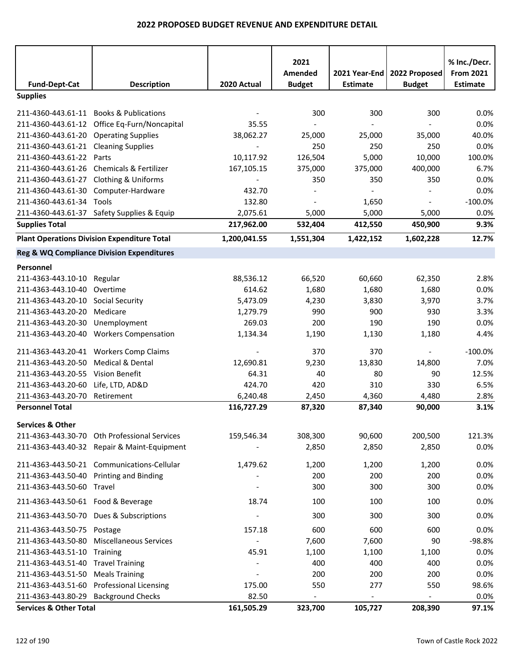|                                         |                                                      |              | 2021                     |                 |                | % Inc./Decr.     |
|-----------------------------------------|------------------------------------------------------|--------------|--------------------------|-----------------|----------------|------------------|
|                                         |                                                      |              | Amended                  | 2021 Year-End   | 2022 Proposed  | <b>From 2021</b> |
| <b>Fund-Dept-Cat</b>                    | <b>Description</b>                                   | 2020 Actual  | <b>Budget</b>            | <b>Estimate</b> | <b>Budget</b>  | <b>Estimate</b>  |
| <b>Supplies</b>                         |                                                      |              |                          |                 |                |                  |
| 211-4360-443.61-11 Books & Publications |                                                      |              | 300                      | 300             | 300            | 0.0%             |
|                                         | 211-4360-443.61-12 Office Eq-Furn/Noncapital         | 35.55        |                          |                 |                | 0.0%             |
| 211-4360-443.61-20 Operating Supplies   |                                                      | 38,062.27    | 25,000                   | 25,000          | 35,000         | 40.0%            |
| 211-4360-443.61-21 Cleaning Supplies    |                                                      |              | 250                      | 250             | 250            | 0.0%             |
| 211-4360-443.61-22                      | Parts                                                | 10,117.92    | 126,504                  | 5,000           | 10,000         | 100.0%           |
| 211-4360-443.61-26                      | Chemicals & Fertilizer                               | 167,105.15   | 375,000                  | 375,000         | 400,000        | 6.7%             |
| 211-4360-443.61-27                      | <b>Clothing &amp; Uniforms</b>                       |              | 350                      | 350             | 350            | 0.0%             |
| 211-4360-443.61-30                      | Computer-Hardware                                    | 432.70       |                          |                 |                | 0.0%             |
| 211-4360-443.61-34 Tools                |                                                      | 132.80       |                          | 1,650           |                | $-100.0%$        |
|                                         | 211-4360-443.61-37 Safety Supplies & Equip           | 2,075.61     | 5,000                    | 5,000           | 5,000          | 0.0%             |
| <b>Supplies Total</b>                   |                                                      | 217,962.00   | 532,404                  | 412,550         | 450,900        | 9.3%             |
|                                         | <b>Plant Operations Division Expenditure Total</b>   | 1,200,041.55 | 1,551,304                | 1,422,152       | 1,602,228      | 12.7%            |
|                                         | <b>Reg &amp; WQ Compliance Division Expenditures</b> |              |                          |                 |                |                  |
| Personnel                               |                                                      |              |                          |                 |                |                  |
| 211-4363-443.10-10                      | Regular                                              | 88,536.12    | 66,520                   | 60,660          | 62,350         | 2.8%             |
| 211-4363-443.10-40                      | Overtime                                             | 614.62       | 1,680                    | 1,680           | 1,680          | 0.0%             |
| 211-4363-443.20-10 Social Security      |                                                      | 5,473.09     | 4,230                    | 3,830           | 3,970          | 3.7%             |
| 211-4363-443.20-20                      | Medicare                                             | 1,279.79     | 990                      | 900             | 930            | 3.3%             |
| 211-4363-443.20-30                      | Unemployment                                         | 269.03       | 200                      | 190             | 190            | 0.0%             |
| 211-4363-443.20-40                      | <b>Workers Compensation</b>                          | 1,134.34     | 1,190                    | 1,130           | 1,180          | 4.4%             |
| 211-4363-443.20-41                      | <b>Workers Comp Claims</b>                           |              | 370                      | 370             | $\blacksquare$ | $-100.0%$        |
| 211-4363-443.20-50                      | <b>Medical &amp; Dental</b>                          | 12,690.81    | 9,230                    | 13,830          | 14,800         | 7.0%             |
| 211-4363-443.20-55                      | <b>Vision Benefit</b>                                | 64.31        | 40                       | 80              | 90             | 12.5%            |
| 211-4363-443.20-60                      | Life, LTD, AD&D                                      | 424.70       | 420                      | 310             | 330            | 6.5%             |
| 211-4363-443.20-70                      | Retirement                                           | 6,240.48     | 2,450                    | 4,360           | 4,480          | 2.8%             |
| <b>Personnel Total</b>                  |                                                      | 116,727.29   | 87,320                   | 87,340          | 90,000         | 3.1%             |
|                                         |                                                      |              |                          |                 |                |                  |
| <b>Services &amp; Other</b>             |                                                      |              |                          |                 |                |                  |
|                                         | 211-4363-443.30-70 Oth Professional Services         | 159,546.34   | 308,300                  | 90,600          | 200,500        | 121.3%           |
|                                         | 211-4363-443.40-32 Repair & Maint-Equipment          |              | 2,850                    | 2,850           | 2,850          | 0.0%             |
|                                         | 211-4363-443.50-21 Communications-Cellular           | 1,479.62     | 1,200                    | 1,200           | 1,200          | 0.0%             |
| 211-4363-443.50-40 Printing and Binding |                                                      |              | 200                      | 200             | 200            | 0.0%             |
| 211-4363-443.50-60 Travel               |                                                      |              | 300                      | 300             | 300            | 0.0%             |
| 211-4363-443.50-61 Food & Beverage      |                                                      | 18.74        | 100                      | 100             | 100            | 0.0%             |
|                                         | 211-4363-443.50-70 Dues & Subscriptions              |              | 300                      | 300             | 300            | 0.0%             |
| 211-4363-443.50-75                      | Postage                                              | 157.18       | 600                      | 600             | 600            | 0.0%             |
| 211-4363-443.50-80                      | <b>Miscellaneous Services</b>                        |              | 7,600                    | 7,600           | 90             | $-98.8%$         |
| 211-4363-443.51-10 Training             |                                                      | 45.91        | 1,100                    | 1,100           | 1,100          | 0.0%             |
| 211-4363-443.51-40 Travel Training      |                                                      |              | 400                      | 400             | 400            | 0.0%             |
| 211-4363-443.51-50                      | <b>Meals Training</b>                                |              | 200                      | 200             | 200            | 0.0%             |
| 211-4363-443.51-60                      | <b>Professional Licensing</b>                        | 175.00       | 550                      | 277             | 550            | 98.6%            |
| 211-4363-443.80-29                      | <b>Background Checks</b>                             | 82.50        | $\overline{\phantom{a}}$ |                 | $\blacksquare$ | 0.0%             |
| <b>Services &amp; Other Total</b>       |                                                      | 161,505.29   | 323,700                  | 105,727         | 208,390        | 97.1%            |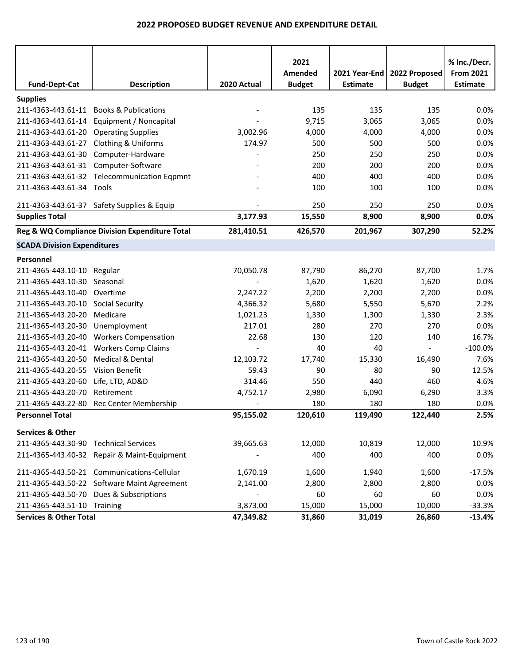| <b>Fund-Dept-Cat</b>                  | <b>Description</b>                             | 2020 Actual | 2021<br>Amended<br><b>Budget</b> | 2021 Year-End<br><b>Estimate</b> | 2022 Proposed<br><b>Budget</b> | % Inc./Decr.<br><b>From 2021</b><br><b>Estimate</b> |
|---------------------------------------|------------------------------------------------|-------------|----------------------------------|----------------------------------|--------------------------------|-----------------------------------------------------|
| <b>Supplies</b>                       |                                                |             |                                  |                                  |                                |                                                     |
| 211-4363-443.61-11                    | <b>Books &amp; Publications</b>                |             | 135                              | 135                              | 135                            | 0.0%                                                |
| 211-4363-443.61-14                    | Equipment / Noncapital                         |             | 9,715                            | 3,065                            | 3,065                          | 0.0%                                                |
| 211-4363-443.61-20                    | <b>Operating Supplies</b>                      | 3,002.96    | 4,000                            | 4,000                            | 4,000                          | 0.0%                                                |
| 211-4363-443.61-27                    | <b>Clothing &amp; Uniforms</b>                 | 174.97      | 500                              | 500                              | 500                            | 0.0%                                                |
| 211-4363-443.61-30                    | Computer-Hardware                              |             | 250                              | 250                              | 250                            | 0.0%                                                |
| 211-4363-443.61-31 Computer-Software  |                                                |             | 200                              | 200                              | 200                            | 0.0%                                                |
|                                       | 211-4363-443.61-32 Telecommunication Eqpmnt    |             | 400                              | 400                              | 400                            | 0.0%                                                |
| 211-4363-443.61-34 Tools              |                                                |             | 100                              | 100                              | 100                            | 0.0%                                                |
|                                       | 211-4363-443.61-37 Safety Supplies & Equip     |             | 250                              | 250                              | 250                            | 0.0%                                                |
| <b>Supplies Total</b>                 |                                                | 3,177.93    | 15,550                           | 8,900                            | 8,900                          | 0.0%                                                |
|                                       | Reg & WQ Compliance Division Expenditure Total | 281,410.51  | 426,570                          | 201,967                          | 307,290                        | 52.2%                                               |
| <b>SCADA Division Expenditures</b>    |                                                |             |                                  |                                  |                                |                                                     |
| Personnel                             |                                                |             |                                  |                                  |                                |                                                     |
| 211-4365-443.10-10 Regular            |                                                | 70,050.78   | 87,790                           | 86,270                           | 87,700                         | 1.7%                                                |
| 211-4365-443.10-30                    | Seasonal                                       |             | 1,620                            | 1,620                            | 1,620                          | 0.0%                                                |
| 211-4365-443.10-40 Overtime           |                                                | 2,247.22    | 2,200                            | 2,200                            | 2,200                          | 0.0%                                                |
| 211-4365-443.20-10                    | <b>Social Security</b>                         | 4,366.32    | 5,680                            | 5,550                            | 5,670                          | 2.2%                                                |
| 211-4365-443.20-20                    | Medicare                                       | 1,021.23    | 1,330                            | 1,300                            | 1,330                          | 2.3%                                                |
| 211-4365-443.20-30                    | Unemployment                                   | 217.01      | 280                              | 270                              | 270                            | 0.0%                                                |
| 211-4365-443.20-40                    | <b>Workers Compensation</b>                    | 22.68       | 130                              | 120                              | 140                            | 16.7%                                               |
| 211-4365-443.20-41                    | <b>Workers Comp Claims</b>                     |             | 40                               | 40                               | $\overline{\phantom{a}}$       | $-100.0%$                                           |
| 211-4365-443.20-50                    | Medical & Dental                               | 12,103.72   | 17,740                           | 15,330                           | 16,490                         | 7.6%                                                |
| 211-4365-443.20-55 Vision Benefit     |                                                | 59.43       | 90                               | 80                               | 90                             | 12.5%                                               |
| 211-4365-443.20-60                    | Life, LTD, AD&D                                | 314.46      | 550                              | 440                              | 460                            | 4.6%                                                |
| 211-4365-443.20-70                    | Retirement                                     | 4,752.17    | 2,980                            | 6,090                            | 6,290                          | 3.3%                                                |
| 211-4365-443.22-80                    | Rec Center Membership                          |             | 180                              | 180                              | 180                            | 0.0%                                                |
| <b>Personnel Total</b>                |                                                | 95,155.02   | 120,610                          | 119,490                          | 122,440                        | 2.5%                                                |
| <b>Services &amp; Other</b>           |                                                |             |                                  |                                  |                                |                                                     |
| 211-4365-443.30-90 Technical Services |                                                | 39,665.63   | 12,000                           | 10,819                           | 12,000                         | 10.9%                                               |
|                                       | 211-4365-443.40-32 Repair & Maint-Equipment    |             | 400                              | 400                              | 400                            | 0.0%                                                |
|                                       | 211-4365-443.50-21 Communications-Cellular     | 1,670.19    | 1,600                            | 1,940                            | 1,600                          | $-17.5%$                                            |
|                                       | 211-4365-443.50-22 Software Maint Agreement    | 2,141.00    | 2,800                            | 2,800                            | 2,800                          | 0.0%                                                |
|                                       | 211-4365-443.50-70 Dues & Subscriptions        |             | 60                               | 60                               | 60                             | 0.0%                                                |
| 211-4365-443.51-10 Training           |                                                | 3,873.00    | 15,000                           | 15,000                           | 10,000                         | $-33.3%$                                            |
| <b>Services &amp; Other Total</b>     |                                                | 47,349.82   | 31,860                           | 31,019                           | 26,860                         | $-13.4%$                                            |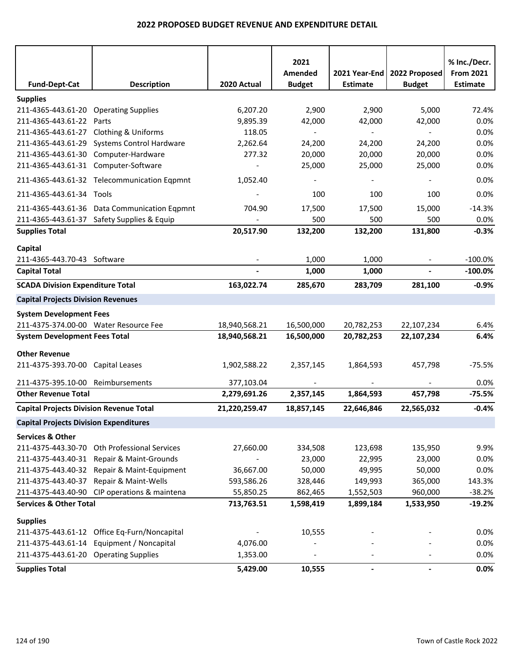| <b>Fund-Dept-Cat</b>                           | <b>Description</b>                           | 2020 Actual   | 2021<br>Amended<br><b>Budget</b> | 2021 Year-End<br><b>Estimate</b> | 2022 Proposed<br><b>Budget</b> | % Inc./Decr.<br><b>From 2021</b><br><b>Estimate</b> |
|------------------------------------------------|----------------------------------------------|---------------|----------------------------------|----------------------------------|--------------------------------|-----------------------------------------------------|
| <b>Supplies</b>                                |                                              |               |                                  |                                  |                                |                                                     |
| 211-4365-443.61-20 Operating Supplies          |                                              | 6,207.20      | 2,900                            | 2,900                            | 5,000                          | 72.4%                                               |
| 211-4365-443.61-22                             | Parts                                        | 9,895.39      | 42,000                           | 42,000                           | 42,000                         | 0.0%                                                |
| 211-4365-443.61-27 Clothing & Uniforms         |                                              | 118.05        |                                  |                                  | $\overline{\phantom{a}}$       | 0.0%                                                |
|                                                | 211-4365-443.61-29 Systems Control Hardware  | 2,262.64      | 24,200                           | 24,200                           | 24,200                         | 0.0%                                                |
| 211-4365-443.61-30 Computer-Hardware           |                                              | 277.32        | 20,000                           | 20,000                           | 20,000                         | 0.0%                                                |
| 211-4365-443.61-31 Computer-Software           |                                              |               | 25,000                           | 25,000                           | 25,000                         | 0.0%                                                |
|                                                | 211-4365-443.61-32 Telecommunication Eqpmnt  | 1,052.40      |                                  |                                  |                                | 0.0%                                                |
| 211-4365-443.61-34 Tools                       |                                              |               | 100                              | 100                              | 100                            | 0.0%                                                |
|                                                | 211-4365-443.61-36 Data Communication Eqpmnt | 704.90        | 17,500                           | 17,500                           | 15,000                         | $-14.3%$                                            |
|                                                | 211-4365-443.61-37 Safety Supplies & Equip   |               | 500                              | 500                              | 500                            | 0.0%                                                |
| <b>Supplies Total</b>                          |                                              | 20,517.90     | 132,200                          | 132,200                          | 131,800                        | $-0.3%$                                             |
| Capital                                        |                                              |               |                                  |                                  |                                |                                                     |
| 211-4365-443.70-43 Software                    |                                              |               | 1,000                            | 1,000                            |                                | $-100.0%$                                           |
| <b>Capital Total</b>                           |                                              |               | 1,000                            | 1,000                            |                                | $-100.0\%$                                          |
| <b>SCADA Division Expenditure Total</b>        |                                              | 163,022.74    | 285,670                          | 283,709                          | 281,100                        | $-0.9%$                                             |
|                                                |                                              |               |                                  |                                  |                                |                                                     |
| <b>Capital Projects Division Revenues</b>      |                                              |               |                                  |                                  |                                |                                                     |
| <b>System Development Fees</b>                 |                                              |               |                                  |                                  |                                |                                                     |
| 211-4375-374.00-00 Water Resource Fee          |                                              | 18,940,568.21 | 16,500,000                       | 20,782,253                       | 22,107,234                     | 6.4%                                                |
| <b>System Development Fees Total</b>           |                                              | 18,940,568.21 | 16,500,000                       | 20,782,253                       | 22,107,234                     | 6.4%                                                |
| <b>Other Revenue</b>                           |                                              |               |                                  |                                  |                                |                                                     |
| 211-4375-393.70-00 Capital Leases              |                                              | 1,902,588.22  | 2,357,145                        | 1,864,593                        | 457,798                        | $-75.5%$                                            |
| 211-4375-395.10-00 Reimbursements              |                                              | 377,103.04    |                                  |                                  |                                | 0.0%                                                |
| <b>Other Revenue Total</b>                     |                                              | 2,279,691.26  | 2,357,145                        | 1,864,593                        | 457,798                        | $-75.5%$                                            |
| <b>Capital Projects Division Revenue Total</b> |                                              | 21,220,259.47 | 18,857,145                       | 22,646,846                       | 22,565,032                     | $-0.4%$                                             |
| <b>Capital Projects Division Expenditures</b>  |                                              |               |                                  |                                  |                                |                                                     |
| <b>Services &amp; Other</b>                    |                                              |               |                                  |                                  |                                |                                                     |
| 211-4375-443.30-70                             | Oth Professional Services                    | 27,660.00     | 334,508                          | 123,698                          | 135,950                        | 9.9%                                                |
| 211-4375-443.40-31                             | Repair & Maint-Grounds                       |               | 23,000                           | 22,995                           | 23,000                         | 0.0%                                                |
| 211-4375-443.40-32                             | Repair & Maint-Equipment                     | 36,667.00     | 50,000                           | 49,995                           | 50,000                         | 0.0%                                                |
| 211-4375-443.40-37                             | Repair & Maint-Wells                         | 593,586.26    | 328,446                          | 149,993                          | 365,000                        | 143.3%                                              |
| 211-4375-443.40-90                             | CIP operations & maintena                    | 55,850.25     | 862,465                          | 1,552,503                        | 960,000                        | $-38.2%$                                            |
| <b>Services &amp; Other Total</b>              |                                              | 713,763.51    | 1,598,419                        | 1,899,184                        | 1,533,950                      | $-19.2%$                                            |
| <b>Supplies</b>                                |                                              |               |                                  |                                  |                                |                                                     |
|                                                | 211-4375-443.61-12 Office Eq-Furn/Noncapital |               | 10,555                           |                                  |                                | 0.0%                                                |
| 211-4375-443.61-14                             | Equipment / Noncapital                       | 4,076.00      |                                  |                                  |                                | 0.0%                                                |
| 211-4375-443.61-20 Operating Supplies          |                                              | 1,353.00      |                                  |                                  |                                | 0.0%                                                |
| <b>Supplies Total</b>                          |                                              | 5,429.00      | 10,555                           |                                  |                                | 0.0%                                                |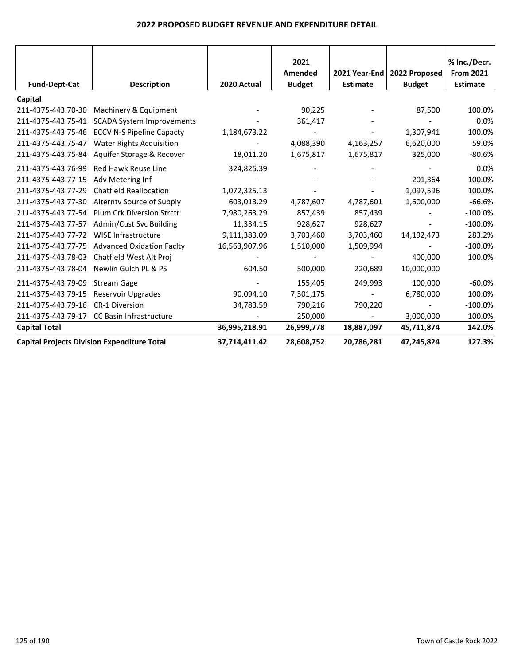|                      |                                                    |               | 2021                     |                                  |                                | % Inc./Decr.                        |
|----------------------|----------------------------------------------------|---------------|--------------------------|----------------------------------|--------------------------------|-------------------------------------|
| <b>Fund-Dept-Cat</b> | <b>Description</b>                                 | 2020 Actual   | Amended<br><b>Budget</b> | 2021 Year-End<br><b>Estimate</b> | 2022 Proposed<br><b>Budget</b> | <b>From 2021</b><br><b>Estimate</b> |
|                      |                                                    |               |                          |                                  |                                |                                     |
| Capital              |                                                    |               |                          |                                  |                                |                                     |
| 211-4375-443.70-30   | Machinery & Equipment                              |               | 90,225                   |                                  | 87,500                         | 100.0%                              |
| 211-4375-443.75-41   | <b>SCADA System Improvements</b>                   |               | 361,417                  |                                  |                                | 0.0%                                |
| 211-4375-443.75-46   | <b>ECCV N-S Pipeline Capacty</b>                   | 1,184,673.22  |                          |                                  | 1,307,941                      | 100.0%                              |
| 211-4375-443.75-47   | <b>Water Rights Acquisition</b>                    |               | 4,088,390                | 4,163,257                        | 6,620,000                      | 59.0%                               |
| 211-4375-443.75-84   | Aquifer Storage & Recover                          | 18,011.20     | 1,675,817                | 1,675,817                        | 325,000                        | $-80.6%$                            |
| 211-4375-443.76-99   | <b>Red Hawk Reuse Line</b>                         | 324,825.39    |                          |                                  |                                | 0.0%                                |
| 211-4375-443.77-15   | Adv Metering Inf                                   |               |                          |                                  | 201,364                        | 100.0%                              |
| 211-4375-443.77-29   | <b>Chatfield Reallocation</b>                      | 1,072,325.13  |                          |                                  | 1,097,596                      | 100.0%                              |
| 211-4375-443.77-30   | Alternty Source of Supply                          | 603,013.29    | 4,787,607                | 4,787,601                        | 1,600,000                      | $-66.6%$                            |
| 211-4375-443.77-54   | Plum Crk Diversion Strctr                          | 7,980,263.29  | 857,439                  | 857,439                          |                                | $-100.0%$                           |
| 211-4375-443.77-57   | Admin/Cust Svc Building                            | 11,334.15     | 928,627                  | 928,627                          |                                | $-100.0%$                           |
| 211-4375-443.77-72   | <b>WISE Infrastructure</b>                         | 9,111,383.09  | 3,703,460                | 3,703,460                        | 14,192,473                     | 283.2%                              |
| 211-4375-443.77-75   | <b>Advanced Oxidation Facity</b>                   | 16,563,907.96 | 1,510,000                | 1,509,994                        |                                | $-100.0%$                           |
| 211-4375-443.78-03   | Chatfield West Alt Proj                            |               |                          |                                  | 400,000                        | 100.0%                              |
| 211-4375-443.78-04   | Newlin Gulch PL & PS                               | 604.50        | 500,000                  | 220,689                          | 10,000,000                     |                                     |
| 211-4375-443.79-09   | <b>Stream Gage</b>                                 |               | 155,405                  | 249,993                          | 100,000                        | $-60.0%$                            |
| 211-4375-443.79-15   | <b>Reservoir Upgrades</b>                          | 90,094.10     | 7,301,175                |                                  | 6,780,000                      | 100.0%                              |
| 211-4375-443.79-16   | <b>CR-1 Diversion</b>                              | 34,783.59     | 790,216                  | 790,220                          |                                | $-100.0%$                           |
| 211-4375-443.79-17   | CC Basin Infrastructure                            |               | 250,000                  |                                  | 3,000,000                      | 100.0%                              |
| <b>Capital Total</b> |                                                    | 36,995,218.91 | 26,999,778               | 18,887,097                       | 45,711,874                     | 142.0%                              |
|                      | <b>Capital Projects Division Expenditure Total</b> | 37,714,411.42 | 28,608,752               | 20,786,281                       | 47,245,824                     | 127.3%                              |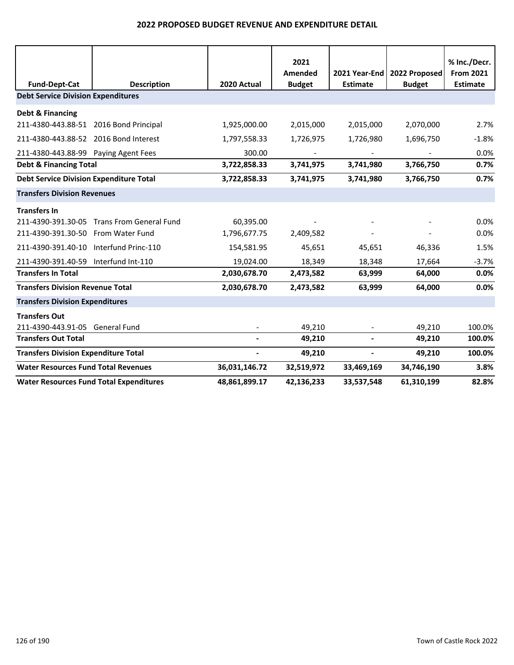| <b>Fund-Dept-Cat</b>                           | <b>Description</b>                         | 2020 Actual    | 2021<br>Amended<br><b>Budget</b> | 2021 Year-End<br><b>Estimate</b> | 2022 Proposed<br><b>Budget</b> | % Inc./Decr.<br><b>From 2021</b><br><b>Estimate</b> |
|------------------------------------------------|--------------------------------------------|----------------|----------------------------------|----------------------------------|--------------------------------|-----------------------------------------------------|
| <b>Debt Service Division Expenditures</b>      |                                            |                |                                  |                                  |                                |                                                     |
| <b>Debt &amp; Financing</b>                    |                                            |                |                                  |                                  |                                |                                                     |
| 211-4380-443.88-51 2016 Bond Principal         |                                            | 1,925,000.00   | 2,015,000                        | 2,015,000                        | 2,070,000                      | 2.7%                                                |
| 211-4380-443.88-52 2016 Bond Interest          |                                            | 1,797,558.33   | 1,726,975                        | 1,726,980                        | 1,696,750                      | $-1.8%$                                             |
| 211-4380-443.88-99 Paying Agent Fees           |                                            | 300.00         |                                  |                                  |                                | 0.0%                                                |
| <b>Debt &amp; Financing Total</b>              |                                            | 3,722,858.33   | 3,741,975                        | 3,741,980                        | 3,766,750                      | 0.7%                                                |
| <b>Debt Service Division Expenditure Total</b> |                                            | 3,722,858.33   | 3,741,975                        | 3,741,980                        | 3,766,750                      | 0.7%                                                |
| <b>Transfers Division Revenues</b>             |                                            |                |                                  |                                  |                                |                                                     |
| <b>Transfers In</b>                            |                                            |                |                                  |                                  |                                |                                                     |
|                                                | 211-4390-391.30-05 Trans From General Fund | 60,395.00      |                                  |                                  |                                | 0.0%                                                |
| 211-4390-391.30-50 From Water Fund             |                                            | 1,796,677.75   | 2,409,582                        |                                  |                                | 0.0%                                                |
| 211-4390-391.40-10 Interfund Princ-110         |                                            | 154,581.95     | 45,651                           | 45,651                           | 46,336                         | 1.5%                                                |
| 211-4390-391.40-59 Interfund Int-110           |                                            | 19,024.00      | 18,349                           | 18,348                           | 17,664                         | $-3.7%$                                             |
| <b>Transfers In Total</b>                      |                                            | 2,030,678.70   | 2,473,582                        | 63,999                           | 64,000                         | 0.0%                                                |
| <b>Transfers Division Revenue Total</b>        |                                            | 2,030,678.70   | 2,473,582                        | 63,999                           | 64,000                         | 0.0%                                                |
| <b>Transfers Division Expenditures</b>         |                                            |                |                                  |                                  |                                |                                                     |
| <b>Transfers Out</b>                           |                                            |                |                                  |                                  |                                |                                                     |
| 211-4390-443.91-05 General Fund                |                                            |                | 49,210                           |                                  | 49,210                         | 100.0%                                              |
| <b>Transfers Out Total</b>                     |                                            | $\blacksquare$ | 49,210                           | $\overline{\phantom{a}}$         | 49,210                         | 100.0%                                              |
| <b>Transfers Division Expenditure Total</b>    |                                            | $\blacksquare$ | 49,210                           | $\overline{\phantom{a}}$         | 49,210                         | 100.0%                                              |
| <b>Water Resources Fund Total Revenues</b>     |                                            | 36,031,146.72  | 32,519,972                       | 33,469,169                       | 34,746,190                     | 3.8%                                                |
| <b>Water Resources Fund Total Expenditures</b> |                                            | 48,861,899.17  | 42,136,233                       | 33,537,548                       | 61,310,199                     | 82.8%                                               |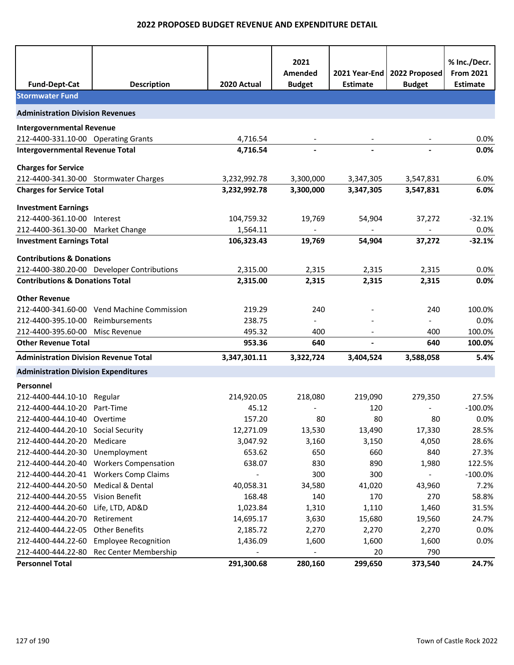| <b>Fund-Dept-Cat</b>                         | <b>Description</b>                                        | 2020 Actual      | 2021<br>Amended<br><b>Budget</b> | 2021 Year-End<br><b>Estimate</b> | 2022 Proposed<br><b>Budget</b> | % Inc./Decr.<br><b>From 2021</b><br><b>Estimate</b> |
|----------------------------------------------|-----------------------------------------------------------|------------------|----------------------------------|----------------------------------|--------------------------------|-----------------------------------------------------|
| <b>Stormwater Fund</b>                       |                                                           |                  |                                  |                                  |                                |                                                     |
| <b>Administration Division Revenues</b>      |                                                           |                  |                                  |                                  |                                |                                                     |
| <b>Intergovernmental Revenue</b>             |                                                           |                  |                                  |                                  |                                |                                                     |
| 212-4400-331.10-00 Operating Grants          |                                                           | 4,716.54         |                                  |                                  |                                | 0.0%                                                |
| <b>Intergovernmental Revenue Total</b>       |                                                           | 4,716.54         |                                  |                                  |                                | 0.0%                                                |
|                                              |                                                           |                  |                                  |                                  |                                |                                                     |
| <b>Charges for Service</b>                   | 212-4400-341.30-00 Stormwater Charges                     | 3,232,992.78     | 3,300,000                        | 3,347,305                        | 3,547,831                      | 6.0%                                                |
| <b>Charges for Service Total</b>             |                                                           | 3,232,992.78     | 3,300,000                        | 3,347,305                        | 3,547,831                      | 6.0%                                                |
|                                              |                                                           |                  |                                  |                                  |                                |                                                     |
| <b>Investment Earnings</b>                   |                                                           |                  |                                  |                                  |                                |                                                     |
| 212-4400-361.10-00 Interest                  |                                                           | 104,759.32       | 19,769                           | 54,904                           | 37,272                         | $-32.1%$                                            |
| 212-4400-361.30-00 Market Change             |                                                           | 1,564.11         |                                  |                                  |                                | 0.0%                                                |
| <b>Investment Earnings Total</b>             |                                                           | 106,323.43       | 19,769                           | 54,904                           | 37,272                         | $-32.1%$                                            |
| <b>Contributions &amp; Donations</b>         |                                                           |                  |                                  |                                  |                                |                                                     |
|                                              | 212-4400-380.20-00 Developer Contributions                | 2,315.00         | 2,315                            | 2,315                            | 2,315                          | 0.0%                                                |
| <b>Contributions &amp; Donations Total</b>   |                                                           | 2,315.00         | 2,315                            | 2,315                            | 2,315                          | 0.0%                                                |
| <b>Other Revenue</b>                         |                                                           |                  |                                  |                                  |                                |                                                     |
|                                              | 212-4400-341.60-00 Vend Machine Commission                | 219.29           | 240                              |                                  | 240                            | 100.0%                                              |
| 212-4400-395.10-00                           | Reimbursements                                            | 238.75           |                                  |                                  |                                | 0.0%                                                |
| 212-4400-395.60-00                           | Misc Revenue                                              | 495.32           | 400                              |                                  | 400                            | 100.0%                                              |
| <b>Other Revenue Total</b>                   |                                                           | 953.36           | 640                              |                                  | 640                            | 100.0%                                              |
| <b>Administration Division Revenue Total</b> |                                                           | 3,347,301.11     | 3,322,724                        | 3,404,524                        | 3,588,058                      | 5.4%                                                |
|                                              |                                                           |                  |                                  |                                  |                                |                                                     |
| <b>Administration Division Expenditures</b>  |                                                           |                  |                                  |                                  |                                |                                                     |
| Personnel                                    |                                                           |                  |                                  |                                  |                                |                                                     |
| 212-4400-444.10-10 Regular                   |                                                           | 214,920.05       | 218,080                          | 219,090                          | 279,350                        | 27.5%                                               |
| 212-4400-444.10-20 Part-Time                 |                                                           | 45.12            |                                  | 120                              |                                | $-100.0%$                                           |
| 212-4400-444.10-40 Overtime                  |                                                           | 157.20           | 80                               | 80                               | 80                             | 0.0%                                                |
| 212-4400-444.20-10 Social Security           |                                                           | 12,271.09        | 13,530                           | 13,490                           | 17,330                         | 28.5%                                               |
| 212-4400-444.20-20                           | Medicare                                                  | 3,047.92         | 3,160                            | 3,150                            | 4,050                          | 28.6%                                               |
| 212-4400-444.20-30<br>212-4400-444.20-40     | Unemployment                                              | 653.62<br>638.07 | 650                              | 660<br>890                       | 840                            | 27.3%<br>122.5%                                     |
| 212-4400-444.20-41                           | <b>Workers Compensation</b><br><b>Workers Comp Claims</b> |                  | 830<br>300                       | 300                              | 1,980                          | $-100.0%$                                           |
| 212-4400-444.20-50                           | Medical & Dental                                          | 40,058.31        | 34,580                           | 41,020                           | 43,960                         | 7.2%                                                |
| 212-4400-444.20-55                           | Vision Benefit                                            | 168.48           | 140                              | 170                              | 270                            | 58.8%                                               |
| 212-4400-444.20-60                           | Life, LTD, AD&D                                           | 1,023.84         | 1,310                            | 1,110                            | 1,460                          | 31.5%                                               |
| 212-4400-444.20-70                           | Retirement                                                | 14,695.17        | 3,630                            | 15,680                           | 19,560                         | 24.7%                                               |
| 212-4400-444.22-05                           | <b>Other Benefits</b>                                     | 2,185.72         | 2,270                            | 2,270                            | 2,270                          | 0.0%                                                |
| 212-4400-444.22-60                           | <b>Employee Recognition</b>                               | 1,436.09         | 1,600                            | 1,600                            | 1,600                          | 0.0%                                                |
| 212-4400-444.22-80                           | Rec Center Membership                                     |                  |                                  | 20                               | 790                            |                                                     |
| <b>Personnel Total</b>                       |                                                           | 291,300.68       | 280,160                          | 299,650                          | 373,540                        | 24.7%                                               |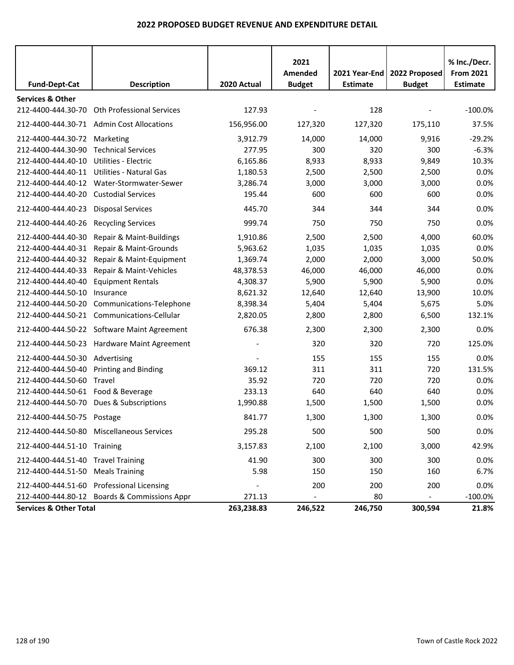| <b>Fund-Dept-Cat</b>               | <b>Description</b>                           | 2020 Actual | 2021<br>Amended<br><b>Budget</b> | <b>Estimate</b> | 2021 Year-End   2022 Proposed<br><b>Budget</b> | % Inc./Decr.<br><b>From 2021</b><br><b>Estimate</b> |
|------------------------------------|----------------------------------------------|-------------|----------------------------------|-----------------|------------------------------------------------|-----------------------------------------------------|
| <b>Services &amp; Other</b>        |                                              |             |                                  |                 |                                                |                                                     |
| 212-4400-444.30-70                 | <b>Oth Professional Services</b>             | 127.93      |                                  | 128             |                                                | $-100.0%$                                           |
|                                    | 212-4400-444.30-71 Admin Cost Allocations    | 156,956.00  | 127,320                          | 127,320         | 175,110                                        | 37.5%                                               |
| 212-4400-444.30-72 Marketing       |                                              | 3,912.79    | 14,000                           | 14,000          | 9,916                                          | $-29.2%$                                            |
| 212-4400-444.30-90                 | <b>Technical Services</b>                    | 277.95      | 300                              | 320             | 300                                            | $-6.3%$                                             |
| 212-4400-444.40-10                 | Utilities - Electric                         | 6,165.86    | 8,933                            | 8,933           | 9,849                                          | 10.3%                                               |
| 212-4400-444.40-11                 | Utilities - Natural Gas                      | 1,180.53    | 2,500                            | 2,500           | 2,500                                          | 0.0%                                                |
| 212-4400-444.40-12                 | Water-Stormwater-Sewer                       | 3,286.74    | 3,000                            | 3,000           | 3,000                                          | 0.0%                                                |
| 212-4400-444.40-20                 | <b>Custodial Services</b>                    | 195.44      | 600                              | 600             | 600                                            | 0.0%                                                |
| 212-4400-444.40-23                 |                                              |             |                                  |                 |                                                | 0.0%                                                |
|                                    | <b>Disposal Services</b>                     | 445.70      | 344                              | 344             | 344                                            |                                                     |
| 212-4400-444.40-26                 | <b>Recycling Services</b>                    | 999.74      | 750                              | 750             | 750                                            | 0.0%                                                |
| 212-4400-444.40-30                 | Repair & Maint-Buildings                     | 1,910.86    | 2,500                            | 2,500           | 4,000                                          | 60.0%                                               |
| 212-4400-444.40-31                 | Repair & Maint-Grounds                       | 5,963.62    | 1,035                            | 1,035           | 1,035                                          | 0.0%                                                |
| 212-4400-444.40-32                 | Repair & Maint-Equipment                     | 1,369.74    | 2,000                            | 2,000           | 3,000                                          | 50.0%                                               |
| 212-4400-444.40-33                 | Repair & Maint-Vehicles                      | 48,378.53   | 46,000                           | 46,000          | 46,000                                         | 0.0%                                                |
| 212-4400-444.40-40                 | <b>Equipment Rentals</b>                     | 4,308.37    | 5,900                            | 5,900           | 5,900                                          | 0.0%                                                |
| 212-4400-444.50-10                 | Insurance                                    | 8,621.32    | 12,640                           | 12,640          | 13,900                                         | 10.0%                                               |
| 212-4400-444.50-20                 | Communications-Telephone                     | 8,398.34    | 5,404                            | 5,404           | 5,675                                          | 5.0%                                                |
|                                    | 212-4400-444.50-21 Communications-Cellular   | 2,820.05    | 2,800                            | 2,800           | 6,500                                          | 132.1%                                              |
|                                    | 212-4400-444.50-22 Software Maint Agreement  | 676.38      | 2,300                            | 2,300           | 2,300                                          | 0.0%                                                |
|                                    | 212-4400-444.50-23 Hardware Maint Agreement  |             | 320                              | 320             | 720                                            | 125.0%                                              |
| 212-4400-444.50-30                 | Advertising                                  |             | 155                              | 155             | 155                                            | 0.0%                                                |
| 212-4400-444.50-40                 | <b>Printing and Binding</b>                  | 369.12      | 311                              | 311             | 720                                            | 131.5%                                              |
| 212-4400-444.50-60                 | Travel                                       | 35.92       | 720                              | 720             | 720                                            | 0.0%                                                |
| 212-4400-444.50-61 Food & Beverage |                                              | 233.13      | 640                              | 640             | 640                                            | 0.0%                                                |
| 212-4400-444.50-70                 | Dues & Subscriptions                         | 1,990.88    | 1,500                            | 1,500           | 1,500                                          | 0.0%                                                |
| 212-4400-444.50-75                 | Postage                                      | 841.77      | 1,300                            | 1,300           | 1,300                                          | 0.0%                                                |
|                                    | 212-4400-444.50-80 Miscellaneous Services    | 295.28      | 500                              | 500             | 500                                            | 0.0%                                                |
| 212-4400-444.51-10 Training        |                                              | 3,157.83    | 2,100                            | 2,100           | 3,000                                          | 42.9%                                               |
| 212-4400-444.51-40 Travel Training |                                              | 41.90       | 300                              | 300             | 300                                            | 0.0%                                                |
| 212-4400-444.51-50                 | <b>Meals Training</b>                        | 5.98        | 150                              | 150             | 160                                            | 6.7%                                                |
| 212-4400-444.51-60                 | <b>Professional Licensing</b>                |             | 200                              | 200             | 200                                            | 0.0%                                                |
|                                    | 212-4400-444.80-12 Boards & Commissions Appr | 271.13      | $\overline{\phantom{a}}$         | 80              | ÷,                                             | $-100.0%$                                           |
| <b>Services &amp; Other Total</b>  |                                              | 263,238.83  | 246,522                          | 246,750         | 300,594                                        | 21.8%                                               |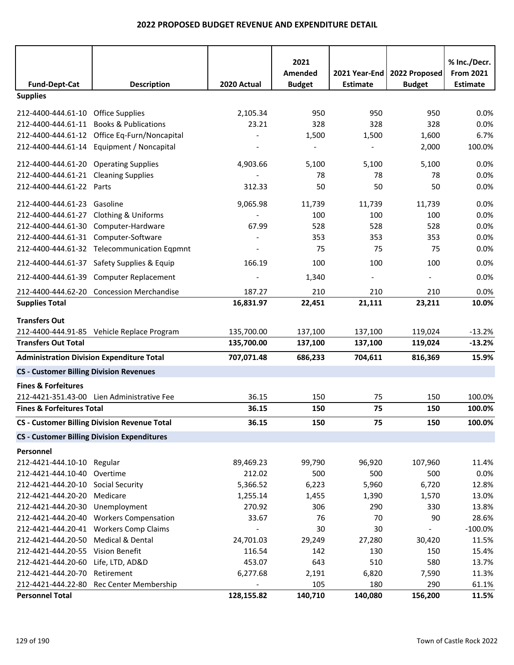|                                                  |                                                     |             | 2021          |                 |                               | % Inc./Decr.     |
|--------------------------------------------------|-----------------------------------------------------|-------------|---------------|-----------------|-------------------------------|------------------|
|                                                  |                                                     |             | Amended       |                 | 2021 Year-End   2022 Proposed | <b>From 2021</b> |
| <b>Fund-Dept-Cat</b>                             | <b>Description</b>                                  | 2020 Actual | <b>Budget</b> | <b>Estimate</b> | <b>Budget</b>                 | <b>Estimate</b>  |
| <b>Supplies</b>                                  |                                                     |             |               |                 |                               |                  |
| 212-4400-444.61-10 Office Supplies               |                                                     | 2,105.34    | 950           | 950             | 950                           | 0.0%             |
| 212-4400-444.61-11 Books & Publications          |                                                     | 23.21       | 328           | 328             | 328                           | 0.0%             |
|                                                  | 212-4400-444.61-12 Office Eq-Furn/Noncapital        |             | 1,500         | 1,500           | 1,600                         | 6.7%             |
|                                                  | 212-4400-444.61-14 Equipment / Noncapital           |             |               |                 | 2,000                         | 100.0%           |
| 212-4400-444.61-20 Operating Supplies            |                                                     | 4,903.66    | 5,100         | 5,100           | 5,100                         | 0.0%             |
| 212-4400-444.61-21 Cleaning Supplies             |                                                     |             | 78            | 78              | 78                            | 0.0%             |
| 212-4400-444.61-22 Parts                         |                                                     | 312.33      | 50            | 50              | 50                            | 0.0%             |
| 212-4400-444.61-23 Gasoline                      |                                                     | 9,065.98    | 11,739        | 11,739          | 11,739                        | 0.0%             |
| 212-4400-444.61-27 Clothing & Uniforms           |                                                     |             | 100           | 100             | 100                           | 0.0%             |
| 212-4400-444.61-30 Computer-Hardware             |                                                     | 67.99       | 528           | 528             | 528                           | 0.0%             |
| 212-4400-444.61-31 Computer-Software             |                                                     |             | 353           | 353             | 353                           | 0.0%             |
|                                                  | 212-4400-444.61-32 Telecommunication Eqpmnt         |             | 75            | 75              | 75                            | 0.0%             |
|                                                  | 212-4400-444.61-37 Safety Supplies & Equip          | 166.19      | 100           | 100             | 100                           | 0.0%             |
|                                                  | 212-4400-444.61-39 Computer Replacement             |             | 1,340         |                 |                               | 0.0%             |
|                                                  | 212-4400-444.62-20 Concession Merchandise           | 187.27      | 210           | 210             | 210                           | 0.0%             |
| <b>Supplies Total</b>                            |                                                     | 16,831.97   | 22,451        | 21,111          | 23,211                        | 10.0%            |
| <b>Transfers Out</b>                             |                                                     |             |               |                 |                               |                  |
|                                                  | 212-4400-444.91-85 Vehicle Replace Program          | 135,700.00  | 137,100       | 137,100         | 119,024                       | $-13.2%$         |
| <b>Transfers Out Total</b>                       |                                                     | 135,700.00  | 137,100       | 137,100         | 119,024                       | $-13.2%$         |
| <b>Administration Division Expenditure Total</b> |                                                     | 707,071.48  | 686,233       | 704,611         | 816,369                       | 15.9%            |
| <b>CS - Customer Billing Division Revenues</b>   |                                                     |             |               |                 |                               |                  |
| <b>Fines &amp; Forfeitures</b>                   |                                                     |             |               |                 |                               |                  |
|                                                  | 212-4421-351.43-00 Lien Administrative Fee          | 36.15       | 150           | 75              | 150                           | 100.0%           |
| <b>Fines &amp; Forfeitures Total</b>             |                                                     | 36.15       | 150           | 75              | 150                           | 100.0%           |
|                                                  | <b>CS - Customer Billing Division Revenue Total</b> | 36.15       | 150           | 75              | 150                           | 100.0%           |
|                                                  | <b>CS - Customer Billing Division Expenditures</b>  |             |               |                 |                               |                  |
| Personnel                                        |                                                     |             |               |                 |                               |                  |
| 212-4421-444.10-10 Regular                       |                                                     | 89,469.23   | 99,790        | 96,920          | 107,960                       | 11.4%            |
| 212-4421-444.10-40                               | Overtime                                            | 212.02      | 500           | 500             | 500                           | 0.0%             |
| 212-4421-444.20-10 Social Security               |                                                     | 5,366.52    | 6,223         | 5,960           | 6,720                         | 12.8%            |
| 212-4421-444.20-20                               | Medicare                                            | 1,255.14    | 1,455         | 1,390           | 1,570                         | 13.0%            |
| 212-4421-444.20-30                               | Unemployment                                        | 270.92      | 306           | 290             | 330                           | 13.8%            |
| 212-4421-444.20-40                               | <b>Workers Compensation</b>                         | 33.67       | 76            | 70              | 90                            | 28.6%            |
| 212-4421-444.20-41                               | <b>Workers Comp Claims</b>                          |             | 30            | 30              |                               | $-100.0%$        |
| 212-4421-444.20-50                               | Medical & Dental                                    | 24,701.03   | 29,249        | 27,280          | 30,420                        | 11.5%            |
| 212-4421-444.20-55 Vision Benefit                |                                                     | 116.54      | 142           | 130             | 150                           | 15.4%            |
| 212-4421-444.20-60                               | Life, LTD, AD&D                                     | 453.07      | 643           | 510             | 580                           | 13.7%            |
| 212-4421-444.20-70                               | Retirement                                          | 6,277.68    | 2,191         | 6,820           | 7,590                         | 11.3%            |
| 212-4421-444.22-80                               | Rec Center Membership                               |             | 105           | 180             | 290                           | 61.1%            |
| <b>Personnel Total</b>                           |                                                     | 128,155.82  | 140,710       | 140,080         | 156,200                       | 11.5%            |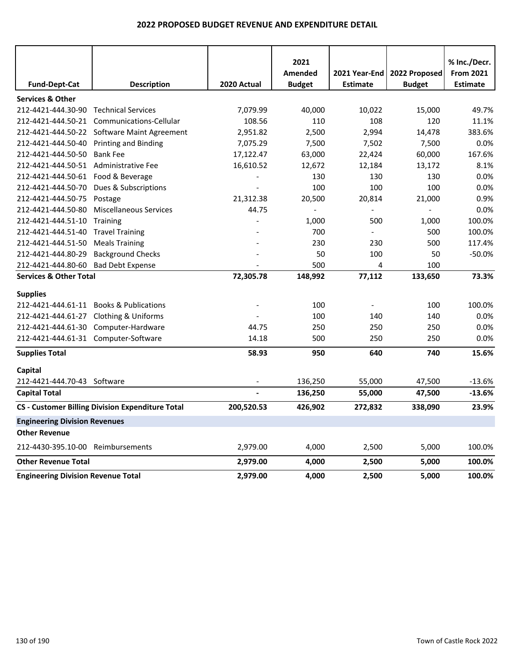|                                           |                                                         |                          | 2021           |                 |                | % Inc./Decr.     |
|-------------------------------------------|---------------------------------------------------------|--------------------------|----------------|-----------------|----------------|------------------|
|                                           |                                                         |                          | Amended        | 2021 Year-End   | 2022 Proposed  | <b>From 2021</b> |
| <b>Fund-Dept-Cat</b>                      | <b>Description</b>                                      | 2020 Actual              | <b>Budget</b>  | <b>Estimate</b> | <b>Budget</b>  | <b>Estimate</b>  |
| <b>Services &amp; Other</b>               |                                                         |                          |                |                 |                |                  |
| 212-4421-444.30-90                        | <b>Technical Services</b>                               | 7,079.99                 | 40,000         | 10,022          | 15,000         | 49.7%            |
| 212-4421-444.50-21                        | Communications-Cellular                                 | 108.56                   | 110            | 108             | 120            | 11.1%            |
| 212-4421-444.50-22                        | Software Maint Agreement                                | 2,951.82                 | 2,500          | 2,994           | 14,478         | 383.6%           |
| 212-4421-444.50-40                        | <b>Printing and Binding</b>                             | 7,075.29                 | 7,500          | 7,502           | 7,500          | 0.0%             |
| 212-4421-444.50-50                        | <b>Bank Fee</b>                                         | 17,122.47                | 63,000         | 22,424          | 60,000         | 167.6%           |
| 212-4421-444.50-51                        | Administrative Fee                                      | 16,610.52                | 12,672         | 12,184          | 13,172         | 8.1%             |
| 212-4421-444.50-61                        | Food & Beverage                                         | $\overline{\phantom{a}}$ | 130            | 130             | 130            | 0.0%             |
| 212-4421-444.50-70                        | Dues & Subscriptions                                    |                          | 100            | 100             | 100            | 0.0%             |
| 212-4421-444.50-75                        | Postage                                                 | 21,312.38                | 20,500         | 20,814          | 21,000         | 0.9%             |
| 212-4421-444.50-80                        | <b>Miscellaneous Services</b>                           | 44.75                    | $\overline{a}$ |                 | $\blacksquare$ | 0.0%             |
| 212-4421-444.51-10                        | Training                                                |                          | 1,000          | 500             | 1,000          | 100.0%           |
| 212-4421-444.51-40                        | <b>Travel Training</b>                                  |                          | 700            |                 | 500            | 100.0%           |
| 212-4421-444.51-50                        | <b>Meals Training</b>                                   |                          | 230            | 230             | 500            | 117.4%           |
| 212-4421-444.80-29                        | <b>Background Checks</b>                                |                          | 50             | 100             | 50             | $-50.0%$         |
| 212-4421-444.80-60                        | <b>Bad Debt Expense</b>                                 |                          | 500            | 4               | 100            |                  |
| <b>Services &amp; Other Total</b>         |                                                         | 72,305.78                | 148,992        | 77,112          | 133,650        | 73.3%            |
| <b>Supplies</b>                           |                                                         |                          |                |                 |                |                  |
| 212-4421-444.61-11                        | <b>Books &amp; Publications</b>                         |                          | 100            | $\blacksquare$  | 100            | 100.0%           |
| 212-4421-444.61-27                        | <b>Clothing &amp; Uniforms</b>                          |                          | 100            | 140             | 140            | 0.0%             |
| 212-4421-444.61-30                        | Computer-Hardware                                       | 44.75                    | 250            | 250             | 250            | 0.0%             |
| 212-4421-444.61-31 Computer-Software      |                                                         | 14.18                    | 500            | 250             | 250            | 0.0%             |
| <b>Supplies Total</b>                     |                                                         | 58.93                    | 950            | 640             | 740            | 15.6%            |
| Capital                                   |                                                         |                          |                |                 |                |                  |
| 212-4421-444.70-43 Software               |                                                         |                          | 136,250        | 55,000          | 47,500         | $-13.6%$         |
| <b>Capital Total</b>                      |                                                         |                          | 136,250        | 55,000          | 47,500         | $-13.6%$         |
|                                           | <b>CS - Customer Billing Division Expenditure Total</b> | 200,520.53               | 426,902        | 272,832         | 338,090        | 23.9%            |
| <b>Engineering Division Revenues</b>      |                                                         |                          |                |                 |                |                  |
| <b>Other Revenue</b>                      |                                                         |                          |                |                 |                |                  |
| 212-4430-395.10-00 Reimbursements         |                                                         | 2,979.00                 | 4,000          | 2,500           | 5,000          | 100.0%           |
| <b>Other Revenue Total</b>                |                                                         | 2,979.00                 | 4,000          | 2,500           | 5,000          | 100.0%           |
| <b>Engineering Division Revenue Total</b> |                                                         | 2,979.00                 | 4,000          | 2,500           | 5,000          | 100.0%           |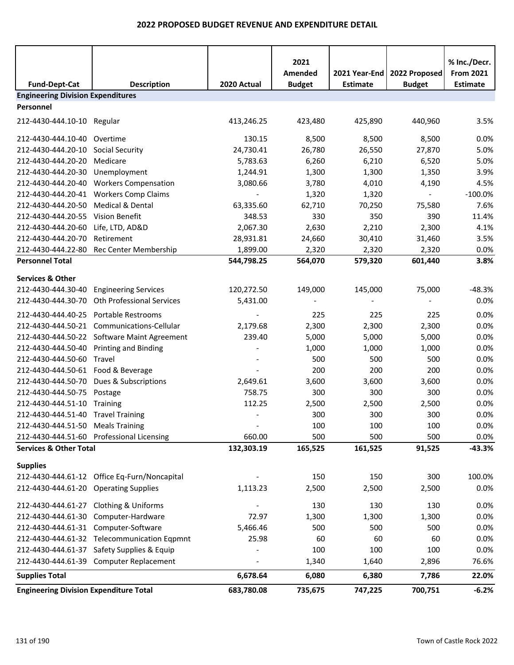|                                               |                                              |                          | 2021<br>Amended | 2021 Year-End   | 2022 Proposed  | % Inc./Decr.<br><b>From 2021</b> |
|-----------------------------------------------|----------------------------------------------|--------------------------|-----------------|-----------------|----------------|----------------------------------|
| <b>Fund-Dept-Cat</b>                          | <b>Description</b>                           | 2020 Actual              | <b>Budget</b>   | <b>Estimate</b> | <b>Budget</b>  | <b>Estimate</b>                  |
| <b>Engineering Division Expenditures</b>      |                                              |                          |                 |                 |                |                                  |
| Personnel                                     |                                              |                          |                 |                 |                |                                  |
| 212-4430-444.10-10 Regular                    |                                              | 413,246.25               | 423,480         | 425,890         | 440,960        | 3.5%                             |
| 212-4430-444.10-40                            | Overtime                                     | 130.15                   | 8,500           | 8,500           | 8,500          | 0.0%                             |
| 212-4430-444.20-10                            | Social Security                              | 24,730.41                | 26,780          | 26,550          | 27,870         | 5.0%                             |
| 212-4430-444.20-20                            | Medicare                                     | 5,783.63                 | 6,260           | 6,210           | 6,520          | 5.0%                             |
| 212-4430-444.20-30                            | Unemployment                                 | 1,244.91                 | 1,300           | 1,300           | 1,350          | 3.9%                             |
|                                               | 212-4430-444.20-40 Workers Compensation      | 3,080.66                 | 3,780           | 4,010           | 4,190          | 4.5%                             |
|                                               | 212-4430-444.20-41 Workers Comp Claims       |                          | 1,320           | 1,320           | $\blacksquare$ | $-100.0%$                        |
| 212-4430-444.20-50                            | Medical & Dental                             | 63,335.60                | 62,710          | 70,250          | 75,580         | 7.6%                             |
| 212-4430-444.20-55                            | Vision Benefit                               | 348.53                   | 330             | 350             | 390            | 11.4%                            |
| 212-4430-444.20-60                            | Life, LTD, AD&D                              | 2,067.30                 | 2,630           | 2,210           | 2,300          | 4.1%                             |
| 212-4430-444.20-70                            | Retirement                                   | 28,931.81                | 24,660          | 30,410          | 31,460         | 3.5%                             |
| 212-4430-444.22-80                            | Rec Center Membership                        | 1,899.00                 | 2,320           | 2,320           | 2,320          | 0.0%                             |
| <b>Personnel Total</b>                        |                                              | 544,798.25               | 564,070         | 579,320         | 601,440        | 3.8%                             |
| <b>Services &amp; Other</b>                   |                                              |                          |                 |                 |                |                                  |
| 212-4430-444.30-40                            | <b>Engineering Services</b>                  | 120,272.50               | 149,000         | 145,000         | 75,000         | $-48.3%$                         |
|                                               | 212-4430-444.30-70 Oth Professional Services | 5,431.00                 |                 |                 |                | 0.0%                             |
| 212-4430-444.40-25                            | Portable Restrooms                           |                          | 225             | 225             | 225            | 0.0%                             |
| 212-4430-444.50-21                            | Communications-Cellular                      | 2,179.68                 | 2,300           | 2,300           | 2,300          | 0.0%                             |
|                                               | 212-4430-444.50-22 Software Maint Agreement  | 239.40                   | 5,000           | 5,000           | 5,000          | 0.0%                             |
| 212-4430-444.50-40                            | <b>Printing and Binding</b>                  |                          | 1,000           | 1,000           | 1,000          | 0.0%                             |
| 212-4430-444.50-60                            | Travel                                       |                          | 500             | 500             | 500            | 0.0%                             |
| 212-4430-444.50-61 Food & Beverage            |                                              |                          | 200             | 200             | 200            | 0.0%                             |
| 212-4430-444.50-70                            | Dues & Subscriptions                         | 2,649.61                 | 3,600           | 3,600           | 3,600          | 0.0%                             |
| 212-4430-444.50-75                            | Postage                                      | 758.75                   | 300             | 300             | 300            | 0.0%                             |
| 212-4430-444.51-10                            | Training                                     | 112.25                   | 2,500           | 2,500           | 2,500          | 0.0%                             |
| 212-4430-444.51-40 Travel Training            |                                              |                          | 300             | 300             | 300            | 0.0%                             |
| 212-4430-444.51-50 Meals Training             |                                              | $\overline{\phantom{m}}$ | 100             | 100             | 100            | 0.0%                             |
|                                               | 212-4430-444.51-60 Professional Licensing    | 660.00                   | 500             | 500             | 500            | 0.0%                             |
| <b>Services &amp; Other Total</b>             |                                              | 132,303.19               | 165,525         | 161,525         | 91,525         | $-43.3%$                         |
|                                               |                                              |                          |                 |                 |                |                                  |
| <b>Supplies</b>                               |                                              |                          |                 |                 |                |                                  |
|                                               | 212-4430-444.61-12 Office Eq-Furn/Noncapital |                          | 150             | 150             | 300            | 100.0%                           |
| 212-4430-444.61-20 Operating Supplies         |                                              | 1,113.23                 | 2,500           | 2,500           | 2,500          | 0.0%                             |
| 212-4430-444.61-27 Clothing & Uniforms        |                                              |                          | 130             | 130             | 130            | 0.0%                             |
|                                               | 212-4430-444.61-30 Computer-Hardware         | 72.97                    | 1,300           | 1,300           | 1,300          | 0.0%                             |
| 212-4430-444.61-31 Computer-Software          |                                              | 5,466.46                 | 500             | 500             | 500            | 0.0%                             |
|                                               | 212-4430-444.61-32 Telecommunication Eqpmnt  | 25.98                    | 60              | 60              | 60             | 0.0%                             |
|                                               | 212-4430-444.61-37 Safety Supplies & Equip   |                          | 100             | 100             | 100            | 0.0%                             |
|                                               | 212-4430-444.61-39 Computer Replacement      |                          | 1,340           | 1,640           | 2,896          | 76.6%                            |
| <b>Supplies Total</b>                         |                                              | 6,678.64                 | 6,080           | 6,380           | 7,786          | 22.0%                            |
| <b>Engineering Division Expenditure Total</b> |                                              | 683,780.08               | 735,675         | 747,225         | 700,751        | $-6.2%$                          |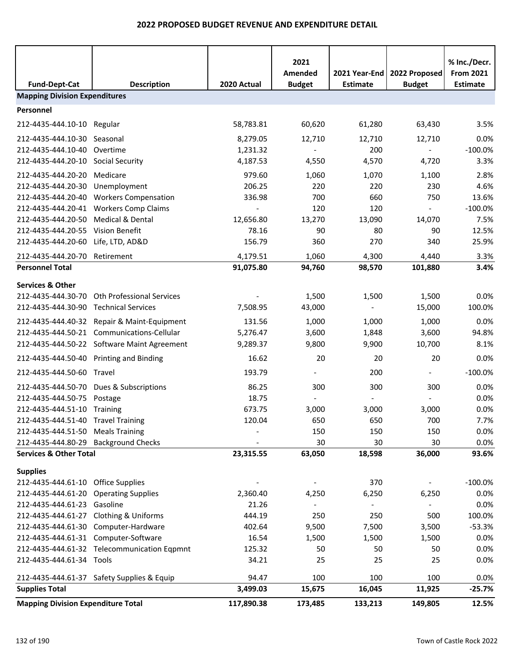|                                           |                                             |                          | 2021           |                 |                          | % Inc./Decr.     |  |  |
|-------------------------------------------|---------------------------------------------|--------------------------|----------------|-----------------|--------------------------|------------------|--|--|
|                                           |                                             |                          | Amended        | 2021 Year-End   | 2022 Proposed            | <b>From 2021</b> |  |  |
| <b>Fund-Dept-Cat</b>                      | <b>Description</b>                          | 2020 Actual              | <b>Budget</b>  | <b>Estimate</b> | <b>Budget</b>            | <b>Estimate</b>  |  |  |
| <b>Mapping Division Expenditures</b>      |                                             |                          |                |                 |                          |                  |  |  |
| Personnel                                 |                                             |                          |                |                 |                          |                  |  |  |
| 212-4435-444.10-10 Regular                |                                             | 58,783.81                | 60,620         | 61,280          | 63,430                   | 3.5%             |  |  |
| 212-4435-444.10-30                        | Seasonal                                    | 8,279.05                 | 12,710         | 12,710          | 12,710                   | 0.0%             |  |  |
| 212-4435-444.10-40                        | Overtime                                    | 1,231.32                 | $\blacksquare$ | 200             | $\sim$                   | $-100.0%$        |  |  |
| 212-4435-444.20-10 Social Security        |                                             | 4,187.53                 | 4,550          | 4,570           | 4,720                    | 3.3%             |  |  |
| 212-4435-444.20-20                        | Medicare                                    | 979.60                   | 1,060          | 1,070           | 1,100                    | 2.8%             |  |  |
| 212-4435-444.20-30                        | Unemployment                                | 206.25                   | 220            | 220             | 230                      | 4.6%             |  |  |
| 212-4435-444.20-40                        | <b>Workers Compensation</b>                 | 336.98                   | 700            | 660             | 750                      | 13.6%            |  |  |
| 212-4435-444.20-41                        | <b>Workers Comp Claims</b>                  | $\overline{\phantom{a}}$ | 120            | 120             | $\sim$                   | $-100.0%$        |  |  |
| 212-4435-444.20-50                        | Medical & Dental                            | 12,656.80                | 13,270         | 13,090          | 14,070                   | 7.5%             |  |  |
| 212-4435-444.20-55 Vision Benefit         |                                             | 78.16                    | 90             | 80              | 90                       | 12.5%            |  |  |
| 212-4435-444.20-60 Life, LTD, AD&D        |                                             | 156.79                   | 360            | 270             | 340                      | 25.9%            |  |  |
| 212-4435-444.20-70                        | Retirement                                  | 4,179.51                 | 1,060          | 4,300           | 4,440                    | 3.3%             |  |  |
| <b>Personnel Total</b>                    |                                             | 91,075.80                | 94,760         | 98,570          | 101,880                  | 3.4%             |  |  |
| <b>Services &amp; Other</b>               |                                             |                          |                |                 |                          |                  |  |  |
| 212-4435-444.30-70                        | <b>Oth Professional Services</b>            |                          | 1,500          | 1,500           | 1,500                    | 0.0%             |  |  |
| 212-4435-444.30-90 Technical Services     |                                             | 7,508.95                 | 43,000         |                 | 15,000                   | 100.0%           |  |  |
|                                           | 212-4435-444.40-32 Repair & Maint-Equipment | 131.56                   | 1,000          | 1,000           | 1,000                    | 0.0%             |  |  |
| 212-4435-444.50-21                        | Communications-Cellular                     | 5,276.47                 | 3,600          | 1,848           | 3,600                    | 94.8%            |  |  |
|                                           | 212-4435-444.50-22 Software Maint Agreement | 9,289.37                 | 9,800          | 9,900           | 10,700                   | 8.1%             |  |  |
| 212-4435-444.50-40 Printing and Binding   |                                             | 16.62                    | 20             | 20              | 20                       | 0.0%             |  |  |
| 212-4435-444.50-60 Travel                 |                                             | 193.79                   |                | 200             | $\overline{\phantom{a}}$ | $-100.0%$        |  |  |
|                                           | 212-4435-444.50-70 Dues & Subscriptions     | 86.25                    | 300            | 300             | 300                      | 0.0%             |  |  |
| 212-4435-444.50-75 Postage                |                                             | 18.75                    |                |                 |                          | 0.0%             |  |  |
| 212-4435-444.51-10 Training               |                                             | 673.75                   | 3,000          | 3,000           | 3,000                    | 0.0%             |  |  |
| 212-4435-444.51-40 Travel Training        |                                             | 120.04                   | 650            | 650             | 700                      | 7.7%             |  |  |
| 212-4435-444.51-50 Meals Training         |                                             |                          | 150            | 150             | 150                      | 0.0%             |  |  |
| 212-4435-444.80-29 Background Checks      |                                             |                          | 30             | 30              | 30                       | 0.0%             |  |  |
| <b>Services &amp; Other Total</b>         |                                             | 23,315.55                | 63,050         | 18,598          | 36,000                   | 93.6%            |  |  |
| <b>Supplies</b>                           |                                             |                          |                |                 |                          |                  |  |  |
| 212-4435-444.61-10 Office Supplies        |                                             |                          |                | 370             | $\blacksquare$           | $-100.0%$        |  |  |
| 212-4435-444.61-20 Operating Supplies     |                                             | 2,360.40                 | 4,250          | 6,250           | 6,250                    | 0.0%             |  |  |
| 212-4435-444.61-23 Gasoline               |                                             | 21.26                    |                |                 |                          | 0.0%             |  |  |
|                                           | 212-4435-444.61-27 Clothing & Uniforms      | 444.19                   | 250            | 250             | 500                      | 100.0%           |  |  |
|                                           | 212-4435-444.61-30 Computer-Hardware        | 402.64                   | 9,500          | 7,500           | 3,500                    | $-53.3%$         |  |  |
| 212-4435-444.61-31 Computer-Software      |                                             | 16.54                    | 1,500          | 1,500           | 1,500                    | 0.0%             |  |  |
|                                           | 212-4435-444.61-32 Telecommunication Eqpmnt | 125.32                   | 50             | 50              | 50                       | 0.0%             |  |  |
| 212-4435-444.61-34 Tools                  |                                             | 34.21                    | 25             | 25              | 25                       | 0.0%             |  |  |
|                                           | 212-4435-444.61-37 Safety Supplies & Equip  | 94.47                    | 100            | 100             | 100                      | 0.0%             |  |  |
| <b>Supplies Total</b>                     |                                             | 3,499.03                 | 15,675         | 16,045          | 11,925                   | $-25.7%$         |  |  |
| <b>Mapping Division Expenditure Total</b> |                                             | 117,890.38               | 173,485        | 133,213         | 149,805                  | 12.5%            |  |  |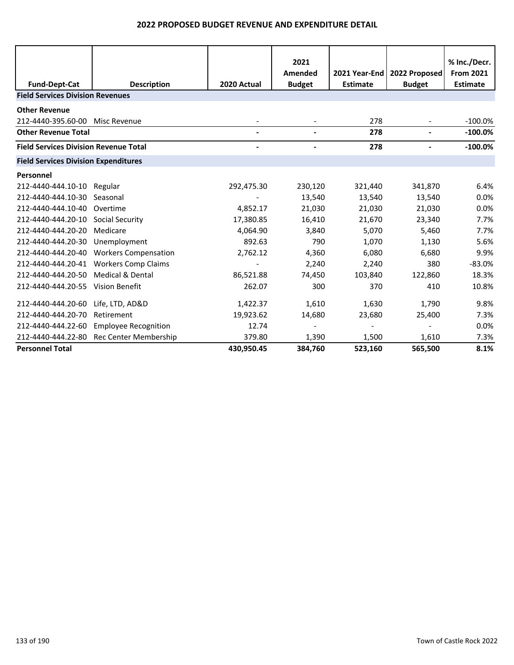| <b>Fund-Dept-Cat</b><br><b>Field Services Division Revenues</b> | <b>Description</b>           | 2020 Actual | 2021<br>Amended<br><b>Budget</b> | 2021 Year-End<br><b>Estimate</b> | 2022 Proposed<br><b>Budget</b> | % Inc./Decr.<br><b>From 2021</b><br><b>Estimate</b> |
|-----------------------------------------------------------------|------------------------------|-------------|----------------------------------|----------------------------------|--------------------------------|-----------------------------------------------------|
|                                                                 |                              |             |                                  |                                  |                                |                                                     |
| <b>Other Revenue</b>                                            |                              |             |                                  |                                  |                                |                                                     |
| 212-4440-395.60-00                                              | Misc Revenue                 |             |                                  | 278                              |                                | $-100.0\%$                                          |
| <b>Other Revenue Total</b>                                      |                              |             |                                  | 278                              |                                | $-100.0\%$                                          |
| <b>Field Services Division Revenue Total</b>                    |                              |             |                                  | 278                              |                                | $-100.0%$                                           |
| <b>Field Services Division Expenditures</b>                     |                              |             |                                  |                                  |                                |                                                     |
| Personnel                                                       |                              |             |                                  |                                  |                                |                                                     |
| 212-4440-444.10-10                                              | Regular                      | 292,475.30  | 230,120                          | 321,440                          | 341,870                        | 6.4%                                                |
| 212-4440-444.10-30                                              | Seasonal                     |             | 13,540                           | 13,540                           | 13,540                         | 0.0%                                                |
| 212-4440-444.10-40                                              | Overtime                     | 4,852.17    | 21,030                           | 21,030                           | 21,030                         | 0.0%                                                |
| 212-4440-444.20-10                                              | Social Security              | 17,380.85   | 16,410                           | 21,670                           | 23,340                         | 7.7%                                                |
| 212-4440-444.20-20                                              | Medicare                     | 4,064.90    | 3,840                            | 5,070                            | 5,460                          | 7.7%                                                |
| 212-4440-444.20-30                                              | Unemployment                 | 892.63      | 790                              | 1,070                            | 1,130                          | 5.6%                                                |
| 212-4440-444.20-40                                              | <b>Workers Compensation</b>  | 2,762.12    | 4,360                            | 6,080                            | 6,680                          | 9.9%                                                |
| 212-4440-444.20-41                                              | <b>Workers Comp Claims</b>   |             | 2,240                            | 2,240                            | 380                            | $-83.0%$                                            |
| 212-4440-444.20-50                                              | Medical & Dental             | 86,521.88   | 74,450                           | 103,840                          | 122,860                        | 18.3%                                               |
| 212-4440-444.20-55                                              | <b>Vision Benefit</b>        | 262.07      | 300                              | 370                              | 410                            | 10.8%                                               |
| 212-4440-444.20-60                                              | Life, LTD, AD&D              | 1,422.37    | 1,610                            | 1,630                            | 1,790                          | 9.8%                                                |
| 212-4440-444.20-70                                              | Retirement                   | 19,923.62   | 14,680                           | 23,680                           | 25,400                         | 7.3%                                                |
| 212-4440-444.22-60                                              | <b>Employee Recognition</b>  | 12.74       |                                  |                                  |                                | 0.0%                                                |
| 212-4440-444.22-80                                              | <b>Rec Center Membership</b> | 379.80      | 1,390                            | 1,500                            | 1,610                          | 7.3%                                                |
| <b>Personnel Total</b>                                          |                              | 430,950.45  | 384,760                          | 523,160                          | 565,500                        | 8.1%                                                |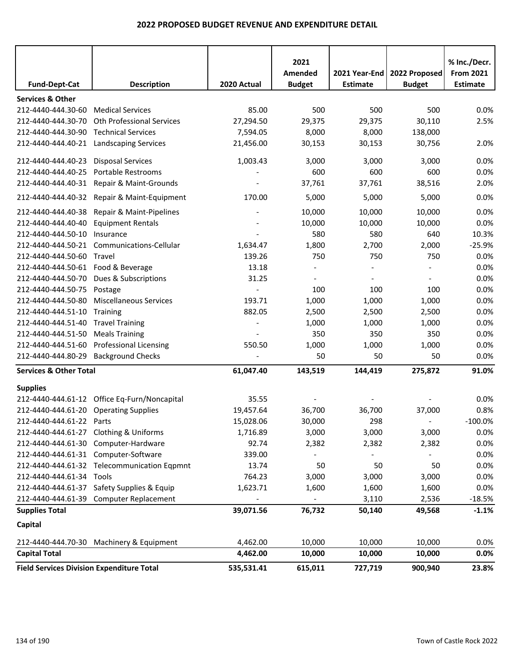| <b>Fund-Dept-Cat</b>                             | <b>Description</b>                                   | 2020 Actual           | 2021<br>Amended<br><b>Budget</b> | 2021 Year-End<br><b>Estimate</b> | 2022 Proposed<br><b>Budget</b> | % Inc./Decr.<br><b>From 2021</b><br><b>Estimate</b> |
|--------------------------------------------------|------------------------------------------------------|-----------------------|----------------------------------|----------------------------------|--------------------------------|-----------------------------------------------------|
|                                                  |                                                      |                       |                                  |                                  |                                |                                                     |
| <b>Services &amp; Other</b>                      |                                                      |                       |                                  |                                  |                                |                                                     |
| 212-4440-444.30-60                               | <b>Medical Services</b><br>Oth Professional Services | 85.00                 | 500                              | 500                              | 500                            | 0.0%                                                |
| 212-4440-444.30-70<br>212-4440-444.30-90         | <b>Technical Services</b>                            | 27,294.50<br>7,594.05 | 29,375<br>8,000                  | 29,375<br>8,000                  | 30,110<br>138,000              | 2.5%                                                |
| 212-4440-444.40-21                               |                                                      |                       |                                  |                                  |                                |                                                     |
|                                                  | <b>Landscaping Services</b>                          | 21,456.00             | 30,153                           | 30,153                           | 30,756                         | 2.0%                                                |
| 212-4440-444.40-23                               | <b>Disposal Services</b>                             | 1,003.43              | 3,000                            | 3,000                            | 3,000                          | 0.0%                                                |
| 212-4440-444.40-25                               | Portable Restrooms                                   |                       | 600                              | 600                              | 600                            | 0.0%                                                |
| 212-4440-444.40-31                               | Repair & Maint-Grounds                               |                       | 37,761                           | 37,761                           | 38,516                         | 2.0%                                                |
|                                                  | 212-4440-444.40-32 Repair & Maint-Equipment          | 170.00                | 5,000                            | 5,000                            | 5,000                          | 0.0%                                                |
| 212-4440-444.40-38                               | Repair & Maint-Pipelines                             |                       | 10,000                           | 10,000                           | 10,000                         | 0.0%                                                |
| 212-4440-444.40-40                               | <b>Equipment Rentals</b>                             |                       | 10,000                           | 10,000                           | 10,000                         | 0.0%                                                |
| 212-4440-444.50-10                               | Insurance                                            |                       | 580                              | 580                              | 640                            | 10.3%                                               |
| 212-4440-444.50-21                               | Communications-Cellular                              | 1,634.47              | 1,800                            | 2,700                            | 2,000                          | $-25.9%$                                            |
| 212-4440-444.50-60                               | Travel                                               | 139.26                | 750                              | 750                              | 750                            | 0.0%                                                |
| 212-4440-444.50-61                               | Food & Beverage                                      | 13.18                 |                                  |                                  |                                | 0.0%                                                |
| 212-4440-444.50-70                               | Dues & Subscriptions                                 | 31.25                 | $\overline{\phantom{a}}$         |                                  |                                | 0.0%                                                |
| 212-4440-444.50-75                               | Postage                                              |                       | 100                              | 100                              | 100                            | 0.0%                                                |
| 212-4440-444.50-80                               | <b>Miscellaneous Services</b>                        | 193.71                | 1,000                            | 1,000                            | 1,000                          | 0.0%                                                |
| 212-4440-444.51-10                               | <b>Training</b>                                      | 882.05                | 2,500                            | 2,500                            | 2,500                          | 0.0%                                                |
| 212-4440-444.51-40                               | <b>Travel Training</b>                               |                       | 1,000                            | 1,000                            | 1,000                          | 0.0%                                                |
| 212-4440-444.51-50                               | <b>Meals Training</b>                                |                       | 350                              | 350                              | 350                            | 0.0%                                                |
| 212-4440-444.51-60                               | <b>Professional Licensing</b>                        | 550.50                | 1,000                            | 1,000                            | 1,000                          | 0.0%                                                |
| 212-4440-444.80-29 Background Checks             |                                                      |                       | 50                               | 50                               | 50                             | 0.0%                                                |
| <b>Services &amp; Other Total</b>                |                                                      | 61,047.40             | 143,519                          | 144,419                          | 275,872                        | 91.0%                                               |
| <b>Supplies</b>                                  |                                                      |                       |                                  |                                  |                                |                                                     |
|                                                  | 212-4440-444.61-12 Office Eq-Furn/Noncapital         | 35.55                 |                                  |                                  |                                | 0.0%                                                |
| 212-4440-444.61-20 Operating Supplies            |                                                      | 19,457.64             | 36,700                           | 36,700                           | 37,000                         | 0.8%                                                |
| 212-4440-444.61-22 Parts                         |                                                      | 15,028.06             | 30,000                           | 298                              |                                | $-100.0\%$                                          |
| 212-4440-444.61-27 Clothing & Uniforms           |                                                      | 1,716.89              | 3,000                            | 3,000                            | 3,000                          | 0.0%                                                |
|                                                  | 212-4440-444.61-30 Computer-Hardware                 | 92.74                 | 2,382                            | 2,382                            | 2,382                          | 0.0%                                                |
| 212-4440-444.61-31 Computer-Software             |                                                      | 339.00                |                                  |                                  |                                | 0.0%                                                |
|                                                  | 212-4440-444.61-32 Telecommunication Eqpmnt          | 13.74                 | 50                               | 50                               | 50                             | 0.0%                                                |
| 212-4440-444.61-34 Tools                         |                                                      | 764.23                | 3,000                            | 3,000                            | 3,000                          | 0.0%                                                |
|                                                  | 212-4440-444.61-37 Safety Supplies & Equip           | 1,623.71              | 1,600                            | 1,600                            | 1,600                          | 0.0%                                                |
|                                                  | 212-4440-444.61-39 Computer Replacement              |                       |                                  | 3,110                            | 2,536                          | $-18.5%$                                            |
| <b>Supplies Total</b>                            |                                                      | 39,071.56             | 76,732                           | 50,140                           | 49,568                         | $-1.1%$                                             |
| Capital                                          |                                                      |                       |                                  |                                  |                                |                                                     |
|                                                  | 212-4440-444.70-30 Machinery & Equipment             | 4,462.00              | 10,000                           | 10,000                           | 10,000                         | 0.0%                                                |
| <b>Capital Total</b>                             |                                                      | 4,462.00              | 10,000                           | 10,000                           | 10,000                         | 0.0%                                                |
| <b>Field Services Division Expenditure Total</b> |                                                      | 535,531.41            | 615,011                          | 727,719                          | 900,940                        | 23.8%                                               |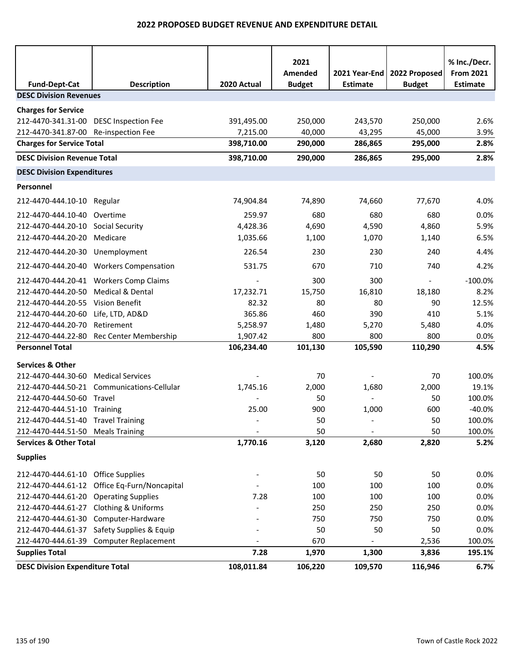|                                        |                                            |             | 2021                     |                                  |                                | % Inc./Decr.                        |
|----------------------------------------|--------------------------------------------|-------------|--------------------------|----------------------------------|--------------------------------|-------------------------------------|
| <b>Fund-Dept-Cat</b>                   | <b>Description</b>                         | 2020 Actual | Amended<br><b>Budget</b> | 2021 Year-End<br><b>Estimate</b> | 2022 Proposed<br><b>Budget</b> | <b>From 2021</b><br><b>Estimate</b> |
| <b>DESC Division Revenues</b>          |                                            |             |                          |                                  |                                |                                     |
| <b>Charges for Service</b>             |                                            |             |                          |                                  |                                |                                     |
| 212-4470-341.31-00 DESC Inspection Fee |                                            | 391,495.00  | 250,000                  | 243,570                          | 250,000                        | 2.6%                                |
| 212-4470-341.87-00 Re-inspection Fee   |                                            | 7,215.00    | 40,000                   | 43,295                           | 45,000                         | 3.9%                                |
| <b>Charges for Service Total</b>       |                                            | 398,710.00  | 290,000                  | 286,865                          | 295,000                        | 2.8%                                |
| <b>DESC Division Revenue Total</b>     |                                            | 398,710.00  | 290,000                  | 286,865                          | 295,000                        | 2.8%                                |
| <b>DESC Division Expenditures</b>      |                                            |             |                          |                                  |                                |                                     |
| Personnel                              |                                            |             |                          |                                  |                                |                                     |
| 212-4470-444.10-10 Regular             |                                            | 74,904.84   | 74,890                   | 74,660                           | 77,670                         | 4.0%                                |
| 212-4470-444.10-40                     | Overtime                                   | 259.97      | 680                      | 680                              | 680                            | 0.0%                                |
| 212-4470-444.20-10 Social Security     |                                            | 4,428.36    | 4,690                    | 4,590                            | 4,860                          | 5.9%                                |
| 212-4470-444.20-20                     | Medicare                                   | 1,035.66    | 1,100                    | 1,070                            | 1,140                          | 6.5%                                |
| 212-4470-444.20-30 Unemployment        |                                            | 226.54      | 230                      | 230                              | 240                            | 4.4%                                |
|                                        | 212-4470-444.20-40 Workers Compensation    | 531.75      | 670                      | 710                              | 740                            | 4.2%                                |
|                                        | 212-4470-444.20-41 Workers Comp Claims     |             | 300                      | 300                              | $\blacksquare$                 | $-100.0%$                           |
| 212-4470-444.20-50                     | Medical & Dental                           | 17,232.71   | 15,750                   | 16,810                           | 18,180                         | 8.2%                                |
| 212-4470-444.20-55                     | Vision Benefit                             | 82.32       | 80                       | 80                               | 90                             | 12.5%                               |
| 212-4470-444.20-60                     | Life, LTD, AD&D                            | 365.86      | 460                      | 390                              | 410                            | 5.1%                                |
| 212-4470-444.20-70                     | Retirement                                 | 5,258.97    | 1,480                    | 5,270                            | 5,480                          | 4.0%                                |
|                                        | 212-4470-444.22-80 Rec Center Membership   | 1,907.42    | 800                      | 800                              | 800                            | 0.0%                                |
| <b>Personnel Total</b>                 |                                            | 106,234.40  | 101,130                  | 105,590                          | 110,290                        | 4.5%                                |
| <b>Services &amp; Other</b>            |                                            |             |                          |                                  |                                |                                     |
| 212-4470-444.30-60 Medical Services    |                                            |             | 70                       |                                  | 70                             | 100.0%                              |
|                                        | 212-4470-444.50-21 Communications-Cellular | 1,745.16    | 2,000                    | 1,680                            | 2,000                          | 19.1%                               |
| 212-4470-444.50-60 Travel              |                                            |             | 50                       | $\overline{\phantom{a}}$         | 50                             | 100.0%                              |
| 212-4470-444.51-10 Training            |                                            | 25.00       | 900                      | 1,000                            | 600                            | $-40.0%$                            |
| 212-4470-444.51-40 Travel Training     |                                            |             | 50                       |                                  | 50                             | 100.0%                              |
| 212-4470-444.51-50 Meals Training      |                                            |             | 50                       |                                  | 50                             | 100.0%                              |
| <b>Services &amp; Other Total</b>      |                                            | 1,770.16    | 3,120                    | 2,680                            | 2,820                          | 5.2%                                |
| <b>Supplies</b>                        |                                            |             |                          |                                  |                                |                                     |
| 212-4470-444.61-10                     | <b>Office Supplies</b>                     |             | 50                       | 50                               | 50                             | 0.0%                                |
| 212-4470-444.61-12                     | Office Eq-Furn/Noncapital                  |             | 100                      | 100                              | 100                            | 0.0%                                |
| 212-4470-444.61-20                     | <b>Operating Supplies</b>                  | 7.28        | 100                      | 100                              | 100                            | 0.0%                                |
| 212-4470-444.61-27                     | Clothing & Uniforms                        |             | 250                      | 250                              | 250                            | 0.0%                                |
| 212-4470-444.61-30                     | Computer-Hardware                          |             | 750                      | 750                              | 750                            | 0.0%                                |
| 212-4470-444.61-37                     | Safety Supplies & Equip                    |             | 50                       | 50                               | 50                             | 0.0%                                |
| 212-4470-444.61-39                     | <b>Computer Replacement</b>                |             | 670                      |                                  | 2,536                          | 100.0%                              |
| <b>Supplies Total</b>                  |                                            | 7.28        | 1,970                    | 1,300                            | 3,836                          | 195.1%                              |
| <b>DESC Division Expenditure Total</b> |                                            | 108,011.84  | 106,220                  | 109,570                          | 116,946                        | 6.7%                                |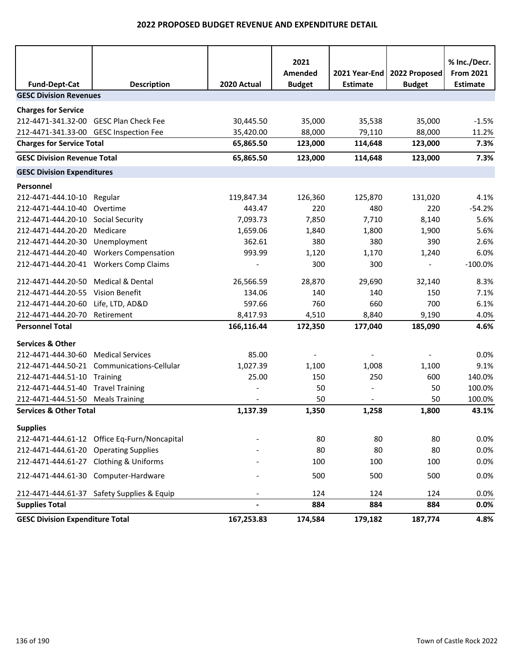| <b>Fund-Dept-Cat</b>                   | <b>Description</b>                           | 2020 Actual | 2021<br>Amended<br><b>Budget</b> | 2021 Year-End<br><b>Estimate</b> | 2022 Proposed<br><b>Budget</b> | % Inc./Decr.<br><b>From 2021</b><br><b>Estimate</b> |
|----------------------------------------|----------------------------------------------|-------------|----------------------------------|----------------------------------|--------------------------------|-----------------------------------------------------|
| <b>GESC Division Revenues</b>          |                                              |             |                                  |                                  |                                |                                                     |
| <b>Charges for Service</b>             |                                              |             |                                  |                                  |                                |                                                     |
| 212-4471-341.32-00 GESC Plan Check Fee |                                              | 30,445.50   | 35,000                           | 35,538                           | 35,000                         | $-1.5%$                                             |
| 212-4471-341.33-00 GESC Inspection Fee |                                              | 35,420.00   | 88,000                           | 79,110                           | 88,000                         | 11.2%                                               |
| <b>Charges for Service Total</b>       |                                              | 65,865.50   | 123,000                          | 114,648                          | 123,000                        | 7.3%                                                |
| <b>GESC Division Revenue Total</b>     |                                              | 65,865.50   | 123,000                          | 114,648                          | 123,000                        | 7.3%                                                |
| <b>GESC Division Expenditures</b>      |                                              |             |                                  |                                  |                                |                                                     |
| Personnel                              |                                              |             |                                  |                                  |                                |                                                     |
| 212-4471-444.10-10                     | Regular                                      | 119,847.34  | 126,360                          | 125,870                          | 131,020                        | 4.1%                                                |
| 212-4471-444.10-40                     | Overtime                                     | 443.47      | 220                              | 480                              | 220                            | $-54.2%$                                            |
| 212-4471-444.20-10                     | Social Security                              | 7,093.73    | 7,850                            | 7,710                            | 8,140                          | 5.6%                                                |
| 212-4471-444.20-20                     | Medicare                                     | 1,659.06    | 1,840                            | 1,800                            | 1,900                          | 5.6%                                                |
| 212-4471-444.20-30                     | Unemployment                                 | 362.61      | 380                              | 380                              | 390                            | 2.6%                                                |
| 212-4471-444.20-40                     | <b>Workers Compensation</b>                  | 993.99      | 1,120                            | 1,170                            | 1,240                          | 6.0%                                                |
| 212-4471-444.20-41                     | <b>Workers Comp Claims</b>                   |             | 300                              | 300                              | $\blacksquare$                 | $-100.0%$                                           |
| 212-4471-444.20-50                     | <b>Medical &amp; Dental</b>                  | 26,566.59   | 28,870                           | 29.690                           | 32,140                         | 8.3%                                                |
| 212-4471-444.20-55                     | Vision Benefit                               | 134.06      | 140                              | 140                              | 150                            | 7.1%                                                |
| 212-4471-444.20-60                     | Life, LTD, AD&D                              | 597.66      | 760                              | 660                              | 700                            | 6.1%                                                |
| 212-4471-444.20-70                     | Retirement                                   | 8,417.93    | 4,510                            | 8,840                            | 9,190                          | 4.0%                                                |
| <b>Personnel Total</b>                 |                                              | 166,116.44  | 172,350                          | 177,040                          | 185,090                        | 4.6%                                                |
| <b>Services &amp; Other</b>            |                                              |             |                                  |                                  |                                |                                                     |
| 212-4471-444.30-60                     | <b>Medical Services</b>                      | 85.00       |                                  |                                  |                                | 0.0%                                                |
|                                        | 212-4471-444.50-21 Communications-Cellular   | 1,027.39    | 1,100                            | 1,008                            | 1,100                          | 9.1%                                                |
| 212-4471-444.51-10 Training            |                                              | 25.00       | 150                              | 250                              | 600                            | 140.0%                                              |
| 212-4471-444.51-40                     | <b>Travel Training</b>                       |             | 50                               |                                  | 50                             | 100.0%                                              |
| 212-4471-444.51-50 Meals Training      |                                              |             | 50                               |                                  | 50                             | 100.0%                                              |
| <b>Services &amp; Other Total</b>      |                                              | 1,137.39    | 1,350                            | 1,258                            | 1,800                          | 43.1%                                               |
| <b>Supplies</b>                        |                                              |             |                                  |                                  |                                |                                                     |
|                                        | 212-4471-444.61-12 Office Eq-Furn/Noncapital |             | 80                               | 80                               | 80                             | 0.0%                                                |
| 212-4471-444.61-20 Operating Supplies  |                                              |             | 80                               | 80                               | 80                             | 0.0%                                                |
| 212-4471-444.61-27 Clothing & Uniforms |                                              |             | 100                              | 100                              | 100                            | 0.0%                                                |
| 212-4471-444.61-30 Computer-Hardware   |                                              |             | 500                              | 500                              | 500                            | 0.0%                                                |
|                                        | 212-4471-444.61-37 Safety Supplies & Equip   |             | 124                              | 124                              | 124                            | 0.0%                                                |
| <b>Supplies Total</b>                  |                                              |             | 884                              | 884                              | 884                            | 0.0%                                                |
| <b>GESC Division Expenditure Total</b> |                                              | 167,253.83  | 174,584                          | 179,182                          | 187,774                        | 4.8%                                                |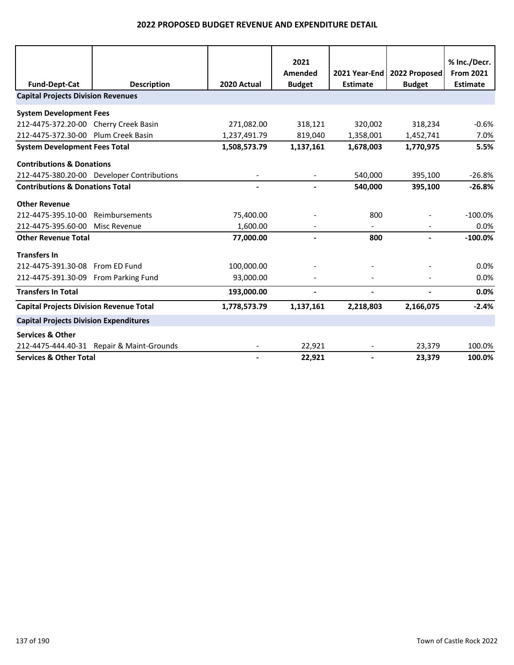|                                                |                                            |              | 2021          |                 |               | % Inc./Decr.     |
|------------------------------------------------|--------------------------------------------|--------------|---------------|-----------------|---------------|------------------|
|                                                |                                            |              | Amended       | 2021 Year-End   | 2022 Proposed | <b>From 2021</b> |
| <b>Fund-Dept-Cat</b>                           | <b>Description</b>                         | 2020 Actual  | <b>Budget</b> | <b>Estimate</b> | <b>Budget</b> | <b>Estimate</b>  |
| <b>Capital Projects Division Revenues</b>      |                                            |              |               |                 |               |                  |
| <b>System Development Fees</b>                 |                                            |              |               |                 |               |                  |
| 212-4475-372.20-00 Cherry Creek Basin          |                                            | 271,082.00   | 318,121       | 320,002         | 318,234       | $-0.6%$          |
| 212-4475-372.30-00 Plum Creek Basin            |                                            | 1,237,491.79 | 819,040       | 1,358,001       | 1,452,741     | 7.0%             |
| <b>System Development Fees Total</b>           |                                            | 1,508,573.79 | 1,137,161     | 1,678,003       | 1,770,975     | 5.5%             |
| <b>Contributions &amp; Donations</b>           |                                            |              |               |                 |               |                  |
|                                                | 212-4475-380.20-00 Developer Contributions |              |               | 540,000         | 395,100       | $-26.8%$         |
| <b>Contributions &amp; Donations Total</b>     |                                            |              |               | 540,000         | 395,100       | $-26.8%$         |
| <b>Other Revenue</b>                           |                                            |              |               |                 |               |                  |
| 212-4475-395.10-00                             | Reimbursements                             | 75,400.00    |               | 800             |               | $-100.0%$        |
| 212-4475-395.60-00                             | Misc Revenue                               | 1,600.00     |               |                 |               | 0.0%             |
| <b>Other Revenue Total</b>                     |                                            | 77,000.00    |               | 800             |               | $-100.0%$        |
| <b>Transfers In</b>                            |                                            |              |               |                 |               |                  |
| 212-4475-391.30-08                             | From ED Fund                               | 100,000.00   |               |                 |               | 0.0%             |
| 212-4475-391.30-09 From Parking Fund           |                                            | 93,000.00    |               |                 |               | 0.0%             |
| <b>Transfers In Total</b>                      |                                            | 193,000.00   |               |                 |               | 0.0%             |
| <b>Capital Projects Division Revenue Total</b> |                                            | 1,778,573.79 | 1,137,161     | 2,218,803       | 2,166,075     | $-2.4%$          |
| <b>Capital Projects Division Expenditures</b>  |                                            |              |               |                 |               |                  |
| <b>Services &amp; Other</b>                    |                                            |              |               |                 |               |                  |
|                                                | 212-4475-444.40-31 Repair & Maint-Grounds  |              | 22,921        |                 | 23,379        | 100.0%           |
| <b>Services &amp; Other Total</b>              |                                            |              | 22,921        |                 | 23,379        | 100.0%           |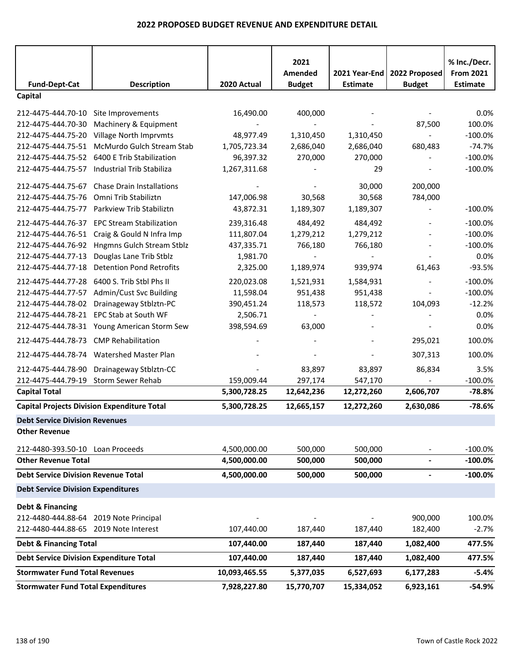|                                                |                                                    |               | 2021          |                 |                | % Inc./Decr.     |
|------------------------------------------------|----------------------------------------------------|---------------|---------------|-----------------|----------------|------------------|
|                                                |                                                    |               | Amended       | 2021 Year-End   | 2022 Proposed  | <b>From 2021</b> |
| <b>Fund-Dept-Cat</b>                           | <b>Description</b>                                 | 2020 Actual   | <b>Budget</b> | <b>Estimate</b> | <b>Budget</b>  | <b>Estimate</b>  |
| Capital                                        |                                                    |               |               |                 |                |                  |
| 212-4475-444.70-10                             | Site Improvements                                  | 16,490.00     | 400,000       |                 |                | 0.0%             |
| 212-4475-444.70-30                             | Machinery & Equipment                              |               |               |                 | 87,500         | 100.0%           |
| 212-4475-444.75-20                             | Village North Imprvmts                             | 48,977.49     | 1,310,450     | 1,310,450       |                | $-100.0%$        |
| 212-4475-444.75-51                             | McMurdo Gulch Stream Stab                          | 1,705,723.34  | 2,686,040     | 2,686,040       | 680,483        | $-74.7%$         |
| 212-4475-444.75-52                             | 6400 E Trib Stabilization                          | 96,397.32     | 270,000       | 270,000         |                | $-100.0%$        |
| 212-4475-444.75-57                             | Industrial Trib Stabiliza                          | 1,267,311.68  |               | 29              |                | $-100.0%$        |
| 212-4475-444.75-67                             | <b>Chase Drain Installations</b>                   |               |               | 30,000          | 200,000        |                  |
| 212-4475-444.75-76                             | Omni Trib Stabiliztn                               | 147,006.98    | 30,568        | 30,568          | 784,000        |                  |
| 212-4475-444.75-77                             | Parkview Trib Stabiliztn                           | 43,872.31     | 1,189,307     | 1,189,307       |                | $-100.0%$        |
| 212-4475-444.76-37                             | <b>EPC Stream Stabilization</b>                    | 239,316.48    | 484,492       | 484,492         |                | $-100.0%$        |
| 212-4475-444.76-51                             | Craig & Gould N Infra Imp                          | 111,807.04    | 1,279,212     | 1,279,212       |                | $-100.0%$        |
| 212-4475-444.76-92                             | Hngmns Gulch Stream Stblz                          | 437,335.71    | 766,180       | 766,180         |                | $-100.0%$        |
| 212-4475-444.77-13                             | Douglas Lane Trib Stblz                            | 1,981.70      |               |                 |                | 0.0%             |
| 212-4475-444.77-18                             | <b>Detention Pond Retrofits</b>                    | 2,325.00      | 1,189,974     | 939,974         | 61,463         | $-93.5%$         |
| 212-4475-444.77-28                             | 6400 S. Trib Stbl Phs II                           | 220,023.08    | 1,521,931     | 1,584,931       |                | $-100.0%$        |
| 212-4475-444.77-57                             | Admin/Cust Svc Building                            | 11,598.04     | 951,438       | 951,438         |                | $-100.0%$        |
| 212-4475-444.78-02                             | Drainageway Stblztn-PC                             | 390,451.24    | 118,573       | 118,572         | 104,093        | $-12.2%$         |
| 212-4475-444.78-21                             | EPC Stab at South WF                               | 2,506.71      |               |                 |                | 0.0%             |
|                                                | 212-4475-444.78-31 Young American Storm Sew        | 398,594.69    | 63,000        |                 |                | 0.0%             |
| 212-4475-444.78-73                             | <b>CMP Rehabilitation</b>                          |               |               |                 | 295,021        | 100.0%           |
| 212-4475-444.78-74                             | Watershed Master Plan                              |               |               |                 | 307,313        | 100.0%           |
| 212-4475-444.78-90                             | Drainageway Stblztn-CC                             |               | 83,897        | 83,897          | 86,834         | 3.5%             |
| 212-4475-444.79-19                             | Storm Sewer Rehab                                  | 159,009.44    | 297,174       | 547,170         |                | $-100.0%$        |
| <b>Capital Total</b>                           |                                                    | 5,300,728.25  | 12,642,236    | 12,272,260      | 2,606,707      | $-78.8%$         |
|                                                | <b>Capital Projects Division Expenditure Total</b> | 5,300,728.25  | 12,665,157    | 12,272,260      | 2,630,086      | $-78.6%$         |
| <b>Debt Service Division Revenues</b>          |                                                    |               |               |                 |                |                  |
| <b>Other Revenue</b>                           |                                                    |               |               |                 |                |                  |
| 212-4480-393.50-10 Loan Proceeds               |                                                    | 4,500,000.00  | 500,000       | 500,000         |                | $-100.0\%$       |
| <b>Other Revenue Total</b>                     |                                                    | 4,500,000.00  | 500,000       | 500,000         | $\blacksquare$ | $-100.0%$        |
| <b>Debt Service Division Revenue Total</b>     |                                                    | 4,500,000.00  | 500,000       | 500,000         | $\blacksquare$ | $-100.0%$        |
| <b>Debt Service Division Expenditures</b>      |                                                    |               |               |                 |                |                  |
| Debt & Financing                               |                                                    |               |               |                 |                |                  |
| 212-4480-444.88-64 2019 Note Principal         |                                                    |               |               |                 | 900,000        | 100.0%           |
| 212-4480-444.88-65 2019 Note Interest          |                                                    | 107,440.00    | 187,440       | 187,440         | 182,400        | $-2.7%$          |
| <b>Debt &amp; Financing Total</b>              |                                                    | 107,440.00    | 187,440       | 187,440         | 1,082,400      | 477.5%           |
| <b>Debt Service Division Expenditure Total</b> |                                                    | 107,440.00    | 187,440       | 187,440         | 1,082,400      | 477.5%           |
| <b>Stormwater Fund Total Revenues</b>          |                                                    | 10,093,465.55 | 5,377,035     | 6,527,693       | 6,177,283      | $-5.4%$          |
| <b>Stormwater Fund Total Expenditures</b>      |                                                    | 7,928,227.80  | 15,770,707    | 15,334,052      | 6,923,161      | $-54.9%$         |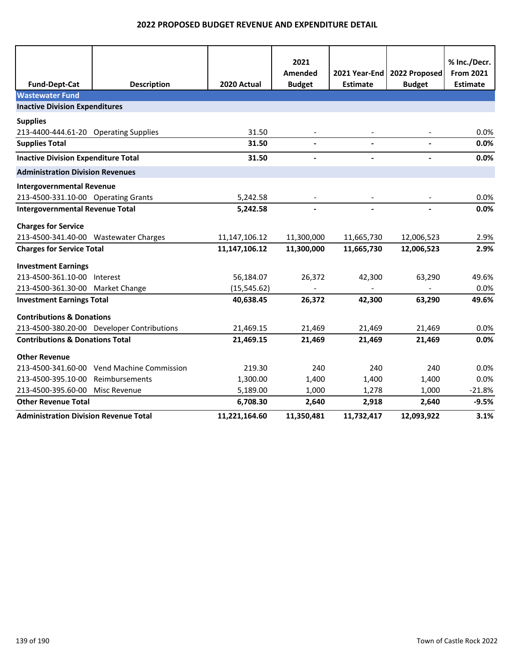|                                              |                                            |               | 2021           |                 |                          | % Inc./Decr.     |
|----------------------------------------------|--------------------------------------------|---------------|----------------|-----------------|--------------------------|------------------|
|                                              |                                            |               | Amended        | 2021 Year-End   | 2022 Proposed            | <b>From 2021</b> |
| <b>Fund-Dept-Cat</b>                         | <b>Description</b>                         | 2020 Actual   | <b>Budget</b>  | <b>Estimate</b> | <b>Budget</b>            | <b>Estimate</b>  |
| <b>Wastewater Fund</b>                       |                                            |               |                |                 |                          |                  |
| <b>Inactive Division Expenditures</b>        |                                            |               |                |                 |                          |                  |
| <b>Supplies</b>                              |                                            |               |                |                 |                          |                  |
| 213-4400-444.61-20 Operating Supplies        |                                            | 31.50         |                |                 |                          | 0.0%             |
| <b>Supplies Total</b>                        |                                            | 31.50         | $\blacksquare$ | $\blacksquare$  | $\blacksquare$           | 0.0%             |
| <b>Inactive Division Expenditure Total</b>   |                                            | 31.50         | $\blacksquare$ | $\blacksquare$  | $\overline{\phantom{a}}$ | 0.0%             |
| <b>Administration Division Revenues</b>      |                                            |               |                |                 |                          |                  |
| <b>Intergovernmental Revenue</b>             |                                            |               |                |                 |                          |                  |
| 213-4500-331.10-00 Operating Grants          |                                            | 5,242.58      |                |                 |                          | 0.0%             |
| <b>Intergovernmental Revenue Total</b>       |                                            | 5,242.58      |                |                 |                          | 0.0%             |
| <b>Charges for Service</b>                   |                                            |               |                |                 |                          |                  |
| 213-4500-341.40-00 Wastewater Charges        |                                            | 11,147,106.12 | 11,300,000     | 11,665,730      | 12,006,523               | 2.9%             |
| <b>Charges for Service Total</b>             |                                            | 11,147,106.12 | 11,300,000     | 11,665,730      | 12,006,523               | 2.9%             |
| <b>Investment Earnings</b>                   |                                            |               |                |                 |                          |                  |
| 213-4500-361.10-00 Interest                  |                                            | 56,184.07     | 26,372         | 42,300          | 63,290                   | 49.6%            |
| 213-4500-361.30-00 Market Change             |                                            | (15, 545.62)  |                |                 |                          | 0.0%             |
| <b>Investment Earnings Total</b>             |                                            | 40,638.45     | 26,372         | 42,300          | 63,290                   | 49.6%            |
| <b>Contributions &amp; Donations</b>         |                                            |               |                |                 |                          |                  |
|                                              | 213-4500-380.20-00 Developer Contributions | 21,469.15     | 21,469         | 21,469          | 21,469                   | 0.0%             |
| <b>Contributions &amp; Donations Total</b>   |                                            | 21,469.15     | 21,469         | 21,469          | 21,469                   | 0.0%             |
| <b>Other Revenue</b>                         |                                            |               |                |                 |                          |                  |
|                                              | 213-4500-341.60-00 Vend Machine Commission | 219.30        | 240            | 240             | 240                      | 0.0%             |
| 213-4500-395.10-00                           | Reimbursements                             | 1,300.00      | 1,400          | 1,400           | 1,400                    | 0.0%             |
| 213-4500-395.60-00                           | Misc Revenue                               | 5,189.00      | 1,000          | 1,278           | 1,000                    | $-21.8%$         |
| <b>Other Revenue Total</b>                   |                                            | 6,708.30      | 2,640          | 2,918           | 2,640                    | $-9.5%$          |
| <b>Administration Division Revenue Total</b> |                                            | 11,221,164.60 | 11,350,481     | 11,732,417      | 12,093,922               | 3.1%             |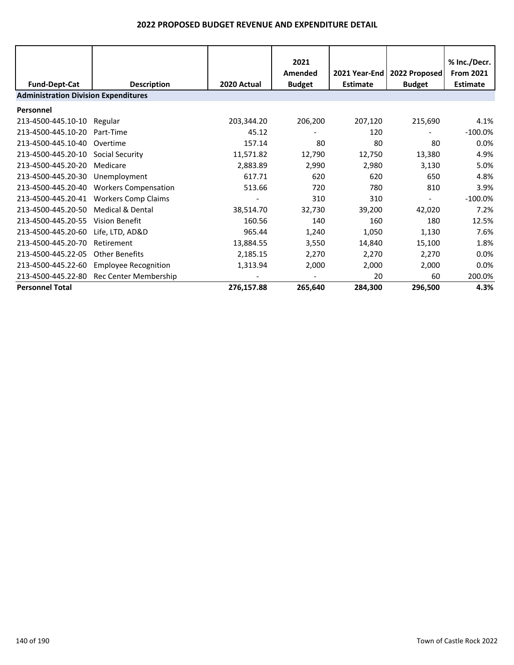|                                             |                             |             | 2021<br>Amended | 2021 Year-End I | 2022 Proposed            | % Inc./Decr.<br><b>From 2021</b> |  |
|---------------------------------------------|-----------------------------|-------------|-----------------|-----------------|--------------------------|----------------------------------|--|
| <b>Fund-Dept-Cat</b>                        | <b>Description</b>          | 2020 Actual | <b>Budget</b>   | <b>Estimate</b> | <b>Budget</b>            | <b>Estimate</b>                  |  |
| <b>Administration Division Expenditures</b> |                             |             |                 |                 |                          |                                  |  |
| Personnel                                   |                             |             |                 |                 |                          |                                  |  |
| 213-4500-445.10-10                          | Regular                     | 203,344.20  | 206,200         | 207,120         | 215,690                  | 4.1%                             |  |
| 213-4500-445.10-20                          | Part-Time                   | 45.12       |                 | 120             |                          | $-100.0\%$                       |  |
| 213-4500-445.10-40                          | Overtime                    | 157.14      | 80              | 80              | 80                       | 0.0%                             |  |
| 213-4500-445.20-10                          | Social Security             | 11,571.82   | 12,790          | 12,750          | 13,380                   | 4.9%                             |  |
| 213-4500-445.20-20                          | Medicare                    | 2,883.89    | 2,990           | 2,980           | 3,130                    | 5.0%                             |  |
| 213-4500-445.20-30                          | Unemployment                | 617.71      | 620             | 620             | 650                      | 4.8%                             |  |
| 213-4500-445.20-40                          | <b>Workers Compensation</b> | 513.66      | 720             | 780             | 810                      | 3.9%                             |  |
| 213-4500-445.20-41                          | <b>Workers Comp Claims</b>  |             | 310             | 310             | $\overline{\phantom{a}}$ | $-100.0\%$                       |  |
| 213-4500-445.20-50                          | Medical & Dental            | 38,514.70   | 32,730          | 39,200          | 42,020                   | 7.2%                             |  |
| 213-4500-445.20-55                          | Vision Benefit              | 160.56      | 140             | 160             | 180                      | 12.5%                            |  |
| 213-4500-445.20-60                          | Life, LTD, AD&D             | 965.44      | 1,240           | 1,050           | 1,130                    | 7.6%                             |  |
| 213-4500-445.20-70                          | Retirement                  | 13,884.55   | 3,550           | 14,840          | 15,100                   | 1.8%                             |  |
| 213-4500-445.22-05                          | <b>Other Benefits</b>       | 2,185.15    | 2,270           | 2,270           | 2,270                    | 0.0%                             |  |
| 213-4500-445.22-60                          | <b>Employee Recognition</b> | 1,313.94    | 2,000           | 2,000           | 2,000                    | 0.0%                             |  |
| 213-4500-445.22-80                          | Rec Center Membership       |             |                 | 20              | 60                       | 200.0%                           |  |
| <b>Personnel Total</b>                      |                             | 276,157.88  | 265,640         | 284,300         | 296,500                  | 4.3%                             |  |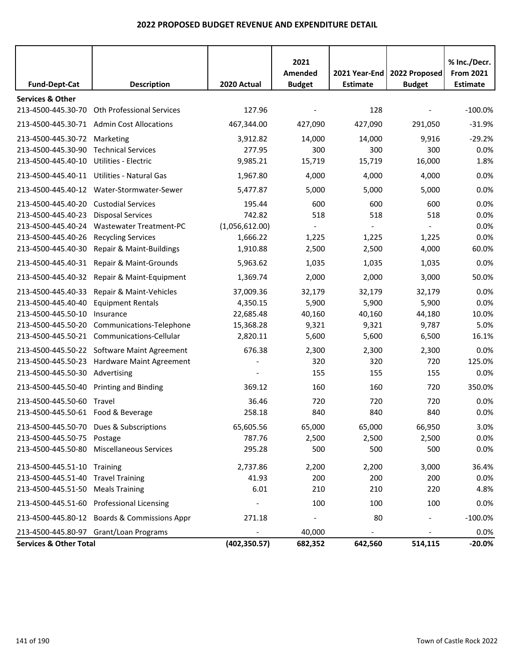|                                         |                                              |                | 2021<br>Amended |                 | 2021 Year-End   2022 Proposed | % Inc./Decr.<br><b>From 2021</b> |
|-----------------------------------------|----------------------------------------------|----------------|-----------------|-----------------|-------------------------------|----------------------------------|
| <b>Fund-Dept-Cat</b>                    | <b>Description</b>                           | 2020 Actual    | <b>Budget</b>   | <b>Estimate</b> | <b>Budget</b>                 | <b>Estimate</b>                  |
| <b>Services &amp; Other</b>             |                                              |                |                 |                 |                               |                                  |
| 213-4500-445.30-70                      | <b>Oth Professional Services</b>             | 127.96         |                 | 128             |                               | $-100.0\%$                       |
|                                         | 213-4500-445.30-71 Admin Cost Allocations    | 467,344.00     | 427,090         | 427,090         | 291,050                       | $-31.9%$                         |
| 213-4500-445.30-72 Marketing            |                                              | 3,912.82       | 14,000          | 14,000          | 9,916                         | $-29.2%$                         |
| 213-4500-445.30-90                      | <b>Technical Services</b>                    | 277.95         | 300             | 300             | 300                           | 0.0%                             |
| 213-4500-445.40-10                      | Utilities - Electric                         | 9,985.21       | 15,719          | 15,719          | 16,000                        | 1.8%                             |
|                                         | 213-4500-445.40-11 Utilities - Natural Gas   | 1,967.80       | 4,000           | 4,000           | 4,000                         | 0.0%                             |
|                                         | 213-4500-445.40-12 Water-Stormwater-Sewer    | 5,477.87       | 5,000           | 5,000           | 5,000                         | 0.0%                             |
| 213-4500-445.40-20                      | <b>Custodial Services</b>                    | 195.44         | 600             | 600             | 600                           | 0.0%                             |
| 213-4500-445.40-23                      | <b>Disposal Services</b>                     | 742.82         | 518             | 518             | 518                           | 0.0%                             |
| 213-4500-445.40-24                      | <b>Wastewater Treatment-PC</b>               | (1,056,612.00) |                 |                 |                               | 0.0%                             |
| 213-4500-445.40-26                      | <b>Recycling Services</b>                    | 1,666.22       | 1,225           | 1,225           | 1,225                         | 0.0%                             |
| 213-4500-445.40-30                      | Repair & Maint-Buildings                     | 1,910.88       | 2,500           | 2,500           | 4,000                         | 60.0%                            |
| 213-4500-445.40-31                      | Repair & Maint-Grounds                       | 5,963.62       | 1,035           | 1,035           | 1,035                         | 0.0%                             |
| 213-4500-445.40-32                      | Repair & Maint-Equipment                     | 1,369.74       | 2,000           | 2,000           | 3,000                         | 50.0%                            |
| 213-4500-445.40-33                      | Repair & Maint-Vehicles                      | 37,009.36      | 32,179          | 32,179          | 32,179                        | 0.0%                             |
| 213-4500-445.40-40                      | <b>Equipment Rentals</b>                     | 4,350.15       | 5,900           | 5,900           | 5,900                         | 0.0%                             |
| 213-4500-445.50-10                      | Insurance                                    | 22,685.48      | 40,160          | 40,160          | 44,180                        | 10.0%                            |
| 213-4500-445.50-20                      | Communications-Telephone                     | 15,368.28      | 9,321           | 9,321           | 9,787                         | 5.0%                             |
|                                         | 213-4500-445.50-21 Communications-Cellular   | 2,820.11       | 5,600           | 5,600           | 6,500                         | 16.1%                            |
|                                         | 213-4500-445.50-22 Software Maint Agreement  | 676.38         | 2,300           | 2,300           | 2,300                         | 0.0%                             |
| 213-4500-445.50-23                      | Hardware Maint Agreement                     |                | 320             | 320             | 720                           | 125.0%                           |
| 213-4500-445.50-30                      | Advertising                                  |                | 155             | 155             | 155                           | 0.0%                             |
| 213-4500-445.50-40 Printing and Binding |                                              | 369.12         | 160             | 160             | 720                           | 350.0%                           |
| 213-4500-445.50-60                      | Travel                                       | 36.46          | 720             | 720             | 720                           | 0.0%                             |
| 213-4500-445.50-61 Food & Beverage      |                                              | 258.18         | 840             | 840             | 840                           | 0.0%                             |
|                                         | 213-4500-445.50-70 Dues & Subscriptions      | 65,605.56      | 65,000          | 65,000          | 66,950                        | 3.0%                             |
| 213-4500-445.50-75 Postage              |                                              | 787.76         | 2,500           | 2,500           | 2,500                         | 0.0%                             |
|                                         | 213-4500-445.50-80 Miscellaneous Services    | 295.28         | 500             | 500             | 500                           | 0.0%                             |
| 213-4500-445.51-10 Training             |                                              | 2,737.86       | 2,200           | 2,200           | 3,000                         | 36.4%                            |
| 213-4500-445.51-40                      | <b>Travel Training</b>                       | 41.93          | 200             | 200             | 200                           | 0.0%                             |
| 213-4500-445.51-50 Meals Training       |                                              | 6.01           | 210             | 210             | 220                           | 4.8%                             |
|                                         | 213-4500-445.51-60 Professional Licensing    |                | 100             | 100             | 100                           | 0.0%                             |
|                                         | 213-4500-445.80-12 Boards & Commissions Appr | 271.18         |                 | 80              |                               | $-100.0\%$                       |
|                                         | 213-4500-445.80-97 Grant/Loan Programs       |                | 40,000          |                 |                               | 0.0%                             |
| <b>Services &amp; Other Total</b>       |                                              | (402, 350.57)  | 682,352         | 642,560         | 514,115                       | $-20.0%$                         |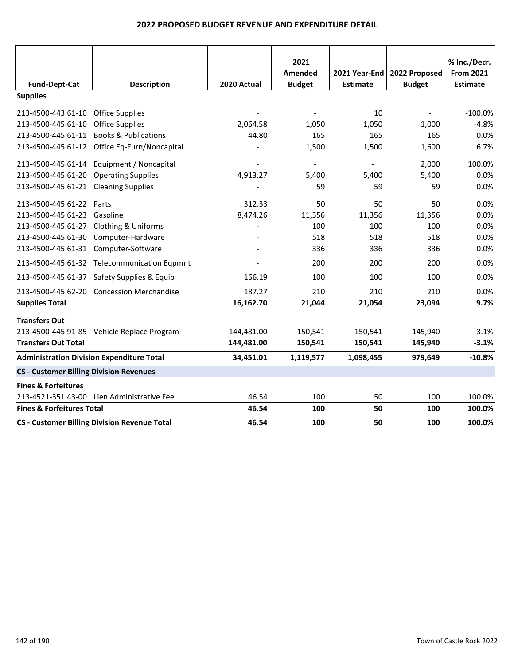|                                                |                                                     |             | 2021           |                          |                               | % Inc./Decr.     |
|------------------------------------------------|-----------------------------------------------------|-------------|----------------|--------------------------|-------------------------------|------------------|
|                                                |                                                     |             | Amended        |                          | 2021 Year-End   2022 Proposed | <b>From 2021</b> |
| <b>Fund-Dept-Cat</b>                           | <b>Description</b>                                  | 2020 Actual | <b>Budget</b>  | <b>Estimate</b>          | <b>Budget</b>                 | <b>Estimate</b>  |
| <b>Supplies</b>                                |                                                     |             |                |                          |                               |                  |
| 213-4500-443.61-10 Office Supplies             |                                                     |             |                | 10                       |                               | $-100.0%$        |
| 213-4500-445.61-10                             | <b>Office Supplies</b>                              | 2,064.58    | 1,050          | 1,050                    | 1,000                         | $-4.8%$          |
|                                                | 213-4500-445.61-11 Books & Publications             | 44.80       | 165            | 165                      | 165                           | 0.0%             |
|                                                | 213-4500-445.61-12 Office Eq-Furn/Noncapital        |             | 1,500          | 1,500                    | 1,600                         | 6.7%             |
|                                                | 213-4500-445.61-14 Equipment / Noncapital           |             | $\blacksquare$ | $\overline{\phantom{a}}$ | 2,000                         | 100.0%           |
| 213-4500-445.61-20                             | <b>Operating Supplies</b>                           | 4,913.27    | 5,400          | 5,400                    | 5,400                         | 0.0%             |
| 213-4500-445.61-21 Cleaning Supplies           |                                                     |             | 59             | 59                       | 59                            | 0.0%             |
| 213-4500-445.61-22 Parts                       |                                                     | 312.33      | 50             | 50                       | 50                            | 0.0%             |
| 213-4500-445.61-23 Gasoline                    |                                                     | 8,474.26    | 11,356         | 11,356                   | 11,356                        | 0.0%             |
| 213-4500-445.61-27 Clothing & Uniforms         |                                                     |             | 100            | 100                      | 100                           | 0.0%             |
|                                                | 213-4500-445.61-30 Computer-Hardware                |             | 518            | 518                      | 518                           | 0.0%             |
| 213-4500-445.61-31 Computer-Software           |                                                     |             | 336            | 336                      | 336                           | 0.0%             |
|                                                | 213-4500-445.61-32 Telecommunication Eqpmnt         |             | 200            | 200                      | 200                           | 0.0%             |
|                                                | 213-4500-445.61-37 Safety Supplies & Equip          | 166.19      | 100            | 100                      | 100                           | 0.0%             |
|                                                | 213-4500-445.62-20 Concession Merchandise           | 187.27      | 210            | 210                      | 210                           | 0.0%             |
| <b>Supplies Total</b>                          |                                                     | 16,162.70   | 21,044         | 21,054                   | 23,094                        | 9.7%             |
| <b>Transfers Out</b>                           |                                                     |             |                |                          |                               |                  |
|                                                | 213-4500-445.91-85 Vehicle Replace Program          | 144,481.00  | 150,541        | 150,541                  | 145,940                       | $-3.1%$          |
| <b>Transfers Out Total</b>                     |                                                     | 144,481.00  | 150,541        | 150,541                  | 145,940                       | $-3.1%$          |
|                                                | <b>Administration Division Expenditure Total</b>    | 34,451.01   | 1,119,577      | 1,098,455                | 979,649                       | $-10.8%$         |
| <b>CS - Customer Billing Division Revenues</b> |                                                     |             |                |                          |                               |                  |
| <b>Fines &amp; Forfeitures</b>                 |                                                     |             |                |                          |                               |                  |
| 213-4521-351.43-00                             | Lien Administrative Fee                             | 46.54       | 100            | 50                       | 100                           | 100.0%           |
| <b>Fines &amp; Forfeitures Total</b>           |                                                     | 46.54       | 100            | 50                       | 100                           | 100.0%           |
|                                                | <b>CS - Customer Billing Division Revenue Total</b> | 46.54       | 100            | 50                       | 100                           | 100.0%           |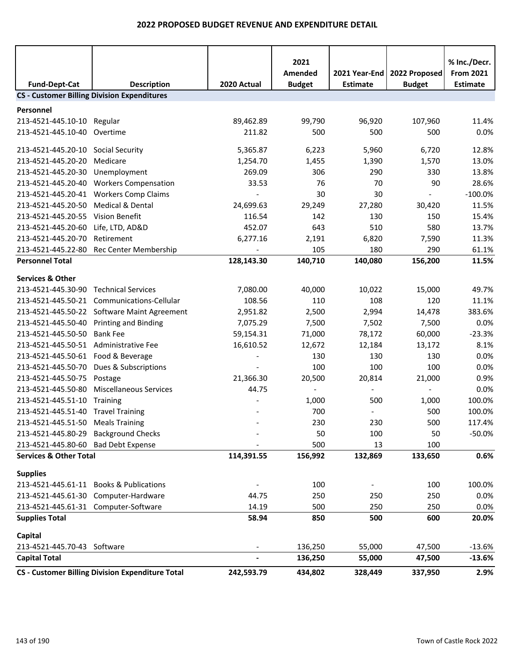|                                                     |                                                                          |                          | 2021               |                  |                          | % Inc./Decr.         |
|-----------------------------------------------------|--------------------------------------------------------------------------|--------------------------|--------------------|------------------|--------------------------|----------------------|
|                                                     |                                                                          |                          | Amended            | 2021 Year-End    | 2022 Proposed            | <b>From 2021</b>     |
| <b>Fund-Dept-Cat</b>                                | <b>Description</b><br><b>CS - Customer Billing Division Expenditures</b> | 2020 Actual              | <b>Budget</b>      | <b>Estimate</b>  | <b>Budget</b>            | <b>Estimate</b>      |
|                                                     |                                                                          |                          |                    |                  |                          |                      |
| Personnel                                           |                                                                          |                          |                    |                  |                          |                      |
| 213-4521-445.10-10 Regular                          |                                                                          | 89,462.89                | 99,790             | 96,920           | 107,960                  | 11.4%                |
| 213-4521-445.10-40                                  | Overtime                                                                 | 211.82                   | 500                | 500              | 500                      | 0.0%                 |
| 213-4521-445.20-10 Social Security                  |                                                                          | 5,365.87                 | 6,223              | 5,960            | 6,720                    | 12.8%                |
| 213-4521-445.20-20                                  | Medicare                                                                 | 1,254.70                 | 1,455              | 1,390            | 1,570                    | 13.0%                |
| 213-4521-445.20-30                                  | Unemployment                                                             | 269.09                   | 306                | 290              | 330                      | 13.8%                |
| 213-4521-445.20-40                                  | <b>Workers Compensation</b>                                              | 33.53                    | 76                 | 70               | 90                       | 28.6%                |
| 213-4521-445.20-41                                  | <b>Workers Comp Claims</b>                                               | $\overline{\phantom{a}}$ | 30                 | 30               | $\frac{1}{2}$            | $-100.0%$            |
| 213-4521-445.20-50                                  | <b>Medical &amp; Dental</b>                                              | 24,699.63                | 29,249             | 27,280           | 30,420                   | 11.5%                |
| 213-4521-445.20-55 Vision Benefit                   |                                                                          | 116.54                   | 142                | 130              | 150                      | 15.4%                |
| 213-4521-445.20-60                                  | Life, LTD, AD&D                                                          | 452.07                   | 643                | 510              | 580                      | 13.7%                |
| 213-4521-445.20-70                                  | Retirement                                                               | 6,277.16                 | 2,191              | 6,820            | 7,590                    | 11.3%                |
| 213-4521-445.22-80                                  | Rec Center Membership                                                    |                          | 105                | 180              | 290                      | 61.1%                |
| <b>Personnel Total</b>                              |                                                                          | 128,143.30               | 140,710            | 140,080          | 156,200                  | 11.5%                |
| <b>Services &amp; Other</b>                         |                                                                          |                          |                    |                  |                          |                      |
| 213-4521-445.30-90 Technical Services               |                                                                          | 7,080.00                 | 40,000             | 10,022           | 15,000                   | 49.7%                |
|                                                     | 213-4521-445.50-21 Communications-Cellular                               | 108.56                   | 110                | 108              | 120                      | 11.1%                |
|                                                     | 213-4521-445.50-22 Software Maint Agreement                              | 2,951.82                 | 2,500              | 2,994            | 14,478                   | 383.6%               |
| 213-4521-445.50-40 Printing and Binding             |                                                                          | 7,075.29                 | 7,500              | 7,502            | 7,500                    | 0.0%                 |
| 213-4521-445.50-50                                  | <b>Bank Fee</b>                                                          | 59,154.31                | 71,000             | 78,172           | 60,000                   | $-23.3%$             |
| 213-4521-445.50-51 Administrative Fee               |                                                                          | 16,610.52                | 12,672             | 12,184           | 13,172                   | 8.1%                 |
| 213-4521-445.50-61 Food & Beverage                  |                                                                          |                          | 130                | 130              | 130                      | 0.0%                 |
|                                                     | 213-4521-445.50-70 Dues & Subscriptions                                  |                          | 100                | 100              | 100                      | 0.0%                 |
| 213-4521-445.50-75                                  | Postage                                                                  | 21,366.30                | 20,500             | 20,814           | 21,000                   | 0.9%                 |
| 213-4521-445.50-80                                  | <b>Miscellaneous Services</b>                                            | 44.75                    |                    |                  | $\overline{\phantom{a}}$ | 0.0%                 |
| 213-4521-445.51-10 Training                         |                                                                          |                          | 1,000              | 500              | 1,000                    | 100.0%               |
| 213-4521-445.51-40 Travel Training                  |                                                                          |                          | 700                |                  | 500                      | 100.0%               |
| 213-4521-445.51-50 Meals Training                   |                                                                          |                          | 230                | 230              | 500                      | 117.4%               |
| 213-4521-445.80-29 Background Checks                |                                                                          |                          | 50                 | 100              | 50                       | $-50.0%$             |
| 213-4521-445.80-60 Bad Debt Expense                 |                                                                          |                          | 500                | 13               | 100                      |                      |
| <b>Services &amp; Other Total</b>                   |                                                                          | 114,391.55               | 156,992            | 132,869          | 133,650                  | 0.6%                 |
| <b>Supplies</b>                                     |                                                                          |                          |                    |                  |                          |                      |
|                                                     | 213-4521-445.61-11 Books & Publications                                  |                          | 100                |                  | 100                      | 100.0%               |
| 213-4521-445.61-30 Computer-Hardware                |                                                                          | 44.75                    | 250                | 250              | 250                      | 0.0%                 |
| 213-4521-445.61-31 Computer-Software                |                                                                          | 14.19                    | 500                | 250              | 250                      | 0.0%                 |
| <b>Supplies Total</b>                               |                                                                          | 58.94                    | 850                | 500              | 600                      | 20.0%                |
|                                                     |                                                                          |                          |                    |                  |                          |                      |
| Capital                                             |                                                                          |                          |                    |                  |                          |                      |
| 213-4521-445.70-43 Software<br><b>Capital Total</b> |                                                                          |                          | 136,250<br>136,250 | 55,000<br>55,000 | 47,500<br>47,500         | $-13.6%$<br>$-13.6%$ |
|                                                     |                                                                          |                          |                    |                  |                          |                      |
|                                                     | <b>CS - Customer Billing Division Expenditure Total</b>                  | 242,593.79               | 434,802            | 328,449          | 337,950                  | 2.9%                 |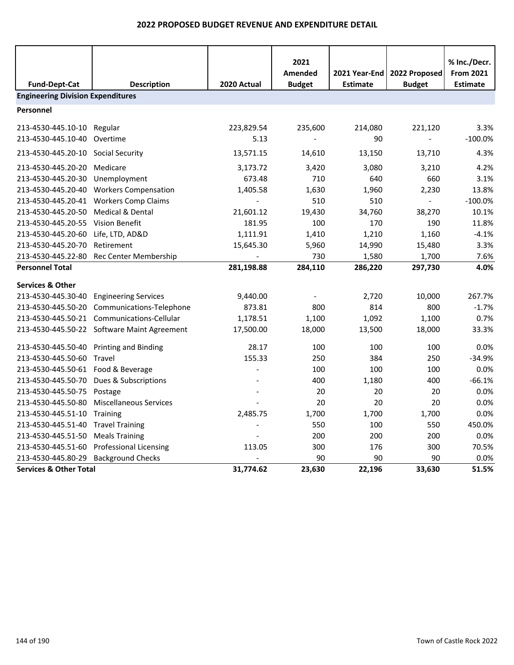| <b>Fund-Dept-Cat</b>                     | <b>Description</b>                          | 2020 Actual | 2021<br>Amended<br><b>Budget</b> | 2021 Year-End<br><b>Estimate</b> | 2022 Proposed<br><b>Budget</b> | % Inc./Decr.<br><b>From 2021</b><br><b>Estimate</b> |
|------------------------------------------|---------------------------------------------|-------------|----------------------------------|----------------------------------|--------------------------------|-----------------------------------------------------|
| <b>Engineering Division Expenditures</b> |                                             |             |                                  |                                  |                                |                                                     |
| Personnel                                |                                             |             |                                  |                                  |                                |                                                     |
| 213-4530-445.10-10                       | Regular                                     | 223,829.54  | 235,600                          | 214,080                          | 221,120                        | 3.3%                                                |
| 213-4530-445.10-40                       | Overtime                                    | 5.13        |                                  | 90                               |                                | $-100.0%$                                           |
| 213-4530-445.20-10 Social Security       |                                             | 13,571.15   | 14,610                           | 13,150                           | 13,710                         | 4.3%                                                |
| 213-4530-445.20-20                       | Medicare                                    | 3,173.72    | 3,420                            | 3,080                            | 3,210                          | 4.2%                                                |
| 213-4530-445.20-30                       | Unemployment                                | 673.48      | 710                              | 640                              | 660                            | 3.1%                                                |
| 213-4530-445.20-40                       | <b>Workers Compensation</b>                 | 1,405.58    | 1,630                            | 1,960                            | 2,230                          | 13.8%                                               |
| 213-4530-445.20-41                       | <b>Workers Comp Claims</b>                  |             | 510                              | 510                              | $\sim$                         | $-100.0%$                                           |
| 213-4530-445.20-50                       | <b>Medical &amp; Dental</b>                 | 21,601.12   | 19,430                           | 34,760                           | 38,270                         | 10.1%                                               |
| 213-4530-445.20-55                       | Vision Benefit                              | 181.95      | 100                              | 170                              | 190                            | 11.8%                                               |
| 213-4530-445.20-60                       | Life, LTD, AD&D                             | 1,111.91    | 1,410                            | 1,210                            | 1,160                          | $-4.1%$                                             |
| 213-4530-445.20-70                       | Retirement                                  | 15,645.30   | 5,960                            | 14,990                           | 15,480                         | 3.3%                                                |
| 213-4530-445.22-80                       | Rec Center Membership                       |             | 730                              | 1,580                            | 1,700                          | 7.6%                                                |
| <b>Personnel Total</b>                   |                                             | 281,198.88  | 284,110                          | 286,220                          | 297,730                        | 4.0%                                                |
| <b>Services &amp; Other</b>              |                                             |             |                                  |                                  |                                |                                                     |
| 213-4530-445.30-40                       | <b>Engineering Services</b>                 | 9,440.00    | $\blacksquare$                   | 2,720                            | 10,000                         | 267.7%                                              |
| 213-4530-445.50-20                       | Communications-Telephone                    | 873.81      | 800                              | 814                              | 800                            | $-1.7%$                                             |
| 213-4530-445.50-21                       | Communications-Cellular                     | 1,178.51    | 1,100                            | 1,092                            | 1,100                          | 0.7%                                                |
|                                          | 213-4530-445.50-22 Software Maint Agreement | 17,500.00   | 18,000                           | 13,500                           | 18,000                         | 33.3%                                               |
| 213-4530-445.50-40 Printing and Binding  |                                             | 28.17       | 100                              | 100                              | 100                            | 0.0%                                                |
| 213-4530-445.50-60 Travel                |                                             | 155.33      | 250                              | 384                              | 250                            | $-34.9%$                                            |
| 213-4530-445.50-61 Food & Beverage       |                                             |             | 100                              | 100                              | 100                            | 0.0%                                                |
| 213-4530-445.50-70                       | Dues & Subscriptions                        |             | 400                              | 1,180                            | 400                            | $-66.1%$                                            |
| 213-4530-445.50-75                       | Postage                                     |             | 20                               | 20                               | 20                             | 0.0%                                                |
| 213-4530-445.50-80                       | <b>Miscellaneous Services</b>               |             | 20                               | 20                               | 20                             | 0.0%                                                |
| 213-4530-445.51-10                       | Training                                    | 2,485.75    | 1,700                            | 1,700                            | 1,700                          | 0.0%                                                |
| 213-4530-445.51-40                       | <b>Travel Training</b>                      |             | 550                              | 100                              | 550                            | 450.0%                                              |
| 213-4530-445.51-50                       | <b>Meals Training</b>                       |             | 200                              | 200                              | 200                            | 0.0%                                                |
| 213-4530-445.51-60                       | <b>Professional Licensing</b>               | 113.05      | 300                              | 176                              | 300                            | 70.5%                                               |
| 213-4530-445.80-29                       | <b>Background Checks</b>                    |             | 90                               | 90                               | 90                             | 0.0%                                                |
| <b>Services &amp; Other Total</b>        |                                             | 31,774.62   | 23,630                           | 22,196                           | 33,630                         | 51.5%                                               |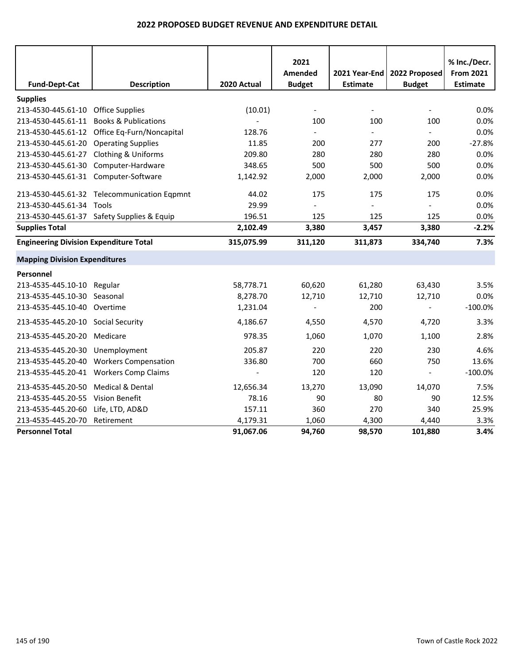|                                               |                                              |             | 2021                     |                          |                          | % Inc./Decr.     |
|-----------------------------------------------|----------------------------------------------|-------------|--------------------------|--------------------------|--------------------------|------------------|
|                                               |                                              |             | Amended                  | 2021 Year-End            | 2022 Proposed            | <b>From 2021</b> |
| <b>Fund-Dept-Cat</b>                          | <b>Description</b>                           | 2020 Actual | <b>Budget</b>            | <b>Estimate</b>          | <b>Budget</b>            | <b>Estimate</b>  |
| <b>Supplies</b>                               |                                              |             |                          |                          |                          |                  |
| 213-4530-445.61-10                            | <b>Office Supplies</b>                       | (10.01)     | $\overline{\phantom{a}}$ | $\overline{\phantom{a}}$ | $\overline{\phantom{a}}$ | 0.0%             |
| 213-4530-445.61-11                            | <b>Books &amp; Publications</b>              |             | 100                      | 100                      | 100                      | 0.0%             |
|                                               | 213-4530-445.61-12 Office Eq-Furn/Noncapital | 128.76      | $\blacksquare$           |                          |                          | 0.0%             |
| 213-4530-445.61-20                            | <b>Operating Supplies</b>                    | 11.85       | 200                      | 277                      | 200                      | $-27.8%$         |
| 213-4530-445.61-27                            | Clothing & Uniforms                          | 209.80      | 280                      | 280                      | 280                      | 0.0%             |
| 213-4530-445.61-30                            | Computer-Hardware                            | 348.65      | 500                      | 500                      | 500                      | 0.0%             |
| 213-4530-445.61-31 Computer-Software          |                                              | 1,142.92    | 2,000                    | 2,000                    | 2,000                    | 0.0%             |
|                                               | 213-4530-445.61-32 Telecommunication Eqpmnt  | 44.02       | 175                      | 175                      | 175                      | 0.0%             |
| 213-4530-445.61-34                            | Tools                                        | 29.99       | $\overline{a}$           |                          |                          | 0.0%             |
|                                               | 213-4530-445.61-37 Safety Supplies & Equip   | 196.51      | 125                      | 125                      | 125                      | 0.0%             |
| <b>Supplies Total</b>                         |                                              | 2,102.49    | 3,380                    | 3,457                    | 3,380                    | $-2.2%$          |
| <b>Engineering Division Expenditure Total</b> |                                              | 315,075.99  | 311,120                  | 311,873                  | 334,740                  | 7.3%             |
| <b>Mapping Division Expenditures</b>          |                                              |             |                          |                          |                          |                  |
| Personnel                                     |                                              |             |                          |                          |                          |                  |
| 213-4535-445.10-10 Regular                    |                                              | 58,778.71   | 60,620                   | 61,280                   | 63,430                   | 3.5%             |
| 213-4535-445.10-30                            | Seasonal                                     | 8,278.70    | 12,710                   | 12,710                   | 12,710                   | 0.0%             |
| 213-4535-445.10-40                            | Overtime                                     | 1,231.04    |                          | 200                      |                          | $-100.0%$        |
| 213-4535-445.20-10 Social Security            |                                              | 4,186.67    | 4,550                    | 4,570                    | 4,720                    | 3.3%             |
| 213-4535-445.20-20                            | Medicare                                     | 978.35      | 1,060                    | 1,070                    | 1,100                    | 2.8%             |
| 213-4535-445.20-30                            | Unemployment                                 | 205.87      | 220                      | 220                      | 230                      | 4.6%             |
| 213-4535-445.20-40                            | <b>Workers Compensation</b>                  | 336.80      | 700                      | 660                      | 750                      | 13.6%            |
| 213-4535-445.20-41                            | <b>Workers Comp Claims</b>                   |             | 120                      | 120                      | $\Box$                   | $-100.0%$        |
| 213-4535-445.20-50                            | Medical & Dental                             | 12,656.34   | 13,270                   | 13,090                   | 14,070                   | 7.5%             |
| 213-4535-445.20-55                            | Vision Benefit                               | 78.16       | 90                       | 80                       | 90                       | 12.5%            |
| 213-4535-445.20-60                            | Life, LTD, AD&D                              | 157.11      | 360                      | 270                      | 340                      | 25.9%            |
| 213-4535-445.20-70                            | Retirement                                   | 4,179.31    | 1,060                    | 4,300                    | 4,440                    | 3.3%             |
| <b>Personnel Total</b>                        |                                              | 91,067.06   | 94,760                   | 98,570                   | 101,880                  | 3.4%             |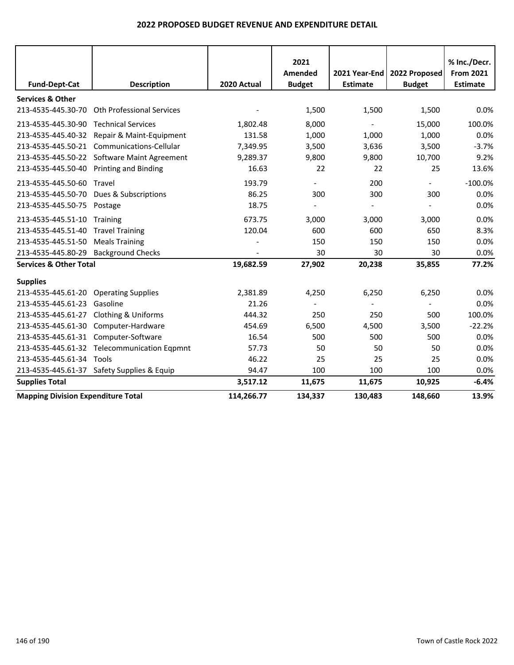|                                           |                                             |             | 2021<br>Amended          | 2021 Year-End   | 2022 Proposed            | % Inc./Decr.<br><b>From 2021</b> |
|-------------------------------------------|---------------------------------------------|-------------|--------------------------|-----------------|--------------------------|----------------------------------|
| <b>Fund-Dept-Cat</b>                      | <b>Description</b>                          | 2020 Actual | <b>Budget</b>            | <b>Estimate</b> | <b>Budget</b>            | <b>Estimate</b>                  |
| <b>Services &amp; Other</b>               |                                             |             |                          |                 |                          |                                  |
| 213-4535-445.30-70                        | <b>Oth Professional Services</b>            |             | 1,500                    | 1,500           | 1,500                    | 0.0%                             |
| 213-4535-445.30-90                        | <b>Technical Services</b>                   | 1,802.48    | 8,000                    |                 | 15,000                   | 100.0%                           |
| 213-4535-445.40-32                        | Repair & Maint-Equipment                    | 131.58      | 1,000                    | 1,000           | 1,000                    | 0.0%                             |
| 213-4535-445.50-21                        | Communications-Cellular                     | 7,349.95    | 3,500                    | 3,636           | 3,500                    | $-3.7%$                          |
|                                           | 213-4535-445.50-22 Software Maint Agreement | 9,289.37    | 9,800                    | 9,800           | 10,700                   | 9.2%                             |
| 213-4535-445.50-40                        | <b>Printing and Binding</b>                 | 16.63       | 22                       | 22              | 25                       | 13.6%                            |
| 213-4535-445.50-60                        | Travel                                      | 193.79      | $\overline{\phantom{a}}$ | 200             | $\overline{\phantom{a}}$ | $-100.0%$                        |
| 213-4535-445.50-70                        | Dues & Subscriptions                        | 86.25       | 300                      | 300             | 300                      | 0.0%                             |
| 213-4535-445.50-75                        | Postage                                     | 18.75       |                          |                 |                          | 0.0%                             |
| 213-4535-445.51-10                        | Training                                    | 673.75      | 3,000                    | 3,000           | 3,000                    | 0.0%                             |
| 213-4535-445.51-40                        | <b>Travel Training</b>                      | 120.04      | 600                      | 600             | 650                      | 8.3%                             |
| 213-4535-445.51-50                        | <b>Meals Training</b>                       |             | 150                      | 150             | 150                      | 0.0%                             |
| 213-4535-445.80-29                        | <b>Background Checks</b>                    |             | 30                       | 30              | 30                       | 0.0%                             |
| <b>Services &amp; Other Total</b>         |                                             | 19,682.59   | 27,902                   | 20,238          | 35,855                   | 77.2%                            |
| <b>Supplies</b>                           |                                             |             |                          |                 |                          |                                  |
| 213-4535-445.61-20                        | <b>Operating Supplies</b>                   | 2,381.89    | 4,250                    | 6,250           | 6,250                    | 0.0%                             |
| 213-4535-445.61-23                        | Gasoline                                    | 21.26       | $\overline{a}$           |                 |                          | 0.0%                             |
| 213-4535-445.61-27                        | <b>Clothing &amp; Uniforms</b>              | 444.32      | 250                      | 250             | 500                      | 100.0%                           |
| 213-4535-445.61-30                        | Computer-Hardware                           | 454.69      | 6,500                    | 4,500           | 3,500                    | $-22.2%$                         |
| 213-4535-445.61-31                        | Computer-Software                           | 16.54       | 500                      | 500             | 500                      | 0.0%                             |
| 213-4535-445.61-32                        | <b>Telecommunication Eqpmnt</b>             | 57.73       | 50                       | 50              | 50                       | 0.0%                             |
| 213-4535-445.61-34                        | Tools                                       | 46.22       | 25                       | 25              | 25                       | 0.0%                             |
|                                           | 213-4535-445.61-37 Safety Supplies & Equip  | 94.47       | 100                      | 100             | 100                      | 0.0%                             |
| <b>Supplies Total</b>                     |                                             | 3,517.12    | 11,675                   | 11,675          | 10,925                   | $-6.4%$                          |
| <b>Mapping Division Expenditure Total</b> |                                             | 114,266.77  | 134,337                  | 130,483         | 148,660                  | 13.9%                            |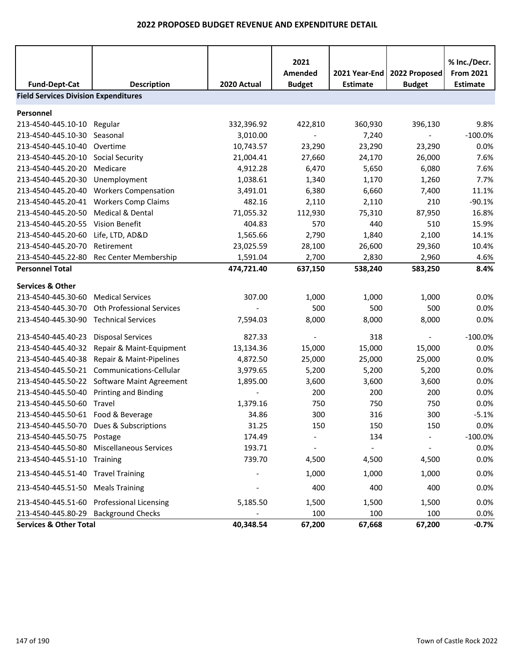|                                                                     |                                           |             | 2021          |                 |               | % Inc./Decr.     |
|---------------------------------------------------------------------|-------------------------------------------|-------------|---------------|-----------------|---------------|------------------|
|                                                                     |                                           |             | Amended       | 2021 Year-End   | 2022 Proposed | <b>From 2021</b> |
| <b>Fund-Dept-Cat</b><br><b>Field Services Division Expenditures</b> | <b>Description</b>                        | 2020 Actual | <b>Budget</b> | <b>Estimate</b> | <b>Budget</b> | <b>Estimate</b>  |
|                                                                     |                                           |             |               |                 |               |                  |
| Personnel                                                           |                                           |             |               |                 |               |                  |
| 213-4540-445.10-10                                                  | Regular                                   | 332,396.92  | 422,810       | 360,930         | 396,130       | 9.8%             |
| 213-4540-445.10-30                                                  | Seasonal                                  | 3,010.00    |               | 7,240           |               | $-100.0%$        |
| 213-4540-445.10-40                                                  | Overtime                                  | 10,743.57   | 23,290        | 23,290          | 23,290        | 0.0%             |
| 213-4540-445.20-10                                                  | <b>Social Security</b>                    | 21,004.41   | 27,660        | 24,170          | 26,000        | 7.6%             |
| 213-4540-445.20-20                                                  | Medicare                                  | 4,912.28    | 6,470         | 5,650           | 6,080         | 7.6%             |
| 213-4540-445.20-30                                                  | Unemployment                              | 1,038.61    | 1,340         | 1,170           | 1,260         | 7.7%             |
| 213-4540-445.20-40                                                  | <b>Workers Compensation</b>               | 3,491.01    | 6,380         | 6,660           | 7,400         | 11.1%            |
| 213-4540-445.20-41                                                  | <b>Workers Comp Claims</b>                | 482.16      | 2,110         | 2,110           | 210           | $-90.1%$         |
| 213-4540-445.20-50                                                  | <b>Medical &amp; Dental</b>               | 71,055.32   | 112,930       | 75,310          | 87,950        | 16.8%            |
| 213-4540-445.20-55                                                  | Vision Benefit                            | 404.83      | 570           | 440             | 510           | 15.9%            |
| 213-4540-445.20-60                                                  | Life, LTD, AD&D                           | 1,565.66    | 2,790         | 1,840           | 2,100         | 14.1%            |
| 213-4540-445.20-70                                                  | Retirement                                | 23,025.59   | 28,100        | 26,600          | 29,360        | 10.4%            |
| 213-4540-445.22-80                                                  | Rec Center Membership                     | 1,591.04    | 2,700         | 2,830           | 2,960         | 4.6%             |
| <b>Personnel Total</b>                                              |                                           | 474,721.40  | 637,150       | 538,240         | 583,250       | 8.4%             |
| <b>Services &amp; Other</b>                                         |                                           |             |               |                 |               |                  |
| 213-4540-445.30-60                                                  | <b>Medical Services</b>                   | 307.00      | 1,000         | 1,000           | 1,000         | 0.0%             |
| 213-4540-445.30-70                                                  | <b>Oth Professional Services</b>          |             | 500           | 500             | 500           | 0.0%             |
| 213-4540-445.30-90                                                  | <b>Technical Services</b>                 | 7,594.03    | 8,000         | 8,000           | 8,000         | 0.0%             |
|                                                                     |                                           |             |               |                 |               |                  |
| 213-4540-445.40-23                                                  | <b>Disposal Services</b>                  | 827.33      |               | 318             |               | $-100.0%$        |
| 213-4540-445.40-32                                                  | Repair & Maint-Equipment                  | 13,134.36   | 15,000        | 15,000          | 15,000        | 0.0%             |
| 213-4540-445.40-38                                                  | Repair & Maint-Pipelines                  | 4,872.50    | 25,000        | 25,000          | 25,000        | 0.0%             |
| 213-4540-445.50-21                                                  | Communications-Cellular                   | 3,979.65    | 5,200         | 5,200           | 5,200         | 0.0%             |
| 213-4540-445.50-22                                                  | Software Maint Agreement                  | 1,895.00    | 3,600         | 3,600           | 3,600         | 0.0%             |
| 213-4540-445.50-40                                                  | <b>Printing and Binding</b>               |             | 200           | 200             | 200           | 0.0%             |
| 213-4540-445.50-60                                                  | Travel                                    | 1,379.16    | 750           | 750             | 750           | 0.0%             |
| 213-4540-445.50-61 Food & Beverage                                  |                                           | 34.86       | 300           | 316             | 300           | $-5.1%$          |
|                                                                     | 213-4540-445.50-70 Dues & Subscriptions   | 31.25       | 150           | 150             | 150           | 0.0%             |
| 213-4540-445.50-75                                                  | Postage                                   | 174.49      |               | 134             |               | $-100.0%$        |
| 213-4540-445.50-80                                                  | <b>Miscellaneous Services</b>             | 193.71      |               |                 |               | 0.0%             |
| 213-4540-445.51-10 Training                                         |                                           | 739.70      | 4,500         | 4,500           | 4,500         | 0.0%             |
| 213-4540-445.51-40 Travel Training                                  |                                           |             | 1,000         | 1,000           | 1,000         | 0.0%             |
| 213-4540-445.51-50                                                  | <b>Meals Training</b>                     |             | 400           | 400             | 400           | 0.0%             |
|                                                                     | 213-4540-445.51-60 Professional Licensing | 5,185.50    | 1,500         | 1,500           | 1,500         | 0.0%             |
| 213-4540-445.80-29 Background Checks                                |                                           |             | 100           | 100             | 100           | 0.0%             |
| <b>Services &amp; Other Total</b>                                   |                                           | 40,348.54   | 67,200        | 67,668          | 67,200        | $-0.7%$          |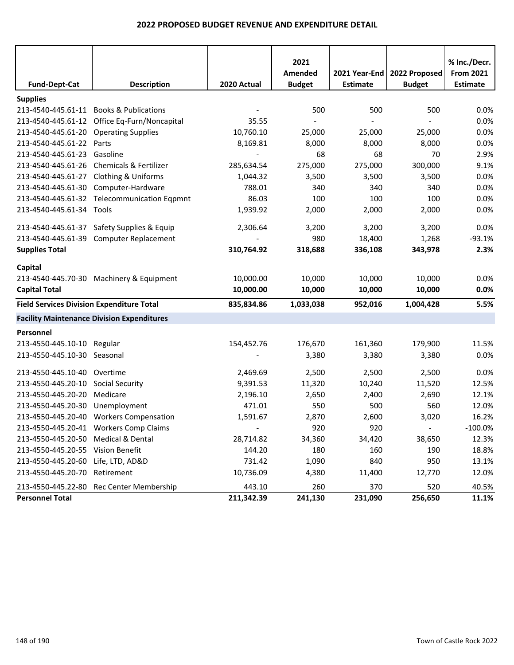|                                                  |                                                   |                          | 2021          |                 |                | % Inc./Decr.     |
|--------------------------------------------------|---------------------------------------------------|--------------------------|---------------|-----------------|----------------|------------------|
|                                                  |                                                   |                          | Amended       | 2021 Year-End   | 2022 Proposed  | <b>From 2021</b> |
| <b>Fund-Dept-Cat</b>                             | <b>Description</b>                                | 2020 Actual              | <b>Budget</b> | <b>Estimate</b> | <b>Budget</b>  | <b>Estimate</b>  |
| <b>Supplies</b>                                  |                                                   |                          |               |                 |                |                  |
|                                                  | 213-4540-445.61-11 Books & Publications           |                          | 500           | 500             | 500            | 0.0%             |
|                                                  | 213-4540-445.61-12 Office Eq-Furn/Noncapital      | 35.55                    |               |                 |                | 0.0%             |
| 213-4540-445.61-20 Operating Supplies            |                                                   | 10,760.10                | 25,000        | 25,000          | 25,000         | 0.0%             |
| 213-4540-445.61-22 Parts                         |                                                   | 8,169.81                 | 8,000         | 8,000           | 8,000          | 0.0%             |
| 213-4540-445.61-23 Gasoline                      |                                                   | $\overline{\phantom{a}}$ | 68            | 68              | 70             | 2.9%             |
|                                                  | 213-4540-445.61-26 Chemicals & Fertilizer         | 285,634.54               | 275,000       | 275,000         | 300,000        | 9.1%             |
| 213-4540-445.61-27 Clothing & Uniforms           |                                                   | 1,044.32                 | 3,500         | 3,500           | 3,500          | 0.0%             |
|                                                  | 213-4540-445.61-30 Computer-Hardware              | 788.01                   | 340           | 340             | 340            | 0.0%             |
|                                                  | 213-4540-445.61-32 Telecommunication Eqpmnt       | 86.03                    | 100           | 100             | 100            | 0.0%             |
| 213-4540-445.61-34 Tools                         |                                                   | 1,939.92                 | 2,000         | 2,000           | 2,000          | 0.0%             |
|                                                  | 213-4540-445.61-37 Safety Supplies & Equip        | 2,306.64                 | 3,200         | 3,200           | 3,200          | 0.0%             |
|                                                  | 213-4540-445.61-39 Computer Replacement           |                          | 980           | 18,400          | 1,268          | $-93.1%$         |
| <b>Supplies Total</b>                            |                                                   | 310,764.92               | 318,688       | 336,108         | 343,978        | 2.3%             |
| Capital                                          |                                                   |                          |               |                 |                |                  |
|                                                  | 213-4540-445.70-30 Machinery & Equipment          | 10,000.00                | 10,000        | 10,000          | 10,000         | 0.0%             |
| <b>Capital Total</b>                             |                                                   | 10,000.00                | 10,000        | 10,000          | 10,000         | 0.0%             |
| <b>Field Services Division Expenditure Total</b> |                                                   | 835,834.86               | 1,033,038     | 952,016         | 1,004,428      | 5.5%             |
|                                                  | <b>Facility Maintenance Division Expenditures</b> |                          |               |                 |                |                  |
| Personnel                                        |                                                   |                          |               |                 |                |                  |
| 213-4550-445.10-10 Regular                       |                                                   | 154,452.76               | 176,670       | 161,360         | 179,900        | 11.5%            |
| 213-4550-445.10-30 Seasonal                      |                                                   |                          | 3,380         | 3,380           | 3,380          | 0.0%             |
| 213-4550-445.10-40 Overtime                      |                                                   | 2,469.69                 | 2,500         | 2,500           | 2,500          | 0.0%             |
| 213-4550-445.20-10 Social Security               |                                                   | 9,391.53                 | 11,320        | 10,240          | 11,520         | 12.5%            |
| 213-4550-445.20-20                               | Medicare                                          | 2,196.10                 | 2,650         | 2,400           | 2,690          | 12.1%            |
| 213-4550-445.20-30                               | Unemployment                                      | 471.01                   | 550           | 500             | 560            | 12.0%            |
|                                                  | 213-4550-445.20-40 Workers Compensation           | 1,591.67                 | 2,870         | 2,600           | 3,020          | 16.2%            |
|                                                  | 213-4550-445.20-41 Workers Comp Claims            |                          | 920           | 920             | $\blacksquare$ | $-100.0\%$       |
| 213-4550-445.20-50 Medical & Dental              |                                                   | 28,714.82                | 34,360        | 34,420          | 38,650         | 12.3%            |
| 213-4550-445.20-55 Vision Benefit                |                                                   | 144.20                   | 180           | 160             | 190            | 18.8%            |
| 213-4550-445.20-60 Life, LTD, AD&D               |                                                   | 731.42                   | 1,090         | 840             | 950            | 13.1%            |
| 213-4550-445.20-70 Retirement                    |                                                   | 10,736.09                | 4,380         | 11,400          | 12,770         | 12.0%            |
|                                                  | 213-4550-445.22-80 Rec Center Membership          | 443.10                   | 260           | 370             | 520            | 40.5%            |
| <b>Personnel Total</b>                           |                                                   | 211,342.39               | 241,130       | 231,090         | 256,650        | 11.1%            |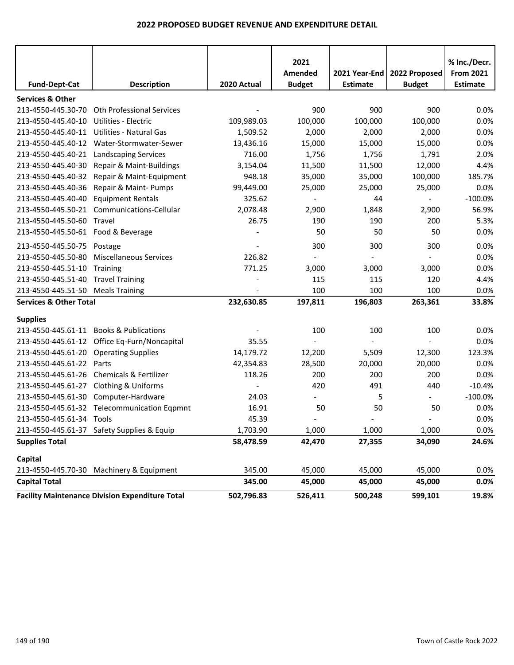| <b>Fund-Dept-Cat</b>                   | <b>Description</b>                                     | 2020 Actual              | 2021<br>Amended<br><b>Budget</b> | 2021 Year-End<br><b>Estimate</b> | 2022 Proposed<br><b>Budget</b> | % Inc./Decr.<br><b>From 2021</b><br>Estimate |
|----------------------------------------|--------------------------------------------------------|--------------------------|----------------------------------|----------------------------------|--------------------------------|----------------------------------------------|
| <b>Services &amp; Other</b>            |                                                        |                          |                                  |                                  |                                |                                              |
| 213-4550-445.30-70                     | Oth Professional Services                              |                          | 900                              | 900                              | 900                            | 0.0%                                         |
| 213-4550-445.40-10                     | Utilities - Electric                                   | 109,989.03               | 100,000                          | 100,000                          | 100,000                        | 0.0%                                         |
|                                        | 213-4550-445.40-11 Utilities - Natural Gas             | 1,509.52                 | 2,000                            | 2,000                            | 2,000                          | 0.0%                                         |
|                                        | 213-4550-445.40-12 Water-Stormwater-Sewer              | 13,436.16                | 15,000                           | 15,000                           | 15,000                         | 0.0%                                         |
|                                        | 213-4550-445.40-21 Landscaping Services                | 716.00                   | 1,756                            | 1,756                            | 1,791                          | 2.0%                                         |
|                                        | 213-4550-445.40-30 Repair & Maint-Buildings            | 3,154.04                 | 11,500                           | 11,500                           | 12,000                         | 4.4%                                         |
| 213-4550-445.40-32                     | Repair & Maint-Equipment                               | 948.18                   | 35,000                           | 35,000                           | 100,000                        | 185.7%                                       |
| 213-4550-445.40-36                     | Repair & Maint- Pumps                                  | 99,449.00                | 25,000                           | 25,000                           | 25,000                         | 0.0%                                         |
| 213-4550-445.40-40                     | <b>Equipment Rentals</b>                               | 325.62                   | $\overline{\phantom{a}}$         | 44                               | $\blacksquare$                 | $-100.0%$                                    |
|                                        | 213-4550-445.50-21 Communications-Cellular             | 2,078.48                 | 2,900                            | 1,848                            | 2,900                          | 56.9%                                        |
| 213-4550-445.50-60                     | Travel                                                 | 26.75                    | 190                              | 190                              | 200                            | 5.3%                                         |
| 213-4550-445.50-61 Food & Beverage     |                                                        |                          | 50                               | 50                               | 50                             | 0.0%                                         |
| 213-4550-445.50-75 Postage             |                                                        |                          | 300                              | 300                              | 300                            | 0.0%                                         |
| 213-4550-445.50-80                     | <b>Miscellaneous Services</b>                          | 226.82                   |                                  |                                  | $\overline{\phantom{a}}$       | 0.0%                                         |
| 213-4550-445.51-10                     | Training                                               | 771.25                   | 3,000                            | 3,000                            | 3,000                          | 0.0%                                         |
| 213-4550-445.51-40 Travel Training     |                                                        |                          | 115                              | 115                              | 120                            | 4.4%                                         |
| 213-4550-445.51-50 Meals Training      |                                                        |                          | 100                              | 100                              | 100                            | 0.0%                                         |
| <b>Services &amp; Other Total</b>      |                                                        | 232,630.85               | 197,811                          | 196,803                          | 263,361                        | 33.8%                                        |
| <b>Supplies</b>                        |                                                        |                          |                                  |                                  |                                |                                              |
|                                        | 213-4550-445.61-11 Books & Publications                |                          | 100                              | 100                              | 100                            | 0.0%                                         |
|                                        | 213-4550-445.61-12 Office Eq-Furn/Noncapital           | 35.55                    |                                  |                                  | $\overline{a}$                 | 0.0%                                         |
| 213-4550-445.61-20 Operating Supplies  |                                                        | 14,179.72                | 12,200                           | 5,509                            | 12,300                         | 123.3%                                       |
| 213-4550-445.61-22 Parts               |                                                        | 42,354.83                | 28,500                           | 20,000                           | 20,000                         | 0.0%                                         |
| 213-4550-445.61-26                     | Chemicals & Fertilizer                                 | 118.26                   | 200                              | 200                              | 200                            | 0.0%                                         |
| 213-4550-445.61-27 Clothing & Uniforms |                                                        | $\overline{\phantom{a}}$ | 420                              | 491                              | 440                            | $-10.4%$                                     |
|                                        | 213-4550-445.61-30 Computer-Hardware                   | 24.03                    |                                  | 5                                | $\overline{\phantom{a}}$       | $-100.0%$                                    |
|                                        | 213-4550-445.61-32 Telecommunication Eqpmnt            | 16.91                    | 50                               | 50                               | 50                             | 0.0%                                         |
| 213-4550-445.61-34 Tools               |                                                        | 45.39                    | $\overline{\phantom{a}}$         | $\overline{\phantom{a}}$         | $\overline{\phantom{a}}$       | 0.0%                                         |
|                                        | 213-4550-445.61-37 Safety Supplies & Equip             | 1,703.90                 | 1,000                            | 1,000                            | 1,000                          | 0.0%                                         |
| <b>Supplies Total</b>                  |                                                        | 58,478.59                | 42,470                           | 27,355                           | 34,090                         | 24.6%                                        |
| Capital                                |                                                        |                          |                                  |                                  |                                |                                              |
|                                        | 213-4550-445.70-30 Machinery & Equipment               | 345.00                   | 45,000                           | 45,000                           | 45,000                         | 0.0%                                         |
| <b>Capital Total</b>                   |                                                        | 345.00                   | 45,000                           | 45,000                           | 45,000                         | 0.0%                                         |
|                                        | <b>Facility Maintenance Division Expenditure Total</b> | 502,796.83               | 526,411                          | 500,248                          | 599,101                        | 19.8%                                        |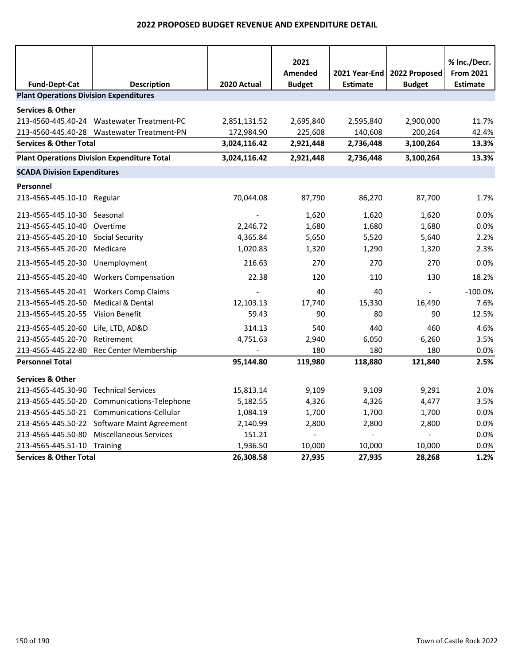|                                               |                                                    |              | 2021          |                 |                | % Inc./Decr.     |
|-----------------------------------------------|----------------------------------------------------|--------------|---------------|-----------------|----------------|------------------|
|                                               |                                                    |              | Amended       | 2021 Year-End   | 2022 Proposed  | <b>From 2021</b> |
| <b>Fund-Dept-Cat</b>                          | <b>Description</b>                                 | 2020 Actual  | <b>Budget</b> | <b>Estimate</b> | <b>Budget</b>  | <b>Estimate</b>  |
| <b>Plant Operations Division Expenditures</b> |                                                    |              |               |                 |                |                  |
| <b>Services &amp; Other</b>                   |                                                    |              |               |                 |                |                  |
|                                               | 213-4560-445.40-24 Wastewater Treatment-PC         | 2,851,131.52 | 2,695,840     | 2,595,840       | 2,900,000      | 11.7%            |
|                                               | 213-4560-445.40-28 Wastewater Treatment-PN         | 172,984.90   | 225,608       | 140,608         | 200,264        | 42.4%            |
| <b>Services &amp; Other Total</b>             |                                                    | 3,024,116.42 | 2,921,448     | 2,736,448       | 3,100,264      | 13.3%            |
|                                               | <b>Plant Operations Division Expenditure Total</b> | 3,024,116.42 | 2,921,448     | 2,736,448       | 3,100,264      | 13.3%            |
| <b>SCADA Division Expenditures</b>            |                                                    |              |               |                 |                |                  |
| Personnel                                     |                                                    |              |               |                 |                |                  |
| 213-4565-445.10-10 Regular                    |                                                    | 70,044.08    | 87,790        | 86,270          | 87,700         | 1.7%             |
| 213-4565-445.10-30 Seasonal                   |                                                    |              | 1,620         | 1,620           | 1,620          | 0.0%             |
| 213-4565-445.10-40 Overtime                   |                                                    | 2,246.72     | 1,680         | 1,680           | 1,680          | 0.0%             |
| 213-4565-445.20-10 Social Security            |                                                    | 4,365.84     | 5,650         | 5,520           | 5,640          | 2.2%             |
| 213-4565-445.20-20 Medicare                   |                                                    | 1,020.83     | 1,320         | 1,290           | 1,320          | 2.3%             |
| 213-4565-445.20-30 Unemployment               |                                                    | 216.63       | 270           | 270             | 270            | 0.0%             |
|                                               | 213-4565-445.20-40 Workers Compensation            | 22.38        | 120           | 110             | 130            | 18.2%            |
|                                               | 213-4565-445.20-41 Workers Comp Claims             |              | 40            | 40              | $\sim$         | $-100.0%$        |
| 213-4565-445.20-50                            | Medical & Dental                                   | 12,103.13    | 17,740        | 15,330          | 16,490         | 7.6%             |
| 213-4565-445.20-55 Vision Benefit             |                                                    | 59.43        | 90            | 80              | 90             | 12.5%            |
| 213-4565-445.20-60 Life, LTD, AD&D            |                                                    | 314.13       | 540           | 440             | 460            | 4.6%             |
| 213-4565-445.20-70                            | Retirement                                         | 4,751.63     | 2,940         | 6,050           | 6,260          | 3.5%             |
|                                               | 213-4565-445.22-80 Rec Center Membership           |              | 180           | 180             | 180            | 0.0%             |
| <b>Personnel Total</b>                        |                                                    | 95,144.80    | 119,980       | 118,880         | 121,840        | 2.5%             |
| <b>Services &amp; Other</b>                   |                                                    |              |               |                 |                |                  |
| 213-4565-445.30-90 Technical Services         |                                                    | 15,813.14    | 9,109         | 9,109           | 9,291          | 2.0%             |
|                                               | 213-4565-445.50-20 Communications-Telephone        | 5,182.55     | 4,326         | 4,326           | 4,477          | 3.5%             |
|                                               | 213-4565-445.50-21 Communications-Cellular         | 1,084.19     | 1,700         | 1,700           | 1,700          | 0.0%             |
|                                               | 213-4565-445.50-22 Software Maint Agreement        | 2,140.99     | 2,800         | 2,800           | 2,800          | 0.0%             |
|                                               | 213-4565-445.50-80 Miscellaneous Services          | 151.21       | $\omega$      | $\blacksquare$  | $\blacksquare$ | 0.0%             |
| 213-4565-445.51-10 Training                   |                                                    | 1,936.50     | 10,000        | 10,000          | 10,000         | 0.0%             |
| <b>Services &amp; Other Total</b>             |                                                    | 26,308.58    | 27,935        | 27,935          | 28,268         | 1.2%             |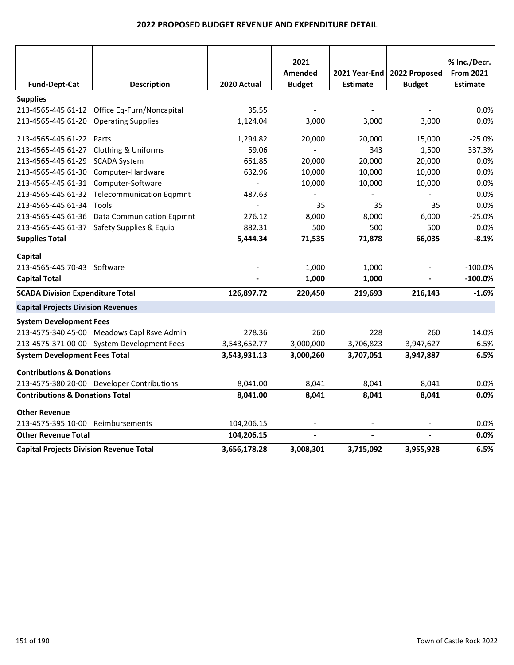|                                                |                                              |              | 2021           |                 |                | % Inc./Decr.     |
|------------------------------------------------|----------------------------------------------|--------------|----------------|-----------------|----------------|------------------|
|                                                |                                              |              | Amended        | 2021 Year-End I | 2022 Proposed  | <b>From 2021</b> |
| <b>Fund-Dept-Cat</b>                           | <b>Description</b>                           | 2020 Actual  | <b>Budget</b>  | <b>Estimate</b> | <b>Budget</b>  | <b>Estimate</b>  |
| <b>Supplies</b>                                |                                              |              |                |                 |                |                  |
|                                                | 213-4565-445.61-12 Office Eq-Furn/Noncapital | 35.55        |                |                 |                | 0.0%             |
| 213-4565-445.61-20 Operating Supplies          |                                              | 1,124.04     | 3,000          | 3,000           | 3,000          | 0.0%             |
| 213-4565-445.61-22 Parts                       |                                              | 1,294.82     | 20,000         | 20,000          | 15,000         | $-25.0%$         |
| 213-4565-445.61-27 Clothing & Uniforms         |                                              | 59.06        | $\blacksquare$ | 343             | 1,500          | 337.3%           |
| 213-4565-445.61-29 SCADA System                |                                              | 651.85       | 20,000         | 20,000          | 20,000         | 0.0%             |
| 213-4565-445.61-30 Computer-Hardware           |                                              | 632.96       | 10,000         | 10,000          | 10,000         | 0.0%             |
| 213-4565-445.61-31 Computer-Software           |                                              |              | 10,000         | 10,000          | 10,000         | 0.0%             |
|                                                | 213-4565-445.61-32 Telecommunication Eqpmnt  | 487.63       |                |                 |                | 0.0%             |
| 213-4565-445.61-34 Tools                       |                                              |              | 35             | 35              | 35             | 0.0%             |
|                                                | 213-4565-445.61-36 Data Communication Eqpmnt | 276.12       | 8,000          | 8,000           | 6,000          | $-25.0%$         |
|                                                | 213-4565-445.61-37 Safety Supplies & Equip   | 882.31       | 500            | 500             | 500            | 0.0%             |
| <b>Supplies Total</b>                          |                                              | 5,444.34     | 71,535         | 71,878          | 66,035         | $-8.1%$          |
| Capital                                        |                                              |              |                |                 |                |                  |
| 213-4565-445.70-43 Software                    |                                              |              | 1,000          | 1,000           |                | $-100.0%$        |
| <b>Capital Total</b>                           |                                              |              | 1,000          | 1,000           | $\overline{a}$ | $-100.0\%$       |
| <b>SCADA Division Expenditure Total</b>        |                                              | 126,897.72   | 220,450        | 219,693         | 216,143        | $-1.6%$          |
| <b>Capital Projects Division Revenues</b>      |                                              |              |                |                 |                |                  |
| <b>System Development Fees</b>                 |                                              |              |                |                 |                |                  |
|                                                | 213-4575-340.45-00 Meadows Capl Rsve Admin   | 278.36       | 260            | 228             | 260            | 14.0%            |
|                                                | 213-4575-371.00-00 System Development Fees   | 3,543,652.77 | 3,000,000      | 3,706,823       | 3,947,627      | 6.5%             |
| <b>System Development Fees Total</b>           |                                              | 3,543,931.13 | 3,000,260      | 3,707,051       | 3,947,887      | 6.5%             |
| <b>Contributions &amp; Donations</b>           |                                              |              |                |                 |                |                  |
|                                                | 213-4575-380.20-00 Developer Contributions   | 8,041.00     | 8,041          | 8,041           | 8,041          | 0.0%             |
| <b>Contributions &amp; Donations Total</b>     |                                              | 8,041.00     | 8,041          | 8,041           | 8,041          | 0.0%             |
| <b>Other Revenue</b>                           |                                              |              |                |                 |                |                  |
| 213-4575-395.10-00                             | Reimbursements                               | 104,206.15   |                |                 |                | 0.0%             |
| <b>Other Revenue Total</b>                     |                                              | 104,206.15   | $\overline{a}$ |                 | $\overline{a}$ | 0.0%             |
| <b>Capital Projects Division Revenue Total</b> |                                              | 3,656,178.28 | 3.008.301      | 3,715,092       | 3,955,928      | 6.5%             |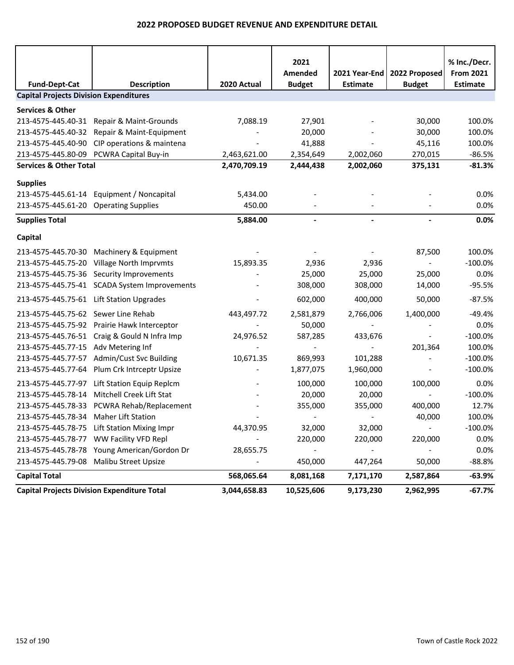| <b>Fund-Dept-Cat</b>                          | <b>Description</b>                                 | 2020 Actual  | 2021<br>Amended<br><b>Budget</b> | 2021 Year-End  <br><b>Estimate</b> | 2022 Proposed<br><b>Budget</b> | % Inc./Decr.<br><b>From 2021</b><br><b>Estimate</b> |
|-----------------------------------------------|----------------------------------------------------|--------------|----------------------------------|------------------------------------|--------------------------------|-----------------------------------------------------|
| <b>Capital Projects Division Expenditures</b> |                                                    |              |                                  |                                    |                                |                                                     |
| <b>Services &amp; Other</b>                   |                                                    |              |                                  |                                    |                                |                                                     |
| 213-4575-445.40-31                            | Repair & Maint-Grounds                             | 7,088.19     | 27,901                           |                                    | 30,000                         | 100.0%                                              |
| 213-4575-445.40-32                            | Repair & Maint-Equipment                           |              | 20,000                           |                                    | 30,000                         | 100.0%                                              |
| 213-4575-445.40-90                            | CIP operations & maintena                          |              | 41,888                           |                                    | 45,116                         | 100.0%                                              |
| 213-4575-445.80-09                            | PCWRA Capital Buy-in                               | 2,463,621.00 | 2,354,649                        | 2,002,060                          | 270,015                        | $-86.5%$                                            |
| <b>Services &amp; Other Total</b>             |                                                    | 2,470,709.19 | 2,444,438                        | 2,002,060                          | 375,131                        | $-81.3%$                                            |
|                                               |                                                    |              |                                  |                                    |                                |                                                     |
| <b>Supplies</b>                               |                                                    |              |                                  |                                    |                                |                                                     |
|                                               | 213-4575-445.61-14 Equipment / Noncapital          | 5,434.00     |                                  |                                    |                                | 0.0%                                                |
| 213-4575-445.61-20 Operating Supplies         |                                                    | 450.00       |                                  |                                    |                                | 0.0%                                                |
| <b>Supplies Total</b>                         |                                                    | 5,884.00     |                                  |                                    |                                | 0.0%                                                |
| Capital                                       |                                                    |              |                                  |                                    |                                |                                                     |
| 213-4575-445.70-30                            | Machinery & Equipment                              |              |                                  |                                    | 87,500                         | 100.0%                                              |
| 213-4575-445.75-20                            | Village North Imprvmts                             | 15,893.35    | 2,936                            | 2,936                              |                                | $-100.0%$                                           |
|                                               | 213-4575-445.75-36 Security Improvements           |              | 25,000                           | 25,000                             | 25,000                         | 0.0%                                                |
|                                               | 213-4575-445.75-41 SCADA System Improvements       |              | 308,000                          | 308,000                            | 14,000                         | $-95.5%$                                            |
| 213-4575-445.75-61                            | <b>Lift Station Upgrades</b>                       |              | 602,000                          | 400,000                            | 50,000                         | $-87.5%$                                            |
| 213-4575-445.75-62                            | Sewer Line Rehab                                   | 443,497.72   | 2,581,879                        | 2,766,006                          | 1,400,000                      | $-49.4%$                                            |
| 213-4575-445.75-92                            | Prairie Hawk Interceptor                           |              | 50,000                           |                                    |                                | 0.0%                                                |
|                                               | 213-4575-445.76-51 Craig & Gould N Infra Imp       | 24,976.52    | 587,285                          | 433,676                            |                                | $-100.0%$                                           |
| 213-4575-445.77-15 Adv Metering Inf           |                                                    |              |                                  |                                    | 201,364                        | 100.0%                                              |
| 213-4575-445.77-57                            | Admin/Cust Svc Building                            | 10,671.35    | 869,993                          | 101,288                            |                                | $-100.0%$                                           |
| 213-4575-445.77-64                            | Plum Crk Intrceptr Upsize                          |              | 1,877,075                        | 1,960,000                          |                                | $-100.0%$                                           |
| 213-4575-445.77-97                            | Lift Station Equip Replcm                          |              | 100,000                          | 100,000                            | 100,000                        | 0.0%                                                |
| 213-4575-445.78-14                            | Mitchell Creek Lift Stat                           |              | 20,000                           | 20,000                             |                                | $-100.0%$                                           |
| 213-4575-445.78-33                            | PCWRA Rehab/Replacement                            |              | 355,000                          | 355,000                            | 400,000                        | 12.7%                                               |
| 213-4575-445.78-34                            | <b>Maher Lift Station</b>                          |              | $\overline{\phantom{a}}$         |                                    | 40,000                         | 100.0%                                              |
|                                               | 213-4575-445.78-75 Lift Station Mixing Impr        | 44,370.95    | 32,000                           | 32,000                             | $\overline{\phantom{a}}$       | $-100.0\%$                                          |
|                                               | 213-4575-445.78-77 WW Facility VFD Repl            |              | 220,000                          | 220,000                            | 220,000                        | 0.0%                                                |
|                                               | 213-4575-445.78-78 Young American/Gordon Dr        | 28,655.75    |                                  |                                    |                                | 0.0%                                                |
|                                               | 213-4575-445.79-08 Malibu Street Upsize            |              | 450,000                          | 447,264                            | 50,000                         | $-88.8%$                                            |
| <b>Capital Total</b>                          |                                                    | 568,065.64   | 8,081,168                        | 7,171,170                          | 2,587,864                      | $-63.9%$                                            |
|                                               | <b>Capital Projects Division Expenditure Total</b> | 3,044,658.83 | 10,525,606                       | 9,173,230                          | 2,962,995                      | $-67.7%$                                            |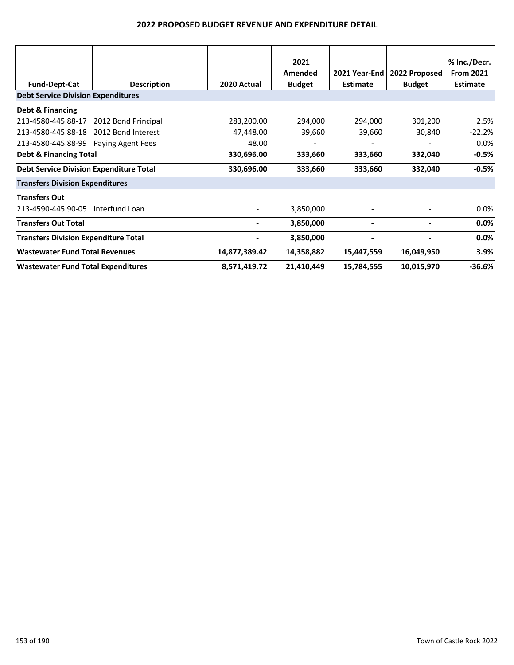|                                                |                     |               | 2021<br>Amended          | 2021 Year-End | 2022 Proposed | % Inc./Decr.<br><b>From 2021</b> |
|------------------------------------------------|---------------------|---------------|--------------------------|---------------|---------------|----------------------------------|
| <b>Fund-Dept-Cat</b>                           | <b>Description</b>  | 2020 Actual   | <b>Budget</b>            | Estimate      | <b>Budget</b> | <b>Estimate</b>                  |
| <b>Debt Service Division Expenditures</b>      |                     |               |                          |               |               |                                  |
| Debt & Financing                               |                     |               |                          |               |               |                                  |
| 213-4580-445.88-17                             | 2012 Bond Principal | 283,200.00    | 294,000                  | 294,000       | 301,200       | 2.5%                             |
| 213-4580-445.88-18                             | 2012 Bond Interest  | 47,448.00     | 39,660                   | 39,660        | 30,840        | $-22.2%$                         |
| 213-4580-445.88-99 Paying Agent Fees           |                     | 48.00         | $\overline{\phantom{a}}$ |               |               | $0.0\%$                          |
| <b>Debt &amp; Financing Total</b>              |                     | 330,696.00    | 333,660                  | 333,660       | 332,040       | $-0.5%$                          |
| <b>Debt Service Division Expenditure Total</b> |                     | 330,696.00    | 333,660                  | 333,660       | 332,040       | $-0.5%$                          |
| <b>Transfers Division Expenditures</b>         |                     |               |                          |               |               |                                  |
| <b>Transfers Out</b>                           |                     |               |                          |               |               |                                  |
| 213-4590-445.90-05                             | Interfund Loan      |               | 3,850,000                |               |               | $0.0\%$                          |
| <b>Transfers Out Total</b>                     |                     |               | 3,850,000                |               |               | 0.0%                             |
| <b>Transfers Division Expenditure Total</b>    |                     |               | 3,850,000                |               |               | 0.0%                             |
| <b>Wastewater Fund Total Revenues</b>          |                     | 14,877,389.42 | 14,358,882               | 15,447,559    | 16,049,950    | 3.9%                             |
| <b>Wastewater Fund Total Expenditures</b>      |                     | 8,571,419.72  | 21,410,449               | 15,784,555    | 10,015,970    | $-36.6%$                         |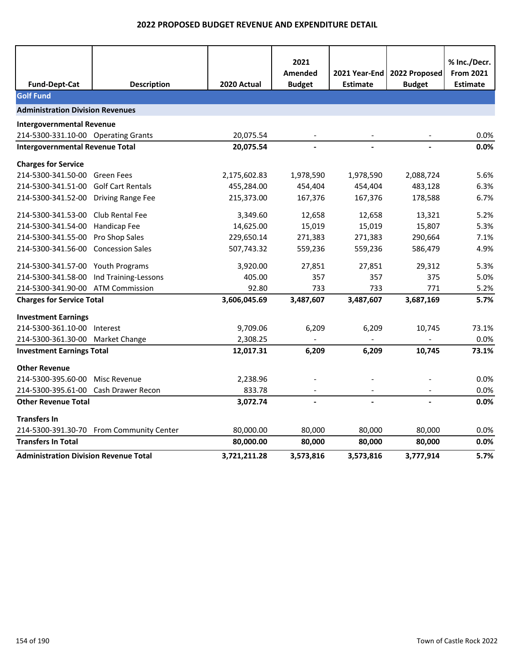|                                              |                                          |              | 2021<br>Amended | 2021 Year-End l | 2022 Proposed | % Inc./Decr.<br><b>From 2021</b> |
|----------------------------------------------|------------------------------------------|--------------|-----------------|-----------------|---------------|----------------------------------|
| <b>Fund-Dept-Cat</b>                         | <b>Description</b>                       | 2020 Actual  | <b>Budget</b>   | <b>Estimate</b> | <b>Budget</b> | <b>Estimate</b>                  |
| <b>Golf Fund</b>                             |                                          |              |                 |                 |               |                                  |
| <b>Administration Division Revenues</b>      |                                          |              |                 |                 |               |                                  |
| <b>Intergovernmental Revenue</b>             |                                          |              |                 |                 |               |                                  |
| 214-5300-331.10-00 Operating Grants          |                                          | 20,075.54    |                 |                 |               | 0.0%                             |
| <b>Intergovernmental Revenue Total</b>       |                                          | 20,075.54    |                 |                 |               | 0.0%                             |
| <b>Charges for Service</b>                   |                                          |              |                 |                 |               |                                  |
| 214-5300-341.50-00                           | Green Fees                               | 2,175,602.83 | 1,978,590       | 1,978,590       | 2,088,724     | 5.6%                             |
| 214-5300-341.51-00                           | <b>Golf Cart Rentals</b>                 | 455,284.00   | 454,404         | 454,404         | 483,128       | 6.3%                             |
| 214-5300-341.52-00                           | <b>Driving Range Fee</b>                 | 215,373.00   | 167,376         | 167,376         | 178,588       | 6.7%                             |
| 214-5300-341.53-00                           | Club Rental Fee                          | 3,349.60     | 12,658          | 12,658          | 13,321        | 5.2%                             |
| 214-5300-341.54-00                           | Handicap Fee                             | 14,625.00    | 15,019          | 15,019          | 15,807        | 5.3%                             |
| 214-5300-341.55-00                           | Pro Shop Sales                           | 229,650.14   | 271,383         | 271,383         | 290,664       | 7.1%                             |
| 214-5300-341.56-00                           | <b>Concession Sales</b>                  | 507,743.32   | 559,236         | 559,236         | 586,479       | 4.9%                             |
| 214-5300-341.57-00 Youth Programs            |                                          | 3,920.00     | 27,851          | 27,851          | 29,312        | 5.3%                             |
| 214-5300-341.58-00                           | Ind Training-Lessons                     | 405.00       | 357             | 357             | 375           | 5.0%                             |
| 214-5300-341.90-00                           | <b>ATM Commission</b>                    | 92.80        | 733             | 733             | 771           | 5.2%                             |
| <b>Charges for Service Total</b>             |                                          | 3,606,045.69 | 3,487,607       | 3,487,607       | 3,687,169     | 5.7%                             |
| <b>Investment Earnings</b>                   |                                          |              |                 |                 |               |                                  |
| 214-5300-361.10-00 Interest                  |                                          | 9,709.06     | 6,209           | 6,209           | 10,745        | 73.1%                            |
| 214-5300-361.30-00 Market Change             |                                          | 2,308.25     |                 |                 |               | 0.0%                             |
| <b>Investment Earnings Total</b>             |                                          | 12,017.31    | 6,209           | 6,209           | 10,745        | 73.1%                            |
| <b>Other Revenue</b>                         |                                          |              |                 |                 |               |                                  |
| 214-5300-395.60-00                           | Misc Revenue                             | 2,238.96     |                 |                 |               | 0.0%                             |
| 214-5300-395.61-00                           | Cash Drawer Recon                        | 833.78       |                 |                 |               | 0.0%                             |
| <b>Other Revenue Total</b>                   |                                          | 3,072.74     |                 |                 |               | 0.0%                             |
| <b>Transfers In</b>                          |                                          |              |                 |                 |               |                                  |
|                                              | 214-5300-391.30-70 From Community Center | 80,000.00    | 80,000          | 80,000          | 80,000        | $0.0\%$                          |
| <b>Transfers In Total</b>                    |                                          | 80,000.00    | 80,000          | 80,000          | 80,000        | 0.0%                             |
| <b>Administration Division Revenue Total</b> |                                          | 3,721,211.28 | 3,573,816       | 3,573,816       | 3,777,914     | 5.7%                             |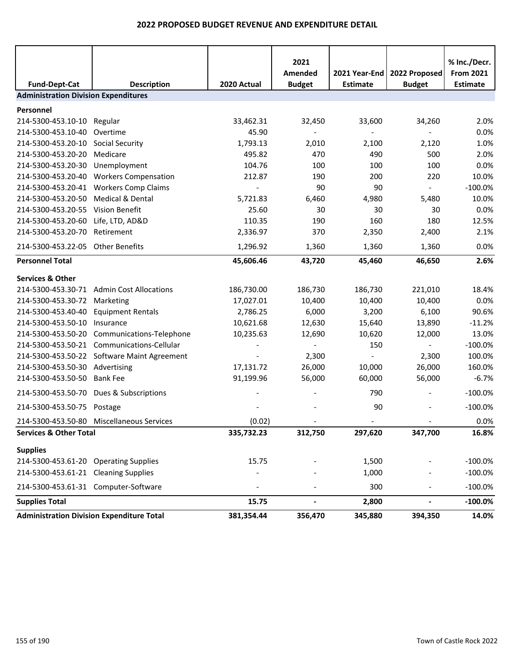| <b>Fund-Dept-Cat</b>                             | <b>Description</b>                          | 2020 Actual | 2021<br>Amended<br><b>Budget</b> | 2021 Year-End<br><b>Estimate</b> | 2022 Proposed<br><b>Budget</b> | % Inc./Decr.<br><b>From 2021</b><br><b>Estimate</b> |
|--------------------------------------------------|---------------------------------------------|-------------|----------------------------------|----------------------------------|--------------------------------|-----------------------------------------------------|
| <b>Administration Division Expenditures</b>      |                                             |             |                                  |                                  |                                |                                                     |
| Personnel                                        |                                             |             |                                  |                                  |                                |                                                     |
| 214-5300-453.10-10 Regular                       |                                             | 33,462.31   | 32,450                           | 33,600                           | 34,260                         | 2.0%                                                |
| 214-5300-453.10-40                               | Overtime                                    | 45.90       |                                  |                                  |                                | 0.0%                                                |
| 214-5300-453.20-10                               | <b>Social Security</b>                      | 1,793.13    | 2,010                            | 2,100                            | 2,120                          | 1.0%                                                |
| 214-5300-453.20-20                               | Medicare                                    | 495.82      | 470                              | 490                              | 500                            | 2.0%                                                |
| 214-5300-453.20-30                               | Unemployment                                | 104.76      | 100                              | 100                              | 100                            | 0.0%                                                |
| 214-5300-453.20-40                               | <b>Workers Compensation</b>                 | 212.87      | 190                              | 200                              | 220                            | 10.0%                                               |
| 214-5300-453.20-41                               | <b>Workers Comp Claims</b>                  |             | 90                               | 90                               | $\sim$                         | $-100.0%$                                           |
| 214-5300-453.20-50                               | <b>Medical &amp; Dental</b>                 | 5,721.83    | 6,460                            | 4,980                            | 5,480                          | 10.0%                                               |
| 214-5300-453.20-55                               | Vision Benefit                              | 25.60       | 30                               | 30                               | 30                             | 0.0%                                                |
| 214-5300-453.20-60                               | Life, LTD, AD&D                             | 110.35      | 190                              | 160                              | 180                            | 12.5%                                               |
| 214-5300-453.20-70                               | Retirement                                  | 2,336.97    | 370                              | 2,350                            | 2,400                          | 2.1%                                                |
| 214-5300-453.22-05 Other Benefits                |                                             | 1,296.92    | 1,360                            | 1,360                            | 1,360                          | 0.0%                                                |
| <b>Personnel Total</b>                           |                                             | 45,606.46   | 43,720                           | 45,460                           | 46,650                         | 2.6%                                                |
| <b>Services &amp; Other</b>                      |                                             |             |                                  |                                  |                                |                                                     |
|                                                  | 214-5300-453.30-71 Admin Cost Allocations   | 186,730.00  | 186,730                          | 186,730                          | 221,010                        | 18.4%                                               |
| 214-5300-453.30-72                               | Marketing                                   | 17,027.01   | 10,400                           | 10,400                           | 10,400                         | 0.0%                                                |
| 214-5300-453.40-40                               | <b>Equipment Rentals</b>                    | 2,786.25    | 6,000                            | 3,200                            | 6,100                          | 90.6%                                               |
| 214-5300-453.50-10                               | Insurance                                   | 10,621.68   | 12,630                           | 15,640                           | 13,890                         | $-11.2%$                                            |
| 214-5300-453.50-20                               | Communications-Telephone                    | 10,235.63   | 12,690                           | 10,620                           | 12,000                         | 13.0%                                               |
|                                                  | 214-5300-453.50-21 Communications-Cellular  |             | $\overline{\phantom{a}}$         | 150                              | $\sim$                         | $-100.0%$                                           |
|                                                  | 214-5300-453.50-22 Software Maint Agreement |             | 2,300                            | $\overline{\phantom{a}}$         | 2,300                          | 100.0%                                              |
| 214-5300-453.50-30 Advertising                   |                                             | 17,131.72   | 26,000                           | 10,000                           | 26,000                         | 160.0%                                              |
| 214-5300-453.50-50                               | <b>Bank Fee</b>                             | 91,199.96   | 56,000                           | 60,000                           | 56,000                         | $-6.7%$                                             |
|                                                  | 214-5300-453.50-70 Dues & Subscriptions     |             |                                  | 790                              |                                | $-100.0%$                                           |
| 214-5300-453.50-75 Postage                       |                                             |             |                                  | 90                               |                                | $-100.0%$                                           |
|                                                  | 214-5300-453.50-80 Miscellaneous Services   | (0.02)      |                                  |                                  |                                | 0.0%                                                |
| <b>Services &amp; Other Total</b>                |                                             | 335,732.23  | 312,750                          | 297,620                          | 347,700                        | 16.8%                                               |
| <b>Supplies</b>                                  |                                             |             |                                  |                                  |                                |                                                     |
| 214-5300-453.61-20 Operating Supplies            |                                             | 15.75       |                                  | 1,500                            |                                | $-100.0%$                                           |
| 214-5300-453.61-21 Cleaning Supplies             |                                             |             |                                  | 1,000                            |                                | $-100.0%$                                           |
| 214-5300-453.61-31 Computer-Software             |                                             |             |                                  | 300                              |                                | $-100.0\%$                                          |
| <b>Supplies Total</b>                            |                                             | 15.75       | $\overline{\phantom{0}}$         | 2,800                            | $\blacksquare$                 | $-100.0%$                                           |
| <b>Administration Division Expenditure Total</b> |                                             | 381,354.44  | 356,470                          | 345,880                          | 394,350                        | 14.0%                                               |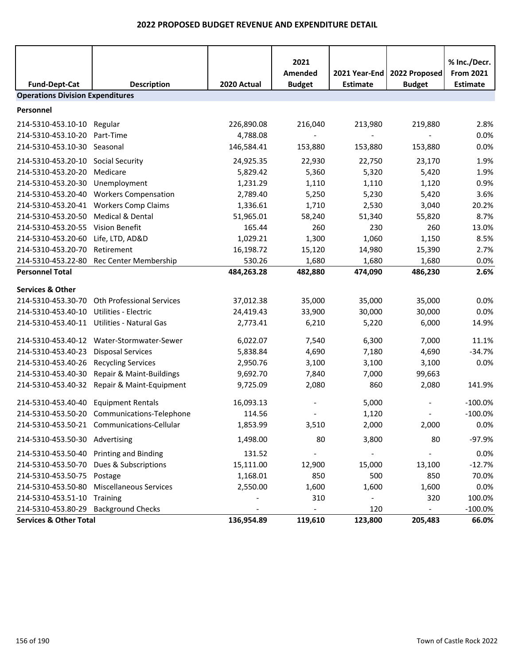| <b>Fund-Dept-Cat</b>                    | <b>Description</b>                          | 2020 Actual | 2021<br>Amended<br><b>Budget</b> | 2021 Year-End<br><b>Estimate</b> | 2022 Proposed<br><b>Budget</b> | % Inc./Decr.<br><b>From 2021</b><br><b>Estimate</b> |
|-----------------------------------------|---------------------------------------------|-------------|----------------------------------|----------------------------------|--------------------------------|-----------------------------------------------------|
| <b>Operations Division Expenditures</b> |                                             |             |                                  |                                  |                                |                                                     |
| Personnel                               |                                             |             |                                  |                                  |                                |                                                     |
| 214-5310-453.10-10 Regular              |                                             | 226,890.08  | 216,040                          | 213,980                          | 219,880                        | 2.8%                                                |
| 214-5310-453.10-20                      | Part-Time                                   | 4,788.08    |                                  |                                  |                                | 0.0%                                                |
| 214-5310-453.10-30 Seasonal             |                                             | 146,584.41  | 153,880                          | 153,880                          | 153,880                        | 0.0%                                                |
| 214-5310-453.20-10                      | Social Security                             | 24,925.35   | 22,930                           | 22,750                           | 23,170                         | 1.9%                                                |
| 214-5310-453.20-20                      | Medicare                                    | 5,829.42    | 5,360                            | 5,320                            | 5,420                          | 1.9%                                                |
| 214-5310-453.20-30                      | Unemployment                                | 1,231.29    | 1,110                            | 1,110                            | 1,120                          | 0.9%                                                |
| 214-5310-453.20-40                      | <b>Workers Compensation</b>                 | 2,789.40    | 5,250                            | 5,230                            | 5,420                          | 3.6%                                                |
|                                         | 214-5310-453.20-41 Workers Comp Claims      | 1,336.61    | 1,710                            | 2,530                            | 3,040                          | 20.2%                                               |
| 214-5310-453.20-50                      | Medical & Dental                            | 51,965.01   | 58,240                           | 51,340                           | 55,820                         | 8.7%                                                |
| 214-5310-453.20-55                      | Vision Benefit                              | 165.44      | 260                              | 230                              | 260                            | 13.0%                                               |
| 214-5310-453.20-60                      | Life, LTD, AD&D                             | 1,029.21    | 1,300                            | 1,060                            | 1,150                          | 8.5%                                                |
| 214-5310-453.20-70                      | Retirement                                  | 16,198.72   | 15,120                           | 14,980                           | 15,390                         | 2.7%                                                |
| 214-5310-453.22-80                      | Rec Center Membership                       | 530.26      | 1,680                            | 1,680                            | 1,680                          | 0.0%                                                |
| <b>Personnel Total</b>                  |                                             | 484,263.28  | 482,880                          | 474,090                          | 486,230                        | 2.6%                                                |
| <b>Services &amp; Other</b>             |                                             |             |                                  |                                  |                                |                                                     |
| 214-5310-453.30-70                      | Oth Professional Services                   | 37,012.38   | 35,000                           | 35,000                           | 35,000                         | 0.0%                                                |
| 214-5310-453.40-10                      | <b>Utilities - Electric</b>                 | 24,419.43   | 33,900                           | 30,000                           | 30,000                         | 0.0%                                                |
| 214-5310-453.40-11                      | Utilities - Natural Gas                     | 2,773.41    | 6,210                            | 5,220                            | 6,000                          | 14.9%                                               |
|                                         |                                             |             |                                  |                                  |                                |                                                     |
| 214-5310-453.40-12                      | Water-Stormwater-Sewer                      | 6,022.07    | 7,540                            | 6,300                            | 7,000                          | 11.1%                                               |
| 214-5310-453.40-23                      | <b>Disposal Services</b>                    | 5,838.84    | 4,690                            | 7,180                            | 4,690                          | $-34.7%$                                            |
| 214-5310-453.40-26                      | <b>Recycling Services</b>                   | 2,950.76    | 3,100                            | 3,100                            | 3,100                          | 0.0%                                                |
| 214-5310-453.40-30                      | Repair & Maint-Buildings                    | 9,692.70    | 7,840                            | 7,000                            | 99,663                         |                                                     |
| 214-5310-453.40-32                      | Repair & Maint-Equipment                    | 9,725.09    | 2,080                            | 860                              | 2,080                          | 141.9%                                              |
| 214-5310-453.40-40                      | <b>Equipment Rentals</b>                    | 16,093.13   |                                  | 5,000                            |                                | $-100.0%$                                           |
|                                         | 214-5310-453.50-20 Communications-Telephone | 114.56      |                                  | 1,120                            |                                | $-100.0%$                                           |
|                                         | 214-5310-453.50-21 Communications-Cellular  | 1,853.99    | 3,510                            | 2,000                            | 2,000                          | 0.0%                                                |
| 214-5310-453.50-30 Advertising          |                                             | 1,498.00    | 80                               | 3,800                            | 80                             | $-97.9%$                                            |
| 214-5310-453.50-40 Printing and Binding |                                             | 131.52      |                                  |                                  |                                | 0.0%                                                |
| 214-5310-453.50-70                      | Dues & Subscriptions                        | 15,111.00   | 12,900                           | 15,000                           | 13,100                         | $-12.7%$                                            |
| 214-5310-453.50-75 Postage              |                                             | 1,168.01    | 850                              | 500                              | 850                            | 70.0%                                               |
| 214-5310-453.50-80                      | <b>Miscellaneous Services</b>               | 2,550.00    | 1,600                            | 1,600                            | 1,600                          | 0.0%                                                |
| 214-5310-453.51-10 Training             |                                             |             | 310                              |                                  | 320                            | 100.0%                                              |
| 214-5310-453.80-29 Background Checks    |                                             |             |                                  | 120                              |                                | $-100.0\%$                                          |
| <b>Services &amp; Other Total</b>       |                                             | 136,954.89  | 119,610                          | 123,800                          | 205,483                        | 66.0%                                               |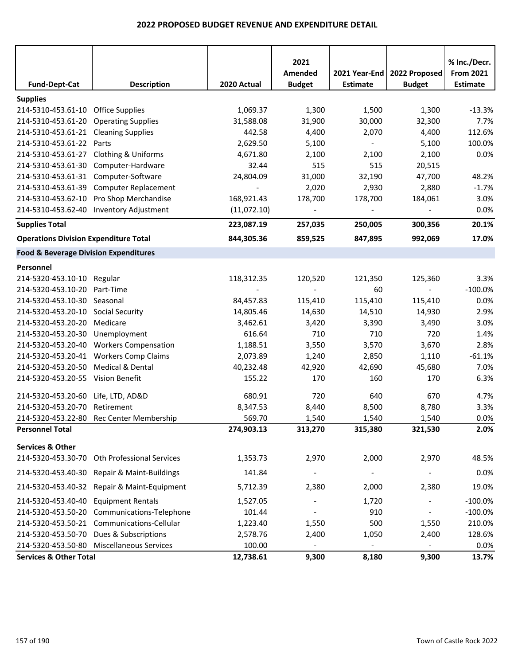| <b>Fund-Dept-Cat</b>                             | <b>Description</b>                          | 2020 Actual | 2021<br>Amended<br><b>Budget</b> | 2021 Year-End<br><b>Estimate</b> | 2022 Proposed<br><b>Budget</b> | % Inc./Decr.<br><b>From 2021</b><br><b>Estimate</b> |
|--------------------------------------------------|---------------------------------------------|-------------|----------------------------------|----------------------------------|--------------------------------|-----------------------------------------------------|
| <b>Supplies</b>                                  |                                             |             |                                  |                                  |                                |                                                     |
| 214-5310-453.61-10 Office Supplies               |                                             | 1,069.37    | 1,300                            | 1,500                            | 1,300                          | $-13.3%$                                            |
| 214-5310-453.61-20                               | <b>Operating Supplies</b>                   | 31,588.08   | 31,900                           | 30,000                           | 32,300                         | 7.7%                                                |
| 214-5310-453.61-21 Cleaning Supplies             |                                             | 442.58      | 4,400                            | 2,070                            | 4,400                          | 112.6%                                              |
| 214-5310-453.61-22                               | Parts                                       | 2,629.50    | 5,100                            | $\overline{\phantom{a}}$         | 5,100                          | 100.0%                                              |
| 214-5310-453.61-27 Clothing & Uniforms           |                                             | 4,671.80    | 2,100                            | 2,100                            | 2,100                          | 0.0%                                                |
| 214-5310-453.61-30                               | Computer-Hardware                           | 32.44       | 515                              | 515                              | 20,515                         |                                                     |
| 214-5310-453.61-31 Computer-Software             |                                             | 24,804.09   | 31,000                           | 32,190                           | 47,700                         | 48.2%                                               |
| 214-5310-453.61-39                               | <b>Computer Replacement</b>                 |             | 2,020                            | 2,930                            | 2,880                          | $-1.7%$                                             |
| 214-5310-453.62-10                               | Pro Shop Merchandise                        | 168,921.43  | 178,700                          | 178,700                          | 184,061                        | 3.0%                                                |
|                                                  | 214-5310-453.62-40 Inventory Adjustment     | (11,072.10) | $\blacksquare$                   |                                  | $\blacksquare$                 | 0.0%                                                |
| <b>Supplies Total</b>                            |                                             | 223,087.19  | 257,035                          | 250,005                          | 300,356                        | 20.1%                                               |
| <b>Operations Division Expenditure Total</b>     |                                             | 844,305.36  | 859,525                          | 847,895                          | 992,069                        | 17.0%                                               |
| <b>Food &amp; Beverage Division Expenditures</b> |                                             |             |                                  |                                  |                                |                                                     |
| Personnel                                        |                                             |             |                                  |                                  |                                |                                                     |
| 214-5320-453.10-10                               | Regular                                     | 118,312.35  | 120,520                          | 121,350                          | 125,360                        | 3.3%                                                |
| 214-5320-453.10-20                               | Part-Time                                   |             |                                  | 60                               | $\blacksquare$                 | $-100.0%$                                           |
| 214-5320-453.10-30 Seasonal                      |                                             | 84,457.83   | 115,410                          | 115,410                          | 115,410                        | 0.0%                                                |
| 214-5320-453.20-10 Social Security               |                                             | 14,805.46   | 14,630                           | 14,510                           | 14,930                         | 2.9%                                                |
| 214-5320-453.20-20                               | Medicare                                    | 3,462.61    | 3,420                            | 3,390                            | 3,490                          | 3.0%                                                |
| 214-5320-453.20-30                               | Unemployment                                | 616.64      | 710                              | 710                              | 720                            | 1.4%                                                |
|                                                  | 214-5320-453.20-40 Workers Compensation     | 1,188.51    | 3,550                            | 3,570                            | 3,670                          | 2.8%                                                |
|                                                  | 214-5320-453.20-41 Workers Comp Claims      | 2,073.89    | 1,240                            | 2,850                            | 1,110                          | $-61.1%$                                            |
| 214-5320-453.20-50                               | Medical & Dental                            | 40,232.48   | 42,920                           | 42,690                           | 45,680                         | 7.0%                                                |
| 214-5320-453.20-55 Vision Benefit                |                                             | 155.22      | 170                              | 160                              | 170                            | 6.3%                                                |
| 214-5320-453.20-60                               | Life, LTD, AD&D                             | 680.91      | 720                              | 640                              | 670                            | 4.7%                                                |
| 214-5320-453.20-70                               | Retirement                                  | 8,347.53    | 8,440                            | 8,500                            | 8,780                          | 3.3%                                                |
|                                                  | 214-5320-453.22-80 Rec Center Membership    | 569.70      | 1,540                            | 1,540                            | 1,540                          | 0.0%                                                |
| <b>Personnel Total</b>                           |                                             | 274,903.13  | 313,270                          | 315,380                          | 321,530                        | 2.0%                                                |
| <b>Services &amp; Other</b>                      |                                             |             |                                  |                                  |                                |                                                     |
| 214-5320-453.30-70                               | Oth Professional Services                   | 1,353.73    | 2,970                            | 2,000                            | 2,970                          | 48.5%                                               |
|                                                  | 214-5320-453.40-30 Repair & Maint-Buildings | 141.84      |                                  |                                  |                                | 0.0%                                                |
|                                                  | 214-5320-453.40-32 Repair & Maint-Equipment | 5,712.39    | 2,380                            | 2,000                            | 2,380                          | 19.0%                                               |
| 214-5320-453.40-40                               | <b>Equipment Rentals</b>                    | 1,527.05    |                                  | 1,720                            | $\overline{a}$                 | $-100.0%$                                           |
| 214-5320-453.50-20                               | Communications-Telephone                    | 101.44      |                                  | 910                              | $\overline{\phantom{0}}$       | $-100.0%$                                           |
|                                                  | 214-5320-453.50-21 Communications-Cellular  | 1,223.40    | 1,550                            | 500                              | 1,550                          | 210.0%                                              |
| 214-5320-453.50-70                               | Dues & Subscriptions                        | 2,578.76    | 2,400                            | 1,050                            | 2,400                          | 128.6%                                              |
|                                                  | 214-5320-453.50-80 Miscellaneous Services   | 100.00      | $\overline{\phantom{a}}$         | $\overline{\phantom{a}}$         | $\overline{\phantom{a}}$       | 0.0%                                                |
| <b>Services &amp; Other Total</b>                |                                             | 12,738.61   | 9,300                            | 8,180                            | 9,300                          | 13.7%                                               |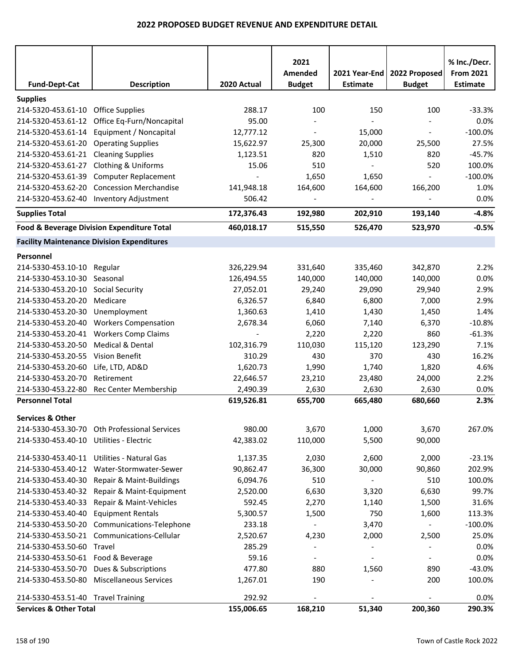|                                      |                                                   |             | 2021                     |                          |                          | % Inc./Decr.     |
|--------------------------------------|---------------------------------------------------|-------------|--------------------------|--------------------------|--------------------------|------------------|
|                                      |                                                   |             | Amended                  | 2021 Year-End            | 2022 Proposed            | <b>From 2021</b> |
| <b>Fund-Dept-Cat</b>                 | <b>Description</b>                                | 2020 Actual | <b>Budget</b>            | <b>Estimate</b>          | <b>Budget</b>            | <b>Estimate</b>  |
| <b>Supplies</b>                      |                                                   |             |                          |                          |                          |                  |
| 214-5320-453.61-10                   | <b>Office Supplies</b>                            | 288.17      | 100                      | 150                      | 100                      | $-33.3%$         |
| 214-5320-453.61-12                   | Office Eq-Furn/Noncapital                         | 95.00       |                          |                          |                          | 0.0%             |
| 214-5320-453.61-14                   | Equipment / Noncapital                            | 12,777.12   |                          | 15,000                   | $\blacksquare$           | $-100.0%$        |
| 214-5320-453.61-20                   | <b>Operating Supplies</b>                         | 15,622.97   | 25,300                   | 20,000                   | 25,500                   | 27.5%            |
| 214-5320-453.61-21 Cleaning Supplies |                                                   | 1,123.51    | 820                      | 1,510                    | 820                      | $-45.7%$         |
| 214-5320-453.61-27                   | Clothing & Uniforms                               | 15.06       | 510                      |                          | 520                      | 100.0%           |
| 214-5320-453.61-39                   | <b>Computer Replacement</b>                       |             | 1,650                    | 1,650                    |                          | $-100.0%$        |
| 214-5320-453.62-20                   | <b>Concession Merchandise</b>                     | 141,948.18  | 164,600                  | 164,600                  | 166,200                  | 1.0%             |
| 214-5320-453.62-40                   | <b>Inventory Adjustment</b>                       | 506.42      |                          |                          |                          | 0.0%             |
| <b>Supplies Total</b>                |                                                   | 172,376.43  | 192,980                  | 202,910                  | 193,140                  | $-4.8%$          |
|                                      | Food & Beverage Division Expenditure Total        | 460,018.17  | 515,550                  | 526,470                  | 523,970                  | $-0.5%$          |
|                                      | <b>Facility Maintenance Division Expenditures</b> |             |                          |                          |                          |                  |
| Personnel                            |                                                   |             |                          |                          |                          |                  |
| 214-5330-453.10-10                   | Regular                                           | 326,229.94  | 331,640                  | 335,460                  | 342,870                  | 2.2%             |
| 214-5330-453.10-30 Seasonal          |                                                   | 126,494.55  | 140,000                  | 140,000                  | 140,000                  | 0.0%             |
| 214-5330-453.20-10 Social Security   |                                                   | 27,052.01   | 29,240                   | 29,090                   | 29,940                   | 2.9%             |
| 214-5330-453.20-20                   | Medicare                                          | 6,326.57    | 6,840                    | 6,800                    | 7,000                    | 2.9%             |
| 214-5330-453.20-30                   | Unemployment                                      | 1,360.63    | 1,410                    | 1,430                    | 1,450                    | 1.4%             |
| 214-5330-453.20-40                   | <b>Workers Compensation</b>                       | 2,678.34    | 6,060                    | 7,140                    | 6,370                    | $-10.8%$         |
| 214-5330-453.20-41                   | <b>Workers Comp Claims</b>                        |             | 2,220                    | 2,220                    | 860                      | $-61.3%$         |
| 214-5330-453.20-50                   | Medical & Dental                                  | 102,316.79  | 110,030                  | 115,120                  | 123,290                  | 7.1%             |
| 214-5330-453.20-55                   | Vision Benefit                                    | 310.29      | 430                      | 370                      | 430                      | 16.2%            |
| 214-5330-453.20-60                   | Life, LTD, AD&D                                   | 1,620.73    | 1,990                    | 1,740                    | 1,820                    | 4.6%             |
| 214-5330-453.20-70                   | Retirement                                        | 22,646.57   | 23,210                   | 23,480                   | 24,000                   | 2.2%             |
| 214-5330-453.22-80                   | Rec Center Membership                             | 2,490.39    | 2,630                    | 2,630                    | 2,630                    | 0.0%             |
| <b>Personnel Total</b>               |                                                   | 619,526.81  | 655,700                  | 665,480                  | 680,660                  | 2.3%             |
| <b>Services &amp; Other</b>          |                                                   |             |                          |                          |                          |                  |
|                                      | 214-5330-453.30-70 Oth Professional Services      | 980.00      | 3,670                    | 1,000                    | 3,670                    | 267.0%           |
| 214-5330-453.40-10                   | Utilities - Electric                              | 42,383.02   | 110,000                  | 5,500                    | 90,000                   |                  |
|                                      | 214-5330-453.40-11 Utilities - Natural Gas        | 1,137.35    | 2,030                    | 2,600                    | 2,000                    | $-23.1%$         |
| 214-5330-453.40-12                   | Water-Stormwater-Sewer                            | 90,862.47   | 36,300                   | 30,000                   | 90,860                   | 202.9%           |
| 214-5330-453.40-30                   | Repair & Maint-Buildings                          | 6,094.76    | 510                      | $\overline{\phantom{a}}$ | 510                      | 100.0%           |
|                                      | 214-5330-453.40-32 Repair & Maint-Equipment       | 2,520.00    | 6,630                    | 3,320                    | 6,630                    | 99.7%            |
| 214-5330-453.40-33                   | Repair & Maint-Vehicles                           | 592.45      | 2,270                    | 1,140                    | 1,500                    | 31.6%            |
| 214-5330-453.40-40                   | <b>Equipment Rentals</b>                          | 5,300.57    | 1,500                    | 750                      | 1,600                    | 113.3%           |
|                                      | 214-5330-453.50-20 Communications-Telephone       | 233.18      | $\overline{\phantom{a}}$ | 3,470                    | $\overline{\phantom{0}}$ | $-100.0%$        |
| 214-5330-453.50-21                   | Communications-Cellular                           | 2,520.67    | 4,230                    | 2,000                    | 2,500                    | 25.0%            |
| 214-5330-453.50-60 Travel            |                                                   | 285.29      | $\overline{\phantom{a}}$ | $\overline{\phantom{a}}$ | $\overline{\phantom{a}}$ | 0.0%             |
| 214-5330-453.50-61 Food & Beverage   |                                                   | 59.16       | $\overline{\phantom{a}}$ |                          |                          | 0.0%             |
| 214-5330-453.50-70                   | Dues & Subscriptions                              | 477.80      | 880                      | 1,560                    | 890                      | $-43.0%$         |
| 214-5330-453.50-80                   | <b>Miscellaneous Services</b>                     | 1,267.01    | 190                      |                          | 200                      | 100.0%           |
| 214-5330-453.51-40 Travel Training   |                                                   | 292.92      |                          |                          |                          | 0.0%             |
| <b>Services &amp; Other Total</b>    |                                                   | 155,006.65  | 168,210                  | 51,340                   | 200,360                  | 290.3%           |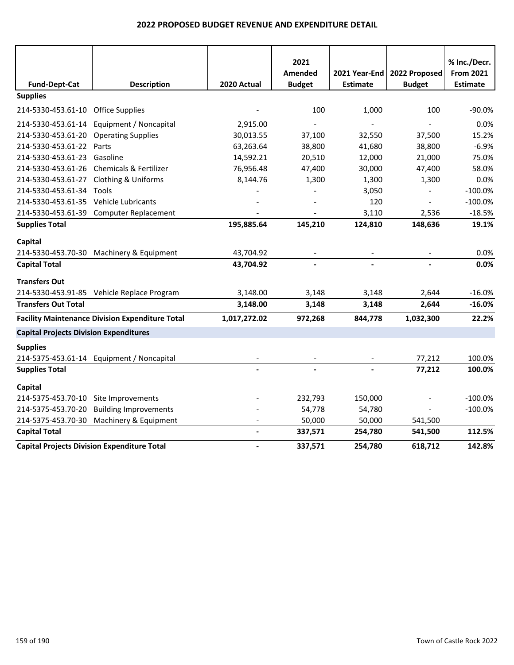|                                               |                                                        |               | 2021                     |                          |                          | % Inc./Decr.     |
|-----------------------------------------------|--------------------------------------------------------|---------------|--------------------------|--------------------------|--------------------------|------------------|
|                                               |                                                        |               | Amended                  | 2021 Year-End            | 2022 Proposed            | <b>From 2021</b> |
| <b>Fund-Dept-Cat</b>                          | <b>Description</b>                                     | 2020 Actual   | <b>Budget</b>            | <b>Estimate</b>          | <b>Budget</b>            | <b>Estimate</b>  |
| <b>Supplies</b>                               |                                                        |               |                          |                          |                          |                  |
| 214-5330-453.61-10 Office Supplies            |                                                        |               | 100                      | 1,000                    | 100                      | $-90.0%$         |
|                                               | 214-5330-453.61-14 Equipment / Noncapital              | 2,915.00      |                          |                          |                          | 0.0%             |
| 214-5330-453.61-20 Operating Supplies         |                                                        | 30,013.55     | 37,100                   | 32,550                   | 37,500                   | 15.2%            |
| 214-5330-453.61-22 Parts                      |                                                        | 63,263.64     | 38,800                   | 41,680                   | 38,800                   | $-6.9%$          |
| 214-5330-453.61-23                            | Gasoline                                               | 14,592.21     | 20,510                   | 12,000                   | 21,000                   | 75.0%            |
|                                               | 214-5330-453.61-26 Chemicals & Fertilizer              | 76,956.48     | 47,400                   | 30,000                   | 47,400                   | 58.0%            |
| 214-5330-453.61-27 Clothing & Uniforms        |                                                        | 8,144.76      | 1,300                    | 1,300                    | 1,300                    | 0.0%             |
| 214-5330-453.61-34 Tools                      |                                                        |               |                          | 3,050                    |                          | $-100.0%$        |
| 214-5330-453.61-35 Vehicle Lubricants         |                                                        |               |                          | 120                      |                          | $-100.0%$        |
|                                               | 214-5330-453.61-39 Computer Replacement                |               |                          | 3,110                    | 2,536                    | $-18.5%$         |
| <b>Supplies Total</b>                         |                                                        | 195,885.64    | 145,210                  | 124,810                  | 148,636                  | 19.1%            |
| Capital                                       |                                                        |               |                          |                          |                          |                  |
|                                               | 214-5330-453.70-30 Machinery & Equipment               | 43,704.92     | $\overline{\phantom{a}}$ | $\overline{\phantom{a}}$ | $\overline{\phantom{a}}$ | 0.0%             |
| <b>Capital Total</b>                          |                                                        | 43,704.92     | $\blacksquare$           |                          |                          | 0.0%             |
| <b>Transfers Out</b>                          |                                                        |               |                          |                          |                          |                  |
|                                               | 214-5330-453.91-85 Vehicle Replace Program             | 3,148.00      | 3,148                    | 3,148                    | 2,644                    | $-16.0%$         |
| <b>Transfers Out Total</b>                    |                                                        | 3,148.00      | 3,148                    | 3,148                    | 2,644                    | $-16.0%$         |
|                                               | <b>Facility Maintenance Division Expenditure Total</b> | 1,017,272.02  | 972,268                  | 844,778                  | 1,032,300                | 22.2%            |
| <b>Capital Projects Division Expenditures</b> |                                                        |               |                          |                          |                          |                  |
| <b>Supplies</b>                               |                                                        |               |                          |                          |                          |                  |
|                                               | 214-5375-453.61-14 Equipment / Noncapital              |               |                          |                          | 77,212                   | 100.0%           |
| <b>Supplies Total</b>                         |                                                        |               |                          |                          | 77,212                   | 100.0%           |
| Capital                                       |                                                        |               |                          |                          |                          |                  |
| 214-5375-453.70-10 Site Improvements          |                                                        |               | 232,793                  | 150,000                  |                          | $-100.0%$        |
| 214-5375-453.70-20                            | <b>Building Improvements</b>                           |               | 54,778                   | 54,780                   |                          | $-100.0%$        |
|                                               | 214-5375-453.70-30 Machinery & Equipment               |               | 50,000                   | 50,000                   | 541,500                  |                  |
| <b>Capital Total</b>                          |                                                        | $\frac{1}{2}$ | 337,571                  | 254,780                  | 541,500                  | 112.5%           |
|                                               | <b>Capital Projects Division Expenditure Total</b>     |               | 337,571                  | 254,780                  | 618,712                  | 142.8%           |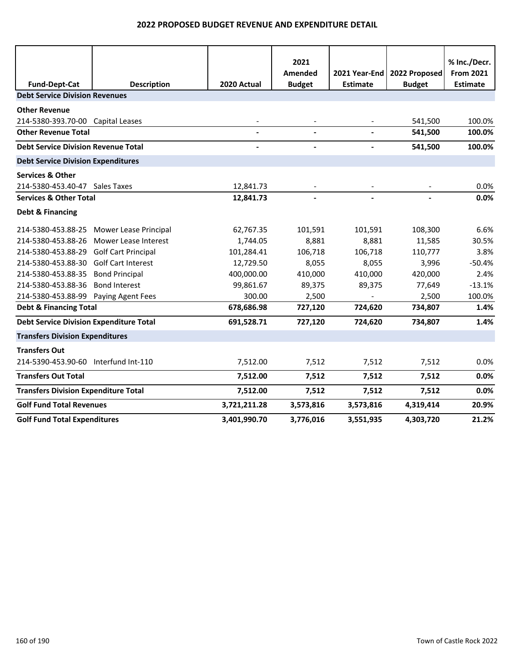|                                                               |                       |              | 2021          |                 |               | % Inc./Decr.     |
|---------------------------------------------------------------|-----------------------|--------------|---------------|-----------------|---------------|------------------|
|                                                               |                       |              | Amended       | 2021 Year-End   | 2022 Proposed | <b>From 2021</b> |
| <b>Fund-Dept-Cat</b><br><b>Debt Service Division Revenues</b> | <b>Description</b>    | 2020 Actual  | <b>Budget</b> | <b>Estimate</b> | <b>Budget</b> | <b>Estimate</b>  |
|                                                               |                       |              |               |                 |               |                  |
| <b>Other Revenue</b>                                          |                       |              |               |                 |               |                  |
| 214-5380-393.70-00 Capital Leases                             |                       |              |               |                 | 541,500       | 100.0%           |
| <b>Other Revenue Total</b>                                    |                       |              |               | $\blacksquare$  | 541,500       | 100.0%           |
| <b>Debt Service Division Revenue Total</b>                    |                       |              |               |                 | 541,500       | 100.0%           |
| <b>Debt Service Division Expenditures</b>                     |                       |              |               |                 |               |                  |
| <b>Services &amp; Other</b>                                   |                       |              |               |                 |               |                  |
| 214-5380-453.40-47 Sales Taxes                                |                       | 12,841.73    |               |                 |               | 0.0%             |
| <b>Services &amp; Other Total</b>                             |                       | 12,841.73    |               |                 |               | 0.0%             |
| <b>Debt &amp; Financing</b>                                   |                       |              |               |                 |               |                  |
| 214-5380-453.88-25                                            | Mower Lease Principal | 62,767.35    | 101,591       | 101,591         | 108,300       | 6.6%             |
| 214-5380-453.88-26                                            | Mower Lease Interest  | 1,744.05     | 8,881         | 8,881           | 11,585        | 30.5%            |
| 214-5380-453.88-29 Golf Cart Principal                        |                       | 101,284.41   | 106,718       | 106,718         | 110,777       | 3.8%             |
| 214-5380-453.88-30 Golf Cart Interest                         |                       | 12,729.50    | 8,055         | 8,055           | 3,996         | $-50.4%$         |
| 214-5380-453.88-35                                            | <b>Bond Principal</b> | 400,000.00   | 410,000       | 410,000         | 420,000       | 2.4%             |
| 214-5380-453.88-36                                            | <b>Bond Interest</b>  | 99,861.67    | 89,375        | 89,375          | 77,649        | $-13.1%$         |
| 214-5380-453.88-99                                            | Paying Agent Fees     | 300.00       | 2,500         |                 | 2,500         | 100.0%           |
| <b>Debt &amp; Financing Total</b>                             |                       | 678,686.98   | 727,120       | 724,620         | 734,807       | 1.4%             |
| <b>Debt Service Division Expenditure Total</b>                |                       | 691,528.71   | 727,120       | 724,620         | 734,807       | 1.4%             |
| <b>Transfers Division Expenditures</b>                        |                       |              |               |                 |               |                  |
| <b>Transfers Out</b>                                          |                       |              |               |                 |               |                  |
| 214-5390-453.90-60 Interfund Int-110                          |                       | 7,512.00     | 7,512         | 7,512           | 7,512         | 0.0%             |
| <b>Transfers Out Total</b>                                    |                       | 7,512.00     | 7,512         | 7,512           | 7,512         | 0.0%             |
| <b>Transfers Division Expenditure Total</b>                   |                       | 7,512.00     | 7,512         | 7,512           | 7,512         | 0.0%             |
| <b>Golf Fund Total Revenues</b>                               |                       | 3,721,211.28 | 3,573,816     | 3,573,816       | 4,319,414     | 20.9%            |
| <b>Golf Fund Total Expenditures</b>                           |                       | 3,401,990.70 | 3,776,016     | 3,551,935       | 4,303,720     | 21.2%            |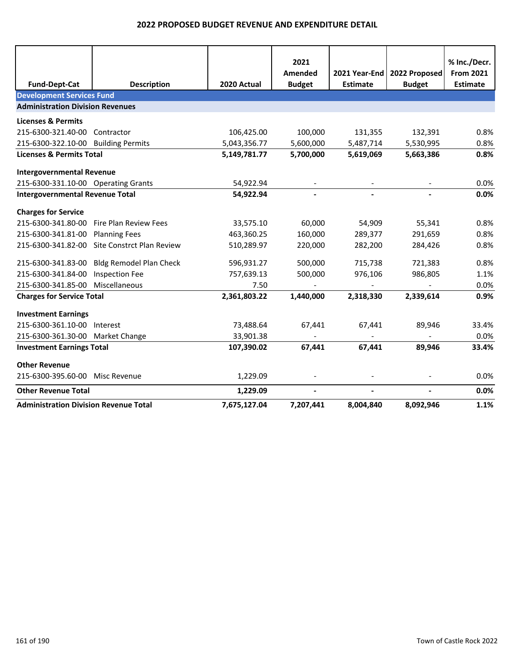|                                              |                                |              | 2021           |                 |                | % Inc./Decr.     |
|----------------------------------------------|--------------------------------|--------------|----------------|-----------------|----------------|------------------|
|                                              |                                |              | Amended        | 2021 Year-End   | 2022 Proposed  | <b>From 2021</b> |
| <b>Fund-Dept-Cat</b>                         | <b>Description</b>             | 2020 Actual  | <b>Budget</b>  | <b>Estimate</b> | <b>Budget</b>  | <b>Estimate</b>  |
| <b>Development Services Fund</b>             |                                |              |                |                 |                |                  |
| <b>Administration Division Revenues</b>      |                                |              |                |                 |                |                  |
| <b>Licenses &amp; Permits</b>                |                                |              |                |                 |                |                  |
| 215-6300-321.40-00                           | Contractor                     | 106,425.00   | 100,000        | 131,355         | 132,391        | 0.8%             |
| 215-6300-322.10-00 Building Permits          |                                | 5,043,356.77 | 5,600,000      | 5,487,714       | 5,530,995      | 0.8%             |
| <b>Licenses &amp; Permits Total</b>          |                                | 5,149,781.77 | 5,700,000      | 5,619,069       | 5,663,386      | 0.8%             |
| <b>Intergovernmental Revenue</b>             |                                |              |                |                 |                |                  |
| 215-6300-331.10-00 Operating Grants          |                                | 54,922.94    |                |                 |                | 0.0%             |
| <b>Intergovernmental Revenue Total</b>       |                                | 54,922.94    | $\sim$         | $\blacksquare$  | $\sim$         | 0.0%             |
| <b>Charges for Service</b>                   |                                |              |                |                 |                |                  |
| 215-6300-341.80-00                           | Fire Plan Review Fees          | 33,575.10    | 60,000         | 54,909          | 55,341         | 0.8%             |
| 215-6300-341.81-00                           | <b>Planning Fees</b>           | 463,360.25   | 160,000        | 289,377         | 291,659        | 0.8%             |
| 215-6300-341.82-00                           | Site Constrct Plan Review      | 510,289.97   | 220,000        | 282,200         | 284,426        | 0.8%             |
| 215-6300-341.83-00                           | <b>Bldg Remodel Plan Check</b> | 596,931.27   | 500,000        | 715,738         | 721,383        | 0.8%             |
| 215-6300-341.84-00                           | <b>Inspection Fee</b>          | 757,639.13   | 500,000        | 976,106         | 986,805        | 1.1%             |
| 215-6300-341.85-00                           | Miscellaneous                  | 7.50         |                |                 |                | 0.0%             |
| <b>Charges for Service Total</b>             |                                | 2,361,803.22 | 1,440,000      | 2,318,330       | 2,339,614      | 0.9%             |
| <b>Investment Earnings</b>                   |                                |              |                |                 |                |                  |
| 215-6300-361.10-00                           | Interest                       | 73,488.64    | 67,441         | 67,441          | 89,946         | 33.4%            |
| 215-6300-361.30-00 Market Change             |                                | 33,901.38    |                |                 |                | 0.0%             |
| <b>Investment Earnings Total</b>             |                                | 107,390.02   | 67,441         | 67,441          | 89,946         | 33.4%            |
| <b>Other Revenue</b>                         |                                |              |                |                 |                |                  |
| 215-6300-395.60-00                           | Misc Revenue                   | 1,229.09     |                |                 |                | 0.0%             |
| <b>Other Revenue Total</b>                   |                                | 1,229.09     | $\blacksquare$ |                 | $\blacksquare$ | 0.0%             |
| <b>Administration Division Revenue Total</b> |                                | 7,675,127.04 | 7,207,441      | 8,004,840       | 8,092,946      | 1.1%             |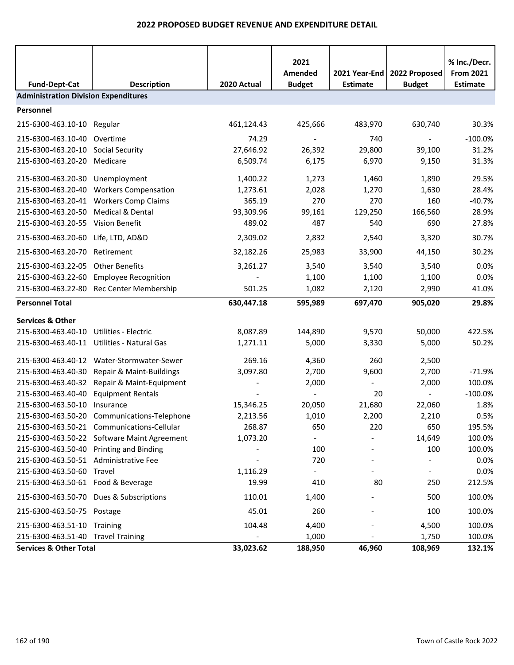| <b>Fund-Dept-Cat</b>                        | <b>Description</b>                          | 2020 Actual | 2021<br>Amended<br><b>Budget</b> | 2021 Year-End<br><b>Estimate</b> | 2022 Proposed<br><b>Budget</b> | % Inc./Decr.<br><b>From 2021</b><br><b>Estimate</b> |  |  |
|---------------------------------------------|---------------------------------------------|-------------|----------------------------------|----------------------------------|--------------------------------|-----------------------------------------------------|--|--|
| <b>Administration Division Expenditures</b> |                                             |             |                                  |                                  |                                |                                                     |  |  |
| Personnel                                   |                                             |             |                                  |                                  |                                |                                                     |  |  |
| 215-6300-463.10-10 Regular                  |                                             | 461,124.43  | 425,666                          | 483,970                          | 630,740                        | 30.3%                                               |  |  |
| 215-6300-463.10-40 Overtime                 |                                             | 74.29       |                                  | 740                              | $\blacksquare$                 | $-100.0%$                                           |  |  |
| 215-6300-463.20-10 Social Security          |                                             | 27,646.92   | 26,392                           | 29,800                           | 39,100                         | 31.2%                                               |  |  |
| 215-6300-463.20-20                          | Medicare                                    | 6,509.74    | 6,175                            | 6,970                            | 9,150                          | 31.3%                                               |  |  |
| 215-6300-463.20-30                          | Unemployment                                | 1,400.22    | 1,273                            | 1,460                            | 1,890                          | 29.5%                                               |  |  |
| 215-6300-463.20-40                          | <b>Workers Compensation</b>                 | 1,273.61    | 2,028                            | 1,270                            | 1,630                          | 28.4%                                               |  |  |
| 215-6300-463.20-41                          | <b>Workers Comp Claims</b>                  | 365.19      | 270                              | 270                              | 160                            | $-40.7%$                                            |  |  |
| 215-6300-463.20-50                          | Medical & Dental                            | 93,309.96   | 99,161                           | 129,250                          | 166,560                        | 28.9%                                               |  |  |
| 215-6300-463.20-55 Vision Benefit           |                                             | 489.02      | 487                              | 540                              | 690                            | 27.8%                                               |  |  |
| 215-6300-463.20-60 Life, LTD, AD&D          |                                             | 2,309.02    | 2,832                            | 2,540                            | 3,320                          | 30.7%                                               |  |  |
| 215-6300-463.20-70                          | Retirement                                  | 32,182.26   | 25,983                           | 33,900                           | 44,150                         | 30.2%                                               |  |  |
| 215-6300-463.22-05                          | <b>Other Benefits</b>                       | 3,261.27    | 3,540                            | 3,540                            | 3,540                          | 0.0%                                                |  |  |
|                                             | 215-6300-463.22-60 Employee Recognition     |             | 1,100                            | 1,100                            | 1,100                          | 0.0%                                                |  |  |
|                                             | 215-6300-463.22-80 Rec Center Membership    | 501.25      | 1,082                            | 2,120                            | 2,990                          | 41.0%                                               |  |  |
| <b>Personnel Total</b>                      |                                             | 630,447.18  | 595,989                          | 697,470                          | 905,020                        | 29.8%                                               |  |  |
| <b>Services &amp; Other</b>                 |                                             |             |                                  |                                  |                                |                                                     |  |  |
| 215-6300-463.40-10                          | <b>Utilities - Electric</b>                 | 8,087.89    | 144,890                          | 9,570                            | 50,000                         | 422.5%                                              |  |  |
| 215-6300-463.40-11                          | Utilities - Natural Gas                     | 1,271.11    | 5,000                            | 3,330                            | 5,000                          | 50.2%                                               |  |  |
| 215-6300-463.40-12                          | Water-Stormwater-Sewer                      | 269.16      | 4,360                            | 260                              | 2,500                          |                                                     |  |  |
| 215-6300-463.40-30                          | Repair & Maint-Buildings                    | 3,097.80    | 2,700                            | 9,600                            | 2,700                          | $-71.9%$                                            |  |  |
| 215-6300-463.40-32                          | Repair & Maint-Equipment                    |             | 2,000                            |                                  | 2,000                          | 100.0%                                              |  |  |
| 215-6300-463.40-40                          | <b>Equipment Rentals</b>                    |             |                                  | 20                               |                                | $-100.0%$                                           |  |  |
| 215-6300-463.50-10                          | Insurance                                   | 15,346.25   | 20,050                           | 21,680                           | 22,060                         | 1.8%                                                |  |  |
| 215-6300-463.50-20                          | Communications-Telephone                    | 2,213.56    | 1,010                            | 2,200                            | 2,210                          | 0.5%                                                |  |  |
|                                             | 215-6300-463.50-21 Communications-Cellular  | 268.87      | 650                              | 220                              | 650                            | 195.5%                                              |  |  |
|                                             | 215-6300-463.50-22 Software Maint Agreement | 1,073.20    |                                  |                                  | 14,649                         | 100.0%                                              |  |  |
| 215-6300-463.50-40 Printing and Binding     |                                             |             | 100                              |                                  | 100                            | 100.0%                                              |  |  |
| 215-6300-463.50-51 Administrative Fee       |                                             |             | 720                              |                                  |                                | 0.0%                                                |  |  |
| 215-6300-463.50-60 Travel                   |                                             | 1,116.29    |                                  |                                  |                                | 0.0%                                                |  |  |
| 215-6300-463.50-61 Food & Beverage          |                                             | 19.99       | 410                              | 80                               | 250                            | 212.5%                                              |  |  |
|                                             | 215-6300-463.50-70 Dues & Subscriptions     | 110.01      | 1,400                            |                                  | 500                            | 100.0%                                              |  |  |
| 215-6300-463.50-75 Postage                  |                                             | 45.01       | 260                              |                                  | 100                            | 100.0%                                              |  |  |
| 215-6300-463.51-10 Training                 |                                             | 104.48      | 4,400                            |                                  | 4,500                          | 100.0%                                              |  |  |
| 215-6300-463.51-40 Travel Training          |                                             |             | 1,000                            |                                  | 1,750                          | 100.0%                                              |  |  |
| <b>Services &amp; Other Total</b>           |                                             | 33,023.62   | 188,950                          | 46,960                           | 108,969                        | 132.1%                                              |  |  |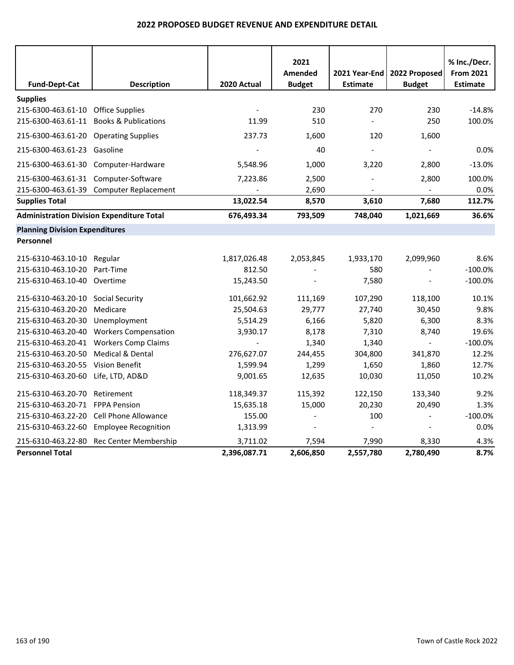|                                                  |                                         |              | 2021                     |                                  |                                | % Inc./Decr.                        |  |  |  |
|--------------------------------------------------|-----------------------------------------|--------------|--------------------------|----------------------------------|--------------------------------|-------------------------------------|--|--|--|
| <b>Fund-Dept-Cat</b>                             | <b>Description</b>                      | 2020 Actual  | Amended<br><b>Budget</b> | 2021 Year-End<br><b>Estimate</b> | 2022 Proposed<br><b>Budget</b> | <b>From 2021</b><br><b>Estimate</b> |  |  |  |
| <b>Supplies</b>                                  |                                         |              |                          |                                  |                                |                                     |  |  |  |
| 215-6300-463.61-10 Office Supplies               |                                         |              | 230                      | 270                              | 230                            | $-14.8%$                            |  |  |  |
| 215-6300-463.61-11 Books & Publications          |                                         | 11.99        | 510                      |                                  | 250                            | 100.0%                              |  |  |  |
| 215-6300-463.61-20 Operating Supplies            |                                         | 237.73       | 1,600                    | 120                              | 1,600                          |                                     |  |  |  |
| 215-6300-463.61-23 Gasoline                      |                                         |              | 40                       |                                  | $\blacksquare$                 | 0.0%                                |  |  |  |
| 215-6300-463.61-30                               | Computer-Hardware                       | 5,548.96     | 1,000                    | 3,220                            | 2,800                          | $-13.0%$                            |  |  |  |
| 215-6300-463.61-31 Computer-Software             |                                         | 7,223.86     | 2,500                    |                                  | 2,800                          | 100.0%                              |  |  |  |
|                                                  | 215-6300-463.61-39 Computer Replacement |              | 2,690                    |                                  |                                | 0.0%                                |  |  |  |
| <b>Supplies Total</b>                            |                                         | 13,022.54    | 8,570                    | 3,610                            | 7,680                          | 112.7%                              |  |  |  |
| <b>Administration Division Expenditure Total</b> |                                         | 676,493.34   | 793,509                  | 748,040                          | 1,021,669                      | 36.6%                               |  |  |  |
|                                                  | <b>Planning Division Expenditures</b>   |              |                          |                                  |                                |                                     |  |  |  |
| Personnel                                        |                                         |              |                          |                                  |                                |                                     |  |  |  |
| 215-6310-463.10-10 Regular                       |                                         | 1,817,026.48 | 2,053,845                | 1,933,170                        | 2,099,960                      | 8.6%                                |  |  |  |
| 215-6310-463.10-20                               | Part-Time                               | 812.50       | $\overline{a}$           | 580                              | $\blacksquare$                 | $-100.0%$                           |  |  |  |
| 215-6310-463.10-40 Overtime                      |                                         | 15,243.50    |                          | 7,580                            |                                | $-100.0%$                           |  |  |  |
| 215-6310-463.20-10                               | Social Security                         | 101,662.92   | 111,169                  | 107,290                          | 118,100                        | 10.1%                               |  |  |  |
| 215-6310-463.20-20                               | Medicare                                | 25,504.63    | 29,777                   | 27,740                           | 30,450                         | 9.8%                                |  |  |  |
| 215-6310-463.20-30                               | Unemployment                            | 5,514.29     | 6,166                    | 5,820                            | 6,300                          | 8.3%                                |  |  |  |
| 215-6310-463.20-40                               | <b>Workers Compensation</b>             | 3,930.17     | 8,178                    | 7,310                            | 8,740                          | 19.6%                               |  |  |  |
|                                                  | 215-6310-463.20-41 Workers Comp Claims  |              | 1,340                    | 1,340                            | $\equiv$                       | $-100.0%$                           |  |  |  |
| 215-6310-463.20-50                               | <b>Medical &amp; Dental</b>             | 276,627.07   | 244,455                  | 304,800                          | 341,870                        | 12.2%                               |  |  |  |
| 215-6310-463.20-55                               | <b>Vision Benefit</b>                   | 1,599.94     | 1,299                    | 1,650                            | 1,860                          | 12.7%                               |  |  |  |
| 215-6310-463.20-60                               | Life, LTD, AD&D                         | 9,001.65     | 12,635                   | 10,030                           | 11,050                         | 10.2%                               |  |  |  |
| 215-6310-463.20-70                               | Retirement                              | 118,349.37   | 115,392                  | 122,150                          | 133,340                        | 9.2%                                |  |  |  |
| 215-6310-463.20-71 FPPA Pension                  |                                         | 15,635.18    | 15,000                   | 20,230                           | 20,490                         | 1.3%                                |  |  |  |
| 215-6310-463.22-20                               | Cell Phone Allowance                    | 155.00       |                          | 100                              |                                | $-100.0%$                           |  |  |  |
| 215-6310-463.22-60                               | <b>Employee Recognition</b>             | 1,313.99     |                          |                                  |                                | 0.0%                                |  |  |  |
| 215-6310-463.22-80                               | Rec Center Membership                   | 3,711.02     | 7,594                    | 7,990                            | 8,330                          | 4.3%                                |  |  |  |
| <b>Personnel Total</b>                           |                                         | 2,396,087.71 | 2,606,850                | 2,557,780                        | 2,780,490                      | 8.7%                                |  |  |  |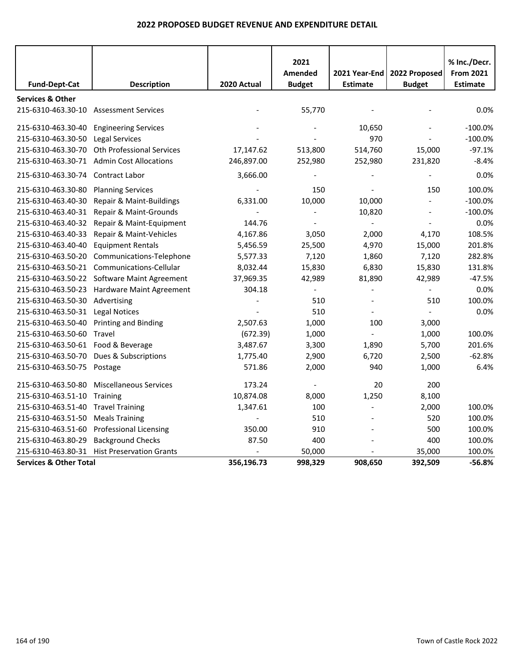|                                        |                                  |             | 2021                            |                                  |                                | % Inc./Decr.                        |
|----------------------------------------|----------------------------------|-------------|---------------------------------|----------------------------------|--------------------------------|-------------------------------------|
| <b>Fund-Dept-Cat</b>                   | <b>Description</b>               | 2020 Actual | <b>Amended</b><br><b>Budget</b> | 2021 Year-End<br><b>Estimate</b> | 2022 Proposed<br><b>Budget</b> | <b>From 2021</b><br><b>Estimate</b> |
| <b>Services &amp; Other</b>            |                                  |             |                                 |                                  |                                |                                     |
| 215-6310-463.30-10 Assessment Services |                                  |             | 55,770                          |                                  |                                | 0.0%                                |
| 215-6310-463.30-40                     | <b>Engineering Services</b>      |             |                                 | 10,650                           |                                | $-100.0%$                           |
| 215-6310-463.30-50                     | Legal Services                   |             |                                 | 970                              |                                | $-100.0%$                           |
| 215-6310-463.30-70                     | <b>Oth Professional Services</b> | 17,147.62   | 513,800                         | 514,760                          | 15,000                         | $-97.1%$                            |
| 215-6310-463.30-71                     | <b>Admin Cost Allocations</b>    | 246,897.00  | 252,980                         | 252,980                          | 231,820                        | $-8.4%$                             |
| 215-6310-463.30-74                     | <b>Contract Labor</b>            | 3,666.00    | $\overline{\phantom{a}}$        |                                  | $\overline{\phantom{a}}$       | 0.0%                                |
| 215-6310-463.30-80                     | <b>Planning Services</b>         |             | 150                             |                                  | 150                            | 100.0%                              |
| 215-6310-463.40-30                     | Repair & Maint-Buildings         | 6,331.00    | 10,000                          | 10,000                           |                                | $-100.0%$                           |
| 215-6310-463.40-31                     | Repair & Maint-Grounds           |             | $\overline{\phantom{0}}$        | 10,820                           | $\blacksquare$                 | $-100.0%$                           |
| 215-6310-463.40-32                     | Repair & Maint-Equipment         | 144.76      |                                 |                                  |                                | 0.0%                                |
| 215-6310-463.40-33                     | Repair & Maint-Vehicles          | 4,167.86    | 3,050                           | 2,000                            | 4,170                          | 108.5%                              |
| 215-6310-463.40-40                     | <b>Equipment Rentals</b>         | 5,456.59    | 25,500                          | 4,970                            | 15,000                         | 201.8%                              |
| 215-6310-463.50-20                     | Communications-Telephone         | 5,577.33    | 7,120                           | 1,860                            | 7,120                          | 282.8%                              |
| 215-6310-463.50-21                     | Communications-Cellular          | 8,032.44    | 15,830                          | 6,830                            | 15,830                         | 131.8%                              |
| 215-6310-463.50-22                     | Software Maint Agreement         | 37,969.35   | 42,989                          | 81,890                           | 42,989                         | $-47.5%$                            |
| 215-6310-463.50-23                     | Hardware Maint Agreement         | 304.18      |                                 |                                  |                                | $0.0\%$                             |
| 215-6310-463.50-30                     | Advertising                      |             | 510                             |                                  | 510                            | 100.0%                              |
| 215-6310-463.50-31                     | <b>Legal Notices</b>             |             | 510                             |                                  |                                | 0.0%                                |
| 215-6310-463.50-40                     | <b>Printing and Binding</b>      | 2,507.63    | 1,000                           | 100                              | 3,000                          |                                     |
| 215-6310-463.50-60                     | Travel                           | (672.39)    | 1,000                           |                                  | 1,000                          | 100.0%                              |
| 215-6310-463.50-61 Food & Beverage     |                                  | 3,487.67    | 3,300                           | 1,890                            | 5,700                          | 201.6%                              |
| 215-6310-463.50-70                     | Dues & Subscriptions             | 1,775.40    | 2,900                           | 6,720                            | 2,500                          | $-62.8%$                            |
| 215-6310-463.50-75 Postage             |                                  | 571.86      | 2,000                           | 940                              | 1,000                          | 6.4%                                |
| 215-6310-463.50-80                     | <b>Miscellaneous Services</b>    | 173.24      | $\overline{\phantom{a}}$        | 20                               | 200                            |                                     |
| 215-6310-463.51-10                     | Training                         | 10,874.08   | 8,000                           | 1,250                            | 8,100                          |                                     |
| 215-6310-463.51-40                     | <b>Travel Training</b>           | 1,347.61    | 100                             |                                  | 2,000                          | 100.0%                              |
| 215-6310-463.51-50                     | <b>Meals Training</b>            |             | 510                             |                                  | 520                            | 100.0%                              |
| 215-6310-463.51-60                     | Professional Licensing           | 350.00      | 910                             |                                  | 500                            | 100.0%                              |
| 215-6310-463.80-29                     | <b>Background Checks</b>         | 87.50       | 400                             |                                  | 400                            | 100.0%                              |
| 215-6310-463.80-31                     | <b>Hist Preservation Grants</b>  |             | 50,000                          |                                  | 35,000                         | 100.0%                              |
| <b>Services &amp; Other Total</b>      |                                  | 356,196.73  | 998,329                         | 908,650                          | 392,509                        | $-56.8%$                            |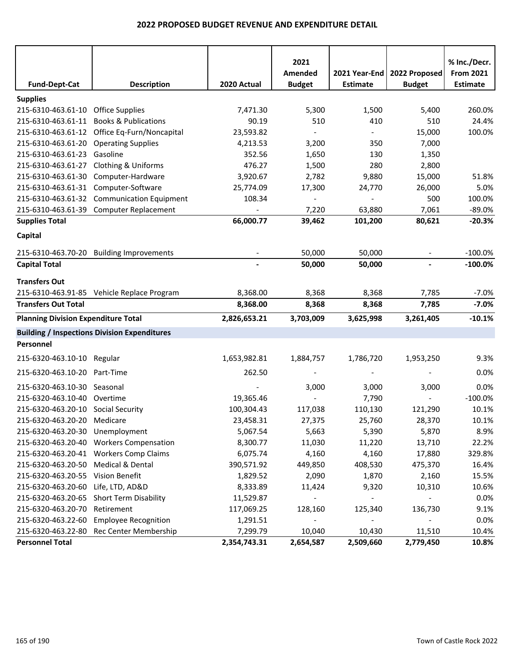| <b>Fund-Dept-Cat</b>                       | <b>Description</b>                                  | 2020 Actual  | 2021<br>Amended<br><b>Budget</b> | 2021 Year-End<br><b>Estimate</b> | 2022 Proposed<br><b>Budget</b> | % Inc./Decr.<br><b>From 2021</b><br><b>Estimate</b> |
|--------------------------------------------|-----------------------------------------------------|--------------|----------------------------------|----------------------------------|--------------------------------|-----------------------------------------------------|
| <b>Supplies</b>                            |                                                     |              |                                  |                                  |                                |                                                     |
| 215-6310-463.61-10 Office Supplies         |                                                     | 7,471.30     | 5,300                            | 1,500                            | 5,400                          | 260.0%                                              |
|                                            | 215-6310-463.61-11 Books & Publications             | 90.19        | 510                              | 410                              | 510                            | 24.4%                                               |
|                                            | 215-6310-463.61-12 Office Eq-Furn/Noncapital        | 23,593.82    | $\overline{\phantom{a}}$         | $\blacksquare$                   | 15,000                         | 100.0%                                              |
| 215-6310-463.61-20                         | <b>Operating Supplies</b>                           | 4,213.53     | 3,200                            | 350                              | 7,000                          |                                                     |
| 215-6310-463.61-23                         | Gasoline                                            | 352.56       | 1,650                            | 130                              | 1,350                          |                                                     |
| 215-6310-463.61-27                         | <b>Clothing &amp; Uniforms</b>                      | 476.27       | 1,500                            | 280                              | 2,800                          |                                                     |
|                                            | 215-6310-463.61-30 Computer-Hardware                | 3,920.67     | 2,782                            | 9,880                            | 15,000                         | 51.8%                                               |
| 215-6310-463.61-31 Computer-Software       |                                                     | 25,774.09    | 17,300                           | 24,770                           | 26,000                         | 5.0%                                                |
|                                            | 215-6310-463.61-32 Communication Equipment          | 108.34       | $\overline{\phantom{a}}$         | $\overline{a}$                   | 500                            | 100.0%                                              |
|                                            | 215-6310-463.61-39 Computer Replacement             |              | 7,220                            | 63,880                           | 7,061                          | $-89.0%$                                            |
| <b>Supplies Total</b>                      |                                                     | 66,000.77    | 39,462                           | 101,200                          | 80,621                         | $-20.3%$                                            |
| Capital                                    |                                                     |              |                                  |                                  |                                |                                                     |
|                                            |                                                     |              |                                  |                                  |                                |                                                     |
|                                            | 215-6310-463.70-20 Building Improvements            |              | 50,000                           | 50,000                           |                                | $-100.0%$                                           |
| <b>Capital Total</b>                       |                                                     |              | 50,000                           | 50,000                           |                                | $-100.0\%$                                          |
| <b>Transfers Out</b>                       |                                                     |              |                                  |                                  |                                |                                                     |
|                                            | 215-6310-463.91-85 Vehicle Replace Program          | 8,368.00     | 8,368                            | 8,368                            | 7,785                          | $-7.0%$                                             |
| <b>Transfers Out Total</b>                 |                                                     | 8,368.00     | 8,368                            | 8,368                            | 7,785                          | $-7.0%$                                             |
| <b>Planning Division Expenditure Total</b> |                                                     | 2,826,653.21 | 3,703,009                        | 3,625,998                        | 3,261,405                      | $-10.1%$                                            |
|                                            | <b>Building / Inspections Division Expenditures</b> |              |                                  |                                  |                                |                                                     |
| Personnel                                  |                                                     |              |                                  |                                  |                                |                                                     |
| 215-6320-463.10-10 Regular                 |                                                     | 1,653,982.81 | 1,884,757                        | 1,786,720                        | 1,953,250                      | 9.3%                                                |
|                                            |                                                     |              |                                  |                                  |                                |                                                     |
| 215-6320-463.10-20 Part-Time               |                                                     | 262.50       |                                  |                                  |                                | 0.0%                                                |
| 215-6320-463.10-30 Seasonal                |                                                     |              | 3,000                            | 3,000                            | 3,000                          | 0.0%                                                |
| 215-6320-463.10-40 Overtime                |                                                     | 19,365.46    |                                  | 7,790                            |                                | $-100.0%$                                           |
| 215-6320-463.20-10 Social Security         |                                                     | 100,304.43   | 117,038                          | 110,130                          | 121,290                        | 10.1%                                               |
| 215-6320-463.20-20 Medicare                |                                                     | 23,458.31    | 27,375                           | 25,760                           | 28,370                         | 10.1%                                               |
| 215-6320-463.20-30 Unemployment            |                                                     | 5,067.54     | 5,663                            | 5,390                            | 5,870                          | 8.9%                                                |
|                                            | 215-6320-463.20-40 Workers Compensation             | 8,300.77     | 11,030                           | 11,220                           | 13,710                         | 22.2%                                               |
|                                            | 215-6320-463.20-41 Workers Comp Claims              | 6,075.74     | 4,160                            | 4,160                            | 17,880                         | 329.8%                                              |
| 215-6320-463.20-50                         | Medical & Dental                                    | 390,571.92   | 449,850                          | 408,530                          | 475,370                        | 16.4%                                               |
| 215-6320-463.20-55                         | Vision Benefit                                      | 1,829.52     | 2,090                            | 1,870                            | 2,160                          | 15.5%                                               |
| 215-6320-463.20-60                         | Life, LTD, AD&D                                     | 8,333.89     | 11,424                           | 9,320                            | 10,310                         | 10.6%                                               |
| 215-6320-463.20-65                         | Short Term Disability                               | 11,529.87    | $\overline{\phantom{a}}$         |                                  |                                | 0.0%                                                |
| 215-6320-463.20-70                         | Retirement                                          | 117,069.25   | 128,160                          | 125,340                          | 136,730                        | 9.1%                                                |
| 215-6320-463.22-60                         | <b>Employee Recognition</b>                         | 1,291.51     |                                  |                                  |                                | 0.0%                                                |
|                                            | 215-6320-463.22-80 Rec Center Membership            | 7,299.79     | 10,040                           | 10,430                           | 11,510                         | 10.4%                                               |
| <b>Personnel Total</b>                     |                                                     | 2,354,743.31 | 2,654,587                        | 2,509,660                        | 2,779,450                      | 10.8%                                               |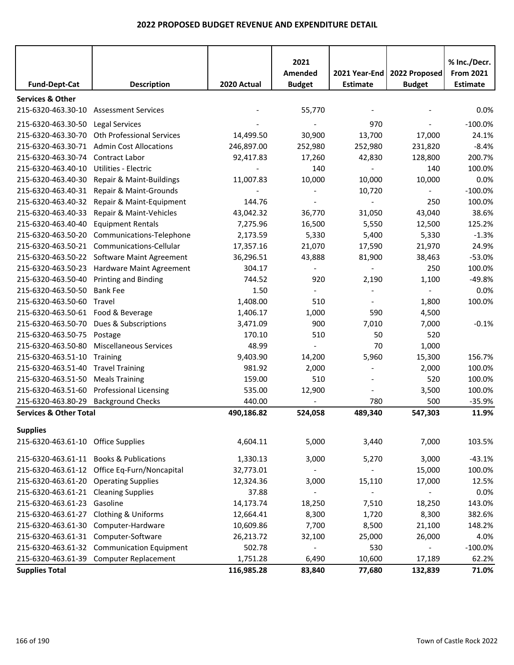|                                                   |                                              | 2020 Actual | 2021<br>Amended          | 2021 Year-End<br><b>Estimate</b> | 2022 Proposed            | % Inc./Decr.<br><b>From 2021</b><br><b>Estimate</b> |
|---------------------------------------------------|----------------------------------------------|-------------|--------------------------|----------------------------------|--------------------------|-----------------------------------------------------|
| <b>Fund-Dept-Cat</b>                              | <b>Description</b>                           |             | <b>Budget</b>            |                                  | <b>Budget</b>            |                                                     |
| <b>Services &amp; Other</b><br>215-6320-463.30-10 | <b>Assessment Services</b>                   |             | 55,770                   |                                  |                          | 0.0%                                                |
| 215-6320-463.30-50 Legal Services                 |                                              |             |                          | 970                              |                          | $-100.0%$                                           |
| 215-6320-463.30-70                                | <b>Oth Professional Services</b>             | 14,499.50   | 30,900                   | 13,700                           | 17,000                   | 24.1%                                               |
| 215-6320-463.30-71                                | <b>Admin Cost Allocations</b>                | 246,897.00  | 252,980                  | 252,980                          | 231,820                  | $-8.4%$                                             |
| 215-6320-463.30-74                                | <b>Contract Labor</b>                        | 92,417.83   | 17,260                   | 42,830                           | 128,800                  | 200.7%                                              |
| 215-6320-463.40-10                                | Utilities - Electric                         |             | 140                      |                                  | 140                      | 100.0%                                              |
| 215-6320-463.40-30                                | Repair & Maint-Buildings                     | 11,007.83   | 10,000                   | 10,000                           | 10,000                   | 0.0%                                                |
| 215-6320-463.40-31                                | Repair & Maint-Grounds                       |             |                          | 10,720                           | $\overline{\phantom{a}}$ | $-100.0%$                                           |
| 215-6320-463.40-32                                | Repair & Maint-Equipment                     | 144.76      |                          |                                  | 250                      | 100.0%                                              |
| 215-6320-463.40-33                                | Repair & Maint-Vehicles                      | 43,042.32   | 36,770                   | 31,050                           | 43,040                   | 38.6%                                               |
| 215-6320-463.40-40                                | <b>Equipment Rentals</b>                     | 7,275.96    | 16,500                   | 5,550                            | 12,500                   | 125.2%                                              |
| 215-6320-463.50-20                                | Communications-Telephone                     | 2,173.59    | 5,330                    | 5,400                            | 5,330                    | $-1.3%$                                             |
| 215-6320-463.50-21                                | Communications-Cellular                      | 17,357.16   | 21,070                   | 17,590                           | 21,970                   | 24.9%                                               |
|                                                   | 215-6320-463.50-22 Software Maint Agreement  | 36,296.51   | 43,888                   | 81,900                           | 38,463                   | $-53.0%$                                            |
| 215-6320-463.50-23                                | Hardware Maint Agreement                     | 304.17      | $\overline{\phantom{a}}$ |                                  | 250                      | 100.0%                                              |
| 215-6320-463.50-40                                | <b>Printing and Binding</b>                  | 744.52      | 920                      | 2,190                            | 1,100                    | $-49.8%$                                            |
| 215-6320-463.50-50                                | <b>Bank Fee</b>                              | 1.50        |                          |                                  | $\blacksquare$           | 0.0%                                                |
| 215-6320-463.50-60                                | Travel                                       | 1,408.00    | 510                      |                                  | 1,800                    | 100.0%                                              |
| 215-6320-463.50-61 Food & Beverage                |                                              | 1,406.17    | 1,000                    | 590                              | 4,500                    |                                                     |
| 215-6320-463.50-70                                | Dues & Subscriptions                         | 3,471.09    | 900                      | 7,010                            | 7,000                    | $-0.1%$                                             |
| 215-6320-463.50-75                                | Postage                                      | 170.10      | 510                      | 50                               | 520                      |                                                     |
| 215-6320-463.50-80                                | <b>Miscellaneous Services</b>                | 48.99       | $\blacksquare$           | 70                               | 1,000                    |                                                     |
| 215-6320-463.51-10                                | Training                                     | 9,403.90    | 14,200                   | 5,960                            | 15,300                   | 156.7%                                              |
| 215-6320-463.51-40                                | <b>Travel Training</b>                       | 981.92      | 2,000                    |                                  | 2,000                    | 100.0%                                              |
| 215-6320-463.51-50                                | <b>Meals Training</b>                        | 159.00      | 510                      |                                  | 520                      | 100.0%                                              |
| 215-6320-463.51-60                                | <b>Professional Licensing</b>                | 535.00      | 12,900                   |                                  | 3,500                    | 100.0%                                              |
| 215-6320-463.80-29                                | <b>Background Checks</b>                     | 440.00      |                          | 780                              | 500                      | $-35.9%$                                            |
| <b>Services &amp; Other Total</b>                 |                                              | 490,186.82  | 524,058                  | 489,340                          | 547,303                  | 11.9%                                               |
| <b>Supplies</b>                                   |                                              |             |                          |                                  |                          |                                                     |
| 215-6320-463.61-10 Office Supplies                |                                              | 4,604.11    | 5,000                    | 3,440                            | 7,000                    | 103.5%                                              |
|                                                   | 215-6320-463.61-11 Books & Publications      | 1,330.13    | 3,000                    | 5,270                            | 3,000                    | $-43.1%$                                            |
|                                                   | 215-6320-463.61-12 Office Eq-Furn/Noncapital | 32,773.01   |                          |                                  | 15,000                   | 100.0%                                              |
| 215-6320-463.61-20 Operating Supplies             |                                              | 12,324.36   | 3,000                    | 15,110                           | 17,000                   | 12.5%                                               |
| 215-6320-463.61-21 Cleaning Supplies              |                                              | 37.88       |                          |                                  |                          | 0.0%                                                |
| 215-6320-463.61-23                                | Gasoline                                     | 14,173.74   | 18,250                   | 7,510                            | 18,250                   | 143.0%                                              |
| 215-6320-463.61-27                                | <b>Clothing &amp; Uniforms</b>               | 12,664.41   | 8,300                    | 1,720                            | 8,300                    | 382.6%                                              |
| 215-6320-463.61-30                                | Computer-Hardware                            | 10,609.86   | 7,700                    | 8,500                            | 21,100                   | 148.2%                                              |
| 215-6320-463.61-31 Computer-Software              |                                              | 26,213.72   | 32,100                   | 25,000                           | 26,000                   | 4.0%                                                |
|                                                   | 215-6320-463.61-32 Communication Equipment   | 502.78      |                          | 530                              | $\blacksquare$           | $-100.0%$                                           |
|                                                   | 215-6320-463.61-39 Computer Replacement      | 1,751.28    | 6,490                    | 10,600                           | 17,189                   | 62.2%                                               |
| <b>Supplies Total</b>                             |                                              | 116,985.28  | 83,840                   | 77,680                           | 132,839                  | 71.0%                                               |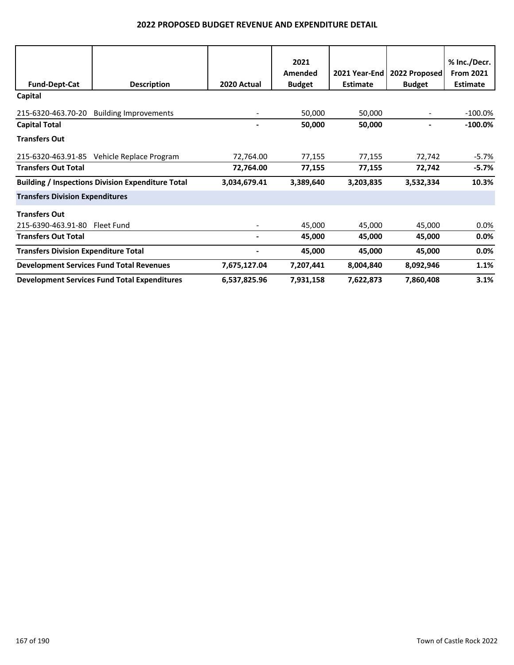| <b>Fund-Dept-Cat</b>                        | <b>Description</b>                                       | 2020 Actual  | 2021<br>Amended<br><b>Budget</b> | 2021 Year-End<br><b>Estimate</b> | 2022 Proposed<br><b>Budget</b> | % Inc./Decr.<br><b>From 2021</b><br><b>Estimate</b> |
|---------------------------------------------|----------------------------------------------------------|--------------|----------------------------------|----------------------------------|--------------------------------|-----------------------------------------------------|
| Capital                                     |                                                          |              |                                  |                                  |                                |                                                     |
| 215-6320-463.70-20                          | <b>Building Improvements</b>                             |              | 50,000                           | 50,000                           |                                | $-100.0\%$                                          |
| <b>Capital Total</b>                        |                                                          |              | 50,000                           | 50,000                           |                                | $-100.0\%$                                          |
| <b>Transfers Out</b>                        |                                                          |              |                                  |                                  |                                |                                                     |
|                                             | 215-6320-463.91-85 Vehicle Replace Program               | 72,764.00    | 77,155                           | 77,155                           | 72,742                         | -5.7%                                               |
| <b>Transfers Out Total</b>                  |                                                          | 72,764.00    | 77,155                           | 77,155                           | 72,742                         | $-5.7\%$                                            |
|                                             | <b>Building / Inspections Division Expenditure Total</b> | 3,034,679.41 | 3,389,640                        | 3,203,835                        | 3,532,334                      | 10.3%                                               |
| <b>Transfers Division Expenditures</b>      |                                                          |              |                                  |                                  |                                |                                                     |
| <b>Transfers Out</b>                        |                                                          |              |                                  |                                  |                                |                                                     |
| 215-6390-463.91-80                          | Fleet Fund                                               |              | 45,000                           | 45,000                           | 45,000                         | $0.0\%$                                             |
| <b>Transfers Out Total</b>                  |                                                          |              | 45,000                           | 45,000                           | 45,000                         | $0.0\%$                                             |
| <b>Transfers Division Expenditure Total</b> |                                                          | ۰            | 45,000                           | 45,000                           | 45,000                         | 0.0%                                                |
|                                             | <b>Development Services Fund Total Revenues</b>          | 7,675,127.04 | 7,207,441                        | 8,004,840                        | 8,092,946                      | 1.1%                                                |
|                                             | <b>Development Services Fund Total Expenditures</b>      | 6,537,825.96 | 7,931,158                        | 7,622,873                        | 7,860,408                      | 3.1%                                                |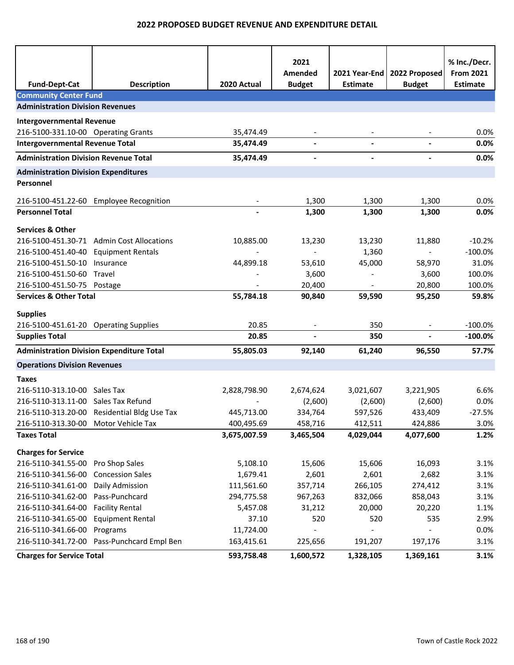| <b>Fund-Dept-Cat</b>                                                | <b>Description</b>                                | 2020 Actual       | 2021<br>Amended<br><b>Budget</b> | <b>Estimate</b>          | 2021 Year-End   2022 Proposed<br><b>Budget</b> | % Inc./Decr.<br><b>From 2021</b><br><b>Estimate</b> |
|---------------------------------------------------------------------|---------------------------------------------------|-------------------|----------------------------------|--------------------------|------------------------------------------------|-----------------------------------------------------|
| <b>Community Center Fund</b>                                        |                                                   |                   |                                  |                          |                                                |                                                     |
| <b>Administration Division Revenues</b>                             |                                                   |                   |                                  |                          |                                                |                                                     |
| <b>Intergovernmental Revenue</b>                                    |                                                   |                   |                                  |                          |                                                |                                                     |
| 216-5100-331.10-00 Operating Grants                                 |                                                   | 35,474.49         |                                  |                          |                                                | 0.0%                                                |
| <b>Intergovernmental Revenue Total</b>                              |                                                   | 35,474.49         | $\blacksquare$                   |                          |                                                | 0.0%                                                |
| <b>Administration Division Revenue Total</b>                        |                                                   | 35,474.49         | $\overline{\phantom{a}}$         | $\overline{\phantom{a}}$ | $\overline{\phantom{a}}$                       | 0.0%                                                |
| <b>Administration Division Expenditures</b>                         |                                                   |                   |                                  |                          |                                                |                                                     |
| Personnel                                                           |                                                   |                   |                                  |                          |                                                |                                                     |
|                                                                     | 216-5100-451.22-60 Employee Recognition           |                   | 1,300                            | 1,300                    | 1,300                                          | 0.0%                                                |
| <b>Personnel Total</b>                                              |                                                   |                   | 1,300                            | 1,300                    | 1,300                                          | 0.0%                                                |
| <b>Services &amp; Other</b>                                         |                                                   |                   |                                  |                          |                                                |                                                     |
|                                                                     | 216-5100-451.30-71 Admin Cost Allocations         | 10,885.00         | 13,230                           | 13,230                   | 11,880                                         | $-10.2%$                                            |
| 216-5100-451.40-40                                                  | <b>Equipment Rentals</b>                          |                   |                                  | 1,360                    |                                                | $-100.0%$                                           |
| 216-5100-451.50-10                                                  | Insurance                                         | 44,899.18         | 53,610                           | 45,000                   | 58,970                                         | 31.0%                                               |
| 216-5100-451.50-60                                                  | Travel                                            |                   | 3,600                            | $\blacksquare$           | 3,600                                          | 100.0%                                              |
| 216-5100-451.50-75 Postage                                          |                                                   |                   | 20,400                           |                          | 20,800                                         | 100.0%                                              |
| <b>Services &amp; Other Total</b>                                   |                                                   | 55,784.18         | 90,840                           | 59,590                   | 95,250                                         | 59.8%                                               |
| <b>Supplies</b>                                                     |                                                   |                   |                                  |                          |                                                |                                                     |
| 216-5100-451.61-20 Operating Supplies                               |                                                   | 20.85             |                                  | 350                      |                                                | $-100.0%$                                           |
| <b>Supplies Total</b>                                               |                                                   | 20.85             |                                  | 350                      | L.                                             | $-100.0\%$                                          |
| <b>Administration Division Expenditure Total</b>                    |                                                   | 55,805.03         | 92,140                           | 61,240                   | 96,550                                         | 57.7%                                               |
| <b>Operations Division Revenues</b>                                 |                                                   |                   |                                  |                          |                                                |                                                     |
|                                                                     |                                                   |                   |                                  |                          |                                                |                                                     |
| <b>Taxes</b>                                                        |                                                   |                   |                                  |                          |                                                |                                                     |
| 216-5110-313.10-00 Sales Tax<br>216-5110-313.11-00 Sales Tax Refund |                                                   | 2,828,798.90      | 2,674,624                        | 3,021,607                | 3,221,905                                      | 6.6%                                                |
|                                                                     | 216-5110-313.20-00 Residential Bldg Use Tax       | 445,713.00        | (2,600)<br>334,764               | (2,600)<br>597,526       | (2,600)<br>433,409                             | 0.0%<br>$-27.5%$                                    |
| 216-5110-313.30-00 Motor Vehicle Tax                                |                                                   | 400,495.69        | 458,716                          | 412,511                  | 424,886                                        | 3.0%                                                |
| <b>Taxes Total</b>                                                  |                                                   | 3,675,007.59      | 3,465,504                        | 4,029,044                | 4,077,600                                      | 1.2%                                                |
|                                                                     |                                                   |                   |                                  |                          |                                                |                                                     |
| <b>Charges for Service</b>                                          |                                                   |                   |                                  |                          |                                                |                                                     |
| 216-5110-341.55-00                                                  | Pro Shop Sales                                    | 5,108.10          | 15,606                           | 15,606                   | 16,093                                         | 3.1%                                                |
| 216-5110-341.56-00                                                  | <b>Concession Sales</b>                           | 1,679.41          | 2,601                            | 2,601                    | 2,682                                          | 3.1%                                                |
| 216-5110-341.61-00                                                  | Daily Admission                                   | 111,561.60        | 357,714                          | 266,105                  | 274,412                                        | 3.1%                                                |
| 216-5110-341.62-00<br>216-5110-341.64-00                            | Pass-Punchcard                                    | 294,775.58        | 967,263                          | 832,066                  | 858,043                                        | 3.1%                                                |
| 216-5110-341.65-00                                                  | <b>Facility Rental</b><br><b>Equipment Rental</b> | 5,457.08<br>37.10 | 31,212<br>520                    | 20,000<br>520            | 20,220<br>535                                  | 1.1%<br>2.9%                                        |
| 216-5110-341.66-00                                                  | Programs                                          | 11,724.00         |                                  |                          |                                                | 0.0%                                                |
| 216-5110-341.72-00                                                  | Pass-Punchcard Empl Ben                           | 163,415.61        | 225,656                          | 191,207                  | 197,176                                        | 3.1%                                                |
| <b>Charges for Service Total</b>                                    |                                                   | 593,758.48        | 1,600,572                        | 1,328,105                | 1,369,161                                      | 3.1%                                                |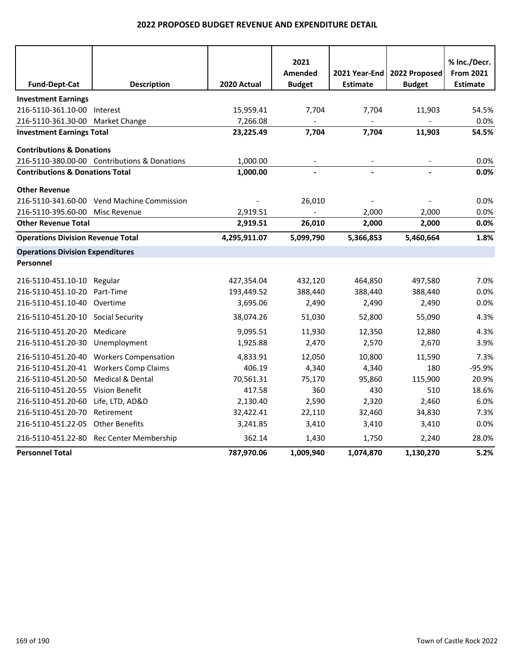|                                            |                                              |              | 2021          |                 |               | % Inc./Decr.     |
|--------------------------------------------|----------------------------------------------|--------------|---------------|-----------------|---------------|------------------|
|                                            |                                              |              | Amended       | 2021 Year-End l | 2022 Proposed | <b>From 2021</b> |
| <b>Fund-Dept-Cat</b>                       | <b>Description</b>                           | 2020 Actual  | <b>Budget</b> | <b>Estimate</b> | <b>Budget</b> | <b>Estimate</b>  |
| <b>Investment Earnings</b>                 |                                              |              |               |                 |               |                  |
| 216-5110-361.10-00 Interest                |                                              | 15,959.41    | 7,704         | 7,704           | 11,903        | 54.5%            |
| 216-5110-361.30-00 Market Change           |                                              | 7,266.08     |               |                 |               | 0.0%             |
| <b>Investment Earnings Total</b>           |                                              | 23,225.49    | 7,704         | 7,704           | 11,903        | 54.5%            |
| <b>Contributions &amp; Donations</b>       |                                              |              |               |                 |               |                  |
|                                            | 216-5110-380.00-00 Contributions & Donations | 1,000.00     |               |                 |               | 0.0%             |
| <b>Contributions &amp; Donations Total</b> |                                              | 1,000.00     |               |                 |               | 0.0%             |
| <b>Other Revenue</b>                       |                                              |              |               |                 |               |                  |
|                                            | 216-5110-341.60-00 Vend Machine Commission   |              | 26,010        |                 |               | 0.0%             |
| 216-5110-395.60-00                         | Misc Revenue                                 | 2,919.51     |               | 2,000           | 2,000         | 0.0%             |
| <b>Other Revenue Total</b>                 |                                              | 2,919.51     | 26,010        | 2,000           | 2,000         | 0.0%             |
| <b>Operations Division Revenue Total</b>   |                                              | 4,295,911.07 | 5,099,790     | 5,366,853       | 5,460,664     | 1.8%             |
| <b>Operations Division Expenditures</b>    |                                              |              |               |                 |               |                  |
| Personnel                                  |                                              |              |               |                 |               |                  |
| 216-5110-451.10-10 Regular                 |                                              | 427,354.04   | 432,120       | 464,850         | 497,580       | 7.0%             |
| 216-5110-451.10-20                         | Part-Time                                    | 193,449.52   | 388,440       | 388,440         | 388,440       | 0.0%             |
| 216-5110-451.10-40                         | Overtime                                     | 3,695.06     | 2,490         | 2,490           | 2,490         | 0.0%             |
| 216-5110-451.20-10 Social Security         |                                              | 38,074.26    | 51,030        | 52,800          | 55,090        | 4.3%             |
| 216-5110-451.20-20                         | Medicare                                     | 9,095.51     | 11,930        | 12,350          | 12,880        | 4.3%             |
| 216-5110-451.20-30                         | Unemployment                                 | 1,925.88     | 2,470         | 2,570           | 2,670         | 3.9%             |
|                                            | 216-5110-451.20-40 Workers Compensation      | 4,833.91     | 12,050        | 10,800          | 11,590        | 7.3%             |
|                                            | 216-5110-451.20-41 Workers Comp Claims       | 406.19       | 4,340         | 4,340           | 180           | -95.9%           |
| 216-5110-451.20-50                         | Medical & Dental                             | 70,561.31    | 75,170        | 95,860          | 115,900       | 20.9%            |
| 216-5110-451.20-55 Vision Benefit          |                                              | 417.58       | 360           | 430             | 510           | 18.6%            |
| 216-5110-451.20-60                         | Life, LTD, AD&D                              | 2,130.40     | 2,590         | 2,320           | 2,460         | 6.0%             |
| 216-5110-451.20-70                         | Retirement                                   | 32,422.41    | 22,110        | 32,460          | 34,830        | 7.3%             |
| 216-5110-451.22-05 Other Benefits          |                                              | 3,241.85     | 3,410         | 3,410           | 3,410         | 0.0%             |
|                                            | 216-5110-451.22-80 Rec Center Membership     | 362.14       | 1,430         | 1,750           | 2,240         | 28.0%            |
| <b>Personnel Total</b>                     |                                              | 787,970.06   | 1,009,940     | 1,074,870       | 1,130,270     | 5.2%             |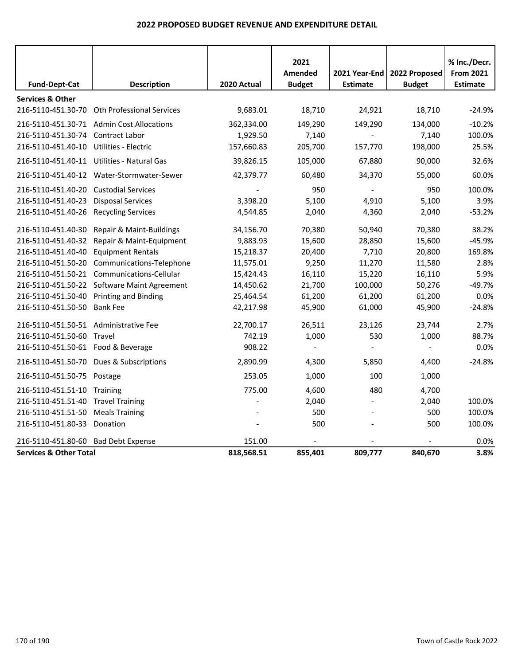|                                       |                                              |             | 2021<br>Amended |                                    |                                | % Inc./Decr.<br><b>From 2021</b> |
|---------------------------------------|----------------------------------------------|-------------|-----------------|------------------------------------|--------------------------------|----------------------------------|
| <b>Fund-Dept-Cat</b>                  | <b>Description</b>                           | 2020 Actual | <b>Budget</b>   | 2021 Year-End  <br><b>Estimate</b> | 2022 Proposed<br><b>Budget</b> | <b>Estimate</b>                  |
| <b>Services &amp; Other</b>           |                                              |             |                 |                                    |                                |                                  |
|                                       | 216-5110-451.30-70 Oth Professional Services | 9,683.01    | 18,710          | 24,921                             | 18,710                         | $-24.9%$                         |
|                                       | 216-5110-451.30-71 Admin Cost Allocations    | 362,334.00  | 149,290         | 149,290                            | 134,000                        | $-10.2%$                         |
| 216-5110-451.30-74 Contract Labor     |                                              | 1,929.50    | 7,140           |                                    | 7,140                          | 100.0%                           |
| 216-5110-451.40-10                    | Utilities - Electric                         | 157,660.83  | 205,700         | 157,770                            | 198,000                        | 25.5%                            |
|                                       | 216-5110-451.40-11 Utilities - Natural Gas   | 39,826.15   | 105,000         | 67,880                             | 90,000                         | 32.6%                            |
|                                       | 216-5110-451.40-12 Water-Stormwater-Sewer    | 42,379.77   | 60,480          | 34,370                             | 55,000                         | 60.0%                            |
| 216-5110-451.40-20                    | <b>Custodial Services</b>                    |             | 950             |                                    | 950                            | 100.0%                           |
| 216-5110-451.40-23                    | <b>Disposal Services</b>                     | 3,398.20    | 5,100           | 4,910                              | 5,100                          | 3.9%                             |
| 216-5110-451.40-26                    | <b>Recycling Services</b>                    | 4,544.85    | 2,040           | 4,360                              | 2,040                          | $-53.2%$                         |
| 216-5110-451.40-30                    | Repair & Maint-Buildings                     | 34,156.70   | 70,380          | 50,940                             | 70,380                         | 38.2%                            |
| 216-5110-451.40-32                    | Repair & Maint-Equipment                     | 9,883.93    | 15,600          | 28,850                             | 15,600                         | $-45.9%$                         |
| 216-5110-451.40-40                    | <b>Equipment Rentals</b>                     | 15,218.37   | 20,400          | 7,710                              | 20,800                         | 169.8%                           |
| 216-5110-451.50-20                    | Communications-Telephone                     | 11,575.01   | 9,250           | 11,270                             | 11,580                         | 2.8%                             |
|                                       | 216-5110-451.50-21 Communications-Cellular   | 15,424.43   | 16,110          | 15,220                             | 16,110                         | 5.9%                             |
|                                       | 216-5110-451.50-22 Software Maint Agreement  | 14,450.62   | 21,700          | 100,000                            | 50,276                         | $-49.7%$                         |
| 216-5110-451.50-40                    | <b>Printing and Binding</b>                  | 25,464.54   | 61,200          | 61,200                             | 61,200                         | 0.0%                             |
| 216-5110-451.50-50                    | <b>Bank Fee</b>                              | 42,217.98   | 45,900          | 61,000                             | 45,900                         | $-24.8%$                         |
| 216-5110-451.50-51 Administrative Fee |                                              | 22,700.17   | 26,511          | 23,126                             | 23,744                         | 2.7%                             |
| 216-5110-451.50-60                    | Travel                                       | 742.19      | 1,000           | 530                                | 1,000                          | 88.7%                            |
| 216-5110-451.50-61 Food & Beverage    |                                              | 908.22      |                 |                                    |                                | 0.0%                             |
|                                       | 216-5110-451.50-70 Dues & Subscriptions      | 2,890.99    | 4,300           | 5,850                              | 4,400                          | $-24.8%$                         |
| 216-5110-451.50-75                    | Postage                                      | 253.05      | 1,000           | 100                                | 1,000                          |                                  |
| 216-5110-451.51-10 Training           |                                              | 775.00      | 4,600           | 480                                | 4,700                          |                                  |
| 216-5110-451.51-40                    | <b>Travel Training</b>                       |             | 2,040           |                                    | 2,040                          | 100.0%                           |
| 216-5110-451.51-50                    | <b>Meals Training</b>                        |             | 500             |                                    | 500                            | 100.0%                           |
| 216-5110-451.80-33                    | Donation                                     |             | 500             |                                    | 500                            | 100.0%                           |
| 216-5110-451.80-60                    | <b>Bad Debt Expense</b>                      | 151.00      |                 |                                    |                                | 0.0%                             |
| <b>Services &amp; Other Total</b>     |                                              | 818,568.51  | 855,401         | 809,777                            | 840,670                        | 3.8%                             |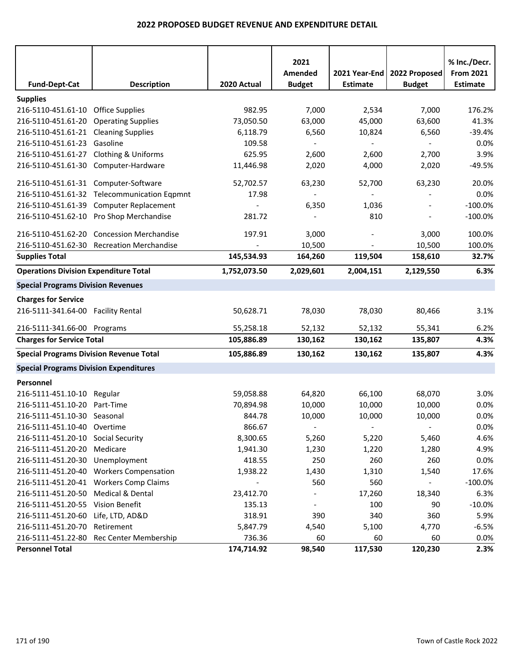|                                                |                                             |              | 2021<br>Amended          | 2021 Year-End            | 2022 Proposed  | % Inc./Decr.<br><b>From 2021</b> |
|------------------------------------------------|---------------------------------------------|--------------|--------------------------|--------------------------|----------------|----------------------------------|
| <b>Fund-Dept-Cat</b>                           | <b>Description</b>                          | 2020 Actual  | <b>Budget</b>            | <b>Estimate</b>          | <b>Budget</b>  | Estimate                         |
| <b>Supplies</b>                                |                                             |              |                          |                          |                |                                  |
| 216-5110-451.61-10 Office Supplies             |                                             | 982.95       | 7,000                    | 2,534                    | 7,000          | 176.2%                           |
| 216-5110-451.61-20 Operating Supplies          |                                             | 73,050.50    | 63,000                   | 45,000                   | 63,600         | 41.3%                            |
| 216-5110-451.61-21 Cleaning Supplies           |                                             | 6,118.79     | 6,560                    | 10,824                   | 6,560          | $-39.4%$                         |
| 216-5110-451.61-23                             | Gasoline                                    | 109.58       |                          | $\overline{\phantom{a}}$ |                | 0.0%                             |
| 216-5110-451.61-27 Clothing & Uniforms         |                                             | 625.95       | 2,600                    | 2,600                    | 2,700          | 3.9%                             |
| 216-5110-451.61-30 Computer-Hardware           |                                             | 11,446.98    | 2,020                    | 4,000                    | 2,020          | $-49.5%$                         |
| 216-5110-451.61-31 Computer-Software           |                                             | 52,702.57    | 63,230                   | 52,700                   | 63,230         | 20.0%                            |
|                                                | 216-5110-451.61-32 Telecommunication Eqpmnt | 17.98        |                          |                          |                | 0.0%                             |
|                                                | 216-5110-451.61-39 Computer Replacement     |              | 6,350                    | 1,036                    | $\blacksquare$ | $-100.0%$                        |
|                                                | 216-5110-451.62-10 Pro Shop Merchandise     | 281.72       |                          | 810                      |                | $-100.0%$                        |
|                                                | 216-5110-451.62-20 Concession Merchandise   | 197.91       | 3,000                    |                          | 3,000          | 100.0%                           |
|                                                | 216-5110-451.62-30 Recreation Merchandise   |              | 10,500                   |                          | 10,500         | 100.0%                           |
| <b>Supplies Total</b>                          |                                             | 145,534.93   | 164,260                  | 119,504                  | 158,610        | 32.7%                            |
| <b>Operations Division Expenditure Total</b>   |                                             | 1,752,073.50 | 2,029,601                | 2,004,151                | 2,129,550      | 6.3%                             |
| <b>Special Programs Division Revenues</b>      |                                             |              |                          |                          |                |                                  |
|                                                |                                             |              |                          |                          |                |                                  |
| <b>Charges for Service</b>                     |                                             |              |                          |                          |                |                                  |
| 216-5111-341.64-00 Facility Rental             |                                             | 50,628.71    | 78,030                   | 78,030                   | 80,466         | 3.1%                             |
| 216-5111-341.66-00 Programs                    |                                             | 55,258.18    | 52,132                   | 52,132                   | 55,341         | 6.2%                             |
| <b>Charges for Service Total</b>               |                                             | 105,886.89   | 130,162                  | 130,162                  | 135,807        | 4.3%                             |
| <b>Special Programs Division Revenue Total</b> |                                             | 105,886.89   | 130,162                  | 130,162                  | 135,807        | 4.3%                             |
| <b>Special Programs Division Expenditures</b>  |                                             |              |                          |                          |                |                                  |
| Personnel                                      |                                             |              |                          |                          |                |                                  |
| 216-5111-451.10-10 Regular                     |                                             | 59,058.88    | 64,820                   | 66,100                   | 68,070         | 3.0%                             |
| 216-5111-451.10-20                             | Part-Time                                   | 70,894.98    | 10,000                   | 10,000                   | 10,000         | 0.0%                             |
| 216-5111-451.10-30 Seasonal                    |                                             | 844.78       | 10,000                   | 10,000                   | 10,000         | 0.0%                             |
| 216-5111-451.10-40 Overtime                    |                                             | 866.67       | $\blacksquare$           | $\blacksquare$           | $\blacksquare$ | 0.0%                             |
| 216-5111-451.20-10 Social Security             |                                             | 8,300.65     | 5,260                    | 5,220                    | 5,460          | 4.6%                             |
| 216-5111-451.20-20 Medicare                    |                                             | 1,941.30     | 1,230                    | 1,220                    | 1,280          | 4.9%                             |
| 216-5111-451.20-30 Unemployment                |                                             | 418.55       | 250                      | 260                      | 260            | 0.0%                             |
|                                                | 216-5111-451.20-40 Workers Compensation     | 1,938.22     | 1,430                    | 1,310                    | 1,540          | 17.6%                            |
|                                                | 216-5111-451.20-41 Workers Comp Claims      |              | 560                      | 560                      | $\sim$         | $-100.0\%$                       |
| 216-5111-451.20-50 Medical & Dental            |                                             | 23,412.70    |                          | 17,260                   | 18,340         | 6.3%                             |
| 216-5111-451.20-55 Vision Benefit              |                                             | 135.13       | $\overline{\phantom{a}}$ | 100                      | 90             | $-10.0%$                         |
| 216-5111-451.20-60 Life, LTD, AD&D             |                                             | 318.91       | 390                      | 340                      | 360            | 5.9%                             |
| 216-5111-451.20-70 Retirement                  |                                             | 5,847.79     | 4,540                    | 5,100                    | 4,770          | $-6.5%$                          |
|                                                | 216-5111-451.22-80 Rec Center Membership    | 736.36       | 60                       | 60                       | 60             | 0.0%                             |
| <b>Personnel Total</b>                         |                                             | 174,714.92   | 98,540                   | 117,530                  | 120,230        | 2.3%                             |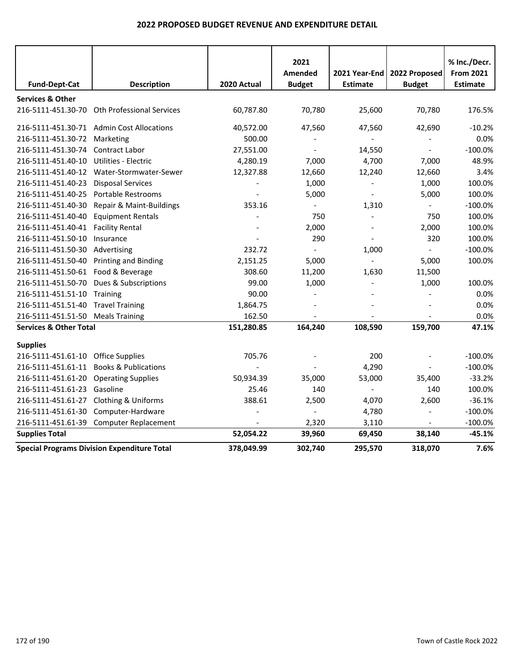|                                    |                                                    |             | 2021           |                          |                          | % Inc./Decr.     |
|------------------------------------|----------------------------------------------------|-------------|----------------|--------------------------|--------------------------|------------------|
|                                    |                                                    |             | <b>Amended</b> | 2021 Year-End            | 2022 Proposed            | <b>From 2021</b> |
| <b>Fund-Dept-Cat</b>               | <b>Description</b>                                 | 2020 Actual | <b>Budget</b>  | <b>Estimate</b>          | <b>Budget</b>            | <b>Estimate</b>  |
| <b>Services &amp; Other</b>        |                                                    |             |                |                          |                          |                  |
| 216-5111-451.30-70                 | Oth Professional Services                          | 60,787.80   | 70,780         | 25,600                   | 70,780                   | 176.5%           |
|                                    | 216-5111-451.30-71 Admin Cost Allocations          | 40,572.00   | 47,560         | 47,560                   | 42,690                   | $-10.2%$         |
| 216-5111-451.30-72                 | Marketing                                          | 500.00      |                |                          |                          | 0.0%             |
| 216-5111-451.30-74                 | Contract Labor                                     | 27,551.00   |                | 14,550                   | $\overline{\phantom{a}}$ | $-100.0%$        |
| 216-5111-451.40-10                 | Utilities - Electric                               | 4,280.19    | 7,000          | 4,700                    | 7,000                    | 48.9%            |
| 216-5111-451.40-12                 | Water-Stormwater-Sewer                             | 12,327.88   | 12,660         | 12,240                   | 12,660                   | 3.4%             |
| 216-5111-451.40-23                 | <b>Disposal Services</b>                           |             | 1,000          |                          | 1,000                    | 100.0%           |
| 216-5111-451.40-25                 | <b>Portable Restrooms</b>                          |             | 5,000          | $\overline{\phantom{a}}$ | 5,000                    | 100.0%           |
| 216-5111-451.40-30                 | Repair & Maint-Buildings                           | 353.16      |                | 1,310                    |                          | $-100.0%$        |
| 216-5111-451.40-40                 | <b>Equipment Rentals</b>                           |             | 750            |                          | 750                      | 100.0%           |
| 216-5111-451.40-41                 | <b>Facility Rental</b>                             |             | 2,000          |                          | 2,000                    | 100.0%           |
| 216-5111-451.50-10                 | Insurance                                          |             | 290            |                          | 320                      | 100.0%           |
| 216-5111-451.50-30                 | Advertising                                        | 232.72      |                | 1,000                    |                          | $-100.0%$        |
| 216-5111-451.50-40                 | Printing and Binding                               | 2,151.25    | 5,000          |                          | 5,000                    | 100.0%           |
| 216-5111-451.50-61 Food & Beverage |                                                    | 308.60      | 11,200         | 1,630                    | 11,500                   |                  |
| 216-5111-451.50-70                 | Dues & Subscriptions                               | 99.00       | 1,000          |                          | 1,000                    | 100.0%           |
| 216-5111-451.51-10                 | Training                                           | 90.00       |                |                          |                          | 0.0%             |
| 216-5111-451.51-40 Travel Training |                                                    | 1,864.75    |                |                          |                          | 0.0%             |
| 216-5111-451.51-50 Meals Training  |                                                    | 162.50      |                |                          |                          | 0.0%             |
| <b>Services &amp; Other Total</b>  |                                                    | 151,280.85  | 164,240        | 108,590                  | 159,700                  | 47.1%            |
| <b>Supplies</b>                    |                                                    |             |                |                          |                          |                  |
| 216-5111-451.61-10                 | <b>Office Supplies</b>                             | 705.76      |                | 200                      |                          | $-100.0%$        |
| 216-5111-451.61-11                 | <b>Books &amp; Publications</b>                    |             |                | 4,290                    |                          | $-100.0%$        |
| 216-5111-451.61-20                 | <b>Operating Supplies</b>                          | 50,934.39   | 35,000         | 53,000                   | 35,400                   | $-33.2%$         |
| 216-5111-451.61-23                 | Gasoline                                           | 25.46       | 140            |                          | 140                      | 100.0%           |
| 216-5111-451.61-27                 | Clothing & Uniforms                                | 388.61      | 2,500          | 4,070                    | 2,600                    | $-36.1%$         |
| 216-5111-451.61-30                 | Computer-Hardware                                  |             |                | 4,780                    |                          | $-100.0%$        |
| 216-5111-451.61-39                 | <b>Computer Replacement</b>                        |             | 2,320          | 3,110                    |                          | $-100.0%$        |
| <b>Supplies Total</b>              |                                                    | 52,054.22   | 39,960         | 69,450                   | 38,140                   | $-45.1%$         |
|                                    | <b>Special Programs Division Expenditure Total</b> | 378,049.99  | 302,740        | 295,570                  | 318,070                  | 7.6%             |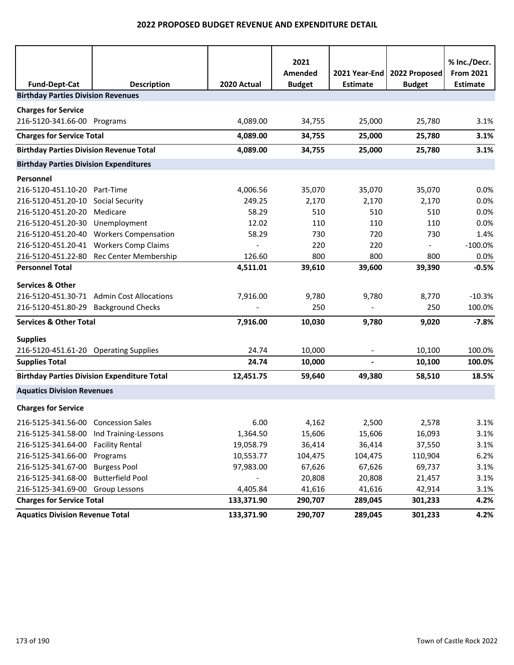| <b>Fund-Dept-Cat</b>                           | <b>Description</b>                                 | 2020 Actual              | 2021<br>Amended<br><b>Budget</b> | 2021 Year-End<br><b>Estimate</b> | 2022 Proposed<br><b>Budget</b> | % Inc./Decr.<br><b>From 2021</b><br><b>Estimate</b> |
|------------------------------------------------|----------------------------------------------------|--------------------------|----------------------------------|----------------------------------|--------------------------------|-----------------------------------------------------|
| <b>Birthday Parties Division Revenues</b>      |                                                    |                          |                                  |                                  |                                |                                                     |
| <b>Charges for Service</b>                     |                                                    |                          |                                  |                                  |                                |                                                     |
| 216-5120-341.66-00 Programs                    |                                                    | 4,089.00                 | 34,755                           | 25,000                           | 25,780                         | 3.1%                                                |
| <b>Charges for Service Total</b>               |                                                    | 4,089.00                 | 34,755                           | 25,000                           | 25,780                         | 3.1%                                                |
| <b>Birthday Parties Division Revenue Total</b> |                                                    | 4,089.00                 | 34,755                           | 25,000                           | 25,780                         | 3.1%                                                |
| <b>Birthday Parties Division Expenditures</b>  |                                                    |                          |                                  |                                  |                                |                                                     |
| Personnel                                      |                                                    |                          |                                  |                                  |                                |                                                     |
| 216-5120-451.10-20 Part-Time                   |                                                    | 4,006.56                 | 35,070                           | 35,070                           | 35,070                         | 0.0%                                                |
| 216-5120-451.20-10 Social Security             |                                                    | 249.25                   | 2,170                            | 2,170                            | 2,170                          | 0.0%                                                |
| 216-5120-451.20-20                             | Medicare                                           | 58.29                    | 510                              | 510                              | 510                            | 0.0%                                                |
| 216-5120-451.20-30                             | Unemployment                                       | 12.02                    | 110                              | 110                              | 110                            | 0.0%                                                |
|                                                | 216-5120-451.20-40 Workers Compensation            | 58.29                    | 730                              | 720                              | 730                            | 1.4%                                                |
|                                                | 216-5120-451.20-41 Workers Comp Claims             | $\overline{\phantom{a}}$ | 220                              | 220                              | $\blacksquare$                 | $-100.0%$                                           |
|                                                | 216-5120-451.22-80 Rec Center Membership           | 126.60                   | 800                              | 800                              | 800                            | 0.0%                                                |
| <b>Personnel Total</b>                         |                                                    | 4,511.01                 | 39,610                           | 39,600                           | 39,390                         | $-0.5%$                                             |
| <b>Services &amp; Other</b>                    |                                                    |                          |                                  |                                  |                                |                                                     |
|                                                | 216-5120-451.30-71 Admin Cost Allocations          | 7,916.00                 | 9,780                            | 9,780                            | 8,770                          | $-10.3%$                                            |
| 216-5120-451.80-29 Background Checks           |                                                    |                          | 250                              |                                  | 250                            | 100.0%                                              |
| <b>Services &amp; Other Total</b>              |                                                    | 7,916.00                 | 10,030                           | 9,780                            | 9,020                          | $-7.8%$                                             |
| <b>Supplies</b>                                |                                                    |                          |                                  |                                  |                                |                                                     |
| 216-5120-451.61-20 Operating Supplies          |                                                    | 24.74                    | 10,000                           |                                  | 10,100                         | 100.0%                                              |
| <b>Supplies Total</b>                          |                                                    | 24.74                    | 10,000                           |                                  | 10,100                         | 100.0%                                              |
|                                                | <b>Birthday Parties Division Expenditure Total</b> | 12,451.75                | 59,640                           | 49,380                           | 58,510                         | 18.5%                                               |
| <b>Aquatics Division Revenues</b>              |                                                    |                          |                                  |                                  |                                |                                                     |
| <b>Charges for Service</b>                     |                                                    |                          |                                  |                                  |                                |                                                     |
| 216-5125-341.56-00 Concession Sales            |                                                    | 6.00                     | 4,162                            | 2,500                            | 2,578                          | 3.1%                                                |
| 216-5125-341.58-00                             | Ind Training-Lessons                               | 1,364.50                 | 15,606                           | 15,606                           | 16,093                         | 3.1%                                                |
| 216-5125-341.64-00                             | <b>Facility Rental</b>                             | 19,058.79                | 36,414                           | 36,414                           | 37,550                         | 3.1%                                                |
| 216-5125-341.66-00                             | Programs                                           | 10,553.77                | 104,475                          | 104,475                          | 110,904                        | 6.2%                                                |
| 216-5125-341.67-00                             | <b>Burgess Pool</b>                                | 97,983.00                | 67,626                           | 67,626                           | 69,737                         | 3.1%                                                |
| 216-5125-341.68-00                             | <b>Butterfield Pool</b>                            |                          | 20,808                           | 20,808                           | 21,457                         | 3.1%                                                |
| 216-5125-341.69-00 Group Lessons               |                                                    | 4,405.84                 | 41,616                           | 41,616                           | 42,914                         | 3.1%                                                |
| <b>Charges for Service Total</b>               |                                                    | 133,371.90               | 290,707                          | 289,045                          | 301,233                        | 4.2%                                                |
| <b>Aquatics Division Revenue Total</b>         |                                                    | 133,371.90               | 290,707                          | 289,045                          | 301,233                        | 4.2%                                                |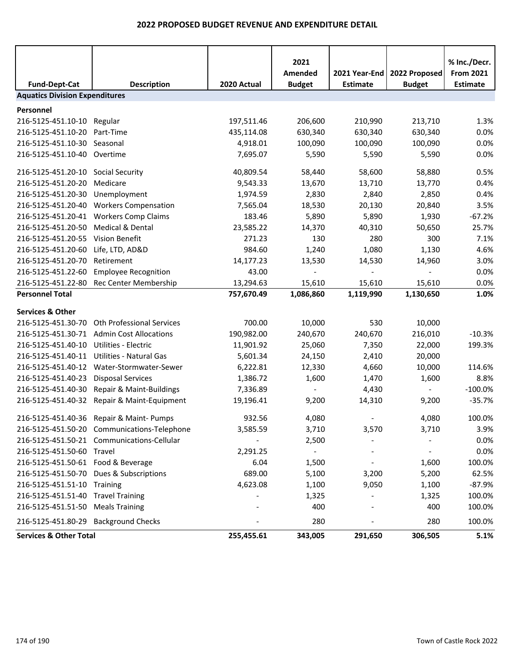| <b>Fund-Dept-Cat</b>                  | <b>Description</b>                          | 2020 Actual | 2021<br>Amended<br><b>Budget</b> | 2021 Year-End<br><b>Estimate</b> | 2022 Proposed<br><b>Budget</b> | % Inc./Decr.<br><b>From 2021</b><br><b>Estimate</b> |
|---------------------------------------|---------------------------------------------|-------------|----------------------------------|----------------------------------|--------------------------------|-----------------------------------------------------|
| <b>Aquatics Division Expenditures</b> |                                             |             |                                  |                                  |                                |                                                     |
|                                       |                                             |             |                                  |                                  |                                |                                                     |
| Personnel                             |                                             |             |                                  |                                  |                                |                                                     |
| 216-5125-451.10-10                    | Regular                                     | 197,511.46  | 206,600<br>630,340               | 210,990<br>630,340               | 213,710                        | 1.3%                                                |
| 216-5125-451.10-20                    | Part-Time                                   | 435,114.08  |                                  |                                  | 630,340                        | 0.0%                                                |
| 216-5125-451.10-30                    | Seasonal                                    | 4,918.01    | 100,090                          | 100,090                          | 100,090                        | 0.0%                                                |
| 216-5125-451.10-40                    | Overtime                                    | 7,695.07    | 5,590                            | 5,590                            | 5,590                          | 0.0%                                                |
| 216-5125-451.20-10 Social Security    |                                             | 40,809.54   | 58,440                           | 58,600                           | 58,880                         | 0.5%                                                |
| 216-5125-451.20-20                    | Medicare                                    | 9,543.33    | 13,670                           | 13,710                           | 13,770                         | 0.4%                                                |
| 216-5125-451.20-30                    | Unemployment                                | 1,974.59    | 2,830                            | 2,840                            | 2,850                          | 0.4%                                                |
| 216-5125-451.20-40                    | <b>Workers Compensation</b>                 | 7,565.04    | 18,530                           | 20,130                           | 20,840                         | 3.5%                                                |
|                                       | 216-5125-451.20-41 Workers Comp Claims      | 183.46      | 5,890                            | 5,890                            | 1,930                          | $-67.2%$                                            |
| 216-5125-451.20-50                    | Medical & Dental                            | 23,585.22   | 14,370                           | 40,310                           | 50,650                         | 25.7%                                               |
| 216-5125-451.20-55 Vision Benefit     |                                             | 271.23      | 130                              | 280                              | 300                            | 7.1%                                                |
| 216-5125-451.20-60                    | Life, LTD, AD&D                             | 984.60      | 1,240                            | 1,080                            | 1,130                          | 4.6%                                                |
| 216-5125-451.20-70                    | Retirement                                  | 14,177.23   | 13,530                           | 14,530                           | 14,960                         | 3.0%                                                |
| 216-5125-451.22-60                    | <b>Employee Recognition</b>                 | 43.00       |                                  |                                  |                                | 0.0%                                                |
| 216-5125-451.22-80                    | Rec Center Membership                       | 13,294.63   | 15,610                           | 15,610                           | 15,610                         | 0.0%                                                |
| <b>Personnel Total</b>                |                                             | 757,670.49  | 1,086,860                        | 1,119,990                        | 1,130,650                      | 1.0%                                                |
| <b>Services &amp; Other</b>           |                                             |             |                                  |                                  |                                |                                                     |
| 216-5125-451.30-70                    | <b>Oth Professional Services</b>            | 700.00      | 10,000                           | 530                              | 10,000                         |                                                     |
|                                       | 216-5125-451.30-71 Admin Cost Allocations   | 190,982.00  | 240,670                          | 240,670                          | 216,010                        | $-10.3%$                                            |
| 216-5125-451.40-10                    | Utilities - Electric                        | 11,901.92   | 25,060                           | 7,350                            | 22,000                         | 199.3%                                              |
|                                       | 216-5125-451.40-11 Utilities - Natural Gas  | 5,601.34    | 24,150                           | 2,410                            | 20,000                         |                                                     |
| 216-5125-451.40-12                    | Water-Stormwater-Sewer                      | 6,222.81    | 12,330                           | 4,660                            | 10,000                         | 114.6%                                              |
| 216-5125-451.40-23                    | <b>Disposal Services</b>                    | 1,386.72    | 1,600                            | 1,470                            | 1,600                          | 8.8%                                                |
| 216-5125-451.40-30                    | Repair & Maint-Buildings                    | 7,336.89    |                                  | 4,430                            |                                | $-100.0%$                                           |
| 216-5125-451.40-32                    | Repair & Maint-Equipment                    | 19,196.41   | 9,200                            | 14,310                           | 9,200                          | $-35.7%$                                            |
|                                       |                                             |             |                                  |                                  |                                |                                                     |
|                                       | 216-5125-451.40-36 Repair & Maint- Pumps    | 932.56      | 4,080                            |                                  | 4,080                          | 100.0%                                              |
|                                       | 216-5125-451.50-20 Communications-Telephone | 3,585.59    | 3,710                            | 3,570                            | 3,710                          | 3.9%                                                |
|                                       | 216-5125-451.50-21 Communications-Cellular  |             | 2,500                            |                                  |                                | 0.0%                                                |
| 216-5125-451.50-60 Travel             |                                             | 2,291.25    | $\blacksquare$                   |                                  | $\overline{a}$                 | 0.0%                                                |
| 216-5125-451.50-61 Food & Beverage    |                                             | 6.04        | 1,500                            |                                  | 1,600                          | 100.0%                                              |
|                                       | 216-5125-451.50-70 Dues & Subscriptions     | 689.00      | 5,100                            | 3,200                            | 5,200                          | 62.5%                                               |
| 216-5125-451.51-10 Training           |                                             | 4,623.08    | 1,100                            | 9,050                            | 1,100                          | $-87.9%$                                            |
| 216-5125-451.51-40 Travel Training    |                                             |             | 1,325                            |                                  | 1,325                          | 100.0%                                              |
| 216-5125-451.51-50                    | <b>Meals Training</b>                       |             | 400                              |                                  | 400                            | 100.0%                                              |
| 216-5125-451.80-29 Background Checks  |                                             |             | 280                              |                                  | 280                            | 100.0%                                              |
| <b>Services &amp; Other Total</b>     |                                             | 255,455.61  | 343,005                          | 291,650                          | 306,505                        | 5.1%                                                |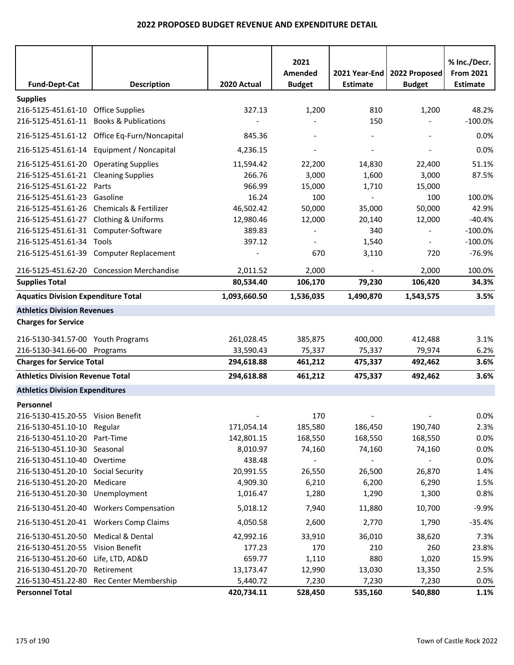|                                            |                                              |              | 2021           |                          |                          | % Inc./Decr.     |
|--------------------------------------------|----------------------------------------------|--------------|----------------|--------------------------|--------------------------|------------------|
|                                            |                                              |              | Amended        | 2021 Year-End            | 2022 Proposed            | <b>From 2021</b> |
| <b>Fund-Dept-Cat</b>                       | <b>Description</b>                           | 2020 Actual  | <b>Budget</b>  | <b>Estimate</b>          | <b>Budget</b>            | <b>Estimate</b>  |
| <b>Supplies</b>                            |                                              |              |                |                          |                          |                  |
| 216-5125-451.61-10 Office Supplies         |                                              | 327.13       | 1,200          | 810                      | 1,200                    | 48.2%            |
| 216-5125-451.61-11 Books & Publications    |                                              |              |                | 150                      |                          | $-100.0%$        |
|                                            | 216-5125-451.61-12 Office Eq-Furn/Noncapital | 845.36       |                |                          |                          | 0.0%             |
|                                            | 216-5125-451.61-14 Equipment / Noncapital    | 4,236.15     | $\overline{a}$ | $\overline{a}$           | $\overline{\phantom{a}}$ | 0.0%             |
| 216-5125-451.61-20 Operating Supplies      |                                              | 11,594.42    | 22,200         | 14,830                   | 22,400                   | 51.1%            |
| 216-5125-451.61-21 Cleaning Supplies       |                                              | 266.76       | 3,000          | 1,600                    | 3,000                    | 87.5%            |
| 216-5125-451.61-22                         | Parts                                        | 966.99       | 15,000         | 1,710                    | 15,000                   |                  |
| 216-5125-451.61-23                         | Gasoline                                     | 16.24        | 100            |                          | 100                      | 100.0%           |
|                                            | 216-5125-451.61-26 Chemicals & Fertilizer    | 46,502.42    | 50,000         | 35,000                   | 50,000                   | 42.9%            |
| 216-5125-451.61-27 Clothing & Uniforms     |                                              | 12,980.46    | 12,000         | 20,140                   | 12,000                   | $-40.4%$         |
| 216-5125-451.61-31 Computer-Software       |                                              | 389.83       |                | 340                      | $\overline{a}$           | $-100.0%$        |
| 216-5125-451.61-34                         | Tools                                        | 397.12       |                | 1,540                    |                          | $-100.0%$        |
|                                            | 216-5125-451.61-39 Computer Replacement      |              | 670            | 3,110                    | 720                      | $-76.9%$         |
|                                            | 216-5125-451.62-20 Concession Merchandise    | 2,011.52     | 2,000          | $\overline{\phantom{a}}$ | 2,000                    | 100.0%           |
| <b>Supplies Total</b>                      |                                              | 80,534.40    | 106,170        | 79,230                   | 106,420                  | 34.3%            |
| <b>Aquatics Division Expenditure Total</b> |                                              | 1,093,660.50 | 1,536,035      | 1,490,870                | 1,543,575                | 3.5%             |
| <b>Athletics Division Revenues</b>         |                                              |              |                |                          |                          |                  |
| <b>Charges for Service</b>                 |                                              |              |                |                          |                          |                  |
| 216-5130-341.57-00 Youth Programs          |                                              | 261,028.45   | 385,875        | 400,000                  | 412,488                  | 3.1%             |
| 216-5130-341.66-00 Programs                |                                              | 33,590.43    | 75,337         | 75,337                   | 79,974                   | 6.2%             |
| <b>Charges for Service Total</b>           |                                              | 294,618.88   | 461,212        | 475,337                  | 492,462                  | 3.6%             |
| <b>Athletics Division Revenue Total</b>    |                                              | 294,618.88   | 461,212        | 475,337                  | 492,462                  | 3.6%             |
| <b>Athletics Division Expenditures</b>     |                                              |              |                |                          |                          |                  |
| Personnel                                  |                                              |              |                |                          |                          |                  |
| 216-5130-415.20-55 Vision Benefit          |                                              |              | 170            |                          |                          | 0.0%             |
| 216-5130-451.10-10 Regular                 |                                              | 171,054.14   | 185,580        | 186,450                  | 190,740                  | 2.3%             |
| 216-5130-451.10-20                         | Part-Time                                    | 142,801.15   | 168,550        | 168,550                  | 168,550                  | 0.0%             |
| 216-5130-451.10-30 Seasonal                |                                              | 8,010.97     | 74,160         | 74,160                   | 74,160                   | 0.0%             |
| 216-5130-451.10-40 Overtime                |                                              | 438.48       |                |                          |                          | 0.0%             |
| 216-5130-451.20-10 Social Security         |                                              | 20,991.55    | 26,550         | 26,500                   | 26,870                   | 1.4%             |
| 216-5130-451.20-20 Medicare                |                                              | 4,909.30     | 6,210          | 6,200                    | 6,290                    | 1.5%             |
| 216-5130-451.20-30 Unemployment            |                                              | 1,016.47     | 1,280          | 1,290                    | 1,300                    | 0.8%             |
|                                            | 216-5130-451.20-40 Workers Compensation      | 5,018.12     | 7,940          | 11,880                   | 10,700                   | $-9.9%$          |
|                                            | 216-5130-451.20-41 Workers Comp Claims       | 4,050.58     | 2,600          | 2,770                    | 1,790                    | $-35.4%$         |
| 216-5130-451.20-50 Medical & Dental        |                                              | 42,992.16    | 33,910         | 36,010                   | 38,620                   | 7.3%             |
| 216-5130-451.20-55 Vision Benefit          |                                              | 177.23       | 170            | 210                      | 260                      | 23.8%            |
| 216-5130-451.20-60 Life, LTD, AD&D         |                                              | 659.77       | 1,110          | 880                      | 1,020                    | 15.9%            |
| 216-5130-451.20-70                         | Retirement                                   | 13,173.47    | 12,990         | 13,030                   | 13,350                   | 2.5%             |
|                                            | 216-5130-451.22-80 Rec Center Membership     | 5,440.72     | 7,230          | 7,230                    | 7,230                    | 0.0%             |
| <b>Personnel Total</b>                     |                                              | 420,734.11   | 528,450        | 535,160                  | 540,880                  | 1.1%             |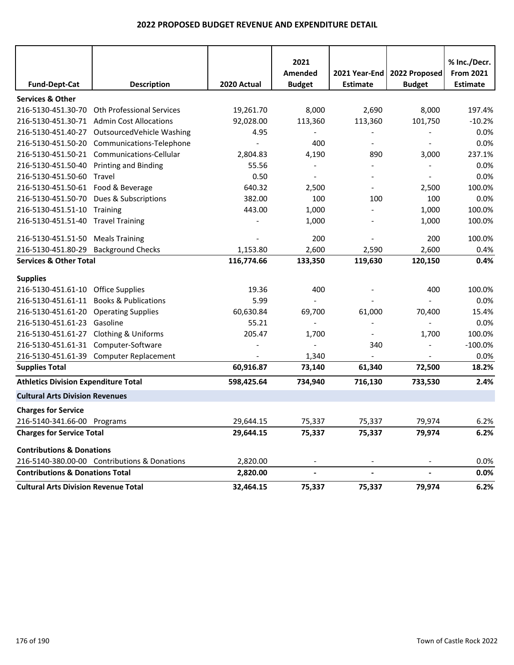| <b>Fund-Dept-Cat</b>                        | <b>Description</b>                           | 2020 Actual | 2021<br>Amended<br><b>Budget</b> | 2021 Year-End<br><b>Estimate</b> | 2022 Proposed<br><b>Budget</b> | % Inc./Decr.<br><b>From 2021</b><br><b>Estimate</b> |
|---------------------------------------------|----------------------------------------------|-------------|----------------------------------|----------------------------------|--------------------------------|-----------------------------------------------------|
| <b>Services &amp; Other</b>                 |                                              |             |                                  |                                  |                                |                                                     |
| 216-5130-451.30-70                          | <b>Oth Professional Services</b>             | 19,261.70   | 8,000                            | 2,690                            | 8,000                          | 197.4%                                              |
|                                             | 216-5130-451.30-71 Admin Cost Allocations    | 92,028.00   | 113,360                          | 113,360                          | 101,750                        | $-10.2%$                                            |
| 216-5130-451.40-27                          | OutsourcedVehicle Washing                    | 4.95        |                                  |                                  |                                | 0.0%                                                |
| 216-5130-451.50-20                          | Communications-Telephone                     |             | 400                              |                                  |                                | 0.0%                                                |
|                                             | 216-5130-451.50-21 Communications-Cellular   | 2,804.83    | 4,190                            | 890                              | 3,000                          | 237.1%                                              |
| 216-5130-451.50-40                          | <b>Printing and Binding</b>                  | 55.56       | $\overline{\phantom{a}}$         |                                  | $\overline{\phantom{a}}$       | 0.0%                                                |
| 216-5130-451.50-60 Travel                   |                                              | 0.50        | $\overline{\phantom{a}}$         |                                  | $\overline{\phantom{a}}$       | 0.0%                                                |
| 216-5130-451.50-61 Food & Beverage          |                                              | 640.32      | 2,500                            | $\overline{\phantom{a}}$         | 2,500                          | 100.0%                                              |
| 216-5130-451.50-70                          | Dues & Subscriptions                         | 382.00      | 100                              | 100                              | 100                            | 0.0%                                                |
| 216-5130-451.51-10 Training                 |                                              | 443.00      | 1,000                            |                                  | 1,000                          | 100.0%                                              |
| 216-5130-451.51-40 Travel Training          |                                              |             | 1,000                            |                                  | 1,000                          | 100.0%                                              |
| 216-5130-451.51-50                          | <b>Meals Training</b>                        |             | 200                              |                                  | 200                            | 100.0%                                              |
| 216-5130-451.80-29                          | <b>Background Checks</b>                     | 1,153.80    | 2,600                            | 2,590                            | 2,600                          | 0.4%                                                |
| <b>Services &amp; Other Total</b>           |                                              | 116,774.66  | 133,350                          | 119,630                          | 120,150                        | 0.4%                                                |
| <b>Supplies</b>                             |                                              |             |                                  |                                  |                                |                                                     |
| 216-5130-451.61-10 Office Supplies          |                                              | 19.36       | 400                              |                                  | 400                            | 100.0%                                              |
| 216-5130-451.61-11                          | <b>Books &amp; Publications</b>              | 5.99        |                                  |                                  |                                | 0.0%                                                |
| 216-5130-451.61-20                          | <b>Operating Supplies</b>                    | 60,630.84   | 69,700                           | 61,000                           | 70,400                         | 15.4%                                               |
| 216-5130-451.61-23 Gasoline                 |                                              | 55.21       |                                  |                                  |                                | 0.0%                                                |
| 216-5130-451.61-27 Clothing & Uniforms      |                                              | 205.47      | 1,700                            | $\overline{\phantom{a}}$         | 1,700                          | 100.0%                                              |
| 216-5130-451.61-31 Computer-Software        |                                              |             |                                  | 340                              | $\overline{\phantom{a}}$       | $-100.0%$                                           |
|                                             | 216-5130-451.61-39 Computer Replacement      |             | 1,340                            |                                  |                                | 0.0%                                                |
| <b>Supplies Total</b>                       |                                              | 60,916.87   | 73,140                           | 61,340                           | 72,500                         | 18.2%                                               |
| <b>Athletics Division Expenditure Total</b> |                                              | 598,425.64  | 734,940                          | 716,130                          | 733,530                        | 2.4%                                                |
| <b>Cultural Arts Division Revenues</b>      |                                              |             |                                  |                                  |                                |                                                     |
| <b>Charges for Service</b>                  |                                              |             |                                  |                                  |                                |                                                     |
| 216-5140-341.66-00 Programs                 |                                              | 29,644.15   | 75,337                           | 75,337                           | 79,974                         | 6.2%                                                |
| <b>Charges for Service Total</b>            |                                              | 29,644.15   | 75,337                           | 75,337                           | 79,974                         | 6.2%                                                |
| <b>Contributions &amp; Donations</b>        |                                              |             |                                  |                                  |                                |                                                     |
|                                             | 216-5140-380.00-00 Contributions & Donations | 2,820.00    |                                  |                                  |                                | 0.0%                                                |
| <b>Contributions &amp; Donations Total</b>  |                                              | 2,820.00    | $\overline{\phantom{a}}$         |                                  | $\overline{\phantom{a}}$       | 0.0%                                                |
| <b>Cultural Arts Division Revenue Total</b> |                                              | 32,464.15   | 75,337                           | 75,337                           | 79,974                         | 6.2%                                                |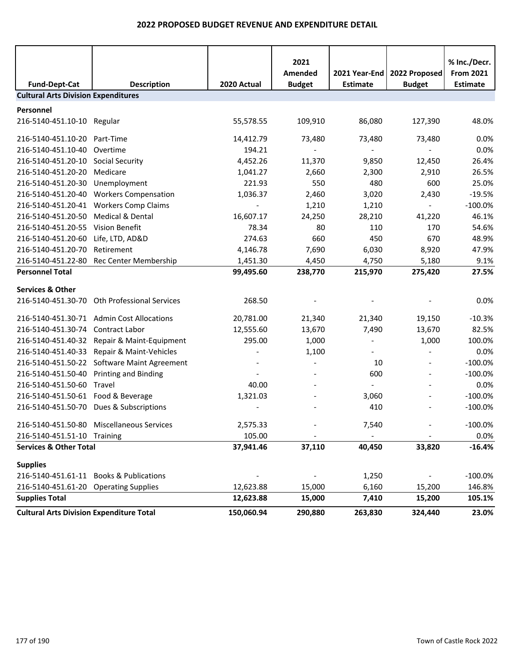| <b>Fund-Dept-Cat</b>                            | <b>Description</b>                          | 2020 Actual | 2021<br>Amended<br><b>Budget</b> | 2021 Year-End<br><b>Estimate</b> | 2022 Proposed<br><b>Budget</b> | % Inc./Decr.<br><b>From 2021</b><br><b>Estimate</b> |
|-------------------------------------------------|---------------------------------------------|-------------|----------------------------------|----------------------------------|--------------------------------|-----------------------------------------------------|
| <b>Cultural Arts Division Expenditures</b>      |                                             |             |                                  |                                  |                                |                                                     |
| Personnel                                       |                                             |             |                                  |                                  |                                |                                                     |
| 216-5140-451.10-10 Regular                      |                                             | 55,578.55   | 109,910                          | 86,080                           | 127,390                        | 48.0%                                               |
| 216-5140-451.10-20 Part-Time                    |                                             | 14,412.79   | 73,480                           | 73,480                           | 73,480                         | 0.0%                                                |
| 216-5140-451.10-40                              | Overtime                                    | 194.21      | $\overline{\phantom{a}}$         |                                  | $\overline{\phantom{a}}$       | 0.0%                                                |
| 216-5140-451.20-10                              | <b>Social Security</b>                      | 4,452.26    | 11,370                           | 9,850                            | 12,450                         | 26.4%                                               |
| 216-5140-451.20-20                              | Medicare                                    | 1,041.27    | 2,660                            | 2,300                            | 2,910                          | 26.5%                                               |
| 216-5140-451.20-30                              | Unemployment                                | 221.93      | 550                              | 480                              | 600                            | 25.0%                                               |
| 216-5140-451.20-40                              | <b>Workers Compensation</b>                 | 1,036.37    | 2,460                            | 3,020                            | 2,430                          | $-19.5%$                                            |
|                                                 | 216-5140-451.20-41 Workers Comp Claims      |             | 1,210                            | 1,210                            | $\sim$                         | $-100.0%$                                           |
| 216-5140-451.20-50                              | <b>Medical &amp; Dental</b>                 | 16,607.17   | 24,250                           | 28,210                           | 41,220                         | 46.1%                                               |
| 216-5140-451.20-55                              | <b>Vision Benefit</b>                       | 78.34       | 80                               | 110                              | 170                            | 54.6%                                               |
| 216-5140-451.20-60                              | Life, LTD, AD&D                             | 274.63      | 660                              | 450                              | 670                            | 48.9%                                               |
| 216-5140-451.20-70                              | Retirement                                  | 4,146.78    | 7,690                            | 6,030                            | 8,920                          | 47.9%                                               |
| 216-5140-451.22-80                              | Rec Center Membership                       | 1,451.30    | 4,450                            | 4,750                            | 5,180                          | 9.1%                                                |
| <b>Personnel Total</b>                          |                                             | 99,495.60   | 238,770                          | 215,970                          | 275,420                        | 27.5%                                               |
| <b>Services &amp; Other</b>                     |                                             |             |                                  |                                  |                                |                                                     |
| 216-5140-451.30-70                              | <b>Oth Professional Services</b>            | 268.50      |                                  |                                  |                                | 0.0%                                                |
|                                                 | 216-5140-451.30-71 Admin Cost Allocations   | 20,781.00   | 21,340                           | 21,340                           | 19,150                         | $-10.3%$                                            |
| 216-5140-451.30-74                              | Contract Labor                              | 12,555.60   | 13,670                           | 7,490                            | 13,670                         | 82.5%                                               |
| 216-5140-451.40-32                              | Repair & Maint-Equipment                    | 295.00      | 1,000                            |                                  | 1,000                          | 100.0%                                              |
| 216-5140-451.40-33                              | Repair & Maint-Vehicles                     |             | 1,100                            |                                  |                                | 0.0%                                                |
|                                                 | 216-5140-451.50-22 Software Maint Agreement |             |                                  | 10                               |                                | $-100.0%$                                           |
| 216-5140-451.50-40                              | <b>Printing and Binding</b>                 |             |                                  | 600                              | $\overline{\phantom{a}}$       | $-100.0%$                                           |
| 216-5140-451.50-60                              | Travel                                      | 40.00       |                                  | $\overline{\phantom{a}}$         |                                | 0.0%                                                |
| 216-5140-451.50-61 Food & Beverage              |                                             | 1,321.03    |                                  | 3,060                            |                                | $-100.0%$                                           |
|                                                 | 216-5140-451.50-70 Dues & Subscriptions     |             |                                  | 410                              |                                | $-100.0%$                                           |
|                                                 | 216-5140-451.50-80 Miscellaneous Services   | 2,575.33    |                                  | 7,540                            |                                | $-100.0%$                                           |
| 216-5140-451.51-10 Training                     |                                             | 105.00      |                                  |                                  |                                | $0.0\%$                                             |
| <b>Services &amp; Other Total</b>               |                                             | 37,941.46   | 37,110                           | 40,450                           | 33,820                         | $-16.4%$                                            |
| <b>Supplies</b>                                 |                                             |             |                                  |                                  |                                |                                                     |
|                                                 | 216-5140-451.61-11 Books & Publications     |             |                                  | 1,250                            |                                | $-100.0%$                                           |
| 216-5140-451.61-20 Operating Supplies           |                                             | 12,623.88   | 15,000                           | 6,160                            | 15,200                         | 146.8%                                              |
| <b>Supplies Total</b>                           |                                             | 12,623.88   | 15,000                           | 7,410                            | 15,200                         | 105.1%                                              |
| <b>Cultural Arts Division Expenditure Total</b> |                                             | 150,060.94  | 290,880                          | 263,830                          | 324,440                        | 23.0%                                               |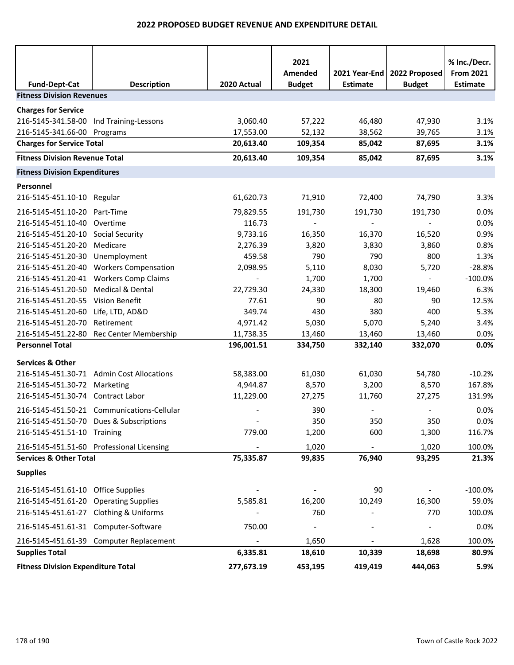|                                           |                                            |             | 2021                     |                                  |                                | % Inc./Decr.                        |
|-------------------------------------------|--------------------------------------------|-------------|--------------------------|----------------------------------|--------------------------------|-------------------------------------|
| <b>Fund-Dept-Cat</b>                      | <b>Description</b>                         | 2020 Actual | Amended<br><b>Budget</b> | 2021 Year-End<br><b>Estimate</b> | 2022 Proposed<br><b>Budget</b> | <b>From 2021</b><br><b>Estimate</b> |
| <b>Fitness Division Revenues</b>          |                                            |             |                          |                                  |                                |                                     |
| <b>Charges for Service</b>                |                                            |             |                          |                                  |                                |                                     |
| 216-5145-341.58-00 Ind Training-Lessons   |                                            | 3,060.40    | 57,222                   | 46,480                           | 47,930                         | 3.1%                                |
| 216-5145-341.66-00 Programs               |                                            | 17,553.00   | 52,132                   | 38,562                           | 39,765                         | 3.1%                                |
| <b>Charges for Service Total</b>          |                                            | 20,613.40   | 109,354                  | 85,042                           | 87,695                         | 3.1%                                |
| <b>Fitness Division Revenue Total</b>     |                                            | 20,613.40   | 109,354                  | 85,042                           | 87,695                         | 3.1%                                |
| <b>Fitness Division Expenditures</b>      |                                            |             |                          |                                  |                                |                                     |
| Personnel                                 |                                            |             |                          |                                  |                                |                                     |
| 216-5145-451.10-10 Regular                |                                            | 61,620.73   | 71,910                   | 72,400                           | 74,790                         | 3.3%                                |
| 216-5145-451.10-20 Part-Time              |                                            | 79,829.55   | 191,730                  | 191,730                          | 191,730                        | 0.0%                                |
| 216-5145-451.10-40 Overtime               |                                            | 116.73      |                          |                                  |                                | 0.0%                                |
| 216-5145-451.20-10 Social Security        |                                            | 9,733.16    | 16,350                   | 16,370                           | 16,520                         | 0.9%                                |
| 216-5145-451.20-20 Medicare               |                                            | 2,276.39    | 3,820                    | 3,830                            | 3,860                          | 0.8%                                |
| 216-5145-451.20-30 Unemployment           |                                            | 459.58      | 790                      | 790                              | 800                            | 1.3%                                |
|                                           | 216-5145-451.20-40 Workers Compensation    | 2,098.95    | 5,110                    | 8,030                            | 5,720                          | $-28.8%$                            |
|                                           | 216-5145-451.20-41 Workers Comp Claims     |             | 1,700                    | 1,700                            | $\blacksquare$                 | $-100.0\%$                          |
| 216-5145-451.20-50 Medical & Dental       |                                            | 22,729.30   | 24,330                   | 18,300                           | 19,460                         | 6.3%                                |
| 216-5145-451.20-55 Vision Benefit         |                                            | 77.61       | 90                       | 80                               | 90                             | 12.5%                               |
| 216-5145-451.20-60 Life, LTD, AD&D        |                                            | 349.74      | 430                      | 380                              | 400                            | 5.3%                                |
| 216-5145-451.20-70                        | Retirement                                 | 4,971.42    | 5,030                    | 5,070                            | 5,240                          | 3.4%                                |
|                                           | 216-5145-451.22-80 Rec Center Membership   | 11,738.35   | 13,460                   | 13,460                           | 13,460                         | 0.0%                                |
| <b>Personnel Total</b>                    |                                            | 196,001.51  | 334,750                  | 332,140                          | 332,070                        | 0.0%                                |
| <b>Services &amp; Other</b>               |                                            |             |                          |                                  |                                |                                     |
|                                           | 216-5145-451.30-71 Admin Cost Allocations  | 58,383.00   | 61,030                   | 61,030                           | 54,780                         | $-10.2%$                            |
| 216-5145-451.30-72 Marketing              |                                            | 4,944.87    | 8,570                    | 3,200                            | 8,570                          | 167.8%                              |
| 216-5145-451.30-74 Contract Labor         |                                            | 11,229.00   | 27,275                   | 11,760                           | 27,275                         | 131.9%                              |
|                                           | 216-5145-451.50-21 Communications-Cellular |             | 390                      |                                  |                                | 0.0%                                |
|                                           | 216-5145-451.50-70 Dues & Subscriptions    |             | 350                      | 350                              | 350                            | 0.0%                                |
| 216-5145-451.51-10 Training               |                                            | 779.00      | 1,200                    | 600                              | 1,300                          | 116.7%                              |
|                                           | 216-5145-451.51-60 Professional Licensing  |             | 1,020                    | $\overline{\phantom{a}}$         | 1,020                          | 100.0%                              |
| <b>Services &amp; Other Total</b>         |                                            | 75,335.87   | 99,835                   | 76,940                           | 93,295                         | 21.3%                               |
| <b>Supplies</b>                           |                                            |             |                          |                                  |                                |                                     |
| 216-5145-451.61-10 Office Supplies        |                                            |             |                          | 90                               |                                | $-100.0%$                           |
| 216-5145-451.61-20 Operating Supplies     |                                            | 5,585.81    | 16,200                   | 10,249                           | 16,300                         | 59.0%                               |
| 216-5145-451.61-27 Clothing & Uniforms    |                                            |             | 760                      |                                  | 770                            | 100.0%                              |
| 216-5145-451.61-31 Computer-Software      |                                            | 750.00      | $\overline{\phantom{a}}$ |                                  |                                | 0.0%                                |
|                                           | 216-5145-451.61-39 Computer Replacement    |             | 1,650                    |                                  | 1,628                          | 100.0%                              |
| <b>Supplies Total</b>                     |                                            | 6,335.81    | 18,610                   | 10,339                           | 18,698                         | 80.9%                               |
| <b>Fitness Division Expenditure Total</b> |                                            | 277,673.19  | 453,195                  | 419,419                          | 444,063                        | 5.9%                                |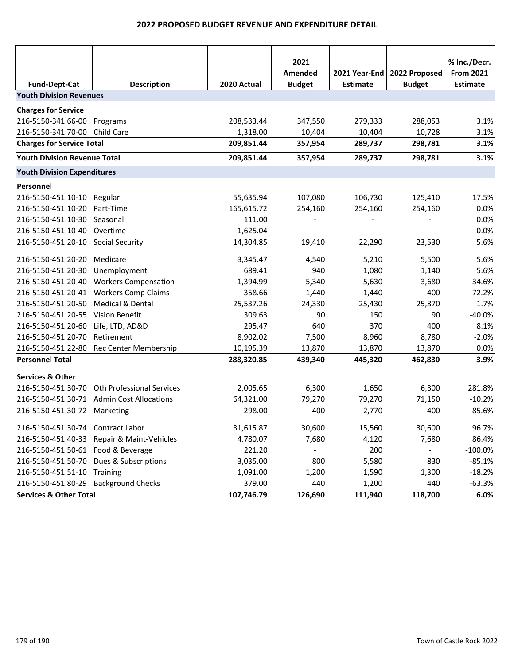|                                     |                               |             | 2021          |                 |               | % Inc./Decr.     |
|-------------------------------------|-------------------------------|-------------|---------------|-----------------|---------------|------------------|
|                                     |                               |             | Amended       | 2021 Year-End   | 2022 Proposed | <b>From 2021</b> |
| <b>Fund-Dept-Cat</b>                | <b>Description</b>            | 2020 Actual | <b>Budget</b> | <b>Estimate</b> | <b>Budget</b> | <b>Estimate</b>  |
| <b>Youth Division Revenues</b>      |                               |             |               |                 |               |                  |
| <b>Charges for Service</b>          |                               |             |               |                 |               |                  |
| 216-5150-341.66-00                  | Programs                      | 208,533.44  | 347,550       | 279,333         | 288,053       | 3.1%             |
| 216-5150-341.70-00 Child Care       |                               | 1,318.00    | 10,404        | 10,404          | 10,728        | 3.1%             |
| <b>Charges for Service Total</b>    |                               | 209,851.44  | 357,954       | 289,737         | 298,781       | 3.1%             |
| <b>Youth Division Revenue Total</b> |                               | 209,851.44  | 357,954       | 289,737         | 298,781       | 3.1%             |
| <b>Youth Division Expenditures</b>  |                               |             |               |                 |               |                  |
| Personnel                           |                               |             |               |                 |               |                  |
| 216-5150-451.10-10                  | Regular                       | 55,635.94   | 107,080       | 106,730         | 125,410       | 17.5%            |
| 216-5150-451.10-20                  | Part-Time                     | 165,615.72  | 254,160       | 254,160         | 254,160       | 0.0%             |
| 216-5150-451.10-30                  | Seasonal                      | 111.00      |               |                 |               | 0.0%             |
| 216-5150-451.10-40                  | Overtime                      | 1,625.04    |               |                 |               | 0.0%             |
| 216-5150-451.20-10 Social Security  |                               | 14,304.85   | 19,410        | 22,290          | 23,530        | 5.6%             |
| 216-5150-451.20-20                  | Medicare                      | 3,345.47    | 4,540         | 5,210           | 5,500         | 5.6%             |
| 216-5150-451.20-30                  | Unemployment                  | 689.41      | 940           | 1,080           | 1,140         | 5.6%             |
| 216-5150-451.20-40                  | <b>Workers Compensation</b>   | 1,394.99    | 5,340         | 5,630           | 3,680         | $-34.6%$         |
| 216-5150-451.20-41                  | <b>Workers Comp Claims</b>    | 358.66      | 1,440         | 1,440           | 400           | $-72.2%$         |
| 216-5150-451.20-50                  | Medical & Dental              | 25,537.26   | 24,330        | 25,430          | 25,870        | 1.7%             |
| 216-5150-451.20-55                  | Vision Benefit                | 309.63      | 90            | 150             | 90            | $-40.0%$         |
| 216-5150-451.20-60                  | Life, LTD, AD&D               | 295.47      | 640           | 370             | 400           | 8.1%             |
| 216-5150-451.20-70                  | Retirement                    | 8,902.02    | 7,500         | 8,960           | 8,780         | $-2.0%$          |
| 216-5150-451.22-80                  | Rec Center Membership         | 10,195.39   | 13,870        | 13,870          | 13,870        | 0.0%             |
| <b>Personnel Total</b>              |                               | 288,320.85  | 439,340       | 445,320         | 462,830       | 3.9%             |
| <b>Services &amp; Other</b>         |                               |             |               |                 |               |                  |
| 216-5150-451.30-70                  | Oth Professional Services     | 2,005.65    | 6,300         | 1,650           | 6,300         | 281.8%           |
| 216-5150-451.30-71                  | <b>Admin Cost Allocations</b> | 64,321.00   | 79,270        | 79,270          | 71,150        | $-10.2%$         |
| 216-5150-451.30-72 Marketing        |                               | 298.00      | 400           | 2,770           | 400           | $-85.6%$         |
| 216-5150-451.30-74 Contract Labor   |                               | 31,615.87   | 30,600        | 15,560          | 30,600        | 96.7%            |
| 216-5150-451.40-33                  | Repair & Maint-Vehicles       | 4,780.07    | 7,680         | 4,120           | 7,680         | 86.4%            |
| 216-5150-451.50-61 Food & Beverage  |                               | 221.20      |               | 200             |               | $-100.0%$        |
| 216-5150-451.50-70                  | Dues & Subscriptions          | 3,035.00    | 800           | 5,580           | 830           | $-85.1%$         |
| 216-5150-451.51-10 Training         |                               | 1,091.00    | 1,200         | 1,590           | 1,300         | $-18.2%$         |
| 216-5150-451.80-29                  | <b>Background Checks</b>      | 379.00      | 440           | 1,200           | 440           | $-63.3%$         |
| <b>Services &amp; Other Total</b>   |                               | 107,746.79  | 126,690       | 111,940         | 118,700       | 6.0%             |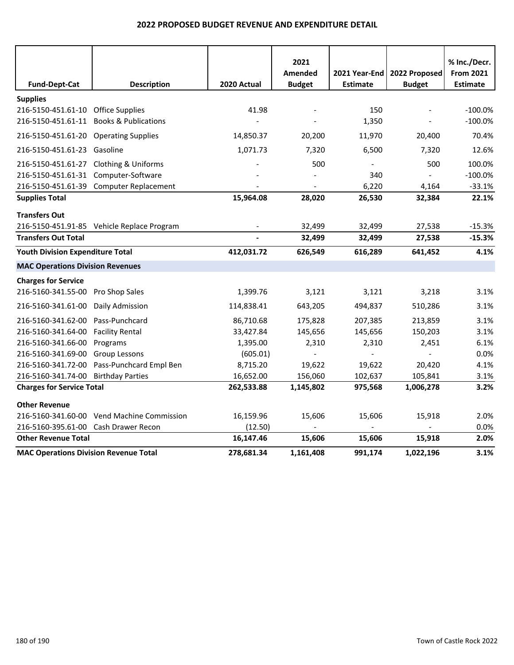|                                                                               |                                            |             | 2021                            |                                  |                                | % Inc./Decr.                        |
|-------------------------------------------------------------------------------|--------------------------------------------|-------------|---------------------------------|----------------------------------|--------------------------------|-------------------------------------|
| <b>Fund-Dept-Cat</b>                                                          | <b>Description</b>                         | 2020 Actual | <b>Amended</b><br><b>Budget</b> | 2021 Year-End<br><b>Estimate</b> | 2022 Proposed<br><b>Budget</b> | <b>From 2021</b><br><b>Estimate</b> |
|                                                                               |                                            |             |                                 |                                  |                                |                                     |
| <b>Supplies</b>                                                               |                                            |             |                                 | 150                              |                                |                                     |
| 216-5150-451.61-10 Office Supplies<br>216-5150-451.61-11 Books & Publications |                                            | 41.98       |                                 | 1,350                            |                                | $-100.0%$<br>$-100.0%$              |
|                                                                               |                                            |             |                                 |                                  |                                |                                     |
| 216-5150-451.61-20 Operating Supplies                                         |                                            | 14,850.37   | 20,200                          | 11,970                           | 20,400                         | 70.4%                               |
| 216-5150-451.61-23 Gasoline                                                   |                                            | 1,071.73    | 7,320                           | 6,500                            | 7,320                          | 12.6%                               |
| 216-5150-451.61-27 Clothing & Uniforms                                        |                                            |             | 500                             |                                  | 500                            | 100.0%                              |
| 216-5150-451.61-31 Computer-Software                                          |                                            |             |                                 | 340                              |                                | $-100.0%$                           |
|                                                                               | 216-5150-451.61-39 Computer Replacement    |             |                                 | 6,220                            | 4,164                          | $-33.1%$                            |
| <b>Supplies Total</b>                                                         |                                            | 15,964.08   | 28,020                          | 26,530                           | 32,384                         | 22.1%                               |
| <b>Transfers Out</b>                                                          |                                            |             |                                 |                                  |                                |                                     |
|                                                                               | 216-5150-451.91-85 Vehicle Replace Program |             | 32,499                          | 32,499                           | 27,538                         | $-15.3%$                            |
| <b>Transfers Out Total</b>                                                    |                                            |             | 32,499                          | 32,499                           | 27,538                         | $-15.3%$                            |
| <b>Youth Division Expenditure Total</b>                                       |                                            | 412,031.72  | 626,549                         | 616,289                          | 641,452                        | 4.1%                                |
| <b>MAC Operations Division Revenues</b>                                       |                                            |             |                                 |                                  |                                |                                     |
| <b>Charges for Service</b>                                                    |                                            |             |                                 |                                  |                                |                                     |
| 216-5160-341.55-00 Pro Shop Sales                                             |                                            | 1,399.76    | 3,121                           | 3,121                            | 3,218                          | 3.1%                                |
| 216-5160-341.61-00 Daily Admission                                            |                                            | 114,838.41  | 643,205                         | 494,837                          | 510,286                        | 3.1%                                |
| 216-5160-341.62-00 Pass-Punchcard                                             |                                            | 86,710.68   | 175,828                         | 207,385                          | 213,859                        | 3.1%                                |
| 216-5160-341.64-00 Facility Rental                                            |                                            | 33,427.84   | 145,656                         | 145,656                          | 150,203                        | 3.1%                                |
| 216-5160-341.66-00 Programs                                                   |                                            | 1,395.00    | 2,310                           | 2,310                            | 2,451                          | 6.1%                                |
| 216-5160-341.69-00                                                            | Group Lessons                              | (605.01)    | $\overline{a}$                  |                                  |                                | 0.0%                                |
|                                                                               | 216-5160-341.72-00 Pass-Punchcard Empl Ben | 8,715.20    | 19,622                          | 19,622                           | 20,420                         | 4.1%                                |
| 216-5160-341.74-00 Birthday Parties                                           |                                            | 16,652.00   | 156,060                         | 102,637                          | 105,841                        | 3.1%                                |
| <b>Charges for Service Total</b>                                              |                                            | 262,533.88  | 1,145,802                       | 975,568                          | 1,006,278                      | 3.2%                                |
| <b>Other Revenue</b>                                                          |                                            |             |                                 |                                  |                                |                                     |
|                                                                               | 216-5160-341.60-00 Vend Machine Commission | 16,159.96   | 15,606                          | 15,606                           | 15,918                         | 2.0%                                |
| 216-5160-395.61-00 Cash Drawer Recon                                          |                                            | (12.50)     |                                 |                                  |                                | 0.0%                                |
| <b>Other Revenue Total</b>                                                    |                                            | 16,147.46   | 15,606                          | 15,606                           | 15,918                         | 2.0%                                |
| <b>MAC Operations Division Revenue Total</b>                                  |                                            | 278,681.34  | 1,161,408                       | 991,174                          | 1,022,196                      | 3.1%                                |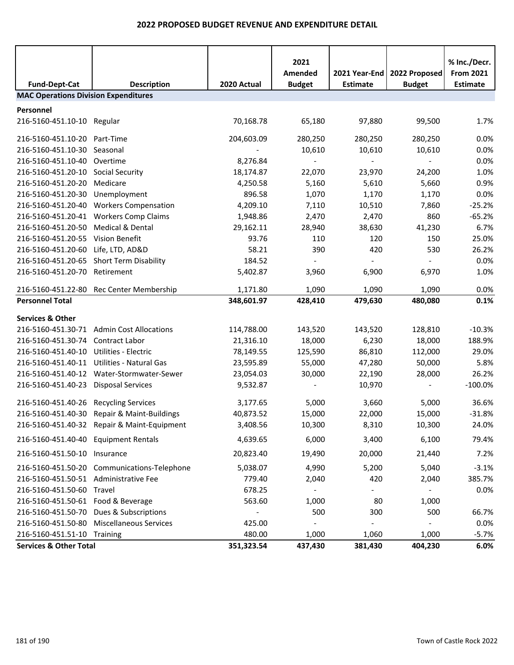| <b>Fund-Dept-Cat</b>                        | <b>Description</b>                          | 2020 Actual | 2021<br>Amended<br><b>Budget</b> | 2021 Year-End<br><b>Estimate</b> | 2022 Proposed<br><b>Budget</b> | % Inc./Decr.<br><b>From 2021</b><br><b>Estimate</b> |
|---------------------------------------------|---------------------------------------------|-------------|----------------------------------|----------------------------------|--------------------------------|-----------------------------------------------------|
| <b>MAC Operations Division Expenditures</b> |                                             |             |                                  |                                  |                                |                                                     |
| Personnel                                   |                                             |             |                                  |                                  |                                |                                                     |
| 216-5160-451.10-10 Regular                  |                                             | 70,168.78   | 65,180                           | 97,880                           | 99,500                         | 1.7%                                                |
| 216-5160-451.10-20 Part-Time                |                                             | 204,603.09  | 280,250                          | 280,250                          | 280,250                        | 0.0%                                                |
| 216-5160-451.10-30                          | Seasonal                                    |             | 10,610                           | 10,610                           | 10,610                         | 0.0%                                                |
| 216-5160-451.10-40                          | Overtime                                    | 8,276.84    |                                  |                                  |                                | 0.0%                                                |
| 216-5160-451.20-10                          | <b>Social Security</b>                      | 18,174.87   | 22,070                           | 23,970                           | 24,200                         | 1.0%                                                |
| 216-5160-451.20-20                          | Medicare                                    | 4,250.58    | 5,160                            | 5,610                            | 5,660                          | 0.9%                                                |
| 216-5160-451.20-30                          | Unemployment                                | 896.58      | 1,070                            | 1,170                            | 1,170                          | 0.0%                                                |
| 216-5160-451.20-40                          | <b>Workers Compensation</b>                 | 4,209.10    | 7,110                            | 10,510                           | 7,860                          | $-25.2%$                                            |
|                                             | 216-5160-451.20-41 Workers Comp Claims      | 1,948.86    | 2,470                            | 2,470                            | 860                            | $-65.2%$                                            |
| 216-5160-451.20-50                          | Medical & Dental                            | 29,162.11   | 28,940                           | 38,630                           | 41,230                         | 6.7%                                                |
| 216-5160-451.20-55 Vision Benefit           |                                             | 93.76       | 110                              | 120                              | 150                            | 25.0%                                               |
| 216-5160-451.20-60                          | Life, LTD, AD&D                             | 58.21       | 390                              | 420                              | 530                            | 26.2%                                               |
| 216-5160-451.20-65                          | <b>Short Term Disability</b>                | 184.52      |                                  |                                  |                                | 0.0%                                                |
| 216-5160-451.20-70                          | Retirement                                  | 5,402.87    | 3,960                            | 6,900                            | 6,970                          | 1.0%                                                |
|                                             | 216-5160-451.22-80 Rec Center Membership    | 1,171.80    | 1,090                            | 1,090                            | 1,090                          | 0.0%                                                |
| <b>Personnel Total</b>                      |                                             | 348,601.97  | 428,410                          | 479,630                          | 480,080                        | 0.1%                                                |
| <b>Services &amp; Other</b>                 |                                             |             |                                  |                                  |                                |                                                     |
|                                             | 216-5160-451.30-71 Admin Cost Allocations   | 114,788.00  | 143,520                          | 143,520                          | 128,810                        | $-10.3%$                                            |
| 216-5160-451.30-74 Contract Labor           |                                             | 21,316.10   | 18,000                           | 6,230                            | 18,000                         | 188.9%                                              |
| 216-5160-451.40-10                          | Utilities - Electric                        | 78,149.55   | 125,590                          | 86,810                           | 112,000                        | 29.0%                                               |
| 216-5160-451.40-11                          | Utilities - Natural Gas                     | 23,595.89   | 55,000                           | 47,280                           | 50,000                         | 5.8%                                                |
|                                             | 216-5160-451.40-12 Water-Stormwater-Sewer   | 23,054.03   | 30,000                           | 22,190                           | 28,000                         | 26.2%                                               |
| 216-5160-451.40-23 Disposal Services        |                                             | 9,532.87    |                                  | 10,970                           | $\blacksquare$                 | $-100.0%$                                           |
| 216-5160-451.40-26                          | <b>Recycling Services</b>                   | 3,177.65    | 5,000                            | 3,660                            | 5,000                          | 36.6%                                               |
|                                             | 216-5160-451.40-30 Repair & Maint-Buildings | 40,873.52   | 15,000                           | 22,000                           | 15,000                         | $-31.8%$                                            |
|                                             | 216-5160-451.40-32 Repair & Maint-Equipment | 3,408.56    | 10,300                           | 8,310                            | 10,300                         | 24.0%                                               |
| 216-5160-451.40-40 Equipment Rentals        |                                             | 4,639.65    | 6,000                            | 3,400                            | 6,100                          | 79.4%                                               |
| 216-5160-451.50-10 Insurance                |                                             | 20,823.40   | 19,490                           | 20,000                           | 21,440                         | 7.2%                                                |
|                                             | 216-5160-451.50-20 Communications-Telephone | 5,038.07    | 4,990                            | 5,200                            | 5,040                          | $-3.1%$                                             |
| 216-5160-451.50-51 Administrative Fee       |                                             | 779.40      | 2,040                            | 420                              | 2,040                          | 385.7%                                              |
| 216-5160-451.50-60 Travel                   |                                             | 678.25      |                                  |                                  |                                | 0.0%                                                |
| 216-5160-451.50-61 Food & Beverage          |                                             | 563.60      | 1,000                            | 80                               | 1,000                          |                                                     |
|                                             | 216-5160-451.50-70 Dues & Subscriptions     |             | 500                              | 300                              | 500                            | 66.7%                                               |
|                                             | 216-5160-451.50-80 Miscellaneous Services   | 425.00      |                                  |                                  |                                | 0.0%                                                |
| 216-5160-451.51-10 Training                 |                                             | 480.00      | 1,000                            | 1,060                            | 1,000                          | $-5.7%$                                             |
| <b>Services &amp; Other Total</b>           |                                             | 351,323.54  | 437,430                          | 381,430                          | 404,230                        | 6.0%                                                |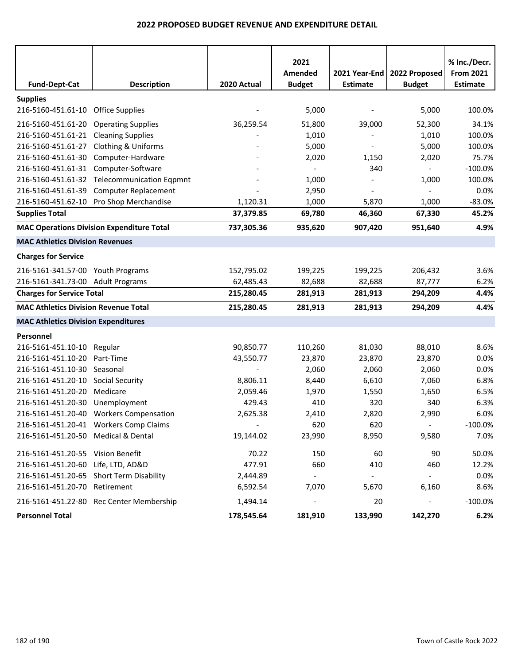| <b>Fund-Dept-Cat</b>                        | <b>Description</b>                               | 2020 Actual | 2021<br>Amended<br><b>Budget</b> | <b>Estimate</b>          | 2021 Year-End   2022 Proposed<br><b>Budget</b> | % Inc./Decr.<br><b>From 2021</b><br><b>Estimate</b> |
|---------------------------------------------|--------------------------------------------------|-------------|----------------------------------|--------------------------|------------------------------------------------|-----------------------------------------------------|
| <b>Supplies</b>                             |                                                  |             |                                  |                          |                                                |                                                     |
| 216-5160-451.61-10 Office Supplies          |                                                  |             | 5,000                            |                          | 5,000                                          | 100.0%                                              |
| 216-5160-451.61-20 Operating Supplies       |                                                  | 36,259.54   | 51,800                           | 39,000                   | 52,300                                         | 34.1%                                               |
| 216-5160-451.61-21 Cleaning Supplies        |                                                  |             | 1,010                            |                          | 1,010                                          | 100.0%                                              |
| 216-5160-451.61-27 Clothing & Uniforms      |                                                  |             | 5,000                            |                          | 5,000                                          | 100.0%                                              |
| 216-5160-451.61-30                          | Computer-Hardware                                |             | 2,020                            | 1,150                    | 2,020                                          | 75.7%                                               |
| 216-5160-451.61-31 Computer-Software        |                                                  |             | $\overline{\phantom{a}}$         | 340                      | $\blacksquare$                                 | $-100.0%$                                           |
|                                             | 216-5160-451.61-32 Telecommunication Eqpmnt      |             | 1,000                            |                          | 1,000                                          | 100.0%                                              |
| 216-5160-451.61-39                          | <b>Computer Replacement</b>                      |             | 2,950                            |                          | $\blacksquare$                                 | 0.0%                                                |
|                                             | 216-5160-451.62-10 Pro Shop Merchandise          | 1,120.31    | 1,000                            | 5,870                    | 1,000                                          | $-83.0%$                                            |
| <b>Supplies Total</b>                       |                                                  | 37,379.85   | 69,780                           | 46,360                   | 67,330                                         | 45.2%                                               |
|                                             | <b>MAC Operations Division Expenditure Total</b> | 737,305.36  | 935,620                          | 907,420                  | 951,640                                        | 4.9%                                                |
| <b>MAC Athletics Division Revenues</b>      |                                                  |             |                                  |                          |                                                |                                                     |
| <b>Charges for Service</b>                  |                                                  |             |                                  |                          |                                                |                                                     |
| 216-5161-341.57-00 Youth Programs           |                                                  | 152,795.02  | 199,225                          | 199,225                  | 206,432                                        | 3.6%                                                |
| 216-5161-341.73-00 Adult Programs           |                                                  | 62,485.43   | 82,688                           | 82,688                   | 87,777                                         | 6.2%                                                |
| <b>Charges for Service Total</b>            |                                                  | 215,280.45  | 281,913                          | 281,913                  | 294,209                                        | 4.4%                                                |
| <b>MAC Athletics Division Revenue Total</b> |                                                  | 215,280.45  | 281,913                          | 281,913                  | 294,209                                        | 4.4%                                                |
| <b>MAC Athletics Division Expenditures</b>  |                                                  |             |                                  |                          |                                                |                                                     |
| Personnel                                   |                                                  |             |                                  |                          |                                                |                                                     |
| 216-5161-451.10-10 Regular                  |                                                  | 90,850.77   | 110,260                          | 81,030                   | 88,010                                         | 8.6%                                                |
| 216-5161-451.10-20                          | Part-Time                                        | 43,550.77   | 23,870                           | 23,870                   | 23,870                                         | 0.0%                                                |
| 216-5161-451.10-30 Seasonal                 |                                                  |             | 2,060                            | 2,060                    | 2,060                                          | 0.0%                                                |
| 216-5161-451.20-10                          | <b>Social Security</b>                           | 8,806.11    | 8,440                            | 6,610                    | 7,060                                          | 6.8%                                                |
| 216-5161-451.20-20                          | Medicare                                         | 2,059.46    | 1,970                            | 1,550                    | 1,650                                          | 6.5%                                                |
| 216-5161-451.20-30                          | Unemployment                                     | 429.43      | 410                              | 320                      | 340                                            | 6.3%                                                |
|                                             | 216-5161-451.20-40 Workers Compensation          | 2,625.38    | 2,410                            | 2,820                    | 2,990                                          | 6.0%                                                |
|                                             | 216-5161-451.20-41 Workers Comp Claims           | $\sim$      | 620                              | 620                      | $\omega_{\rm c}$                               | $-100.0\%$                                          |
| 216-5161-451.20-50 Medical & Dental         |                                                  | 19,144.02   | 23,990                           | 8,950                    | 9,580                                          | 7.0%                                                |
| 216-5161-451.20-55 Vision Benefit           |                                                  | 70.22       | 150                              | 60                       | 90                                             | 50.0%                                               |
| 216-5161-451.20-60 Life, LTD, AD&D          |                                                  | 477.91      | 660                              | 410                      | 460                                            | 12.2%                                               |
| 216-5161-451.20-65 Short Term Disability    |                                                  | 2,444.89    | $\blacksquare$                   | $\overline{\phantom{a}}$ | $\sim$                                         | 0.0%                                                |
| 216-5161-451.20-70 Retirement               |                                                  | 6,592.54    | 7,070                            | 5,670                    | 6,160                                          | 8.6%                                                |
|                                             | 216-5161-451.22-80 Rec Center Membership         | 1,494.14    | $\overline{a}$                   | 20                       | $\overline{\phantom{a}}$                       | $-100.0%$                                           |
| <b>Personnel Total</b>                      |                                                  | 178,545.64  | 181,910                          | 133,990                  | 142,270                                        | 6.2%                                                |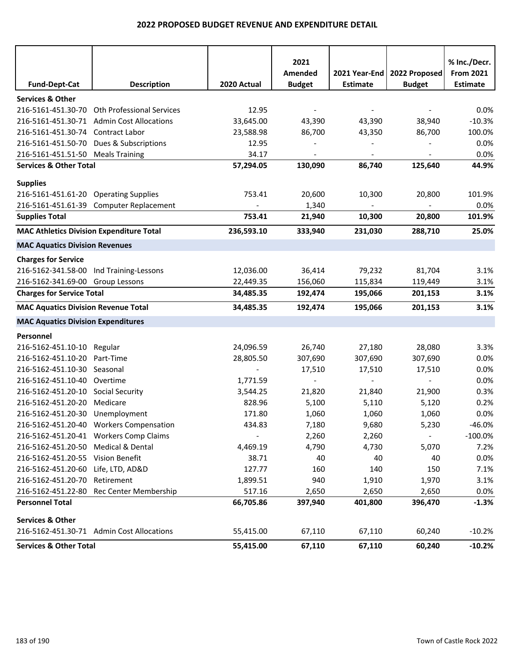| <b>Fund-Dept-Cat</b>                            | <b>Description</b>                        | 2020 Actual | 2021<br>Amended<br><b>Budget</b> | 2021 Year-End<br><b>Estimate</b> | 2022 Proposed<br><b>Budget</b> | % Inc./Decr.<br><b>From 2021</b><br><b>Estimate</b> |
|-------------------------------------------------|-------------------------------------------|-------------|----------------------------------|----------------------------------|--------------------------------|-----------------------------------------------------|
| <b>Services &amp; Other</b>                     |                                           |             |                                  |                                  |                                |                                                     |
| 216-5161-451.30-70                              | <b>Oth Professional Services</b>          | 12.95       |                                  |                                  |                                | 0.0%                                                |
|                                                 | 216-5161-451.30-71 Admin Cost Allocations | 33,645.00   | 43,390                           | 43,390                           | 38,940                         | $-10.3%$                                            |
| 216-5161-451.30-74 Contract Labor               |                                           | 23,588.98   | 86,700                           | 43,350                           | 86,700                         | 100.0%                                              |
| 216-5161-451.50-70                              | Dues & Subscriptions                      | 12.95       |                                  |                                  |                                | 0.0%                                                |
| 216-5161-451.51-50 Meals Training               |                                           | 34.17       |                                  |                                  |                                | 0.0%                                                |
| <b>Services &amp; Other Total</b>               |                                           | 57,294.05   | 130,090                          | 86,740                           | 125,640                        | 44.9%                                               |
|                                                 |                                           |             |                                  |                                  |                                |                                                     |
| <b>Supplies</b>                                 |                                           |             |                                  |                                  |                                |                                                     |
| 216-5161-451.61-20 Operating Supplies           |                                           | 753.41      | 20,600                           | 10,300                           | 20,800                         | 101.9%                                              |
|                                                 | 216-5161-451.61-39 Computer Replacement   | 753.41      | 1,340                            |                                  |                                | 0.0%                                                |
| <b>Supplies Total</b>                           |                                           |             | 21,940                           | 10,300                           | 20,800                         | 101.9%                                              |
| <b>MAC Athletics Division Expenditure Total</b> |                                           | 236,593.10  | 333,940                          | 231,030                          | 288,710                        | 25.0%                                               |
| <b>MAC Aquatics Division Revenues</b>           |                                           |             |                                  |                                  |                                |                                                     |
| <b>Charges for Service</b>                      |                                           |             |                                  |                                  |                                |                                                     |
| 216-5162-341.58-00 Ind Training-Lessons         |                                           | 12,036.00   | 36,414                           | 79,232                           | 81,704                         | 3.1%                                                |
| 216-5162-341.69-00 Group Lessons                |                                           | 22,449.35   | 156,060                          | 115,834                          | 119,449                        | 3.1%                                                |
| <b>Charges for Service Total</b>                |                                           | 34,485.35   | 192,474                          | 195,066                          | 201,153                        | 3.1%                                                |
| <b>MAC Aquatics Division Revenue Total</b>      |                                           | 34,485.35   | 192,474                          | 195,066                          | 201,153                        | 3.1%                                                |
| <b>MAC Aquatics Division Expenditures</b>       |                                           |             |                                  |                                  |                                |                                                     |
| Personnel                                       |                                           |             |                                  |                                  |                                |                                                     |
| 216-5162-451.10-10 Regular                      |                                           | 24,096.59   | 26,740                           | 27,180                           | 28,080                         | 3.3%                                                |
| 216-5162-451.10-20 Part-Time                    |                                           | 28,805.50   | 307,690                          | 307,690                          | 307,690                        | 0.0%                                                |
| 216-5162-451.10-30 Seasonal                     |                                           |             | 17,510                           | 17,510                           | 17,510                         | 0.0%                                                |
| 216-5162-451.10-40 Overtime                     |                                           | 1,771.59    |                                  |                                  |                                | 0.0%                                                |
| 216-5162-451.20-10 Social Security              |                                           | 3,544.25    | 21,820                           | 21,840                           | 21,900                         | 0.3%                                                |
| 216-5162-451.20-20                              | Medicare                                  | 828.96      | 5,100                            | 5,110                            | 5,120                          | 0.2%                                                |
| 216-5162-451.20-30 Unemployment                 |                                           | 171.80      | 1,060                            | 1,060                            | 1,060                          | 0.0%                                                |
|                                                 | 216-5162-451.20-40 Workers Compensation   | 434.83      | 7,180                            | 9,680                            | 5,230                          | $-46.0%$                                            |
|                                                 | 216-5162-451.20-41 Workers Comp Claims    |             | 2,260                            | 2,260                            |                                | $-100.0%$                                           |
| 216-5162-451.20-50 Medical & Dental             |                                           | 4,469.19    | 4,790                            | 4,730                            | 5,070                          | 7.2%                                                |
| 216-5162-451.20-55 Vision Benefit               |                                           | 38.71       | 40                               | 40                               | 40                             | 0.0%                                                |
| 216-5162-451.20-60                              | Life, LTD, AD&D                           | 127.77      | 160                              | 140                              | 150                            | 7.1%                                                |
| 216-5162-451.20-70                              | Retirement                                | 1,899.51    | 940                              | 1,910                            | 1,970                          | 3.1%                                                |
| 216-5162-451.22-80                              | Rec Center Membership                     | 517.16      | 2,650                            | 2,650                            | 2,650                          | 0.0%                                                |
| <b>Personnel Total</b>                          |                                           | 66,705.86   | 397,940                          | 401,800                          | 396,470                        | $-1.3%$                                             |
| <b>Services &amp; Other</b>                     |                                           |             |                                  |                                  |                                |                                                     |
|                                                 | 216-5162-451.30-71 Admin Cost Allocations | 55,415.00   | 67,110                           | 67,110                           | 60,240                         | $-10.2%$                                            |
| <b>Services &amp; Other Total</b>               |                                           | 55,415.00   | 67,110                           | 67,110                           | 60,240                         | $-10.2%$                                            |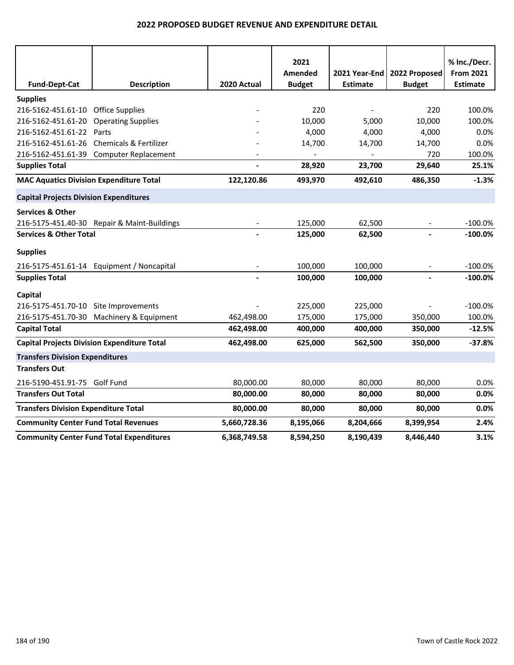|                                                    |                                                 |                | 2021                         |                 |               | % Inc./Decr.     |
|----------------------------------------------------|-------------------------------------------------|----------------|------------------------------|-----------------|---------------|------------------|
|                                                    |                                                 |                | Amended                      | 2021 Year-End   | 2022 Proposed | <b>From 2021</b> |
| <b>Fund-Dept-Cat</b>                               | <b>Description</b>                              | 2020 Actual    | <b>Budget</b>                | <b>Estimate</b> | <b>Budget</b> | <b>Estimate</b>  |
| <b>Supplies</b>                                    |                                                 |                |                              |                 |               |                  |
| 216-5162-451.61-10                                 | <b>Office Supplies</b>                          |                | 220                          |                 | 220           | 100.0%           |
| 216-5162-451.61-20                                 | <b>Operating Supplies</b>                       |                | 10,000                       | 5,000           | 10,000        | 100.0%           |
| 216-5162-451.61-22                                 | Parts                                           |                | 4,000                        | 4,000           | 4,000         | 0.0%             |
| 216-5162-451.61-26                                 | <b>Chemicals &amp; Fertilizer</b>               |                | 14,700                       | 14,700          | 14,700        | 0.0%             |
| 216-5162-451.61-39                                 | <b>Computer Replacement</b>                     |                | $\qquad \qquad \blacksquare$ | $\overline{a}$  | 720           | 100.0%           |
| <b>Supplies Total</b>                              |                                                 |                | 28,920                       | 23,700          | 29,640        | 25.1%            |
| <b>MAC Aquatics Division Expenditure Total</b>     |                                                 | 122,120.86     | 493,970                      | 492,610         | 486,350       | $-1.3%$          |
| <b>Capital Projects Division Expenditures</b>      |                                                 |                |                              |                 |               |                  |
| <b>Services &amp; Other</b>                        |                                                 |                |                              |                 |               |                  |
|                                                    | 216-5175-451.40-30 Repair & Maint-Buildings     |                | 125,000                      | 62,500          |               | $-100.0%$        |
| <b>Services &amp; Other Total</b>                  |                                                 |                | 125,000                      | 62,500          |               | $-100.0%$        |
| <b>Supplies</b>                                    |                                                 |                |                              |                 |               |                  |
|                                                    | 216-5175-451.61-14 Equipment / Noncapital       |                | 100,000                      | 100,000         |               | $-100.0%$        |
| <b>Supplies Total</b>                              |                                                 | $\overline{a}$ | 100,000                      | 100,000         | $\frac{1}{2}$ | $-100.0%$        |
| Capital                                            |                                                 |                |                              |                 |               |                  |
| 216-5175-451.70-10 Site Improvements               |                                                 |                | 225,000                      | 225,000         |               | $-100.0%$        |
|                                                    | 216-5175-451.70-30 Machinery & Equipment        | 462,498.00     | 175,000                      | 175,000         | 350,000       | 100.0%           |
| <b>Capital Total</b>                               |                                                 | 462,498.00     | 400,000                      | 400,000         | 350,000       | $-12.5%$         |
| <b>Capital Projects Division Expenditure Total</b> |                                                 | 462,498.00     | 625,000                      | 562,500         | 350,000       | $-37.8%$         |
| <b>Transfers Division Expenditures</b>             |                                                 |                |                              |                 |               |                  |
| <b>Transfers Out</b>                               |                                                 |                |                              |                 |               |                  |
| 216-5190-451.91-75 Golf Fund                       |                                                 | 80,000.00      | 80,000                       | 80,000          | 80,000        | 0.0%             |
| <b>Transfers Out Total</b>                         |                                                 | 80,000.00      | 80,000                       | 80,000          | 80,000        | 0.0%             |
| <b>Transfers Division Expenditure Total</b>        |                                                 | 80,000.00      | 80,000                       | 80,000          | 80,000        | 0.0%             |
| <b>Community Center Fund Total Revenues</b>        |                                                 | 5,660,728.36   | 8,195,066                    | 8,204,666       | 8,399,954     | 2.4%             |
|                                                    | <b>Community Center Fund Total Expenditures</b> | 6,368,749.58   | 8,594,250                    | 8,190,439       | 8,446,440     | 3.1%             |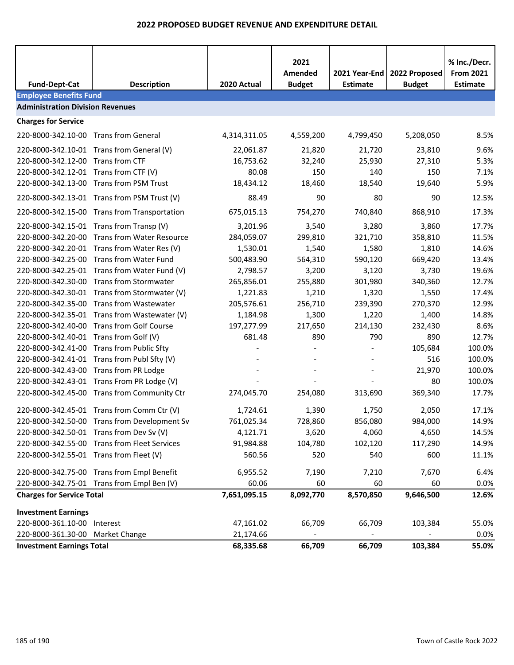|                                         |                                              |              | 2021<br>Amended | 2021 Year-End   | 2022 Proposed | % Inc./Decr.<br><b>From 2021</b> |
|-----------------------------------------|----------------------------------------------|--------------|-----------------|-----------------|---------------|----------------------------------|
| <b>Fund-Dept-Cat</b>                    | <b>Description</b>                           | 2020 Actual  | <b>Budget</b>   | <b>Estimate</b> | <b>Budget</b> | <b>Estimate</b>                  |
| <b>Employee Benefits Fund</b>           |                                              |              |                 |                 |               |                                  |
| <b>Administration Division Revenues</b> |                                              |              |                 |                 |               |                                  |
| <b>Charges for Service</b>              |                                              |              |                 |                 |               |                                  |
| 220-8000-342.10-00 Trans from General   |                                              | 4,314,311.05 | 4,559,200       | 4,799,450       | 5,208,050     | 8.5%                             |
|                                         | 220-8000-342.10-01 Trans from General (V)    | 22,061.87    | 21,820          | 21,720          | 23,810        | 9.6%                             |
| 220-8000-342.12-00 Trans from CTF       |                                              | 16,753.62    | 32,240          | 25,930          | 27,310        | 5.3%                             |
| 220-8000-342.12-01 Trans from CTF (V)   |                                              | 80.08        | 150             | 140             | 150           | 7.1%                             |
|                                         | 220-8000-342.13-00 Trans from PSM Trust      | 18,434.12    | 18,460          | 18,540          | 19,640        | 5.9%                             |
|                                         | 220-8000-342.13-01 Trans from PSM Trust (V)  | 88.49        | 90              | 80              | 90            | 12.5%                            |
|                                         | 220-8000-342.15-00 Trans from Transportation | 675,015.13   | 754,270         | 740,840         | 868,910       | 17.3%                            |
|                                         | 220-8000-342.15-01 Trans from Transp (V)     | 3,201.96     | 3,540           | 3,280           | 3,860         | 17.7%                            |
|                                         | 220-8000-342.20-00 Trans from Water Resource | 284,059.07   | 299,810         | 321,710         | 358,810       | 11.5%                            |
|                                         | 220-8000-342.20-01 Trans from Water Res (V)  | 1,530.01     | 1,540           | 1,580           | 1,810         | 14.6%                            |
|                                         | 220-8000-342.25-00 Trans from Water Fund     | 500,483.90   | 564,310         | 590,120         | 669,420       | 13.4%                            |
|                                         | 220-8000-342.25-01 Trans from Water Fund (V) | 2,798.57     | 3,200           | 3,120           | 3,730         | 19.6%                            |
|                                         | 220-8000-342.30-00 Trans from Stormwater     | 265,856.01   | 255,880         | 301,980         | 340,360       | 12.7%                            |
|                                         | 220-8000-342.30-01 Trans from Stormwater (V) | 1,221.83     | 1,210           | 1,320           | 1,550         | 17.4%                            |
|                                         | 220-8000-342.35-00 Trans from Wastewater     | 205,576.61   | 256,710         | 239,390         | 270,370       | 12.9%                            |
|                                         | 220-8000-342.35-01 Trans from Wastewater (V) | 1,184.98     | 1,300           | 1,220           | 1,400         | 14.8%                            |
|                                         | 220-8000-342.40-00 Trans from Golf Course    | 197,277.99   | 217,650         | 214,130         | 232,430       | 8.6%                             |
| 220-8000-342.40-01 Trans from Golf (V)  |                                              | 681.48       | 890             | 790             | 890           | 12.7%                            |
|                                         | 220-8000-342.41-00 Trans from Public Sfty    |              |                 |                 | 105,684       | 100.0%                           |
|                                         | 220-8000-342.41-01 Trans from Publ Sfty (V)  |              |                 |                 | 516           | 100.0%                           |
| 220-8000-342.43-00 Trans from PR Lodge  |                                              |              |                 |                 | 21,970        | 100.0%                           |
|                                         | 220-8000-342.43-01 Trans From PR Lodge (V)   |              |                 |                 | 80            | 100.0%                           |
|                                         | 220-8000-342.45-00 Trans from Community Ctr  | 274,045.70   | 254,080         | 313,690         | 369,340       | 17.7%                            |
|                                         | 220-8000-342.45-01 Trans from Comm Ctr (V)   | 1,724.61     | 1,390           | 1,750           | 2,050         | 17.1%                            |
|                                         | 220-8000-342.50-00 Trans from Development Sv | 761,025.34   | 728,860         | 856,080         | 984,000       | 14.9%                            |
|                                         | 220-8000-342.50-01 Trans from Dev Sv (V)     | 4,121.71     | 3,620           | 4,060           | 4,650         | 14.5%                            |
|                                         | 220-8000-342.55-00 Trans from Fleet Services | 91,984.88    | 104,780         | 102,120         | 117,290       | 14.9%                            |
| 220-8000-342.55-01 Trans from Fleet (V) |                                              | 560.56       | 520             | 540             | 600           | 11.1%                            |
|                                         | 220-8000-342.75-00 Trans from Empl Benefit   | 6,955.52     | 7,190           | 7,210           | 7,670         | 6.4%                             |
|                                         | 220-8000-342.75-01 Trans from Empl Ben (V)   | 60.06        | 60              | 60              | 60            | 0.0%                             |
| <b>Charges for Service Total</b>        |                                              | 7,651,095.15 | 8,092,770       | 8,570,850       | 9,646,500     | 12.6%                            |
| <b>Investment Earnings</b>              |                                              |              |                 |                 |               |                                  |
| 220-8000-361.10-00 Interest             |                                              | 47,161.02    | 66,709          | 66,709          | 103,384       | 55.0%                            |
| 220-8000-361.30-00 Market Change        |                                              | 21,174.66    |                 |                 |               | 0.0%                             |
| <b>Investment Earnings Total</b>        |                                              | 68,335.68    | 66,709          | 66,709          | 103,384       | 55.0%                            |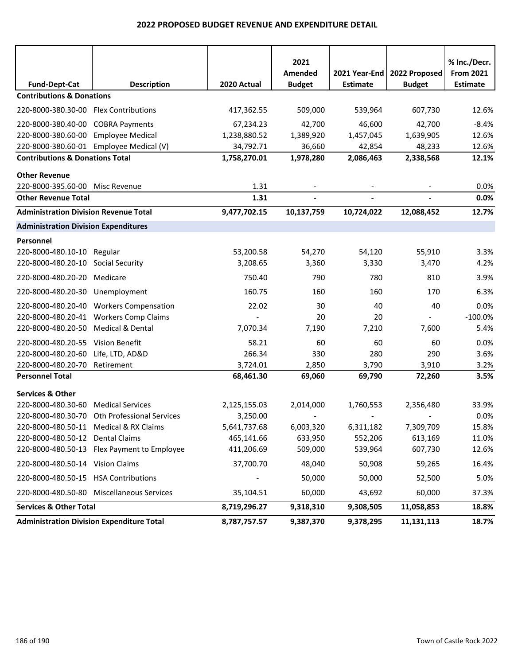| <b>Fund-Dept-Cat</b>                             | <b>Description</b>                           | 2020 Actual  | 2021<br>Amended<br><b>Budget</b> | 2021 Year-End<br><b>Estimate</b> | 2022 Proposed<br><b>Budget</b> | % Inc./Decr.<br><b>From 2021</b><br><b>Estimate</b> |
|--------------------------------------------------|----------------------------------------------|--------------|----------------------------------|----------------------------------|--------------------------------|-----------------------------------------------------|
| <b>Contributions &amp; Donations</b>             |                                              |              |                                  |                                  |                                |                                                     |
| 220-8000-380.30-00 Flex Contributions            |                                              | 417,362.55   | 509,000                          | 539,964                          | 607,730                        | 12.6%                                               |
| 220-8000-380.40-00                               | <b>COBRA Payments</b>                        | 67,234.23    | 42,700                           | 46,600                           | 42,700                         | $-8.4%$                                             |
| 220-8000-380.60-00                               | <b>Employee Medical</b>                      | 1,238,880.52 | 1,389,920                        | 1,457,045                        | 1,639,905                      | 12.6%                                               |
|                                                  | 220-8000-380.60-01 Employee Medical (V)      | 34,792.71    | 36,660                           | 42,854                           | 48,233                         | 12.6%                                               |
| <b>Contributions &amp; Donations Total</b>       |                                              | 1,758,270.01 | 1,978,280                        | 2,086,463                        | 2,338,568                      | 12.1%                                               |
| <b>Other Revenue</b>                             |                                              |              |                                  |                                  |                                |                                                     |
| 220-8000-395.60-00                               | Misc Revenue                                 | 1.31         |                                  |                                  |                                | 0.0%                                                |
| <b>Other Revenue Total</b>                       |                                              | 1.31         | $\overline{\phantom{a}}$         | $\blacksquare$                   | $\overline{\phantom{a}}$       | 0.0%                                                |
| <b>Administration Division Revenue Total</b>     |                                              | 9,477,702.15 | 10,137,759                       | 10,724,022                       | 12,088,452                     | 12.7%                                               |
| <b>Administration Division Expenditures</b>      |                                              |              |                                  |                                  |                                |                                                     |
| Personnel                                        |                                              |              |                                  |                                  |                                |                                                     |
| 220-8000-480.10-10                               | Regular                                      | 53,200.58    | 54,270                           | 54,120                           | 55,910                         | 3.3%                                                |
| 220-8000-480.20-10                               | <b>Social Security</b>                       | 3,208.65     | 3,360                            | 3,330                            | 3,470                          | 4.2%                                                |
| 220-8000-480.20-20                               | Medicare                                     | 750.40       | 790                              | 780                              | 810                            | 3.9%                                                |
| 220-8000-480.20-30                               | Unemployment                                 | 160.75       | 160                              | 160                              | 170                            | 6.3%                                                |
| 220-8000-480.20-40                               | <b>Workers Compensation</b>                  | 22.02        | 30                               | 40                               | 40                             | 0.0%                                                |
| 220-8000-480.20-41                               | <b>Workers Comp Claims</b>                   |              | 20                               | 20                               |                                | $-100.0%$                                           |
| 220-8000-480.20-50                               | <b>Medical &amp; Dental</b>                  | 7,070.34     | 7,190                            | 7,210                            | 7,600                          | 5.4%                                                |
| 220-8000-480.20-55                               | Vision Benefit                               | 58.21        | 60                               | 60                               | 60                             | 0.0%                                                |
| 220-8000-480.20-60                               | Life, LTD, AD&D                              | 266.34       | 330                              | 280                              | 290                            | 3.6%                                                |
| 220-8000-480.20-70                               | Retirement                                   | 3,724.01     | 2,850                            | 3,790                            | 3,910                          | 3.2%                                                |
| <b>Personnel Total</b>                           |                                              | 68,461.30    | 69,060                           | 69,790                           | 72,260                         | 3.5%                                                |
| <b>Services &amp; Other</b>                      |                                              |              |                                  |                                  |                                |                                                     |
| 220-8000-480.30-60                               | <b>Medical Services</b>                      | 2,125,155.03 | 2,014,000                        | 1,760,553                        | 2,356,480                      | 33.9%                                               |
|                                                  | 220-8000-480.30-70 Oth Professional Services | 3,250.00     |                                  |                                  |                                | 0.0%                                                |
| 220-8000-480.50-11 Medical & RX Claims           |                                              | 5,641,737.68 | 6,003,320                        | 6,311,182                        | 7,309,709                      | 15.8%                                               |
| 220-8000-480.50-12 Dental Claims                 |                                              | 465,141.66   | 633,950                          | 552,206                          | 613,169                        | 11.0%                                               |
|                                                  | 220-8000-480.50-13 Flex Payment to Employee  | 411,206.69   | 509,000                          | 539,964                          | 607,730                        | 12.6%                                               |
| 220-8000-480.50-14 Vision Claims                 |                                              | 37,700.70    | 48,040                           | 50,908                           | 59,265                         | 16.4%                                               |
| 220-8000-480.50-15 HSA Contributions             |                                              |              | 50,000                           | 50,000                           | 52,500                         | 5.0%                                                |
|                                                  | 220-8000-480.50-80 Miscellaneous Services    | 35,104.51    | 60,000                           | 43,692                           | 60,000                         | 37.3%                                               |
| <b>Services &amp; Other Total</b>                |                                              | 8,719,296.27 | 9,318,310                        | 9,308,505                        | 11,058,853                     | 18.8%                                               |
| <b>Administration Division Expenditure Total</b> |                                              | 8,787,757.57 | 9,387,370                        | 9,378,295                        | 11,131,113                     | 18.7%                                               |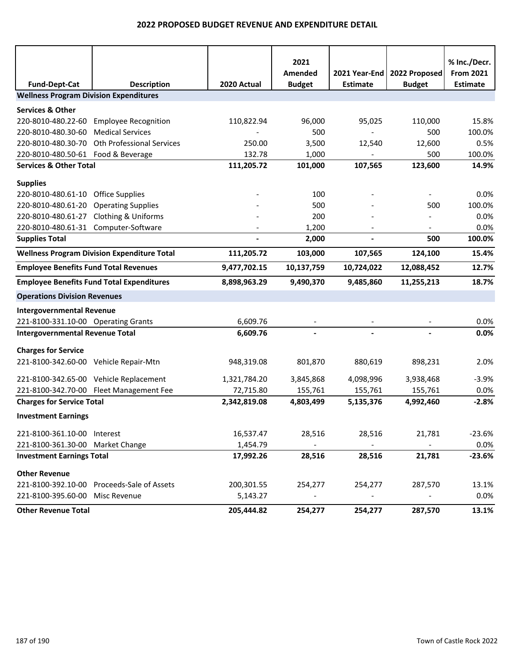|                                               |                                                    |              | 2021          |                 |               | % Inc./Decr.     |
|-----------------------------------------------|----------------------------------------------------|--------------|---------------|-----------------|---------------|------------------|
|                                               |                                                    |              | Amended       | 2021 Year-End   | 2022 Proposed | <b>From 2021</b> |
| <b>Fund-Dept-Cat</b>                          | <b>Description</b>                                 | 2020 Actual  | <b>Budget</b> | <b>Estimate</b> | <b>Budget</b> | <b>Estimate</b>  |
| <b>Wellness Program Division Expenditures</b> |                                                    |              |               |                 |               |                  |
| <b>Services &amp; Other</b>                   |                                                    |              |               |                 |               |                  |
| 220-8010-480.22-60                            | <b>Employee Recognition</b>                        | 110,822.94   | 96,000        | 95,025          | 110,000       | 15.8%            |
| 220-8010-480.30-60                            | <b>Medical Services</b>                            |              | 500           |                 | 500           | 100.0%           |
| 220-8010-480.30-70                            | <b>Oth Professional Services</b>                   | 250.00       | 3,500         | 12,540          | 12,600        | 0.5%             |
| 220-8010-480.50-61                            | Food & Beverage                                    | 132.78       | 1,000         |                 | 500           | 100.0%           |
| <b>Services &amp; Other Total</b>             |                                                    | 111,205.72   | 101,000       | 107,565         | 123,600       | 14.9%            |
| <b>Supplies</b>                               |                                                    |              |               |                 |               |                  |
| 220-8010-480.61-10                            | <b>Office Supplies</b>                             |              | 100           |                 |               | 0.0%             |
| 220-8010-480.61-20                            | <b>Operating Supplies</b>                          |              | 500           |                 | 500           | 100.0%           |
| 220-8010-480.61-27                            | <b>Clothing &amp; Uniforms</b>                     |              | 200           |                 |               | 0.0%             |
| 220-8010-480.61-31 Computer-Software          |                                                    |              | 1,200         |                 |               | 0.0%             |
| <b>Supplies Total</b>                         |                                                    |              | 2,000         | $\overline{a}$  | 500           | 100.0%           |
|                                               | <b>Wellness Program Division Expenditure Total</b> | 111,205.72   | 103,000       | 107,565         | 124,100       | 15.4%            |
| <b>Employee Benefits Fund Total Revenues</b>  |                                                    | 9,477,702.15 | 10,137,759    | 10,724,022      | 12,088,452    | 12.7%            |
|                                               | <b>Employee Benefits Fund Total Expenditures</b>   | 8,898,963.29 | 9,490,370     | 9,485,860       | 11,255,213    | 18.7%            |
| <b>Operations Division Revenues</b>           |                                                    |              |               |                 |               |                  |
| <b>Intergovernmental Revenue</b>              |                                                    |              |               |                 |               |                  |
| 221-8100-331.10-00 Operating Grants           |                                                    | 6,609.76     |               |                 |               | 0.0%             |
| <b>Intergovernmental Revenue Total</b>        |                                                    | 6,609.76     |               |                 |               | 0.0%             |
| <b>Charges for Service</b>                    |                                                    |              |               |                 |               |                  |
| 221-8100-342.60-00 Vehicle Repair-Mtn         |                                                    | 948,319.08   | 801,870       | 880,619         | 898,231       | 2.0%             |
| 221-8100-342.65-00 Vehicle Replacement        |                                                    | 1,321,784.20 | 3,845,868     | 4,098,996       | 3,938,468     | $-3.9%$          |
|                                               | 221-8100-342.70-00 Fleet Management Fee            | 72,715.80    | 155,761       | 155,761         | 155,761       | 0.0%             |
| <b>Charges for Service Total</b>              |                                                    | 2,342,819.08 | 4,803,499     | 5,135,376       | 4,992,460     | $-2.8%$          |
| <b>Investment Earnings</b>                    |                                                    |              |               |                 |               |                  |
| 221-8100-361.10-00 Interest                   |                                                    | 16,537.47    | 28,516        | 28,516          | 21,781        | $-23.6%$         |
| 221-8100-361.30-00 Market Change              |                                                    | 1,454.79     |               |                 |               | 0.0%             |
| <b>Investment Earnings Total</b>              |                                                    | 17,992.26    | 28,516        | 28,516          | 21,781        | $-23.6%$         |
| <b>Other Revenue</b>                          |                                                    |              |               |                 |               |                  |
| 221-8100-392.10-00                            | Proceeds-Sale of Assets                            | 200,301.55   | 254,277       | 254,277         | 287,570       | 13.1%            |
| 221-8100-395.60-00                            | Misc Revenue                                       | 5,143.27     |               |                 |               | 0.0%             |
| <b>Other Revenue Total</b>                    |                                                    | 205,444.82   | 254,277       | 254,277         | 287,570       | 13.1%            |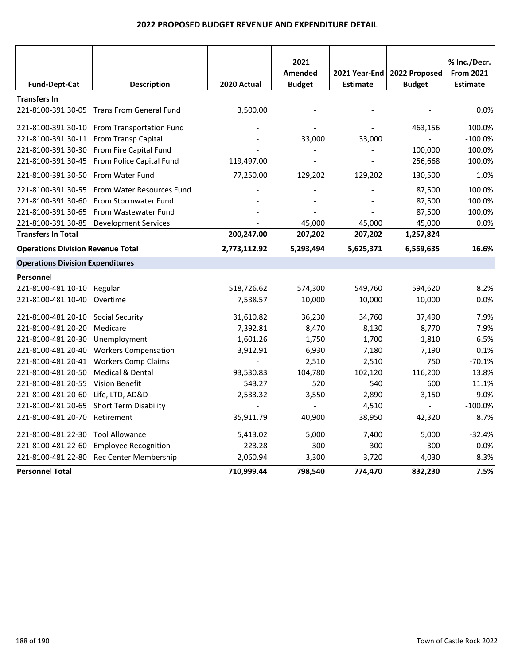| <b>Fund-Dept-Cat</b>                     | <b>Description</b>                          | 2020 Actual  | 2021<br>Amended<br><b>Budget</b> | 2021 Year-End<br><b>Estimate</b> | 2022 Proposed<br><b>Budget</b> | % Inc./Decr.<br><b>From 2021</b><br><b>Estimate</b> |
|------------------------------------------|---------------------------------------------|--------------|----------------------------------|----------------------------------|--------------------------------|-----------------------------------------------------|
| <b>Transfers In</b>                      |                                             |              |                                  |                                  |                                |                                                     |
|                                          | 221-8100-391.30-05 Trans From General Fund  | 3,500.00     |                                  |                                  |                                | 0.0%                                                |
|                                          | 221-8100-391.30-10 From Transportation Fund |              |                                  |                                  | 463,156                        | 100.0%                                              |
| 221-8100-391.30-11 From Transp Capital   |                                             |              | 33,000                           | 33,000                           |                                | $-100.0%$                                           |
|                                          | 221-8100-391.30-30 From Fire Capital Fund   |              |                                  |                                  | 100,000                        | 100.0%                                              |
|                                          | 221-8100-391.30-45 From Police Capital Fund | 119,497.00   |                                  |                                  | 256,668                        | 100.0%                                              |
| 221-8100-391.30-50 From Water Fund       |                                             | 77,250.00    | 129,202                          | 129,202                          | 130,500                        | 1.0%                                                |
| 221-8100-391.30-55                       | From Water Resources Fund                   |              |                                  |                                  | 87,500                         | 100.0%                                              |
| 221-8100-391.30-60                       | From Stormwater Fund                        |              |                                  |                                  | 87,500                         | 100.0%                                              |
| 221-8100-391.30-65                       | From Wastewater Fund                        |              |                                  |                                  | 87,500                         | 100.0%                                              |
| 221-8100-391.30-85                       | <b>Development Services</b>                 |              | 45,000                           | 45,000                           | 45,000                         | 0.0%                                                |
| <b>Transfers In Total</b>                |                                             | 200,247.00   | 207,202                          | 207,202                          | 1,257,824                      |                                                     |
| <b>Operations Division Revenue Total</b> |                                             | 2,773,112.92 | 5,293,494                        | 5,625,371                        | 6,559,635                      | 16.6%                                               |
| <b>Operations Division Expenditures</b>  |                                             |              |                                  |                                  |                                |                                                     |
| Personnel                                |                                             |              |                                  |                                  |                                |                                                     |
| 221-8100-481.10-10 Regular               |                                             | 518,726.62   | 574,300                          | 549,760                          | 594,620                        | 8.2%                                                |
| 221-8100-481.10-40 Overtime              |                                             | 7,538.57     | 10,000                           | 10,000                           | 10,000                         | 0.0%                                                |
| 221-8100-481.20-10                       | Social Security                             | 31,610.82    | 36,230                           | 34,760                           | 37,490                         | 7.9%                                                |
| 221-8100-481.20-20                       | Medicare                                    | 7,392.81     | 8,470                            | 8,130                            | 8,770                          | 7.9%                                                |
| 221-8100-481.20-30                       | Unemployment                                | 1,601.26     | 1,750                            | 1,700                            | 1,810                          | 6.5%                                                |
| 221-8100-481.20-40                       | <b>Workers Compensation</b>                 | 3,912.91     | 6,930                            | 7,180                            | 7,190                          | 0.1%                                                |
| 221-8100-481.20-41                       | <b>Workers Comp Claims</b>                  |              | 2,510                            | 2,510                            | 750                            | $-70.1%$                                            |
| 221-8100-481.20-50                       | Medical & Dental                            | 93,530.83    | 104,780                          | 102,120                          | 116,200                        | 13.8%                                               |
| 221-8100-481.20-55                       | <b>Vision Benefit</b>                       | 543.27       | 520                              | 540                              | 600                            | 11.1%                                               |
| 221-8100-481.20-60                       | Life, LTD, AD&D                             | 2,533.32     | 3,550                            | 2,890                            | 3,150                          | 9.0%                                                |
| 221-8100-481.20-65                       | <b>Short Term Disability</b>                |              | $\blacksquare$                   | 4,510                            | $\omega_{\rm c}$               | $-100.0%$                                           |
| 221-8100-481.20-70                       | Retirement                                  | 35,911.79    | 40,900                           | 38,950                           | 42,320                         | 8.7%                                                |
| 221-8100-481.22-30                       | <b>Tool Allowance</b>                       | 5,413.02     | 5,000                            | 7,400                            | 5,000                          | $-32.4%$                                            |
| 221-8100-481.22-60                       | <b>Employee Recognition</b>                 | 223.28       | 300                              | 300                              | 300                            | 0.0%                                                |
| 221-8100-481.22-80                       | Rec Center Membership                       | 2,060.94     | 3,300                            | 3,720                            | 4,030                          | 8.3%                                                |
| <b>Personnel Total</b>                   |                                             | 710,999.44   | 798,540                          | 774,470                          | 832,230                        | 7.5%                                                |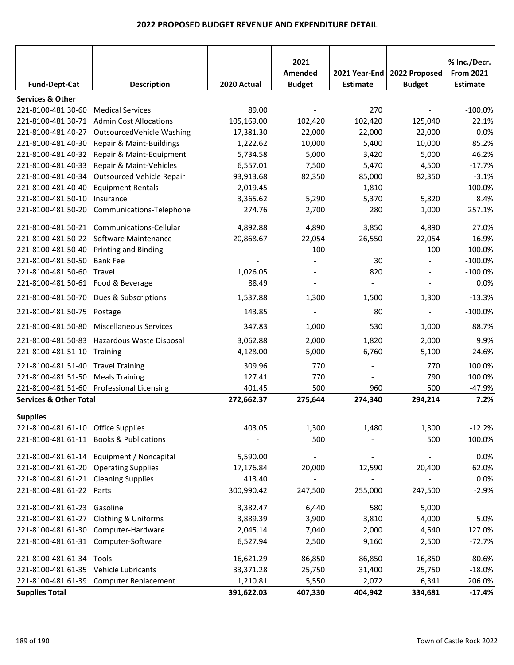|                                                   |                                                     |                      | 2021                     |                 |                          |                                  |
|---------------------------------------------------|-----------------------------------------------------|----------------------|--------------------------|-----------------|--------------------------|----------------------------------|
|                                                   |                                                     |                      | Amended                  | 2021 Year-End   | 2022 Proposed            | % Inc./Decr.<br><b>From 2021</b> |
| <b>Fund-Dept-Cat</b>                              | <b>Description</b>                                  | 2020 Actual          | <b>Budget</b>            | <b>Estimate</b> | <b>Budget</b>            | <b>Estimate</b>                  |
|                                                   |                                                     |                      |                          |                 |                          |                                  |
| <b>Services &amp; Other</b><br>221-8100-481.30-60 | <b>Medical Services</b>                             | 89.00                |                          | 270             |                          | $-100.0%$                        |
| 221-8100-481.30-71                                | <b>Admin Cost Allocations</b>                       | 105,169.00           | 102,420                  | 102,420         | 125,040                  | 22.1%                            |
| 221-8100-481.40-27                                | OutsourcedVehicle Washing                           | 17,381.30            | 22,000                   | 22,000          | 22,000                   | 0.0%                             |
|                                                   |                                                     |                      | 10,000                   | 5,400           | 10,000                   | 85.2%                            |
| 221-8100-481.40-30<br>221-8100-481.40-32          | Repair & Maint-Buildings                            | 1,222.62<br>5,734.58 | 5,000                    | 3,420           | 5,000                    | 46.2%                            |
| 221-8100-481.40-33                                | Repair & Maint-Equipment<br>Repair & Maint-Vehicles | 6,557.01             | 7,500                    | 5,470           | 4,500                    | $-17.7%$                         |
| 221-8100-481.40-34                                |                                                     | 93,913.68            | 82,350                   | 85,000          | 82,350                   | $-3.1%$                          |
|                                                   | Outsourced Vehicle Repair                           |                      |                          |                 |                          | $-100.0%$                        |
| 221-8100-481.40-40                                | <b>Equipment Rentals</b>                            | 2,019.45             | $\overline{\phantom{a}}$ | 1,810           | $\blacksquare$           |                                  |
| 221-8100-481.50-10                                | Insurance                                           | 3,365.62<br>274.76   | 5,290                    | 5,370           | 5,820                    | 8.4%                             |
| 221-8100-481.50-20                                | Communications-Telephone                            |                      | 2,700                    | 280             | 1,000                    | 257.1%                           |
|                                                   | 221-8100-481.50-21 Communications-Cellular          | 4,892.88             | 4,890                    | 3,850           | 4,890                    | 27.0%                            |
|                                                   | 221-8100-481.50-22 Software Maintenance             | 20,868.67            | 22,054                   | 26,550          | 22,054                   | $-16.9%$                         |
| 221-8100-481.50-40                                | <b>Printing and Binding</b>                         |                      | 100                      |                 | 100                      | 100.0%                           |
| 221-8100-481.50-50                                | <b>Bank Fee</b>                                     |                      |                          | 30              |                          | $-100.0%$                        |
| 221-8100-481.50-60                                | Travel                                              | 1,026.05             |                          | 820             |                          | $-100.0%$                        |
| 221-8100-481.50-61 Food & Beverage                |                                                     | 88.49                |                          |                 |                          | 0.0%                             |
| 221-8100-481.50-70                                | Dues & Subscriptions                                | 1,537.88             | 1,300                    | 1,500           | 1,300                    | $-13.3%$                         |
| 221-8100-481.50-75                                | Postage                                             | 143.85               | $\overline{\phantom{a}}$ | 80              | $\overline{\phantom{a}}$ | $-100.0%$                        |
| 221-8100-481.50-80                                | <b>Miscellaneous Services</b>                       | 347.83               | 1,000                    | 530             | 1,000                    | 88.7%                            |
| 221-8100-481.50-83                                | Hazardous Waste Disposal                            | 3,062.88             | 2,000                    | 1,820           | 2,000                    | 9.9%                             |
| 221-8100-481.51-10                                | Training                                            | 4,128.00             | 5,000                    | 6,760           | 5,100                    | $-24.6%$                         |
| 221-8100-481.51-40                                | <b>Travel Training</b>                              | 309.96               | 770                      |                 | 770                      | 100.0%                           |
| 221-8100-481.51-50                                | <b>Meals Training</b>                               | 127.41               | 770                      |                 | 790                      | 100.0%                           |
|                                                   | 221-8100-481.51-60 Professional Licensing           | 401.45               | 500                      | 960             | 500                      | $-47.9%$                         |
| <b>Services &amp; Other Total</b>                 |                                                     | 272,662.37           | 275,644                  | 274,340         | 294,214                  | 7.2%                             |
| <b>Supplies</b>                                   |                                                     |                      |                          |                 |                          |                                  |
| 221-8100-481.61-10 Office Supplies                |                                                     | 403.05               | 1,300                    | 1,480           | 1,300                    | $-12.2%$                         |
|                                                   | 221-8100-481.61-11 Books & Publications             |                      | 500                      |                 | 500                      | 100.0%                           |
|                                                   | 221-8100-481.61-14 Equipment / Noncapital           | 5,590.00             |                          |                 |                          | 0.0%                             |
| 221-8100-481.61-20 Operating Supplies             |                                                     | 17,176.84            | 20,000                   | 12,590          | 20,400                   | 62.0%                            |
| 221-8100-481.61-21 Cleaning Supplies              |                                                     | 413.40               |                          |                 |                          |                                  |
|                                                   |                                                     |                      |                          |                 |                          | 0.0%<br>$-2.9%$                  |
| 221-8100-481.61-22 Parts                          |                                                     | 300,990.42           | 247,500                  | 255,000         | 247,500                  |                                  |
| 221-8100-481.61-23 Gasoline                       |                                                     | 3,382.47             | 6,440                    | 580             | 5,000                    |                                  |
| 221-8100-481.61-27                                | <b>Clothing &amp; Uniforms</b>                      | 3,889.39             | 3,900                    | 3,810           | 4,000                    | 5.0%                             |
|                                                   | 221-8100-481.61-30 Computer-Hardware                | 2,045.14             | 7,040                    | 2,000           | 4,540                    | 127.0%                           |
| 221-8100-481.61-31 Computer-Software              |                                                     | 6,527.94             | 2,500                    | 9,160           | 2,500                    | $-72.7%$                         |
| 221-8100-481.61-34 Tools                          |                                                     | 16,621.29            | 86,850                   | 86,850          | 16,850                   | $-80.6%$                         |
| 221-8100-481.61-35 Vehicle Lubricants             |                                                     | 33,371.28            | 25,750                   | 31,400          | 25,750                   | $-18.0%$                         |
|                                                   | 221-8100-481.61-39 Computer Replacement             | 1,210.81             | 5,550                    | 2,072           | 6,341                    | 206.0%                           |
| <b>Supplies Total</b>                             |                                                     | 391,622.03           | 407,330                  | 404,942         | 334,681                  | $-17.4%$                         |